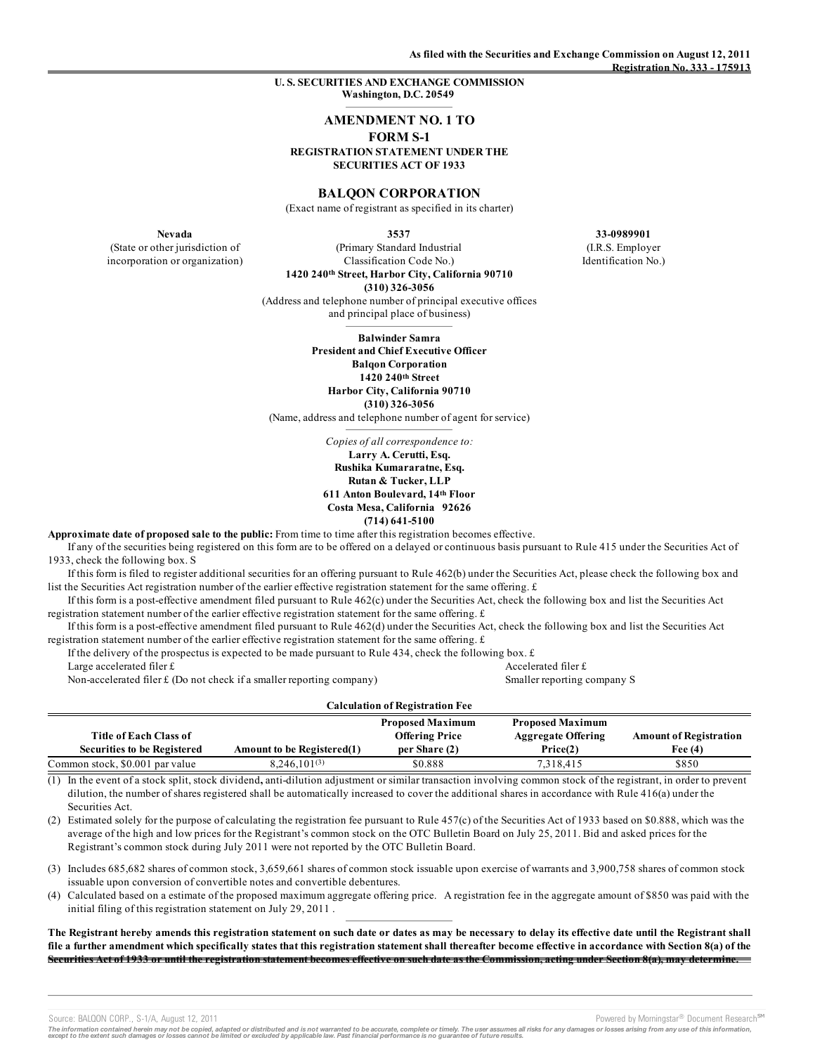**U. S. SECURITIES AND EXCHANGE COMMISSION Washington, D.C. 20549**

# **AMENDMENT NO. 1 TO FORM S-1 REGISTRATION STATEMENT UNDER THE SECURITIES ACT OF 1933**

## **BALQON CORPORATION**

(Exact name of registrant as specified in its charter)

(State or other jurisdiction of incorporation or organization)

**Nevada 3537 33-0989901** (Primary Standard Industrial Classification Code No.) **1420 240th Street, Harbor City, California 90710 (310) 326-3056**

(Address and telephone number of principal executive offices and principal place of business)

**Balwinder Samra President and Chief Executive Officer Balqon Corporation 1420 240th Street Harbor City, California 90710 (310) 326-3056** (Name, address and telephone number of agent for service)

> *Copies of all correspondence to:* **Larry A. Cerutti, Esq. Rushika Kumararatne, Esq. Rutan & Tucker, LLP 611 Anton Boulevard, 14th Floor Costa Mesa, California 92626 (714) 641-5100**

**Approximate date of proposed sale to the public:** From time to time after this registration becomes effective.

If any of the securities being registered on this form are to be offered on a delayed or continuous basis pursuant to Rule 415 under the Securities Act of 1933, check the following box. S

If this form is filed to register additional securities for an offering pursuant to Rule 462(b) under the Securities Act, please check the following box and list the Securities Act registration number of the earlier effective registration statement for the same offering. £

If this form is a post-effective amendment filed pursuant to Rule 462(c) under the Securities Act, check the following box and list the Securities Act registration statement number of the earlier effective registration statement for the same offering. £

If this form is a post-effective amendment filed pursuant to Rule 462(d) under the Securities Act, check the following box and list the Securities Act registration statement number of the earlier effective registration statement for the same offering. £

If the delivery of the prospectus is expected to be made pursuant to Rule 434, check the following box.  $\pounds$ 

Large accelerated filer £ Accelerated filer £

Non-accelerated filer £ (Do not check if a smaller reporting company) Smaller reporting company S

| <b>Calculation of Registration Fee</b> |                            |                       |                           |                               |  |  |  |  |  |
|----------------------------------------|----------------------------|-----------------------|---------------------------|-------------------------------|--|--|--|--|--|
|                                        |                            |                       |                           |                               |  |  |  |  |  |
| Title of Each Class of                 |                            | <b>Offering Price</b> | <b>Aggregate Offering</b> | <b>Amount of Registration</b> |  |  |  |  |  |
| <b>Securities to be Registered</b>     | Amount to be Registered(1) | per Share (2)         | Price(2)                  | Fee $(4)$                     |  |  |  |  |  |
| Common stock, \$0.001 par value        | $8,246,101^{(3)}$          | \$0.888               | 7,318,415                 | \$850                         |  |  |  |  |  |

(1) In the event of a stock split, stock dividend**,** anti-dilution adjustment or similar transaction involving common stock of the registrant, in order to prevent dilution, the number of shares registered shall be automatically increased to cover the additional shares in accordance with Rule 416(a) under the Securities Act.

(2) Estimated solely for the purpose of calculating the registration fee pursuant to Rule 457(c) of the Securities Act of 1933 based on \$0.888, which was the average of the high and low prices for the Registrant's common stock on the OTC Bulletin Board on July 25, 2011. Bid and asked prices for the Registrant's common stock during July 2011 were not reported by the OTC Bulletin Board.

(3) Includes 685,682 shares of common stock, 3,659,661 shares of common stock issuable upon exercise of warrants and 3,900,758 shares of common stock issuable upon conversion of convertible notes and convertible debentures.

(4) Calculated based on a estimate of the proposed maximum aggregate offering price. A registration fee in the aggregate amount of \$850 was paid with the initial filing of this registration statement on July 29, 2011 .

The Registrant hereby amends this registration statement on such date or dates as may be necessary to delay its effective date until the Registrant shall file a further amendment which specifically states that this registration statement shall thereafter become effective in accordance with Section 8(a) of the Securities Act of 1933 or until the registration statement becomes effective on such date as the Commission, acting under Section 8(a), may determine.

Source: BALQON CORP., S-1/A, August 12, 2011 **Powered by Morningstar® Document Research** <sup>5M</sup>

The information contained herein may not be copied, adapted or distributed and is not warranted to be accurate, complete or timely. The user assumes all risks for any damages or losses arising from any use of this informat

(I.R.S. Employer Identification No.)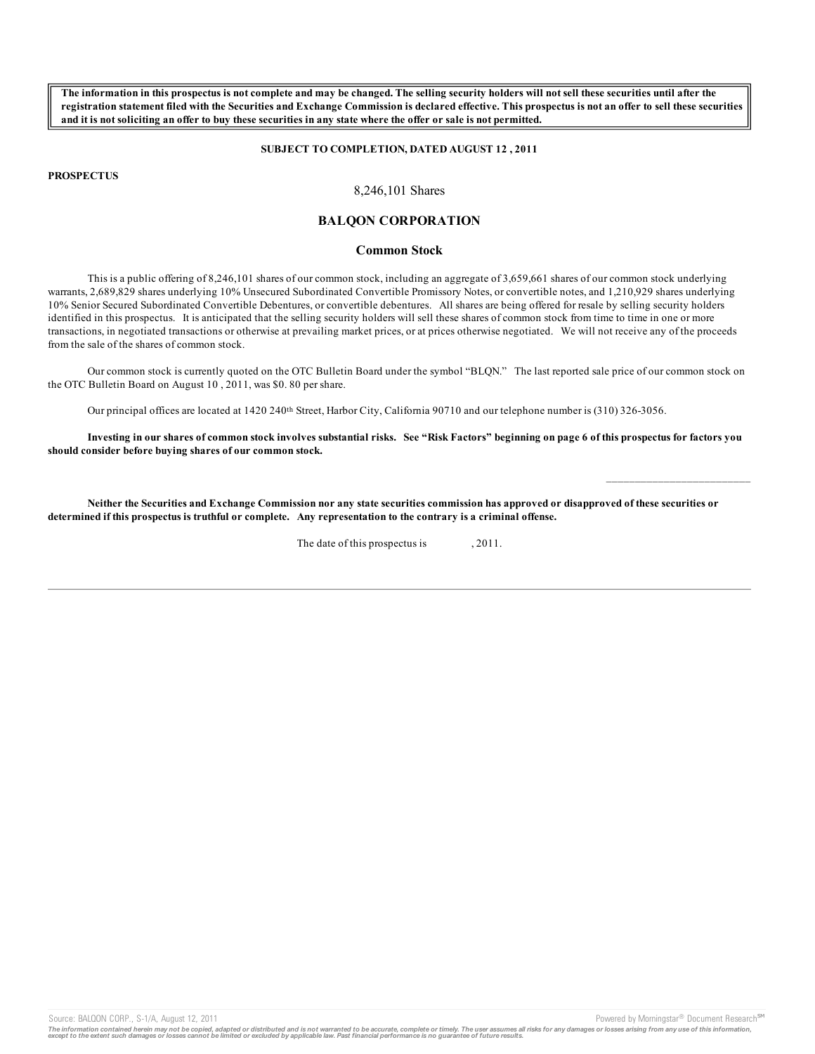The information in this prospectus is not complete and may be changed. The selling security holders will not sell these securities until after the registration statement filed with the Securities and Exchange Commission is declared effective. This prospectus is not an offer to sell these securities and it is not soliciting an offer to buy these securities in any state where the offer or sale is not permitted.

#### **SUBJECT TO COMPLETION, DATED AUGUST 12 , 2011**

**PROSPECTUS**

8,246,101 Shares

# **BALQON CORPORATION**

## **Common Stock**

This is a public offering of 8,246,101 shares of our common stock, including an aggregate of 3,659,661 shares of our common stock underlying warrants, 2,689,829 shares underlying 10% Unsecured Subordinated Convertible Promissory Notes, or convertible notes, and 1,210,929 shares underlying 10% Senior Secured Subordinated Convertible Debentures, or convertible debentures. All shares are being offered for resale by selling security holders identified in this prospectus. It is anticipated that the selling security holders will sell these shares of common stock from time to time in one or more transactions, in negotiated transactions or otherwise at prevailing market prices, or at prices otherwise negotiated. We will not receive any of the proceeds from the sale of the shares of common stock.

Our common stock is currently quoted on the OTC Bulletin Board under the symbol "BLQN." The last reported sale price of our common stock on the OTC Bulletin Board on August 10 , 2011, was \$0. 80 per share.

Our principal offices are located at 1420 240<sup>th</sup> Street, Harbor City, California 90710 and our telephone number is (310) 326-3056.

Investing in our shares of common stock involves substantial risks. See "Risk Factors" beginning on page 6 of this prospectus for factors you **should consider before buying shares of our common stock.**

Neither the Securities and Exchange Commission nor any state securities commission has approved or disapproved of these securities or determined if this prospectus is truthful or complete. Any representation to the contrary is a criminal offense.

The date of this prospectus is  $, 2011$ .

Source: BALQON CORP., S-1/A, August 12, 2011 **Powered by Morningstar<sup>®</sup> Document Research<sup>™</sup>** 

 $\overline{\phantom{a}}$  , where  $\overline{\phantom{a}}$  , where  $\overline{\phantom{a}}$  , where  $\overline{\phantom{a}}$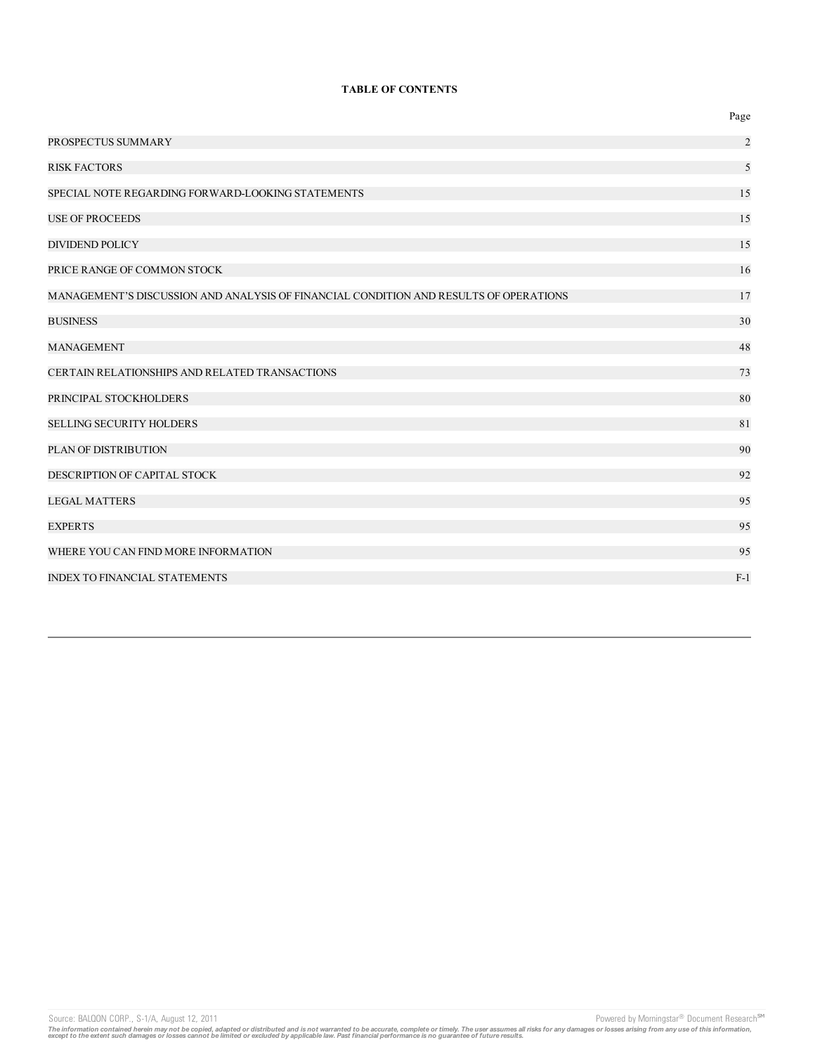# **TABLE OF CONTENTS**

|                                                                                       | Page           |
|---------------------------------------------------------------------------------------|----------------|
| PROSPECTUS SUMMARY                                                                    | $\overline{2}$ |
| <b>RISK FACTORS</b>                                                                   | 5              |
| SPECIAL NOTE REGARDING FOR WARD-LOOKING STATEMENTS                                    | 15             |
| <b>USE OF PROCEEDS</b>                                                                | 15             |
| <b>DIVIDEND POLICY</b>                                                                | 15             |
| PRICE RANGE OF COMMON STOCK                                                           | 16             |
| MANAGEMENT'S DISCUSSION AND ANALYSIS OF FINANCIAL CONDITION AND RESULTS OF OPERATIONS | 17             |
| <b>BUSINESS</b>                                                                       | 30             |
| <b>MANAGEMENT</b>                                                                     | 48             |
| CERTAIN RELATIONSHIPS AND RELATED TRANSACTIONS                                        | 73             |
| PRINCIPAL STOCKHOLDERS                                                                | 80             |
| <b>SELLING SECURITY HOLDERS</b>                                                       | 81             |
| PLAN OF DISTRIBUTION                                                                  | 90             |
| DESCRIPTION OF CAPITAL STOCK                                                          | 92             |
| <b>LEGAL MATTERS</b>                                                                  | 95             |
| <b>EXPERTS</b>                                                                        | 95             |
| WHERE YOU CAN FIND MORE INFORMATION                                                   | 95             |
| <b>INDEX TO FINANCIAL STATEMENTS</b>                                                  | $F-1$          |

Source: BALQON CORP., S-1/A, August 12, 2011<br>The information contained herein may not be copied, adapted or distributed and is not warranted to be accurate, complete or timely. The user assumes all risks for any damages or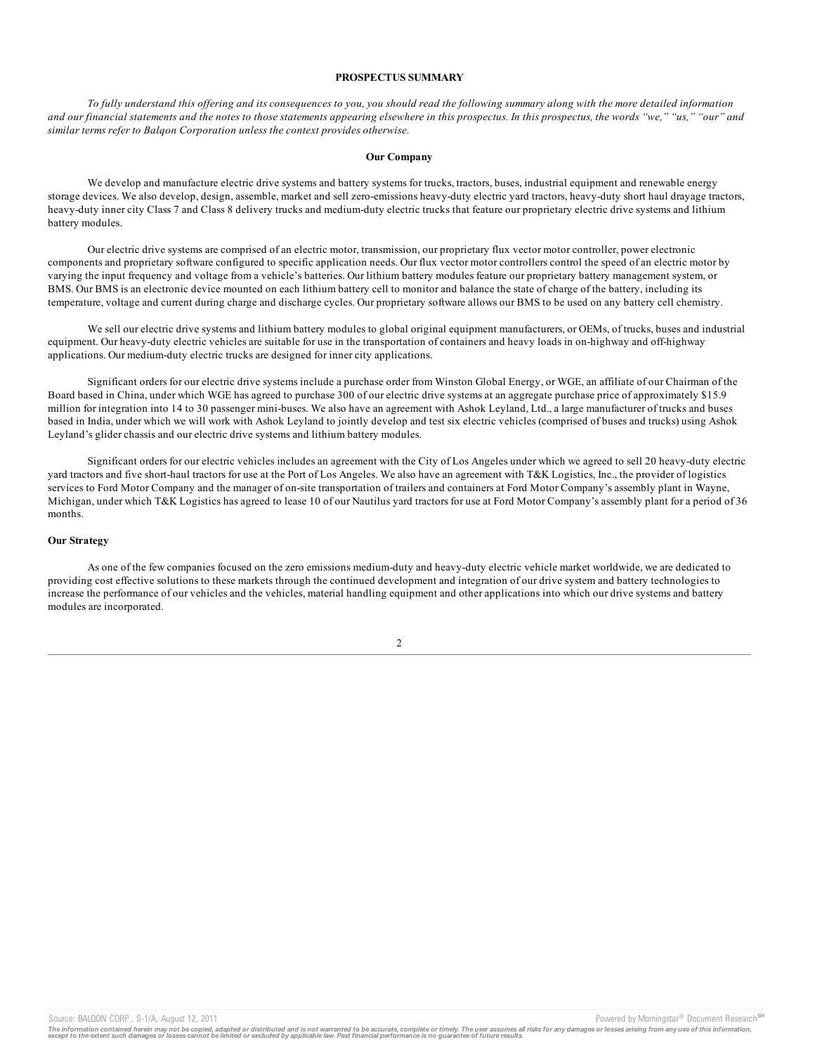#### **PROSPECTUS SUMMARY**

To fully understand this offering and its consequences to you, you should read the following summary along with the more detailed information and our financial statements and the notes to those statements appearing elsewhere in this prospectus. In this prospectus, the words "we," "us," "our" and *similar terms refer to Balqon Corporation unless the context provides otherwise.*

#### **Our Company**

We develop and manufacture electric drive systems and battery systems for trucks, tractors, buses, industrial equipment and renewable energy storage devices. We also develop, design, assemble, market and sell zero-emissions heavy-duty electric yard tractors, heavy-duty short haul drayage tractors, heavy-duty inner city Class 7 and Class 8 delivery trucks and medium-duty electric trucks that feature our proprietary electric drive systems and lithium battery modules.

Our electric drive systems are comprised of an electric motor, transmission, our proprietary flux vector motor controller, power electronic components and proprietary software configured to specific application needs. Our flux vector motor controllers control the speed of an electric motor by varying the input frequency and voltage from a vehicle's batteries. Our lithium battery modules feature our proprietary battery management system, or BMS. Our BMS is an electronic device mounted on each lithium battery cell to monitor and balance the state of charge of the battery, including its temperature, voltage and current during charge and discharge cycles. Our proprietary software allows our BMS to be used on any battery cell chemistry.

We sell our electric drive systems and lithium battery modules to global original equipment manufacturers, or OEMs, of trucks, buses and industrial equipment. Our heavy-duty electric vehicles are suitable for use in the transportation of containers and heavy loads in on-highway and off-highway applications. Our medium-duty electric trucks are designed for inner city applications.

Significant orders for our electric drive systems include a purchase order from Winston Global Energy, or WGE, an affiliate of our Chairman of the Board based in China, under which WGE has agreed to purchase 300 of our electric drive systems at an aggregate purchase price of approximately \$15.9 million for integration into 14 to 30 passenger mini-buses. We also have an agreement with Ashok Leyland, Ltd., a large manufacturer of trucks and buses based in India, under which we will work with Ashok Leyland to jointly develop and test six electric vehicles (comprised of buses and trucks) using Ashok Leyland's glider chassis and our electric drive systems and lithium battery modules.

Significant orders for our electric vehicles includes an agreement with the City of Los Angeles under which we agreed to sell 20 heavy-duty electric yard tractors and five short-haul tractors for use at the Port of Los Angeles. We also have an agreement with T&K Logistics, Inc., the provider of logistics services to Ford Motor Company and the manager of on-site transportation of trailers and containers at Ford Motor Company's assembly plant in Wayne, Michigan, under which T&K Logistics has agreed to lease 10 of our Nautilus yard tractors for use at Ford Motor Company's assembly plant for a period of 36 months.

#### **Our Strategy**

As one of the few companies focused on the zero emissions medium-duty and heavy-duty electric vehicle market worldwide, we are dedicated to providing cost effective solutions to these markets through the continued development and integration of our drive system and battery technologies to increase the performance of our vehicles and the vehicles, material handling equipment and other applications into which our drive systems and battery modules are incorporated.

Source: BALQON CORP., S-1/A, August 12, 2011 **Powered by Morningstar® Document Research** in Powered by Morningstar® Document Research in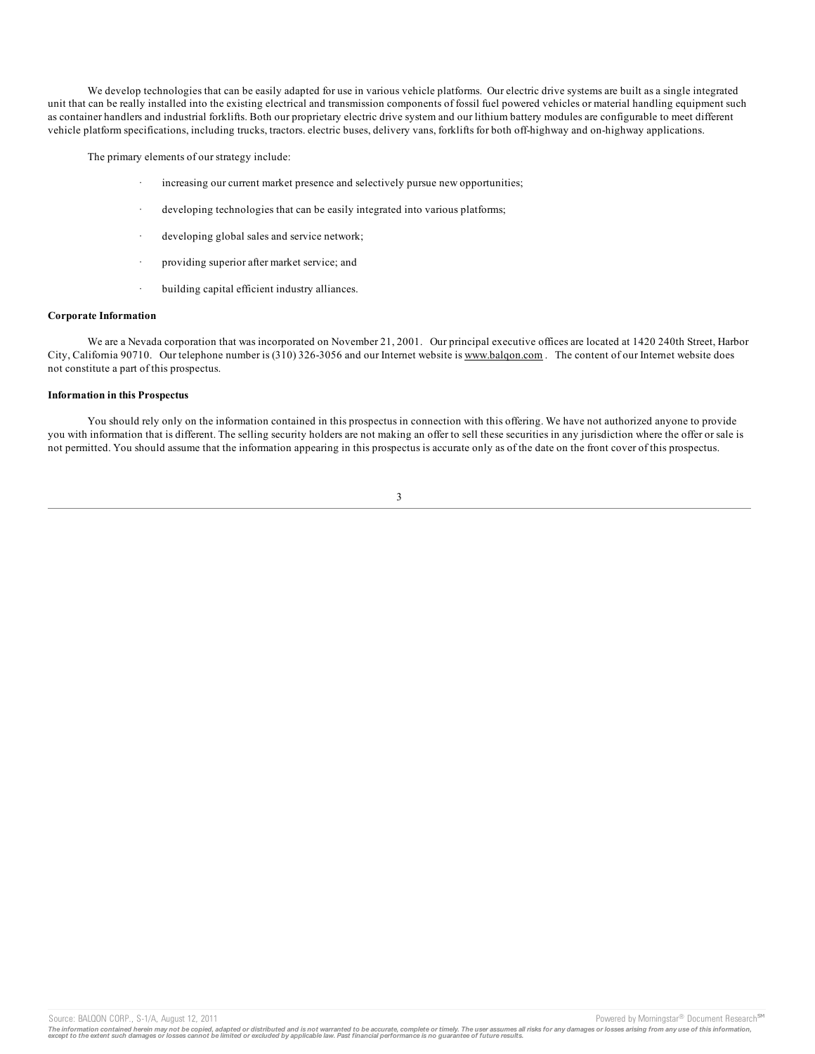We develop technologies that can be easily adapted for use in various vehicle platforms. Our electric drive systems are built as a single integrated unit that can be really installed into the existing electrical and transmission components of fossil fuel powered vehicles or material handling equipment such as container handlers and industrial forklifts. Both our proprietary electric drive system and our lithium battery modules are configurable to meet different vehicle platform specifications, including trucks, tractors. electric buses, delivery vans, forklifts for both off-highway and on-highway applications.

The primary elements of our strategy include:

- increasing our current market presence and selectively pursue new opportunities;
- developing technologies that can be easily integrated into various platforms;
- developing global sales and service network;
- providing superior after market service; and
- building capital efficient industry alliances.

#### **Corporate Information**

We are a Nevada corporation that was incorporated on November 21, 2001. Our principal executive offices are located at 1420 240th Street, Harbor City, California 90710. Our telephone number is (310) 326-3056 and our Internet website is www.balqon.com . The content of our Internet website does not constitute a part of this prospectus.

## **Information in this Prospectus**

You should rely only on the information contained in this prospectus in connection with this offering. We have not authorized anyone to provide you with information that is different. The selling security holders are not making an offer to sell these securities in any jurisdiction where the offer or sale is not permitted. You should assume that the information appearing in this prospectus is accurate only as of the date on the front cover of this prospectus.

Source: BALQON CORP., S-1/A, August 12, 2011 **Powered by Morningstar® Document Research** <sup>5M</sup>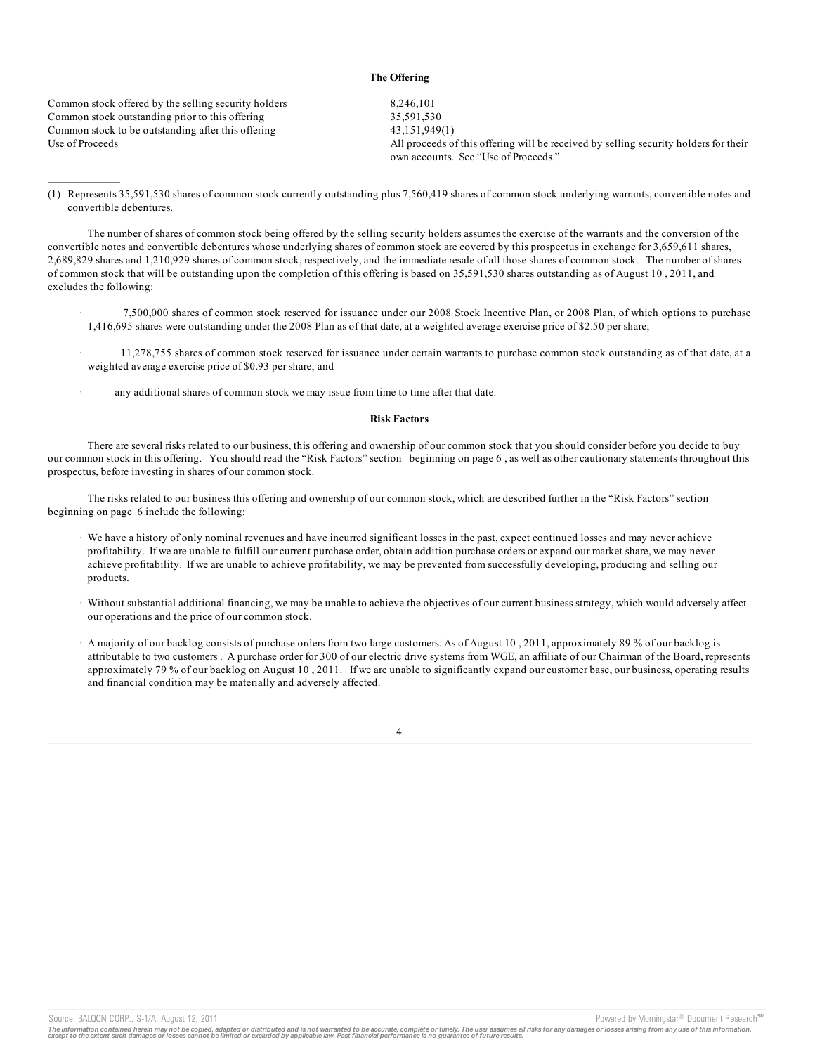#### **The Offering**

Common stock offered by the selling security holders 8,246,101 Common stock outstanding prior to this offering 35,591,530<br>
Common stock to be outstanding after this offering 43,151,949(1) Common stock to be outstanding after this offering

Use of Proceeds and the Section All proceeds of this offering will be received by selling security holders for their own accounts. See "Use of Proceeds."

(1) Represents 35,591,530 shares of common stock currently outstanding plus 7,560,419 shares of common stock underlying warrants, convertible notes and convertible debentures.

The number of shares of common stock being offered by the selling security holders assumes the exercise of the warrants and the conversion of the convertible notes and convertible debentures whose underlying shares of common stock are covered by this prospectus in exchange for 3,659,611 shares, 2,689,829 shares and 1,210,929 shares of common stock, respectively, and the immediate resale of all those shares of common stock. The number of shares of common stock that will be outstanding upon the completion of this offering is based on 35,591,530 shares outstanding as of August 10 , 2011, and excludes the following:

· 7,500,000 shares of common stock reserved for issuance under our 2008 Stock Incentive Plan, or 2008 Plan, of which options to purchase 1,416,695 shares were outstanding under the 2008 Plan as of that date, at a weighted average exercise price of \$2.50 per share;

· 11,278,755 shares of common stock reserved for issuance under certain warrants to purchase common stock outstanding as of that date, at a weighted average exercise price of \$0.93 per share; and

any additional shares of common stock we may issue from time to time after that date.

### **Risk Factors**

There are several risks related to our business, this offering and ownership of our common stock that you should consider before you decide to buy our common stock in this offering. You should read the "Risk Factors" section beginning on page 6 , as well as other cautionary statements throughout this prospectus, before investing in shares of our common stock.

The risks related to our business this offering and ownership of our common stock, which are described further in the "Risk Factors" section beginning on page 6 include the following:

- · We have a history of only nominal revenues and have incurred significant losses in the past, expect continued losses and may never achieve profitability. If we are unable to fulfill our current purchase order, obtain addition purchase orders or expand our market share, we may never achieve profitability. If we are unable to achieve profitability, we may be prevented from successfully developing, producing and selling our products.
- · Without substantial additional financing, we may be unable to achieve the objectives of our current business strategy, which would adversely affect our operations and the price of our common stock.
- · A majority of our backlog consists of purchase orders from two large customers. As of August 10 , 2011, approximately 89 % of our backlog is attributable to two customers . A purchase order for 300 of our electric drive systems from WGE, an affiliate of our Chairman of the Board, represents approximately 79 % of our backlog on August 10 , 2011. If we are unable to significantly expand our customer base, our business, operating results and financial condition may be materially and adversely affected.

The information contained herein may not be copied, adapted or distributed and is not warranted to be accurate, complete or timely. The user assumes all risks for any damages or losses arising from any use of this informat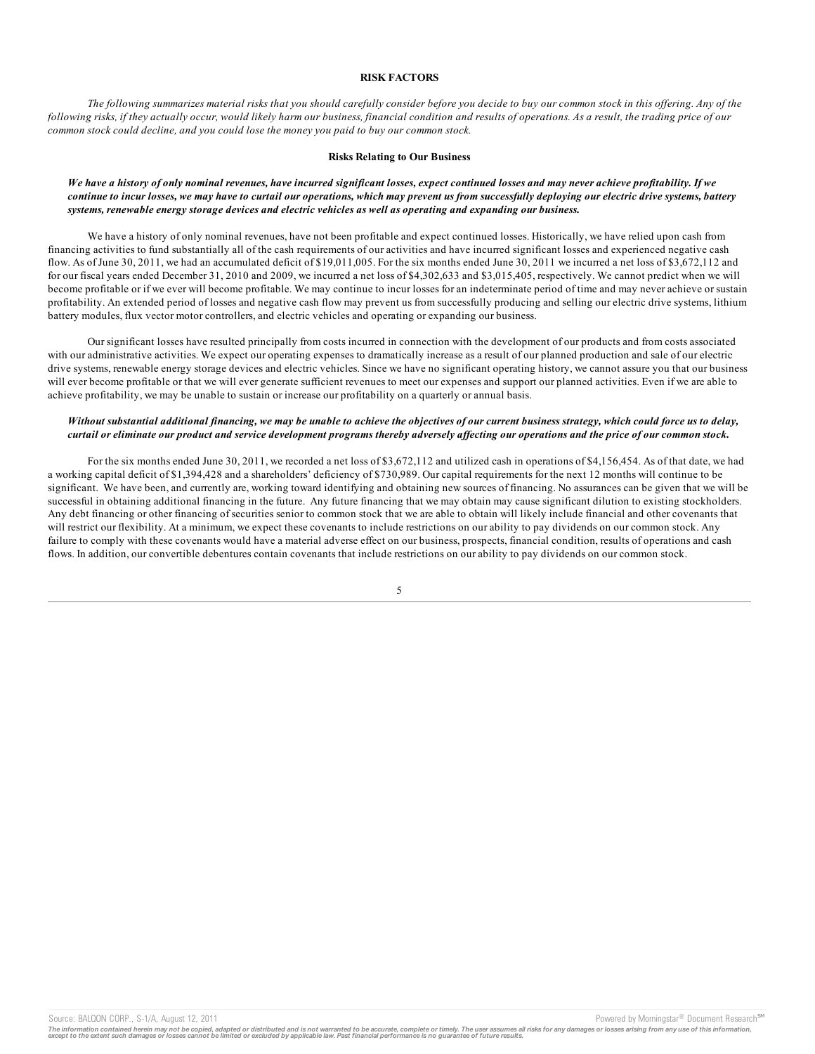#### **RISK FACTORS**

The following summarizes material risks that you should carefully consider before you decide to buy our common stock in this offering. Any of the following risks, if they actually occur, would likely harm our business, financial condition and results of operations. As a result, the trading price of our *common stock could decline, and you could lose the money you paid to buy our common stock.*

#### **Risks Relating to Our Business**

## We have a history of only nominal revenues, have incurred significant losses, expect continued losses and may never achieve profitability. If we continue to incur losses, we may have to curtail our operations, which may prevent us from successfully deploying our electric drive systems, battery *systems, renewable energy storage devices and electric vehicles as well as operating and expanding our business.*

We have a history of only nominal revenues, have not been profitable and expect continued losses. Historically, we have relied upon cash from financing activities to fund substantially all of the cash requirements of our activities and have incurred significant losses and experienced negative cash flow. As of June 30, 2011, we had an accumulated deficit of \$19,011,005. For the six months ended June 30, 2011 we incurred a net loss of \$3,672,112 and for our fiscal years ended December 31, 2010 and 2009, we incurred a net loss of \$4,302,633 and \$3,015,405, respectively. We cannot predict when we will become profitable or if we ever will become profitable. We may continue to incur losses for an indeterminate period of time and may never achieve or sustain profitability. An extended period of losses and negative cash flow may prevent us from successfully producing and selling our electric drive systems, lithium battery modules, flux vector motor controllers, and electric vehicles and operating or expanding our business.

Our significant losses have resulted principally from costs incurred in connection with the development of our products and from costs associated with our administrative activities. We expect our operating expenses to dramatically increase as a result of our planned production and sale of our electric drive systems, renewable energy storage devices and electric vehicles. Since we have no significant operating history, we cannot assure you that our business will ever become profitable or that we will ever generate sufficient revenues to meet our expenses and support our planned activities. Even if we are able to achieve profitability, we may be unable to sustain or increase our profitability on a quarterly or annual basis.

#### Without substantial additional financing, we may be unable to achieve the objectives of our current business strategy, which could force us to delay, curtail or eliminate our product and service development programs thereby adversely affecting our operations and the price of our common stock.

For the six months ended June 30, 2011, we recorded a net loss of \$3,672,112 and utilized cash in operations of \$4,156,454. As of that date, we had a working capital deficit of \$1,394,428 and a shareholders' deficiency of \$730,989. Our capital requirements for the next 12 months will continue to be significant. We have been, and currently are, working toward identifying and obtaining new sources of financing. No assurances can be given that we will be successful in obtaining additional financing in the future. Any future financing that we may obtain may cause significant dilution to existing stockholders. Any debt financing or other financing of securities senior to common stock that we are able to obtain will likely include financial and other covenants that will restrict our flexibility. At a minimum, we expect these covenants to include restrictions on our ability to pay dividends on our common stock. Any failure to comply with these covenants would have a material adverse effect on our business, prospects, financial condition, results of operations and cash flows. In addition, our convertible debentures contain covenants that include restrictions on our ability to pay dividends on our common stock.



The information contained herein may not be copied, adapted or distributed and is not warranted to be accurate, complete or timely. The user assumes all risks for any damages or losses arising from any use of this informat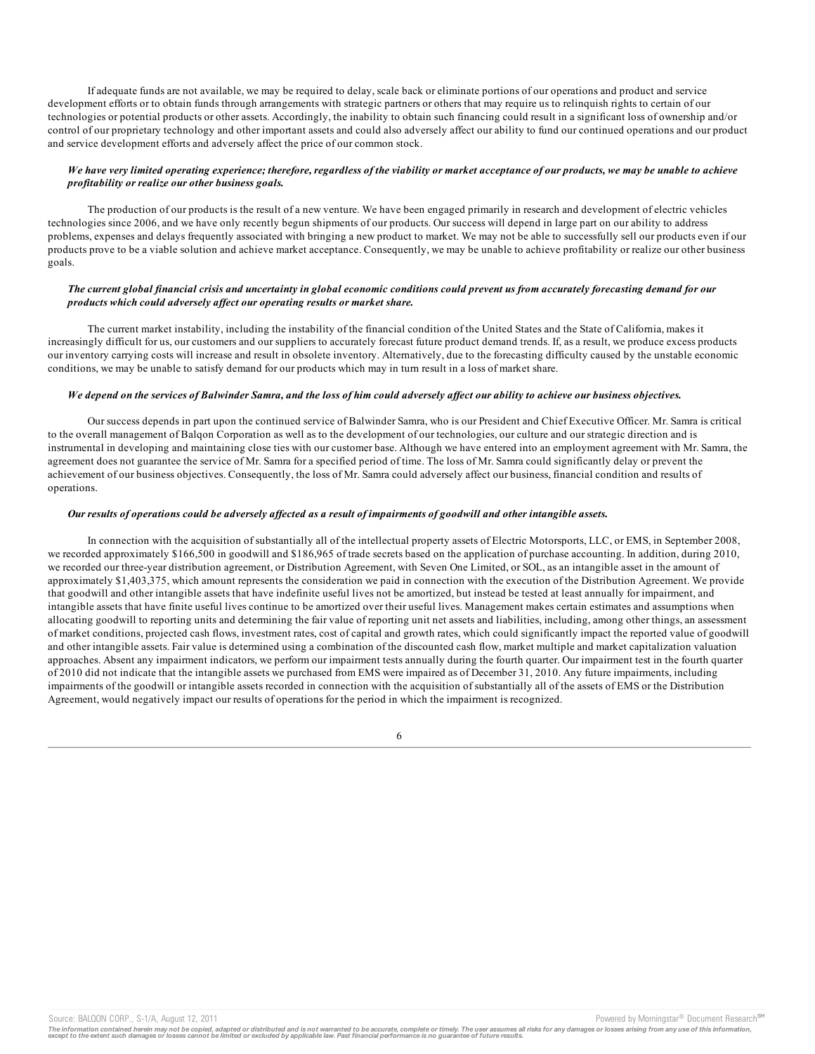If adequate funds are not available, we may be required to delay, scale back or eliminate portions of our operations and product and service development efforts or to obtain funds through arrangements with strategic partners or others that may require us to relinquish rights to certain of our technologies or potential products or other assets. Accordingly, the inability to obtain such financing could result in a significant loss of ownership and/or control of our proprietary technology and other important assets and could also adversely affect our ability to fund our continued operations and our product and service development efforts and adversely affect the price of our common stock.

### We have very limited operating experience; therefore, regardless of the viability or market acceptance of our products, we may be unable to achieve *profitability or realize our other business goals.*

The production of our products is the result of a new venture. We have been engaged primarily in research and development of electric vehicles technologies since 2006, and we have only recently begun shipments of our products. Our success will depend in large part on our ability to address problems, expenses and delays frequently associated with bringing a new product to market. We may not be able to successfully sell our products even if our products prove to be a viable solution and achieve market acceptance. Consequently, we may be unable to achieve profitability or realize our other business goals.

### The current global financial crisis and uncertainty in global economic conditions could prevent us from accurately forecasting demand for our *products which could adversely af ect our operating results or market share.*

The current market instability, including the instability of the financial condition of the United States and the State of California, makes it increasingly difficult for us, our customers and our suppliers to accurately forecast future product demand trends. If, as a result, we produce excess products our inventory carrying costs will increase and result in obsolete inventory. Alternatively, due to the forecasting difficulty caused by the unstable economic conditions, we may be unable to satisfy demand for our products which may in turn result in a loss of market share.

## We depend on the services of Balwinder Samra, and the loss of him could adversely affect our ability to achieve our business objectives.

Our success depends in part upon the continued service of Balwinder Samra, who is our President and Chief Executive Officer. Mr. Samra is critical to the overall management of Balqon Corporation as well as to the development of our technologies, our culture and our strategic direction and is instrumental in developing and maintaining close ties with our customer base. Although we have entered into an employment agreement with Mr. Samra, the agreement does not guarantee the service of Mr. Samra for a specified period of time. The loss of Mr. Samra could significantly delay or prevent the achievement of our business objectives. Consequently, the loss of Mr. Samra could adversely affect our business, financial condition and results of operations.

## Our results of operations could be adversely affected as a result of impairments of goodwill and other intangible assets.

In connection with the acquisition of substantially all of the intellectual property assets of Electric Motorsports, LLC, or EMS, in September 2008, we recorded approximately \$166,500 in goodwill and \$186,965 of trade secrets based on the application of purchase accounting. In addition, during 2010, we recorded our three-year distribution agreement, or Distribution Agreement, with Seven One Limited, or SOL, as an intangible asset in the amount of approximately \$1,403,375, which amount represents the consideration we paid in connection with the execution of the Distribution Agreement. We provide that goodwill and other intangible assets that have indefinite useful lives not be amortized, but instead be tested at least annually for impairment, and intangible assets that have finite useful lives continue to be amortized over their useful lives. Management makes certain estimates and assumptions when allocating goodwill to reporting units and determining the fair value of reporting unit net assets and liabilities, including, among other things, an assessment of market conditions, projected cash flows, investment rates, cost of capital and growth rates, which could significantly impact the reported value of goodwill and other intangible assets. Fair value is determined using a combination of the discounted cash flow, market multiple and market capitalization valuation approaches. Absent any impairment indicators, we perform our impairment tests annually during the fourth quarter. Our impairment test in the fourth quarter of 2010 did not indicate that the intangible assets we purchased from EMS were impaired as of December 31, 2010. Any future impairments, including impairments of the goodwill or intangible assets recorded in connection with the acquisition of substantially all of the assets of EMS or the Distribution Agreement, would negatively impact our results of operations for the period in which the impairment is recognized.



Source: BALQON CORP., S-1/A, August 12, 2011 **Powered by Morningstar® Document Research** in Powered by Morningstar® Document Research in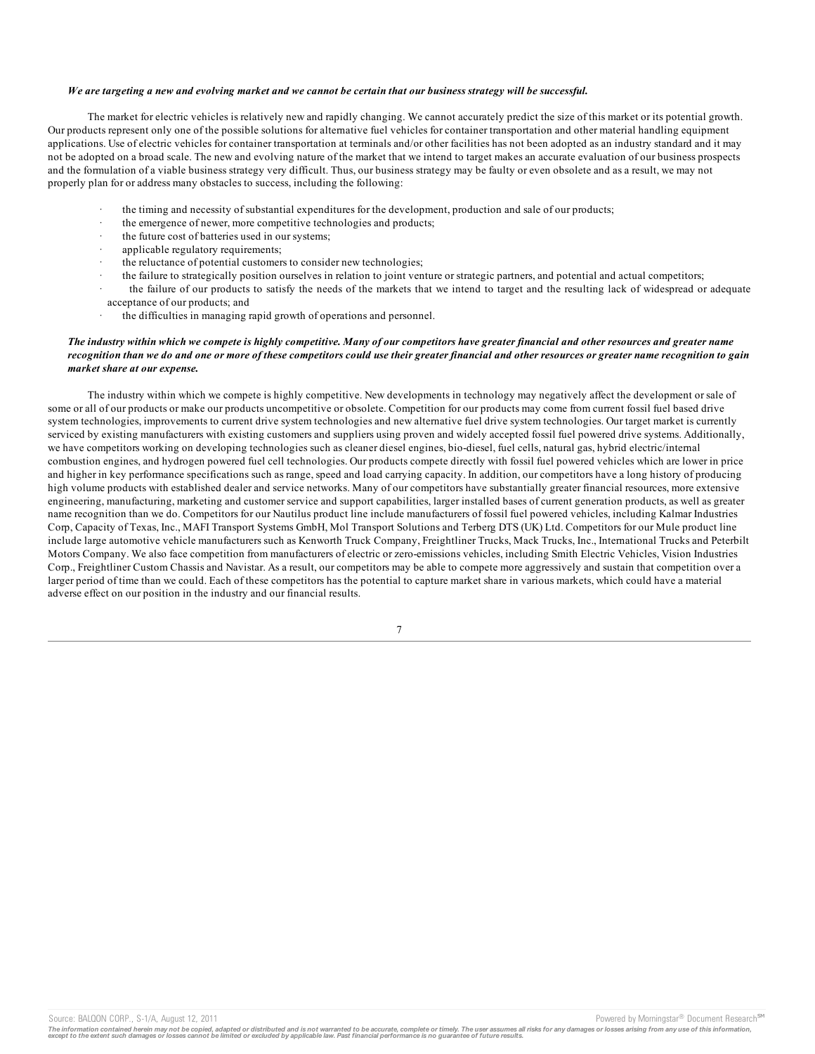#### We are targeting a new and evolving market and we cannot be certain that our business strategy will be successful.

The market for electric vehicles is relatively new and rapidly changing. We cannot accurately predict the size of this market or its potential growth. Our products represent only one of the possible solutions for alternative fuel vehicles for container transportation and other material handling equipment applications. Use of electric vehicles for container transportation at terminals and/or other facilities has not been adopted as an industry standard and it may not be adopted on a broad scale. The new and evolving nature of the market that we intend to target makes an accurate evaluation of our business prospects and the formulation of a viable business strategy very difficult. Thus, our business strategy may be faulty or even obsolete and as a result, we may not properly plan for or address many obstacles to success, including the following:

- the timing and necessity of substantial expenditures for the development, production and sale of our products;
- the emergence of newer, more competitive technologies and products;
- the future cost of batteries used in our systems;
- applicable regulatory requirements;
- the reluctance of potential customers to consider new technologies;
- the failure to strategically position ourselves in relation to joint venture or strategic partners, and potential and actual competitors;
- · the failure of our products to satisfy the needs of the markets that we intend to target and the resulting lack of widespread or adequate acceptance of our products; and
- the difficulties in managing rapid growth of operations and personnel.

### The industry within which we compete is highly competitive. Many of our competitors have greater financial and other resources and greater name recognition than we do and one or more of these competitors could use their greater financial and other resources or greater name recognition to gain *market share at our expense.*

The industry within which we compete is highly competitive. New developments in technology may negatively affect the development or sale of some or all of our products or make our products uncompetitive or obsolete. Competition for our products may come from current fossil fuel based drive system technologies, improvements to current drive system technologies and new alternative fuel drive system technologies. Our target market is currently serviced by existing manufacturers with existing customers and suppliers using proven and widely accepted fossil fuel powered drive systems. Additionally, we have competitors working on developing technologies such as cleaner diesel engines, bio-diesel, fuel cells, natural gas, hybrid electric/internal combustion engines, and hydrogen powered fuel cell technologies. Our products compete directly with fossil fuel powered vehicles which are lower in price and higher in key performance specifications such as range, speed and load carrying capacity. In addition, our competitors have a long history of producing high volume products with established dealer and service networks. Many of our competitors have substantially greater financial resources, more extensive engineering, manufacturing, marketing and customer service and support capabilities, larger installed bases of current generation products, as well as greater name recognition than we do. Competitors for our Nautilus product line include manufacturers of fossil fuel powered vehicles, including Kalmar Industries Corp, Capacity of Texas, Inc., MAFI Transport Systems GmbH, Mol Transport Solutions and Terberg DTS (UK) Ltd. Competitors for our Mule product line include large automotive vehicle manufacturers such as Kenworth Truck Company, Freightliner Trucks, Mack Trucks, Inc., International Trucks and Peterbilt Motors Company. We also face competition from manufacturers of electric or zero-emissions vehicles, including Smith Electric Vehicles, Vision Industries Corp., Freightliner Custom Chassis and Navistar. As a result, our competitors may be able to compete more aggressively and sustain that competition over a larger period of time than we could. Each of these competitors has the potential to capture market share in various markets, which could have a material adverse effect on our position in the industry and our financial results.



Source: BALQON CORP., S-1/A, August 12, 2011 **Powered by Morningstar® Document Research** Morningstar® Document Research

The information contained herein may not be copied, adapted or distributed and is not warranted to be accurate, complete or timely. The user assumes all risks for any damages or losses arising from any use of this informat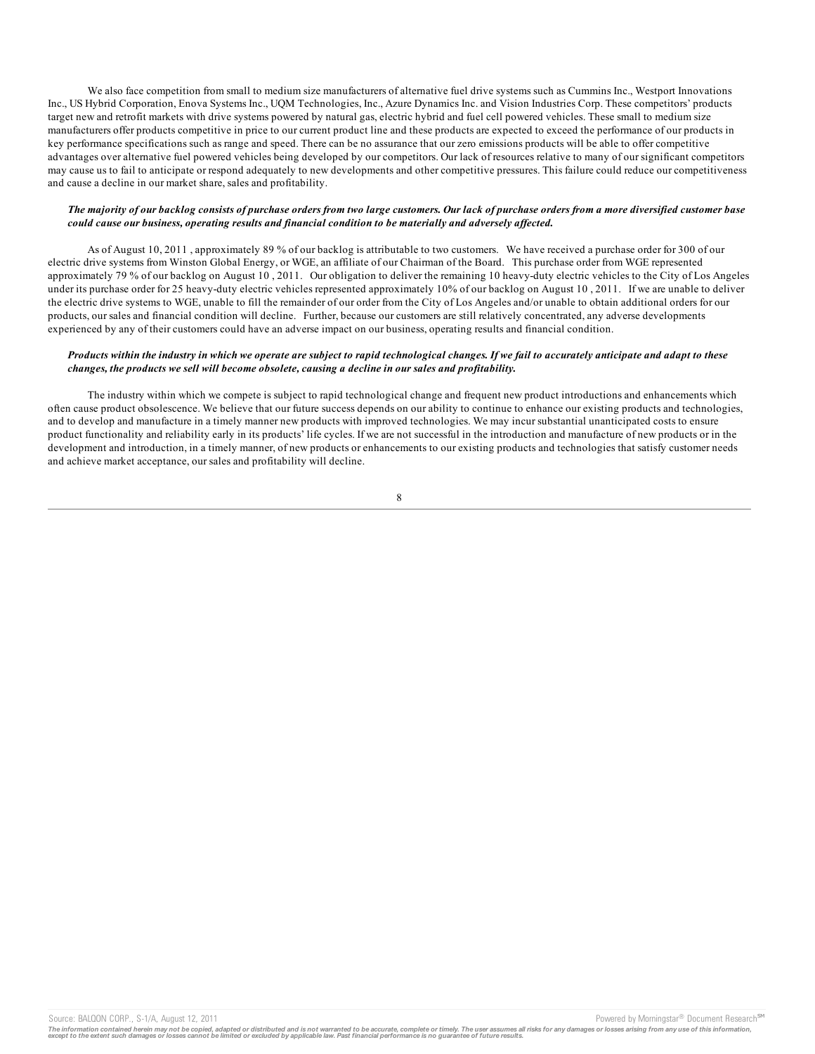We also face competition from small to medium size manufacturers of alternative fuel drive systems such as Cummins Inc., Westport Innovations Inc., US Hybrid Corporation, Enova Systems Inc., UQM Technologies, Inc., Azure Dynamics Inc. and Vision Industries Corp. These competitors' products target new and retrofit markets with drive systems powered by natural gas, electric hybrid and fuel cell powered vehicles. These small to medium size manufacturers offer products competitive in price to our current product line and these products are expected to exceed the performance of our products in key performance specifications such as range and speed. There can be no assurance that our zero emissions products will be able to offer competitive advantages over alternative fuel powered vehicles being developed by our competitors. Our lack of resources relative to many of our significant competitors may cause us to fail to anticipate or respond adequately to new developments and other competitive pressures. This failure could reduce our competitiveness and cause a decline in our market share, sales and profitability.

#### The majority of our backlog consists of purchase orders from two large customers. Our lack of purchase orders from a more diversified customer base *could cause our business, operating results and financial condition to be materially and adversely af ected.*

As of August 10, 2011 , approximately 89 % of our backlog is attributable to two customers. We have received a purchase order for 300 of our electric drive systems from Winston Global Energy, or WGE, an affiliate of our Chairman of the Board. This purchase order from WGE represented approximately 79 % of our backlog on August 10 , 2011. Our obligation to deliver the remaining 10 heavy-duty electric vehicles to the City of Los Angeles under its purchase order for 25 heavy-duty electric vehicles represented approximately 10% of our backlog on August 10 , 2011. If we are unable to deliver the electric drive systems to WGE, unable to fill the remainder of our order from the City of Los Angeles and/or unable to obtain additional orders for our products, our sales and financial condition will decline. Further, because our customers are still relatively concentrated, any adverse developments experienced by any of their customers could have an adverse impact on our business, operating results and financial condition.

### Products within the industry in which we operate are subject to rapid technological changes. If we fail to accurately anticipate and adapt to these *changes, the products we sell will become obsolete, causing a decline in our sales and profitability.*

The industry within which we compete is subject to rapid technological change and frequent new product introductions and enhancements which often cause product obsolescence. We believe that our future success depends on our ability to continue to enhance our existing products and technologies, and to develop and manufacture in a timely manner new products with improved technologies. We may incur substantial unanticipated costs to ensure product functionality and reliability early in its products' life cycles. If we are not successful in the introduction and manufacture of new products or in the development and introduction, in a timely manner, of new products or enhancements to our existing products and technologies that satisfy customer needs and achieve market acceptance, our sales and profitability will decline.

8

Source: BALQON CORP., S-1/A, August 12, 2011 **Powered by Morningstar® Document Research** Morningstar® Document Research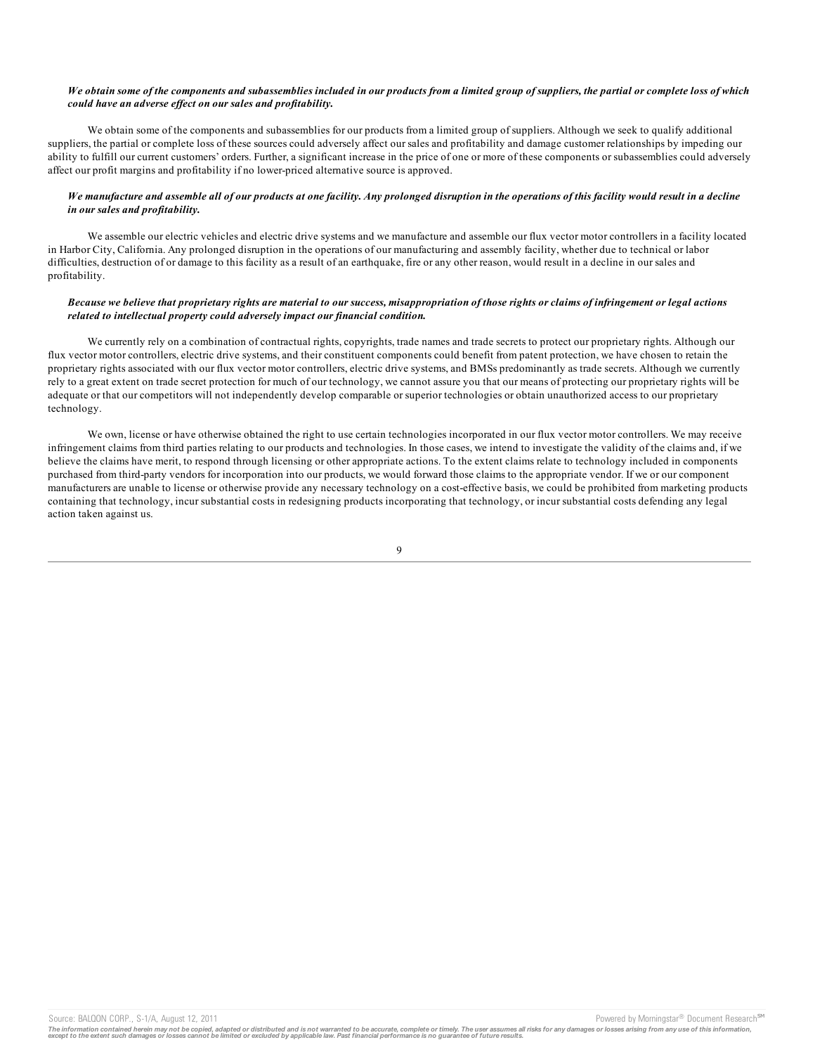### We obtain some of the components and subassemblies included in our products from a limited group of suppliers, the partial or complete loss of which *could have an adverse ef ect on our sales and profitability.*

We obtain some of the components and subassemblies for our products from a limited group of suppliers. Although we seek to qualify additional suppliers, the partial or complete loss of these sources could adversely affect our sales and profitability and damage customer relationships by impeding our ability to fulfill our current customers' orders. Further, a significant increase in the price of one or more of these components or subassemblies could adversely affect our profit margins and profitability if no lower-priced alternative source is approved.

## We manufacture and assemble all of our products at one facility. Any prolonged disruption in the operations of this facility would result in a decline *in our sales and profitability.*

We assemble our electric vehicles and electric drive systems and we manufacture and assemble our flux vector motor controllers in a facility located in Harbor City, California. Any prolonged disruption in the operations of our manufacturing and assembly facility, whether due to technical or labor difficulties, destruction of or damage to this facility as a result of an earthquake, fire or any other reason, would result in a decline in our sales and profitability.

### Because we believe that proprietary rights are material to our success, misappropriation of those rights or claims of infringement or legal actions *related to intellectual property could adversely impact our financial condition.*

We currently rely on a combination of contractual rights, copyrights, trade names and trade secrets to protect our proprietary rights. Although our flux vector motor controllers, electric drive systems, and their constituent components could benefit from patent protection, we have chosen to retain the proprietary rights associated with our flux vector motor controllers, electric drive systems, and BMSs predominantly as trade secrets. Although we currently rely to a great extent on trade secret protection for much of our technology, we cannot assure you that our means of protecting our proprietary rights will be adequate or that our competitors will not independently develop comparable or superior technologies or obtain unauthorized access to our proprietary technology.

We own, license or have otherwise obtained the right to use certain technologies incorporated in our flux vector motor controllers. We may receive infringement claims from third parties relating to our products and technologies. In those cases, we intend to investigate the validity of the claims and, if we believe the claims have merit, to respond through licensing or other appropriate actions. To the extent claims relate to technology included in components purchased from third-party vendors for incorporation into our products, we would forward those claims to the appropriate vendor. If we or our component manufacturers are unable to license or otherwise provide any necessary technology on a cost-effective basis, we could be prohibited from marketing products containing that technology, incur substantial costs in redesigning products incorporating that technology, or incur substantial costs defending any legal action taken against us.

Source: BALQON CORP., S-1/A, August 12, 2011 **Powered by Morningstar® Document Research** <sup>5M</sup>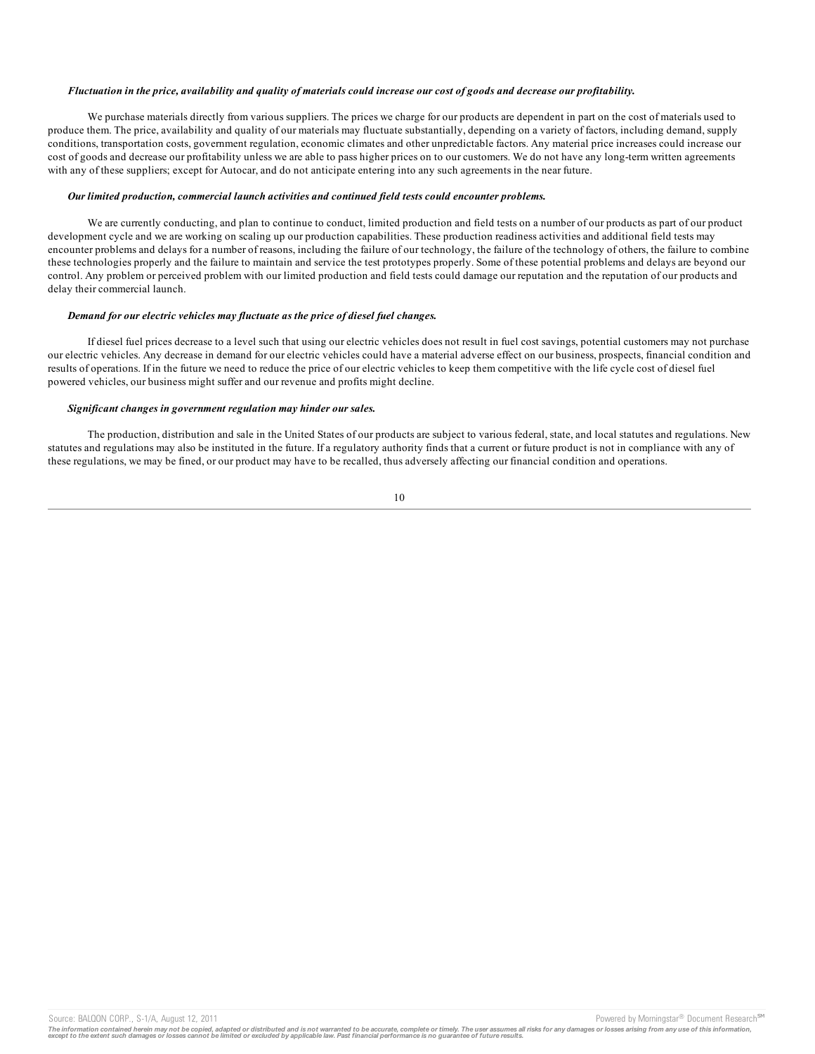### Fluctuation in the price, availability and quality of materials could increase our cost of goods and decrease our profitability.

We purchase materials directly from various suppliers. The prices we charge for our products are dependent in part on the cost of materials used to produce them. The price, availability and quality of our materials may fluctuate substantially, depending on a variety of factors, including demand, supply conditions, transportation costs, government regulation, economic climates and other unpredictable factors. Any material price increases could increase our cost of goods and decrease our profitability unless we are able to pass higher prices on to our customers. We do not have any long-term written agreements with any of these suppliers; except for Autocar, and do not anticipate entering into any such agreements in the near future.

#### *Our limited production, commercial launch activities and continued field tests could encounter problems.*

We are currently conducting, and plan to continue to conduct, limited production and field tests on a number of our products as part of our product development cycle and we are working on scaling up our production capabilities. These production readiness activities and additional field tests may encounter problems and delays for a number of reasons, including the failure of our technology, the failure of the technology of others, the failure to combine these technologies properly and the failure to maintain and service the test prototypes properly. Some of these potential problems and delays are beyond our control. Any problem or perceived problem with our limited production and field tests could damage our reputation and the reputation of our products and delay their commercial launch.

### *Demand for our electric vehicles may fluctuate as the price of diesel fuel changes.*

If diesel fuel prices decrease to a level such that using our electric vehicles does not result in fuel cost savings, potential customers may not purchase our electric vehicles. Any decrease in demand for our electric vehicles could have a material adverse effect on our business, prospects, financial condition and results of operations. If in the future we need to reduce the price of our electric vehicles to keep them competitive with the life cycle cost of diesel fuel powered vehicles, our business might suffer and our revenue and profits might decline.

### *Significant changes in government regulation may hinder our sales.*

The production, distribution and sale in the United States of our products are subject to various federal, state, and local statutes and regulations. New statutes and regulations may also be instituted in the future. If a regulatory authority finds that a current or future product is not in compliance with any of these regulations, we may be fined, or our product may have to be recalled, thus adversely affecting our financial condition and operations.

 $1<sub>0</sub>$ 

The information contained herein may not be copied, adapted or distributed and is not warranted to be accurate, complete or timely. The user assumes all risks for any damages or losses arising from any use of this informat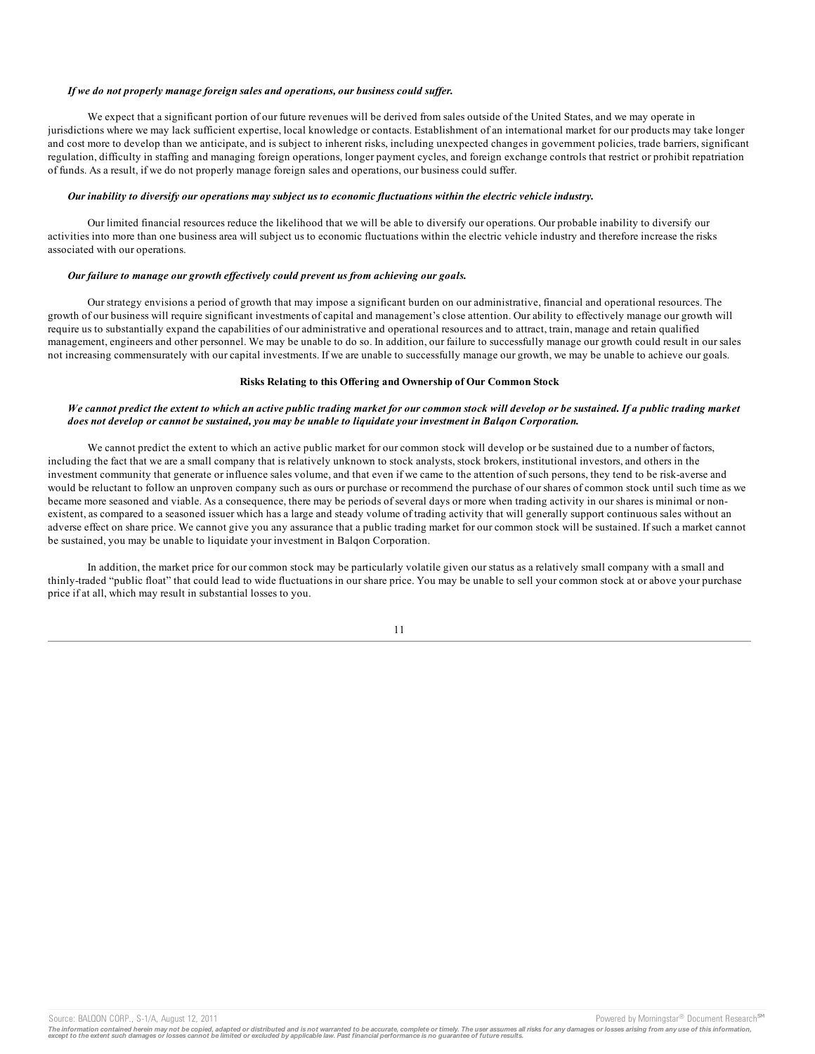#### *If* we do not properly manage foreign sales and operations, our business could suffer.

We expect that a significant portion of our future revenues will be derived from sales outside of the United States, and we may operate in jurisdictions where we may lack sufficient expertise, local knowledge or contacts. Establishment of an international market for our products may take longer and cost more to develop than we anticipate, and is subject to inherent risks, including unexpected changes in government policies, trade barriers, significant regulation, difficulty in staffing and managing foreign operations, longer payment cycles, and foreign exchange controls that restrict or prohibit repatriation of funds. As a result, if we do not properly manage foreign sales and operations, our business could suffer.

#### Our inability to diversify our operations may subject us to economic fluctuations within the electric vehicle industry.

Our limited financial resources reduce the likelihood that we will be able to diversify our operations. Our probable inability to diversify our activities into more than one business area will subject us to economic fluctuations within the electric vehicle industry and therefore increase the risks associated with our operations.

#### *Our failure to manage our growth ef ectively could prevent us from achieving our goals.*

Our strategy envisions a period of growth that may impose a significant burden on our administrative, financial and operational resources. The growth of our business will require significant investments of capital and management's close attention. Our ability to effectively manage our growth will require us to substantially expand the capabilities of our administrative and operational resources and to attract, train, manage and retain qualified management, engineers and other personnel. We may be unable to do so. In addition, our failure to successfully manage our growth could result in our sales not increasing commensurately with our capital investments. If we are unable to successfully manage our growth, we may be unable to achieve our goals.

#### **Risks Relating to this Offering and Ownership of Our Common Stock**

## We cannot predict the extent to which an active public trading market for our common stock will develop or be sustained. If a public trading market does not develop or cannot be sustained, you may be unable to liquidate your investment in Balgon Corporation.

We cannot predict the extent to which an active public market for our common stock will develop or be sustained due to a number of factors, including the fact that we are a small company that is relatively unknown to stock analysts, stock brokers, institutional investors, and others in the investment community that generate or influence sales volume, and that even if we came to the attention of such persons, they tend to be risk-averse and would be reluctant to follow an unproven company such as ours or purchase or recommend the purchase of our shares of common stock until such time as we became more seasoned and viable. As a consequence, there may be periods of several days or more when trading activity in our shares is minimal or nonexistent, as compared to a seasoned issuer which has a large and steady volume of trading activity that will generally support continuous sales without an adverse effect on share price. We cannot give you any assurance that a public trading market for our common stock will be sustained. If such a market cannot be sustained, you may be unable to liquidate your investment in Balqon Corporation.

In addition, the market price for our common stock may be particularly volatile given our status as a relatively small company with a small and thinly-traded "public float" that could lead to wide fluctuations in our share price. You may be unable to sell your common stock at or above your purchase price if at all, which may result in substantial losses to you.



The information contained herein may not be copied, adapted or distributed and is not warranted to be accurate, complete or timely. The user assumes all risks for any damages or losses arising from any use of this informat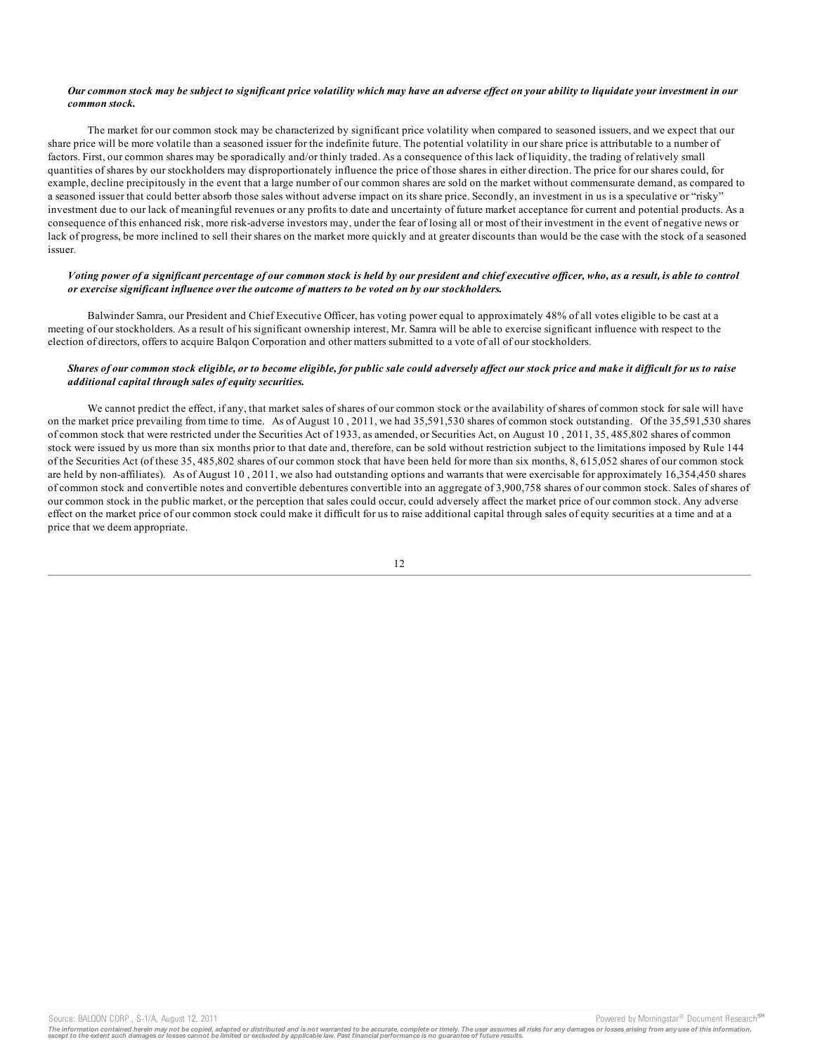#### Our common stock may be subject to significant price volatility which may have an adverse effect on your ability to liquidate your investment in our *common stock.*

The market for our common stock may be characterized by significant price volatility when compared to seasoned issuers, and we expect that our share price will be more volatile than a seasoned issuer for the indefinite future. The potential volatility in our share price is attributable to a number of factors. First, our common shares may be sporadically and/or thinly traded. As a consequence of this lack of liquidity, the trading of relatively small quantities of shares by our stockholders may disproportionately influence the price of those shares in either direction. The price for our shares could, for example, decline precipitously in the event that a large number of our common shares are sold on the market without commensurate demand, as compared to a seasoned issuer that could better absorb those sales without adverse impact on its share price. Secondly, an investment in us is a speculative or "risky" investment due to our lack of meaningful revenues or any profits to date and uncertainty of future market acceptance for current and potential products. As a consequence of this enhanced risk, more risk-adverse investors may, under the fear of losing all or most of their investment in the event of negative news or lack of progress, be more inclined to sell their shares on the market more quickly and at greater discounts than would be the case with the stock of a seasoned issuer.

#### Voting power of a significant percentage of our common stock is held by our president and chief executive officer, who, as a result, is able to control *or exercise significant influence over the outcome of matters to be voted on by our stockholders.*

Balwinder Samra, our President and Chief Executive Officer, has voting power equal to approximately 48% of all votes eligible to be cast at a meeting of our stockholders. As a result of his significant ownership interest, Mr. Samra will be able to exercise significant influence with respect to the election of directors, offers to acquire Balqon Corporation and other matters submitted to a vote of all of our stockholders.

### Shares of our common stock eligible, or to become eligible, for public sale could adversely affect our stock price and make it difficult for us to raise *additional capital through sales of equity securities.*

We cannot predict the effect, if any, that market sales of shares of our common stock or the availability of shares of common stock for sale will have on the market price prevailing from time to time. As of August 10 , 2011, we had 35,591,530 shares of common stock outstanding. Of the 35,591,530 shares of common stock that were restricted under the Securities Act of 1933, as amended, or Securities Act, on August 10 , 2011, 35, 485,802 shares of common stock were issued by us more than six months prior to that date and, therefore, can be sold without restriction subject to the limitations imposed by Rule 144 of the Securities Act (of these 35, 485,802 shares of our common stock that have been held for more than six months, 8, 615,052 shares of our common stock are held by non-affiliates). As of August 10 , 2011, we also had outstanding options and warrants that were exercisable for approximately 16,354,450 shares of common stock and convertible notes and convertible debentures convertible into an aggregate of 3,900,758 shares of our common stock. Sales of shares of our common stock in the public market, or the perception that sales could occur, could adversely affect the market price of our common stock. Any adverse effect on the market price of our common stock could make it difficult for us to raise additional capital through sales of equity securities at a time and at a price that we deem appropriate.

12

Source: BALQON CORP., S-1/A, August 12, 2011 **Powered by Morningstar® Document Research** in Powered by Morningstar® Document Research in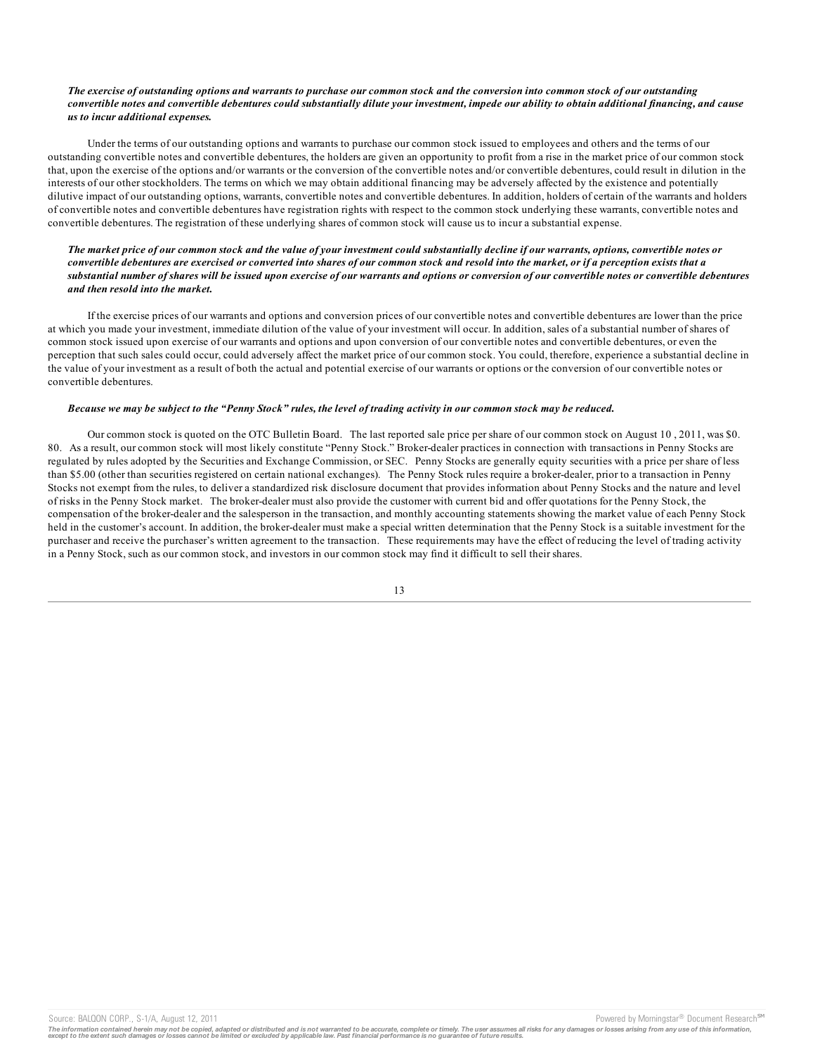### The exercise of outstanding options and warrants to purchase our common stock and the conversion into common stock of our outstanding convertible notes and convertible debentures could substantially dilute your investment, impede our ability to obtain additional financing, and cause *us to incur additional expenses.*

Under the terms of our outstanding options and warrants to purchase our common stock issued to employees and others and the terms of our outstanding convertible notes and convertible debentures, the holders are given an opportunity to profit from a rise in the market price of our common stock that, upon the exercise of the options and/or warrants or the conversion of the convertible notes and/or convertible debentures, could result in dilution in the interests of our other stockholders. The terms on which we may obtain additional financing may be adversely affected by the existence and potentially dilutive impact of our outstanding options, warrants, convertible notes and convertible debentures. In addition, holders of certain of the warrants and holders of convertible notes and convertible debentures have registration rights with respect to the common stock underlying these warrants, convertible notes and convertible debentures. The registration of these underlying shares of common stock will cause us to incur a substantial expense.

### The market price of our common stock and the value of your investment could substantially decline if our warrants, options, convertible notes or convertible debentures are exercised or converted into shares of our common stock and resold into the market, or if a perception exists that a substantial number of shares will be issued upon exercise of our warrants and options or conversion of our convertible notes or convertible debentures *and then resold into the market.*

If the exercise prices of our warrants and options and conversion prices of our convertible notes and convertible debentures are lower than the price at which you made your investment, immediate dilution of the value of your investment will occur. In addition, sales of a substantial number of shares of common stock issued upon exercise of our warrants and options and upon conversion of our convertible notes and convertible debentures, or even the perception that such sales could occur, could adversely affect the market price of our common stock. You could, therefore, experience a substantial decline in the value of your investment as a result of both the actual and potential exercise of our warrants or options or the conversion of our convertible notes or convertible debentures.

## Because we may be subject to the "Penny Stock" rules, the level of trading activity in our common stock may be reduced.

Our common stock is quoted on the OTC Bulletin Board. The last reported sale price per share of our common stock on August 10 , 2011, was \$0. 80. As a result, our common stock will most likely constitute "Penny Stock." Broker-dealer practices in connection with transactions in Penny Stocks are regulated by rules adopted by the Securities and Exchange Commission, or SEC. Penny Stocks are generally equity securities with a price per share of less than \$5.00 (other than securities registered on certain national exchanges). The Penny Stock rules require a broker-dealer, prior to a transaction in Penny Stocks not exempt from the rules, to deliver a standardized risk disclosure document that provides information about Penny Stocks and the nature and level of risks in the Penny Stock market. The broker-dealer must also provide the customer with current bid and offer quotations for the Penny Stock, the compensation of the broker-dealer and the salesperson in the transaction, and monthly accounting statements showing the market value of each Penny Stock held in the customer's account. In addition, the broker-dealer must make a special written determination that the Penny Stock is a suitable investment for the purchaser and receive the purchaser's written agreement to the transaction. These requirements may have the effect of reducing the level of trading activity in a Penny Stock, such as our common stock, and investors in our common stock may find it difficult to sell their shares.



Source: BALQON CORP., S-1/A, August 12, 2011 **Powered by Morningstar® Document Research** Morningstar® Document Research

The information contained herein may not be copied, adapted or distributed and is not warranted to be accurate, complete or timely. The user assumes all risks for any damages or losses arising from any use of this informat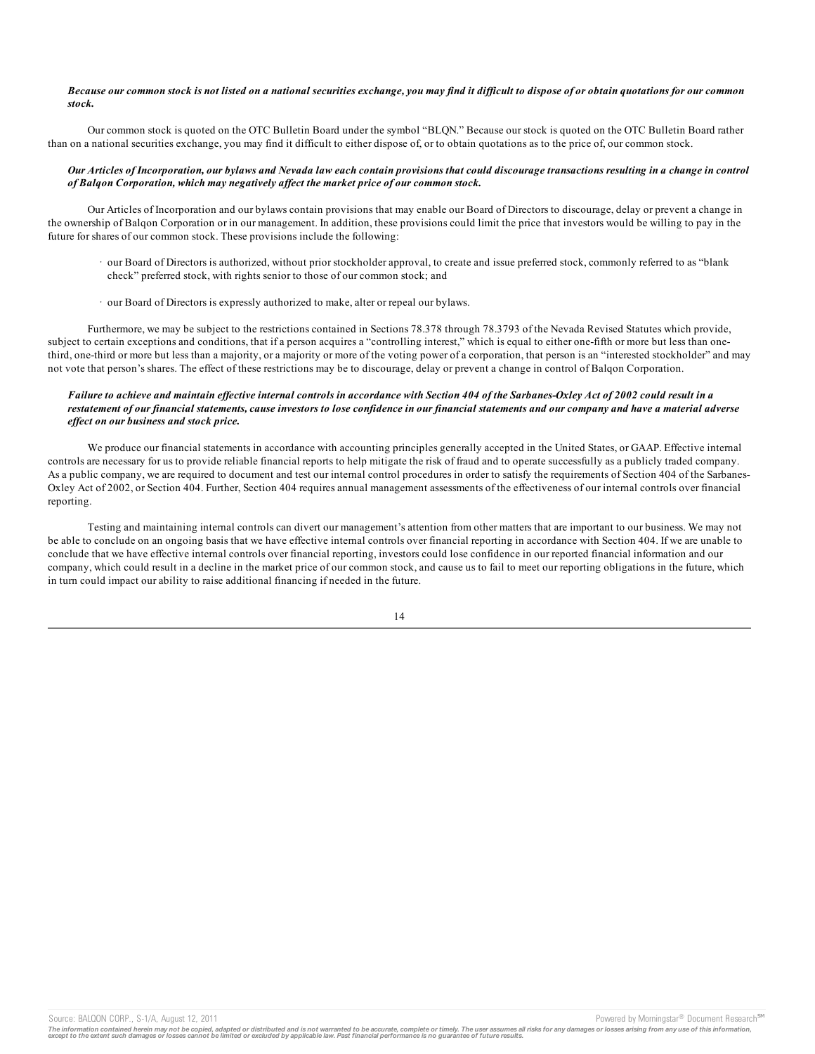### Because our common stock is not listed on a national securities exchange, you may find it difficult to dispose of or obtain quotations for our common *stock.*

Our common stock is quoted on the OTC Bulletin Board under the symbol "BLQN." Because our stock is quoted on the OTC Bulletin Board rather than on a national securities exchange, you may find it difficult to either dispose of, or to obtain quotations as to the price of, our common stock.

### Our Articles of Incorporation, our bylaws and Nevada law each contain provisions that could discourage transactions resulting in a change in control *of Balqon Corporation, which may negatively af ect the market price of our common stock.*

Our Articles of Incorporation and our bylaws contain provisions that may enable our Board of Directors to discourage, delay or prevent a change in the ownership of Balqon Corporation or in our management. In addition, these provisions could limit the price that investors would be willing to pay in the future for shares of our common stock. These provisions include the following:

- · our Board of Directors is authorized, without prior stockholder approval, to create and issue preferred stock, commonly referred to as "blank check" preferred stock, with rights senior to those of our common stock; and
- · our Board of Directors is expressly authorized to make, alter or repeal our bylaws.

Furthermore, we may be subject to the restrictions contained in Sections 78.378 through 78.3793 of the Nevada Revised Statutes which provide, subject to certain exceptions and conditions, that if a person acquires a "controlling interest," which is equal to either one-fifth or more but less than onethird, one-third or more but less than a majority, or a majority or more of the voting power of a corporation, that person is an "interested stockholder" and may not vote that person's shares. The effect of these restrictions may be to discourage, delay or prevent a change in control of Balqon Corporation.

## Failure to achieve and maintain effective internal controls in accordance with Section 404 of the Sarbanes-Oxley Act of 2002 could result in a restatement of our financial statements, cause investors to lose confidence in our financial statements and our company and have a material adverse *ef ect on our business and stock price.*

We produce our financial statements in accordance with accounting principles generally accepted in the United States, or GAAP. Effective internal controls are necessary for us to provide reliable financial reports to help mitigate the risk of fraud and to operate successfully as a publicly traded company. As a public company, we are required to document and test our internal control procedures in order to satisfy the requirements of Section 404 of the Sarbanes-Oxley Act of 2002, or Section 404. Further, Section 404 requires annual management assessments of the effectiveness of our internal controls over financial reporting.

Testing and maintaining internal controls can divert our management's attention from other matters that are important to our business. We may not be able to conclude on an ongoing basis that we have effective internal controls over financial reporting in accordance with Section 404. If we are unable to conclude that we have effective internal controls over financial reporting, investors could lose confidence in our reported financial information and our company, which could result in a decline in the market price of our common stock, and cause us to fail to meet our reporting obligations in the future, which in turn could impact our ability to raise additional financing if needed in the future.

14

The information contained herein may not be copied, adapted or distributed and is not warranted to be accurate, complete or timely. The user assumes all risks for any damages or losses arising from any use of this informat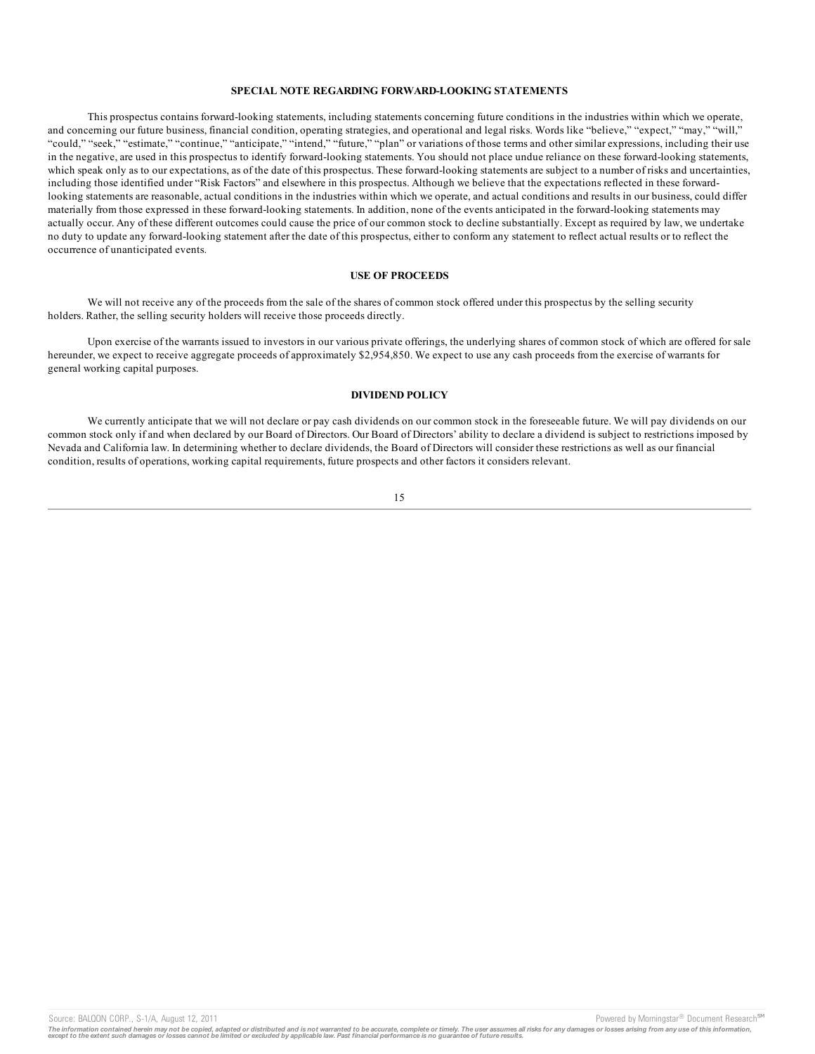### **SPECIAL NOTE REGARDING FORWARD-LOOKING STATEMENTS**

This prospectus contains forward-looking statements, including statements concerning future conditions in the industries within which we operate, and concerning our future business, financial condition, operating strategies, and operational and legal risks. Words like "believe," "expect," "may," "will," "could," "seek," "estimate," "continue," "anticipate," "intend," "future," "plan" or variations of those terms and other similar expressions, including their use in the negative, are used in this prospectus to identify forward-looking statements. You should not place undue reliance on these forward-looking statements, which speak only as to our expectations, as of the date of this prospectus. These forward-looking statements are subject to a number of risks and uncertainties, including those identified under "Risk Factors" and elsewhere in this prospectus. Although we believe that the expectations reflected in these forwardlooking statements are reasonable, actual conditions in the industries within which we operate, and actual conditions and results in our business, could differ materially from those expressed in these forward-looking statements. In addition, none of the events anticipated in the forward-looking statements may actually occur. Any of these different outcomes could cause the price of our common stock to decline substantially. Except as required by law, we undertake no duty to update any forward-looking statement after the date of this prospectus, either to conform any statement to reflect actual results or to reflect the occurrence of unanticipated events.

## **USE OF PROCEEDS**

We will not receive any of the proceeds from the sale of the shares of common stock offered under this prospectus by the selling security holders. Rather, the selling security holders will receive those proceeds directly.

Upon exercise of the warrants issued to investors in our various private offerings, the underlying shares of common stock of which are offered for sale hereunder, we expect to receive aggregate proceeds of approximately \$2,954,850. We expect to use any cash proceeds from the exercise of warrants for general working capital purposes.

## **DIVIDEND POLICY**

We currently anticipate that we will not declare or pay cash dividends on our common stock in the foreseeable future. We will pay dividends on our common stock only if and when declared by our Board of Directors. Our Board of Directors' ability to declare a dividend is subject to restrictions imposed by Nevada and California law. In determining whether to declare dividends, the Board of Directors will consider these restrictions as well as our financial condition, results of operations, working capital requirements, future prospects and other factors it considers relevant.

#### 15

Source: BALQON CORP., S-1/A, August 12, 2011 **Powered by Morningstar® Document Research** <sup>5M</sup>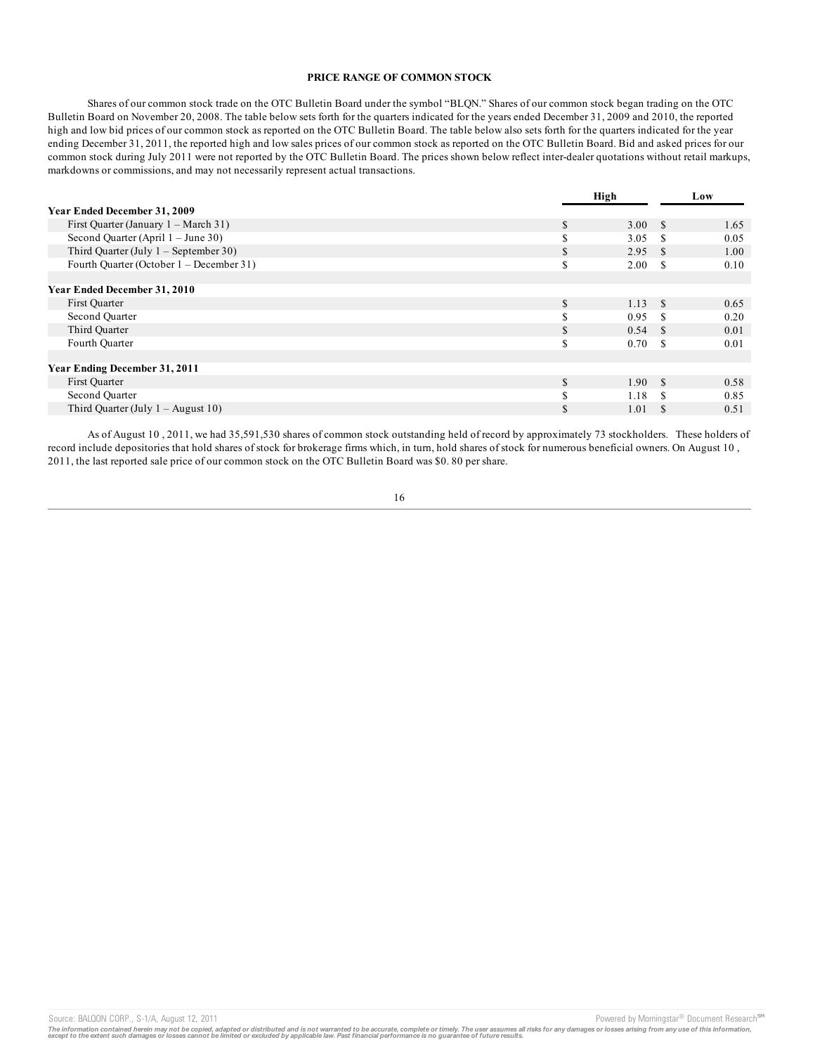#### **PRICE RANGE OF COMMON STOCK**

Shares of our common stock trade on the OTC Bulletin Board under the symbol "BLQN." Shares of our common stock began trading on the OTC Bulletin Board on November 20, 2008. The table below sets forth for the quarters indicated for the years ended December 31, 2009 and 2010, the reported high and low bid prices of our common stock as reported on the OTC Bulletin Board. The table below also sets forth for the quarters indicated for the year ending December 31, 2011, the reported high and low sales prices of our common stock as reported on the OTC Bulletin Board. Bid and asked prices for our common stock during July 2011 were not reported by the OTC Bulletin Board. The prices shown below reflect inter-dealer quotations without retail markups, markdowns or commissions, and may not necessarily represent actual transactions.

|                                          |              | High         | Low  |
|------------------------------------------|--------------|--------------|------|
| Year Ended December 31, 2009             |              |              |      |
| First Quarter (January $1 - March 31$ )  | \$           | 3.00 S       | 1.65 |
| Second Quarter (April $1 -$ June 30)     | ъ            | 3.05<br>\$.  | 0.05 |
| Third Quarter (July $1 -$ September 30)  | \$           | 2.95<br>-8   | 1.00 |
| Fourth Quarter (October 1 – December 31) | \$           | 2.00<br>\$.  | 0.10 |
|                                          |              |              |      |
| Year Ended December 31, 2010             |              |              |      |
| First Ouarter                            | \$           | 1.13<br>-8   | 0.65 |
| Second Quarter                           | ъ            | 0.95<br>S.   | 0.20 |
| Third Quarter                            | \$           | 0.54<br>- S  | 0.01 |
| Fourth Quarter                           | \$           | 0.70<br>-S   | 0.01 |
|                                          |              |              |      |
| <b>Year Ending December 31, 2011</b>     |              |              |      |
| First Quarter                            | $\mathbb{S}$ | 1.90<br>- \$ | 0.58 |
| Second Quarter                           | э            | 1.18<br>£.   | 0.85 |
| Third Quarter (July $1 -$ August 10)     | \$           | 1.01<br>S    | 0.51 |

As of August 10 , 2011, we had 35,591,530 shares of common stock outstanding held of record by approximately 73 stockholders. These holders of record include depositories that hold shares of stock for brokerage firms which, in turn, hold shares of stock for numerous beneficial owners. On August 10 , 2011, the last reported sale price of our common stock on the OTC Bulletin Board was \$0. 80 per share.

### 16

Source: BALQON CORP., S-1/A, August 12, 2011 **Powered by Morningstar® Document Research** <sup>5M</sup>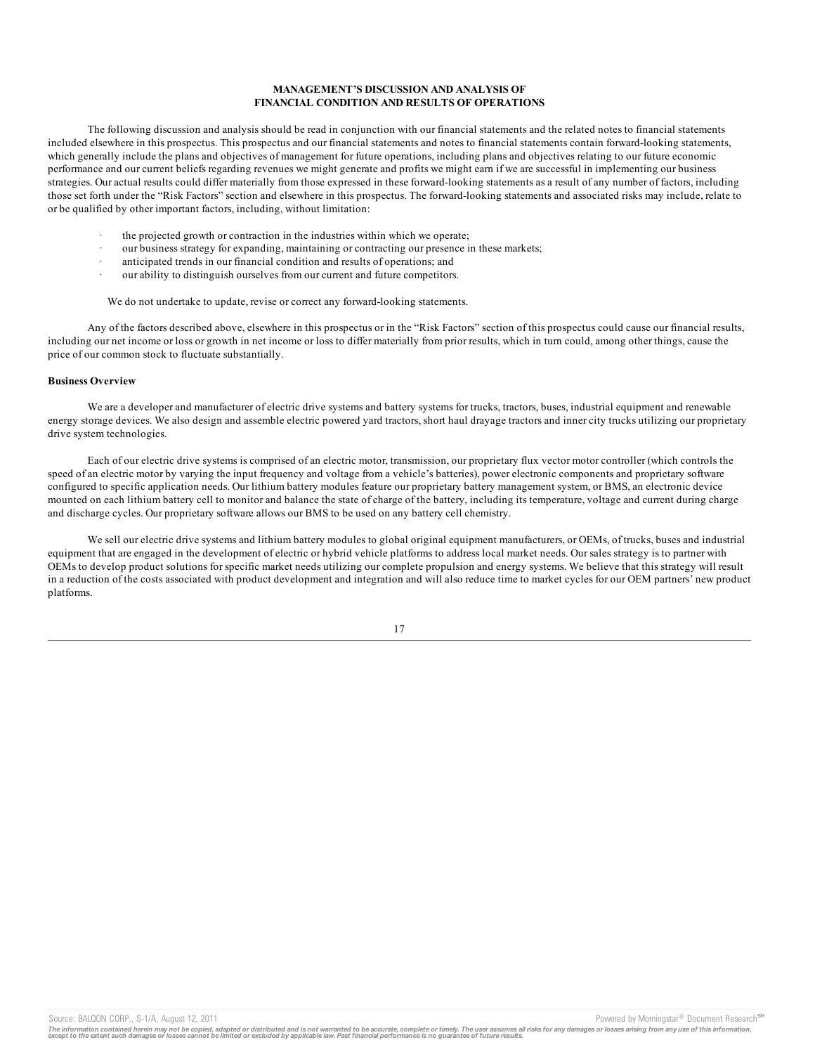### **MANAGEMENT'S DISCUSSION AND ANALYSIS OF FINANCIAL CONDITION AND RESULTS OF OPERATIONS**

The following discussion and analysis should be read in conjunction with our financial statements and the related notes to financial statements included elsewhere in this prospectus. This prospectus and our financial statements and notes to financial statements contain forward-looking statements, which generally include the plans and objectives of management for future operations, including plans and objectives relating to our future economic performance and our current beliefs regarding revenues we might generate and profits we might earn if we are successful in implementing our business strategies. Our actual results could differ materially from those expressed in these forward-looking statements as a result of any number of factors, including those set forth under the "Risk Factors" section and elsewhere in this prospectus. The forward-looking statements and associated risks may include, relate to or be qualified by other important factors, including, without limitation:

- the projected growth or contraction in the industries within which we operate;
- our business strategy for expanding, maintaining or contracting our presence in these markets;
- anticipated trends in our financial condition and results of operations; and
- our ability to distinguish ourselves from our current and future competitors.

We do not undertake to update, revise or correct any forward-looking statements.

Any of the factors described above, elsewhere in this prospectus or in the "Risk Factors" section of this prospectus could cause our financial results, including our net income or loss or growth in net income or loss to differ materially from prior results, which in turn could, among other things, cause the price of our common stock to fluctuate substantially.

## **Business Overview**

We are a developer and manufacturer of electric drive systems and battery systems for trucks, tractors, buses, industrial equipment and renewable energy storage devices. We also design and assemble electric powered yard tractors, short haul drayage tractors and inner city trucks utilizing our proprietary drive system technologies.

Each of our electric drive systems is comprised of an electric motor, transmission, our proprietary flux vector motor controller (which controls the speed of an electric motor by varying the input frequency and voltage from a vehicle's batteries), power electronic components and proprietary software configured to specific application needs. Our lithium battery modules feature our proprietary battery management system, or BMS, an electronic device mounted on each lithium battery cell to monitor and balance the state of charge of the battery, including its temperature, voltage and current during charge and discharge cycles. Our proprietary software allows our BMS to be used on any battery cell chemistry.

We sell our electric drive systems and lithium battery modules to global original equipment manufacturers, or OEMs, of trucks, buses and industrial equipment that are engaged in the development of electric or hybrid vehicle platforms to address local market needs. Our sales strategy is to partner with OEMs to develop product solutions for specific market needs utilizing our complete propulsion and energy systems. We believe that this strategy will result in a reduction of the costs associated with product development and integration and will also reduce time to market cycles for our OEM partners' new product platforms.



The information contained herein may not be copied, adapted or distributed and is not warranted to be accurate, complete or timely. The user assumes all risks for any damages or losses arising from any use of this informat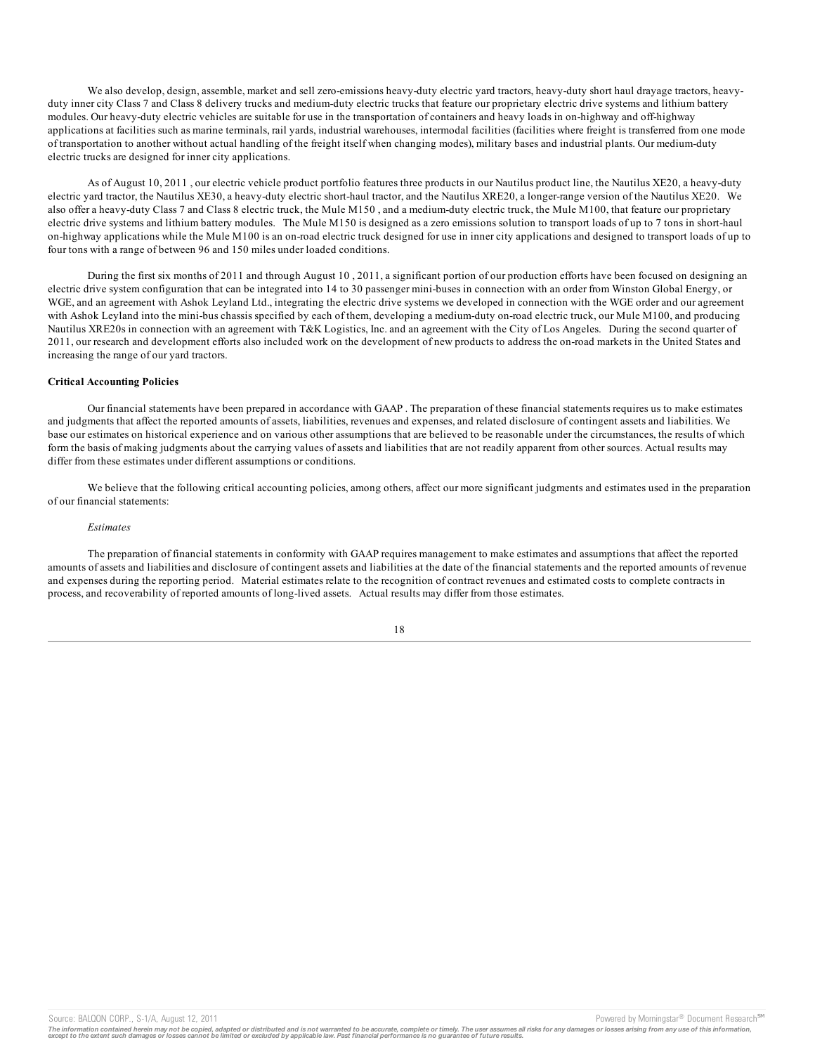We also develop, design, assemble, market and sell zero-emissions heavy-duty electric yard tractors, heavy-duty short haul drayage tractors, heavyduty inner city Class 7 and Class 8 delivery trucks and medium-duty electric trucks that feature our proprietary electric drive systems and lithium battery modules. Our heavy-duty electric vehicles are suitable for use in the transportation of containers and heavy loads in on-highway and off-highway applications at facilities such as marine terminals, rail yards, industrial warehouses, intermodal facilities (facilities where freight is transferred from one mode of transportation to another without actual handling of the freight itself when changing modes), military bases and industrial plants. Our medium-duty electric trucks are designed for inner city applications.

As of August 10, 2011 , our electric vehicle product portfolio features three products in our Nautilus product line, the Nautilus XE20, a heavy-duty electric yard tractor, the Nautilus XE30, a heavy-duty electric short-haul tractor, and the Nautilus XRE20, a longer-range version of the Nautilus XE20. We also offer a heavy-duty Class 7 and Class 8 electric truck, the Mule M150, and a medium-duty electric truck, the Mule M100, that feature our proprietary electric drive systems and lithium battery modules. The Mule M150 is designed as a zero emissions solution to transport loads of up to 7 tons in short-haul on-highway applications while the Mule M100 is an on-road electric truck designed for use in inner city applications and designed to transport loads of up to four tons with a range of between 96 and 150 miles under loaded conditions.

During the first six months of 2011 and through August 10, 2011, a significant portion of our production efforts have been focused on designing an electric drive system configuration that can be integrated into 14 to 30 passenger mini-buses in connection with an order from Winston Global Energy, or WGE, and an agreement with Ashok Leyland Ltd., integrating the electric drive systems we developed in connection with the WGE order and our agreement with Ashok Leyland into the mini-bus chassis specified by each of them, developing a medium-duty on-road electric truck, our Mule M100, and producing Nautilus XRE20s in connection with an agreement with T&K Logistics, Inc. and an agreement with the City of Los Angeles. During the second quarter of 2011, our research and development efforts also included work on the development of new products to address the on-road markets in the United States and increasing the range of our yard tractors.

#### **Critical Accounting Policies**

Our financial statements have been prepared in accordance with GAAP . The preparation of these financial statements requires us to make estimates and judgments that affect the reported amounts of assets, liabilities, revenues and expenses, and related disclosure of contingent assets and liabilities. We base our estimates on historical experience and on various other assumptions that are believed to be reasonable under the circumstances, the results of which form the basis of making judgments about the carrying values of assets and liabilities that are not readily apparent from other sources. Actual results may differ from these estimates under different assumptions or conditions.

We believe that the following critical accounting policies, among others, affect our more significant judgments and estimates used in the preparation of our financial statements:

## *Estimates*

The preparation of financial statements in conformity with GAAP requires management to make estimates and assumptions that affect the reported amounts of assets and liabilities and disclosure of contingent assets and liabilities at the date of the financial statements and the reported amounts of revenue and expenses during the reporting period. Material estimates relate to the recognition of contract revenues and estimated costs to complete contracts in process, and recoverability of reported amounts of long-lived assets. Actual results may differ from those estimates.

$$
18\\
$$

Source: BALQON CORP., S-1/A, August 12, 2011 **Powered by Morningstar® Document Research** <sup>5M</sup>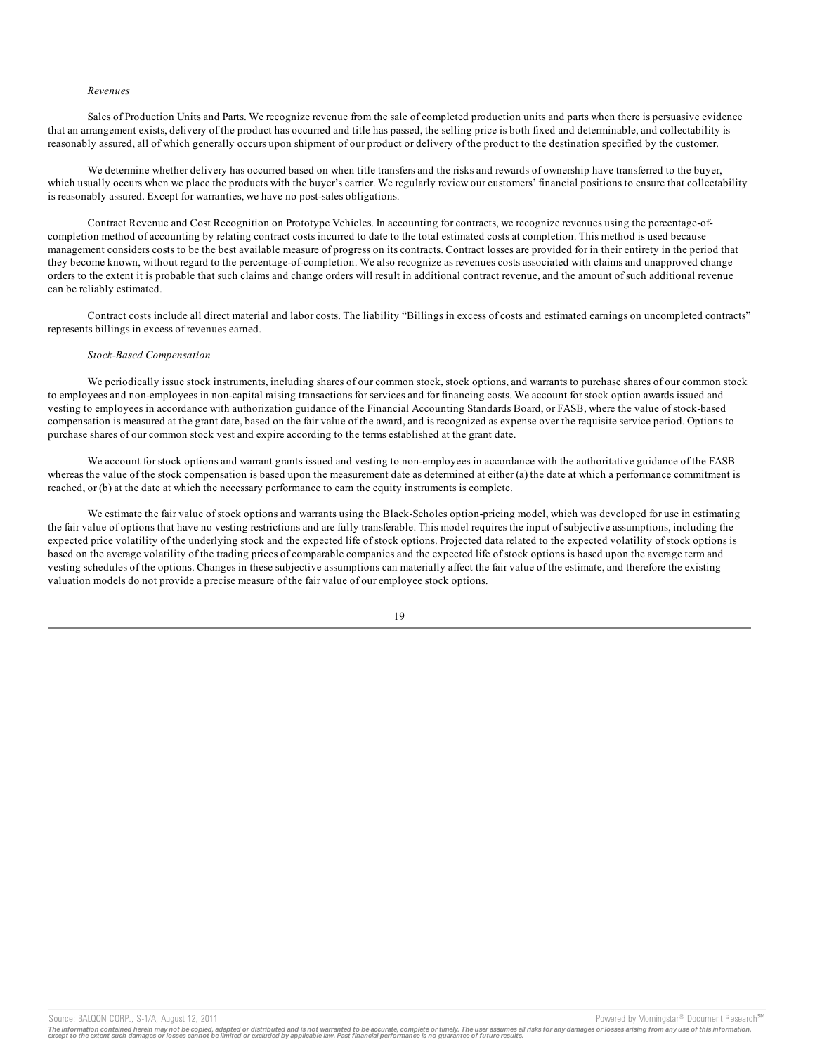#### *Revenues*

Sales of Production Units and Parts. We recognize revenue from the sale of completed production units and parts when there is persuasive evidence that an arrangement exists, delivery of the product has occurred and title has passed, the selling price is both fixed and determinable, and collectability is reasonably assured, all of which generally occurs upon shipment of our product or delivery of the product to the destination specified by the customer.

We determine whether delivery has occurred based on when title transfers and the risks and rewards of ownership have transferred to the buyer, which usually occurs when we place the products with the buyer's carrier. We regularly review our customers' financial positions to ensure that collectability is reasonably assured. Except for warranties, we have no post-sales obligations.

Contract Revenue and Cost Recognition on Prototype Vehicles. In accounting for contracts, we recognize revenues using the percentage-ofcompletion method of accounting by relating contract costs incurred to date to the total estimated costs at completion. This method is used because management considers costs to be the best available measure of progress on its contracts. Contract losses are provided for in their entirety in the period that they become known, without regard to the percentage-of-completion. We also recognize as revenues costs associated with claims and unapproved change orders to the extent it is probable that such claims and change orders will result in additional contract revenue, and the amount of such additional revenue can be reliably estimated.

Contract costs include all direct material and labor costs. The liability "Billings in excess of costs and estimated earnings on uncompleted contracts" represents billings in excess of revenues earned.

#### *Stock-Based Compensation*

We periodically issue stock instruments, including shares of our common stock, stock options, and warrants to purchase shares of our common stock to employees and non-employees in non-capital raising transactions for services and for financing costs. We account for stock option awards issued and vesting to employees in accordance with authorization guidance of the Financial Accounting Standards Board, or FASB, where the value of stock-based compensation is measured at the grant date, based on the fair value of the award, and is recognized as expense over the requisite service period. Options to purchase shares of our common stock vest and expire according to the terms established at the grant date.

We account for stock options and warrant grants issued and vesting to non-employees in accordance with the authoritative guidance of the FASB whereas the value of the stock compensation is based upon the measurement date as determined at either (a) the date at which a performance commitment is reached, or (b) at the date at which the necessary performance to earn the equity instruments is complete.

We estimate the fair value of stock options and warrants using the Black-Scholes option-pricing model, which was developed for use in estimating the fair value of options that have no vesting restrictions and are fully transferable. This model requires the input of subjective assumptions, including the expected price volatility of the underlying stock and the expected life of stock options. Projected data related to the expected volatility of stock options is based on the average volatility of the trading prices of comparable companies and the expected life of stock options is based upon the average term and vesting schedules of the options. Changes in these subjective assumptions can materially affect the fair value of the estimate, and therefore the existing valuation models do not provide a precise measure of the fair value of our employee stock options.

19

Source: BALQON CORP., S-1/A, August 12, 2011 **Powered by Morningstar® Document Research** in Powered by Morningstar® Document Research in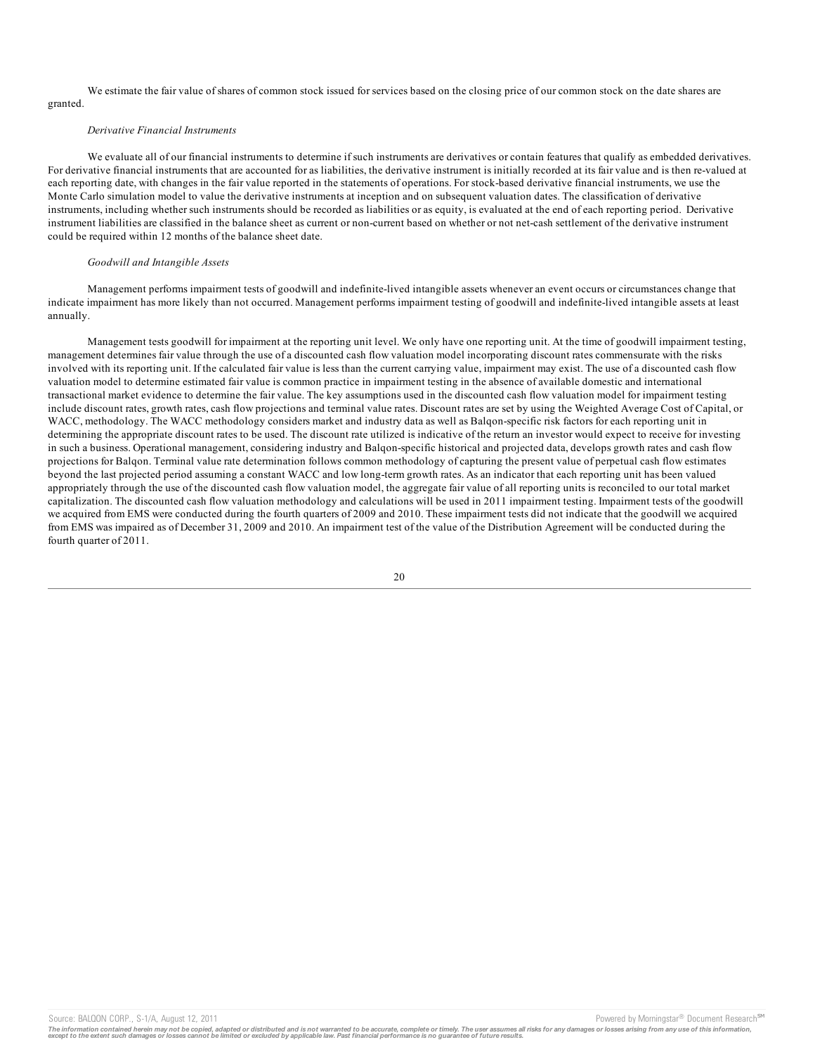We estimate the fair value of shares of common stock issued for services based on the closing price of our common stock on the date shares are granted.

## *Derivative Financial Instruments*

We evaluate all of our financial instruments to determine if such instruments are derivatives or contain features that qualify as embedded derivatives. For derivative financial instruments that are accounted for as liabilities, the derivative instrument is initially recorded at its fair value and is then re-valued at each reporting date, with changes in the fair value reported in the statements of operations. For stock-based derivative financial instruments, we use the Monte Carlo simulation model to value the derivative instruments at inception and on subsequent valuation dates. The classification of derivative instruments, including whether such instruments should be recorded as liabilities or as equity, is evaluated at the end of each reporting period. Derivative instrument liabilities are classified in the balance sheet as current or non-current based on whether or not net-cash settlement of the derivative instrument could be required within 12 months of the balance sheet date.

#### *Goodwill and Intangible Assets*

Management performs impairment tests of goodwill and indefinite-lived intangible assets whenever an event occurs or circumstances change that indicate impairment has more likely than not occurred. Management performs impairment testing of goodwill and indefinite-lived intangible assets at least annually.

Management tests goodwill for impairment at the reporting unit level. We only have one reporting unit. At the time of goodwill impairment testing, management determines fair value through the use of a discounted cash flow valuation model incorporating discount rates commensurate with the risks involved with its reporting unit. If the calculated fair value is less than the current carrying value, impairment may exist. The use of a discounted cash flow valuation model to determine estimated fair value is common practice in impairment testing in the absence of available domestic and international transactional market evidence to determine the fair value. The key assumptions used in the discounted cash flow valuation model for impairment testing include discount rates, growth rates, cash flow projections and terminal value rates. Discount rates are set by using the Weighted Average Cost of Capital, or WACC, methodology. The WACC methodology considers market and industry data as well as Balqon-specific risk factors for each reporting unit in determining the appropriate discount rates to be used. The discount rate utilized is indicative of the return an investor would expect to receive for investing in such a business. Operational management, considering industry and Balqon-specific historical and projected data, develops growth rates and cash flow projections for Balqon. Terminal value rate determination follows common methodology of capturing the present value of perpetual cash flow estimates beyond the last projected period assuming a constant WACC and low long-term growth rates. As an indicator that each reporting unit has been valued appropriately through the use of the discounted cash flow valuation model, the aggregate fair value of all reporting units is reconciled to our total market capitalization. The discounted cash flow valuation methodology and calculations will be used in 2011 impairment testing. Impairment tests of the goodwill we acquired from EMS were conducted during the fourth quarters of 2009 and 2010. These impairment tests did not indicate that the goodwill we acquired from EMS was impaired as of December 31, 2009 and 2010. An impairment test of the value of the Distribution Agreement will be conducted during the fourth quarter of 2011.

20

The information contained herein may not be copied, adapted or distributed and is not warranted to be accurate, complete or timely. The user assumes all risks for any damages or losses arising from any use of this informat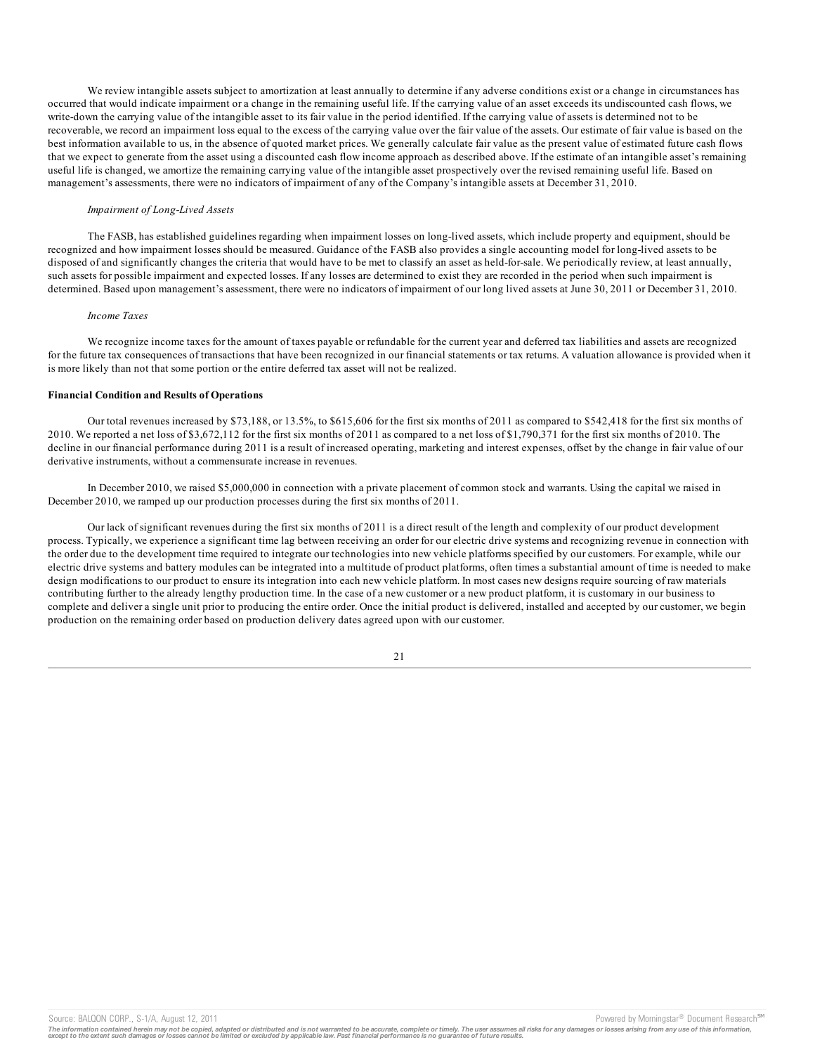We review intangible assets subject to amortization at least annually to determine if any adverse conditions exist or a change in circumstances has occurred that would indicate impairment or a change in the remaining useful life. If the carrying value of an asset exceeds its undiscounted cash flows, we write-down the carrying value of the intangible asset to its fair value in the period identified. If the carrying value of assets is determined not to be recoverable, we record an impairment loss equal to the excess of the carrying value over the fair value of the assets. Our estimate of fair value is based on the best information available to us, in the absence of quoted market prices. We generally calculate fair value as the present value of estimated future cash flows that we expect to generate from the asset using a discounted cash flow income approach as described above. If the estimate of an intangible asset's remaining useful life is changed, we amortize the remaining carrying value of the intangible asset prospectively over the revised remaining useful life. Based on management's assessments, there were no indicators of impairment of any of the Company's intangible assets at December 31, 2010.

#### *Impairment of Long-Lived Assets*

The FASB, has established guidelines regarding when impairment losses on long-lived assets, which include property and equipment, should be recognized and how impairment losses should be measured. Guidance of the FASB also provides a single accounting model for long-lived assets to be disposed of and significantly changes the criteria that would have to be met to classify an asset as held-for-sale. We periodically review, at least annually, such assets for possible impairment and expected losses. If any losses are determined to exist they are recorded in the period when such impairment is determined. Based upon management's assessment, there were no indicators of impairment of our long lived assets at June 30, 2011 or December 31, 2010.

#### *Income Taxes*

We recognize income taxes for the amount of taxes payable or refundable for the current year and deferred tax liabilities and assets are recognized for the future tax consequences of transactions that have been recognized in our financial statements or tax returns. A valuation allowance is provided when it is more likely than not that some portion or the entire deferred tax asset will not be realized.

## **Financial Condition and Results of Operations**

Our total revenues increased by \$73,188, or 13.5%, to \$615,606 for the first six months of 2011 as compared to \$542,418 for the first six months of 2010. We reported a net loss of \$3,672,112 for the first six months of 2011 as compared to a net loss of \$1,790,371 for the first six months of 2010. The decline in our financial performance during 2011 is a result of increased operating, marketing and interest expenses, offset by the change in fair value of our derivative instruments, without a commensurate increase in revenues.

In December 2010, we raised \$5,000,000 in connection with a private placement of common stock and warrants. Using the capital we raised in December 2010, we ramped up our production processes during the first six months of 2011.

Our lack of significant revenues during the first six months of 2011 is a direct result of the length and complexity of our product development process. Typically, we experience a significant time lag between receiving an order for our electric drive systems and recognizing revenue in connection with the order due to the development time required to integrate our technologies into new vehicle platforms specified by our customers. For example, while our electric drive systems and battery modules can be integrated into a multitude of product platforms, often times a substantial amount of time is needed to make design modifications to our product to ensure its integration into each new vehicle platform. In most cases new designs require sourcing of raw materials contributing further to the already lengthy production time. In the case of a new customer or a new product platform, it is customary in our business to complete and deliver a single unit prior to producing the entire order. Once the initial product is delivered, installed and accepted by our customer, we begin production on the remaining order based on production delivery dates agreed upon with our customer.

 $21$ 

The information contained herein may not be copied, adapted or distributed and is not warranted to be accurate, complete or timely. The user assumes all risks for any damages or losses arising from any use of this informat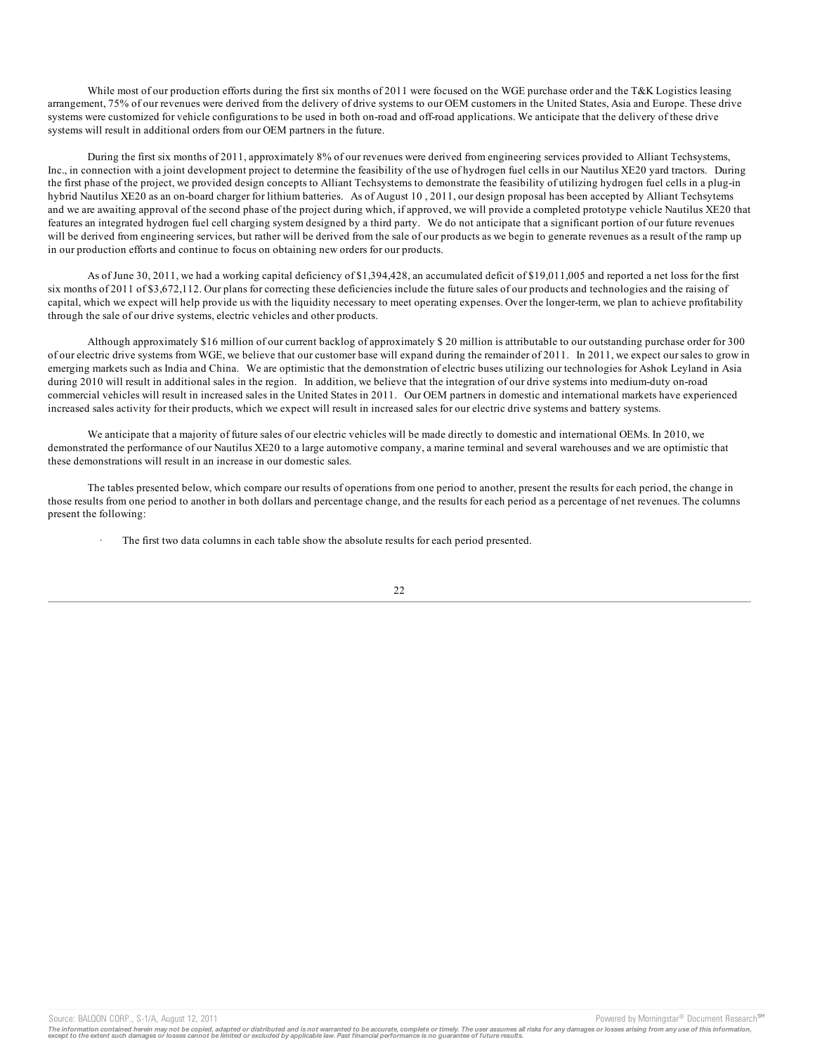While most of our production efforts during the first six months of 2011 were focused on the WGE purchase order and the T&K Logistics leasing arrangement, 75% of our revenues were derived from the delivery of drive systems to our OEM customers in the United States, Asia and Europe. These drive systems were customized for vehicle configurations to be used in both on-road and off-road applications. We anticipate that the delivery of these drive systems will result in additional orders from our OEM partners in the future.

During the first six months of 2011, approximately 8% of our revenues were derived from engineering services provided to Alliant Techsystems, Inc., in connection with a joint development project to determine the feasibility of the use of hydrogen fuel cells in our Nautilus XE20 yard tractors. During the first phase of the project, we provided design concepts to Alliant Techsystems to demonstrate the feasibility of utilizing hydrogen fuel cells in a plug-in hybrid Nautilus XE20 as an on-board charger for lithium batteries. As of August 10 , 2011, our design proposal has been accepted by Alliant Techsytems and we are awaiting approval of the second phase of the project during which, if approved, we will provide a completed prototype vehicle Nautilus XE20 that features an integrated hydrogen fuel cell charging system designed by a third party. We do not anticipate that a significant portion of our future revenues will be derived from engineering services, but rather will be derived from the sale of our products as we begin to generate revenues as a result of the ramp up in our production efforts and continue to focus on obtaining new orders for our products.

As of June 30, 2011, we had a working capital deficiency of \$1,394,428, an accumulated deficit of \$19,011,005 and reported a net loss for the first six months of 2011 of \$3,672,112. Our plans for correcting these deficiencies include the future sales of our products and technologies and the raising of capital, which we expect will help provide us with the liquidity necessary to meet operating expenses. Over the longer-term, we plan to achieve profitability through the sale of our drive systems, electric vehicles and other products.

Although approximately \$16 million of our current backlog of approximately \$ 20 million is attributable to our outstanding purchase order for 300 of our electric drive systems from WGE, we believe that our customer base will expand during the remainder of 2011. In 2011, we expect our sales to grow in emerging markets such as India and China. We are optimistic that the demonstration of electric buses utilizing our technologies for Ashok Leyland in Asia during 2010 will result in additional sales in the region. In addition, we believe that the integration of our drive systems into medium-duty on-road commercial vehicles will result in increased sales in the United States in 2011. Our OEM partners in domestic and international markets have experienced increased sales activity for their products, which we expect will result in increased sales for our electric drive systems and battery systems.

We anticipate that a majority of future sales of our electric vehicles will be made directly to domestic and international OEMs. In 2010, we demonstrated the performance of our Nautilus XE20 to a large automotive company, a marine terminal and several warehouses and we are optimistic that these demonstrations will result in an increase in our domestic sales.

The tables presented below, which compare our results of operations from one period to another, present the results for each period, the change in those results from one period to another in both dollars and percentage change, and the results for each period as a percentage of net revenues. The columns present the following:

The first two data columns in each table show the absolute results for each period presented.

Source: BALQON CORP., S-1/A, August 12, 2011 **Powered by Morningstar® Document Research** <sup>5M</sup>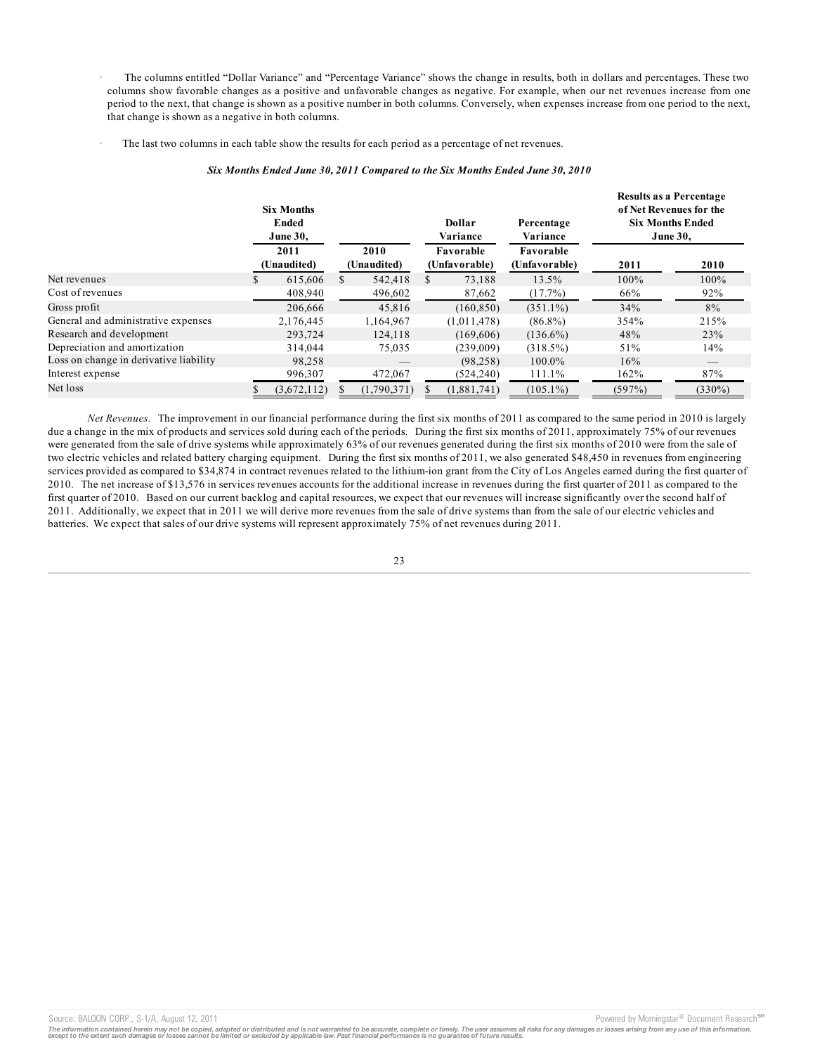- The columns entitled "Dollar Variance" and "Percentage Variance" shows the change in results, both in dollars and percentages. These two columns show favorable changes as a positive and unfavorable changes as negative. For example, when our net revenues increase from one period to the next, that change is shown as a positive number in both columns. Conversely, when expenses increase from one period to the next, that change is shown as a negative in both columns.
- The last two columns in each table show the results for each period as a percentage of net revenues.

### *Six Months Ended June 30, 2011 Compared to the Six Months Ended June 30, 2010*

|                                        | <b>Six Months</b><br>Ended<br><b>June 30,</b><br>2011<br>(Unaudited) |             |                     |             | <b>Dollar</b><br>Variance  |             | Percentage<br>Variance     | Results as a Percentage<br>of Net Revenues for the<br><b>Six Months Ended</b><br><b>June 30,</b> |           |
|----------------------------------------|----------------------------------------------------------------------|-------------|---------------------|-------------|----------------------------|-------------|----------------------------|--------------------------------------------------------------------------------------------------|-----------|
|                                        |                                                                      |             | 2010<br>(Unaudited) |             | Favorable<br>(Unfavorable) |             | Favorable<br>(Unfavorable) | 2011                                                                                             | 2010      |
| Net revenues                           | S.                                                                   | 615,606     | S.                  | 542,418     |                            | 73,188      | 13.5%                      | 100%                                                                                             | $100\%$   |
| Cost of revenues                       |                                                                      | 408,940     |                     | 496,602     |                            | 87,662      | $(17.7\%)$                 | 66%                                                                                              | 92%       |
| Gross profit                           |                                                                      | 206,666     |                     | 45,816      |                            | (160, 850)  | $(351.1\%)$                | 34%                                                                                              | $8\%$     |
| General and administrative expenses    |                                                                      | 2,176,445   |                     | 1,164,967   |                            | (1,011,478) | $(86.8\%)$                 | 354%                                                                                             | 215%      |
| Research and development               |                                                                      | 293,724     |                     | 124,118     |                            | (169,606)   | $(136.6\%)$                | 48%                                                                                              | 23%       |
| Depreciation and amortization          |                                                                      | 314,044     |                     | 75,035      |                            | (239,009)   | $(318.5\%)$                | 51%                                                                                              | 14%       |
| Loss on change in derivative liability |                                                                      | 98.258      |                     |             |                            | (98, 258)   | 100.0%                     | 16%                                                                                              |           |
| Interest expense                       |                                                                      | 996,307     |                     | 472,067     |                            | (524, 240)  | 111.1%                     | 162%                                                                                             | 87%       |
| Net loss                               |                                                                      | (3,672,112) |                     | (1,790,371) |                            | (1,881,741) | $(105.1\%)$                | (597%)                                                                                           | $(330\%)$ |

*Net Revenues*. The improvement in our financial performance during the first six months of 2011 as compared to the same period in 2010 is largely due a change in the mix of products and services sold during each of the periods. During the first six months of 2011, approximately 75% of our revenues were generated from the sale of drive systems while approximately 63% of our revenues generated during the first six months of 2010 were from the sale of two electric vehicles and related battery charging equipment. During the first six months of 2011, we also generated \$48,450 in revenues from engineering services provided as compared to \$34,874 in contract revenues related to the lithium-ion grant from the City of Los Angeles earned during the first quarter of 2010. The net increase of \$13,576 in services revenues accounts for the additional increase in revenues during the first quarter of 2011 as compared to the first quarter of 2010. Based on our current backlog and capital resources, we expect that our revenues will increase significantly over the second half of 2011. Additionally, we expect that in 2011 we will derive more revenues from the sale of drive systems than from the sale of our electric vehicles and batteries. We expect that sales of our drive systems will represent approximately 75% of net revenues during 2011.

#### 23

Source: BALQON CORP., S-1/A, August 12, 2011 **Powered by Morningstar® Document Research** in Powered by Morningstar® Document Research in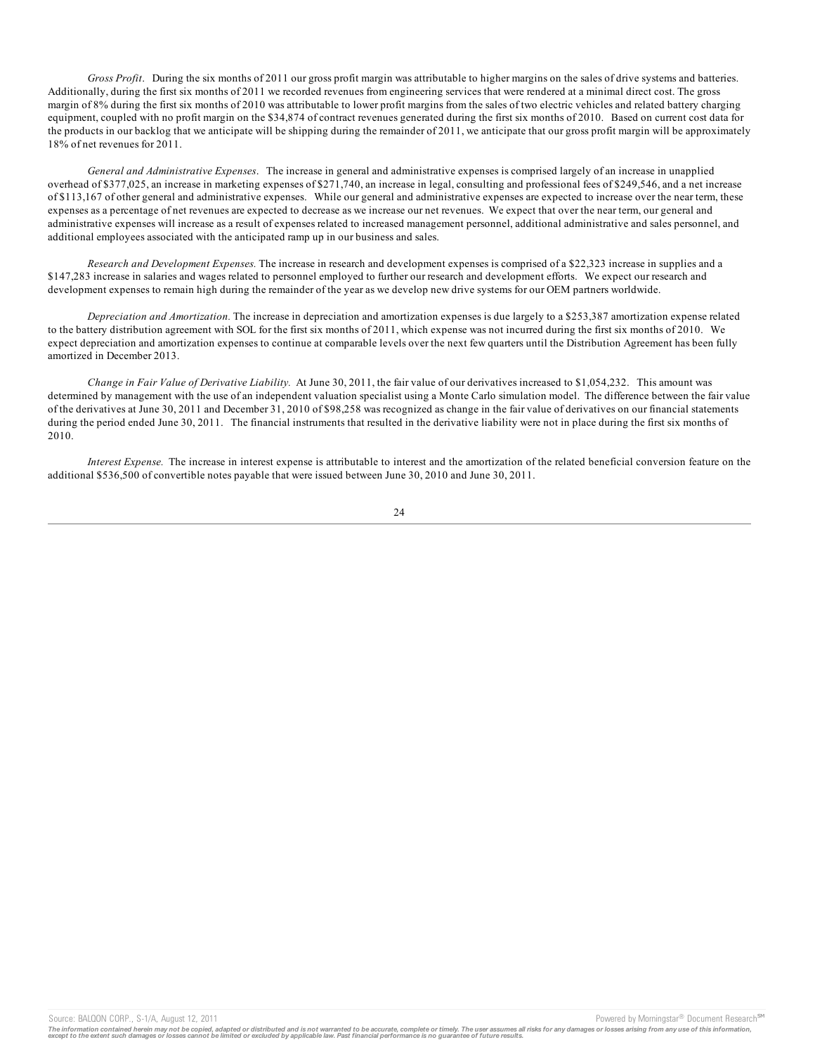*Gross Profit*. During the six months of 2011 our gross profit margin was attributable to higher margins on the sales of drive systems and batteries. Additionally, during the first six months of 2011 we recorded revenues from engineering services that were rendered at a minimal direct cost. The gross margin of 8% during the first six months of 2010 was attributable to lower profit margins from the sales of two electric vehicles and related battery charging equipment, coupled with no profit margin on the \$34,874 of contract revenues generated during the first six months of 2010. Based on current cost data for the products in our backlog that we anticipate will be shipping during the remainder of 2011, we anticipate that our gross profit margin will be approximately 18% of net revenues for 2011.

*General and Administrative Expenses*. The increase in general and administrative expenses is comprised largely of an increase in unapplied overhead of \$377,025, an increase in marketing expenses of \$271,740, an increase in legal, consulting and professional fees of \$249,546, and a net increase of \$113,167 of other general and administrative expenses. While our general and administrative expenses are expected to increase over the near term, these expenses as a percentage of net revenues are expected to decrease as we increase our net revenues. We expect that over the near term, our general and administrative expenses will increase as a result of expenses related to increased management personnel, additional administrative and sales personnel, and additional employees associated with the anticipated ramp up in our business and sales.

*Research and Development Expenses.* The increase in research and development expenses is comprised of a \$22,323 increase in supplies and a \$147,283 increase in salaries and wages related to personnel employed to further our research and development efforts. We expect our research and development expenses to remain high during the remainder of the year as we develop new drive systems for our OEM partners worldwide.

*Depreciation and Amortization.* The increase in depreciation and amortization expenses is due largely to a \$253,387 amortization expense related to the battery distribution agreement with SOL for the first six months of 2011, which expense was not incurred during the first six months of 2010. We expect depreciation and amortization expenses to continue at comparable levels over the next few quarters until the Distribution Agreement has been fully amortized in December 2013.

*Change in Fair Value of Derivative Liability.* At June 30, 2011, the fair value of our derivatives increased to \$1,054,232. This amount was determined by management with the use of an independent valuation specialist using a Monte Carlo simulation model. The difference between the fair value of the derivatives at June 30, 2011 and December 31, 2010 of \$98,258 was recognized as change in the fair value of derivatives on our financial statements during the period ended June 30, 2011. The financial instruments that resulted in the derivative liability were not in place during the first six months of 2010.

*Interest Expense.* The increase in interest expense is attributable to interest and the amortization of the related beneficial conversion feature on the additional \$536,500 of convertible notes payable that were issued between June 30, 2010 and June 30, 2011.

24

Source: BALQON CORP., S-1/A, August 12, 2011 **Powered by Morningstar® Document Research** <sup>5M</sup>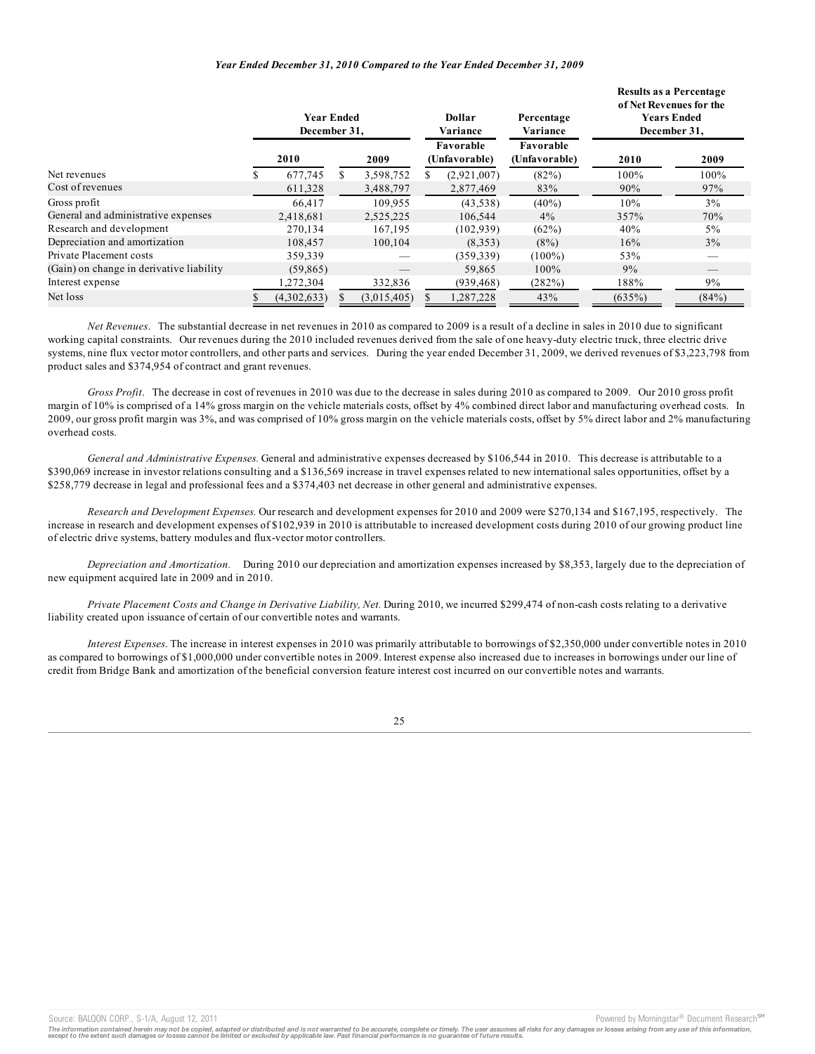*Year Ended December 31, 2010 Compared to the Year Ended December 31, 2009*

|                                          |    | <b>Year Ended</b><br>December 31, |    |             | Dollar<br>Variance |                            | Percentage<br>Variance<br>Favorable<br>(Unfavorable) | Results as a Percentage<br>of Net Revenues for the<br><b>Years Ended</b><br>December 31, |       |
|------------------------------------------|----|-----------------------------------|----|-------------|--------------------|----------------------------|------------------------------------------------------|------------------------------------------------------------------------------------------|-------|
|                                          |    | 2010                              |    | 2009        |                    | Favorable<br>(Unfavorable) |                                                      | 2010                                                                                     | 2009  |
| Net revenues                             | ъ. | 677.745                           | \$ | 3,598,752   |                    | (2,921,007)                | (82%)                                                | 100%                                                                                     | 100%  |
| Cost of revenues                         |    | 611,328                           |    | 3,488,797   |                    | 2,877,469                  | 83%                                                  | 90%                                                                                      | 97%   |
| Gross profit                             |    | 66.417                            |    | 109.955     |                    | (43, 538)                  | $(40\%)$                                             | 10%                                                                                      | 3%    |
| General and administrative expenses      |    | 2.418.681                         |    | 2,525,225   |                    | 106,544                    | $4\%$                                                | 357%                                                                                     | 70%   |
| Research and development                 |    | 270.134                           |    | 167,195     |                    | (102, 939)                 | (62%)                                                | 40%                                                                                      | 5%    |
| Depreciation and amortization            |    | 108,457                           |    | 100,104     |                    | (8,353)                    | $(8\%)$                                              | 16%                                                                                      | 3%    |
| Private Placement costs                  |    | 359,339                           |    |             |                    | (359, 339)                 | $(100\%)$                                            | 53%                                                                                      |       |
| (Gain) on change in derivative liability |    | (59, 865)                         |    |             |                    | 59,865                     | $100\%$                                              | 9%                                                                                       |       |
| Interest expense                         |    | 1,272,304                         |    | 332,836     |                    | (939, 468)                 | (282%)                                               | 188%                                                                                     | 9%    |
| Net loss                                 |    | (4,302,633)                       |    | (3,015,405) |                    | 1.287.228                  | 43%                                                  | (635%)                                                                                   | (84%) |

*Net Revenues*. The substantial decrease in net revenues in 2010 as compared to 2009 is a result of a decline in sales in 2010 due to significant working capital constraints. Our revenues during the 2010 included revenues derived from the sale of one heavy-duty electric truck, three electric drive systems, nine flux vector motor controllers, and other parts and services. During the year ended December 31, 2009, we derived revenues of \$3,223,798 from product sales and \$374,954 of contract and grant revenues.

*Gross Profit*. The decrease in cost of revenues in 2010 was due to the decrease in sales during 2010 as compared to 2009. Our 2010 gross profit margin of 10% is comprised of a 14% gross margin on the vehicle materials costs, offset by 4% combined direct labor and manufacturing overhead costs. In 2009, our gross profit margin was 3%, and was comprised of 10% gross margin on the vehicle materials costs, offset by 5% direct labor and 2% manufacturing overhead costs.

*General and Administrative Expenses.* General and administrative expenses decreased by \$106,544 in 2010. This decrease is attributable to a \$390,069 increase in investor relations consulting and a \$136,569 increase in travel expenses related to new international sales opportunities, offset by a \$258,779 decrease in legal and professional fees and a \$374,403 net decrease in other general and administrative expenses.

*Research and Development Expenses.* Our research and development expenses for 2010 and 2009 were \$270,134 and \$167,195, respectively. The increase in research and development expenses of \$102,939 in 2010 is attributable to increased development costs during 2010 of our growing product line of electric drive systems, battery modules and flux-vector motor controllers.

*Depreciation and Amortization.* During 2010 our depreciation and amortization expenses increased by \$8,353, largely due to the depreciation of new equipment acquired late in 2009 and in 2010.

*Private Placement Costs and Change in Derivative Liability, Net.* During 2010, we incurred \$299,474 of non-cash costs relating to a derivative liability created upon issuance of certain of our convertible notes and warrants.

*Interest Expenses*. The increase in interest expenses in 2010 was primarily attributable to borrowings of \$2,350,000 under convertible notes in 2010 as compared to borrowings of \$1,000,000 under convertible notes in 2009. Interest expense also increased due to increases in borrowings under our line of credit from Bridge Bank and amortization of the beneficial conversion feature interest cost incurred on our convertible notes and warrants.

25

Source: BALQON CORP., S-1/A, August 12, 2011 **Powered by Morningstar® Document Research** <sup>5M</sup>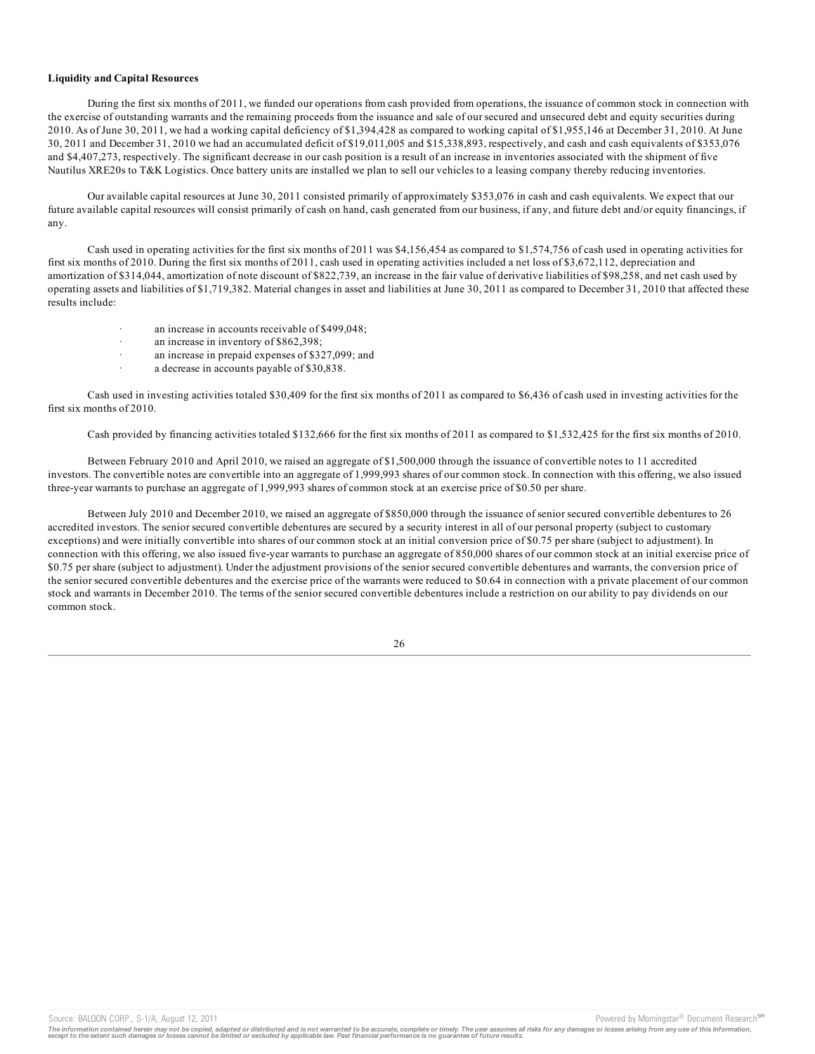### **Liquidity and Capital Resources**

During the first six months of 2011, we funded our operations from cash provided from operations, the issuance of common stock in connection with the exercise of outstanding warrants and the remaining proceeds from the issuance and sale of our secured and unsecured debt and equity securities during 2010. As of June 30, 2011, we had a working capital deficiency of \$1,394,428 as compared to working capital of \$1,955,146 at December 31, 2010. At June 30, 2011 and December 31, 2010 we had an accumulated deficit of \$19,011,005 and \$15,338,893, respectively, and cash and cash equivalents of \$353,076 and \$4,407,273, respectively. The significant decrease in our cash position is a result of an increase in inventories associated with the shipment of five Nautilus XRE20s to T&K Logistics. Once battery units are installed we plan to sell our vehicles to a leasing company thereby reducing inventories.

Our available capital resources at June 30, 2011 consisted primarily of approximately \$353,076 in cash and cash equivalents. We expect that our future available capital resources will consist primarily of cash on hand, cash generated from our business, if any, and future debt and/or equity financings, if any.

Cash used in operating activities for the first six months of 2011 was \$4,156,454 as compared to \$1,574,756 of cash used in operating activities for first six months of 2010. During the first six months of 2011, cash used in operating activities included a net loss of \$3,672,112, depreciation and amortization of \$314,044, amortization of note discount of \$822,739, an increase in the fair value of derivative liabilities of \$98,258, and net cash used by operating assets and liabilities of \$1,719,382. Material changes in asset and liabilities at June 30, 2011 as compared to December 31, 2010 that affected these results include:

- an increase in accounts receivable of \$499,048;
- an increase in inventory of \$862,398;
- an increase in prepaid expenses of \$327,099; and
- a decrease in accounts payable of \$30,838.

Cash used in investing activities totaled \$30,409 for the first six months of 2011 as compared to \$6,436 of cash used in investing activities for the first six months of 2010.

Cash provided by financing activities totaled \$132,666 for the first six months of 2011 as compared to \$1,532,425 for the first six months of 2010.

Between February 2010 and April 2010, we raised an aggregate of \$1,500,000 through the issuance of convertible notes to 11 accredited investors. The convertible notes are convertible into an aggregate of 1,999,993 shares of our common stock. In connection with this offering, we also issued three-year warrants to purchase an aggregate of 1,999,993 shares of common stock at an exercise price of \$0.50 per share.

Between July 2010 and December 2010, we raised an aggregate of \$850,000 through the issuance of senior secured convertible debentures to 26 accredited investors. The senior secured convertible debentures are secured by a security interest in all of our personal property (subject to customary exceptions) and were initially convertible into shares of our common stock at an initial conversion price of \$0.75 per share (subject to adjustment). In connection with this offering, we also issued five-year warrants to purchase an aggregate of 850,000 shares of our common stock at an initial exercise price of \$0.75 per share (subject to adjustment). Under the adjustment provisions of the senior secured convertible debentures and warrants, the conversion price of the senior secured convertible debentures and the exercise price of the warrants were reduced to \$0.64 in connection with a private placement of our common stock and warrants in December 2010. The terms of the senior secured convertible debentures include a restriction on our ability to pay dividends on our common stock.

26

Source: BALQON CORP., S-1/A, August 12, 2011 **Powered by Morningstar® Document Research** <sup>5M</sup>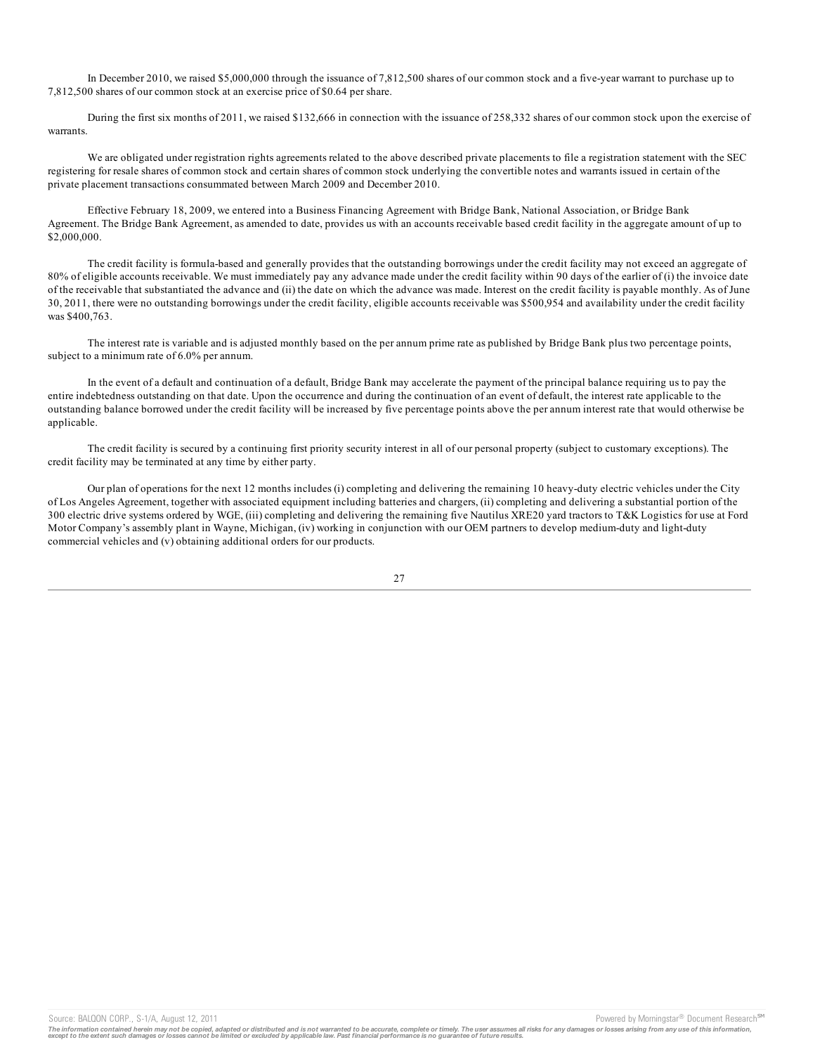In December 2010, we raised \$5,000,000 through the issuance of 7,812,500 shares of our common stock and a five-year warrant to purchase up to 7,812,500 shares of our common stock at an exercise price of \$0.64 per share.

During the first six months of 2011, we raised \$132,666 in connection with the issuance of 258,332 shares of our common stock upon the exercise of warrants.

We are obligated under registration rights agreements related to the above described private placements to file a registration statement with the SEC registering for resale shares of common stock and certain shares of common stock underlying the convertible notes and warrants issued in certain of the private placement transactions consummated between March 2009 and December 2010.

Effective February 18, 2009, we entered into a Business Financing Agreement with Bridge Bank, National Association, or Bridge Bank Agreement. The Bridge Bank Agreement, as amended to date, provides us with an accounts receivable based credit facility in the aggregate amount of up to \$2,000,000.

The credit facility is formula-based and generally provides that the outstanding borrowings under the credit facility may not exceed an aggregate of 80% of eligible accounts receivable. We must immediately pay any advance made under the credit facility within 90 days of the earlier of (i) the invoice date of the receivable that substantiated the advance and (ii) the date on which the advance was made. Interest on the credit facility is payable monthly. As of June 30, 2011, there were no outstanding borrowings under the credit facility, eligible accounts receivable was \$500,954 and availability under the credit facility was \$400,763.

The interest rate is variable and is adjusted monthly based on the per annum prime rate as published by Bridge Bank plus two percentage points, subject to a minimum rate of 6.0% per annum.

In the event of a default and continuation of a default, Bridge Bank may accelerate the payment of the principal balance requiring us to pay the entire indebtedness outstanding on that date. Upon the occurrence and during the continuation of an event of default, the interest rate applicable to the outstanding balance borrowed under the credit facility will be increased by five percentage points above the per annum interest rate that would otherwise be applicable.

The credit facility is secured by a continuing first priority security interest in all of our personal property (subject to customary exceptions). The credit facility may be terminated at any time by either party.

Our plan of operations for the next 12 months includes (i) completing and delivering the remaining 10 heavy-duty electric vehicles under the City of Los Angeles Agreement, together with associated equipment including batteries and chargers, (ii) completing and delivering a substantial portion of the 300 electric drive systems ordered by WGE, (iii) completing and delivering the remaining five Nautilus XRE20 yard tractors to T&K Logistics for use at Ford Motor Company's assembly plant in Wayne, Michigan, (iv) working in conjunction with our OEM partners to develop medium-duty and light-duty commercial vehicles and (v) obtaining additional orders for our products.



Source: BALQON CORP., S-1/A, August 12, 2011 **Powered by Morningstar® Document Research** <sup>5M</sup>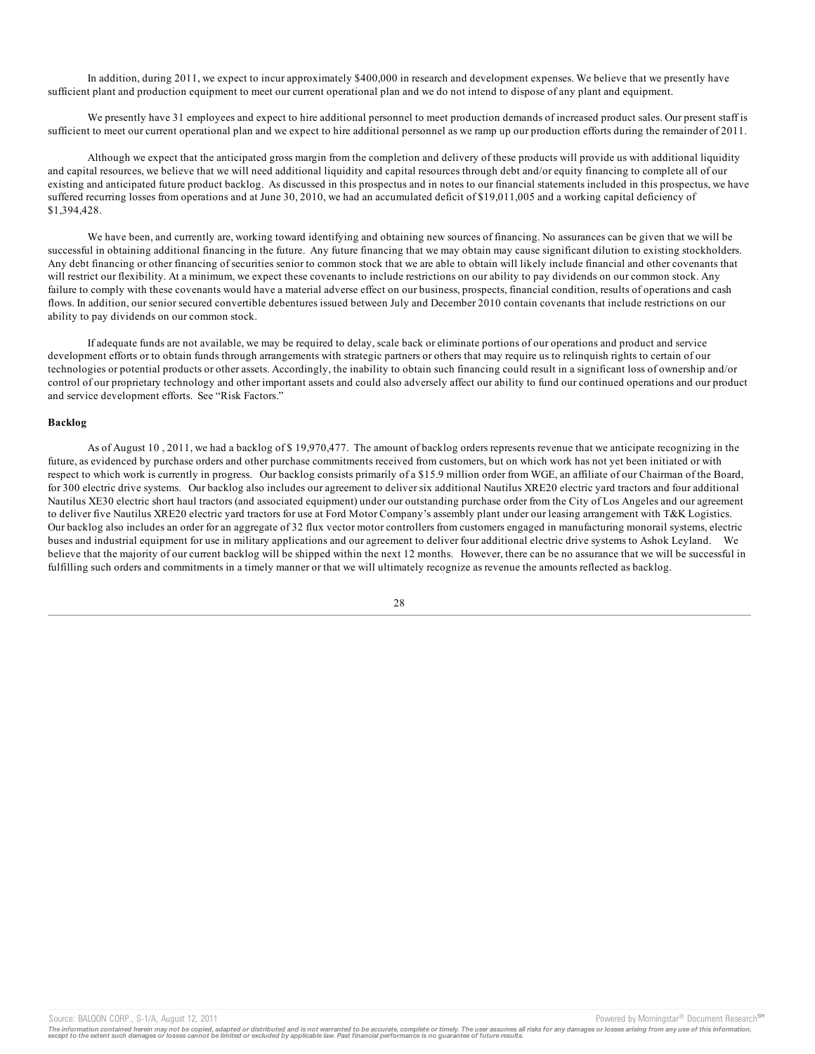In addition, during 2011, we expect to incur approximately \$400,000 in research and development expenses. We believe that we presently have sufficient plant and production equipment to meet our current operational plan and we do not intend to dispose of any plant and equipment.

We presently have 31 employees and expect to hire additional personnel to meet production demands of increased product sales. Our present staff is sufficient to meet our current operational plan and we expect to hire additional personnel as we ramp up our production efforts during the remainder of 2011.

Although we expect that the anticipated gross margin from the completion and delivery of these products will provide us with additional liquidity and capital resources, we believe that we will need additional liquidity and capital resources through debt and/or equity financing to complete all of our existing and anticipated future product backlog. As discussed in this prospectus and in notes to our financial statements included in this prospectus, we have suffered recurring losses from operations and at June 30, 2010, we had an accumulated deficit of \$19,011,005 and a working capital deficiency of \$1,394,428.

We have been, and currently are, working toward identifying and obtaining new sources of financing. No assurances can be given that we will be successful in obtaining additional financing in the future. Any future financing that we may obtain may cause significant dilution to existing stockholders. Any debt financing or other financing of securities senior to common stock that we are able to obtain will likely include financial and other covenants that will restrict our flexibility. At a minimum, we expect these covenants to include restrictions on our ability to pay dividends on our common stock. Any failure to comply with these covenants would have a material adverse effect on our business, prospects, financial condition, results of operations and cash flows. In addition, our senior secured convertible debentures issued between July and December 2010 contain covenants that include restrictions on our ability to pay dividends on our common stock.

If adequate funds are not available, we may be required to delay, scale back or eliminate portions of our operations and product and service development efforts or to obtain funds through arrangements with strategic partners or others that may require us to relinquish rights to certain of our technologies or potential products or other assets. Accordingly, the inability to obtain such financing could result in a significant loss of ownership and/or control of our proprietary technology and other important assets and could also adversely affect our ability to fund our continued operations and our product and service development efforts. See "Risk Factors."

### **Backlog**

As of August 10 , 2011, we had a backlog of \$ 19,970,477. The amount of backlog orders represents revenue that we anticipate recognizing in the future, as evidenced by purchase orders and other purchase commitments received from customers, but on which work has not yet been initiated or with respect to which work is currently in progress. Our backlog consists primarily of a \$15.9 million order from WGE, an affiliate of our Chairman of the Board, for 300 electric drive systems. Our backlog also includes our agreement to deliver six additional Nautilus XRE20 electric yard tractors and four additional Nautilus XE30 electric short haul tractors (and associated equipment) under our outstanding purchase order from the City of Los Angeles and our agreement to deliver five Nautilus XRE20 electric yard tractors for use at Ford Motor Company's assembly plant under our leasing arrangement with T&K Logistics. Our backlog also includes an order for an aggregate of 32 flux vector motor controllers from customers engaged in manufacturing monorail systems, electric buses and industrial equipment for use in military applications and our agreement to deliver four additional electric drive systems to Ashok Leyland. We believe that the majority of our current backlog will be shipped within the next 12 months. However, there can be no assurance that we will be successful in fulfilling such orders and commitments in a timely manner or that we will ultimately recognize as revenue the amounts reflected as backlog.



Source: BALQON CORP., S-1/A, August 12, 2011 **Powered by Morningstar® Document Research** in Powered by Morningstar® Document Research in

The information contained herein may not be copied, adapted or distributed and is not warranted to be accurate, complete or timely. The user assumes all risks for any damages or losses arising from any use of this informat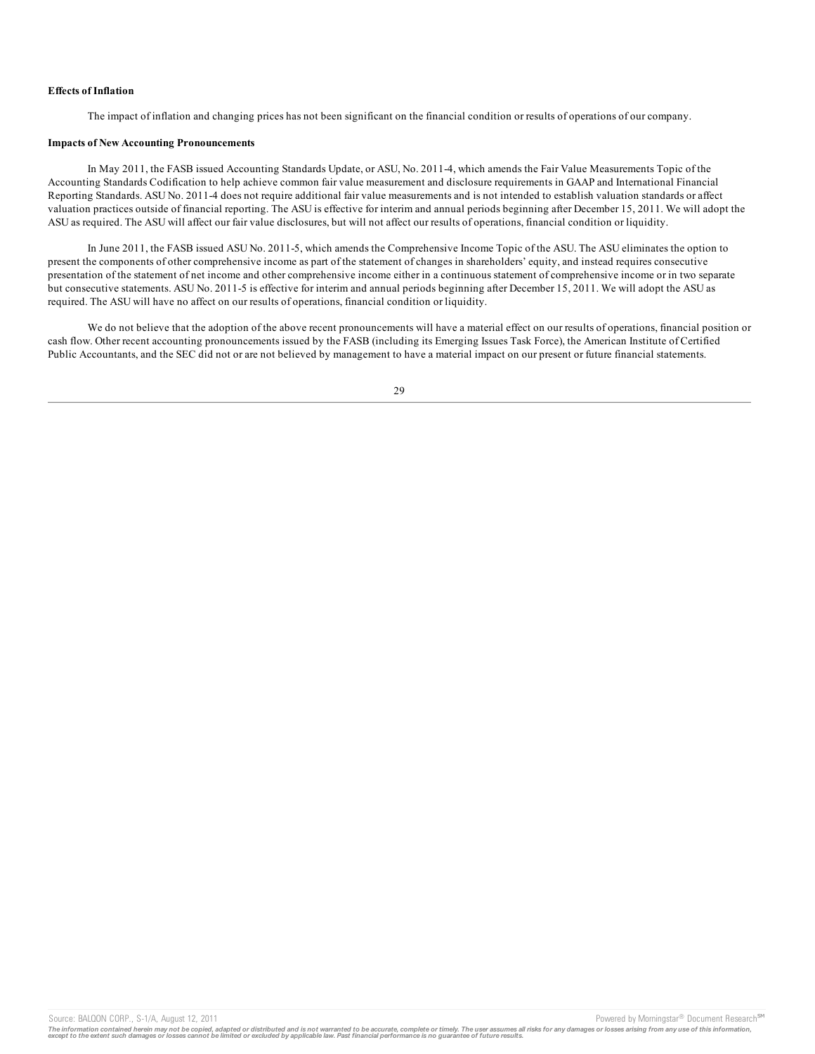## **Effects of Inflation**

The impact of inflation and changing prices has not been significant on the financial condition or results of operations of our company.

#### **Impacts of New Accounting Pronouncements**

In May 2011, the FASB issued Accounting Standards Update, or ASU, No. 2011-4, which amends the Fair Value Measurements Topic of the Accounting Standards Codification to help achieve common fair value measurement and disclosure requirements in GAAP and International Financial Reporting Standards. ASU No. 2011-4 does not require additional fair value measurements and is not intended to establish valuation standards or affect valuation practices outside of financial reporting. The ASU is effective for interim and annual periods beginning after December 15, 2011. We will adopt the ASU as required. The ASU will affect our fair value disclosures, but will not affect our results of operations, financial condition or liquidity.

In June 2011, the FASB issued ASU No. 2011-5, which amends the Comprehensive Income Topic of the ASU. The ASU eliminates the option to present the components of other comprehensive income as part of the statement of changes in shareholders' equity, and instead requires consecutive presentation of the statement of net income and other comprehensive income either in a continuous statement of comprehensive income or in two separate but consecutive statements. ASU No. 2011-5 is effective for interim and annual periods beginning after December 15, 2011. We will adopt the ASU as required. The ASU will have no affect on our results of operations, financial condition or liquidity.

We do not believe that the adoption of the above recent pronouncements will have a material effect on our results of operations, financial position or cash flow. Other recent accounting pronouncements issued by the FASB (including its Emerging Issues Task Force), the American Institute of Certified Public Accountants, and the SEC did not or are not believed by management to have a material impact on our present or future financial statements.

29

Source: BALQON CORP., S-1/A, August 12, 2011 **Powered by Morningstar® Document Research** in Powered by Morningstar® Document Research in

The information contained herein may not be copied, adapted or distributed and is not warranted to be accurate, complete or timely. The user assumes all risks for any damages or losses arising from any use of this informat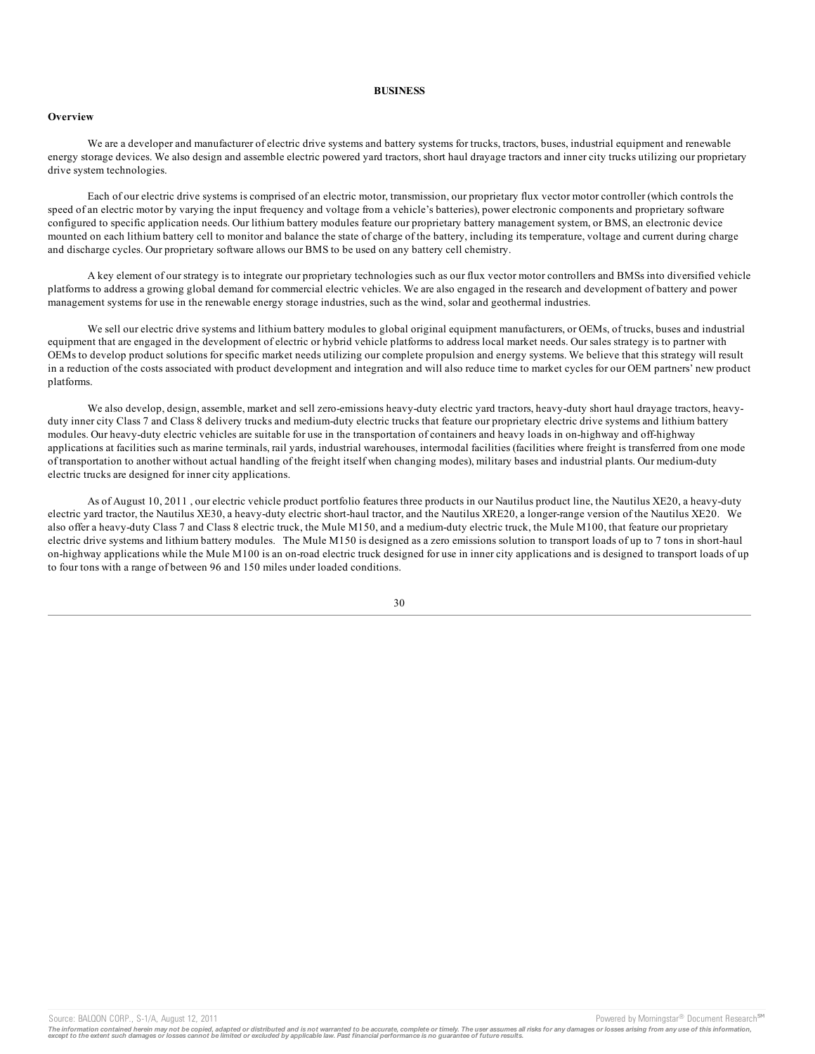## **BUSINESS**

## **Overview**

We are a developer and manufacturer of electric drive systems and battery systems for trucks, tractors, buses, industrial equipment and renewable energy storage devices. We also design and assemble electric powered yard tractors, short haul drayage tractors and inner city trucks utilizing our proprietary drive system technologies.

Each of our electric drive systems is comprised of an electric motor, transmission, our proprietary flux vector motor controller (which controls the speed of an electric motor by varying the input frequency and voltage from a vehicle's batteries), power electronic components and proprietary software configured to specific application needs. Our lithium battery modules feature our proprietary battery management system, or BMS, an electronic device mounted on each lithium battery cell to monitor and balance the state of charge of the battery, including its temperature, voltage and current during charge and discharge cycles. Our proprietary software allows our BMS to be used on any battery cell chemistry.

A key element of our strategy is to integrate our proprietary technologies such as our flux vector motor controllers and BMSs into diversified vehicle platforms to address a growing global demand for commercial electric vehicles. We are also engaged in the research and development of battery and power management systems for use in the renewable energy storage industries, such as the wind, solar and geothermal industries.

We sell our electric drive systems and lithium battery modules to global original equipment manufacturers, or OEMs, of trucks, buses and industrial equipment that are engaged in the development of electric or hybrid vehicle platforms to address local market needs. Our sales strategy is to partner with OEMs to develop product solutions for specific market needs utilizing our complete propulsion and energy systems. We believe that this strategy will result in a reduction of the costs associated with product development and integration and will also reduce time to market cycles for our OEM partners' new product platforms.

We also develop, design, assemble, market and sell zero-emissions heavy-duty electric yard tractors, heavy-duty short haul drayage tractors, heavyduty inner city Class 7 and Class 8 delivery trucks and medium-duty electric trucks that feature our proprietary electric drive systems and lithium battery modules. Our heavy-duty electric vehicles are suitable for use in the transportation of containers and heavy loads in on-highway and off-highway applications at facilities such as marine terminals, rail yards, industrial warehouses, intermodal facilities (facilities where freight is transferred from one mode of transportation to another without actual handling of the freight itself when changing modes), military bases and industrial plants. Our medium-duty electric trucks are designed for inner city applications.

As of August 10, 2011 , our electric vehicle product portfolio features three products in our Nautilus product line, the Nautilus XE20, a heavy-duty electric yard tractor, the Nautilus XE30, a heavy-duty electric short-haul tractor, and the Nautilus XRE20, a longer-range version of the Nautilus XE20. We also offer a heavy-duty Class 7 and Class 8 electric truck, the Mule M150, and a medium-duty electric truck, the Mule M100, that feature our proprietary electric drive systems and lithium battery modules. The Mule M150 is designed as a zero emissions solution to transport loads of up to 7 tons in short-haul on-highway applications while the Mule M100 is an on-road electric truck designed for use in inner city applications and is designed to transport loads of up to four tons with a range of between 96 and 150 miles under loaded conditions.

30

Source: BALQON CORP., S-1/A, August 12, 2011 **Powered by Morningstar® Document Research** in Powered by Morningstar® Document Research in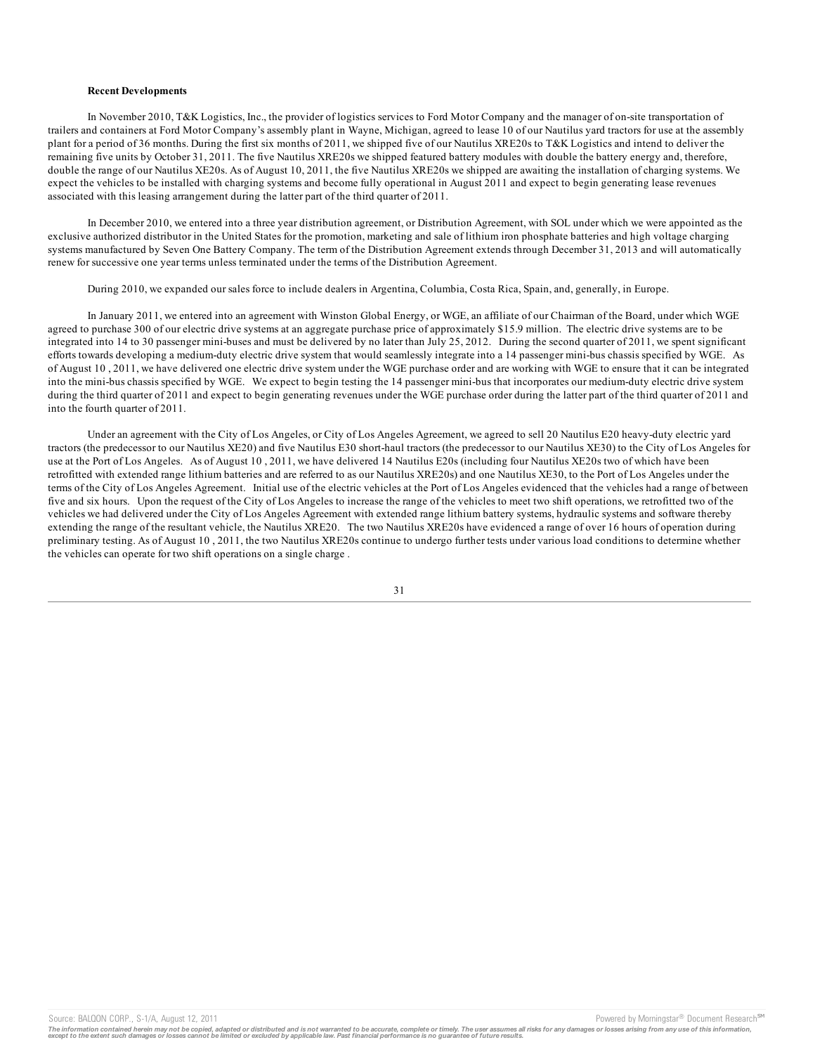#### **Recent Developments**

In November 2010, T&K Logistics, Inc., the provider of logistics services to Ford Motor Company and the manager of on-site transportation of trailers and containers at Ford Motor Company's assembly plant in Wayne, Michigan, agreed to lease 10 of our Nautilus yard tractors for use at the assembly plant for a period of 36 months. During the first six months of 2011, we shipped five of our Nautilus XRE20s to T&K Logistics and intend to deliver the remaining five units by October 31, 2011. The five Nautilus XRE20s we shipped featured battery modules with double the battery energy and, therefore, double the range of our Nautilus XE20s. As of August 10, 2011, the five Nautilus XRE20s we shipped are awaiting the installation of charging systems. We expect the vehicles to be installed with charging systems and become fully operational in August 2011 and expect to begin generating lease revenues associated with this leasing arrangement during the latter part of the third quarter of 2011.

In December 2010, we entered into a three year distribution agreement, or Distribution Agreement, with SOL under which we were appointed as the exclusive authorized distributor in the United States for the promotion, marketing and sale of lithium iron phosphate batteries and high voltage charging systems manufactured by Seven One Battery Company. The term of the Distribution Agreement extends through December 31, 2013 and will automatically renew for successive one year terms unless terminated under the terms of the Distribution Agreement.

During 2010, we expanded our sales force to include dealers in Argentina, Columbia, Costa Rica, Spain, and, generally, in Europe.

In January 2011, we entered into an agreement with Winston Global Energy, or WGE, an affiliate of our Chairman of the Board, under which WGE agreed to purchase 300 of our electric drive systems at an aggregate purchase price of approximately \$15.9 million. The electric drive systems are to be integrated into 14 to 30 passenger mini-buses and must be delivered by no later than July 25, 2012. During the second quarter of 2011, we spent significant efforts towards developing a medium-duty electric drive system that would seamlessly integrate into a 14 passenger mini-bus chassis specified by WGE. As of August 10 , 2011, we have delivered one electric drive system under the WGE purchase order and are working with WGE to ensure that it can be integrated into the mini-bus chassis specified by WGE. We expect to begin testing the 14 passenger mini-bus that incorporates our medium-duty electric drive system during the third quarter of 2011 and expect to begin generating revenues under the WGE purchase order during the latter part of the third quarter of 2011 and into the fourth quarter of 2011.

Under an agreement with the City of Los Angeles, or City of Los Angeles Agreement, we agreed to sell 20 Nautilus E20 heavy-duty electric yard tractors (the predecessor to our Nautilus XE20) and five Nautilus E30 short-haul tractors (the predecessor to our Nautilus XE30) to the City of Los Angeles for use at the Port of Los Angeles. As of August 10 , 2011, we have delivered 14 Nautilus E20s (including four Nautilus XE20s two of which have been retrofitted with extended range lithium batteries and are referred to as our Nautilus XRE20s) and one Nautilus XE30, to the Port of Los Angeles under the terms of the City of Los Angeles Agreement. Initial use of the electric vehicles at the Port of Los Angeles evidenced that the vehicles had a range of between five and six hours. Upon the request of the City of Los Angeles to increase the range of the vehicles to meet two shift operations, we retrofitted two of the vehicles we had delivered under the City of Los Angeles Agreement with extended range lithium battery systems, hydraulic systems and software thereby extending the range of the resultant vehicle, the Nautilus XRE20. The two Nautilus XRE20s have evidenced a range of over 16 hours of operation during preliminary testing. As of August 10 , 2011, the two Nautilus XRE20s continue to undergo further tests under various load conditions to determine whether the vehicles can operate for two shift operations on a single charge .

Source: BALQON CORP., S-1/A, August 12, 2011 **Properties and August 2018** Powered by Morningstar® Document Research <sup>sw</sup>

The information contained herein may not be copied, adapted or distributed and is not warranted to be accurate, complete or timely. The user assumes all risks for any damages or losses arising from any use of this informat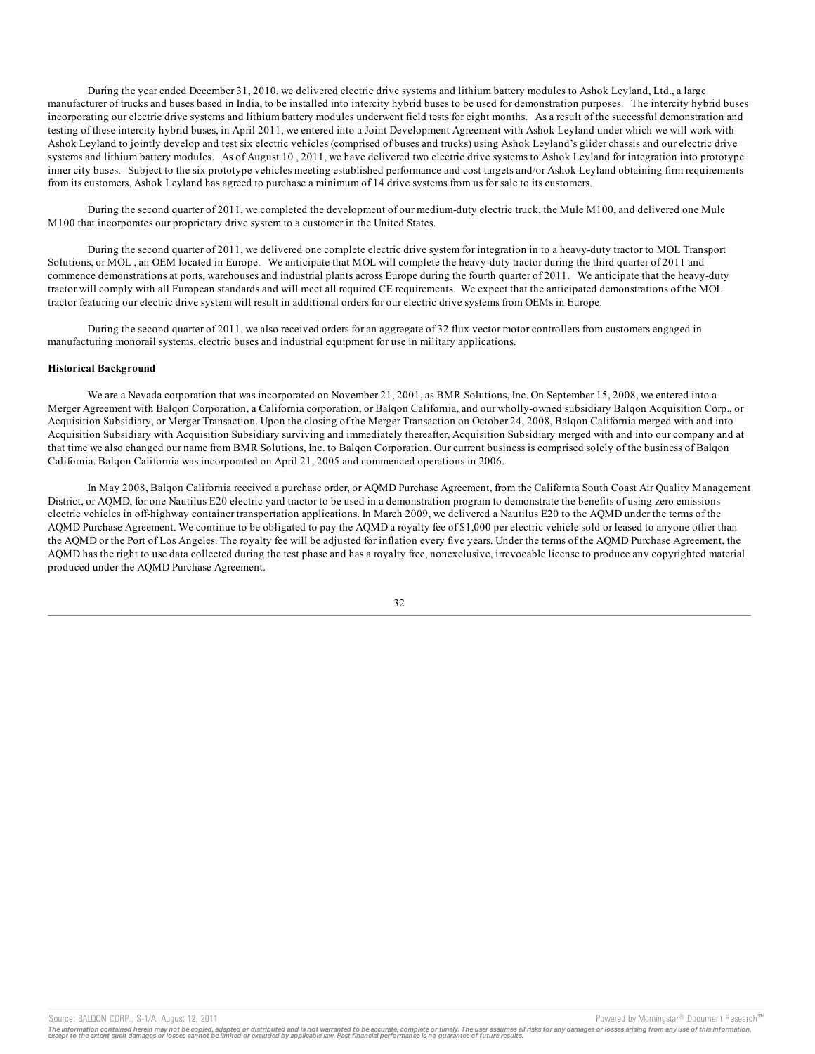During the year ended December 31, 2010, we delivered electric drive systems and lithium battery modules to Ashok Leyland, Ltd., a large manufacturer of trucks and buses based in India, to be installed into intercity hybrid buses to be used for demonstration purposes. The intercity hybrid buses incorporating our electric drive systems and lithium battery modules underwent field tests for eight months. As a result of the successful demonstration and testing of these intercity hybrid buses, in April 2011, we entered into a Joint Development Agreement with Ashok Leyland under which we will work with Ashok Leyland to jointly develop and test six electric vehicles (comprised of buses and trucks) using Ashok Leyland's glider chassis and our electric drive systems and lithium battery modules. As of August 10 , 2011, we have delivered two electric drive systems to Ashok Leyland for integration into prototype inner city buses. Subject to the six prototype vehicles meeting established performance and cost targets and/or Ashok Leyland obtaining firm requirements from its customers, Ashok Leyland has agreed to purchase a minimum of 14 drive systems from us for sale to its customers.

During the second quarter of 2011, we completed the development of our medium-duty electric truck, the Mule M100, and delivered one Mule M100 that incorporates our proprietary drive system to a customer in the United States.

During the second quarter of 2011, we delivered one complete electric drive system for integration in to a heavy-duty tractor to MOL Transport Solutions, or MOL , an OEM located in Europe. We anticipate that MOL will complete the heavy-duty tractor during the third quarter of 2011 and commence demonstrations at ports, warehouses and industrial plants across Europe during the fourth quarter of 2011. We anticipate that the heavy-duty tractor will comply with all European standards and will meet all required CE requirements. We expect that the anticipated demonstrations of the MOL tractor featuring our electric drive system will result in additional orders for our electric drive systems from OEMs in Europe.

During the second quarter of 2011, we also received orders for an aggregate of 32 flux vector motor controllers from customers engaged in manufacturing monorail systems, electric buses and industrial equipment for use in military applications.

#### **Historical Background**

We are a Nevada corporation that was incorporated on November 21, 2001, as BMR Solutions, Inc. On September 15, 2008, we entered into a Merger Agreement with Balqon Corporation, a California corporation, or Balqon California, and our wholly-owned subsidiary Balqon Acquisition Corp., or Acquisition Subsidiary, or Merger Transaction. Upon the closing of the Merger Transaction on October 24, 2008, Balqon California merged with and into Acquisition Subsidiary with Acquisition Subsidiary surviving and immediately thereafter, Acquisition Subsidiary merged with and into our company and at that time we also changed our name from BMR Solutions, Inc. to Balqon Corporation. Our current business is comprised solely of the business of Balqon California. Balqon California was incorporated on April 21, 2005 and commenced operations in 2006.

In May 2008, Balqon California received a purchase order, or AQMD Purchase Agreement, from the California South Coast Air Quality Management District, or AQMD, for one Nautilus E20 electric yard tractor to be used in a demonstration program to demonstrate the benefits of using zero emissions electric vehicles in off-highway container transportation applications. In March 2009, we delivered a Nautilus E20 to the AQMD under the terms of the AQMD Purchase Agreement. We continue to be obligated to pay the AQMD a royalty fee of \$1,000 per electric vehicle sold or leased to anyone other than the AQMD or the Port of Los Angeles. The royalty fee will be adjusted for inflation every five years. Under the terms of the AQMD Purchase Agreement, the AQMD has the right to use data collected during the test phase and has a royalty free, nonexclusive, irrevocable license to produce any copyrighted material produced under the AQMD Purchase Agreement.

32

The information contained herein may not be copied, adapted or distributed and is not warranted to be accurate, complete or timely. The user assumes all risks for any damages or losses arising from any use of this informat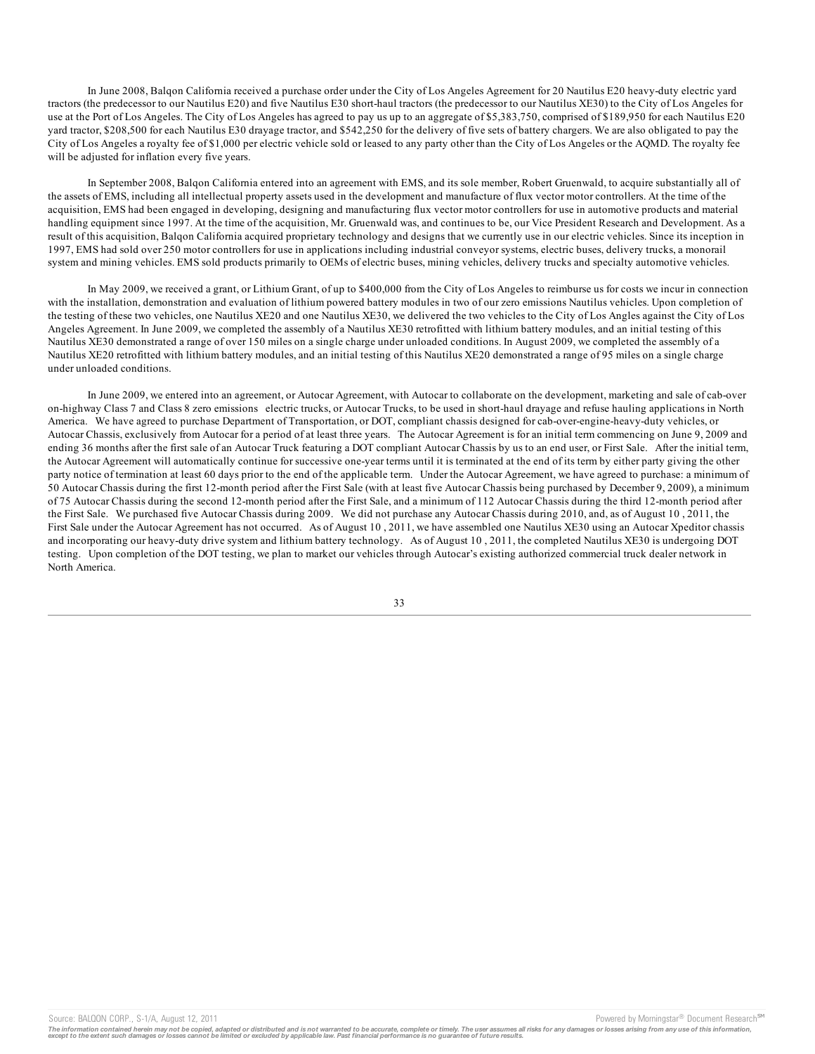In June 2008, Balqon California received a purchase order under the City of Los Angeles Agreement for 20 Nautilus E20 heavy-duty electric yard tractors (the predecessor to our Nautilus E20) and five Nautilus E30 short-haul tractors (the predecessor to our Nautilus XE30) to the City of Los Angeles for use at the Port of Los Angeles. The City of Los Angeles has agreed to pay us up to an aggregate of \$5,383,750, comprised of \$189,950 for each Nautilus E20 yard tractor, \$208,500 for each Nautilus E30 drayage tractor, and \$542,250 for the delivery of five sets of battery chargers. We are also obligated to pay the City of Los Angeles a royalty fee of \$1,000 per electric vehicle sold or leased to any party other than the City of Los Angeles or the AQMD. The royalty fee will be adjusted for inflation every five years.

In September 2008, Balqon California entered into an agreement with EMS, and its sole member, Robert Gruenwald, to acquire substantially all of the assets of EMS, including all intellectual property assets used in the development and manufacture of flux vector motor controllers. At the time of the acquisition, EMS had been engaged in developing, designing and manufacturing flux vector motor controllers for use in automotive products and material handling equipment since 1997. At the time of the acquisition, Mr. Gruenwald was, and continues to be, our Vice President Research and Development. As a result of this acquisition, Balqon California acquired proprietary technology and designs that we currently use in our electric vehicles. Since its inception in 1997, EMS had sold over 250 motor controllers for use in applications including industrial conveyor systems, electric buses, delivery trucks, a monorail system and mining vehicles. EMS sold products primarily to OEMs of electric buses, mining vehicles, delivery trucks and specialty automotive vehicles.

In May 2009, we received a grant, or Lithium Grant, of up to \$400,000 from the City of Los Angeles to reimburse us for costs we incur in connection with the installation, demonstration and evaluation of lithium powered battery modules in two of our zero emissions Nautilus vehicles. Upon completion of the testing of these two vehicles, one Nautilus XE20 and one Nautilus XE30, we delivered the two vehicles to the City of Los Angles against the City of Los Angeles Agreement. In June 2009, we completed the assembly of a Nautilus XE30 retrofitted with lithium battery modules, and an initial testing of this Nautilus XE30 demonstrated a range of over 150 miles on a single charge under unloaded conditions. In August 2009, we completed the assembly of a Nautilus XE20 retrofitted with lithium battery modules, and an initial testing of this Nautilus XE20 demonstrated a range of 95 miles on a single charge under unloaded conditions.

In June 2009, we entered into an agreement, or Autocar Agreement, with Autocar to collaborate on the development, marketing and sale of cab-over on-highway Class 7 and Class 8 zero emissions electric trucks, or Autocar Trucks, to be used in short-haul drayage and refuse hauling applications in North America. We have agreed to purchase Department of Transportation, or DOT, compliant chassis designed for cab-over-engine-heavy-duty vehicles, or Autocar Chassis, exclusively from Autocar for a period of at least three years. The Autocar Agreement is for an initial term commencing on June 9, 2009 and ending 36 months after the first sale of an Autocar Truck featuring a DOT compliant Autocar Chassis by us to an end user, or First Sale. After the initial term, the Autocar Agreement will automatically continue for successive one-year terms until it is terminated at the end of its term by either party giving the other party notice of termination at least 60 days prior to the end of the applicable term. Under the Autocar Agreement, we have agreed to purchase: a minimum of 50 Autocar Chassis during the first 12-month period after the First Sale (with at least five Autocar Chassis being purchased by December 9, 2009), a minimum of 75 Autocar Chassis during the second 12-month period after the First Sale, and a minimum of 112 Autocar Chassis during the third 12-month period after the First Sale. We purchased five Autocar Chassis during 2009. We did not purchase any Autocar Chassis during 2010, and, as of August 10 , 2011, the First Sale under the Autocar Agreement has not occurred. As of August 10, 2011, we have assembled one Nautilus XE30 using an Autocar Xpeditor chassis and incorporating our heavy-duty drive system and lithium battery technology. As of August 10 , 2011, the completed Nautilus XE30 is undergoing DOT testing. Upon completion of the DOT testing, we plan to market our vehicles through Autocar's existing authorized commercial truck dealer network in North America.

33

The information contained herein may not be copied, adapted or distributed and is not warranted to be accurate, complete or timely. The user assumes all risks for any damages or losses arising from any use of this informat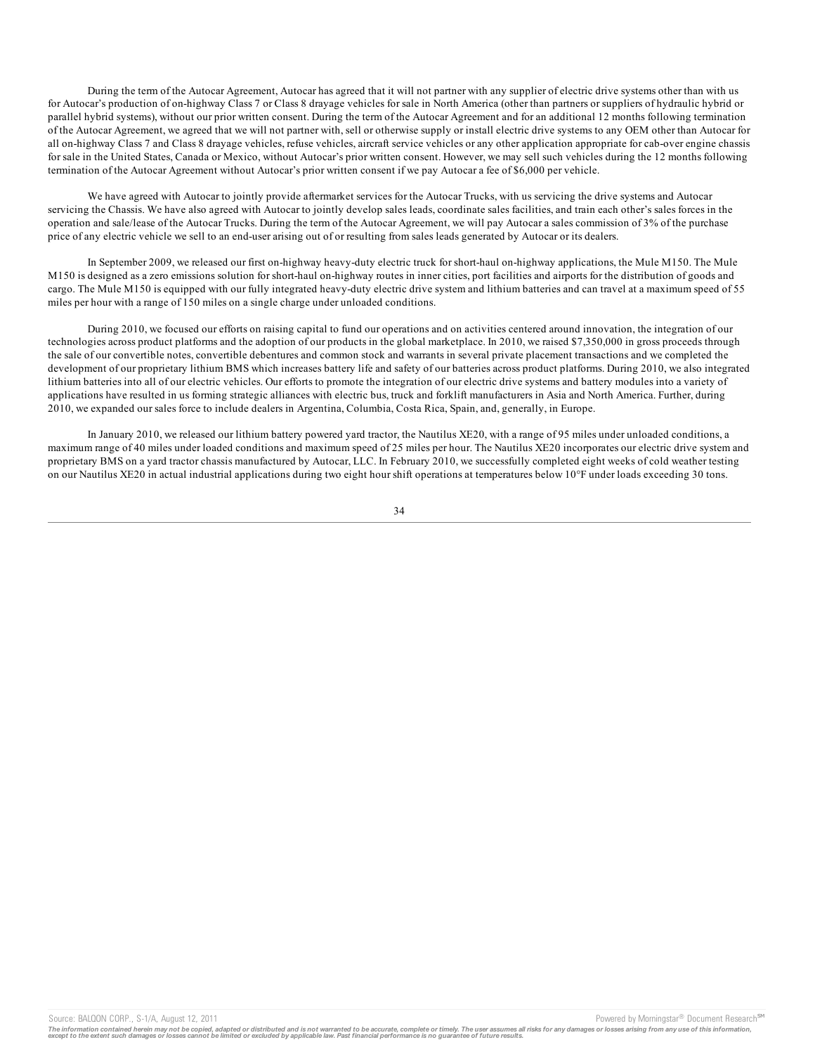During the term of the Autocar Agreement, Autocar has agreed that it will not partner with any supplier of electric drive systems other than with us for Autocar's production of on-highway Class 7 or Class 8 drayage vehicles for sale in North America (other than partners or suppliers of hydraulic hybrid or parallel hybrid systems), without our prior written consent. During the term of the Autocar Agreement and for an additional 12 months following termination of the Autocar Agreement, we agreed that we will not partner with, sell or otherwise supply or install electric drive systems to any OEM other than Autocar for all on-highway Class 7 and Class 8 drayage vehicles, refuse vehicles, aircraft service vehicles or any other application appropriate for cab-over engine chassis for sale in the United States, Canada or Mexico, without Autocar's prior written consent. However, we may sell such vehicles during the 12 months following termination of the Autocar Agreement without Autocar's prior written consent if we pay Autocar a fee of \$6,000 per vehicle.

We have agreed with Autocar to jointly provide aftermarket services for the Autocar Trucks, with us servicing the drive systems and Autocar servicing the Chassis. We have also agreed with Autocar to jointly develop sales leads, coordinate sales facilities, and train each other's sales forces in the operation and sale/lease of the Autocar Trucks. During the term of the Autocar Agreement, we will pay Autocar a sales commission of 3% of the purchase price of any electric vehicle we sell to an end-user arising out of or resulting from sales leads generated by Autocar or its dealers.

In September 2009, we released our first on-highway heavy-duty electric truck for short-haul on-highway applications, the Mule M150. The Mule M150 is designed as a zero emissions solution for short-haul on-highway routes in inner cities, port facilities and airports for the distribution of goods and cargo. The Mule M150 is equipped with our fully integrated heavy-duty electric drive system and lithium batteries and can travel at a maximum speed of 55 miles per hour with a range of 150 miles on a single charge under unloaded conditions.

During 2010, we focused our efforts on raising capital to fund our operations and on activities centered around innovation, the integration of our technologies across product platforms and the adoption of our products in the global marketplace. In 2010, we raised \$7,350,000 in gross proceeds through the sale of our convertible notes, convertible debentures and common stock and warrants in several private placement transactions and we completed the development of our proprietary lithium BMS which increases battery life and safety of our batteries across product platforms. During 2010, we also integrated lithium batteries into all of our electric vehicles. Our efforts to promote the integration of our electric drive systems and battery modules into a variety of applications have resulted in us forming strategic alliances with electric bus, truck and forklift manufacturers in Asia and North America. Further, during 2010, we expanded our sales force to include dealers in Argentina, Columbia, Costa Rica, Spain, and, generally, in Europe.

In January 2010, we released our lithium battery powered yard tractor, the Nautilus XE20, with a range of 95 miles under unloaded conditions, a maximum range of 40 miles under loaded conditions and maximum speed of 25 miles per hour. The Nautilus XE20 incorporates our electric drive system and proprietary BMS on a yard tractor chassis manufactured by Autocar, LLC. In February 2010, we successfully completed eight weeks of cold weather testing on our Nautilus XE20 in actual industrial applications during two eight hour shift operations at temperatures below 10°F under loads exceeding 30 tons.

34

Source: BALQON CORP., S-1/A, August 12, 2011 **Powered by Morningstar® Document Research** <sup>5M</sup>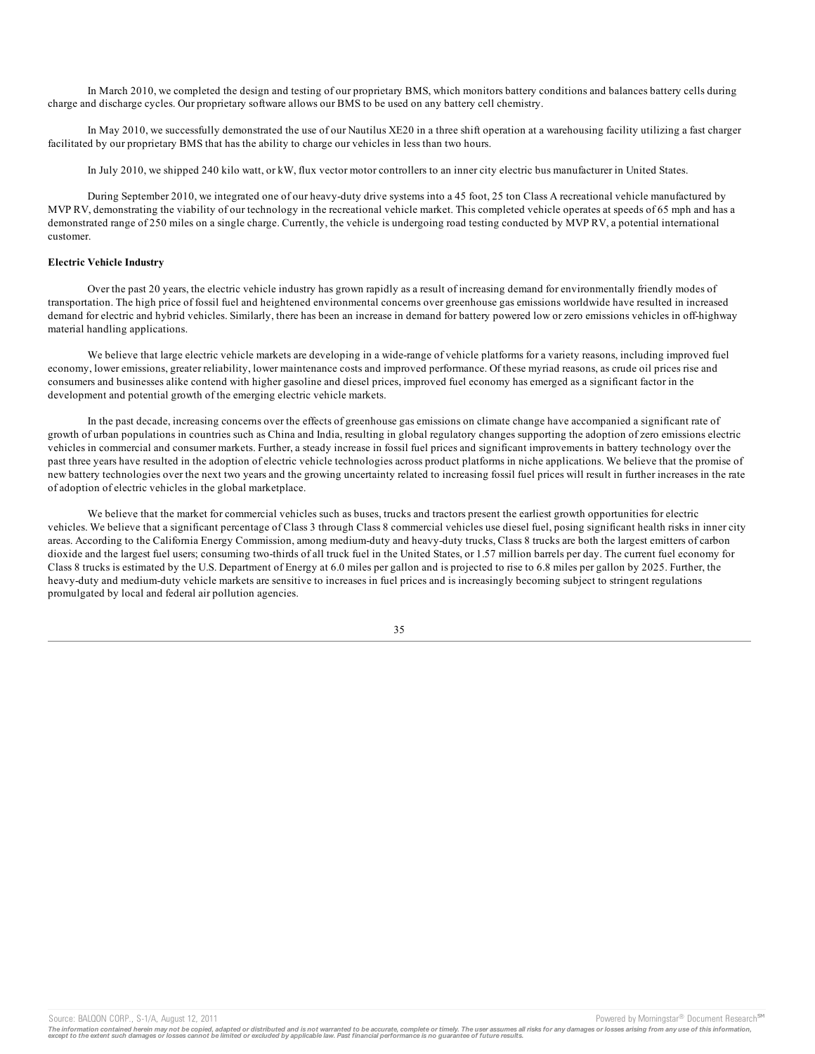In March 2010, we completed the design and testing of our proprietary BMS, which monitors battery conditions and balances battery cells during charge and discharge cycles. Our proprietary software allows our BMS to be used on any battery cell chemistry.

In May 2010, we successfully demonstrated the use of our Nautilus XE20 in a three shift operation at a warehousing facility utilizing a fast charger facilitated by our proprietary BMS that has the ability to charge our vehicles in less than two hours.

In July 2010, we shipped 240 kilo watt, or kW, flux vector motor controllers to an inner city electric bus manufacturer in United States.

During September 2010, we integrated one of our heavy-duty drive systems into a 45 foot, 25 ton Class A recreational vehicle manufactured by MVP RV, demonstrating the viability of our technology in the recreational vehicle market. This completed vehicle operates at speeds of 65 mph and has a demonstrated range of 250 miles on a single charge. Currently, the vehicle is undergoing road testing conducted by MVP RV, a potential international customer.

# **Electric Vehicle Industry**

Over the past 20 years, the electric vehicle industry has grown rapidly as a result of increasing demand for environmentally friendly modes of transportation. The high price of fossil fuel and heightened environmental concerns over greenhouse gas emissions worldwide have resulted in increased demand for electric and hybrid vehicles. Similarly, there has been an increase in demand for battery powered low or zero emissions vehicles in off-highway material handling applications.

We believe that large electric vehicle markets are developing in a wide-range of vehicle platforms for a variety reasons, including improved fuel economy, lower emissions, greater reliability, lower maintenance costs and improved performance. Of these myriad reasons, as crude oil prices rise and consumers and businesses alike contend with higher gasoline and diesel prices, improved fuel economy has emerged as a significant factor in the development and potential growth of the emerging electric vehicle markets.

In the past decade, increasing concerns over the effects of greenhouse gas emissions on climate change have accompanied a significant rate of growth of urban populations in countries such as China and India, resulting in global regulatory changes supporting the adoption of zero emissions electric vehicles in commercial and consumer markets. Further, a steady increase in fossil fuel prices and significant improvements in battery technology over the past three years have resulted in the adoption of electric vehicle technologies across product platforms in niche applications. We believe that the promise of new battery technologies over the next two years and the growing uncertainty related to increasing fossil fuel prices will result in further increases in the rate of adoption of electric vehicles in the global marketplace.

We believe that the market for commercial vehicles such as buses, trucks and tractors present the earliest growth opportunities for electric vehicles. We believe that a significant percentage of Class 3 through Class 8 commercial vehicles use diesel fuel, posing significant health risks in inner city areas. According to the California Energy Commission, among medium-duty and heavy-duty trucks, Class 8 trucks are both the largest emitters of carbon dioxide and the largest fuel users; consuming two-thirds of all truck fuel in the United States, or 1.57 million barrels per day. The current fuel economy for Class 8 trucks is estimated by the U.S. Department of Energy at 6.0 miles per gallon and is projected to rise to 6.8 miles per gallon by 2025. Further, the heavy-duty and medium-duty vehicle markets are sensitive to increases in fuel prices and is increasingly becoming subject to stringent regulations promulgated by local and federal air pollution agencies.

35

The information contained herein may not be copied, adapted or distributed and is not warranted to be accurate, complete or timely. The user assumes all risks for any damages or losses arising from any use of this informat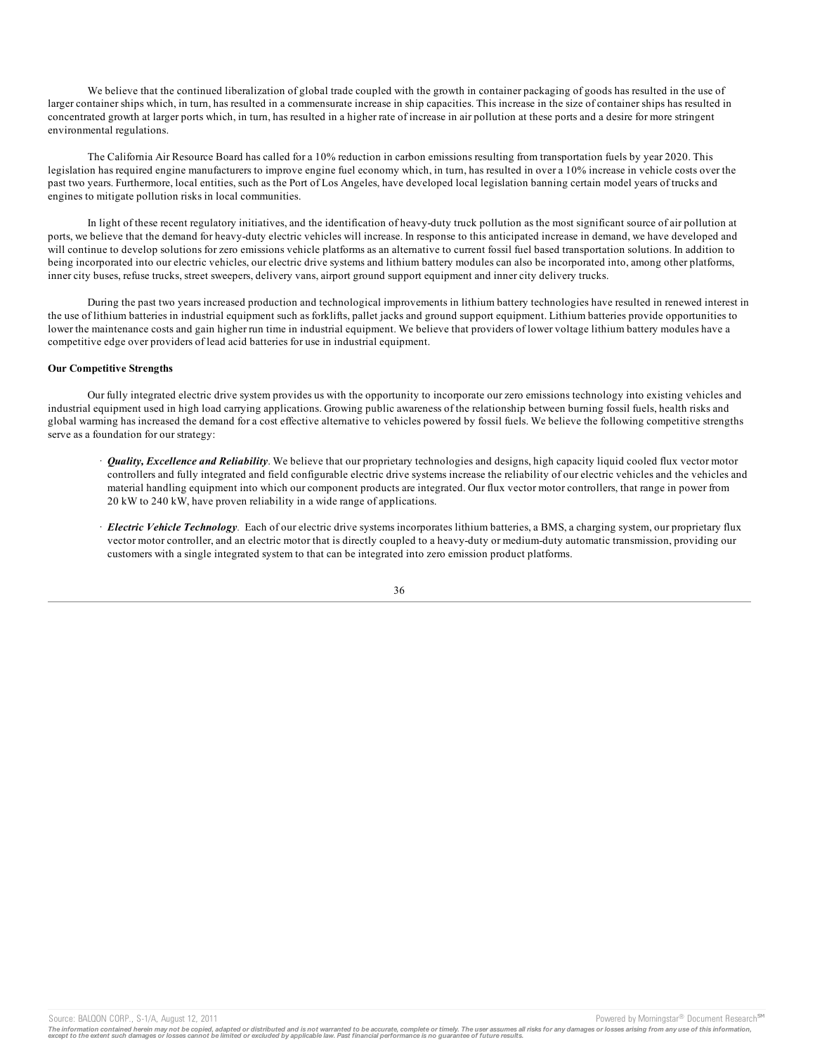We believe that the continued liberalization of global trade coupled with the growth in container packaging of goods has resulted in the use of larger container ships which, in turn, has resulted in a commensurate increase in ship capacities. This increase in the size of container ships has resulted in concentrated growth at larger ports which, in turn, has resulted in a higher rate of increase in air pollution at these ports and a desire for more stringent environmental regulations.

The California Air Resource Board has called for a 10% reduction in carbon emissions resulting from transportation fuels by year 2020. This legislation has required engine manufacturers to improve engine fuel economy which, in turn, has resulted in over a 10% increase in vehicle costs over the past two years. Furthermore, local entities, such as the Port of Los Angeles, have developed local legislation banning certain model years of trucks and engines to mitigate pollution risks in local communities.

In light of these recent regulatory initiatives, and the identification of heavy-duty truck pollution as the most significant source of air pollution at ports, we believe that the demand for heavy-duty electric vehicles will increase. In response to this anticipated increase in demand, we have developed and will continue to develop solutions for zero emissions vehicle platforms as an alternative to current fossil fuel based transportation solutions. In addition to being incorporated into our electric vehicles, our electric drive systems and lithium battery modules can also be incorporated into, among other platforms, inner city buses, refuse trucks, street sweepers, delivery vans, airport ground support equipment and inner city delivery trucks.

During the past two years increased production and technological improvements in lithium battery technologies have resulted in renewed interest in the use of lithium batteries in industrial equipment such as forklifts, pallet jacks and ground support equipment. Lithium batteries provide opportunities to lower the maintenance costs and gain higher run time in industrial equipment. We believe that providers of lower voltage lithium battery modules have a competitive edge over providers of lead acid batteries for use in industrial equipment.

## **Our Competitive Strengths**

Our fully integrated electric drive system provides us with the opportunity to incorporate our zero emissions technology into existing vehicles and industrial equipment used in high load carrying applications. Growing public awareness of the relationship between burning fossil fuels, health risks and global warming has increased the demand for a cost effective alternative to vehicles powered by fossil fuels. We believe the following competitive strengths serve as a foundation for our strategy:

- · *Quality, Excellence and Reliability*. We believe that our proprietary technologies and designs, high capacity liquid cooled flux vector motor controllers and fully integrated and field configurable electric drive systems increase the reliability of our electric vehicles and the vehicles and material handling equipment into which our component products are integrated. Our flux vector motor controllers, that range in power from 20 kW to 240 kW, have proven reliability in a wide range of applications.
- · *Electric Vehicle Technology.* Each of our electric drive systems incorporates lithium batteries, a BMS, a charging system, our proprietary flux vector motor controller, and an electric motor that is directly coupled to a heavy-duty or medium-duty automatic transmission, providing our customers with a single integrated system to that can be integrated into zero emission product platforms.

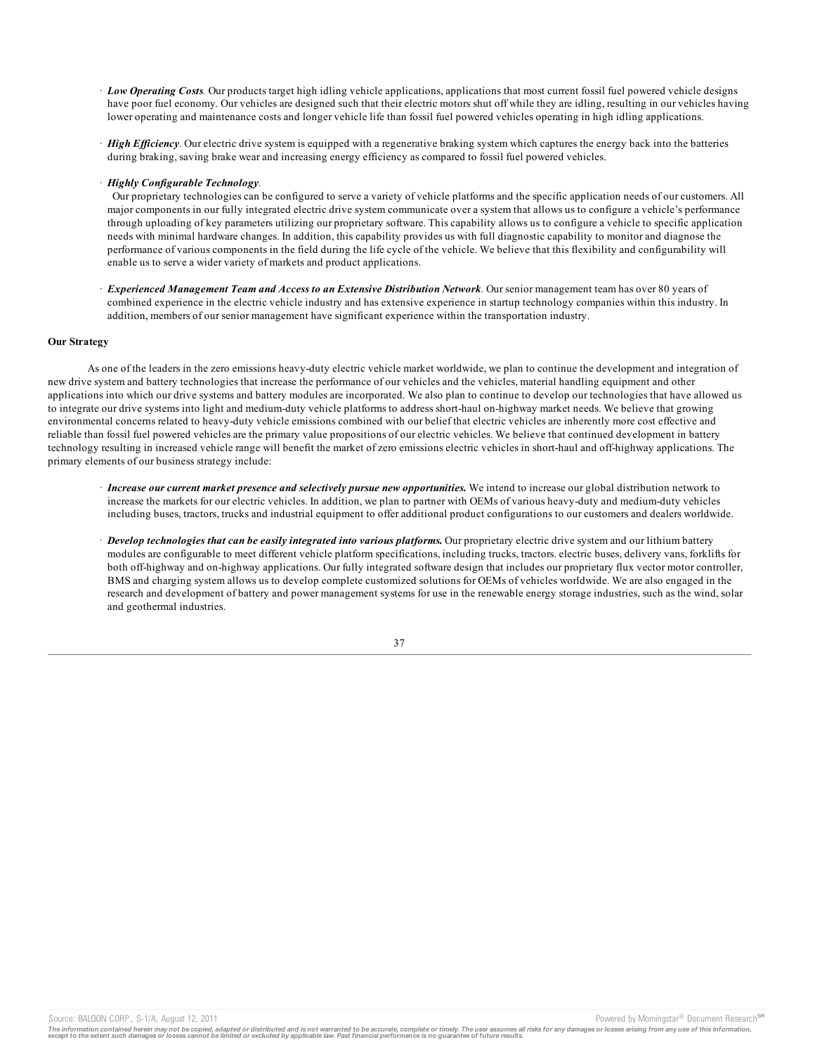- · *Low Operating Costs.* Our products target high idling vehicle applications, applications that most current fossil fuel powered vehicle designs have poor fuel economy. Our vehicles are designed such that their electric motors shut off while they are idling, resulting in our vehicles having lower operating and maintenance costs and longer vehicle life than fossil fuel powered vehicles operating in high idling applications.
- · *High Ef iciency.* Our electric drive system is equipped with a regenerative braking system which captures the energy back into the batteries during braking, saving brake wear and increasing energy efficiency as compared to fossil fuel powered vehicles.

### · *Highly Configurable Technology.*

Our proprietary technologies can be configured to serve a variety of vehicle platforms and the specific application needs of our customers. All major components in our fully integrated electric drive system communicate over a system that allows us to configure a vehicle's performance through uploading of key parameters utilizing our proprietary software. This capability allows us to configure a vehicle to specific application needs with minimal hardware changes. In addition, this capability provides us with full diagnostic capability to monitor and diagnose the performance of various components in the field during the life cycle of the vehicle. We believe that this flexibility and configurability will enable us to serve a wider variety of markets and product applications.

· *Experienced Management Team and Access to an Extensive Distribution Network.* Our senior management team has over 80 years of combined experience in the electric vehicle industry and has extensive experience in startup technology companies within this industry. In addition, members of our senior management have significant experience within the transportation industry.

# **Our Strategy**

As one of the leaders in the zero emissions heavy-duty electric vehicle market worldwide, we plan to continue the development and integration of new drive system and battery technologies that increase the performance of our vehicles and the vehicles, material handling equipment and other applications into which our drive systems and battery modules are incorporated. We also plan to continue to develop our technologies that have allowed us to integrate our drive systems into light and medium-duty vehicle platforms to address short-haul on-highway market needs. We believe that growing environmental concerns related to heavy-duty vehicle emissions combined with our belief that electric vehicles are inherently more cost effective and reliable than fossil fuel powered vehicles are the primary value propositions of our electric vehicles. We believe that continued development in battery technology resulting in increased vehicle range will benefit the market of zero emissions electric vehicles in short-haul and off-highway applications. The primary elements of our business strategy include:

- · *Increase our current market presence and selectively pursue new opportunities.* We intend to increase our global distribution network to increase the markets for our electric vehicles. In addition, we plan to partner with OEMs of various heavy-duty and medium-duty vehicles including buses, tractors, trucks and industrial equipment to offer additional product configurations to our customers and dealers worldwide.
- · *Develop technologies that can be easily integrated into various platforms.* Our proprietary electric drive system and our lithium battery modules are configurable to meet different vehicle platform specifications, including trucks, tractors. electric buses, delivery vans, forklifts for both off-highway and on-highway applications. Our fully integrated software design that includes our proprietary flux vector motor controller, BMS and charging system allows us to develop complete customized solutions for OEMs of vehicles worldwide. We are also engaged in the research and development of battery and power management systems for use in the renewable energy storage industries, such as the wind, solar and geothermal industries.

The information contained herein may not be copied, adapted or distributed and is not warranted to be accurate, complete or timely. The user assumes all risks for any damages or losses arising from any use of this informat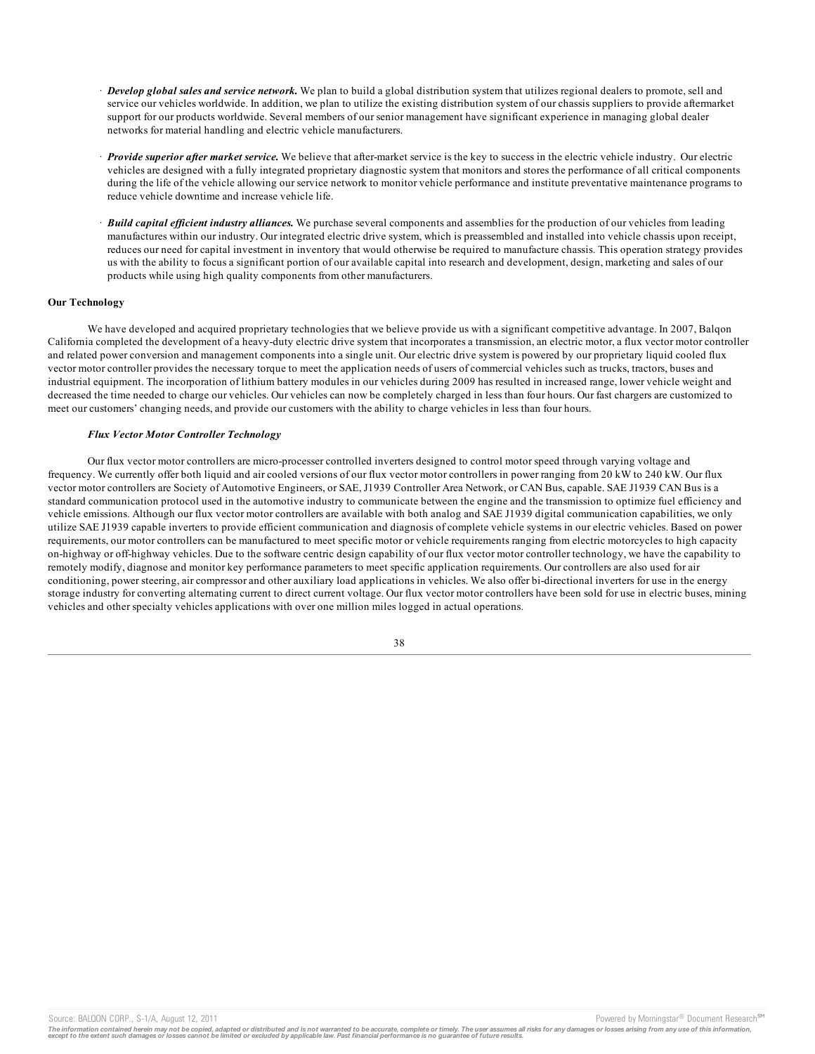- · *Develop global sales and service network.* We plan to build a global distribution system that utilizes regional dealers to promote, sell and service our vehicles worldwide. In addition, we plan to utilize the existing distribution system of our chassis suppliers to provide aftermarket support for our products worldwide. Several members of our senior management have significant experience in managing global dealer networks for material handling and electric vehicle manufacturers.
- · *Provide superior after market service.* We believe that after-market service is the key to success in the electric vehicle industry. Our electric vehicles are designed with a fully integrated proprietary diagnostic system that monitors and stores the performance of all critical components during the life of the vehicle allowing our service network to monitor vehicle performance and institute preventative maintenance programs to reduce vehicle downtime and increase vehicle life.
- · *Build capital ef icient industry alliances.* We purchase several components and assemblies for the production of our vehicles from leading manufactures within our industry. Our integrated electric drive system, which is preassembled and installed into vehicle chassis upon receipt, reduces our need for capital investment in inventory that would otherwise be required to manufacture chassis. This operation strategy provides us with the ability to focus a significant portion of our available capital into research and development, design, marketing and sales of our products while using high quality components from other manufacturers.

# **Our Technology**

We have developed and acquired proprietary technologies that we believe provide us with a significant competitive advantage. In 2007, Balqon California completed the development of a heavy-duty electric drive system that incorporates a transmission, an electric motor, a flux vector motor controller and related power conversion and management components into a single unit. Our electric drive system is powered by our proprietary liquid cooled flux vector motor controller provides the necessary torque to meet the application needs of users of commercial vehicles such as trucks, tractors, buses and industrial equipment. The incorporation of lithium battery modules in our vehicles during 2009 has resulted in increased range, lower vehicle weight and decreased the time needed to charge our vehicles. Our vehicles can now be completely charged in less than four hours. Our fast chargers are customized to meet our customers' changing needs, and provide our customers with the ability to charge vehicles in less than four hours.

### *Flux Vector Motor Controller Technology*

Our flux vector motor controllers are micro-processer controlled inverters designed to control motor speed through varying voltage and frequency. We currently offer both liquid and air cooled versions of our flux vector motor controllers in power ranging from 20 kW to 240 kW. Our flux vector motor controllers are Society of Automotive Engineers, or SAE, J1939 Controller Area Network, or CAN Bus, capable. SAE J1939 CAN Bus is a standard communication protocol used in the automotive industry to communicate between the engine and the transmission to optimize fuel efficiency and vehicle emissions. Although our flux vector motor controllers are available with both analog and SAE J1939 digital communication capabilities, we only utilize SAE J1939 capable inverters to provide efficient communication and diagnosis of complete vehicle systems in our electric vehicles. Based on power requirements, our motor controllers can be manufactured to meet specific motor or vehicle requirements ranging from electric motorcycles to high capacity on-highway or off-highway vehicles. Due to the software centric design capability of our flux vector motor controller technology, we have the capability to remotely modify, diagnose and monitor key performance parameters to meet specific application requirements. Our controllers are also used for air conditioning, power steering, air compressor and other auxiliary load applications in vehicles. We also offer bi-directional inverters for use in the energy storage industry for converting alternating current to direct current voltage. Our flux vector motor controllers have been sold for use in electric buses, mining vehicles and other specialty vehicles applications with over one million miles logged in actual operations.

38

The information contained herein may not be copied, adapted or distributed and is not warranted to be accurate, complete or timely. The user assumes all risks for any damages or losses arising from any use of this informat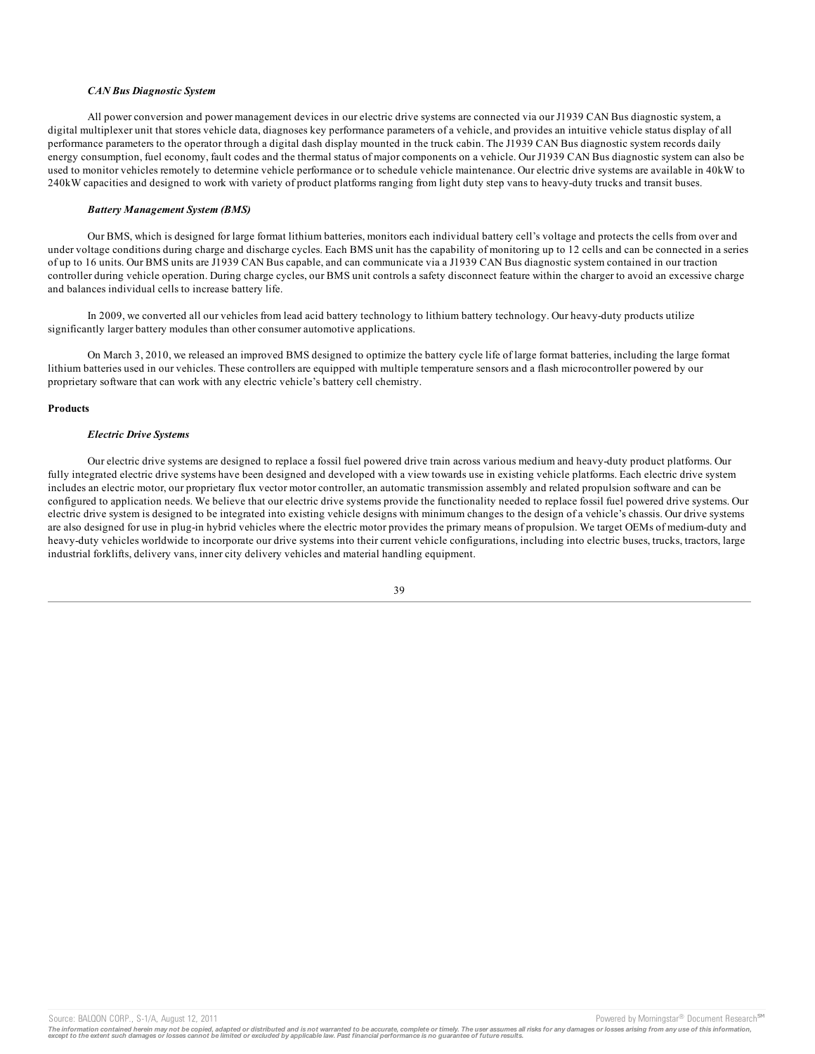## *CAN Bus Diagnostic System*

All power conversion and power management devices in our electric drive systems are connected via our J1939 CAN Bus diagnostic system, a digital multiplexer unit that stores vehicle data, diagnoses key performance parameters of a vehicle, and provides an intuitive vehicle status display of all performance parameters to the operator through a digital dash display mounted in the truck cabin. The J1939 CAN Bus diagnostic system records daily energy consumption, fuel economy, fault codes and the thermal status of major components on a vehicle. Our J1939 CAN Bus diagnostic system can also be used to monitor vehicles remotely to determine vehicle performance or to schedule vehicle maintenance. Our electric drive systems are available in 40kW to 240kW capacities and designed to work with variety of product platforms ranging from light duty step vans to heavy-duty trucks and transit buses.

### *Battery Management System (BMS)*

Our BMS, which is designed for large format lithium batteries, monitors each individual battery cell's voltage and protects the cells from over and under voltage conditions during charge and discharge cycles. Each BMS unit has the capability of monitoring up to 12 cells and can be connected in a series of up to 16 units. Our BMS units are J1939 CAN Bus capable, and can communicate via a J1939 CAN Bus diagnostic system contained in our traction controller during vehicle operation. During charge cycles, our BMS unit controls a safety disconnect feature within the charger to avoid an excessive charge and balances individual cells to increase battery life.

In 2009, we converted all our vehicles from lead acid battery technology to lithium battery technology. Our heavy-duty products utilize significantly larger battery modules than other consumer automotive applications.

On March 3, 2010, we released an improved BMS designed to optimize the battery cycle life of large format batteries, including the large format lithium batteries used in our vehicles. These controllers are equipped with multiple temperature sensors and a flash microcontroller powered by our proprietary software that can work with any electric vehicle's battery cell chemistry.

# **Products**

#### *Electric Drive Systems*

Our electric drive systems are designed to replace a fossil fuel powered drive train across various medium and heavy-duty product platforms. Our fully integrated electric drive systems have been designed and developed with a view towards use in existing vehicle platforms. Each electric drive system includes an electric motor, our proprietary flux vector motor controller, an automatic transmission assembly and related propulsion software and can be configured to application needs. We believe that our electric drive systems provide the functionality needed to replace fossil fuel powered drive systems. Our electric drive system is designed to be integrated into existing vehicle designs with minimum changes to the design of a vehicle's chassis. Our drive systems are also designed for use in plug-in hybrid vehicles where the electric motor provides the primary means of propulsion. We target OEMs of medium-duty and heavy-duty vehicles worldwide to incorporate our drive systems into their current vehicle configurations, including into electric buses, trucks, tractors, large industrial forklifts, delivery vans, inner city delivery vehicles and material handling equipment.

#### 39

The information contained herein may not be copied, adapted or distributed and is not warranted to be accurate, complete or timely. The user assumes all risks for any damages or losses arising from any use of this informat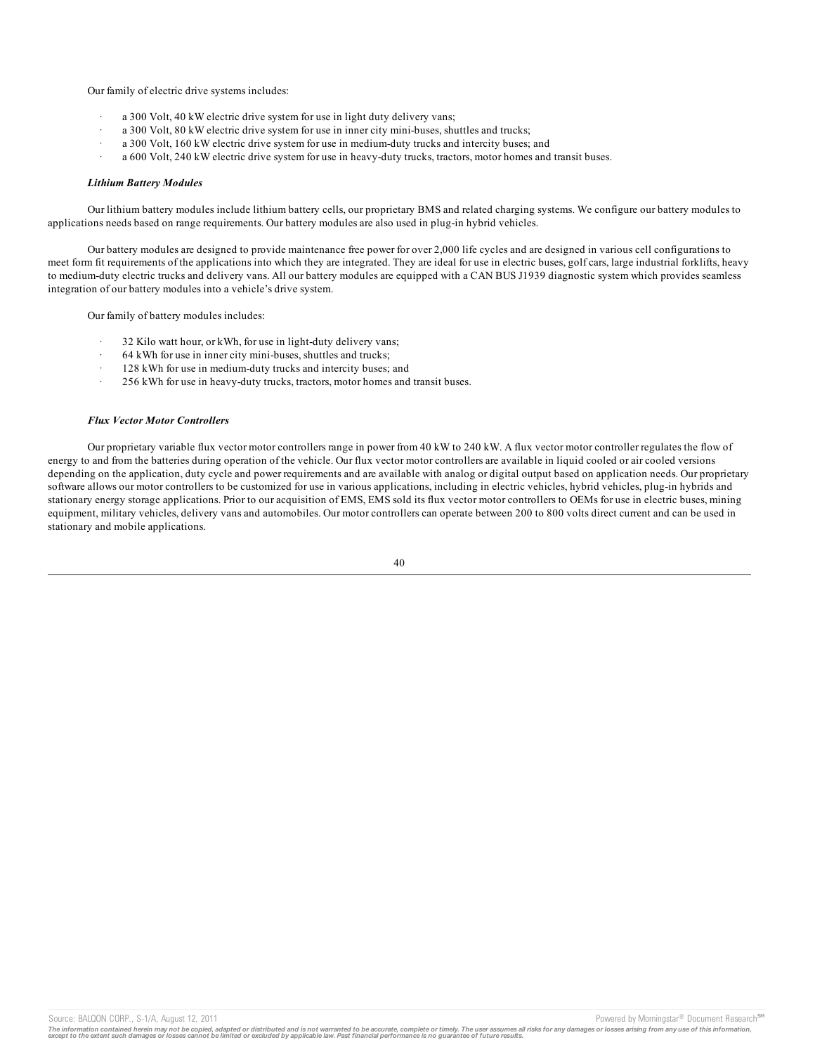Our family of electric drive systems includes:

- a 300 Volt, 40 kW electric drive system for use in light duty delivery vans;
- a 300 Volt, 80 kW electric drive system for use in inner city mini-buses, shuttles and trucks;
- · a 300 Volt, 160 kW electric drive system for use in medium-duty trucks and intercity buses; and
- a 600 Volt, 240 kW electric drive system for use in heavy-duty trucks, tractors, motor homes and transit buses.

#### *Lithium Battery Modules*

Our lithium battery modules include lithium battery cells, our proprietary BMS and related charging systems. We configure our battery modules to applications needs based on range requirements. Our battery modules are also used in plug-in hybrid vehicles.

Our battery modules are designed to provide maintenance free power for over 2,000 life cycles and are designed in various cell configurations to meet form fit requirements of the applications into which they are integrated. They are ideal for use in electric buses, golf cars, large industrial forklifts, heavy to medium-duty electric trucks and delivery vans. All our battery modules are equipped with a CAN BUS J1939 diagnostic system which provides seamless integration of our battery modules into a vehicle's drive system.

Our family of battery modules includes:

- 32 Kilo watt hour, or kWh, for use in light-duty delivery vans;
- · 64 kWh for use in inner city mini-buses, shuttles and trucks;
- 128 kWh for use in medium-duty trucks and intercity buses; and
- 256 kWh for use in heavy-duty trucks, tractors, motor homes and transit buses.

### *Flux Vector Motor Controllers*

Our proprietary variable flux vector motor controllers range in power from 40 kW to 240 kW. A flux vector motor controller regulates the flow of energy to and from the batteries during operation of the vehicle. Our flux vector motor controllers are available in liquid cooled or air cooled versions depending on the application, duty cycle and power requirements and are available with analog or digital output based on application needs. Our proprietary software allows our motor controllers to be customized for use in various applications, including in electric vehicles, hybrid vehicles, plug-in hybrids and stationary energy storage applications. Prior to our acquisition of EMS, EMS sold its flux vector motor controllers to OEMs for use in electric buses, mining equipment, military vehicles, delivery vans and automobiles. Our motor controllers can operate between 200 to 800 volts direct current and can be used in stationary and mobile applications.

40

The information contained herein may not be copied, adapted or distributed and is not warranted to be accurate, complete or timely. The user assumes all risks for any damages or losses arising from any use of this informat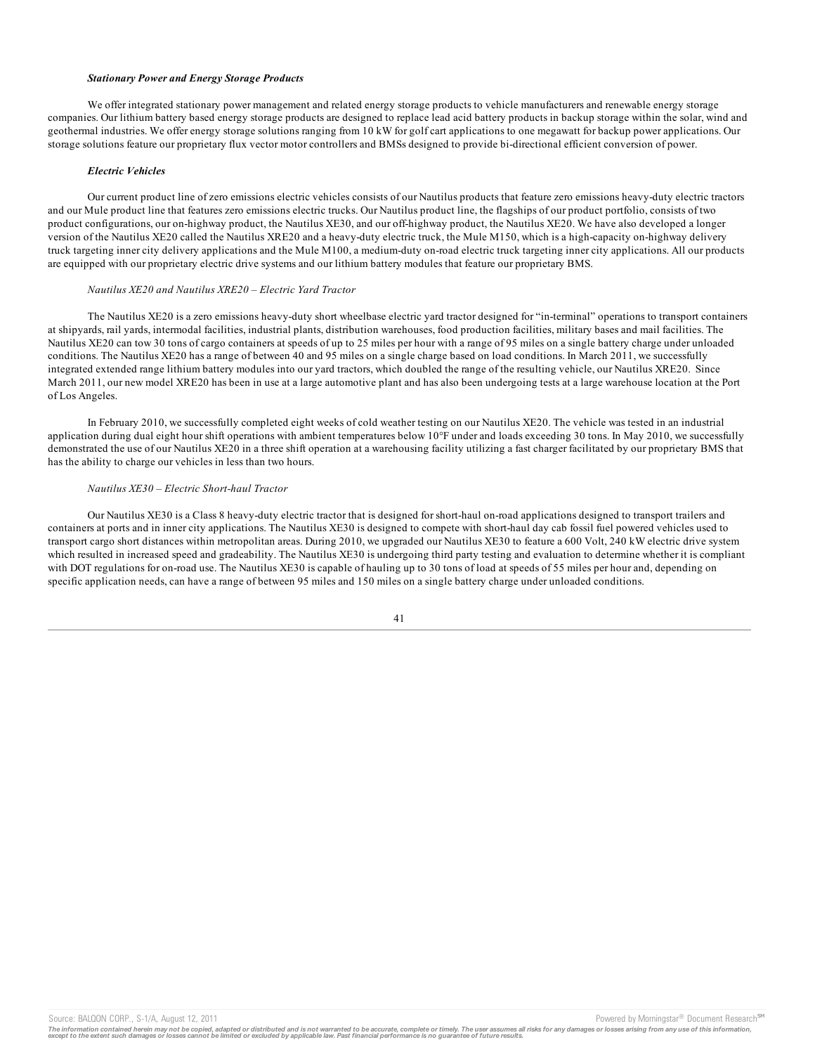# *Stationary Power and Energy Storage Products*

We offer integrated stationary power management and related energy storage products to vehicle manufacturers and renewable energy storage companies. Our lithium battery based energy storage products are designed to replace lead acid battery products in backup storage within the solar, wind and geothermal industries. We offer energy storage solutions ranging from 10 kW for golf cart applications to one megawatt for backup power applications. Our storage solutions feature our proprietary flux vector motor controllers and BMSs designed to provide bi-directional efficient conversion of power.

#### *Electric Vehicles*

Our current product line of zero emissions electric vehicles consists of our Nautilus products that feature zero emissions heavy-duty electric tractors and our Mule product line that features zero emissions electric trucks. Our Nautilus product line, the flagships of our product portfolio, consists of two product configurations, our on-highway product, the Nautilus XE30, and our off-highway product, the Nautilus XE20. We have also developed a longer version of the Nautilus XE20 called the Nautilus XRE20 and a heavy-duty electric truck, the Mule M150, which is a high-capacity on-highway delivery truck targeting inner city delivery applications and the Mule M100, a medium-duty on-road electric truck targeting inner city applications. All our products are equipped with our proprietary electric drive systems and our lithium battery modules that feature our proprietary BMS.

# *Nautilus XE20 and Nautilus XRE20 – Electric Yard Tractor*

The Nautilus XE20 is a zero emissions heavy-duty short wheelbase electric yard tractor designed for "in-terminal" operations to transport containers at shipyards, rail yards, intermodal facilities, industrial plants, distribution warehouses, food production facilities, military bases and mail facilities. The Nautilus XE20 can tow 30 tons of cargo containers at speeds of up to 25 miles per hour with a range of 95 miles on a single battery charge under unloaded conditions. The Nautilus XE20 has a range of between 40 and 95 miles on a single charge based on load conditions. In March 2011, we successfully integrated extended range lithium battery modules into our yard tractors, which doubled the range of the resulting vehicle, our Nautilus XRE20. Since March 2011, our new model XRE20 has been in use at a large automotive plant and has also been undergoing tests at a large warehouse location at the Port of Los Angeles.

In February 2010, we successfully completed eight weeks of cold weather testing on our Nautilus XE20. The vehicle was tested in an industrial application during dual eight hour shift operations with ambient temperatures below 10°F under and loads exceeding 30 tons. In May 2010, we successfully demonstrated the use of our Nautilus XE20 in a three shift operation at a warehousing facility utilizing a fast charger facilitated by our proprietary BMS that has the ability to charge our vehicles in less than two hours.

## *Nautilus XE30 – Electric Short-haul Tractor*

Our Nautilus XE30 is a Class 8 heavy-duty electric tractor that is designed for short-haul on-road applications designed to transport trailers and containers at ports and in inner city applications. The Nautilus XE30 is designed to compete with short-haul day cab fossil fuel powered vehicles used to transport cargo short distances within metropolitan areas. During 2010, we upgraded our Nautilus XE30 to feature a 600 Volt, 240 kW electric drive system which resulted in increased speed and gradeability. The Nautilus XE30 is undergoing third party testing and evaluation to determine whether it is compliant with DOT regulations for on-road use. The Nautilus XE30 is capable of hauling up to 30 tons of load at speeds of 55 miles per hour and, depending on specific application needs, can have a range of between 95 miles and 150 miles on a single battery charge under unloaded conditions.

41

Source: BALQON CORP., S-1/A, August 12, 2011 **Powered by Morningstar® Document Research** in Powered by Morningstar® Document Research in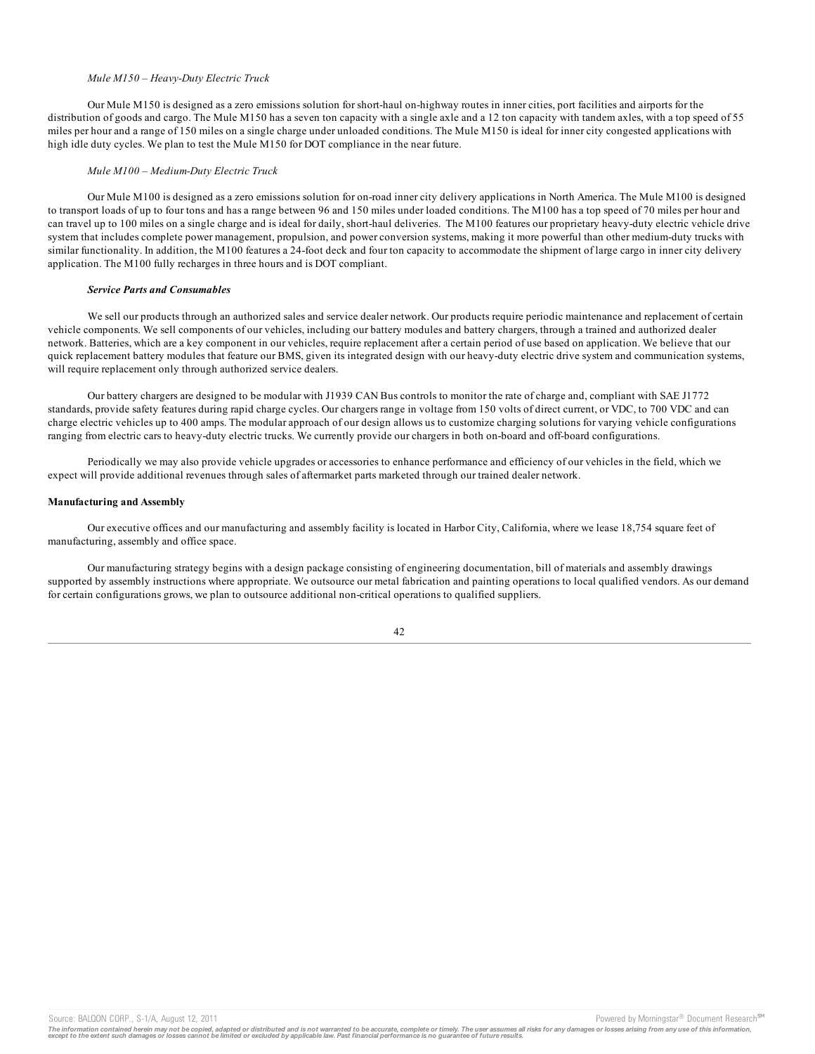# *Mule M150 – Heavy-Duty Electric Truck*

Our Mule M150 is designed as a zero emissions solution for short-haul on-highway routes in inner cities, port facilities and airports for the distribution of goods and cargo. The Mule M150 has a seven ton capacity with a single axle and a 12 ton capacity with tandem axles, with a top speed of 55 miles per hour and a range of 150 miles on a single charge under unloaded conditions. The Mule M150 is ideal for inner city congested applications with high idle duty cycles. We plan to test the Mule M150 for DOT compliance in the near future.

#### *Mule M100 – Medium-Duty Electric Truck*

Our Mule M100 is designed as a zero emissions solution for on-road inner city delivery applications in North America. The Mule M100 is designed to transport loads of up to four tons and has a range between 96 and 150 miles under loaded conditions. The M100 has a top speed of 70 miles per hour and can travel up to 100 miles on a single charge and is ideal for daily, short-haul deliveries. The M100 features our proprietary heavy-duty electric vehicle drive system that includes complete power management, propulsion, and power conversion systems, making it more powerful than other medium-duty trucks with similar functionality. In addition, the M100 features a 24-foot deck and four ton capacity to accommodate the shipment of large cargo in inner city delivery application. The M100 fully recharges in three hours and is DOT compliant.

# *Service Parts and Consumables*

We sell our products through an authorized sales and service dealer network. Our products require periodic maintenance and replacement of certain vehicle components. We sell components of our vehicles, including our battery modules and battery chargers, through a trained and authorized dealer network. Batteries, which are a key component in our vehicles, require replacement after a certain period of use based on application. We believe that our quick replacement battery modules that feature our BMS, given its integrated design with our heavy-duty electric drive system and communication systems, will require replacement only through authorized service dealers.

Our battery chargers are designed to be modular with J1939 CAN Bus controls to monitor the rate of charge and, compliant with SAE J1772 standards, provide safety features during rapid charge cycles. Our chargers range in voltage from 150 volts of direct current, or VDC, to 700 VDC and can charge electric vehicles up to 400 amps. The modular approach of our design allows us to customize charging solutions for varying vehicle configurations ranging from electric cars to heavy-duty electric trucks. We currently provide our chargers in both on-board and off-board configurations.

Periodically we may also provide vehicle upgrades or accessories to enhance performance and efficiency of our vehicles in the field, which we expect will provide additional revenues through sales of aftermarket parts marketed through our trained dealer network.

#### **Manufacturing and Assembly**

Our executive offices and our manufacturing and assembly facility is located in Harbor City, California, where we lease 18,754 square feet of manufacturing, assembly and office space.

Our manufacturing strategy begins with a design package consisting of engineering documentation, bill of materials and assembly drawings supported by assembly instructions where appropriate. We outsource our metal fabrication and painting operations to local qualified vendors. As our demand for certain configurations grows, we plan to outsource additional non-critical operations to qualified suppliers.

42

Source: BALQON CORP., S-1/A, August 12, 2011 **Powered by Morningstar® Document Research** <sup>5M</sup>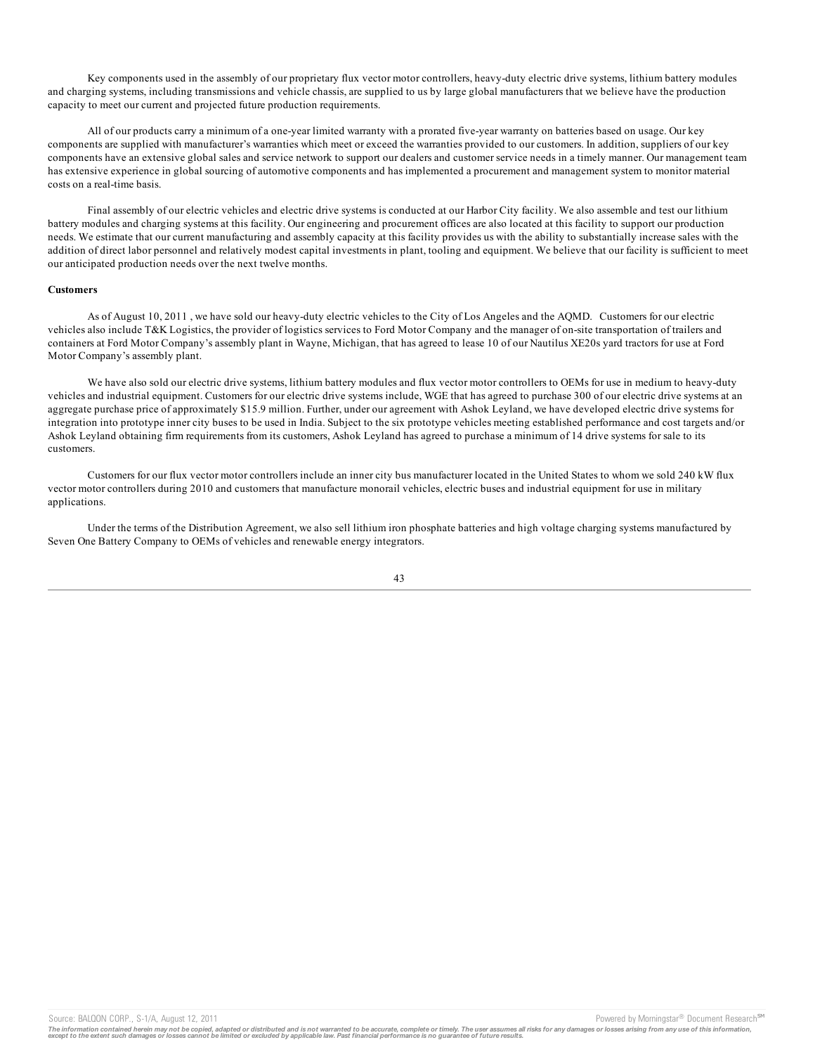Key components used in the assembly of our proprietary flux vector motor controllers, heavy-duty electric drive systems, lithium battery modules and charging systems, including transmissions and vehicle chassis, are supplied to us by large global manufacturers that we believe have the production capacity to meet our current and projected future production requirements.

All of our products carry a minimum of a one-year limited warranty with a prorated five-year warranty on batteries based on usage. Our key components are supplied with manufacturer's warranties which meet or exceed the warranties provided to our customers. In addition, suppliers of our key components have an extensive global sales and service network to support our dealers and customer service needs in a timely manner. Our management team has extensive experience in global sourcing of automotive components and has implemented a procurement and management system to monitor material costs on a real-time basis.

Final assembly of our electric vehicles and electric drive systems is conducted at our Harbor City facility. We also assemble and test our lithium battery modules and charging systems at this facility. Our engineering and procurement offices are also located at this facility to support our production needs. We estimate that our current manufacturing and assembly capacity at this facility provides us with the ability to substantially increase sales with the addition of direct labor personnel and relatively modest capital investments in plant, tooling and equipment. We believe that our facility is sufficient to meet our anticipated production needs over the next twelve months.

# **Customers**

As of August 10, 2011 , we have sold our heavy-duty electric vehicles to the City of Los Angeles and the AQMD. Customers for our electric vehicles also include T&K Logistics, the provider of logistics services to Ford Motor Company and the manager of on-site transportation of trailers and containers at Ford Motor Company's assembly plant in Wayne, Michigan, that has agreed to lease 10 of our Nautilus XE20s yard tractors for use at Ford Motor Company's assembly plant.

We have also sold our electric drive systems, lithium battery modules and flux vector motor controllers to OEMs for use in medium to heavy-duty vehicles and industrial equipment. Customers for our electric drive systems include, WGE that has agreed to purchase 300 of our electric drive systems at an aggregate purchase price of approximately \$15.9 million. Further, under our agreement with Ashok Leyland, we have developed electric drive systems for integration into prototype inner city buses to be used in India. Subject to the six prototype vehicles meeting established performance and cost targets and/or Ashok Leyland obtaining firm requirements from its customers, Ashok Leyland has agreed to purchase a minimum of 14 drive systems for sale to its customers.

Customers for our flux vector motor controllers include an inner city bus manufacturer located in the United States to whom we sold 240 kW flux vector motor controllers during 2010 and customers that manufacture monorail vehicles, electric buses and industrial equipment for use in military applications.

Under the terms of the Distribution Agreement, we also sell lithium iron phosphate batteries and high voltage charging systems manufactured by Seven One Battery Company to OEMs of vehicles and renewable energy integrators.



The information contained herein may not be copied, adapted or distributed and is not warranted to be accurate, complete or timely. The user assumes all risks for any damages or losses arising from any use of this informat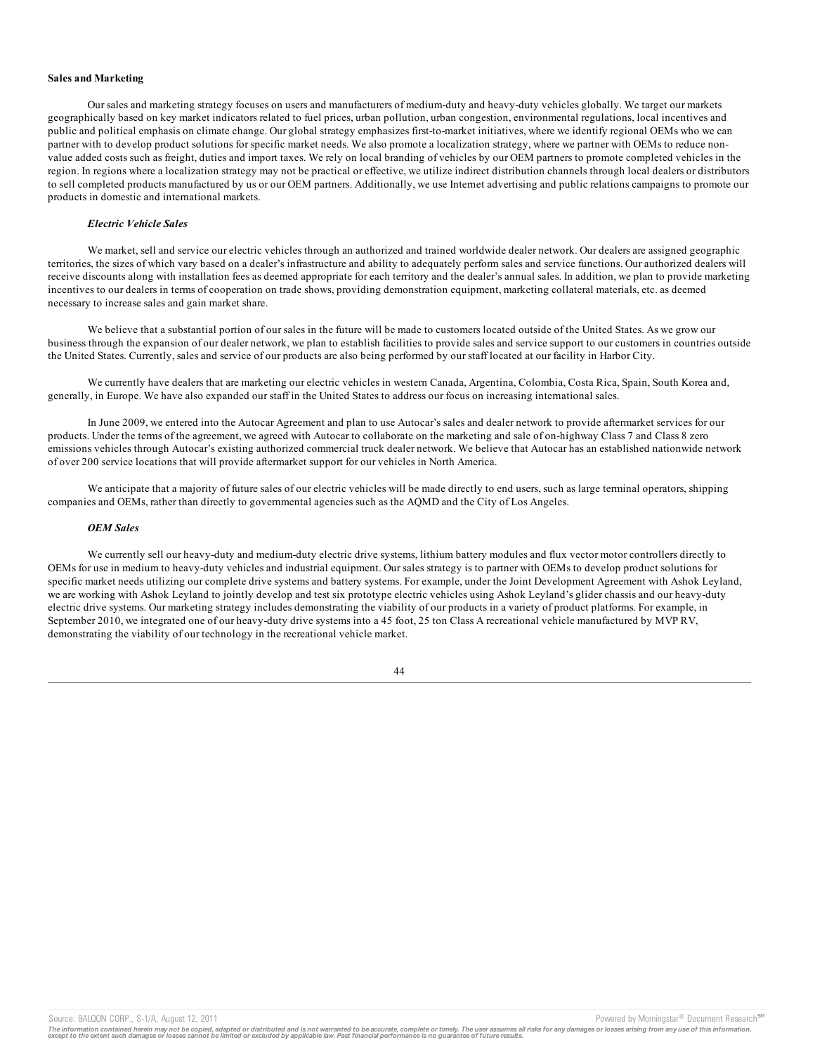### **Sales and Marketing**

Our sales and marketing strategy focuses on users and manufacturers of medium-duty and heavy-duty vehicles globally. We target our markets geographically based on key market indicators related to fuel prices, urban pollution, urban congestion, environmental regulations, local incentives and public and political emphasis on climate change. Our global strategy emphasizes first-to-market initiatives, where we identify regional OEMs who we can partner with to develop product solutions for specific market needs. We also promote a localization strategy, where we partner with OEMs to reduce nonvalue added costs such as freight, duties and import taxes. We rely on local branding of vehicles by our OEM partners to promote completed vehicles in the region. In regions where a localization strategy may not be practical or effective, we utilize indirect distribution channels through local dealers or distributors to sell completed products manufactured by us or our OEM partners. Additionally, we use Internet advertising and public relations campaigns to promote our products in domestic and international markets.

# *Electric Vehicle Sales*

We market, sell and service our electric vehicles through an authorized and trained worldwide dealer network. Our dealers are assigned geographic territories, the sizes of which vary based on a dealer's infrastructure and ability to adequately perform sales and service functions. Our authorized dealers will receive discounts along with installation fees as deemed appropriate for each territory and the dealer's annual sales. In addition, we plan to provide marketing incentives to our dealers in terms of cooperation on trade shows, providing demonstration equipment, marketing collateral materials, etc. as deemed necessary to increase sales and gain market share.

We believe that a substantial portion of our sales in the future will be made to customers located outside of the United States. As we grow our business through the expansion of our dealer network, we plan to establish facilities to provide sales and service support to our customers in countries outside the United States. Currently, sales and service of our products are also being performed by our staff located at our facility in Harbor City.

We currently have dealers that are marketing our electric vehicles in western Canada, Argentina, Colombia, Costa Rica, Spain, South Korea and, generally, in Europe. We have also expanded our staff in the United States to address our focus on increasing international sales.

In June 2009, we entered into the Autocar Agreement and plan to use Autocar's sales and dealer network to provide aftermarket services for our products. Under the terms of the agreement, we agreed with Autocar to collaborate on the marketing and sale of on-highway Class 7 and Class 8 zero emissions vehicles through Autocar's existing authorized commercial truck dealer network. We believe that Autocar has an established nationwide network of over 200 service locations that will provide aftermarket support for our vehicles in North America.

We anticipate that a majority of future sales of our electric vehicles will be made directly to end users, such as large terminal operators, shipping companies and OEMs, rather than directly to governmental agencies such as the AQMD and the City of Los Angeles.

# *OEM Sales*

We currently sell our heavy-duty and medium-duty electric drive systems, lithium battery modules and flux vector motor controllers directly to OEMs for use in medium to heavy-duty vehicles and industrial equipment. Our sales strategy is to partner with OEMs to develop product solutions for specific market needs utilizing our complete drive systems and battery systems. For example, under the Joint Development Agreement with Ashok Leyland, we are working with Ashok Leyland to jointly develop and test six prototype electric vehicles using Ashok Leyland's glider chassis and our heavy-duty electric drive systems. Our marketing strategy includes demonstrating the viability of our products in a variety of product platforms. For example, in September 2010, we integrated one of our heavy-duty drive systems into a 45 foot, 25 ton Class A recreational vehicle manufactured by MVP RV, demonstrating the viability of our technology in the recreational vehicle market.

44

The information contained herein may not be copied, adapted or distributed and is not warranted to be accurate, complete or timely. The user assumes all risks for any damages or losses arising from any use of this informat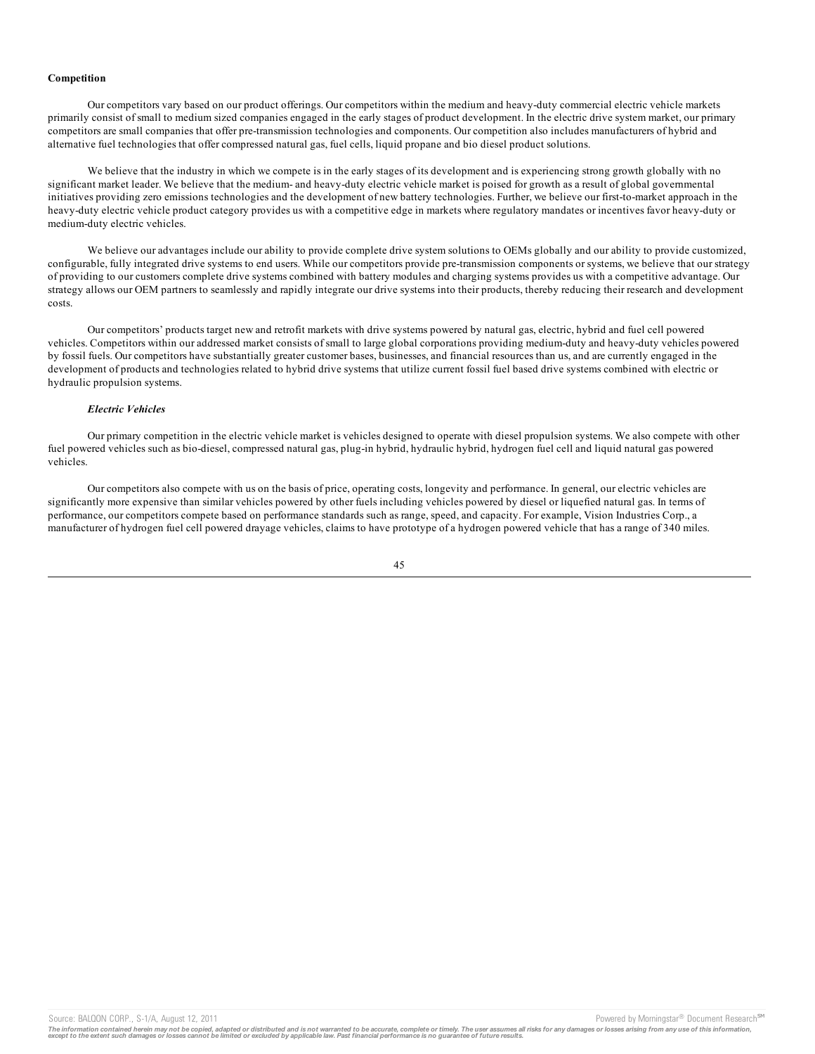#### **Competition**

Our competitors vary based on our product offerings. Our competitors within the medium and heavy-duty commercial electric vehicle markets primarily consist of small to medium sized companies engaged in the early stages of product development. In the electric drive system market, our primary competitors are small companies that offer pre-transmission technologies and components. Our competition also includes manufacturers of hybrid and alternative fuel technologies that offer compressed natural gas, fuel cells, liquid propane and bio diesel product solutions.

We believe that the industry in which we compete is in the early stages of its development and is experiencing strong growth globally with no significant market leader. We believe that the medium- and heavy-duty electric vehicle market is poised for growth as a result of global governmental initiatives providing zero emissions technologies and the development of new battery technologies. Further, we believe our first-to-market approach in the heavy-duty electric vehicle product category provides us with a competitive edge in markets where regulatory mandates or incentives favor heavy-duty or medium-duty electric vehicles.

We believe our advantages include our ability to provide complete drive system solutions to OEMs globally and our ability to provide customized, configurable, fully integrated drive systems to end users. While our competitors provide pre-transmission components or systems, we believe that our strategy of providing to our customers complete drive systems combined with battery modules and charging systems provides us with a competitive advantage. Our strategy allows our OEM partners to seamlessly and rapidly integrate our drive systems into their products, thereby reducing their research and development costs.

Our competitors' products target new and retrofit markets with drive systems powered by natural gas, electric, hybrid and fuel cell powered vehicles. Competitors within our addressed market consists of small to large global corporations providing medium-duty and heavy-duty vehicles powered by fossil fuels. Our competitors have substantially greater customer bases, businesses, and financial resources than us, and are currently engaged in the development of products and technologies related to hybrid drive systems that utilize current fossil fuel based drive systems combined with electric or hydraulic propulsion systems.

# *Electric Vehicles*

Our primary competition in the electric vehicle market is vehicles designed to operate with diesel propulsion systems. We also compete with other fuel powered vehicles such as bio-diesel, compressed natural gas, plug-in hybrid, hydraulic hybrid, hydrogen fuel cell and liquid natural gas powered vehicles.

Our competitors also compete with us on the basis of price, operating costs, longevity and performance. In general, our electric vehicles are significantly more expensive than similar vehicles powered by other fuels including vehicles powered by diesel or liquefied natural gas. In terms of performance, our competitors compete based on performance standards such as range, speed, and capacity. For example, Vision Industries Corp., a manufacturer of hydrogen fuel cell powered drayage vehicles, claims to have prototype of a hydrogen powered vehicle that has a range of 340 miles.

Source: BALQON CORP., S-1/A, August 12, 2011 **Powered by Morningstar® Document Research** in Powered by Morningstar® Document Research in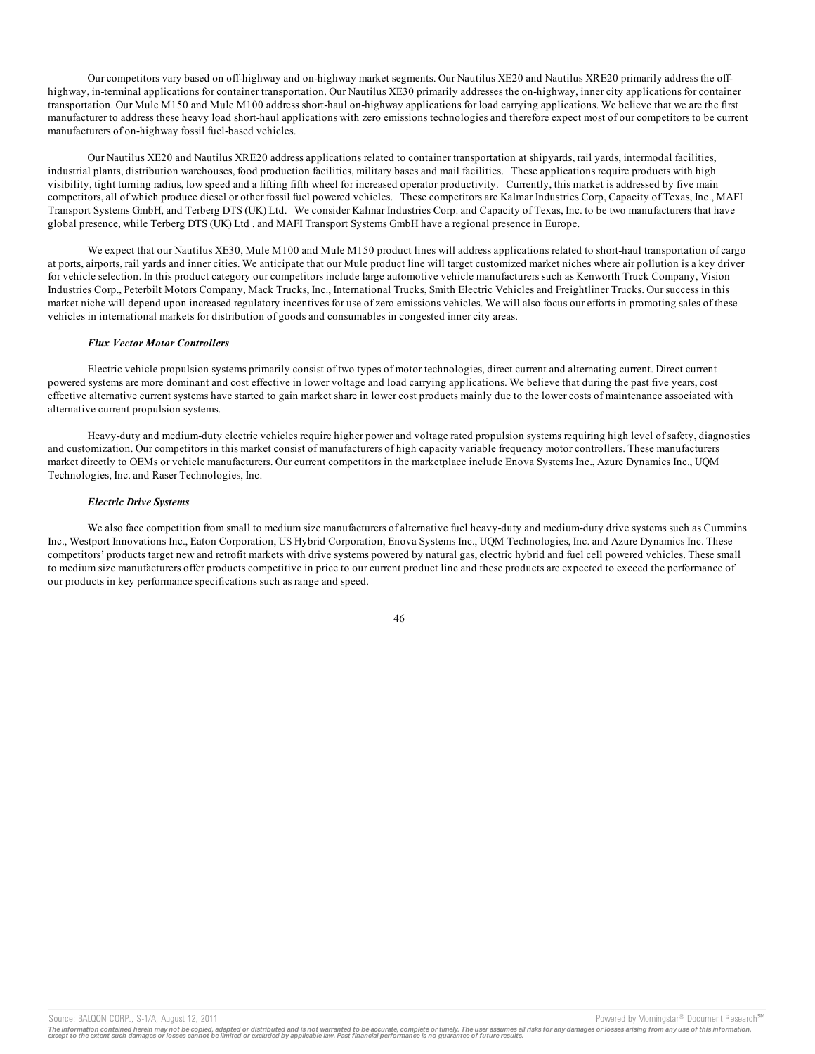Our competitors vary based on off-highway and on-highway market segments. Our Nautilus XE20 and Nautilus XRE20 primarily address the offhighway, in-terminal applications for container transportation. Our Nautilus XE30 primarily addresses the on-highway, inner city applications for container transportation. Our Mule M150 and Mule M100 address short-haul on-highway applications for load carrying applications. We believe that we are the first manufacturer to address these heavy load short-haul applications with zero emissions technologies and therefore expect most of our competitors to be current manufacturers of on-highway fossil fuel-based vehicles.

Our Nautilus XE20 and Nautilus XRE20 address applications related to container transportation at shipyards, rail yards, intermodal facilities, industrial plants, distribution warehouses, food production facilities, military bases and mail facilities. These applications require products with high visibility, tight turning radius, low speed and a lifting fifth wheel for increased operator productivity. Currently, this market is addressed by five main competitors, all of which produce diesel or other fossil fuel powered vehicles. These competitors are Kalmar Industries Corp, Capacity of Texas, Inc., MAFI Transport Systems GmbH, and Terberg DTS (UK) Ltd. We consider Kalmar Industries Corp. and Capacity of Texas, Inc. to be two manufacturers that have global presence, while Terberg DTS (UK) Ltd . and MAFI Transport Systems GmbH have a regional presence in Europe.

We expect that our Nautilus XE30, Mule M100 and Mule M150 product lines will address applications related to short-haul transportation of cargo at ports, airports, rail yards and inner cities. We anticipate that our Mule product line will target customized market niches where air pollution is a key driver for vehicle selection. In this product category our competitors include large automotive vehicle manufacturers such as Kenworth Truck Company, Vision Industries Corp., Peterbilt Motors Company, Mack Trucks, Inc., International Trucks, Smith Electric Vehicles and Freightliner Trucks. Our success in this market niche will depend upon increased regulatory incentives for use of zero emissions vehicles. We will also focus our efforts in promoting sales of these vehicles in international markets for distribution of goods and consumables in congested inner city areas.

### *Flux Vector Motor Controllers*

Electric vehicle propulsion systems primarily consist of two types of motor technologies, direct current and alternating current. Direct current powered systems are more dominant and cost effective in lower voltage and load carrying applications. We believe that during the past five years, cost effective alternative current systems have started to gain market share in lower cost products mainly due to the lower costs of maintenance associated with alternative current propulsion systems.

Heavy-duty and medium-duty electric vehicles require higher power and voltage rated propulsion systems requiring high level of safety, diagnostics and customization. Our competitors in this market consist of manufacturers of high capacity variable frequency motor controllers. These manufacturers market directly to OEMs or vehicle manufacturers. Our current competitors in the marketplace include Enova Systems Inc., Azure Dynamics Inc., UQM Technologies, Inc. and Raser Technologies, Inc.

#### *Electric Drive Systems*

We also face competition from small to medium size manufacturers of alternative fuel heavy-duty and medium-duty drive systems such as Cummins Inc., Westport Innovations Inc., Eaton Corporation, US Hybrid Corporation, Enova Systems Inc., UQM Technologies, Inc. and Azure Dynamics Inc. These competitors' products target new and retrofit markets with drive systems powered by natural gas, electric hybrid and fuel cell powered vehicles. These small to medium size manufacturers offer products competitive in price to our current product line and these products are expected to exceed the performance of our products in key performance specifications such as range and speed.

46

Source: BALQON CORP., S-1/A, August 12, 2011 **Powered by Morningstar® Document Research** Morningstar® Document Research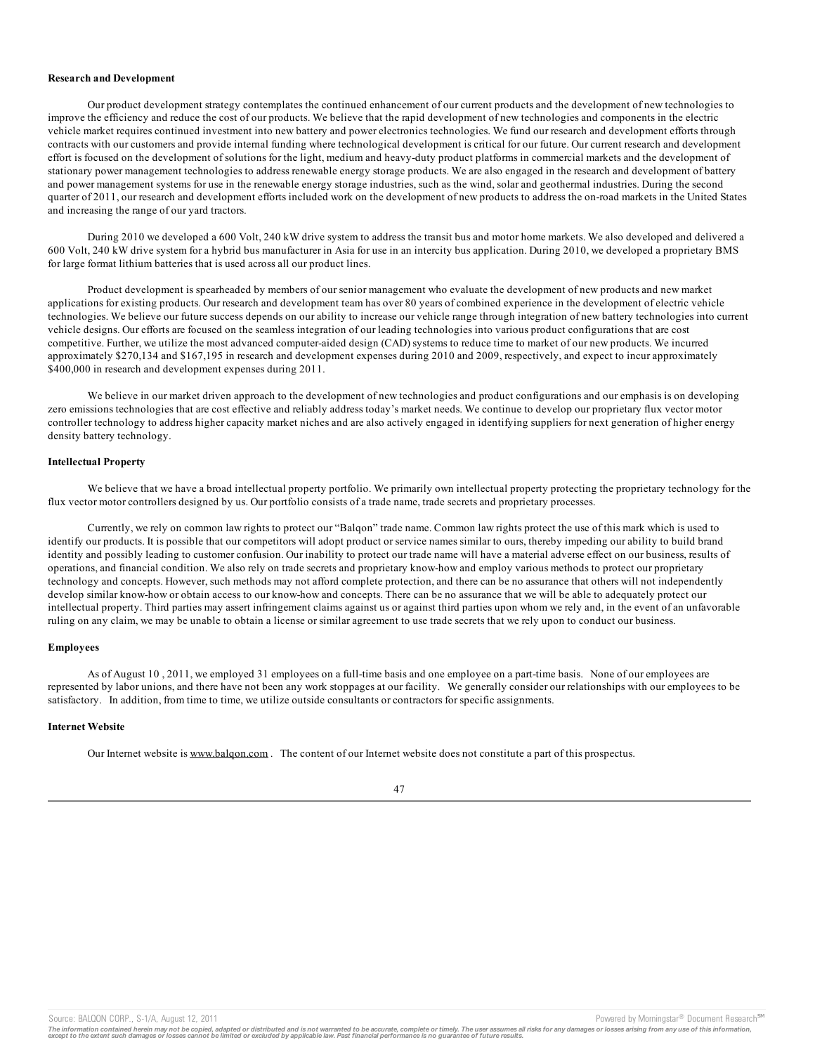### **Research and Development**

Our product development strategy contemplates the continued enhancement of our current products and the development of new technologies to improve the efficiency and reduce the cost of our products. We believe that the rapid development of new technologies and components in the electric vehicle market requires continued investment into new battery and power electronics technologies. We fund our research and development efforts through contracts with our customers and provide internal funding where technological development is critical for our future. Our current research and development effort is focused on the development of solutions for the light, medium and heavy-duty product platforms in commercial markets and the development of stationary power management technologies to address renewable energy storage products. We are also engaged in the research and development of battery and power management systems for use in the renewable energy storage industries, such as the wind, solar and geothermal industries. During the second quarter of 2011, our research and development efforts included work on the development of new products to address the on-road markets in the United States and increasing the range of our yard tractors.

During 2010 we developed a 600 Volt, 240 kW drive system to address the transit bus and motor home markets. We also developed and delivered a 600 Volt, 240 kW drive system for a hybrid bus manufacturer in Asia for use in an intercity bus application. During 2010, we developed a proprietary BMS for large format lithium batteries that is used across all our product lines.

Product development is spearheaded by members of our senior management who evaluate the development of new products and new market applications for existing products. Our research and development team has over 80 years of combined experience in the development of electric vehicle technologies. We believe our future success depends on our ability to increase our vehicle range through integration of new battery technologies into current vehicle designs. Our efforts are focused on the seamless integration of our leading technologies into various product configurations that are cost competitive. Further, we utilize the most advanced computer-aided design (CAD) systems to reduce time to market of our new products. We incurred approximately \$270,134 and \$167,195 in research and development expenses during 2010 and 2009, respectively, and expect to incur approximately \$400,000 in research and development expenses during 2011.

We believe in our market driven approach to the development of new technologies and product configurations and our emphasis is on developing zero emissions technologies that are cost effective and reliably address today's market needs. We continue to develop our proprietary flux vector motor controller technology to address higher capacity market niches and are also actively engaged in identifying suppliers for next generation of higher energy density battery technology.

# **Intellectual Property**

We believe that we have a broad intellectual property portfolio. We primarily own intellectual property protecting the proprietary technology for the flux vector motor controllers designed by us. Our portfolio consists of a trade name, trade secrets and proprietary processes.

Currently, we rely on common law rights to protect our "Balqon" trade name. Common law rights protect the use of this mark which is used to identify our products. It is possible that our competitors will adopt product or service names similar to ours, thereby impeding our ability to build brand identity and possibly leading to customer confusion. Our inability to protect our trade name will have a material adverse effect on our business, results of operations, and financial condition. We also rely on trade secrets and proprietary know-how and employ various methods to protect our proprietary technology and concepts. However, such methods may not afford complete protection, and there can be no assurance that others will not independently develop similar know-how or obtain access to our know-how and concepts. There can be no assurance that we will be able to adequately protect our intellectual property. Third parties may assert infringement claims against us or against third parties upon whom we rely and, in the event of an unfavorable ruling on any claim, we may be unable to obtain a license or similar agreement to use trade secrets that we rely upon to conduct our business.

### **Employees**

As of August 10 , 2011, we employed 31 employees on a full-time basis and one employee on a part-time basis. None of our employees are represented by labor unions, and there have not been any work stoppages at our facility. We generally consider our relationships with our employees to be satisfactory. In addition, from time to time, we utilize outside consultants or contractors for specific assignments.

### **Internet Website**

Our Internet website is www.balqon.com . The content of our Internet website does not constitute a part of this prospectus.

47

Source: BALQON CORP., S-1/A, August 12, 2011 **Powered by Morningstar® Document Research** <sup>5M</sup>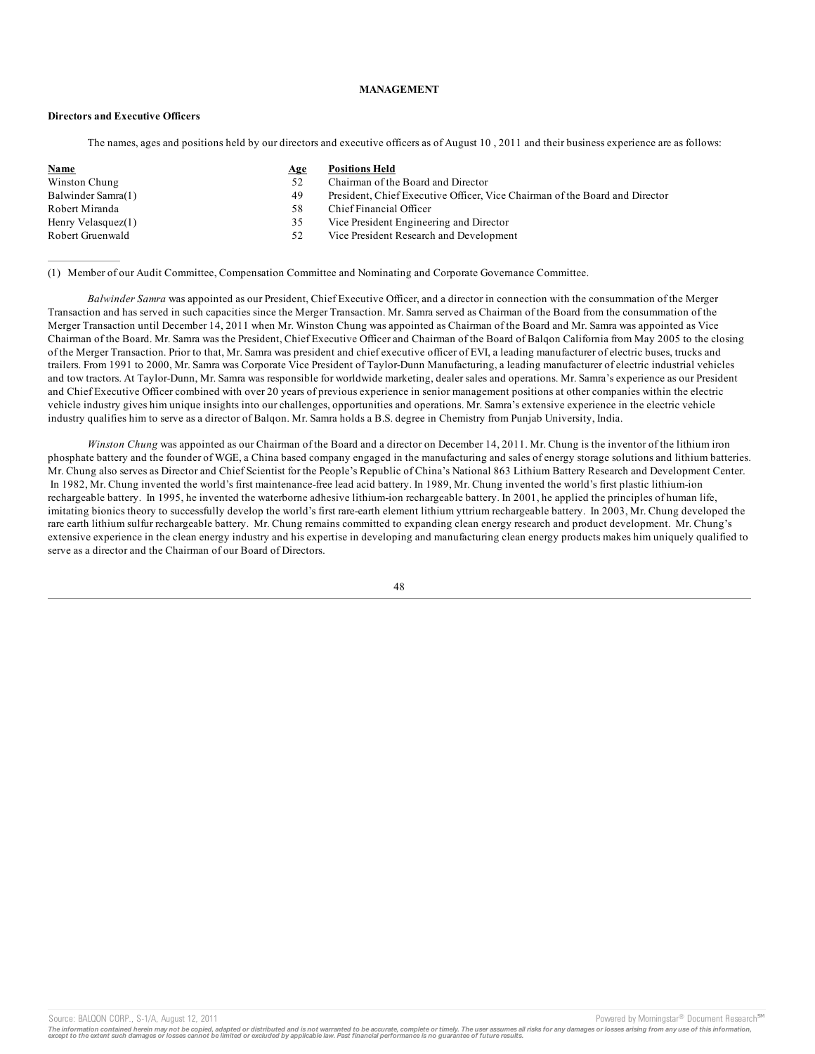#### **MANAGEMENT**

# **Directors and Executive Officers**

The names, ages and positions held by our directors and executive officers as of August 10 , 2011 and their business experience are as follows:

| <b>Name</b>        | Age | <b>Positions Held</b>                                                       |
|--------------------|-----|-----------------------------------------------------------------------------|
| Winston Chung      | 52  | Chairman of the Board and Director                                          |
| Balwinder Samra(1) | 49  | President, Chief Executive Officer, Vice Chairman of the Board and Director |
| Robert Miranda     | 58  | Chief Financial Officer                                                     |
| Henry Velasquez(1) | 35  | Vice President Engineering and Director                                     |
| Robert Gruenwald   |     | Vice President Research and Development                                     |

(1) Member of our Audit Committee, Compensation Committee and Nominating and Corporate Governance Committee.

*Balwinder Samra* was appointed as our President, Chief Executive Officer, and a director in connection with the consummation of the Merger Transaction and has served in such capacities since the Merger Transaction. Mr. Samra served as Chairman of the Board from the consummation of the Merger Transaction until December 14, 2011 when Mr. Winston Chung was appointed as Chairman of the Board and Mr. Samra was appointed as Vice Chairman of the Board. Mr. Samra was the President, Chief Executive Officer and Chairman of the Board of Balqon California from May 2005 to the closing of the Merger Transaction. Prior to that, Mr. Samra was president and chief executive officer of EVI, a leading manufacturer of electric buses, trucks and trailers. From 1991 to 2000, Mr. Samra was Corporate Vice President of Taylor-Dunn Manufacturing, a leading manufacturer of electric industrial vehicles and tow tractors. At Taylor-Dunn, Mr. Samra was responsible for worldwide marketing, dealer sales and operations. Mr. Samra's experience as our President and Chief Executive Officer combined with over 20 years of previous experience in senior management positions at other companies within the electric vehicle industry gives him unique insights into our challenges, opportunities and operations. Mr. Samra's extensive experience in the electric vehicle industry qualifies him to serve as a director of Balqon. Mr. Samra holds a B.S. degree in Chemistry from Punjab University, India.

*Winston Chung* was appointed as our Chairman of the Board and a director on December 14, 2011. Mr. Chung is the inventor of the lithium iron phosphate battery and the founder of WGE, a China based company engaged in the manufacturing and sales of energy storage solutions and lithium batteries. Mr. Chung also serves as Director and Chief Scientist for the People's Republic of China's National 863 Lithium Battery Research and Development Center. In 1982, Mr. Chung invented the world's first maintenance-free lead acid battery. In 1989, Mr. Chung invented the world's first plastic lithium-ion rechargeable battery. In 1995, he invented the waterborne adhesive lithium-ion rechargeable battery. In 2001, he applied the principles of human life, imitating bionics theory to successfully develop the world's first rare-earth element lithium yttrium rechargeable battery. In 2003, Mr. Chung developed the rare earth lithium sulfur rechargeable battery. Mr. Chung remains committed to expanding clean energy research and product development. Mr. Chung's extensive experience in the clean energy industry and his expertise in developing and manufacturing clean energy products makes him uniquely qualified to serve as a director and the Chairman of our Board of Directors.

Source: BALQON CORP., S-1/A, August 12, 2011 **Properties and August 2018** Powered by Morningstar® Document Research <sup>sw</sup>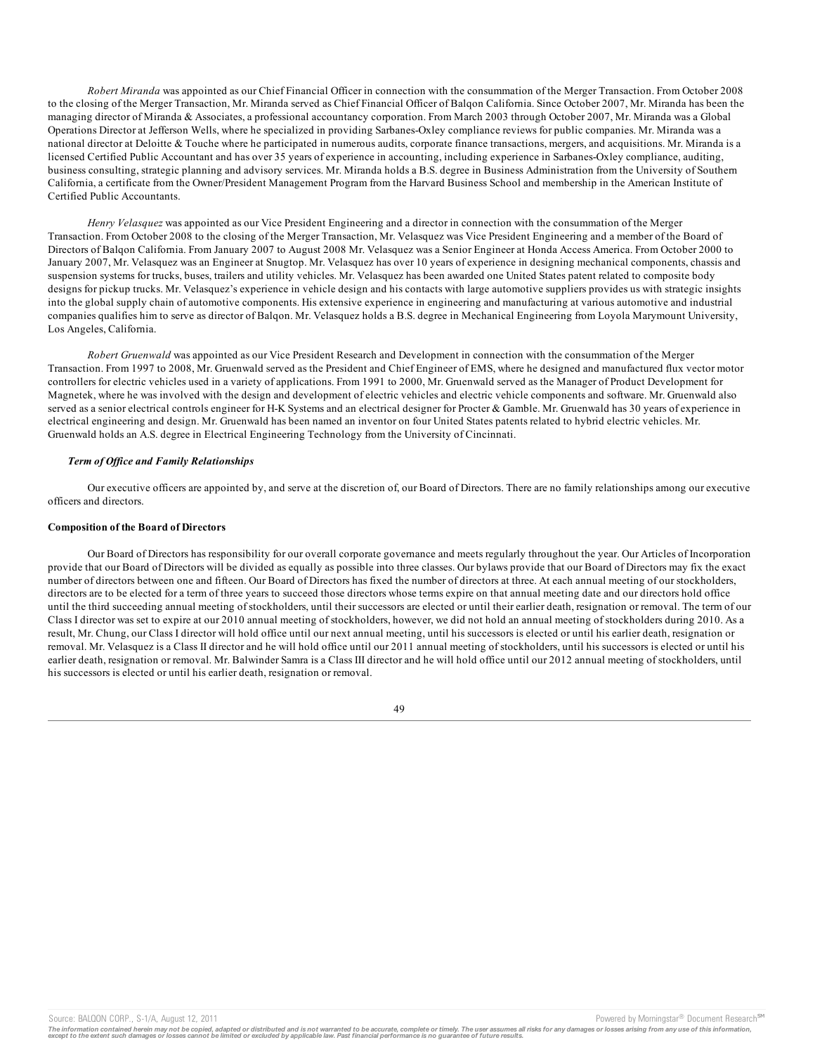*Robert Miranda* was appointed as our Chief Financial Officer in connection with the consummation of the Merger Transaction. From October 2008 to the closing of the Merger Transaction, Mr. Miranda served as Chief Financial Officer of Balqon California. Since October 2007, Mr. Miranda has been the managing director of Miranda & Associates, a professional accountancy corporation. From March 2003 through October 2007, Mr. Miranda was a Global Operations Director at Jefferson Wells, where he specialized in providing Sarbanes-Oxley compliance reviews for public companies. Mr. Miranda was a national director at Deloitte & Touche where he participated in numerous audits, corporate finance transactions, mergers, and acquisitions. Mr. Miranda is a licensed Certified Public Accountant and has over 35 years of experience in accounting, including experience in Sarbanes-Oxley compliance, auditing, business consulting, strategic planning and advisory services. Mr. Miranda holds a B.S. degree in Business Administration from the University of Southern California, a certificate from the Owner/President Management Program from the Harvard Business School and membership in the American Institute of Certified Public Accountants.

*Henry Velasquez* was appointed as our Vice President Engineering and a director in connection with the consummation of the Merger Transaction. From October 2008 to the closing of the Merger Transaction, Mr. Velasquez was Vice President Engineering and a member of the Board of Directors of Balqon California. From January 2007 to August 2008 Mr. Velasquez was a Senior Engineer at Honda Access America. From October 2000 to January 2007, Mr. Velasquez was an Engineer at Snugtop. Mr. Velasquez has over 10 years of experience in designing mechanical components, chassis and suspension systems for trucks, buses, trailers and utility vehicles. Mr. Velasquez has been awarded one United States patent related to composite body designs for pickup trucks. Mr. Velasquez's experience in vehicle design and his contacts with large automotive suppliers provides us with strategic insights into the global supply chain of automotive components. His extensive experience in engineering and manufacturing at various automotive and industrial companies qualifies him to serve as director of Balqon. Mr. Velasquez holds a B.S. degree in Mechanical Engineering from Loyola Marymount University, Los Angeles, California.

*Robert Gruenwald* was appointed as our Vice President Research and Development in connection with the consummation of the Merger Transaction. From 1997 to 2008, Mr. Gruenwald served as the President and Chief Engineer of EMS, where he designed and manufactured flux vector motor controllers for electric vehicles used in a variety of applications. From 1991 to 2000, Mr. Gruenwald served as the Manager of Product Development for Magnetek, where he was involved with the design and development of electric vehicles and electric vehicle components and software. Mr. Gruenwald also served as a senior electrical controls engineer for H-K Systems and an electrical designer for Procter & Gamble. Mr. Gruenwald has 30 years of experience in electrical engineering and design. Mr. Gruenwald has been named an inventor on four United States patents related to hybrid electric vehicles. Mr. Gruenwald holds an A.S. degree in Electrical Engineering Technology from the University of Cincinnati.

# *Term of Of ice and Family Relationships*

Our executive officers are appointed by, and serve at the discretion of, our Board of Directors. There are no family relationships among our executive officers and directors.

### **Composition of the Board of Directors**

Our Board of Directors has responsibility for our overall corporate governance and meets regularly throughout the year. Our Articles of Incorporation provide that our Board of Directors will be divided as equally as possible into three classes. Our bylaws provide that our Board of Directors may fix the exact number of directors between one and fifteen. Our Board of Directors has fixed the number of directors at three. At each annual meeting of our stockholders, directors are to be elected for a term of three years to succeed those directors whose terms expire on that annual meeting date and our directors hold office until the third succeeding annual meeting of stockholders, until their successors are elected or until their earlier death, resignation or removal. The term of our Class I director was set to expire at our 2010 annual meeting of stockholders, however, we did not hold an annual meeting of stockholders during 2010. As a result, Mr. Chung, our Class I director will hold office until our next annual meeting, until his successors is elected or until his earlier death, resignation or removal. Mr. Velasquez is a Class II director and he will hold office until our 2011 annual meeting of stockholders, until his successors is elected or until his earlier death, resignation or removal. Mr. Balwinder Samra is a Class III director and he will hold office until our 2012 annual meeting of stockholders, until his successors is elected or until his earlier death, resignation or removal.

49

Source: BALQON CORP., S-1/A, August 12, 2011 **Powered by Morningstar® Document Research** Morningstar® Document Research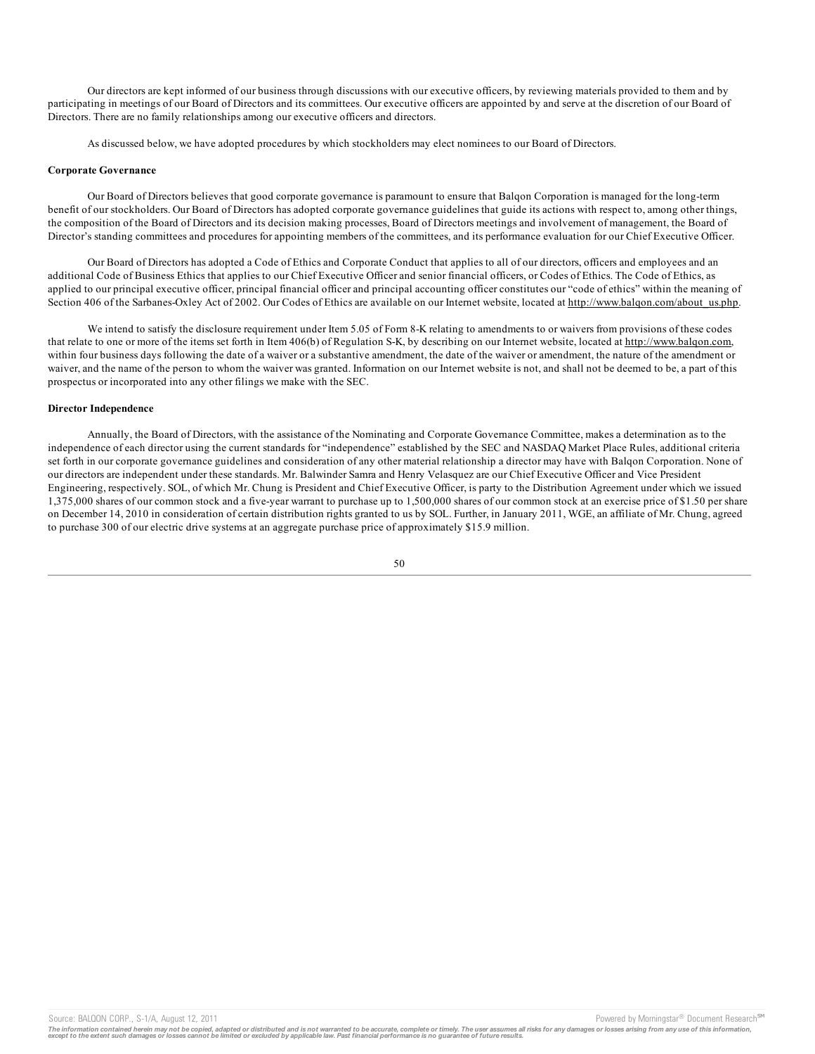Our directors are kept informed of our business through discussions with our executive officers, by reviewing materials provided to them and by participating in meetings of our Board of Directors and its committees. Our executive officers are appointed by and serve at the discretion of our Board of Directors. There are no family relationships among our executive officers and directors.

As discussed below, we have adopted procedures by which stockholders may elect nominees to our Board of Directors.

### **Corporate Governance**

Our Board of Directors believes that good corporate governance is paramount to ensure that Balqon Corporation is managed for the long-term benefit of our stockholders. Our Board of Directors has adopted corporate governance guidelines that guide its actions with respect to, among other things, the composition of the Board of Directors and its decision making processes, Board of Directors meetings and involvement of management, the Board of Director's standing committees and procedures for appointing members of the committees, and its performance evaluation for our Chief Executive Officer.

Our Board of Directors has adopted a Code of Ethics and Corporate Conduct that applies to all of our directors, officers and employees and an additional Code of Business Ethics that applies to our Chief Executive Officer and senior financial officers, or Codes of Ethics. The Code of Ethics, as applied to our principal executive officer, principal financial officer and principal accounting officer constitutes our "code of ethics" within the meaning of Section 406 of the Sarbanes-Oxley Act of 2002. Our Codes of Ethics are available on our Internet website, located at http://www.balqon.com/about\_us.php.

We intend to satisfy the disclosure requirement under Item 5.05 of Form 8-K relating to amendments to or waivers from provisions of these codes that relate to one or more of the items set forth in Item 406(b) of Regulation S-K, by describing on our Internet website, located at http://www.balqon.com, within four business days following the date of a waiver or a substantive amendment, the date of the waiver or amendment, the nature of the amendment or waiver, and the name of the person to whom the waiver was granted. Information on our Internet website is not, and shall not be deemed to be, a part of this prospectus or incorporated into any other filings we make with the SEC.

# **Director Independence**

Annually, the Board of Directors, with the assistance of the Nominating and Corporate Governance Committee, makes a determination as to the independence of each director using the current standards for "independence" established by the SEC and NASDAQ Market Place Rules, additional criteria set forth in our corporate governance guidelines and consideration of any other material relationship a director may have with Balqon Corporation. None of our directors are independent under these standards. Mr. Balwinder Samra and Henry Velasquez are our Chief Executive Officer and Vice President Engineering, respectively. SOL, of which Mr. Chung is President and Chief Executive Officer, is party to the Distribution Agreement under which we issued 1,375,000 shares of our common stock and a five-year warrant to purchase up to 1,500,000 shares of our common stock at an exercise price of \$1.50 per share on December 14, 2010 in consideration of certain distribution rights granted to us by SOL. Further, in January 2011, WGE, an affiliate of Mr. Chung, agreed to purchase 300 of our electric drive systems at an aggregate purchase price of approximately \$15.9 million.

The information contained herein may not be copied, adapted or distributed and is not warranted to be accurate, complete or timely. The user assumes all risks for any damages or losses arising from any use of this informat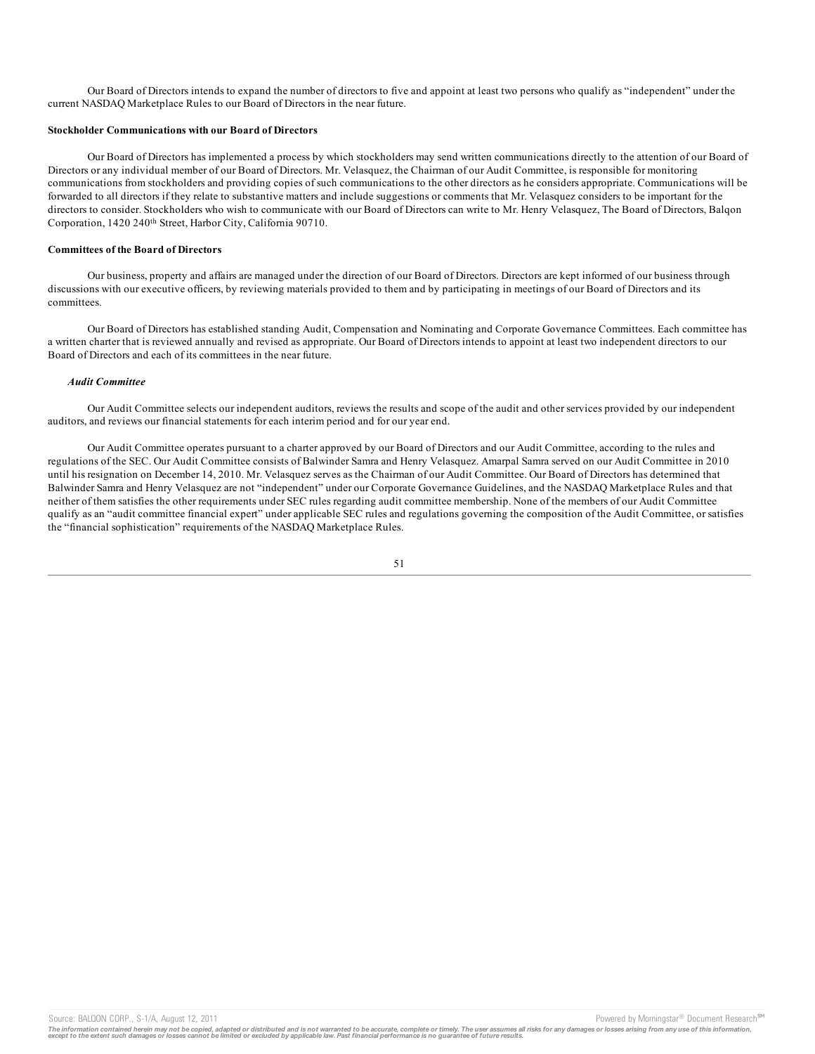Our Board of Directors intends to expand the number of directors to five and appoint at least two persons who qualify as "independent" under the current NASDAQ Marketplace Rules to our Board of Directors in the near future.

# **Stockholder Communications with our Board of Directors**

Our Board of Directors has implemented a process by which stockholders may send written communications directly to the attention of our Board of Directors or any individual member of our Board of Directors. Mr. Velasquez, the Chairman of our Audit Committee, is responsible for monitoring communications from stockholders and providing copies of such communications to the other directors as he considers appropriate. Communications will be forwarded to all directors if they relate to substantive matters and include suggestions or comments that Mr. Velasquez considers to be important for the directors to consider. Stockholders who wish to communicate with our Board of Directors can write to Mr. Henry Velasquez, The Board of Directors, Balqon Corporation, 1420 240th Street, Harbor City, California 90710.

# **Committees of the Board of Directors**

Our business, property and affairs are managed under the direction of our Board of Directors. Directors are kept informed of our business through discussions with our executive officers, by reviewing materials provided to them and by participating in meetings of our Board of Directors and its committees.

Our Board of Directors has established standing Audit, Compensation and Nominating and Corporate Governance Committees. Each committee has a written charter that is reviewed annually and revised as appropriate. Our Board of Directors intends to appoint at least two independent directors to our Board of Directors and each of its committees in the near future.

# *Audit Committee*

Our Audit Committee selects our independent auditors, reviews the results and scope of the audit and other services provided by our independent auditors, and reviews our financial statements for each interim period and for our year end.

Our Audit Committee operates pursuant to a charter approved by our Board of Directors and our Audit Committee, according to the rules and regulations of the SEC. Our Audit Committee consists of Balwinder Samra and Henry Velasquez. Amarpal Samra served on our Audit Committee in 2010 until his resignation on December 14, 2010. Mr. Velasquez serves as the Chairman of our Audit Committee. Our Board of Directors has determined that Balwinder Samra and Henry Velasquez are not "independent" under our Corporate Governance Guidelines, and the NASDAQ Marketplace Rules and that neither of them satisfies the other requirements under SEC rules regarding audit committee membership. None of the members of our Audit Committee qualify as an "audit committee financial expert" under applicable SEC rules and regulations governing the composition of the Audit Committee, or satisfies the "financial sophistication" requirements of the NASDAQ Marketplace Rules.



The information contained herein may not be copied, adapted or distributed and is not warranted to be accurate, complete or timely. The user assumes all risks for any damages or losses arising from any use of this informat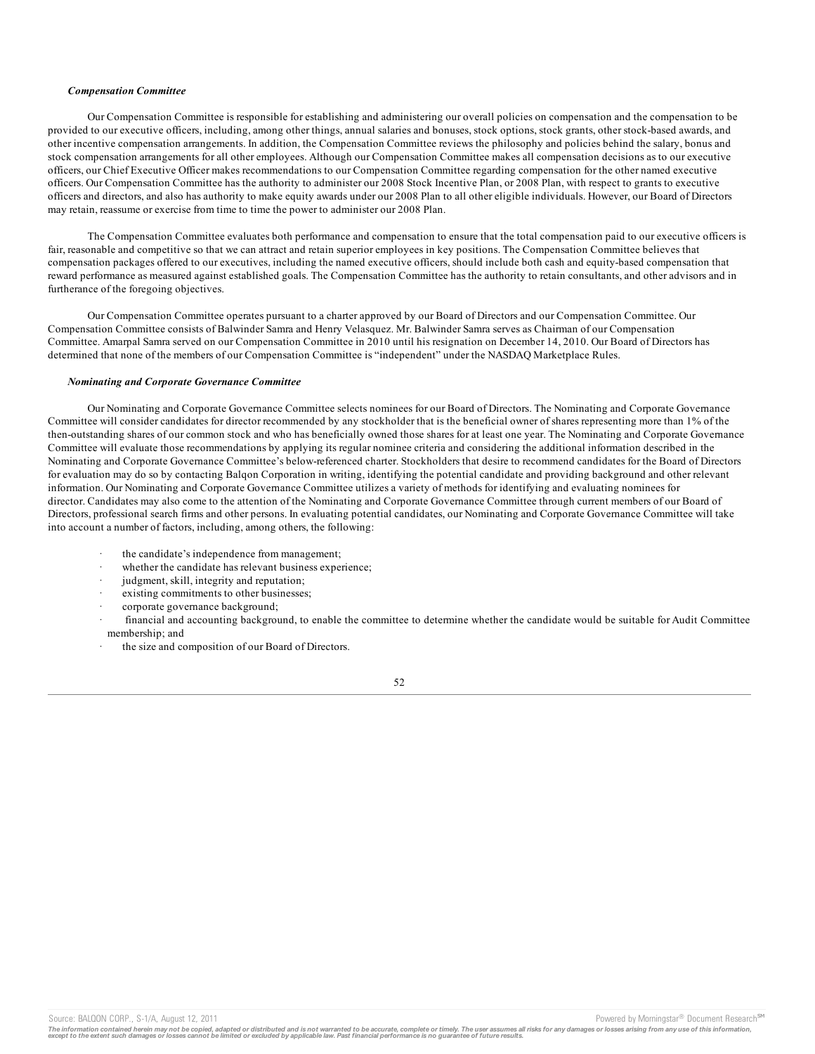#### *Compensation Committee*

Our Compensation Committee is responsible for establishing and administering our overall policies on compensation and the compensation to be provided to our executive officers, including, among other things, annual salaries and bonuses, stock options, stock grants, other stock-based awards, and other incentive compensation arrangements. In addition, the Compensation Committee reviews the philosophy and policies behind the salary, bonus and stock compensation arrangements for all other employees. Although our Compensation Committee makes all compensation decisions as to our executive officers, our Chief Executive Officer makes recommendations to our Compensation Committee regarding compensation for the other named executive officers. Our Compensation Committee has the authority to administer our 2008 Stock Incentive Plan, or 2008 Plan, with respect to grants to executive officers and directors, and also has authority to make equity awards under our 2008 Plan to all other eligible individuals. However, our Board of Directors may retain, reassume or exercise from time to time the power to administer our 2008 Plan.

The Compensation Committee evaluates both performance and compensation to ensure that the total compensation paid to our executive officers is fair, reasonable and competitive so that we can attract and retain superior employees in key positions. The Compensation Committee believes that compensation packages offered to our executives, including the named executive officers, should include both cash and equity-based compensation that reward performance as measured against established goals. The Compensation Committee has the authority to retain consultants, and other advisors and in furtherance of the foregoing objectives.

Our Compensation Committee operates pursuant to a charter approved by our Board of Directors and our Compensation Committee. Our Compensation Committee consists of Balwinder Samra and Henry Velasquez. Mr. Balwinder Samra serves as Chairman of our Compensation Committee. Amarpal Samra served on our Compensation Committee in 2010 until his resignation on December 14, 2010. Our Board of Directors has determined that none of the members of our Compensation Committee is "independent" under the NASDAQ Marketplace Rules.

#### *Nominating and Corporate Governance Committee*

Our Nominating and Corporate Governance Committee selects nominees for our Board of Directors. The Nominating and Corporate Governance Committee will consider candidates for director recommended by any stockholder that is the beneficial owner of shares representing more than 1% of the then-outstanding shares of our common stock and who has beneficially owned those shares for at least one year. The Nominating and Corporate Governance Committee will evaluate those recommendations by applying its regular nominee criteria and considering the additional information described in the Nominating and Corporate Governance Committee's below-referenced charter. Stockholders that desire to recommend candidates for the Board of Directors for evaluation may do so by contacting Balqon Corporation in writing, identifying the potential candidate and providing background and other relevant information. Our Nominating and Corporate Governance Committee utilizes a variety of methods for identifying and evaluating nominees for director. Candidates may also come to the attention of the Nominating and Corporate Governance Committee through current members of our Board of Directors, professional search firms and other persons. In evaluating potential candidates, our Nominating and Corporate Governance Committee will take into account a number of factors, including, among others, the following:

- the candidate's independence from management;
- whether the candidate has relevant business experience:
- judgment, skill, integrity and reputation;
- existing commitments to other businesses;
- corporate governance background;
- · financial and accounting background, to enable the committee to determine whether the candidate would be suitable for Audit Committee membership; and
- the size and composition of our Board of Directors.

### 52

Source: BALQON CORP., S-1/A, August 12, 2011 **Powered by Morningstar® Document Research** <sup>5M</sup>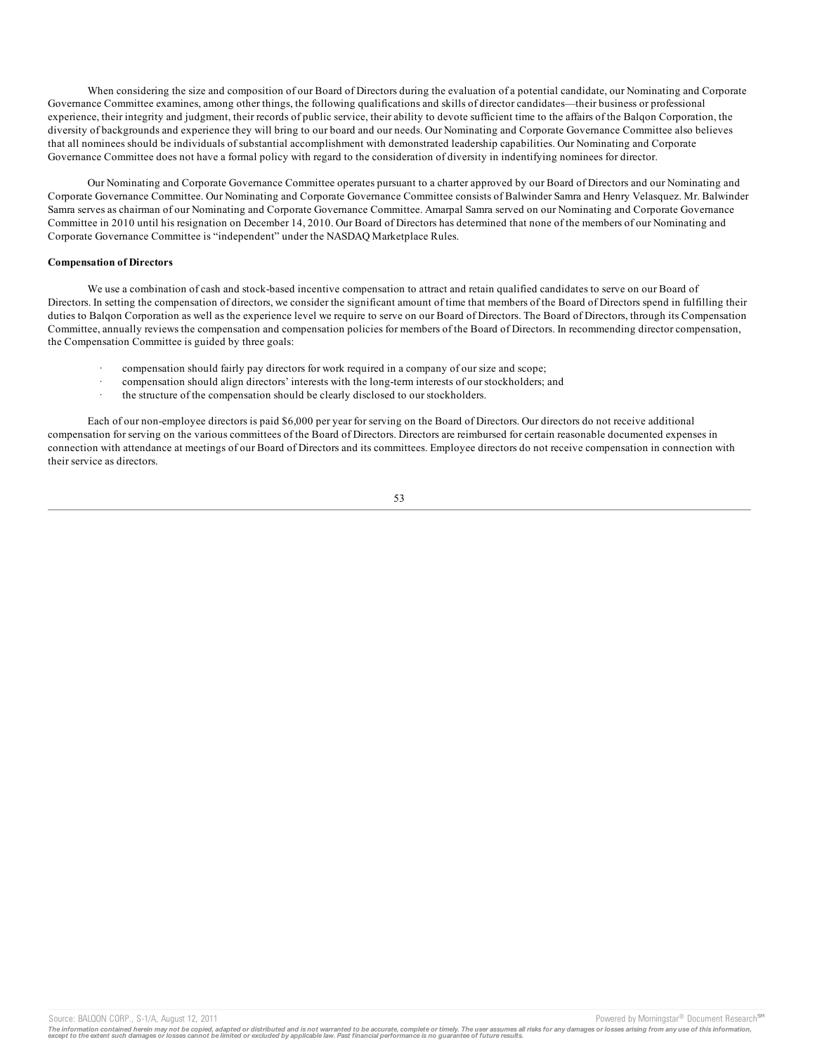When considering the size and composition of our Board of Directors during the evaluation of a potential candidate, our Nominating and Corporate Governance Committee examines, among other things, the following qualifications and skills of director candidates—their business or professional experience, their integrity and judgment, their records of public service, their ability to devote sufficient time to the affairs of the Balqon Corporation, the diversity of backgrounds and experience they will bring to our board and our needs. Our Nominating and Corporate Governance Committee also believes that all nominees should be individuals of substantial accomplishment with demonstrated leadership capabilities. Our Nominating and Corporate Governance Committee does not have a formal policy with regard to the consideration of diversity in indentifying nominees for director.

Our Nominating and Corporate Governance Committee operates pursuant to a charter approved by our Board of Directors and our Nominating and Corporate Governance Committee. Our Nominating and Corporate Governance Committee consists of Balwinder Samra and Henry Velasquez. Mr. Balwinder Samra serves as chairman of our Nominating and Corporate Governance Committee. Amarpal Samra served on our Nominating and Corporate Governance Committee in 2010 until his resignation on December 14, 2010. Our Board of Directors has determined that none of the members of our Nominating and Corporate Governance Committee is "independent" under the NASDAQ Marketplace Rules.

#### **Compensation of Directors**

We use a combination of cash and stock-based incentive compensation to attract and retain qualified candidates to serve on our Board of Directors. In setting the compensation of directors, we consider the significant amount of time that members of the Board of Directors spend in fulfilling their duties to Balqon Corporation as well as the experience level we require to serve on our Board of Directors. The Board of Directors, through its Compensation Committee, annually reviews the compensation and compensation policies for members of the Board of Directors. In recommending director compensation, the Compensation Committee is guided by three goals:

- · compensation should fairly pay directors for work required in a company of our size and scope;
- · compensation should align directors' interests with the long-term interests of our stockholders; and
- the structure of the compensation should be clearly disclosed to our stockholders.

Each of our non-employee directors is paid \$6,000 per year for serving on the Board of Directors. Our directors do not receive additional compensation for serving on the various committees of the Board of Directors. Directors are reimbursed for certain reasonable documented expenses in connection with attendance at meetings of our Board of Directors and its committees. Employee directors do not receive compensation in connection with their service as directors.



The information contained herein may not be copied, adapted or distributed and is not warranted to be accurate, complete or timely. The user assumes all risks for any damages or losses arising from any use of this informat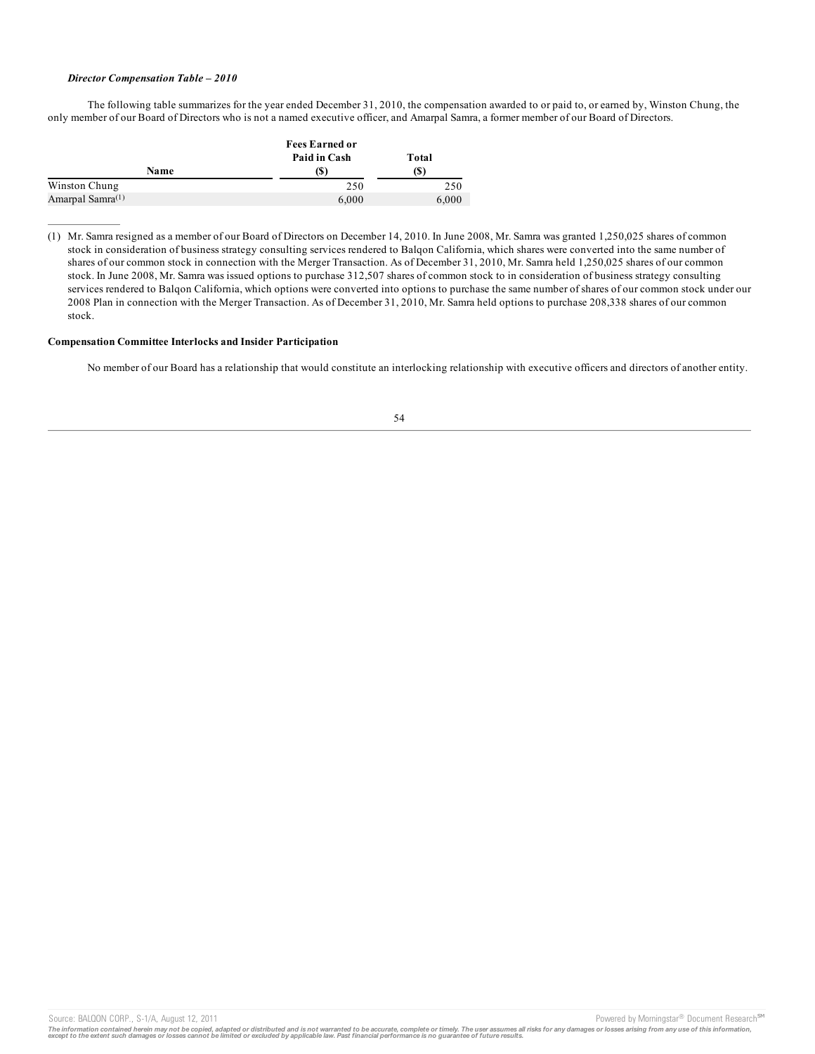# *Director Compensation Table – 2010*

The following table summarizes for the year ended December 31, 2010, the compensation awarded to or paid to, or earned by, Winston Chung, the only member of our Board of Directors who is not a named executive officer, and Amarpal Samra, a former member of our Board of Directors.

|                              | <b>Fees Earned or</b> |       |  |  |
|------------------------------|-----------------------|-------|--|--|
|                              | Paid in Cash          | Total |  |  |
| Name                         | (S)                   | (S)   |  |  |
| Winston Chung                | 250                   | 250   |  |  |
| Amarpal Samra <sup>(1)</sup> | 6.000                 | 6.000 |  |  |

(1) Mr. Samra resigned as a member of our Board of Directors on December 14, 2010. In June 2008, Mr. Samra was granted 1,250,025 shares of common stock in consideration of business strategy consulting services rendered to Balqon California, which shares were converted into the same number of shares of our common stock in connection with the Merger Transaction. As of December 31, 2010, Mr. Samra held 1,250,025 shares of our common stock. In June 2008, Mr. Samra was issued options to purchase 312,507 shares of common stock to in consideration of business strategy consulting services rendered to Balqon California, which options were converted into options to purchase the same number of shares of our common stock under our 2008 Plan in connection with the Merger Transaction. As of December 31, 2010, Mr. Samra held options to purchase 208,338 shares of our common stock.

# **Compensation Committee Interlocks and Insider Participation**

No member of our Board has a relationship that would constitute an interlocking relationship with executive officers and directors of another entity.

Source: BALQON CORP., S-1/A, August 12, 2011<br>The information contained herein may not be copied, adapted or distributed and is not warranted to be accurate, complete or timely. The user assumes all risks for any damages or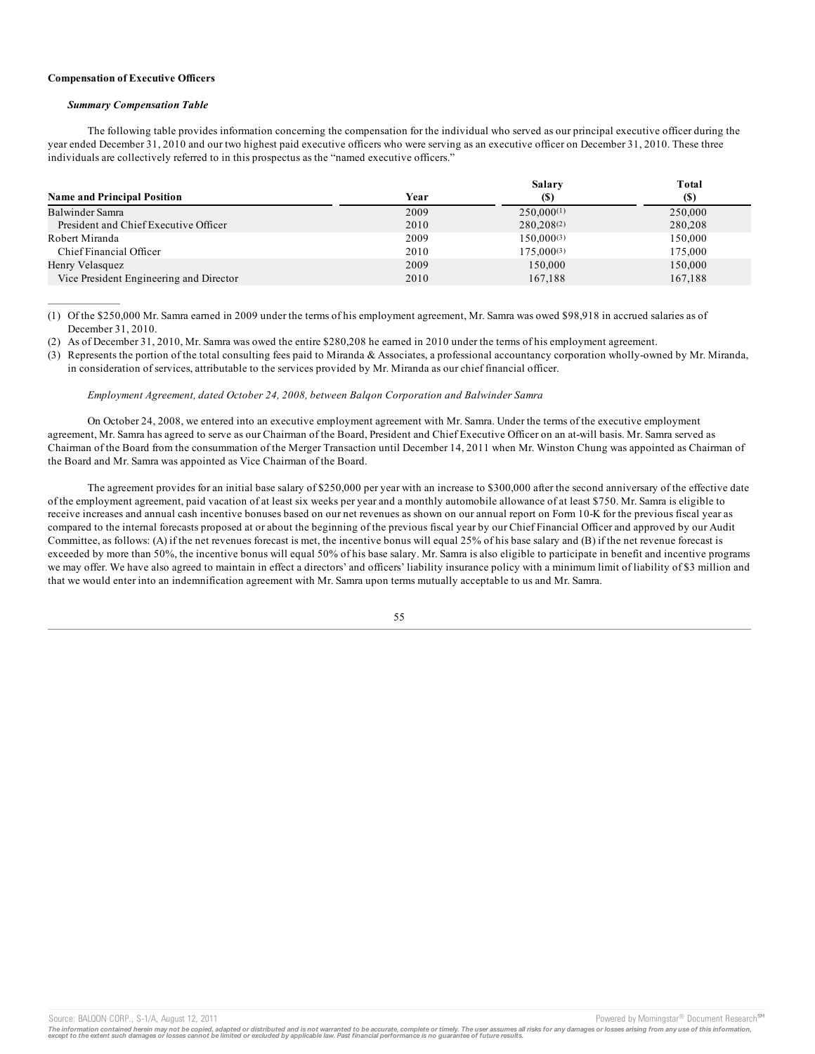## **Compensation of Executive Officers**

### *Summary Compensation Table*

The following table provides information concerning the compensation for the individual who served as our principal executive officer during the year ended December 31, 2010 and our two highest paid executive officers who were serving as an executive officer on December 31, 2010. These three individuals are collectively referred to in this prospectus as the "named executive officers."

|                                         |      | Salary          | Total   |
|-----------------------------------------|------|-----------------|---------|
| <b>Name and Principal Position</b>      | Year | <b>(S)</b>      | (S)     |
| Balwinder Samra                         | 2009 | $250,000^{(1)}$ | 250,000 |
| President and Chief Executive Officer   | 2010 | 280,208(2)      | 280,208 |
| Robert Miranda                          | 2009 | $150,000^{(3)}$ | 150,000 |
| Chief Financial Officer                 | 2010 | $175,000^{(3)}$ | 175,000 |
| Henry Velasquez                         | 2009 | 150,000         | 150,000 |
| Vice President Engineering and Director | 2010 | 167,188         | 167,188 |

(1) Of the \$250,000 Mr. Samra earned in 2009 under the terms of his employment agreement, Mr. Samra was owed \$98,918 in accrued salaries as of December 31, 2010.

(2) As of December 31, 2010, Mr. Samra was owed the entire \$280,208 he earned in 2010 under the terms of his employment agreement.

(3) Represents the portion of the total consulting fees paid to Miranda & Associates, a professional accountancy corporation wholly-owned by Mr. Miranda, in consideration of services, attributable to the services provided by Mr. Miranda as our chief financial officer.

# *Employment Agreement, dated October 24, 2008, between Balqon Corporation and Balwinder Samra*

On October 24, 2008, we entered into an executive employment agreement with Mr. Samra. Under the terms of the executive employment agreement, Mr. Samra has agreed to serve as our Chairman of the Board, President and Chief Executive Officer on an at-will basis. Mr. Samra served as Chairman of the Board from the consummation of the Merger Transaction until December 14, 2011 when Mr. Winston Chung was appointed as Chairman of the Board and Mr. Samra was appointed as Vice Chairman of the Board.

The agreement provides for an initial base salary of \$250,000 per year with an increase to \$300,000 after the second anniversary of the effective date of the employment agreement, paid vacation of at least six weeks per year and a monthly automobile allowance of at least \$750. Mr. Samra is eligible to receive increases and annual cash incentive bonuses based on our net revenues as shown on our annual report on Form 10-K for the previous fiscal year as compared to the internal forecasts proposed at or about the beginning of the previous fiscal year by our Chief Financial Officer and approved by our Audit Committee, as follows: (A) if the net revenues forecast is met, the incentive bonus will equal 25% of his base salary and (B) if the net revenue forecast is exceeded by more than 50%, the incentive bonus will equal 50% of his base salary. Mr. Samra is also eligible to participate in benefit and incentive programs we may offer. We have also agreed to maintain in effect a directors' and officers' liability insurance policy with a minimum limit of liability of \$3 million and that we would enter into an indemnification agreement with Mr. Samra upon terms mutually acceptable to us and Mr. Samra.

55

Source: BALQON CORP., S-1/A, August 12, 2011 **Powered by Morningstar® Document Research** Morningstar® Document Research

The information contained herein may not be copied, adapted or distributed and is not warranted to be accurate, complete or timely. The user assumes all risks for any damages or losses arising from any use of this informat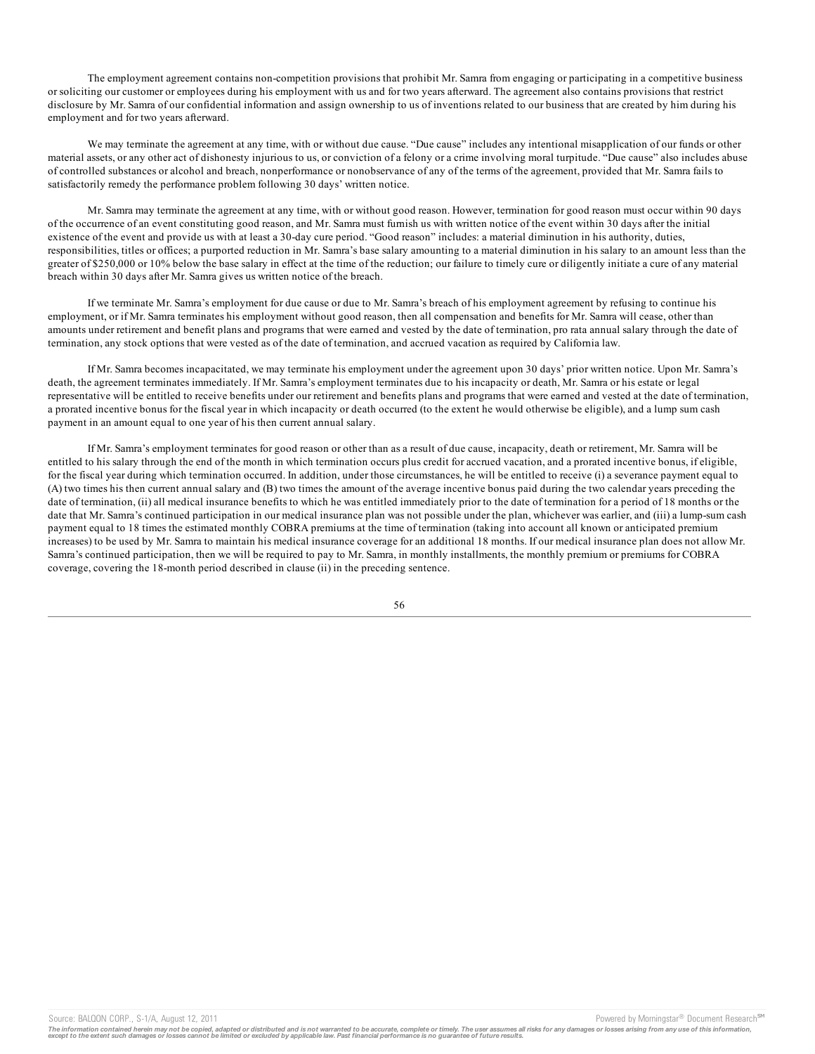The employment agreement contains non-competition provisions that prohibit Mr. Samra from engaging or participating in a competitive business or soliciting our customer or employees during his employment with us and for two years afterward. The agreement also contains provisions that restrict disclosure by Mr. Samra of our confidential information and assign ownership to us of inventions related to our business that are created by him during his employment and for two years afterward.

We may terminate the agreement at any time, with or without due cause. "Due cause" includes any intentional misapplication of our funds or other material assets, or any other act of dishonesty injurious to us, or conviction of a felony or a crime involving moral turpitude. "Due cause" also includes abuse of controlled substances or alcohol and breach, nonperformance or nonobservance of any of the terms of the agreement, provided that Mr. Samra fails to satisfactorily remedy the performance problem following 30 days' written notice.

Mr. Samra may terminate the agreement at any time, with or without good reason. However, termination for good reason must occur within 90 days of the occurrence of an event constituting good reason, and Mr. Samra must furnish us with written notice of the event within 30 days after the initial existence of the event and provide us with at least a 30-day cure period. "Good reason" includes: a material diminution in his authority, duties, responsibilities, titles or offices; a purported reduction in Mr. Samra's base salary amounting to a material diminution in his salary to an amount less than the greater of \$250,000 or 10% below the base salary in effect at the time of the reduction; our failure to timely cure or diligently initiate a cure of any material breach within 30 days after Mr. Samra gives us written notice of the breach.

If we terminate Mr. Samra's employment for due cause or due to Mr. Samra's breach of his employment agreement by refusing to continue his employment, or if Mr. Samra terminates his employment without good reason, then all compensation and benefits for Mr. Samra will cease, other than amounts under retirement and benefit plans and programs that were earned and vested by the date of termination, pro rata annual salary through the date of termination, any stock options that were vested as of the date of termination, and accrued vacation as required by California law.

If Mr. Samra becomes incapacitated, we may terminate his employment under the agreement upon 30 days' prior written notice. Upon Mr. Samra's death, the agreement terminates immediately. If Mr. Samra's employment terminates due to his incapacity or death, Mr. Samra or his estate or legal representative will be entitled to receive benefits under our retirement and benefits plans and programs that were earned and vested at the date of termination, a prorated incentive bonus for the fiscal year in which incapacity or death occurred (to the extent he would otherwise be eligible), and a lump sum cash payment in an amount equal to one year of his then current annual salary.

If Mr. Samra's employment terminates for good reason or other than as a result of due cause, incapacity, death or retirement, Mr. Samra will be entitled to his salary through the end of the month in which termination occurs plus credit for accrued vacation, and a prorated incentive bonus, if eligible, for the fiscal year during which termination occurred. In addition, under those circumstances, he will be entitled to receive (i) a severance payment equal to (A) two times his then current annual salary and (B) two times the amount of the average incentive bonus paid during the two calendar years preceding the date of termination, (ii) all medical insurance benefits to which he was entitled immediately prior to the date of termination for a period of 18 months or the date that Mr. Samra's continued participation in our medical insurance plan was not possible under the plan, whichever was earlier, and (iii) a lump-sum cash payment equal to 18 times the estimated monthly COBRA premiums at the time of termination (taking into account all known or anticipated premium increases) to be used by Mr. Samra to maintain his medical insurance coverage for an additional 18 months. If our medical insurance plan does not allow Mr. Samra's continued participation, then we will be required to pay to Mr. Samra, in monthly installments, the monthly premium or premiums for COBRA coverage, covering the 18-month period described in clause (ii) in the preceding sentence.

56

Source: BALQON CORP., S-1/A, August 12, 2011 **Powered by Morningstar® Document Research** in Powered by Morningstar® Document Research in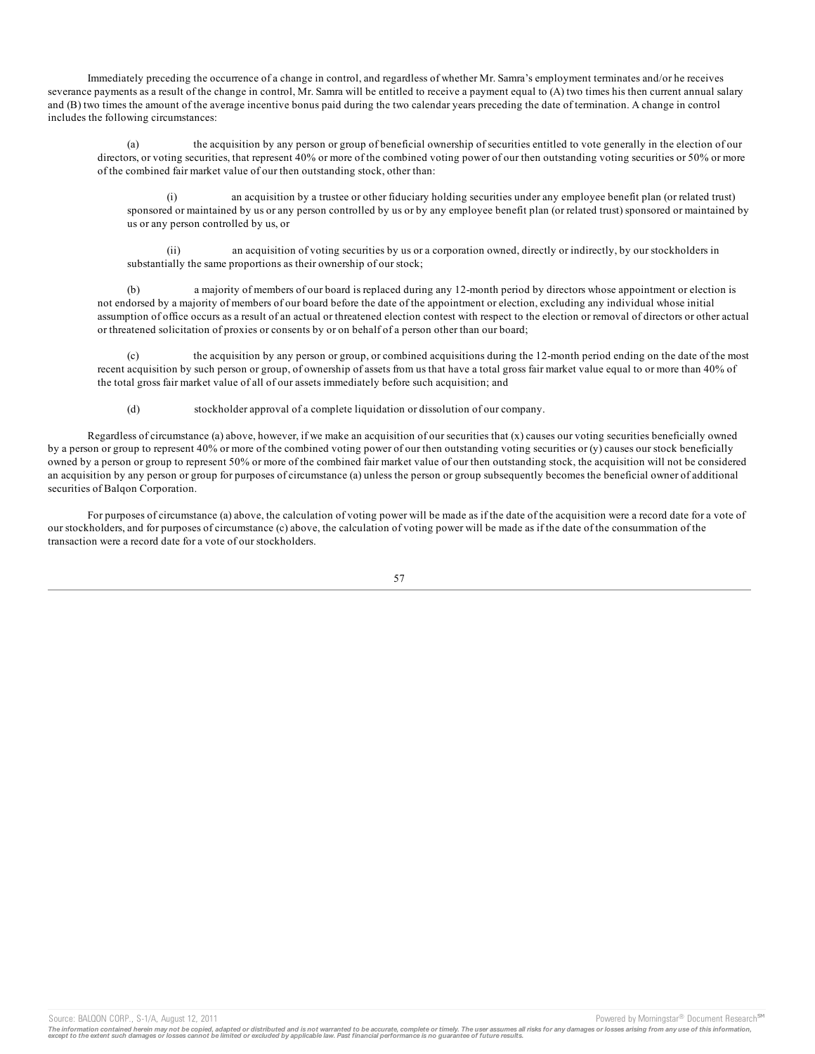Immediately preceding the occurrence of a change in control, and regardless of whether Mr. Samra's employment terminates and/or he receives severance payments as a result of the change in control, Mr. Samra will be entitled to receive a payment equal to (A) two times his then current annual salary and (B) two times the amount of the average incentive bonus paid during the two calendar years preceding the date of termination. A change in control includes the following circumstances:

(a) the acquisition by any person or group of beneficial ownership of securities entitled to vote generally in the election of our directors, or voting securities, that represent 40% or more of the combined voting power of our then outstanding voting securities or 50% or more of the combined fair market value of our then outstanding stock, other than:

(i) an acquisition by a trustee or other fiduciary holding securities under any employee benefit plan (or related trust) sponsored or maintained by us or any person controlled by us or by any employee benefit plan (or related trust) sponsored or maintained by us or any person controlled by us, or

an acquisition of voting securities by us or a corporation owned, directly or indirectly, by our stockholders in substantially the same proportions as their ownership of our stock;

(b) a majority of members of our board is replaced during any 12-month period by directors whose appointment or election is not endorsed by a majority of members of our board before the date of the appointment or election, excluding any individual whose initial assumption of office occurs as a result of an actual or threatened election contest with respect to the election or removal of directors or other actual or threatened solicitation of proxies or consents by or on behalf of a person other than our board;

(c) the acquisition by any person or group, or combined acquisitions during the 12-month period ending on the date of the most recent acquisition by such person or group, of ownership of assets from us that have a total gross fair market value equal to or more than 40% of the total gross fair market value of all of our assets immediately before such acquisition; and

(d) stockholder approval of a complete liquidation or dissolution of our company.

Regardless of circumstance (a) above, however, if we make an acquisition of our securities that (x) causes our voting securities beneficially owned by a person or group to represent 40% or more of the combined voting power of our then outstanding voting securities or (y) causes our stock beneficially owned by a person or group to represent 50% or more of the combined fair market value of our then outstanding stock, the acquisition will not be considered an acquisition by any person or group for purposes of circumstance (a) unless the person or group subsequently becomes the beneficial owner of additional securities of Balqon Corporation.

For purposes of circumstance (a) above, the calculation of voting power will be made as if the date of the acquisition were a record date for a vote of our stockholders, and for purposes of circumstance (c) above, the calculation of voting power will be made as if the date of the consummation of the transaction were a record date for a vote of our stockholders.

57

Source: BALQON CORP., S-1/A, August 12, 2011 **Powered by Morningstar® Document Research** in Powered by Morningstar® Document Research in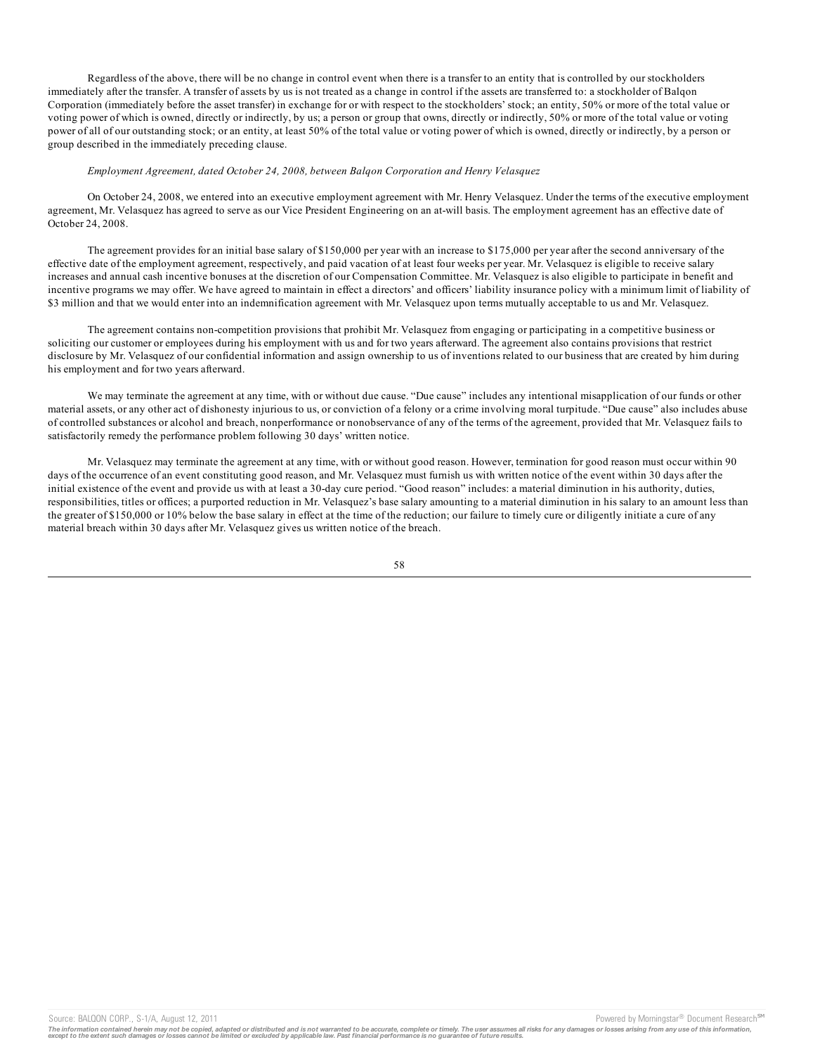Regardless of the above, there will be no change in control event when there is a transfer to an entity that is controlled by our stockholders immediately after the transfer. A transfer of assets by us is not treated as a change in control if the assets are transferred to: a stockholder of Balqon Corporation (immediately before the asset transfer) in exchange for or with respect to the stockholders' stock; an entity, 50% or more of the total value or voting power of which is owned, directly or indirectly, by us; a person or group that owns, directly or indirectly, 50% or more of the total value or voting power of all of our outstanding stock; or an entity, at least 50% of the total value or voting power of which is owned, directly or indirectly, by a person or group described in the immediately preceding clause.

### *Employment Agreement, dated October 24, 2008, between Balqon Corporation and Henry Velasquez*

On October 24, 2008, we entered into an executive employment agreement with Mr. Henry Velasquez. Under the terms of the executive employment agreement, Mr. Velasquez has agreed to serve as our Vice President Engineering on an at-will basis. The employment agreement has an effective date of October 24, 2008.

The agreement provides for an initial base salary of \$150,000 per year with an increase to \$175,000 per year after the second anniversary of the effective date of the employment agreement, respectively, and paid vacation of at least four weeks per year. Mr. Velasquez is eligible to receive salary increases and annual cash incentive bonuses at the discretion of our Compensation Committee. Mr. Velasquez is also eligible to participate in benefit and incentive programs we may offer. We have agreed to maintain in effect a directors' and officers' liability insurance policy with a minimum limit of liability of \$3 million and that we would enter into an indemnification agreement with Mr. Velasquez upon terms mutually acceptable to us and Mr. Velasquez.

The agreement contains non-competition provisions that prohibit Mr. Velasquez from engaging or participating in a competitive business or soliciting our customer or employees during his employment with us and for two years afterward. The agreement also contains provisions that restrict disclosure by Mr. Velasquez of our confidential information and assign ownership to us of inventions related to our business that are created by him during his employment and for two years afterward.

We may terminate the agreement at any time, with or without due cause. "Due cause" includes any intentional misapplication of our funds or other material assets, or any other act of dishonesty injurious to us, or conviction of a felony or a crime involving moral turpitude. "Due cause" also includes abuse of controlled substances or alcohol and breach, nonperformance or nonobservance of any of the terms of the agreement, provided that Mr. Velasquez fails to satisfactorily remedy the performance problem following 30 days' written notice.

Mr. Velasquez may terminate the agreement at any time, with or without good reason. However, termination for good reason must occur within 90 days of the occurrence of an event constituting good reason, and Mr. Velasquez must furnish us with written notice of the event within 30 days after the initial existence of the event and provide us with at least a 30-day cure period. "Good reason" includes: a material diminution in his authority, duties, responsibilities, titles or offices; a purported reduction in Mr. Velasquez's base salary amounting to a material diminution in his salary to an amount less than the greater of \$150,000 or 10% below the base salary in effect at the time of the reduction; our failure to timely cure or diligently initiate a cure of any material breach within 30 days after Mr. Velasquez gives us written notice of the breach.

Source: BALQON CORP., S-1/A, August 12, 2011 **Powered by Morningstar® Document Research** in Powered by Morningstar® Document Research in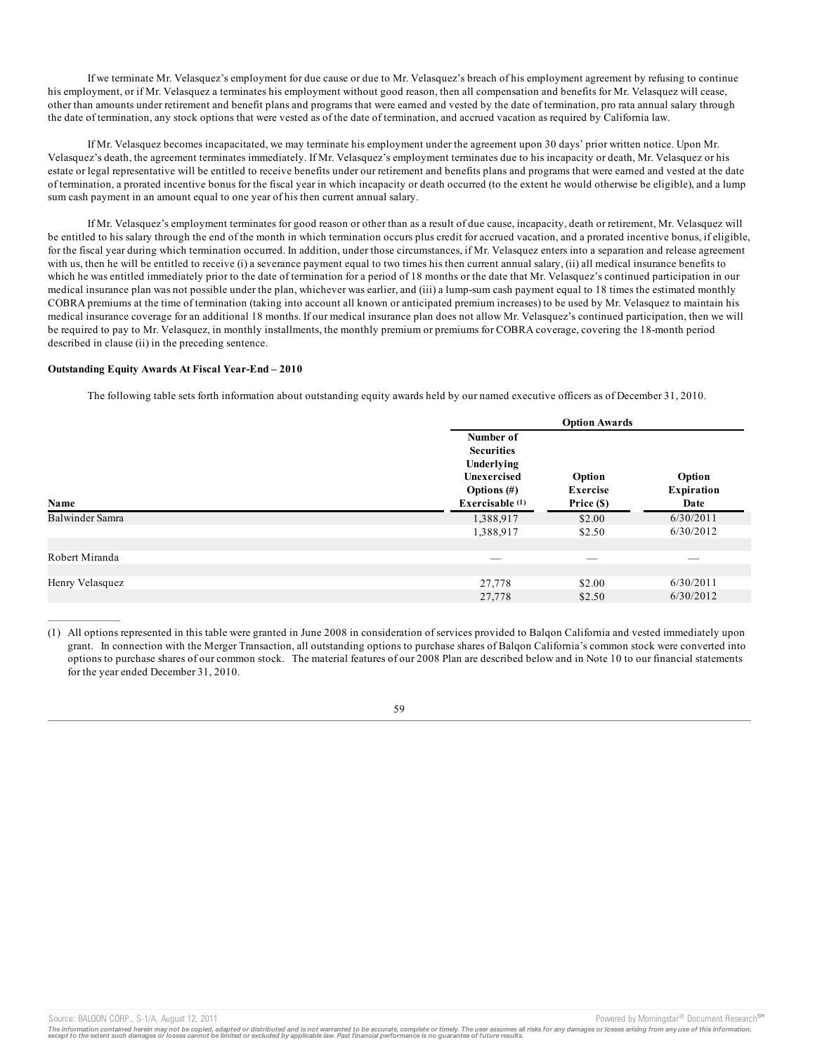If we terminate Mr. Velasquez's employment for due cause or due to Mr. Velasquez's breach of his employment agreement by refusing to continue his employment, or if Mr. Velasquez a terminates his employment without good reason, then all compensation and benefits for Mr. Velasquez will cease, other than amounts under retirement and benefit plans and programs that were earned and vested by the date of termination, pro rata annual salary through the date of termination, any stock options that were vested as of the date of termination, and accrued vacation as required by California law.

If Mr. Velasquez becomes incapacitated, we may terminate his employment under the agreement upon 30 days' prior written notice. Upon Mr. Velasquez's death, the agreement terminates immediately. If Mr. Velasquez's employment terminates due to his incapacity or death, Mr. Velasquez or his estate or legal representative will be entitled to receive benefits under our retirement and benefits plans and programs that were earned and vested at the date of termination, a prorated incentive bonus for the fiscal year in which incapacity or death occurred (to the extent he would otherwise be eligible), and a lump sum cash payment in an amount equal to one year of his then current annual salary.

If Mr. Velasquez's employment terminates for good reason or other than as a result of due cause, incapacity, death or retirement, Mr. Velasquez will be entitled to his salary through the end of the month in which termination occurs plus credit for accrued vacation, and a prorated incentive bonus, if eligible, for the fiscal year during which termination occurred. In addition, under those circumstances, if Mr. Velasquez enters into a separation and release agreement with us, then he will be entitled to receive (i) a severance payment equal to two times his then current annual salary, (ii) all medical insurance benefits to which he was entitled immediately prior to the date of termination for a period of 18 months or the date that Mr. Velasquez's continued participation in our medical insurance plan was not possible under the plan, whichever was earlier, and (iii) a lump-sum cash payment equal to 18 times the estimated monthly COBRA premiums at the time of termination (taking into account all known or anticipated premium increases) to be used by Mr. Velasquez to maintain his medical insurance coverage for an additional 18 months. If our medical insurance plan does not allow Mr. Velasquez's continued participation, then we will be required to pay to Mr. Velasquez, in monthly installments, the monthly premium or premiums for COBRA coverage, covering the 18-month period described in clause (ii) in the preceding sentence.

#### **Outstanding Equity Awards At Fiscal Year-End – 2010**

The following table sets forth information about outstanding equity awards held by our named executive officers as of December 31, 2010.

|                 | <b>Option Awards</b> |            |            |
|-----------------|----------------------|------------|------------|
|                 | Number of            |            |            |
|                 | <b>Securities</b>    |            |            |
|                 | Underlying           |            |            |
|                 | Unexercised          | Option     | Option     |
|                 | Options $(\#)$       | Exercise   | Expiration |
| Name            | Exercisable $(1)$    | Price (\$) | Date       |
| Balwinder Samra | 1,388,917            | \$2.00     | 6/30/2011  |
|                 | 1,388,917            | \$2.50     | 6/30/2012  |
|                 |                      |            |            |
| Robert Miranda  | __                   |            |            |
|                 |                      |            |            |
| Henry Velasquez | 27,778               | \$2.00     | 6/30/2011  |
|                 | 27,778               | \$2.50     | 6/30/2012  |

(1) All options represented in this table were granted in June 2008 in consideration of services provided to Balqon California and vested immediately upon grant. In connection with the Merger Transaction, all outstanding options to purchase shares of Balqon California's common stock were converted into options to purchase shares of our common stock. The material features of our 2008 Plan are described below and in Note 10 to our financial statements for the year ended December 31, 2010.

59

Source: BALQON CORP., S-1/A, August 12, 2011 **Properties and August 2018** Powered by Morningstar® Document Research <sup>sw</sup>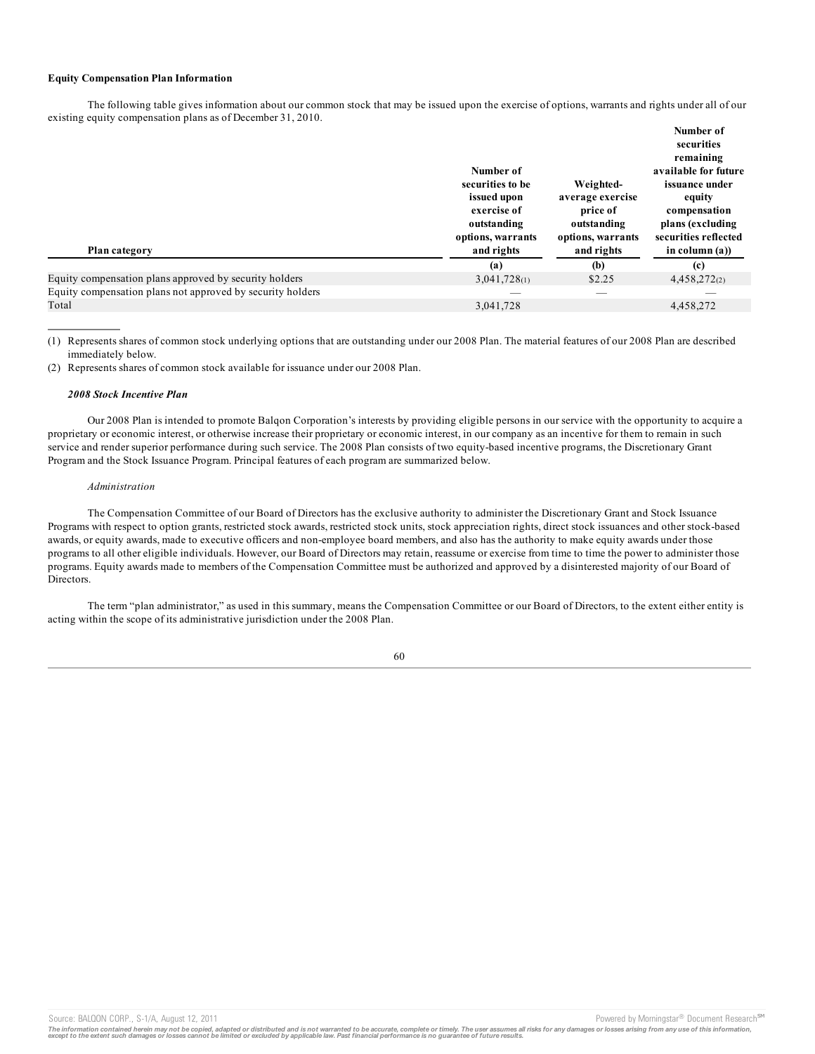## **Equity Compensation Plan Information**

The following table gives information about our common stock that may be issued upon the exercise of options, warrants and rights under all of our existing equity compensation plans as of December 31, 2010.

|                                                            | Number of<br>securities to be<br>issued upon<br>exercise of<br>outstanding<br>options, warrants | Weighted-<br>average exercise<br>price of<br>outstanding<br>options, warrants | Number of<br>securities<br>remaining<br>available for future<br>issuance under<br>equity<br>compensation<br>plans (excluding<br>securities reflected |
|------------------------------------------------------------|-------------------------------------------------------------------------------------------------|-------------------------------------------------------------------------------|------------------------------------------------------------------------------------------------------------------------------------------------------|
| Plan category                                              | and rights                                                                                      | and rights                                                                    | in column $(a)$ )                                                                                                                                    |
|                                                            | (a)                                                                                             | (b)                                                                           | (c)                                                                                                                                                  |
| Equity compensation plans approved by security holders     | 3,041,728(1)                                                                                    | \$2.25                                                                        | 4,458,272(2)                                                                                                                                         |
| Equity compensation plans not approved by security holders |                                                                                                 |                                                                               |                                                                                                                                                      |
| Total                                                      | 3,041,728                                                                                       |                                                                               | 4,458,272                                                                                                                                            |
|                                                            |                                                                                                 |                                                                               |                                                                                                                                                      |

(1) Represents shares of common stock underlying options that are outstanding under our 2008 Plan. The material features of our 2008 Plan are described immediately below.

(2) Represents shares of common stock available for issuance under our 2008 Plan.

## *2008 Stock Incentive Plan*

Our 2008 Plan is intended to promote Balqon Corporation's interests by providing eligible persons in our service with the opportunity to acquire a proprietary or economic interest, or otherwise increase their proprietary or economic interest, in our company as an incentive for them to remain in such service and render superior performance during such service. The 2008 Plan consists of two equity-based incentive programs, the Discretionary Grant Program and the Stock Issuance Program. Principal features of each program are summarized below.

# *Administration*

The Compensation Committee of our Board of Directors has the exclusive authority to administer the Discretionary Grant and Stock Issuance Programs with respect to option grants, restricted stock awards, restricted stock units, stock appreciation rights, direct stock issuances and other stock-based awards, or equity awards, made to executive officers and non-employee board members, and also has the authority to make equity awards under those programs to all other eligible individuals. However, our Board of Directors may retain, reassume or exercise from time to time the power to administer those programs. Equity awards made to members of the Compensation Committee must be authorized and approved by a disinterested majority of our Board of Directors.

The term "plan administrator," as used in this summary, means the Compensation Committee or our Board of Directors, to the extent either entity is acting within the scope of its administrative jurisdiction under the 2008 Plan.

#### 60

Source: BALQON CORP., S-1/A, August 12, 2011 **Powered by Morningstar® Document Research** in Powered by Morningstar® Document Research in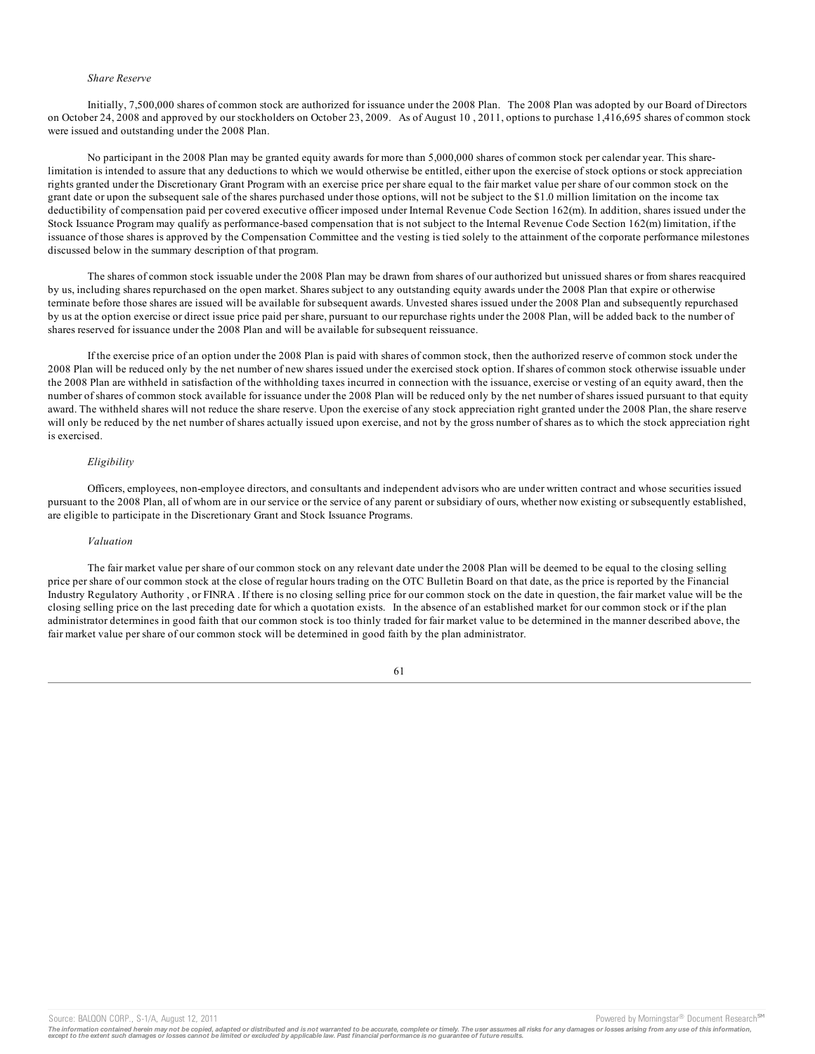## *Share Reserve*

Initially, 7,500,000 shares of common stock are authorized for issuance under the 2008 Plan. The 2008 Plan was adopted by our Board of Directors on October 24, 2008 and approved by our stockholders on October 23, 2009. As of August 10 , 2011, options to purchase 1,416,695 shares of common stock were issued and outstanding under the 2008 Plan.

No participant in the 2008 Plan may be granted equity awards for more than 5,000,000 shares of common stock per calendar year. This sharelimitation is intended to assure that any deductions to which we would otherwise be entitled, either upon the exercise of stock options or stock appreciation rights granted under the Discretionary Grant Program with an exercise price per share equal to the fair market value per share of our common stock on the grant date or upon the subsequent sale of the shares purchased under those options, will not be subject to the \$1.0 million limitation on the income tax deductibility of compensation paid per covered executive officer imposed under Internal Revenue Code Section 162(m). In addition, shares issued under the Stock Issuance Program may qualify as performance-based compensation that is not subject to the Internal Revenue Code Section 162(m) limitation, if the issuance of those shares is approved by the Compensation Committee and the vesting is tied solely to the attainment of the corporate performance milestones discussed below in the summary description of that program.

The shares of common stock issuable under the 2008 Plan may be drawn from shares of our authorized but unissued shares or from shares reacquired by us, including shares repurchased on the open market. Shares subject to any outstanding equity awards under the 2008 Plan that expire or otherwise terminate before those shares are issued will be available for subsequent awards. Unvested shares issued under the 2008 Plan and subsequently repurchased by us at the option exercise or direct issue price paid per share, pursuant to our repurchase rights under the 2008 Plan, will be added back to the number of shares reserved for issuance under the 2008 Plan and will be available for subsequent reissuance.

If the exercise price of an option under the 2008 Plan is paid with shares of common stock, then the authorized reserve of common stock under the 2008 Plan will be reduced only by the net number of new shares issued under the exercised stock option. If shares of common stock otherwise issuable under the 2008 Plan are withheld in satisfaction of the withholding taxes incurred in connection with the issuance, exercise or vesting of an equity award, then the number of shares of common stock available for issuance under the 2008 Plan will be reduced only by the net number of shares issued pursuant to that equity award. The withheld shares will not reduce the share reserve. Upon the exercise of any stock appreciation right granted under the 2008 Plan, the share reserve will only be reduced by the net number of shares actually issued upon exercise, and not by the gross number of shares as to which the stock appreciation right is exercised.

# *Eligibility*

Officers, employees, non-employee directors, and consultants and independent advisors who are under written contract and whose securities issued pursuant to the 2008 Plan, all of whom are in our service or the service of any parent or subsidiary of ours, whether now existing or subsequently established, are eligible to participate in the Discretionary Grant and Stock Issuance Programs.

# *Valuation*

The fair market value per share of our common stock on any relevant date under the 2008 Plan will be deemed to be equal to the closing selling price per share of our common stock at the close of regular hours trading on the OTC Bulletin Board on that date, as the price is reported by the Financial Industry Regulatory Authority , or FINRA . If there is no closing selling price for our common stock on the date in question, the fair market value will be the closing selling price on the last preceding date for which a quotation exists. In the absence of an established market for our common stock or if the plan administrator determines in good faith that our common stock is too thinly traded for fair market value to be determined in the manner described above, the fair market value per share of our common stock will be determined in good faith by the plan administrator.

61

Source: BALQON CORP., S-1/A, August 12, 2011 **Powered by Morningstar® Document Research** Morningstar® Document Research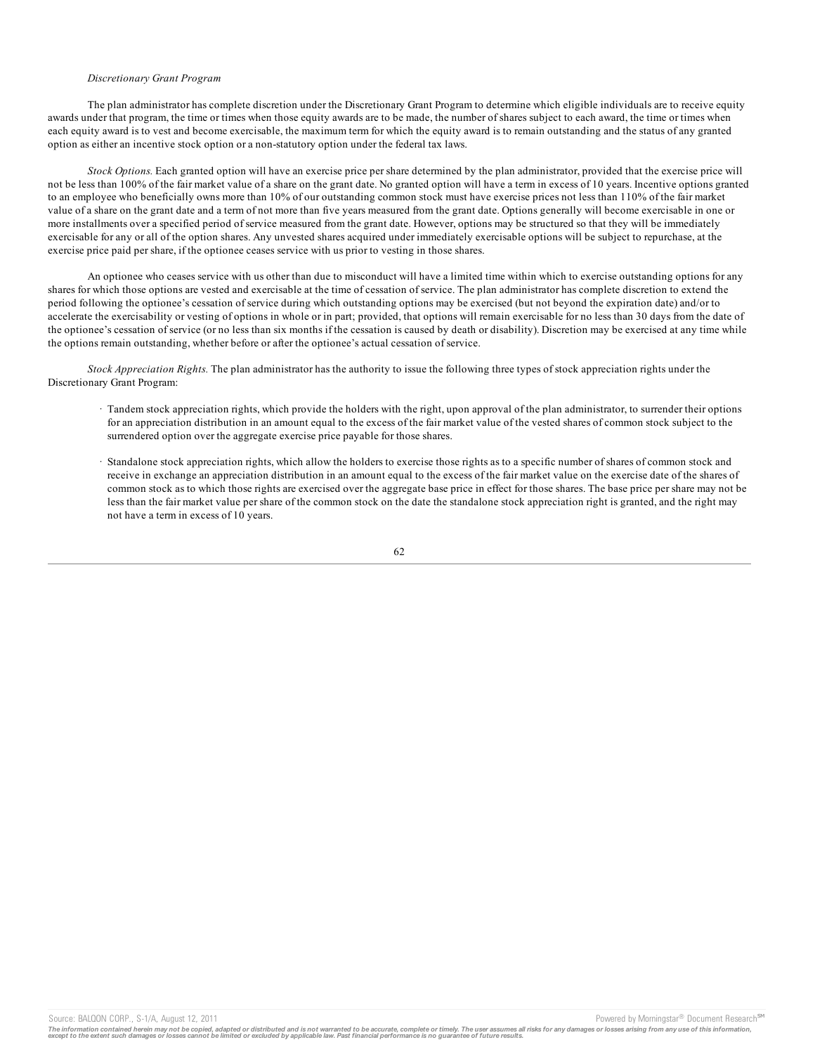# *Discretionary Grant Program*

The plan administrator has complete discretion under the Discretionary Grant Program to determine which eligible individuals are to receive equity awards under that program, the time or times when those equity awards are to be made, the number of shares subject to each award, the time or times when each equity award is to vest and become exercisable, the maximum term for which the equity award is to remain outstanding and the status of any granted option as either an incentive stock option or a non-statutory option under the federal tax laws.

*Stock Options.* Each granted option will have an exercise price per share determined by the plan administrator, provided that the exercise price will not be less than 100% of the fair market value of a share on the grant date. No granted option will have a term in excess of 10 years. Incentive options granted to an employee who beneficially owns more than 10% of our outstanding common stock must have exercise prices not less than 110% of the fair market value of a share on the grant date and a term of not more than five years measured from the grant date. Options generally will become exercisable in one or more installments over a specified period of service measured from the grant date. However, options may be structured so that they will be immediately exercisable for any or all of the option shares. Any unvested shares acquired under immediately exercisable options will be subject to repurchase, at the exercise price paid per share, if the optionee ceases service with us prior to vesting in those shares.

An optionee who ceases service with us other than due to misconduct will have a limited time within which to exercise outstanding options for any shares for which those options are vested and exercisable at the time of cessation of service. The plan administrator has complete discretion to extend the period following the optionee's cessation of service during which outstanding options may be exercised (but not beyond the expiration date) and/or to accelerate the exercisability or vesting of options in whole or in part; provided, that options will remain exercisable for no less than 30 days from the date of the optionee's cessation of service (or no less than six months if the cessation is caused by death or disability). Discretion may be exercised at any time while the options remain outstanding, whether before or after the optionee's actual cessation of service.

*Stock Appreciation Rights.* The plan administrator has the authority to issue the following three types of stock appreciation rights under the Discretionary Grant Program:

- · Tandem stock appreciation rights, which provide the holders with the right, upon approval of the plan administrator, to surrender their options for an appreciation distribution in an amount equal to the excess of the fair market value of the vested shares of common stock subject to the surrendered option over the aggregate exercise price payable for those shares.
- · Standalone stock appreciation rights, which allow the holders to exercise those rights as to a specific number of shares of common stock and receive in exchange an appreciation distribution in an amount equal to the excess of the fair market value on the exercise date of the shares of common stock as to which those rights are exercised over the aggregate base price in effect for those shares. The base price per share may not be less than the fair market value per share of the common stock on the date the standalone stock appreciation right is granted, and the right may not have a term in excess of 10 years.

Source: BALQON CORP., S-1/A, August 12, 2011 **Powered by Morningstar® Document Research** in Powered by Morningstar® Document Research in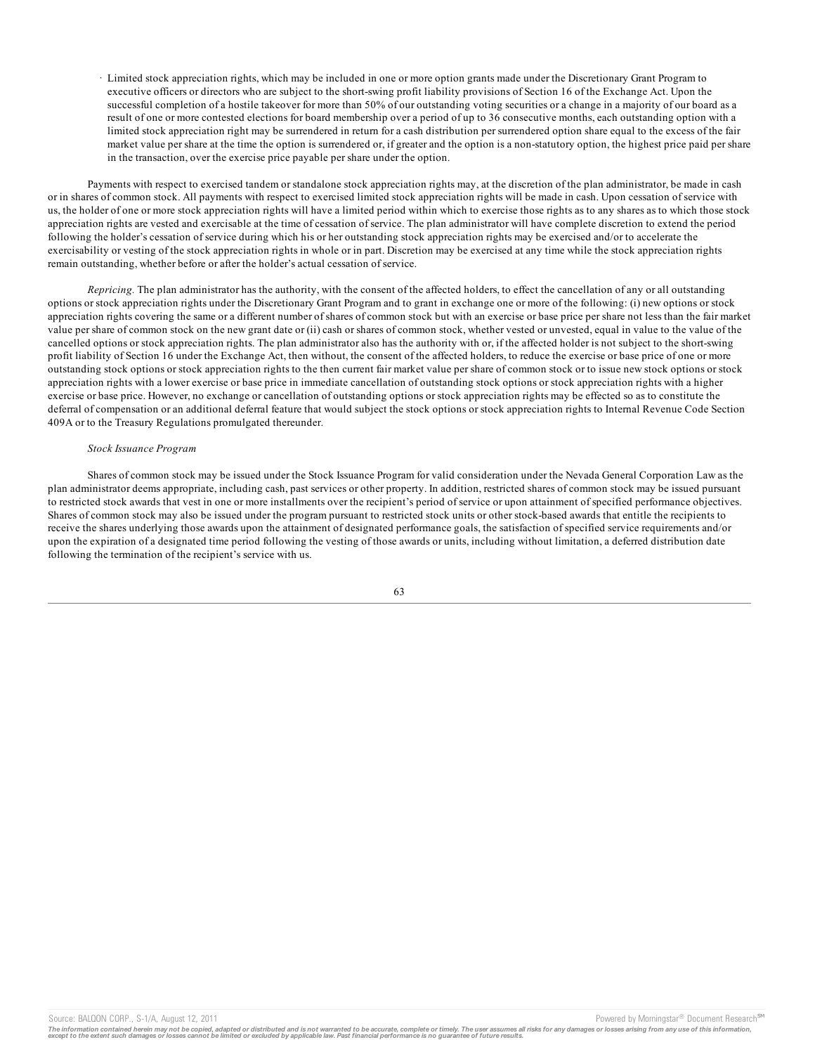· Limited stock appreciation rights, which may be included in one or more option grants made under the Discretionary Grant Program to executive officers or directors who are subject to the short-swing profit liability provisions of Section 16 of the Exchange Act. Upon the successful completion of a hostile takeover for more than 50% of our outstanding voting securities or a change in a majority of our board as a result of one or more contested elections for board membership over a period of up to 36 consecutive months, each outstanding option with a limited stock appreciation right may be surrendered in return for a cash distribution per surrendered option share equal to the excess of the fair market value per share at the time the option is surrendered or, if greater and the option is a non-statutory option, the highest price paid per share in the transaction, over the exercise price payable per share under the option.

Payments with respect to exercised tandem or standalone stock appreciation rights may, at the discretion of the plan administrator, be made in cash or in shares of common stock. All payments with respect to exercised limited stock appreciation rights will be made in cash. Upon cessation of service with us, the holder of one or more stock appreciation rights will have a limited period within which to exercise those rights as to any shares as to which those stock appreciation rights are vested and exercisable at the time of cessation of service. The plan administrator will have complete discretion to extend the period following the holder's cessation of service during which his or her outstanding stock appreciation rights may be exercised and/or to accelerate the exercisability or vesting of the stock appreciation rights in whole or in part. Discretion may be exercised at any time while the stock appreciation rights remain outstanding, whether before or after the holder's actual cessation of service.

*Repricing.* The plan administrator has the authority, with the consent of the affected holders, to effect the cancellation of any or all outstanding options or stock appreciation rights under the Discretionary Grant Program and to grant in exchange one or more of the following: (i) new options or stock appreciation rights covering the same or a different number of shares of common stock but with an exercise or base price per share not less than the fair market value per share of common stock on the new grant date or (ii) cash or shares of common stock, whether vested or unvested, equal in value to the value of the cancelled options or stock appreciation rights. The plan administrator also has the authority with or, if the affected holder is not subject to the short-swing profit liability of Section 16 under the Exchange Act, then without, the consent of the affected holders, to reduce the exercise or base price of one or more outstanding stock options or stock appreciation rights to the then current fair market value per share of common stock or to issue new stock options or stock appreciation rights with a lower exercise or base price in immediate cancellation of outstanding stock options or stock appreciation rights with a higher exercise or base price. However, no exchange or cancellation of outstanding options or stock appreciation rights may be effected so as to constitute the deferral of compensation or an additional deferral feature that would subject the stock options or stock appreciation rights to Internal Revenue Code Section 409A or to the Treasury Regulations promulgated thereunder.

#### *Stock Issuance Program*

Shares of common stock may be issued under the Stock Issuance Program for valid consideration under the Nevada General Corporation Law as the plan administrator deems appropriate, including cash, past services or other property. In addition, restricted shares of common stock may be issued pursuant to restricted stock awards that vest in one or more installments over the recipient's period of service or upon attainment of specified performance objectives. Shares of common stock may also be issued under the program pursuant to restricted stock units or other stock-based awards that entitle the recipients to receive the shares underlying those awards upon the attainment of designated performance goals, the satisfaction of specified service requirements and/or upon the expiration of a designated time period following the vesting of those awards or units, including without limitation, a deferred distribution date following the termination of the recipient's service with us.

#### 63

Source: BALQON CORP., S-1/A, August 12, 2011 **Powered by Morningstar® Document Research** in Powered by Morningstar® Document Research in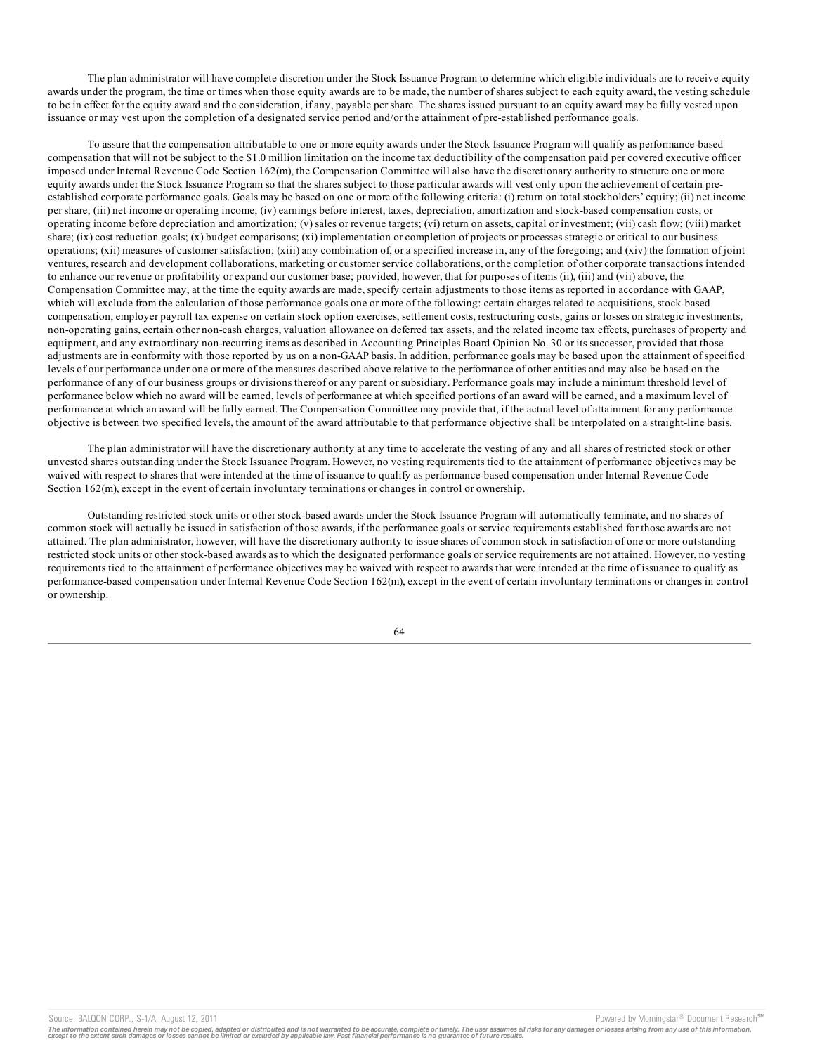The plan administrator will have complete discretion under the Stock Issuance Program to determine which eligible individuals are to receive equity awards under the program, the time or times when those equity awards are to be made, the number of shares subject to each equity award, the vesting schedule to be in effect for the equity award and the consideration, if any, payable per share. The shares issued pursuant to an equity award may be fully vested upon issuance or may vest upon the completion of a designated service period and/or the attainment of pre-established performance goals.

To assure that the compensation attributable to one or more equity awards under the Stock Issuance Program will qualify as performance-based compensation that will not be subject to the \$1.0 million limitation on the income tax deductibility of the compensation paid per covered executive officer imposed under Internal Revenue Code Section 162(m), the Compensation Committee will also have the discretionary authority to structure one or more equity awards under the Stock Issuance Program so that the shares subject to those particular awards will vest only upon the achievement of certain preestablished corporate performance goals. Goals may be based on one or more of the following criteria: (i) return on total stockholders' equity; (ii) net income per share; (iii) net income or operating income; (iv) earnings before interest, taxes, depreciation, amortization and stock-based compensation costs, or operating income before depreciation and amortization; (v) sales or revenue targets; (vi) return on assets, capital or investment; (vii) cash flow; (viii) market share; (ix) cost reduction goals; (x) budget comparisons; (xi) implementation or completion of projects or processes strategic or critical to our business operations; (xii) measures of customer satisfaction; (xiii) any combination of, or a specified increase in, any of the foregoing; and (xiv) the formation of joint ventures, research and development collaborations, marketing or customer service collaborations, or the completion of other corporate transactions intended to enhance our revenue or profitability or expand our customer base; provided, however, that for purposes of items (ii), (iii) and (vii) above, the Compensation Committee may, at the time the equity awards are made, specify certain adjustments to those items as reported in accordance with GAAP, which will exclude from the calculation of those performance goals one or more of the following: certain charges related to acquisitions, stock-based compensation, employer payroll tax expense on certain stock option exercises, settlement costs, restructuring costs, gains or losses on strategic investments, non-operating gains, certain other non-cash charges, valuation allowance on deferred tax assets, and the related income tax effects, purchases of property and equipment, and any extraordinary non-recurring items as described in Accounting Principles Board Opinion No. 30 or its successor, provided that those adjustments are in conformity with those reported by us on a non-GAAP basis. In addition, performance goals may be based upon the attainment of specified levels of our performance under one or more of the measures described above relative to the performance of other entities and may also be based on the performance of any of our business groups or divisions thereof or any parent or subsidiary. Performance goals may include a minimum threshold level of performance below which no award will be earned, levels of performance at which specified portions of an award will be earned, and a maximum level of performance at which an award will be fully earned. The Compensation Committee may provide that, if the actual level of attainment for any performance objective is between two specified levels, the amount of the award attributable to that performance objective shall be interpolated on a straight-line basis.

The plan administrator will have the discretionary authority at any time to accelerate the vesting of any and all shares of restricted stock or other unvested shares outstanding under the Stock Issuance Program. However, no vesting requirements tied to the attainment of performance objectives may be waived with respect to shares that were intended at the time of issuance to qualify as performance-based compensation under Internal Revenue Code Section 162(m), except in the event of certain involuntary terminations or changes in control or ownership.

Outstanding restricted stock units or other stock-based awards under the Stock Issuance Program will automatically terminate, and no shares of common stock will actually be issued in satisfaction of those awards, if the performance goals or service requirements established for those awards are not attained. The plan administrator, however, will have the discretionary authority to issue shares of common stock in satisfaction of one or more outstanding restricted stock units or other stock-based awards as to which the designated performance goals or service requirements are not attained. However, no vesting requirements tied to the attainment of performance objectives may be waived with respect to awards that were intended at the time of issuance to qualify as performance-based compensation under Internal Revenue Code Section 162(m), except in the event of certain involuntary terminations or changes in control or ownership.

64

Source: BALQON CORP., S-1/A, August 12, 2011 **Powered by Morningstar® Document Research** in Powered by Morningstar® Document Research in

The information contained herein may not be copied, adapted or distributed and is not warranted to be accurate, complete or timely. The user assumes all risks for any damages or losses arising from any use of this informat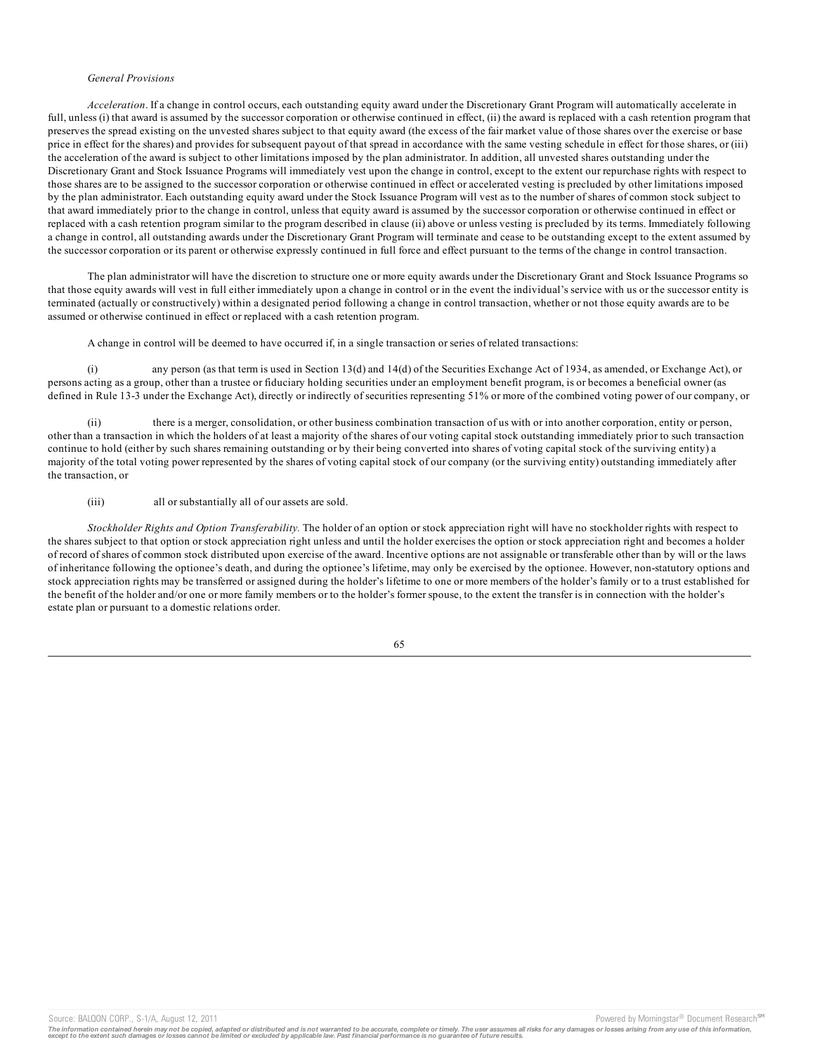# *General Provisions*

*Acceleration*. If a change in control occurs, each outstanding equity award under the Discretionary Grant Program will automatically accelerate in full, unless (i) that award is assumed by the successor corporation or otherwise continued in effect, (ii) the award is replaced with a cash retention program that preserves the spread existing on the unvested shares subject to that equity award (the excess of the fair market value of those shares over the exercise or base price in effect for the shares) and provides for subsequent payout of that spread in accordance with the same vesting schedule in effect for those shares, or (iii) the acceleration of the award is subject to other limitations imposed by the plan administrator. In addition, all unvested shares outstanding under the Discretionary Grant and Stock Issuance Programs will immediately vest upon the change in control, except to the extent our repurchase rights with respect to those shares are to be assigned to the successor corporation or otherwise continued in effect or accelerated vesting is precluded by other limitations imposed by the plan administrator. Each outstanding equity award under the Stock Issuance Program will vest as to the number of shares of common stock subject to that award immediately prior to the change in control, unless that equity award is assumed by the successor corporation or otherwise continued in effect or replaced with a cash retention program similar to the program described in clause (ii) above or unless vesting is precluded by its terms. Immediately following a change in control, all outstanding awards under the Discretionary Grant Program will terminate and cease to be outstanding except to the extent assumed by the successor corporation or its parent or otherwise expressly continued in full force and effect pursuant to the terms of the change in control transaction.

The plan administrator will have the discretion to structure one or more equity awards under the Discretionary Grant and Stock Issuance Programs so that those equity awards will vest in full either immediately upon a change in control or in the event the individual's service with us or the successor entity is terminated (actually or constructively) within a designated period following a change in control transaction, whether or not those equity awards are to be assumed or otherwise continued in effect or replaced with a cash retention program.

A change in control will be deemed to have occurred if, in a single transaction or series of related transactions:

(i) any person (as that term is used in Section 13(d) and 14(d) of the Securities Exchange Act of 1934, as amended, or Exchange Act), or persons acting as a group, other than a trustee or fiduciary holding securities under an employment benefit program, is or becomes a beneficial owner (as defined in Rule 13-3 under the Exchange Act), directly or indirectly of securities representing 51% or more of the combined voting power of our company, or

(ii) there is a merger, consolidation, or other business combination transaction of us with or into another corporation, entity or person, other than a transaction in which the holders of at least a majority of the shares of our voting capital stock outstanding immediately prior to such transaction continue to hold (either by such shares remaining outstanding or by their being converted into shares of voting capital stock of the surviving entity) a majority of the total voting power represented by the shares of voting capital stock of our company (or the surviving entity) outstanding immediately after the transaction, or

(iii) all or substantially all of our assets are sold.

*Stockholder Rights and Option Transferability.* The holder of an option or stock appreciation right will have no stockholder rights with respect to the shares subject to that option or stock appreciation right unless and until the holder exercises the option or stock appreciation right and becomes a holder of record of shares of common stock distributed upon exercise of the award. Incentive options are not assignable or transferable other than by will or the laws of inheritance following the optionee's death, and during the optionee's lifetime, may only be exercised by the optionee. However, non-statutory options and stock appreciation rights may be transferred or assigned during the holder's lifetime to one or more members of the holder's family or to a trust established for the benefit of the holder and/or one or more family members or to the holder's former spouse, to the extent the transfer is in connection with the holder's estate plan or pursuant to a domestic relations order.

65

Source: BALQON CORP., S-1/A, August 12, 2011 **Powered by Morningstar® Document Research** Morningstar® Document Research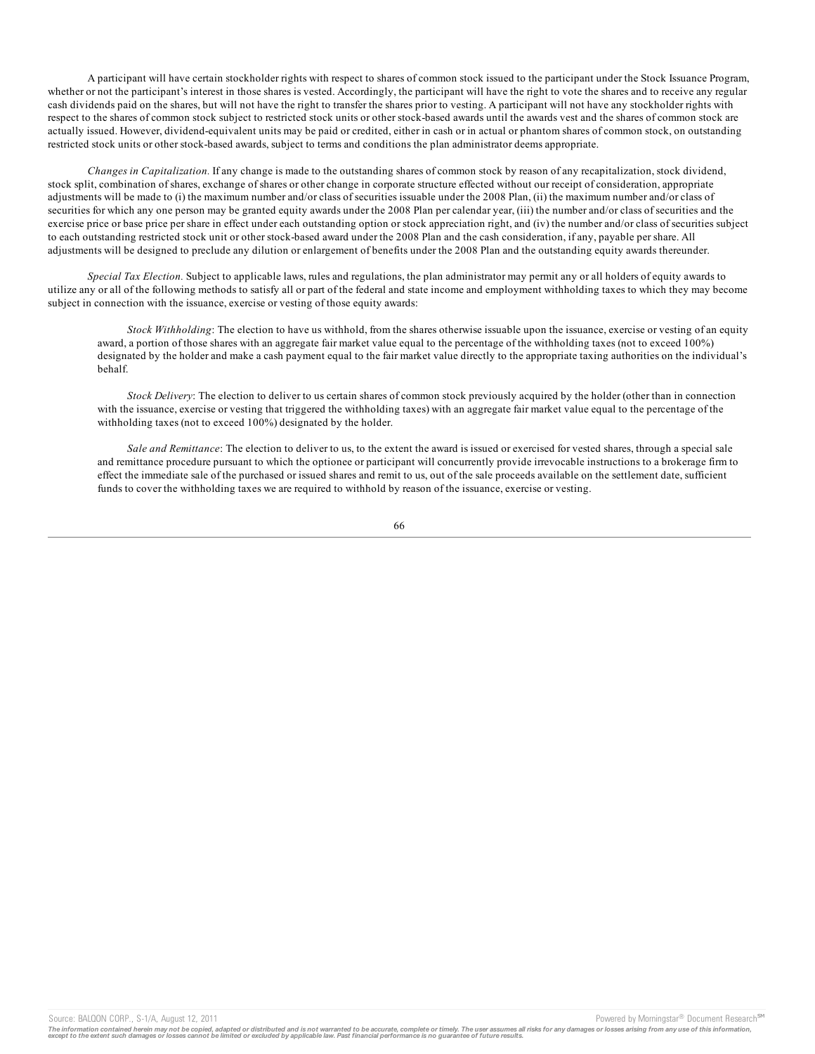A participant will have certain stockholder rights with respect to shares of common stock issued to the participant under the Stock Issuance Program, whether or not the participant's interest in those shares is vested. Accordingly, the participant will have the right to vote the shares and to receive any regular cash dividends paid on the shares, but will not have the right to transfer the shares prior to vesting. A participant will not have any stockholder rights with respect to the shares of common stock subject to restricted stock units or other stock-based awards until the awards vest and the shares of common stock are actually issued. However, dividend-equivalent units may be paid or credited, either in cash or in actual or phantom shares of common stock, on outstanding restricted stock units or other stock-based awards, subject to terms and conditions the plan administrator deems appropriate.

*Changes in Capitalization.* If any change is made to the outstanding shares of common stock by reason of any recapitalization, stock dividend, stock split, combination of shares, exchange of shares or other change in corporate structure effected without our receipt of consideration, appropriate adjustments will be made to (i) the maximum number and/or class of securities issuable under the 2008 Plan, (ii) the maximum number and/or class of securities for which any one person may be granted equity awards under the 2008 Plan per calendar year, (iii) the number and/or class of securities and the exercise price or base price per share in effect under each outstanding option or stock appreciation right, and (iv) the number and/or class of securities subject to each outstanding restricted stock unit or other stock-based award under the 2008 Plan and the cash consideration, if any, payable per share. All adjustments will be designed to preclude any dilution or enlargement of benefits under the 2008 Plan and the outstanding equity awards thereunder.

*Special Tax Election.* Subject to applicable laws, rules and regulations, the plan administrator may permit any or all holders of equity awards to utilize any or all of the following methods to satisfy all or part of the federal and state income and employment withholding taxes to which they may become subject in connection with the issuance, exercise or vesting of those equity awards:

*Stock Withholding*: The election to have us withhold, from the shares otherwise issuable upon the issuance, exercise or vesting of an equity award, a portion of those shares with an aggregate fair market value equal to the percentage of the withholding taxes (not to exceed 100%) designated by the holder and make a cash payment equal to the fair market value directly to the appropriate taxing authorities on the individual's behalf.

*Stock Delivery*: The election to deliver to us certain shares of common stock previously acquired by the holder (other than in connection with the issuance, exercise or vesting that triggered the withholding taxes) with an aggregate fair market value equal to the percentage of the withholding taxes (not to exceed 100%) designated by the holder.

*Sale and Remittance*: The election to deliver to us, to the extent the award is issued or exercised for vested shares, through a special sale and remittance procedure pursuant to which the optionee or participant will concurrently provide irrevocable instructions to a brokerage firm to effect the immediate sale of the purchased or issued shares and remit to us, out of the sale proceeds available on the settlement date, sufficient funds to cover the withholding taxes we are required to withhold by reason of the issuance, exercise or vesting.

66

Source: BALQON CORP., S-1/A, August 12, 2011 **Powered by Morningstar® Document Research** <sup>5M</sup>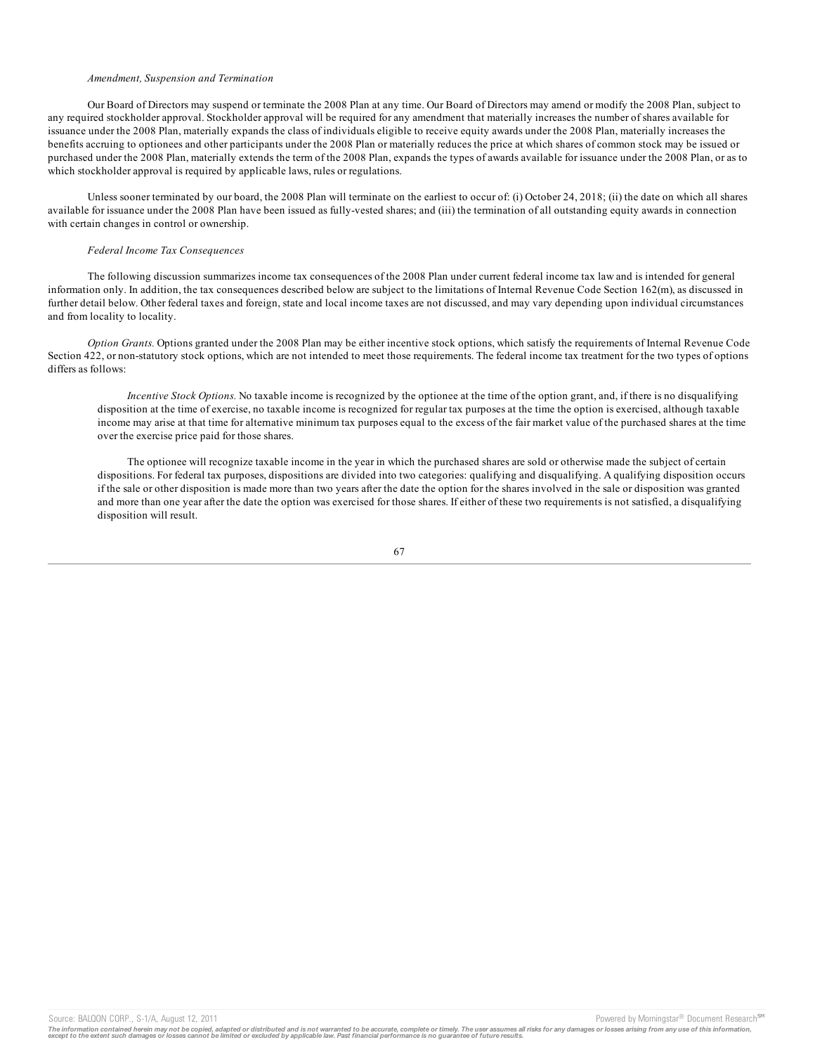# *Amendment, Suspension and Termination*

Our Board of Directors may suspend or terminate the 2008 Plan at any time. Our Board of Directors may amend or modify the 2008 Plan, subject to any required stockholder approval. Stockholder approval will be required for any amendment that materially increases the number of shares available for issuance under the 2008 Plan, materially expands the class of individuals eligible to receive equity awards under the 2008 Plan, materially increases the benefits accruing to optionees and other participants under the 2008 Plan or materially reduces the price at which shares of common stock may be issued or purchased under the 2008 Plan, materially extends the term of the 2008 Plan, expands the types of awards available for issuance under the 2008 Plan, or as to which stockholder approval is required by applicable laws, rules or regulations.

Unless sooner terminated by our board, the 2008 Plan will terminate on the earliest to occur of: (i) October 24, 2018; (ii) the date on which all shares available for issuance under the 2008 Plan have been issued as fully-vested shares; and (iii) the termination of all outstanding equity awards in connection with certain changes in control or ownership.

# *Federal Income Tax Consequences*

The following discussion summarizes income tax consequences of the 2008 Plan under current federal income tax law and is intended for general information only. In addition, the tax consequences described below are subject to the limitations of Internal Revenue Code Section 162(m), as discussed in further detail below. Other federal taxes and foreign, state and local income taxes are not discussed, and may vary depending upon individual circumstances and from locality to locality.

*Option Grants.* Options granted under the 2008 Plan may be either incentive stock options, which satisfy the requirements of Internal Revenue Code Section 422, or non-statutory stock options, which are not intended to meet those requirements. The federal income tax treatment for the two types of options differs as follows:

*Incentive Stock Options.* No taxable income is recognized by the optionee at the time of the option grant, and, if there is no disqualifying disposition at the time of exercise, no taxable income is recognized for regular tax purposes at the time the option is exercised, although taxable income may arise at that time for alternative minimum tax purposes equal to the excess of the fair market value of the purchased shares at the time over the exercise price paid for those shares.

The optionee will recognize taxable income in the year in which the purchased shares are sold or otherwise made the subject of certain dispositions. For federal tax purposes, dispositions are divided into two categories: qualifying and disqualifying. A qualifying disposition occurs if the sale or other disposition is made more than two years after the date the option for the shares involved in the sale or disposition was granted and more than one year after the date the option was exercised for those shares. If either of these two requirements is not satisfied, a disqualifying disposition will result.

67

Source: BALQON CORP., S-1/A, August 12, 2011 **Powered by Morningstar® Document Research** <sup>5M</sup>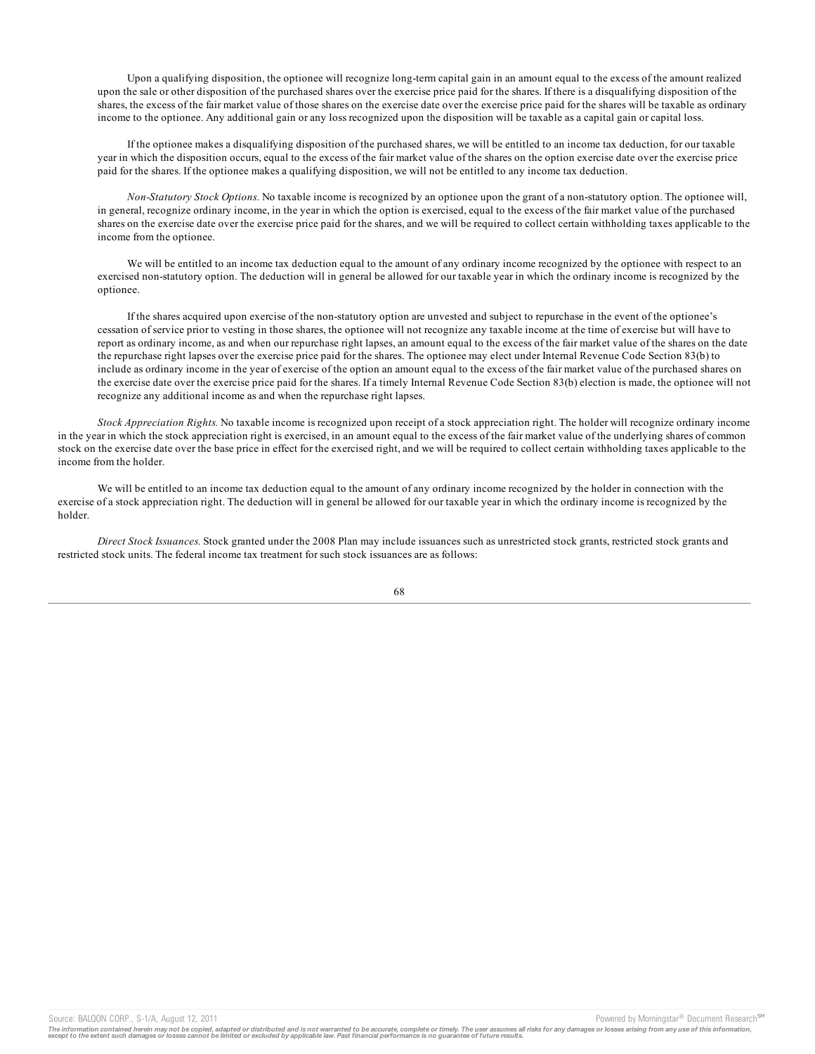Upon a qualifying disposition, the optionee will recognize long-term capital gain in an amount equal to the excess of the amount realized upon the sale or other disposition of the purchased shares over the exercise price paid for the shares. If there is a disqualifying disposition of the shares, the excess of the fair market value of those shares on the exercise date over the exercise price paid for the shares will be taxable as ordinary income to the optionee. Any additional gain or any loss recognized upon the disposition will be taxable as a capital gain or capital loss.

If the optionee makes a disqualifying disposition of the purchased shares, we will be entitled to an income tax deduction, for our taxable year in which the disposition occurs, equal to the excess of the fair market value of the shares on the option exercise date over the exercise price paid for the shares. If the optionee makes a qualifying disposition, we will not be entitled to any income tax deduction.

*Non-Statutory Stock Options.* No taxable income is recognized by an optionee upon the grant of a non-statutory option. The optionee will, in general, recognize ordinary income, in the year in which the option is exercised, equal to the excess of the fair market value of the purchased shares on the exercise date over the exercise price paid for the shares, and we will be required to collect certain withholding taxes applicable to the income from the optionee.

We will be entitled to an income tax deduction equal to the amount of any ordinary income recognized by the optionee with respect to an exercised non-statutory option. The deduction will in general be allowed for our taxable year in which the ordinary income is recognized by the optionee.

If the shares acquired upon exercise of the non-statutory option are unvested and subject to repurchase in the event of the optionee's cessation of service prior to vesting in those shares, the optionee will not recognize any taxable income at the time of exercise but will have to report as ordinary income, as and when our repurchase right lapses, an amount equal to the excess of the fair market value of the shares on the date the repurchase right lapses over the exercise price paid for the shares. The optionee may elect under Internal Revenue Code Section 83(b) to include as ordinary income in the year of exercise of the option an amount equal to the excess of the fair market value of the purchased shares on the exercise date over the exercise price paid for the shares. If a timely Internal Revenue Code Section 83(b) election is made, the optionee will not recognize any additional income as and when the repurchase right lapses.

*Stock Appreciation Rights.* No taxable income is recognized upon receipt of a stock appreciation right. The holder will recognize ordinary income in the year in which the stock appreciation right is exercised, in an amount equal to the excess of the fair market value of the underlying shares of common stock on the exercise date over the base price in effect for the exercised right, and we will be required to collect certain withholding taxes applicable to the income from the holder.

We will be entitled to an income tax deduction equal to the amount of any ordinary income recognized by the holder in connection with the exercise of a stock appreciation right. The deduction will in general be allowed for our taxable year in which the ordinary income is recognized by the holder.

*Direct Stock Issuances.* Stock granted under the 2008 Plan may include issuances such as unrestricted stock grants, restricted stock grants and restricted stock units. The federal income tax treatment for such stock issuances are as follows:

68

The information contained herein may not be copied, adapted or distributed and is not warranted to be accurate, complete or timely. The user assumes all risks for any damages or losses arising from any use of this informat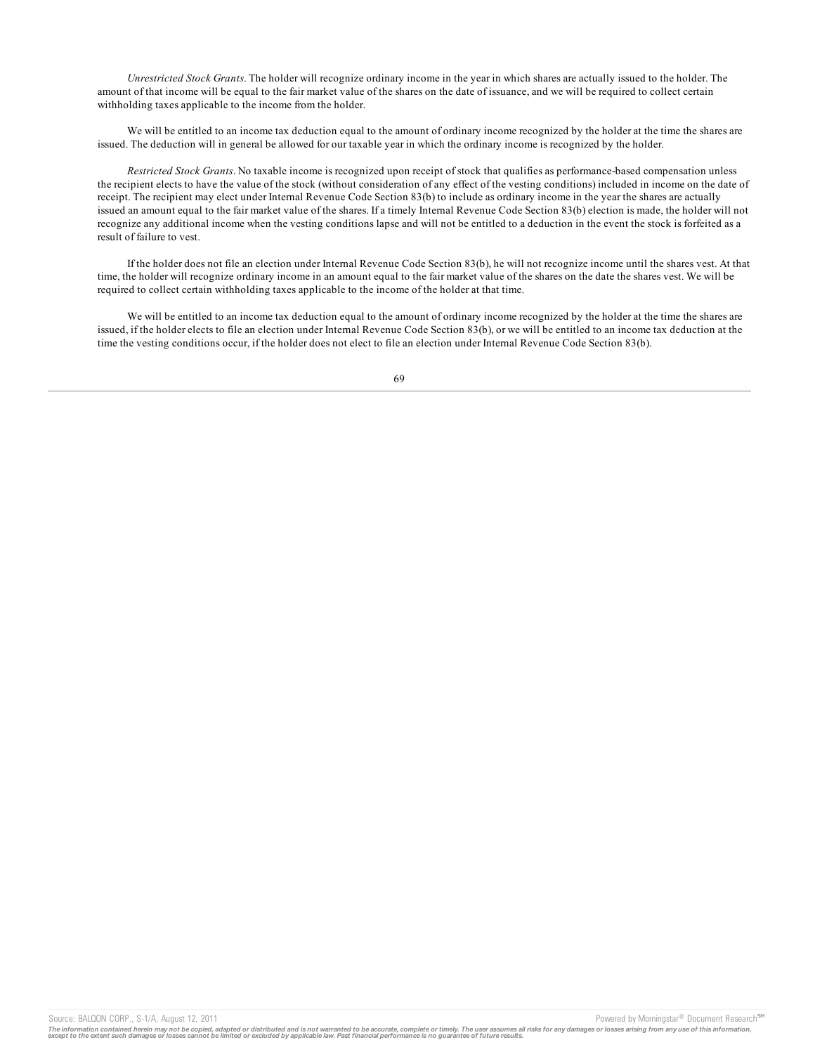*Unrestricted Stock Grants*. The holder will recognize ordinary income in the year in which shares are actually issued to the holder. The amount of that income will be equal to the fair market value of the shares on the date of issuance, and we will be required to collect certain withholding taxes applicable to the income from the holder.

We will be entitled to an income tax deduction equal to the amount of ordinary income recognized by the holder at the time the shares are issued. The deduction will in general be allowed for our taxable year in which the ordinary income is recognized by the holder.

*Restricted Stock Grants*. No taxable income is recognized upon receipt of stock that qualifies as performance-based compensation unless the recipient elects to have the value of the stock (without consideration of any effect of the vesting conditions) included in income on the date of receipt. The recipient may elect under Internal Revenue Code Section 83(b) to include as ordinary income in the year the shares are actually issued an amount equal to the fair market value of the shares. If a timely Internal Revenue Code Section 83(b) election is made, the holder will not recognize any additional income when the vesting conditions lapse and will not be entitled to a deduction in the event the stock is forfeited as a result of failure to vest.

If the holder does not file an election under Internal Revenue Code Section 83(b), he will not recognize income until the shares vest. At that time, the holder will recognize ordinary income in an amount equal to the fair market value of the shares on the date the shares vest. We will be required to collect certain withholding taxes applicable to the income of the holder at that time.

We will be entitled to an income tax deduction equal to the amount of ordinary income recognized by the holder at the time the shares are issued, if the holder elects to file an election under Internal Revenue Code Section 83(b), or we will be entitled to an income tax deduction at the time the vesting conditions occur, if the holder does not elect to file an election under Internal Revenue Code Section 83(b).

69

Source: BALQON CORP., S-1/A, August 12, 2011 **Powered by Morningstar® Document Research** in Powered by Morningstar® Document Research in

The information contained herein may not be copied, adapted or distributed and is not warranted to be accurate, complete or timely. The user assumes all risks for any damages or losses arising from any use of this informat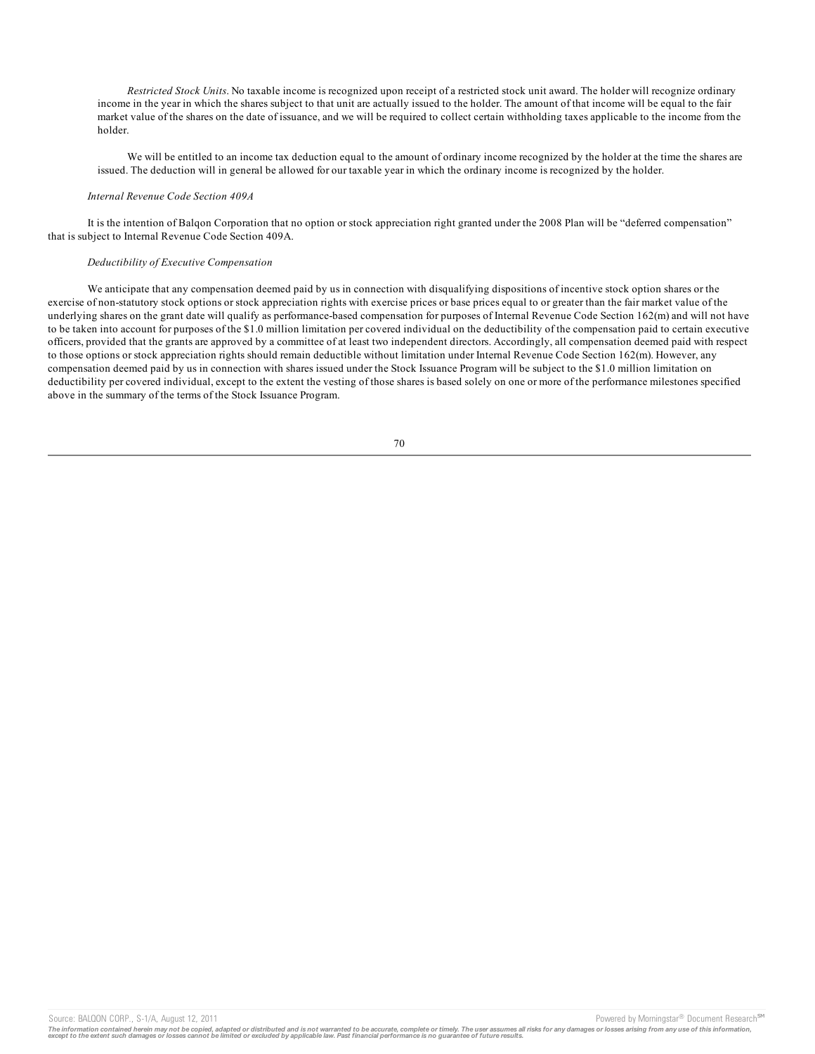*Restricted Stock Units*. No taxable income is recognized upon receipt of a restricted stock unit award. The holder will recognize ordinary income in the year in which the shares subject to that unit are actually issued to the holder. The amount of that income will be equal to the fair market value of the shares on the date of issuance, and we will be required to collect certain withholding taxes applicable to the income from the holder.

We will be entitled to an income tax deduction equal to the amount of ordinary income recognized by the holder at the time the shares are issued. The deduction will in general be allowed for our taxable year in which the ordinary income is recognized by the holder.

#### *Internal Revenue Code Section 409A*

It is the intention of Balqon Corporation that no option or stock appreciation right granted under the 2008 Plan will be "deferred compensation" that is subject to Internal Revenue Code Section 409A.

#### *Deductibility of Executive Compensation*

We anticipate that any compensation deemed paid by us in connection with disqualifying dispositions of incentive stock option shares or the exercise of non-statutory stock options or stock appreciation rights with exercise prices or base prices equal to or greater than the fair market value of the underlying shares on the grant date will qualify as performance-based compensation for purposes of Internal Revenue Code Section 162(m) and will not have to be taken into account for purposes of the \$1.0 million limitation per covered individual on the deductibility of the compensation paid to certain executive officers, provided that the grants are approved by a committee of at least two independent directors. Accordingly, all compensation deemed paid with respect to those options or stock appreciation rights should remain deductible without limitation under Internal Revenue Code Section 162(m). However, any compensation deemed paid by us in connection with shares issued under the Stock Issuance Program will be subject to the \$1.0 million limitation on deductibility per covered individual, except to the extent the vesting of those shares is based solely on one or more of the performance milestones specified above in the summary of the terms of the Stock Issuance Program.

70

The information contained herein may not be copied, adapted or distributed and is not warranted to be accurate, complete or timely. The user assumes all risks for any damages or losses arising from any use of this informat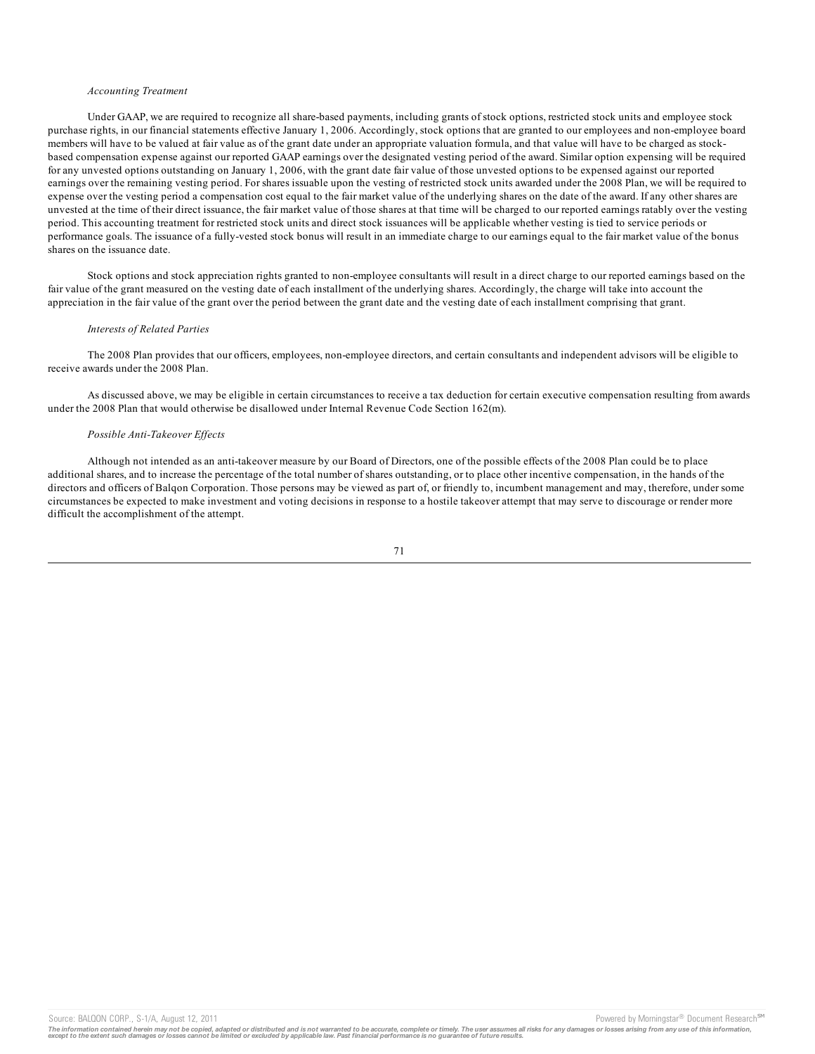#### *Accounting Treatment*

Under GAAP, we are required to recognize all share-based payments, including grants of stock options, restricted stock units and employee stock purchase rights, in our financial statements effective January 1, 2006. Accordingly, stock options that are granted to our employees and non-employee board members will have to be valued at fair value as of the grant date under an appropriate valuation formula, and that value will have to be charged as stockbased compensation expense against our reported GAAP earnings over the designated vesting period of the award. Similar option expensing will be required for any unvested options outstanding on January 1, 2006, with the grant date fair value of those unvested options to be expensed against our reported earnings over the remaining vesting period. For shares issuable upon the vesting of restricted stock units awarded under the 2008 Plan, we will be required to expense over the vesting period a compensation cost equal to the fair market value of the underlying shares on the date of the award. If any other shares are unvested at the time of their direct issuance, the fair market value of those shares at that time will be charged to our reported earnings ratably over the vesting period. This accounting treatment for restricted stock units and direct stock issuances will be applicable whether vesting is tied to service periods or performance goals. The issuance of a fully-vested stock bonus will result in an immediate charge to our earnings equal to the fair market value of the bonus shares on the issuance date.

Stock options and stock appreciation rights granted to non-employee consultants will result in a direct charge to our reported earnings based on the fair value of the grant measured on the vesting date of each installment of the underlying shares. Accordingly, the charge will take into account the appreciation in the fair value of the grant over the period between the grant date and the vesting date of each installment comprising that grant.

#### *Interests of Related Parties*

The 2008 Plan provides that our officers, employees, non-employee directors, and certain consultants and independent advisors will be eligible to receive awards under the 2008 Plan.

As discussed above, we may be eligible in certain circumstances to receive a tax deduction for certain executive compensation resulting from awards under the 2008 Plan that would otherwise be disallowed under Internal Revenue Code Section 162(m).

#### *Possible Anti-Takeover Ef ects*

Although not intended as an anti-takeover measure by our Board of Directors, one of the possible effects of the 2008 Plan could be to place additional shares, and to increase the percentage of the total number of shares outstanding, or to place other incentive compensation, in the hands of the directors and officers of Balqon Corporation. Those persons may be viewed as part of, or friendly to, incumbent management and may, therefore, under some circumstances be expected to make investment and voting decisions in response to a hostile takeover attempt that may serve to discourage or render more difficult the accomplishment of the attempt.

#### 71

Source: BALQON CORP., S-1/A, August 12, 2011 **Powered by Morningstar® Document Research** <sup>5M</sup>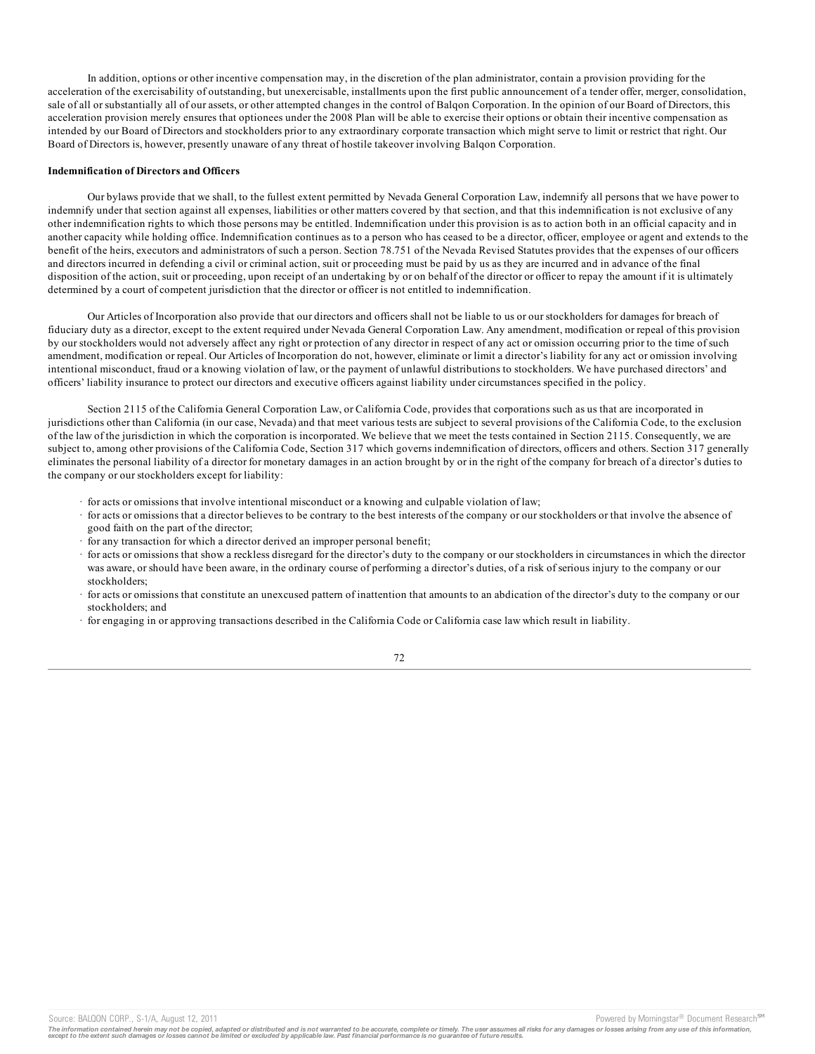In addition, options or other incentive compensation may, in the discretion of the plan administrator, contain a provision providing for the acceleration of the exercisability of outstanding, but unexercisable, installments upon the first public announcement of a tender offer, merger, consolidation, sale of all or substantially all of our assets, or other attempted changes in the control of Balqon Corporation. In the opinion of our Board of Directors, this acceleration provision merely ensures that optionees under the 2008 Plan will be able to exercise their options or obtain their incentive compensation as intended by our Board of Directors and stockholders prior to any extraordinary corporate transaction which might serve to limit or restrict that right. Our Board of Directors is, however, presently unaware of any threat of hostile takeover involving Balqon Corporation.

#### **Indemnification of Directors and Officers**

Our bylaws provide that we shall, to the fullest extent permitted by Nevada General Corporation Law, indemnify all persons that we have power to indemnify under that section against all expenses, liabilities or other matters covered by that section, and that this indemnification is not exclusive of any other indemnification rights to which those persons may be entitled. Indemnification under this provision is as to action both in an official capacity and in another capacity while holding office. Indemnification continues as to a person who has ceased to be a director, officer, employee or agent and extends to the benefit of the heirs, executors and administrators of such a person. Section 78.751 of the Nevada Revised Statutes provides that the expenses of our officers and directors incurred in defending a civil or criminal action, suit or proceeding must be paid by us as they are incurred and in advance of the final disposition of the action, suit or proceeding, upon receipt of an undertaking by or on behalf of the director or officer to repay the amount if it is ultimately determined by a court of competent jurisdiction that the director or officer is not entitled to indemnification.

Our Articles of Incorporation also provide that our directors and officers shall not be liable to us or our stockholders for damages for breach of fiduciary duty as a director, except to the extent required under Nevada General Corporation Law. Any amendment, modification or repeal of this provision by our stockholders would not adversely affect any right or protection of any director in respect of any act or omission occurring prior to the time of such amendment, modification or repeal. Our Articles of Incorporation do not, however, eliminate or limit a director's liability for any act or omission involving intentional misconduct, fraud or a knowing violation of law, or the payment of unlawful distributions to stockholders. We have purchased directors' and officers' liability insurance to protect our directors and executive officers against liability under circumstances specified in the policy.

Section 2115 of the California General Corporation Law, or California Code, provides that corporations such as us that are incorporated in jurisdictions other than California (in our case, Nevada) and that meet various tests are subject to several provisions of the California Code, to the exclusion of the law of the jurisdiction in which the corporation is incorporated. We believe that we meet the tests contained in Section 2115. Consequently, we are subject to, among other provisions of the California Code, Section 317 which governs indemnification of directors, officers and others. Section 317 generally eliminates the personal liability of a director for monetary damages in an action brought by or in the right of the company for breach of a director's duties to the company or our stockholders except for liability:

- · for acts or omissions that involve intentional misconduct or a knowing and culpable violation of law;
- · for acts or omissions that a director believes to be contrary to the best interests of the company or our stockholders or that involve the absence of good faith on the part of the director;
- · for any transaction for which a director derived an improper personal benefit;
- · for acts or omissions that show a reckless disregard for the director's duty to the company or our stockholders in circumstances in which the director was aware, or should have been aware, in the ordinary course of performing a director's duties, of a risk of serious injury to the company or our stockholders;
- for acts or omissions that constitute an unexcused pattern of inattention that amounts to an abdication of the director's duty to the company or our stockholders; and
- · for engaging in or approving transactions described in the California Code or California case law which result in liability.

72

Source: BALQON CORP., S-1/A, August 12, 2011 **Powered by Morningstar® Document Research** <sup>5M</sup>

The information contained herein may not be copied, adapted or distributed and is not warranted to be accurate, complete or timely. The user assumes all risks for any damages or losses arising from any use of this informat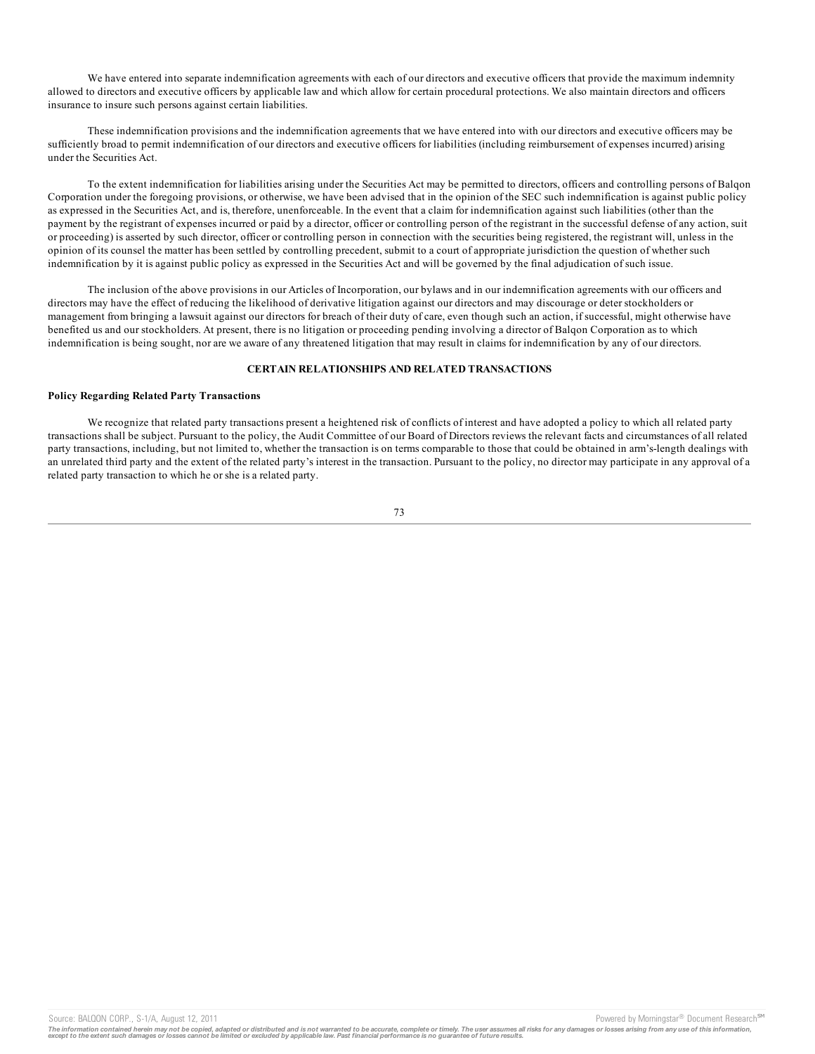We have entered into separate indemnification agreements with each of our directors and executive officers that provide the maximum indemnity allowed to directors and executive officers by applicable law and which allow for certain procedural protections. We also maintain directors and officers insurance to insure such persons against certain liabilities.

These indemnification provisions and the indemnification agreements that we have entered into with our directors and executive officers may be sufficiently broad to permit indemnification of our directors and executive officers for liabilities (including reimbursement of expenses incurred) arising under the Securities Act.

To the extent indemnification for liabilities arising under the Securities Act may be permitted to directors, officers and controlling persons of Balqon Corporation under the foregoing provisions, or otherwise, we have been advised that in the opinion of the SEC such indemnification is against public policy as expressed in the Securities Act, and is, therefore, unenforceable. In the event that a claim for indemnification against such liabilities (other than the payment by the registrant of expenses incurred or paid by a director, officer or controlling person of the registrant in the successful defense of any action, suit or proceeding) is asserted by such director, officer or controlling person in connection with the securities being registered, the registrant will, unless in the opinion of its counsel the matter has been settled by controlling precedent, submit to a court of appropriate jurisdiction the question of whether such indemnification by it is against public policy as expressed in the Securities Act and will be governed by the final adjudication of such issue.

The inclusion of the above provisions in our Articles of Incorporation, our bylaws and in our indemnification agreements with our officers and directors may have the effect of reducing the likelihood of derivative litigation against our directors and may discourage or deter stockholders or management from bringing a lawsuit against our directors for breach of their duty of care, even though such an action, if successful, might otherwise have benefited us and our stockholders. At present, there is no litigation or proceeding pending involving a director of Balqon Corporation as to which indemnification is being sought, nor are we aware of any threatened litigation that may result in claims for indemnification by any of our directors.

### **CERTAIN RELATIONSHIPS AND RELATED TRANSACTIONS**

#### **Policy Regarding Related Party Transactions**

We recognize that related party transactions present a heightened risk of conflicts of interest and have adopted a policy to which all related party transactions shall be subject. Pursuant to the policy, the Audit Committee of our Board of Directors reviews the relevant facts and circumstances of all related party transactions, including, but not limited to, whether the transaction is on terms comparable to those that could be obtained in arm's-length dealings with an unrelated third party and the extent of the related party's interest in the transaction. Pursuant to the policy, no director may participate in any approval of a related party transaction to which he or she is a related party.

#### 73

Source: BALQON CORP., S-1/A, August 12, 2011 **Powered by Morningstar® Document Research** in Powered by Morningstar® Document Research in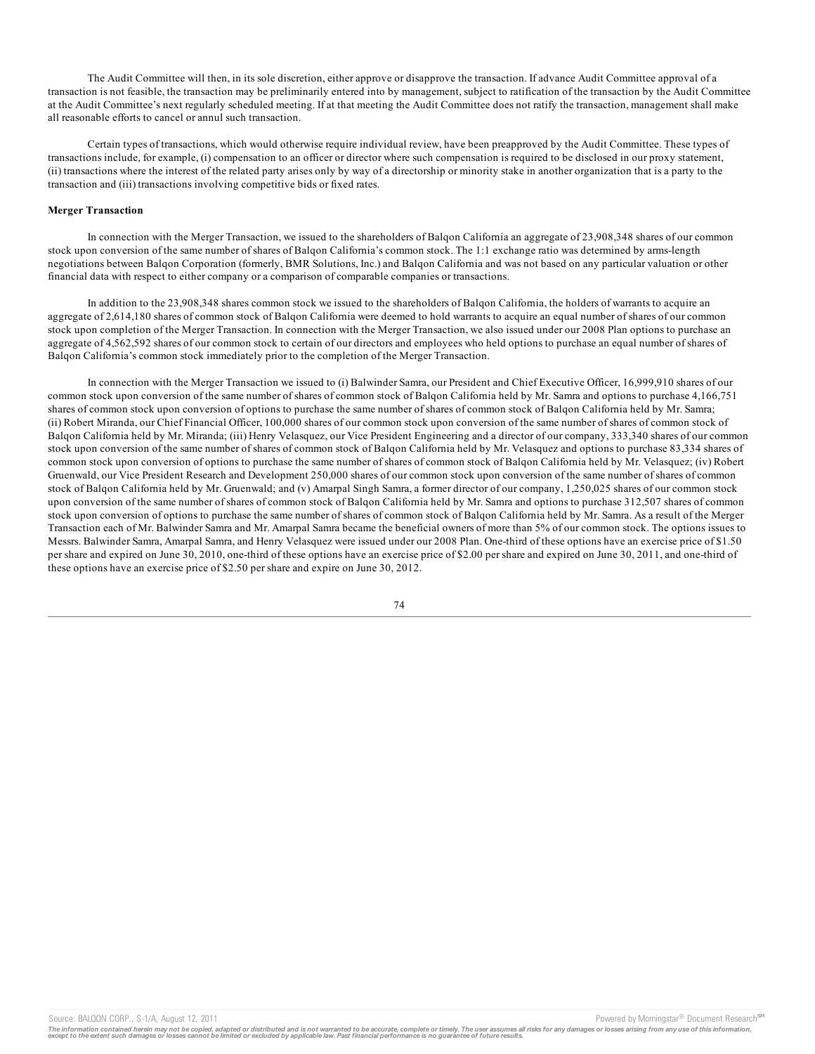The Audit Committee will then, in its sole discretion, either approve or disapprove the transaction. If advance Audit Committee approval of a transaction is not feasible, the transaction may be preliminarily entered into by management, subject to ratification of the transaction by the Audit Committee at the Audit Committee's next regularly scheduled meeting. If at that meeting the Audit Committee does not ratify the transaction, management shall make all reasonable efforts to cancel or annul such transaction.

Certain types of transactions, which would otherwise require individual review, have been preapproved by the Audit Committee. These types of transactions include, for example, (i) compensation to an officer or director where such compensation is required to be disclosed in our proxy statement, (ii) transactions where the interest of the related party arises only by way of a directorship or minority stake in another organization that is a party to the transaction and (iii) transactions involving competitive bids or fixed rates.

#### **Merger Transaction**

In connection with the Merger Transaction, we issued to the shareholders of Balqon California an aggregate of 23,908,348 shares of our common stock upon conversion of the same number of shares of Balqon California's common stock. The 1:1 exchange ratio was determined by arms-length negotiations between Balqon Corporation (formerly, BMR Solutions, Inc.) and Balqon California and was not based on any particular valuation or other financial data with respect to either company or a comparison of comparable companies or transactions.

In addition to the 23,908,348 shares common stock we issued to the shareholders of Balqon California, the holders of warrants to acquire an aggregate of 2,614,180 shares of common stock of Balqon California were deemed to hold warrants to acquire an equal number of shares of our common stock upon completion of the Merger Transaction. In connection with the Merger Transaction, we also issued under our 2008 Plan options to purchase an aggregate of 4,562,592 shares of our common stock to certain of our directors and employees who held options to purchase an equal number of shares of Balqon California's common stock immediately prior to the completion of the Merger Transaction.

In connection with the Merger Transaction we issued to (i) Balwinder Samra, our President and Chief Executive Officer, 16,999,910 shares of our common stock upon conversion of the same number of shares of common stock of Balqon California held by Mr. Samra and options to purchase 4,166,751 shares of common stock upon conversion of options to purchase the same number of shares of common stock of Balqon California held by Mr. Samra; (ii) Robert Miranda, our Chief Financial Officer, 100,000 shares of our common stock upon conversion of the same number of shares of common stock of Balqon California held by Mr. Miranda; (iii) Henry Velasquez, our Vice President Engineering and a director of our company, 333,340 shares of our common stock upon conversion of the same number of shares of common stock of Balqon California held by Mr. Velasquez and options to purchase 83,334 shares of common stock upon conversion of options to purchase the same number of shares of common stock of Balqon California held by Mr. Velasquez; (iv) Robert Gruenwald, our Vice President Research and Development 250,000 shares of our common stock upon conversion of the same number of shares of common stock of Balqon California held by Mr. Gruenwald; and (v) Amarpal Singh Samra, a former director of our company, 1,250,025 shares of our common stock upon conversion of the same number of shares of common stock of Balqon California held by Mr. Samra and options to purchase 312,507 shares of common stock upon conversion of options to purchase the same number of shares of common stock of Balqon California held by Mr. Samra. As a result of the Merger Transaction each of Mr. Balwinder Samra and Mr. Amarpal Samra became the beneficial owners of more than 5% of our common stock. The options issues to Messrs. Balwinder Samra, Amarpal Samra, and Henry Velasquez were issued under our 2008 Plan. One-third of these options have an exercise price of \$1.50 per share and expired on June 30, 2010, one-third of these options have an exercise price of \$2.00 per share and expired on June 30, 2011, and one-third of these options have an exercise price of \$2.50 per share and expire on June 30, 2012.

74

Source: BALQON CORP., S-1/A, August 12, 2011 **Powered by Morningstar® Document Research** <sup>5M</sup>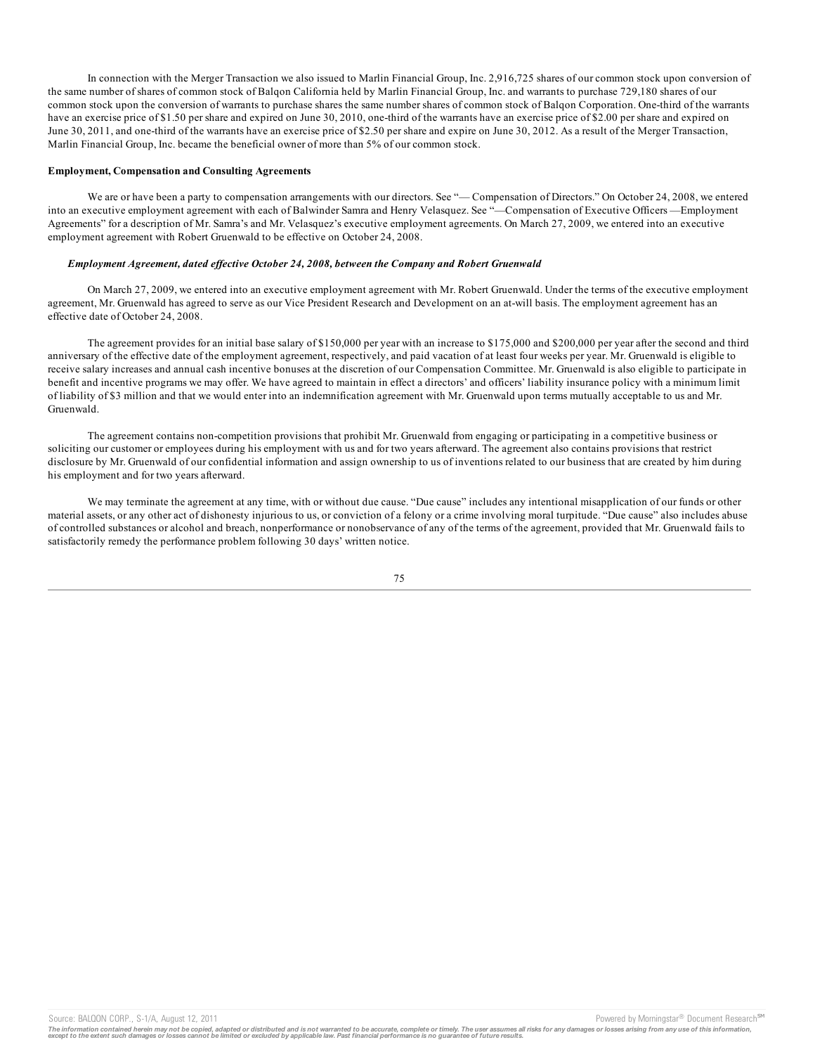In connection with the Merger Transaction we also issued to Marlin Financial Group, Inc. 2,916,725 shares of our common stock upon conversion of the same number of shares of common stock of Balqon California held by Marlin Financial Group, Inc. and warrants to purchase 729,180 shares of our common stock upon the conversion of warrants to purchase shares the same number shares of common stock of Balqon Corporation. One-third of the warrants have an exercise price of \$1.50 per share and expired on June 30, 2010, one-third of the warrants have an exercise price of \$2.00 per share and expired on June 30, 2011, and one-third of the warrants have an exercise price of \$2.50 per share and expire on June 30, 2012. As a result of the Merger Transaction, Marlin Financial Group, Inc. became the beneficial owner of more than 5% of our common stock.

#### **Employment, Compensation and Consulting Agreements**

We are or have been a party to compensation arrangements with our directors. See "—Compensation of Directors." On October 24, 2008, we entered into an executive employment agreement with each of Balwinder Samra and Henry Velasquez. See "—Compensation of Executive Officers —Employment Agreements" for a description of Mr. Samra's and Mr. Velasquez's executive employment agreements. On March 27, 2009, we entered into an executive employment agreement with Robert Gruenwald to be effective on October 24, 2008.

## *Employment Agreement, dated ef ective October 24, 2008, between the Company and Robert Gruenwald*

On March 27, 2009, we entered into an executive employment agreement with Mr. Robert Gruenwald. Under the terms of the executive employment agreement, Mr. Gruenwald has agreed to serve as our Vice President Research and Development on an at-will basis. The employment agreement has an effective date of October 24, 2008.

The agreement provides for an initial base salary of \$150,000 per year with an increase to \$175,000 and \$200,000 per year after the second and third anniversary of the effective date of the employment agreement, respectively, and paid vacation of at least four weeks per year. Mr. Gruenwald is eligible to receive salary increases and annual cash incentive bonuses at the discretion of our Compensation Committee. Mr. Gruenwald is also eligible to participate in benefit and incentive programs we may offer. We have agreed to maintain in effect a directors' and officers' liability insurance policy with a minimum limit of liability of \$3 million and that we would enter into an indemnification agreement with Mr. Gruenwald upon terms mutually acceptable to us and Mr. Gruenwald.

The agreement contains non-competition provisions that prohibit Mr. Gruenwald from engaging or participating in a competitive business or soliciting our customer or employees during his employment with us and for two years afterward. The agreement also contains provisions that restrict disclosure by Mr. Gruenwald of our confidential information and assign ownership to us of inventions related to our business that are created by him during his employment and for two years afterward.

We may terminate the agreement at any time, with or without due cause. "Due cause" includes any intentional misapplication of our funds or other material assets, or any other act of dishonesty injurious to us, or conviction of a felony or a crime involving moral turpitude. "Due cause" also includes abuse of controlled substances or alcohol and breach, nonperformance or nonobservance of any of the terms of the agreement, provided that Mr. Gruenwald fails to satisfactorily remedy the performance problem following 30 days' written notice.



Source: BALQON CORP., S-1/A, August 12, 2011 **Powered by Morningstar® Document Research** <sup>5M</sup>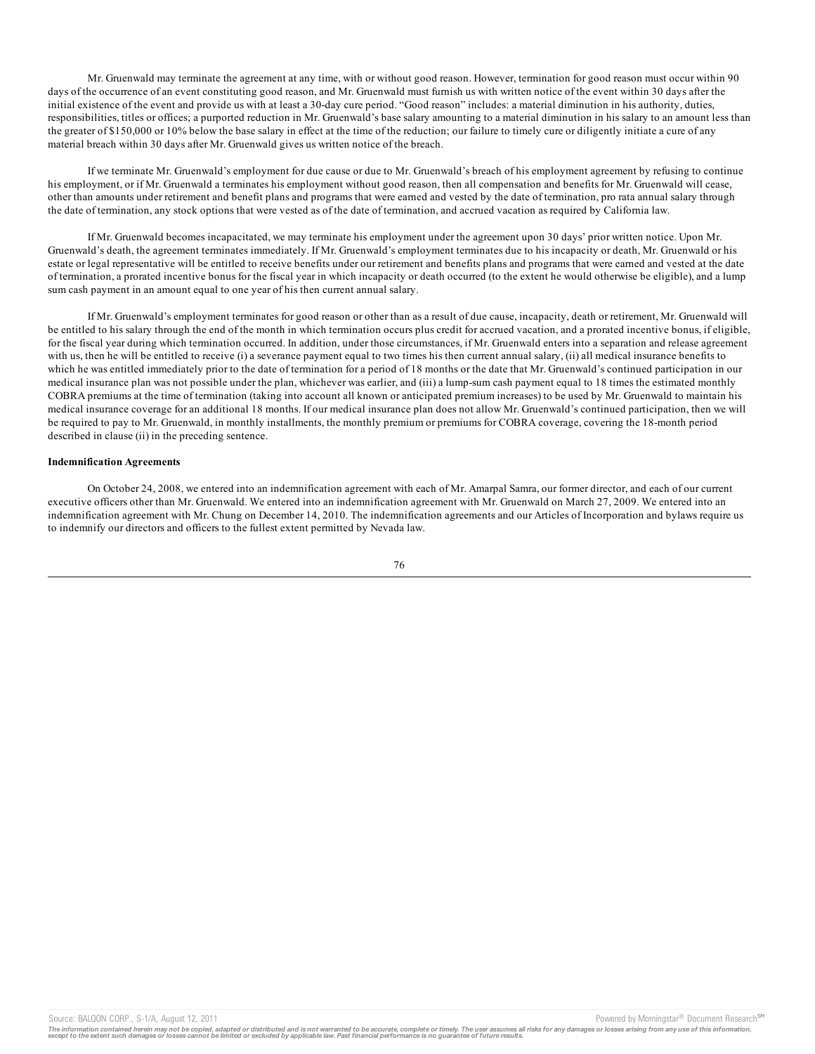Mr. Gruenwald may terminate the agreement at any time, with or without good reason. However, termination for good reason must occur within 90 days of the occurrence of an event constituting good reason, and Mr. Gruenwald must furnish us with written notice of the event within 30 days after the initial existence of the event and provide us with at least a 30-day cure period. "Good reason" includes: a material diminution in his authority, duties, responsibilities, titles or offices; a purported reduction in Mr. Gruenwald's base salary amounting to a material diminution in his salary to an amount less than the greater of \$150,000 or 10% below the base salary in effect at the time of the reduction; our failure to timely cure or diligently initiate a cure of any material breach within 30 days after Mr. Gruenwald gives us written notice of the breach.

If we terminate Mr. Gruenwald's employment for due cause or due to Mr. Gruenwald's breach of his employment agreement by refusing to continue his employment, or if Mr. Gruenwald a terminates his employment without good reason, then all compensation and benefits for Mr. Gruenwald will cease, other than amounts under retirement and benefit plans and programs that were earned and vested by the date of termination, pro rata annual salary through the date of termination, any stock options that were vested as of the date of termination, and accrued vacation as required by California law.

If Mr. Gruenwald becomes incapacitated, we may terminate his employment under the agreement upon 30 days' prior written notice. Upon Mr. Gruenwald's death, the agreement terminates immediately. If Mr. Gruenwald's employment terminates due to his incapacity or death, Mr. Gruenwald or his estate or legal representative will be entitled to receive benefits under our retirement and benefits plans and programs that were earned and vested at the date of termination, a prorated incentive bonus for the fiscal year in which incapacity or death occurred (to the extent he would otherwise be eligible), and a lump sum cash payment in an amount equal to one year of his then current annual salary.

If Mr. Gruenwald's employment terminates for good reason or other than as a result of due cause, incapacity, death or retirement, Mr. Gruenwald will be entitled to his salary through the end of the month in which termination occurs plus credit for accrued vacation, and a prorated incentive bonus, if eligible, for the fiscal year during which termination occurred. In addition, under those circumstances, if Mr. Gruenwald enters into a separation and release agreement with us, then he will be entitled to receive (i) a severance payment equal to two times his then current annual salary, (ii) all medical insurance benefits to which he was entitled immediately prior to the date of termination for a period of 18 months or the date that Mr. Gruenwald's continued participation in our medical insurance plan was not possible under the plan, whichever was earlier, and (iii) a lump-sum cash payment equal to 18 times the estimated monthly COBRA premiums at the time of termination (taking into account all known or anticipated premium increases) to be used by Mr. Gruenwald to maintain his medical insurance coverage for an additional 18 months. If our medical insurance plan does not allow Mr. Gruenwald's continued participation, then we will be required to pay to Mr. Gruenwald, in monthly installments, the monthly premium or premiums for COBRA coverage, covering the 18-month period described in clause (ii) in the preceding sentence.

#### **Indemnification Agreements**

On October 24, 2008, we entered into an indemnification agreement with each of Mr. Amarpal Samra, our former director, and each of our current executive officers other than Mr. Gruenwald. We entered into an indemnification agreement with Mr. Gruenwald on March 27, 2009. We entered into an indemnification agreement with Mr. Chung on December 14, 2010. The indemnification agreements and our Articles of Incorporation and bylaws require us to indemnify our directors and officers to the fullest extent permitted by Nevada law.



Source: BALQON CORP., S-1/A, August 12, 2011 **Powered by Morningstar® Document Research** <sup>5M</sup>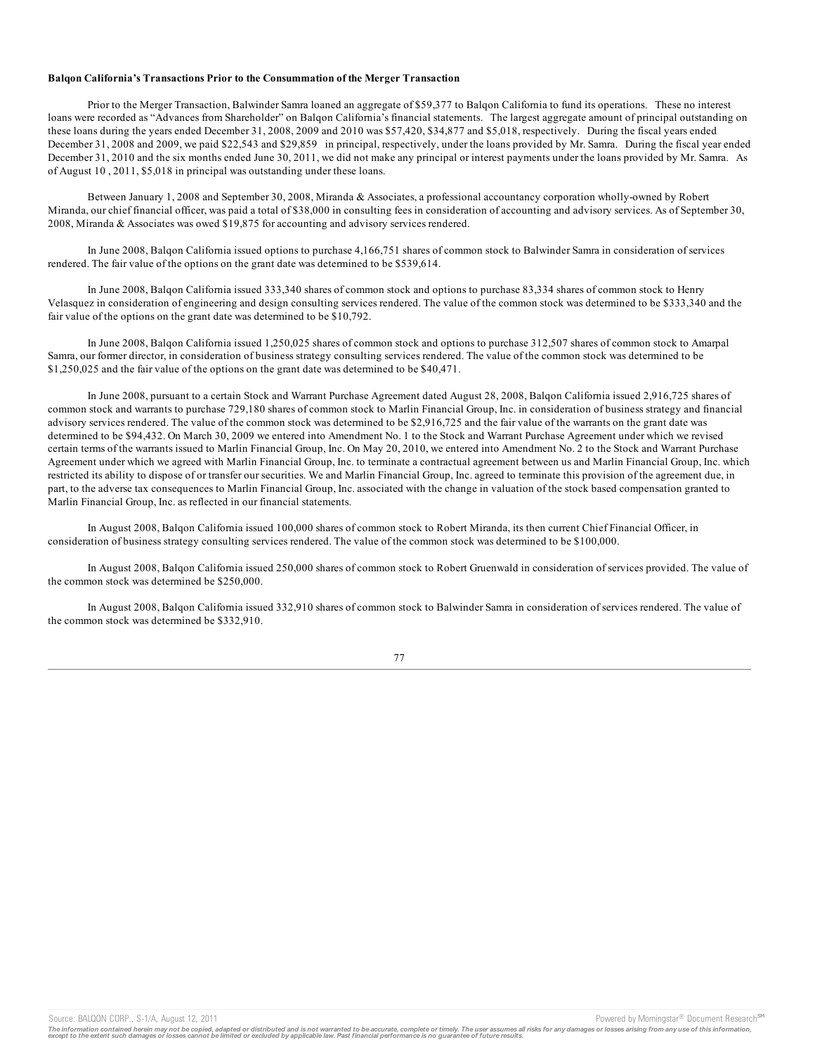### **Balqon California's Transactions Prior to the Consummation of the Merger Transaction**

Prior to the Merger Transaction, Balwinder Samra loaned an aggregate of \$59,377 to Balqon California to fund its operations. These no interest loans were recorded as "Advances from Shareholder" on Balqon California's financial statements. The largest aggregate amount of principal outstanding on these loans during the years ended December 31, 2008, 2009 and 2010 was \$57,420, \$34,877 and \$5,018, respectively. During the fiscal years ended December 31, 2008 and 2009, we paid \$22,543 and \$29,859 in principal, respectively, under the loans provided by Mr. Samra. During the fiscal year ended December 31, 2010 and the six months ended June 30, 2011, we did not make any principal or interest payments under the loans provided by Mr. Samra. As of August 10 , 2011, \$5,018 in principal was outstanding under these loans.

Between January 1, 2008 and September 30, 2008, Miranda & Associates, a professional accountancy corporation wholly-owned by Robert Miranda, our chief financial officer, was paid a total of \$38,000 in consulting fees in consideration of accounting and advisory services. As of September 30, 2008, Miranda & Associates was owed \$19,875 for accounting and advisory services rendered.

In June 2008, Balqon California issued options to purchase 4,166,751 shares of common stock to Balwinder Samra in consideration of services rendered. The fair value of the options on the grant date was determined to be \$539,614.

In June 2008, Balqon California issued 333,340 shares of common stock and options to purchase 83,334 shares of common stock to Henry Velasquez in consideration of engineering and design consulting services rendered. The value of the common stock was determined to be \$333,340 and the fair value of the options on the grant date was determined to be \$10,792.

In June 2008, Balqon California issued 1,250,025 shares of common stock and options to purchase 312,507 shares of common stock to Amarpal Samra, our former director, in consideration of business strategy consulting services rendered. The value of the common stock was determined to be \$1,250,025 and the fair value of the options on the grant date was determined to be \$40,471.

In June 2008, pursuant to a certain Stock and Warrant Purchase Agreement dated August 28, 2008, Balqon California issued 2,916,725 shares of common stock and warrants to purchase 729,180 shares of common stock to Marlin Financial Group, Inc. in consideration of business strategy and financial advisory services rendered. The value of the common stock was determined to be \$2,916,725 and the fair value of the warrants on the grant date was determined to be \$94,432. On March 30, 2009 we entered into Amendment No. 1 to the Stock and Warrant Purchase Agreement under which we revised certain terms of the warrants issued to Marlin Financial Group, Inc. On May 20, 2010, we entered into Amendment No. 2 to the Stock and Warrant Purchase Agreement under which we agreed with Marlin Financial Group, Inc. to terminate a contractual agreement between us and Marlin Financial Group, Inc. which restricted its ability to dispose of or transfer our securities. We and Marlin Financial Group, Inc. agreed to terminate this provision of the agreement due, in part, to the adverse tax consequences to Marlin Financial Group, Inc. associated with the change in valuation of the stock based compensation granted to Marlin Financial Group, Inc. as reflected in our financial statements.

In August 2008, Balqon California issued 100,000 shares of common stock to Robert Miranda, its then current Chief Financial Officer, in consideration of business strategy consulting services rendered. The value of the common stock was determined to be \$100,000.

In August 2008, Balqon California issued 250,000 shares of common stock to Robert Gruenwald in consideration of services provided. The value of the common stock was determined be \$250,000.

In August 2008, Balqon California issued 332,910 shares of common stock to Balwinder Samra in consideration of services rendered. The value of the common stock was determined be \$332,910.



Source: BALQON CORP., S-1/A, August 12, 2011 **Powered by Morningstar® Document Research** <sup>5M</sup>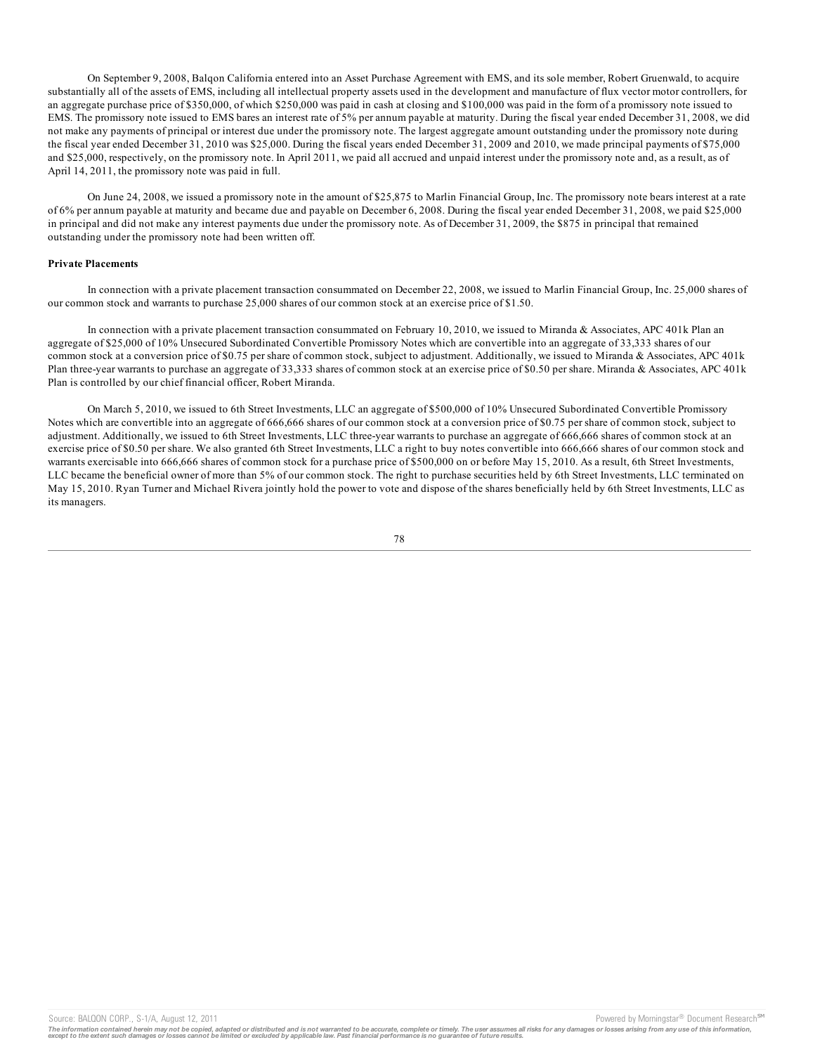On September 9, 2008, Balqon California entered into an Asset Purchase Agreement with EMS, and its sole member, Robert Gruenwald, to acquire substantially all of the assets of EMS, including all intellectual property assets used in the development and manufacture of flux vector motor controllers, for an aggregate purchase price of \$350,000, of which \$250,000 was paid in cash at closing and \$100,000 was paid in the form of a promissory note issued to EMS. The promissory note issued to EMS bares an interest rate of 5% per annum payable at maturity. During the fiscal year ended December 31, 2008, we did not make any payments of principal or interest due under the promissory note. The largest aggregate amount outstanding under the promissory note during the fiscal year ended December 31, 2010 was \$25,000. During the fiscal years ended December 31, 2009 and 2010, we made principal payments of \$75,000 and \$25,000, respectively, on the promissory note. In April 2011, we paid all accrued and unpaid interest under the promissory note and, as a result, as of April 14, 2011, the promissory note was paid in full.

On June 24, 2008, we issued a promissory note in the amount of \$25,875 to Marlin Financial Group, Inc. The promissory note bears interest at a rate of 6% per annum payable at maturity and became due and payable on December 6, 2008. During the fiscal year ended December 31, 2008, we paid \$25,000 in principal and did not make any interest payments due under the promissory note. As of December 31, 2009, the \$875 in principal that remained outstanding under the promissory note had been written off.

## **Private Placements**

In connection with a private placement transaction consummated on December 22, 2008, we issued to Marlin Financial Group, Inc. 25,000 shares of our common stock and warrants to purchase 25,000 shares of our common stock at an exercise price of \$1.50.

In connection with a private placement transaction consummated on February 10, 2010, we issued to Miranda & Associates, APC 401k Plan an aggregate of \$25,000 of 10% Unsecured Subordinated Convertible Promissory Notes which are convertible into an aggregate of 33,333 shares of our common stock at a conversion price of \$0.75 per share of common stock, subject to adjustment. Additionally, we issued to Miranda & Associates, APC 401k Plan three-year warrants to purchase an aggregate of 33,333 shares of common stock at an exercise price of \$0.50 per share. Miranda & Associates, APC 401k Plan is controlled by our chief financial officer, Robert Miranda.

On March 5, 2010, we issued to 6th Street Investments, LLC an aggregate of \$500,000 of 10% Unsecured Subordinated Convertible Promissory Notes which are convertible into an aggregate of 666,666 shares of our common stock at a conversion price of \$0.75 per share of common stock, subject to adjustment. Additionally, we issued to 6th Street Investments, LLC three-year warrants to purchase an aggregate of 666,666 shares of common stock at an exercise price of \$0.50 per share. We also granted 6th Street Investments, LLC a right to buy notes convertible into 666,666 shares of our common stock and warrants exercisable into 666,666 shares of common stock for a purchase price of \$500,000 on or before May 15, 2010. As a result, 6th Street Investments, LLC became the beneficial owner of more than 5% of our common stock. The right to purchase securities held by 6th Street Investments, LLC terminated on May 15, 2010. Ryan Turner and Michael Rivera jointly hold the power to vote and dispose of the shares beneficially held by 6th Street Investments, LLC as its managers.

Source: BALQON CORP., S-1/A, August 12, 2011 **Powered by Morningstar® Document Research** Morningstar® Document Research

The information contained herein may not be copied, adapted or distributed and is not warranted to be accurate, complete or timely. The user assumes all risks for any damages or losses arising from any use of this informat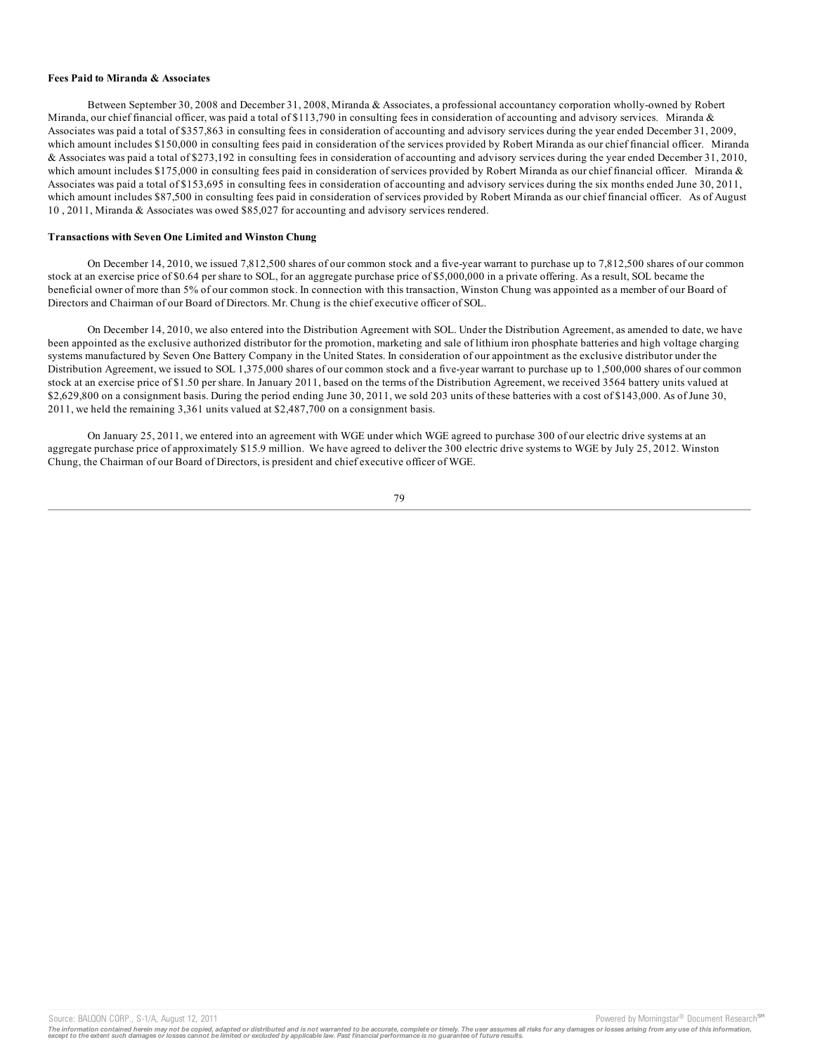#### **Fees Paid to Miranda & Associates**

Between September 30, 2008 and December 31, 2008, Miranda & Associates, a professional accountancy corporation wholly-owned by Robert Miranda, our chief financial officer, was paid a total of \$113,790 in consulting fees in consideration of accounting and advisory services. Miranda & Associates was paid a total of \$357,863 in consulting fees in consideration of accounting and advisory services during the year ended December 31, 2009, which amount includes \$150,000 in consulting fees paid in consideration of the services provided by Robert Miranda as our chief financial officer. Miranda & Associates was paid a total of \$273,192 in consulting fees in consideration of accounting and advisory services during the year ended December 31, 2010, which amount includes \$175,000 in consulting fees paid in consideration of services provided by Robert Miranda as our chief financial officer. Miranda & Associates was paid a total of \$153,695 in consulting fees in consideration of accounting and advisory services during the six months ended June 30, 2011, which amount includes \$87,500 in consulting fees paid in consideration of services provided by Robert Miranda as our chief financial officer. As of August 10 , 2011, Miranda & Associates was owed \$85,027 for accounting and advisory services rendered.

#### **Transactions with Seven One Limited and Winston Chung**

On December 14, 2010, we issued 7,812,500 shares of our common stock and a five-year warrant to purchase up to 7,812,500 shares of our common stock at an exercise price of \$0.64 per share to SOL, for an aggregate purchase price of \$5,000,000 in a private offering. As a result, SOL became the beneficial owner of more than 5% of our common stock. In connection with this transaction, Winston Chung was appointed as a member of our Board of Directors and Chairman of our Board of Directors. Mr. Chung is the chief executive officer of SOL.

On December 14, 2010, we also entered into the Distribution Agreement with SOL. Under the Distribution Agreement, as amended to date, we have been appointed as the exclusive authorized distributor for the promotion, marketing and sale of lithium iron phosphate batteries and high voltage charging systems manufactured by Seven One Battery Company in the United States. In consideration of our appointment as the exclusive distributor under the Distribution Agreement, we issued to SOL 1,375,000 shares of our common stock and a five-year warrant to purchase up to 1,500,000 shares of our common stock at an exercise price of \$1.50 per share. In January 2011, based on the terms of the Distribution Agreement, we received 3564 battery units valued at \$2,629,800 on a consignment basis. During the period ending June 30, 2011, we sold 203 units of these batteries with a cost of \$143,000. As of June 30, 2011, we held the remaining 3,361 units valued at \$2,487,700 on a consignment basis.

On January 25, 2011, we entered into an agreement with WGE under which WGE agreed to purchase 300 of our electric drive systems at an aggregate purchase price of approximately \$15.9 million. We have agreed to deliver the 300 electric drive systems to WGE by July 25, 2012. Winston Chung, the Chairman of our Board of Directors, is president and chief executive officer of WGE.

79

Source: BALQON CORP., S-1/A, August 12, 2011 **Powered by Morningstar® Document Research** and the second powered by Morningstar<sup>®</sup> Document Research in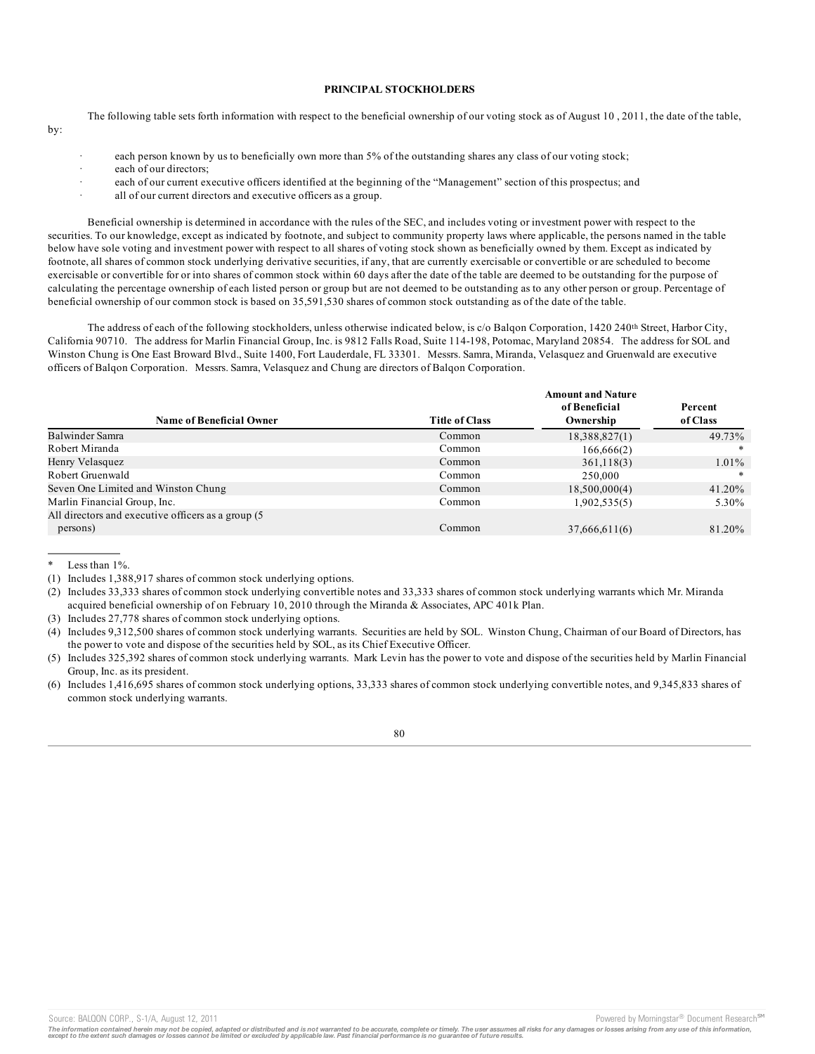# **PRINCIPAL STOCKHOLDERS**

The following table sets forth information with respect to the beneficial ownership of our voting stock as of August 10 , 2011, the date of the table,

- each person known by us to beneficially own more than 5% of the outstanding shares any class of our voting stock;
- each of our directors;

by:

- each of our current executive officers identified at the beginning of the "Management" section of this prospectus; and
- all of our current directors and executive officers as a group.

Beneficial ownership is determined in accordance with the rules of the SEC, and includes voting or investment power with respect to the securities. To our knowledge, except as indicated by footnote, and subject to community property laws where applicable, the persons named in the table below have sole voting and investment power with respect to all shares of voting stock shown as beneficially owned by them. Except as indicated by footnote, all shares of common stock underlying derivative securities, if any, that are currently exercisable or convertible or are scheduled to become exercisable or convertible for or into shares of common stock within 60 days after the date of the table are deemed to be outstanding for the purpose of calculating the percentage ownership of each listed person or group but are not deemed to be outstanding as to any other person or group. Percentage of beneficial ownership of our common stock is based on 35,591,530 shares of common stock outstanding as of the date of the table.

The address of each of the following stockholders, unless otherwise indicated below, is c/o Balqon Corporation, 1420 240<sup>th</sup> Street, Harbor City, California 90710. The address for Marlin Financial Group, Inc. is 9812 Falls Road, Suite 114-198, Potomac, Maryland 20854. The address for SOL and Winston Chung is One East Broward Blvd., Suite 1400, Fort Lauderdale, FL 33301. Messrs. Samra, Miranda, Velasquez and Gruenwald are executive officers of Balqon Corporation. Messrs. Samra, Velasquez and Chung are directors of Balqon Corporation.

| <b>Amount and Nature</b>                            |                       |                            |                     |  |
|-----------------------------------------------------|-----------------------|----------------------------|---------------------|--|
| <b>Name of Beneficial Owner</b>                     | <b>Title of Class</b> | of Beneficial<br>Ownership | Percent<br>of Class |  |
|                                                     |                       |                            |                     |  |
| Balwinder Samra                                     | Common                | 18,388,827(1)              | 49.73%              |  |
| Robert Miranda                                      | Common                | 166,666(2)                 | $\ast$              |  |
| Henry Velasquez                                     | Common                | 361,118(3)                 | $1.01\%$            |  |
| Robert Gruenwald                                    | Common                | 250,000                    | $\ast$              |  |
| Seven One Limited and Winston Chung                 | Common                | 18,500,000(4)              | $41.20\%$           |  |
| Marlin Financial Group, Inc.                        | Common                | 1,902,535(5)               | 5.30%               |  |
| All directors and executive officers as a group (5) |                       |                            |                     |  |
| persons)                                            | Common                | 37,666,611(6)              | 81.20%              |  |

Less than  $1\%$ .

- (1) Includes 1,388,917 shares of common stock underlying options.
- (2) Includes 33,333 shares of common stock underlying convertible notes and 33,333 shares of common stock underlying warrants which Mr. Miranda acquired beneficial ownership of on February 10, 2010 through the Miranda & Associates, APC 401k Plan.

(3) Includes 27,778 shares of common stock underlying options.

- (4) Includes 9,312,500 shares of common stock underlying warrants. Securities are held by SOL. Winston Chung, Chairman of our Board of Directors, has the power to vote and dispose of the securities held by SOL, as its Chief Executive Officer.
- (5) Includes 325,392 shares of common stock underlying warrants. Mark Levin has the power to vote and dispose of the securities held by Marlin Financial Group, Inc. as its president.
- (6) Includes 1,416,695 shares of common stock underlying options, 33,333 shares of common stock underlying convertible notes, and 9,345,833 shares of common stock underlying warrants.



Source: BALQON CORP., S-1/A, August 12, 2011 **Properties and August 2018** Powered by Morningstar® Document Research <sup>sw</sup>

The information contained herein may not be copied, adapted or distributed and is not warranted to be accurate, complete or timely. The user assumes all risks for any damages or losses arising from any use of this informat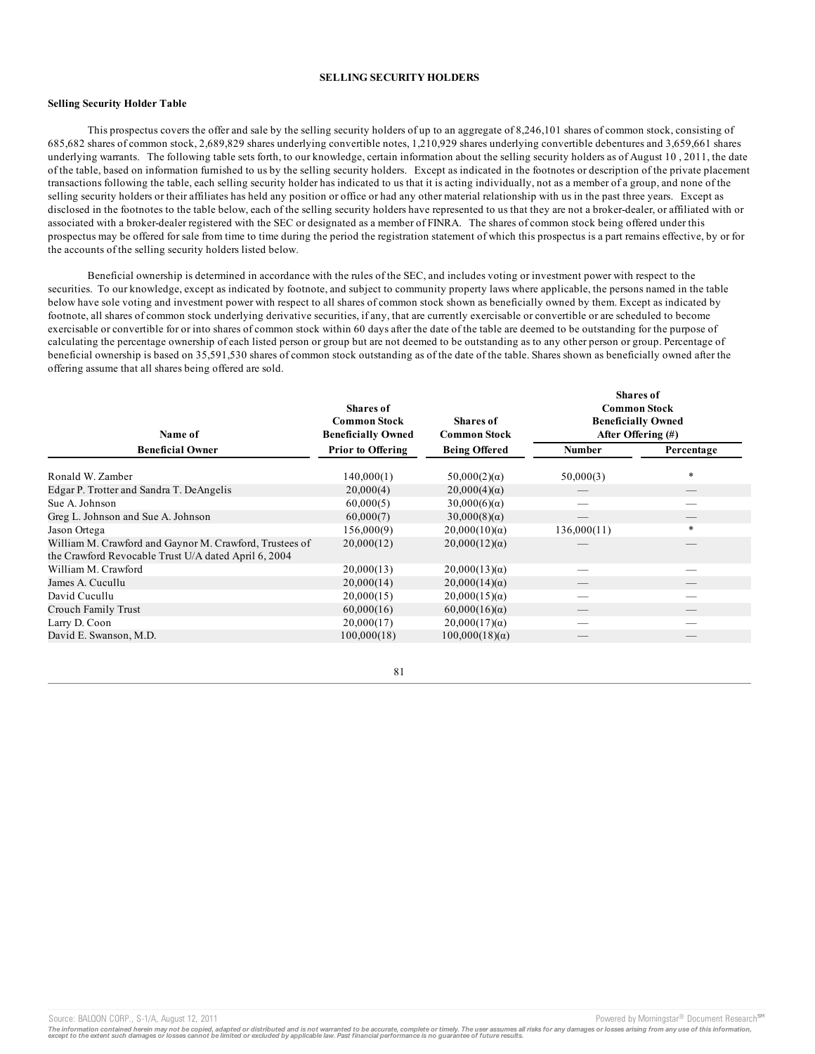#### **SELLING SECURITY HOLDERS**

#### **Selling Security Holder Table**

This prospectus covers the offer and sale by the selling security holders of up to an aggregate of 8,246,101 shares of common stock, consisting of 685,682 shares of common stock, 2,689,829 shares underlying convertible notes, 1,210,929 shares underlying convertible debentures and 3,659,661 shares underlying warrants. The following table sets forth, to our knowledge, certain information about the selling security holders as of August 10 , 2011, the date of the table, based on information furnished to us by the selling security holders. Except as indicated in the footnotes or description of the private placement transactions following the table, each selling security holder has indicated to us that it is acting individually, not as a member of a group, and none of the selling security holders or their affiliates has held any position or office or had any other material relationship with us in the past three years. Except as disclosed in the footnotes to the table below, each of the selling security holders have represented to us that they are not a broker-dealer, or affiliated with or associated with a broker-dealer registered with the SEC or designated as a member of FINRA. The shares of common stock being offered under this prospectus may be offered for sale from time to time during the period the registration statement of which this prospectus is a part remains effective, by or for the accounts of the selling security holders listed below.

Beneficial ownership is determined in accordance with the rules of the SEC, and includes voting or investment power with respect to the securities. To our knowledge, except as indicated by footnote, and subject to community property laws where applicable, the persons named in the table below have sole voting and investment power with respect to all shares of common stock shown as beneficially owned by them. Except as indicated by footnote, all shares of common stock underlying derivative securities, if any, that are currently exercisable or convertible or are scheduled to become exercisable or convertible for or into shares of common stock within 60 days after the date of the table are deemed to be outstanding for the purpose of calculating the percentage ownership of each listed person or group but are not deemed to be outstanding as to any other person or group. Percentage of beneficial ownership is based on 35,591,530 shares of common stock outstanding as of the date of the table. Shares shown as beneficially owned after the offering assume that all shares being offered are sold.

| Name of                                                                                                         | <b>Shares</b> of<br><b>Common Stock</b><br><b>Shares</b> of<br><b>Beneficially Owned</b><br><b>Common Stock</b> |                       | <b>Shares</b> of<br><b>Common Stock</b><br><b>Beneficially Owned</b><br>After Offering (#) |            |  |  |  |
|-----------------------------------------------------------------------------------------------------------------|-----------------------------------------------------------------------------------------------------------------|-----------------------|--------------------------------------------------------------------------------------------|------------|--|--|--|
| <b>Beneficial Owner</b>                                                                                         | <b>Prior to Offering</b>                                                                                        | <b>Being Offered</b>  | Number                                                                                     | Percentage |  |  |  |
| Ronald W. Zamber                                                                                                | 140,000(1)                                                                                                      | $50,000(2)(\alpha)$   | 50,000(3)                                                                                  | $\ast$     |  |  |  |
| Edgar P. Trotter and Sandra T. DeAngelis                                                                        | 20,000(4)                                                                                                       | $20,000(4)(\alpha)$   |                                                                                            |            |  |  |  |
| Sue A. Johnson                                                                                                  | 60,000(5)                                                                                                       | $30,000(6)(\alpha)$   |                                                                                            |            |  |  |  |
| Greg L. Johnson and Sue A. Johnson                                                                              | 60,000(7)                                                                                                       | $30,000(8)(\alpha)$   |                                                                                            |            |  |  |  |
| Jason Ortega                                                                                                    | 156,000(9)                                                                                                      | $20,000(10)(\alpha)$  | 136,000(11)                                                                                | $\ast$     |  |  |  |
| William M. Crawford and Gaynor M. Crawford, Trustees of<br>the Crawford Revocable Trust U/A dated April 6, 2004 | 20,000(12)                                                                                                      | $20,000(12)(\alpha)$  |                                                                                            |            |  |  |  |
| William M. Crawford                                                                                             | 20,000(13)                                                                                                      | $20,000(13)(\alpha)$  |                                                                                            |            |  |  |  |
| James A. Cucullu                                                                                                | 20,000(14)                                                                                                      | $20,000(14)(\alpha)$  |                                                                                            |            |  |  |  |
| David Cucullu                                                                                                   | 20,000(15)                                                                                                      | $20,000(15)(\alpha)$  |                                                                                            |            |  |  |  |
| Crouch Family Trust                                                                                             | 60,000(16)                                                                                                      | $60,000(16)(\alpha)$  |                                                                                            |            |  |  |  |
| Larry D. Coon                                                                                                   | 20,000(17)                                                                                                      | $20,000(17)(\alpha)$  |                                                                                            |            |  |  |  |
| David E. Swanson, M.D.                                                                                          | 100,000(18)                                                                                                     | $100,000(18)(\alpha)$ |                                                                                            |            |  |  |  |

81

Source: BALQON CORP., S-1/A, August 12, 2011 **Powered by Morningstar® Document Research** <sup>5M</sup>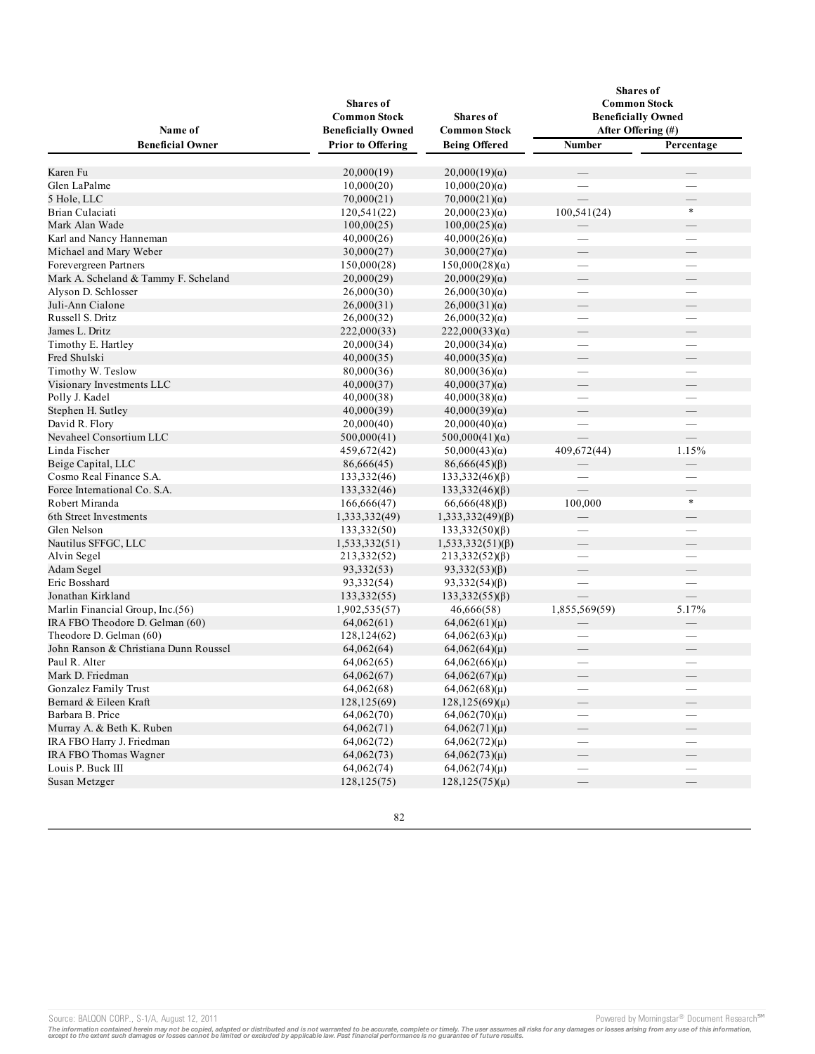| Name of                               | <b>Shares</b> of<br><b>Common Stock</b><br><b>Beneficially Owned</b> | <b>Shares</b> of<br><b>Common Stock</b> | <b>Shares</b> of<br><b>Common Stock</b><br><b>Beneficially Owned</b><br>After Offering (#) |                          |  |  |
|---------------------------------------|----------------------------------------------------------------------|-----------------------------------------|--------------------------------------------------------------------------------------------|--------------------------|--|--|
| <b>Beneficial Owner</b>               | <b>Prior to Offering</b>                                             | <b>Being Offered</b>                    | <b>Number</b>                                                                              | Percentage               |  |  |
|                                       |                                                                      |                                         |                                                                                            |                          |  |  |
| Karen Fu                              | 20,000(19)                                                           | $20,000(19)(\alpha)$                    |                                                                                            |                          |  |  |
| Glen LaPalme                          | 10,000(20)                                                           | $10,000(20)(\alpha)$                    | $\overline{\phantom{0}}$                                                                   |                          |  |  |
| 5 Hole, LLC                           | 70,000(21)                                                           | $70,000(21)(\alpha)$                    |                                                                                            |                          |  |  |
| Brian Culaciati                       | 120,541(22)                                                          | $20,000(23)(\alpha)$                    | 100,541(24)                                                                                | $\ast$                   |  |  |
| Mark Alan Wade                        | 100,00(25)                                                           | $100,00(25)(\alpha)$                    |                                                                                            |                          |  |  |
| Karl and Nancy Hanneman               | 40,000(26)                                                           | $40,000(26)(\alpha)$                    | $\overline{\phantom{0}}$                                                                   |                          |  |  |
| Michael and Mary Weber                | 30,000(27)                                                           | $30,000(27)(\alpha)$                    |                                                                                            |                          |  |  |
| Forevergreen Partners                 | 150,000(28)                                                          | $150,000(28)(\alpha)$                   | $\qquad \qquad$                                                                            |                          |  |  |
| Mark A. Scheland & Tammy F. Scheland  | 20,000(29)                                                           | $20,000(29)(\alpha)$                    |                                                                                            |                          |  |  |
| Alyson D. Schlosser                   | 26,000(30)                                                           | $26,000(30)(\alpha)$                    | $\overline{\phantom{0}}$                                                                   |                          |  |  |
| Juli-Ann Cialone                      | 26,000(31)                                                           | $26,000(31)(\alpha)$                    |                                                                                            |                          |  |  |
| Russell S. Dritz                      | 26,000(32)                                                           | $26,000(32)(\alpha)$                    | $\overline{\phantom{0}}$                                                                   |                          |  |  |
| James L. Dritz                        | 222,000(33)                                                          | $222,000(33)(\alpha)$                   | $\overline{\phantom{0}}$                                                                   |                          |  |  |
| Timothy E. Hartley                    | 20,000(34)                                                           | $20,000(34)(\alpha)$                    |                                                                                            |                          |  |  |
| Fred Shulski                          | 40,000(35)                                                           | $40,000(35)(\alpha)$                    | $\overline{\phantom{0}}$                                                                   |                          |  |  |
| Timothy W. Teslow                     | 80,000(36)                                                           | $80,000(36)(\alpha)$                    |                                                                                            |                          |  |  |
| Visionary Investments LLC             | 40,000(37)                                                           | $40,000(37)(\alpha)$                    |                                                                                            |                          |  |  |
| Polly J. Kadel                        | 40,000(38)                                                           | $40,000(38)(\alpha)$                    | $\overline{\phantom{0}}$                                                                   | $\overline{\phantom{0}}$ |  |  |
| Stephen H. Sutley                     | 40,000(39)                                                           | $40,000(39)(\alpha)$                    | $\overline{\phantom{0}}$                                                                   |                          |  |  |
| David R. Flory                        | 20,000(40)                                                           | $20,000(40)(\alpha)$                    | $\overline{\phantom{0}}$                                                                   |                          |  |  |
| Nevaheel Consortium LLC               | 500,000(41)                                                          | $500,000(41)(\alpha)$                   |                                                                                            |                          |  |  |
| Linda Fischer                         | 459,672(42)                                                          | $50,000(43)(\alpha)$                    | 409,672(44)                                                                                | 1.15%                    |  |  |
| Beige Capital, LLC                    | 86,666(45)                                                           | $86,666(45)(\beta)$                     |                                                                                            |                          |  |  |
| Cosmo Real Finance S.A.               | 133,332(46)                                                          | $133,332(46)(\beta)$                    |                                                                                            |                          |  |  |
| Force International Co. S.A.          | 133,332(46)                                                          | 133,332(46)(β)                          |                                                                                            |                          |  |  |
| Robert Miranda                        | 166,666(47)                                                          | $66,666(48)(\beta)$                     | 100,000                                                                                    | $\ast$                   |  |  |
| 6th Street Investments                | 1,333,332(49)                                                        | $1,333,332(49)(\beta)$                  |                                                                                            |                          |  |  |
| Glen Nelson                           | 133,332(50)                                                          | $133,332(50)(\beta)$                    | $\overline{\phantom{0}}$                                                                   | $\overline{\phantom{0}}$ |  |  |
| Nautilus SFFGC, LLC                   | 1,533,332(51)                                                        | $1,533,332(51)(\beta)$                  |                                                                                            |                          |  |  |
| Alvin Segel                           | 213,332(52)                                                          | $213,332(52)(\beta)$                    | $\overline{\phantom{0}}$                                                                   | $\overline{\phantom{0}}$ |  |  |
| Adam Segel                            | 93,332(53)                                                           | $93,332(53)(\beta)$                     |                                                                                            |                          |  |  |
| Eric Bosshard                         | 93,332(54)                                                           | $93,332(54)(\beta)$                     | $\overline{\phantom{0}}$                                                                   |                          |  |  |
| Jonathan Kirkland                     | 133,332(55)                                                          | $133,332(55)(\beta)$                    |                                                                                            |                          |  |  |
| Marlin Financial Group, Inc.(56)      | 1,902,535(57)                                                        | 46,666(58)                              | 1,855,569(59)                                                                              | 5.17%                    |  |  |
| IRA FBO Theodore D. Gelman (60)       | 64,062(61)                                                           | $64,062(61)(\mu)$                       |                                                                                            |                          |  |  |
| Theodore D. Gelman (60)               | 128,124(62)                                                          | $64,062(63)(\mu)$                       |                                                                                            |                          |  |  |
| John Ranson & Christiana Dunn Roussel | 64,062(64)                                                           | $64,062(64)(\mu)$                       |                                                                                            |                          |  |  |
| Paul R. Alter                         | 64,062(65)                                                           | $64,062(66)(\mu)$                       | $\overline{\phantom{a}}$                                                                   |                          |  |  |
| Mark D. Friedman                      | 64,062(67)                                                           | $64,062(67)(\mu)$                       |                                                                                            |                          |  |  |
| Gonzalez Family Trust                 | 64,062(68)                                                           | $64,062(68)(\mu)$                       |                                                                                            | $\overline{\phantom{0}}$ |  |  |
| Bernard & Eileen Kraft                | 128,125(69)                                                          | $128,125(69)(\mu)$                      | $\overline{\phantom{0}}$                                                                   |                          |  |  |
| Barbara B. Price                      | 64,062(70)                                                           | $64,062(70)(\mu)$                       |                                                                                            |                          |  |  |
| Murray A. & Beth K. Ruben             | 64,062(71)                                                           | $64,062(71)(\mu)$                       |                                                                                            |                          |  |  |
| IRA FBO Harry J. Friedman             | 64,062(72)                                                           | $64,062(72)(\mu)$                       |                                                                                            |                          |  |  |
| <b>IRA FBO Thomas Wagner</b>          | 64,062(73)                                                           | $64,062(73)(\mu)$                       | $\overline{\phantom{0}}$                                                                   |                          |  |  |
| Louis P. Buck III                     | 64,062(74)                                                           | $64,062(74)(\mu)$                       | $\overline{\phantom{0}}$                                                                   |                          |  |  |
| Susan Metzger                         | 128, 125(75)                                                         | $128, 125(75)(\mu)$                     | $\overline{\phantom{0}}$                                                                   |                          |  |  |
|                                       |                                                                      |                                         |                                                                                            |                          |  |  |

82

Source: BALQON CORP., S-1/A, August 12, 2011<br>The information contained herein may not be copied, adapted or distributed and is not warranted to be accurate, complete or timely. The user assumes all risks for any damages or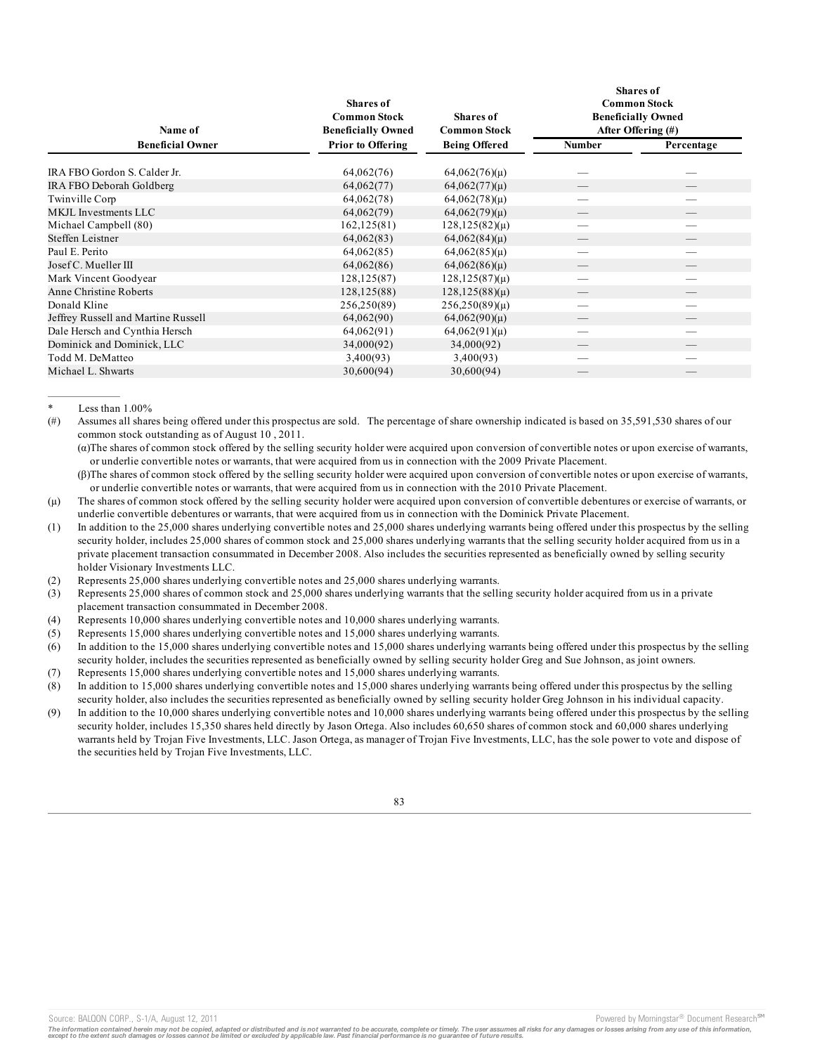| Name of                             | <b>Shares</b> of<br><b>Common Stock</b><br><b>Beneficially Owned</b> | <b>Shares</b> of<br><b>Common Stock</b> |               | <b>Shares</b> of<br><b>Common Stock</b><br><b>Beneficially Owned</b><br>After Offering (#) |  |  |  |
|-------------------------------------|----------------------------------------------------------------------|-----------------------------------------|---------------|--------------------------------------------------------------------------------------------|--|--|--|
| <b>Beneficial Owner</b>             | <b>Prior to Offering</b>                                             | <b>Being Offered</b>                    | <b>Number</b> | Percentage                                                                                 |  |  |  |
| IRA FBO Gordon S. Calder Jr.        | 64,062(76)                                                           | $64,062(76)(\mu)$                       |               |                                                                                            |  |  |  |
| IRA FBO Deborah Goldberg            | 64,062(77)                                                           | $64,062(77)(\mu)$                       |               |                                                                                            |  |  |  |
| Twinville Corp                      | 64,062(78)                                                           | $64,062(78)(\mu)$                       |               |                                                                                            |  |  |  |
| MKJL Investments LLC                | 64,062(79)                                                           | $64,062(79)(\mu)$                       |               |                                                                                            |  |  |  |
| Michael Campbell (80)               | 162, 125(81)                                                         | $128, 125(82)(\mu)$                     |               |                                                                                            |  |  |  |
| Steffen Leistner                    | 64,062(83)                                                           | $64,062(84)(\mu)$                       |               |                                                                                            |  |  |  |
| Paul E. Perito                      | 64,062(85)                                                           | $64,062(85)(\mu)$                       |               | --                                                                                         |  |  |  |
| Josef C. Mueller III                | 64,062(86)                                                           | $64,062(86)(\mu)$                       |               |                                                                                            |  |  |  |
| Mark Vincent Goodyear               | 128,125(87)                                                          | $128, 125(87)(\mu)$                     |               |                                                                                            |  |  |  |
| <b>Anne Christine Roberts</b>       | 128,125(88)                                                          | $128,125(88)(\mu)$                      |               |                                                                                            |  |  |  |
| Donald Kline                        | 256,250(89)                                                          | $256,250(89)(\mu)$                      |               |                                                                                            |  |  |  |
| Jeffrey Russell and Martine Russell | 64,062(90)                                                           | $64,062(90)(\mu)$                       |               |                                                                                            |  |  |  |
| Dale Hersch and Cynthia Hersch      | 64,062(91)                                                           | $64,062(91)(\mu)$                       |               |                                                                                            |  |  |  |
| Dominick and Dominick, LLC          | 34,000(92)                                                           | 34,000(92)                              |               |                                                                                            |  |  |  |
| Todd M. DeMatteo                    | 3,400(93)                                                            | 3,400(93)                               |               |                                                                                            |  |  |  |
| Michael L. Shwarts                  | 30,600(94)                                                           | 30,600(94)                              |               |                                                                                            |  |  |  |
|                                     |                                                                      |                                         |               |                                                                                            |  |  |  |

Less than  $1.00\%$ 

(#) Assumes all shares being offered under this prospectus are sold. The percentage of share ownership indicated is based on 35,591,530 shares of our common stock outstanding as of August 10 , 2011.

(α)The shares of common stock offered by the selling security holder were acquired upon conversion of convertible notes or upon exercise of warrants, or underlie convertible notes or warrants, that were acquired from us in connection with the 2009 Private Placement.

(β)The shares of common stock offered by the selling security holder were acquired upon conversion of convertible notes or upon exercise of warrants, or underlie convertible notes or warrants, that were acquired from us in connection with the 2010 Private Placement.

(µ) The shares of common stock offered by the selling security holder were acquired upon conversion of convertible debentures or exercise of warrants, or underlie convertible debentures or warrants, that were acquired from us in connection with the Dominick Private Placement.

(1) In addition to the 25,000 shares underlying convertible notes and 25,000 shares underlying warrants being offered under this prospectus by the selling security holder, includes 25,000 shares of common stock and 25,000 shares underlying warrants that the selling security holder acquired from us in a private placement transaction consummated in December 2008. Also includes the securities represented as beneficially owned by selling security holder Visionary Investments LLC.

(2) Represents 25,000 shares underlying convertible notes and 25,000 shares underlying warrants.

(3) Represents 25,000 shares of common stock and 25,000 shares underlying warrants that the selling security holder acquired from us in a private placement transaction consummated in December 2008.

- (4) Represents 10,000 shares underlying convertible notes and 10,000 shares underlying warrants.
- (5) Represents 15,000 shares underlying convertible notes and 15,000 shares underlying warrants.

(6) In addition to the 15,000 shares underlying convertible notes and 15,000 shares underlying warrants being offered under this prospectus by the selling security holder, includes the securities represented as beneficially owned by selling security holder Greg and Sue Johnson, as joint owners.

(7) Represents 15,000 shares underlying convertible notes and 15,000 shares underlying warrants.

(8) In addition to 15,000 shares underlying convertible notes and 15,000 shares underlying warrants being offered under this prospectus by the selling security holder, also includes the securities represented as beneficially owned by selling security holder Greg Johnson in his individual capacity.

(9) In addition to the 10,000 shares underlying convertible notes and 10,000 shares underlying warrants being offered under this prospectus by the selling security holder, includes 15,350 shares held directly by Jason Ortega. Also includes 60,650 shares of common stock and 60,000 shares underlying warrants held by Trojan Five Investments, LLC. Jason Ortega, as manager of Trojan Five Investments, LLC, has the sole power to vote and dispose of the securities held by Trojan Five Investments, LLC.

83

Source: BALQON CORP., S-1/A, August 12, 2011 **Powered by Morningstar® Document Research** Morningstar® Document Research

The information contained herein may not be copied, adapted or distributed and is not warranted to be accurate, complete or timely. The user assumes all risks for any damages or losses arising from any use of this informat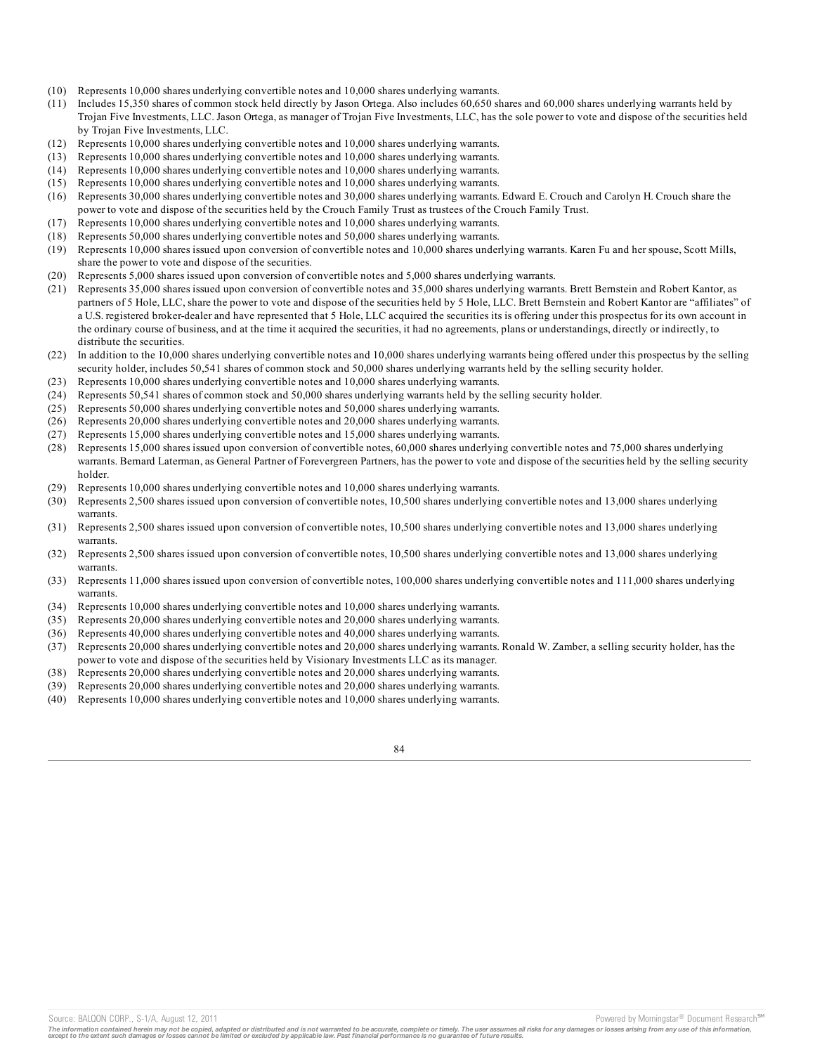- (10) Represents 10,000 shares underlying convertible notes and 10,000 shares underlying warrants.
- (11) Includes 15,350 shares of common stock held directly by Jason Ortega. Also includes 60,650 shares and 60,000 shares underlying warrants held by Trojan Five Investments, LLC. Jason Ortega, as manager of Trojan Five Investments, LLC, has the sole power to vote and dispose of the securities held by Trojan Five Investments, LLC.
- (12) Represents 10,000 shares underlying convertible notes and 10,000 shares underlying warrants.
- (13) Represents 10,000 shares underlying convertible notes and 10,000 shares underlying warrants.
- (14) Represents 10,000 shares underlying convertible notes and 10,000 shares underlying warrants.
- (15) Represents 10,000 shares underlying convertible notes and 10,000 shares underlying warrants.
- (16) Represents 30,000 shares underlying convertible notes and 30,000 shares underlying warrants. Edward E. Crouch and Carolyn H. Crouch share the power to vote and dispose of the securities held by the Crouch Family Trust as trustees of the Crouch Family Trust.
- (17) Represents 10,000 shares underlying convertible notes and 10,000 shares underlying warrants.
- (18) Represents 50,000 shares underlying convertible notes and 50,000 shares underlying warrants.
- (19) Represents 10,000 shares issued upon conversion of convertible notes and 10,000 shares underlying warrants. Karen Fu and her spouse, Scott Mills, share the power to vote and dispose of the securities.
- (20) Represents 5,000 shares issued upon conversion of convertible notes and 5,000 shares underlying warrants.
- (21) Represents 35,000 shares issued upon conversion of convertible notes and 35,000 shares underlying warrants. Brett Bernstein and Robert Kantor, as partners of 5 Hole, LLC, share the power to vote and dispose of the securities held by 5 Hole, LLC. Brett Bernstein and Robert Kantor are "affiliates" of a U.S. registered broker-dealer and have represented that 5 Hole, LLC acquired the securities its is offering under this prospectus for its own account in the ordinary course of business, and at the time it acquired the securities, it had no agreements, plans or understandings, directly or indirectly, to distribute the securities.
- (22) In addition to the 10,000 shares underlying convertible notes and 10,000 shares underlying warrants being offered under this prospectus by the selling security holder, includes 50,541 shares of common stock and 50,000 shares underlying warrants held by the selling security holder.
- (23) Represents 10,000 shares underlying convertible notes and 10,000 shares underlying warrants.
- (24) Represents 50,541 shares of common stock and 50,000 shares underlying warrants held by the selling security holder.
- (25) Represents 50,000 shares underlying convertible notes and 50,000 shares underlying warrants.
- (26) Represents 20,000 shares underlying convertible notes and 20,000 shares underlying warrants.
- (27) Represents 15,000 shares underlying convertible notes and 15,000 shares underlying warrants.
- (28) Represents 15,000 shares issued upon conversion of convertible notes, 60,000 shares underlying convertible notes and 75,000 shares underlying warrants. Bernard Laterman, as General Partner of Forevergreen Partners, has the power to vote and dispose of the securities held by the selling security holder.
- (29) Represents 10,000 shares underlying convertible notes and 10,000 shares underlying warrants.
- (30) Represents 2,500 shares issued upon conversion of convertible notes, 10,500 shares underlying convertible notes and 13,000 shares underlying warrants.
- (31) Represents 2,500 shares issued upon conversion of convertible notes, 10,500 shares underlying convertible notes and 13,000 shares underlying warrants.
- (32) Represents 2,500 shares issued upon conversion of convertible notes, 10,500 shares underlying convertible notes and 13,000 shares underlying warrants.
- (33) Represents 11,000 shares issued upon conversion of convertible notes, 100,000 shares underlying convertible notes and 111,000 shares underlying warrants.
- (34) Represents 10,000 shares underlying convertible notes and 10,000 shares underlying warrants.
- (35) Represents 20,000 shares underlying convertible notes and 20,000 shares underlying warrants.
- (36) Represents 40,000 shares underlying convertible notes and 40,000 shares underlying warrants.
- (37) Represents 20,000 shares underlying convertible notes and 20,000 shares underlying warrants. Ronald W. Zamber, a selling security holder, has the power to vote and dispose of the securities held by Visionary Investments LLC as its manager.
- (38) Represents 20,000 shares underlying convertible notes and 20,000 shares underlying warrants.
- (39) Represents 20,000 shares underlying convertible notes and 20,000 shares underlying warrants.
- (40) Represents 10,000 shares underlying convertible notes and 10,000 shares underlying warrants.

Source: BALQON CORP., S-1/A, August 12, 2011 **Powered by Morningstar® Document Research** Morningstar® Document Research

The information contained herein may not be copied, adapted or distributed and is not warranted to be accurate, complete or timely. The user assumes all risks for any damages or losses arising from any use of this informat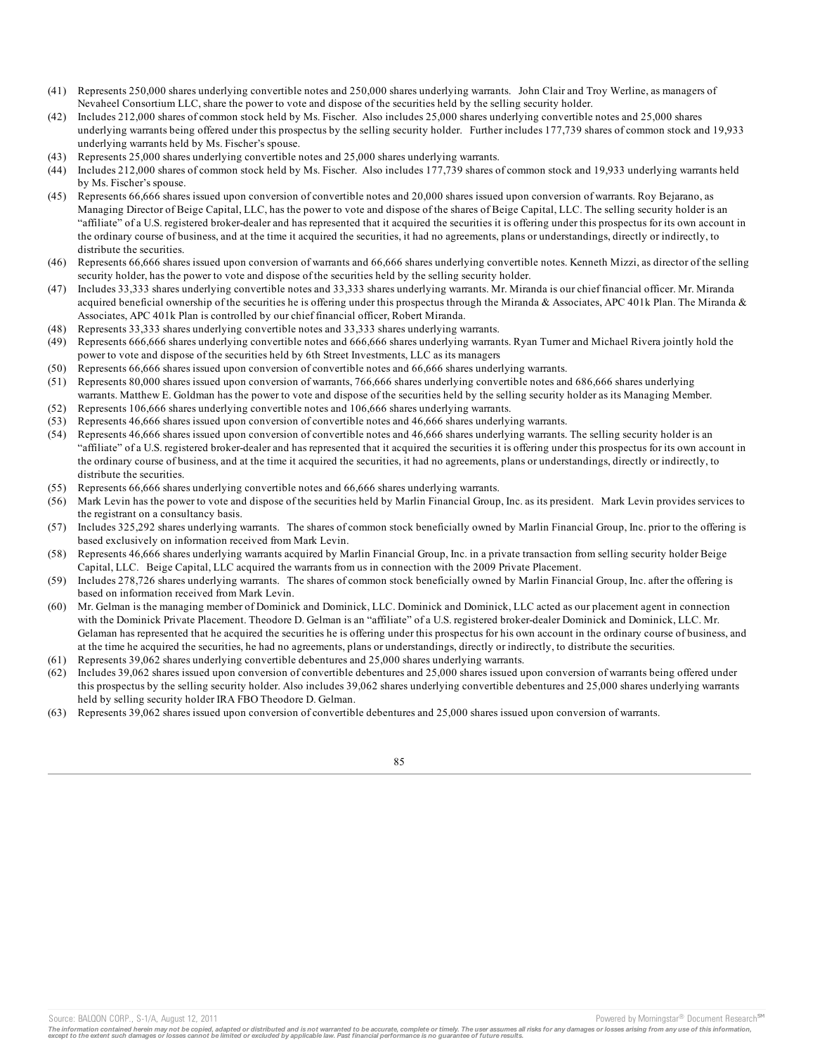- (41) Represents 250,000 shares underlying convertible notes and 250,000 shares underlying warrants. John Clair and Troy Werline, as managers of Nevaheel Consortium LLC, share the power to vote and dispose of the securities held by the selling security holder.
- (42) Includes 212,000 shares of common stock held by Ms. Fischer. Also includes 25,000 shares underlying convertible notes and 25,000 shares underlying warrants being offered under this prospectus by the selling security holder. Further includes 177,739 shares of common stock and 19,933 underlying warrants held by Ms. Fischer's spouse.
- (43) Represents 25,000 shares underlying convertible notes and 25,000 shares underlying warrants.
- (44) Includes 212,000 shares of common stock held by Ms. Fischer. Also includes 177,739 shares of common stock and 19,933 underlying warrants held by Ms. Fischer's spouse.
- (45) Represents 66,666 shares issued upon conversion of convertible notes and 20,000 shares issued upon conversion of warrants. Roy Bejarano, as Managing Director of Beige Capital, LLC, has the power to vote and dispose of the shares of Beige Capital, LLC. The selling security holder is an "affiliate" of a U.S. registered broker-dealer and has represented that it acquired the securities it is offering under this prospectus for its own account in the ordinary course of business, and at the time it acquired the securities, it had no agreements, plans or understandings, directly or indirectly, to distribute the securities.
- (46) Represents 66,666 shares issued upon conversion of warrants and 66,666 shares underlying convertible notes. Kenneth Mizzi, as director of the selling security holder, has the power to vote and dispose of the securities held by the selling security holder.
- (47) Includes 33,333 shares underlying convertible notes and 33,333 shares underlying warrants. Mr. Miranda is our chief financial officer. Mr. Miranda acquired beneficial ownership of the securities he is offering under this prospectus through the Miranda & Associates, APC 401k Plan. The Miranda & Associates, APC 401k Plan is controlled by our chief financial officer, Robert Miranda.
- (48) Represents 33,333 shares underlying convertible notes and 33,333 shares underlying warrants.
- (49) Represents 666,666 shares underlying convertible notes and 666,666 shares underlying warrants. Ryan Turner and Michael Rivera jointly hold the power to vote and dispose of the securities held by 6th Street Investments, LLC as its managers
- (50) Represents 66,666 shares issued upon conversion of convertible notes and 66,666 shares underlying warrants.
- (51) Represents 80,000 shares issued upon conversion of warrants, 766,666 shares underlying convertible notes and 686,666 shares underlying
- warrants. Matthew E. Goldman has the power to vote and dispose of the securities held by the selling security holder as its Managing Member.
- (52) Represents 106,666 shares underlying convertible notes and 106,666 shares underlying warrants.
- (53) Represents 46,666 shares issued upon conversion of convertible notes and 46,666 shares underlying warrants.
- (54) Represents 46,666 shares issued upon conversion of convertible notes and 46,666 shares underlying warrants. The selling security holder is an "affiliate" of a U.S. registered broker-dealer and has represented that it acquired the securities it is offering under this prospectus for its own account in the ordinary course of business, and at the time it acquired the securities, it had no agreements, plans or understandings, directly or indirectly, to distribute the securities.
- (55) Represents 66,666 shares underlying convertible notes and 66,666 shares underlying warrants.
- (56) Mark Levin has the power to vote and dispose of the securities held by Marlin Financial Group, Inc. as its president. Mark Levin provides services to the registrant on a consultancy basis.
- (57) Includes 325,292 shares underlying warrants. The shares of common stock beneficially owned by Marlin Financial Group, Inc. prior to the offering is based exclusively on information received from Mark Levin.
- (58) Represents 46,666 shares underlying warrants acquired by Marlin Financial Group, Inc. in a private transaction from selling security holder Beige Capital, LLC. Beige Capital, LLC acquired the warrants from us in connection with the 2009 Private Placement.
- (59) Includes 278,726 shares underlying warrants. The shares of common stock beneficially owned by Marlin Financial Group, Inc. after the offering is based on information received from Mark Levin.
- (60) Mr. Gelman is the managing member of Dominick and Dominick, LLC. Dominick and Dominick, LLC acted as our placement agent in connection with the Dominick Private Placement. Theodore D. Gelman is an "affiliate" of a U.S. registered broker-dealer Dominick and Dominick, LLC. Mr. Gelaman has represented that he acquired the securities he is offering under this prospectus for his own account in the ordinary course of business, and at the time he acquired the securities, he had no agreements, plans or understandings, directly or indirectly, to distribute the securities.
- (61) Represents 39,062 shares underlying convertible debentures and 25,000 shares underlying warrants.
- (62) Includes 39,062 shares issued upon conversion of convertible debentures and 25,000 shares issued upon conversion of warrants being offered under this prospectus by the selling security holder. Also includes 39,062 shares underlying convertible debentures and 25,000 shares underlying warrants held by selling security holder IRA FBO Theodore D. Gelman.
- (63) Represents 39,062 shares issued upon conversion of convertible debentures and 25,000 shares issued upon conversion of warrants.



Source: BALQON CORP., S-1/A, August 12, 2011 **Powered by Morningstar® Document Research** Morningstar® Document Research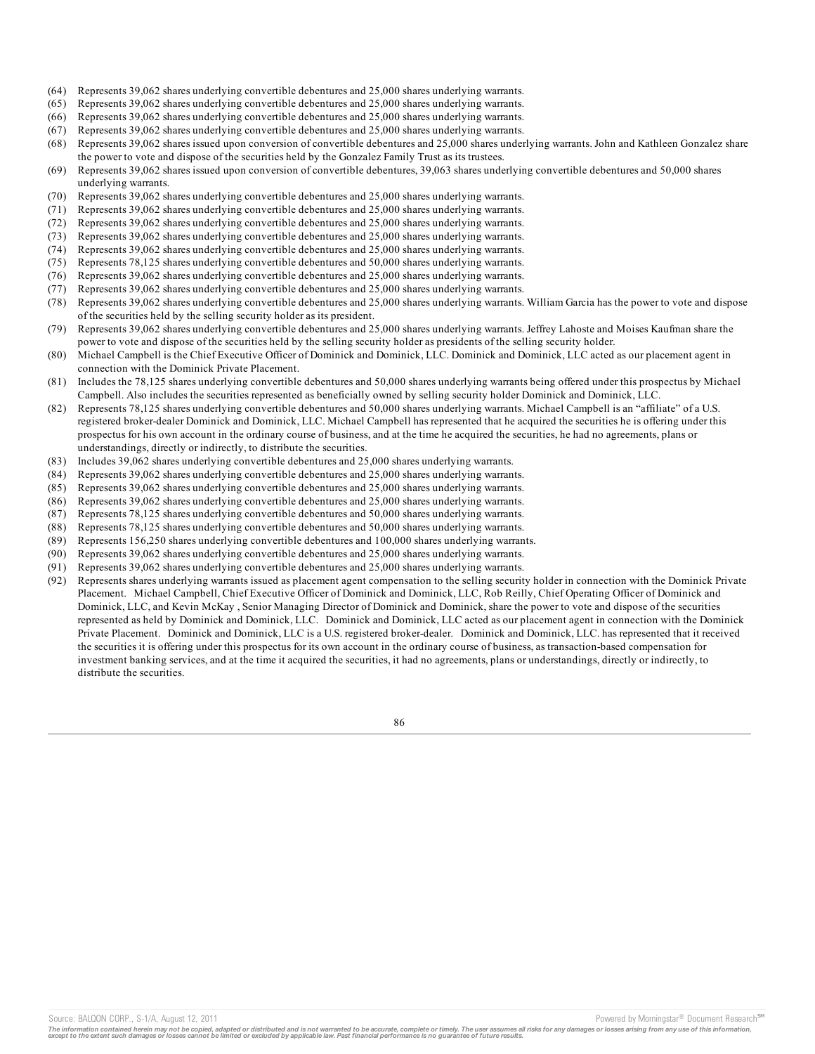- (64) Represents 39,062 shares underlying convertible debentures and 25,000 shares underlying warrants.
- (65) Represents 39,062 shares underlying convertible debentures and 25,000 shares underlying warrants.
- (66) Represents 39,062 shares underlying convertible debentures and 25,000 shares underlying warrants.
- (67) Represents 39,062 shares underlying convertible debentures and 25,000 shares underlying warrants.
- (68) Represents 39,062 shares issued upon conversion of convertible debentures and 25,000 shares underlying warrants. John and Kathleen Gonzalez share the power to vote and dispose of the securities held by the Gonzalez Family Trust as its trustees.
- (69) Represents 39,062 shares issued upon conversion of convertible debentures, 39,063 shares underlying convertible debentures and 50,000 shares underlying warrants.
- (70) Represents 39,062 shares underlying convertible debentures and 25,000 shares underlying warrants.
- (71) Represents 39,062 shares underlying convertible debentures and 25,000 shares underlying warrants.
- (72) Represents 39,062 shares underlying convertible debentures and 25,000 shares underlying warrants.
- (73) Represents 39,062 shares underlying convertible debentures and 25,000 shares underlying warrants.
- (74) Represents 39,062 shares underlying convertible debentures and 25,000 shares underlying warrants.
- (75) Represents 78,125 shares underlying convertible debentures and 50,000 shares underlying warrants.
- (76) Represents 39,062 shares underlying convertible debentures and 25,000 shares underlying warrants.
- (77) Represents 39,062 shares underlying convertible debentures and 25,000 shares underlying warrants.
- (78) Represents 39,062 shares underlying convertible debentures and 25,000 shares underlying warrants. William Garcia has the power to vote and dispose of the securities held by the selling security holder as its president.
- (79) Represents 39,062 shares underlying convertible debentures and 25,000 shares underlying warrants. Jeffrey Lahoste and Moises Kaufman share the power to vote and dispose of the securities held by the selling security holder as presidents of the selling security holder.
- (80) Michael Campbell is the Chief Executive Officer of Dominick and Dominick, LLC. Dominick and Dominick, LLC acted as our placement agent in connection with the Dominick Private Placement.
- (81) Includes the 78,125 shares underlying convertible debentures and 50,000 shares underlying warrants being offered under this prospectus by Michael Campbell. Also includes the securities represented as beneficially owned by selling security holder Dominick and Dominick, LLC.
- (82) Represents 78,125 shares underlying convertible debentures and 50,000 shares underlying warrants. Michael Campbell is an "affiliate" of a U.S. registered broker-dealer Dominick and Dominick, LLC. Michael Campbell has represented that he acquired the securities he is offering under this prospectus for his own account in the ordinary course of business, and at the time he acquired the securities, he had no agreements, plans or understandings, directly or indirectly, to distribute the securities.
- (83) Includes 39,062 shares underlying convertible debentures and 25,000 shares underlying warrants.
- (84) Represents 39,062 shares underlying convertible debentures and 25,000 shares underlying warrants.
- (85) Represents 39,062 shares underlying convertible debentures and 25,000 shares underlying warrants.
- (86) Represents 39,062 shares underlying convertible debentures and 25,000 shares underlying warrants.
- (87) Represents 78,125 shares underlying convertible debentures and 50,000 shares underlying warrants.
- (88) Represents 78,125 shares underlying convertible debentures and 50,000 shares underlying warrants.
- (89) Represents 156,250 shares underlying convertible debentures and 100,000 shares underlying warrants.
- (90) Represents 39,062 shares underlying convertible debentures and 25,000 shares underlying warrants.
- (91) Represents 39,062 shares underlying convertible debentures and 25,000 shares underlying warrants.
- (92) Represents shares underlying warrants issued as placement agent compensation to the selling security holder in connection with the Dominick Private Placement. Michael Campbell, Chief Executive Officer of Dominick and Dominick, LLC, Rob Reilly, Chief Operating Officer of Dominick and Dominick, LLC, and Kevin McKay , Senior Managing Director of Dominick and Dominick, share the power to vote and dispose of the securities represented as held by Dominick and Dominick, LLC. Dominick and Dominick, LLC acted as our placement agent in connection with the Dominick Private Placement. Dominick and Dominick, LLC is a U.S. registered broker-dealer. Dominick and Dominick, LLC. has represented that it received the securities it is offering under this prospectus for its own account in the ordinary course of business, as transaction-based compensation for investment banking services, and at the time it acquired the securities, it had no agreements, plans or understandings, directly or indirectly, to distribute the securities.

86

Source: BALQON CORP., S-1/A, August 12, 2011 **Properties and August 2018** Powered by Morningstar® Document Research <sup>sw</sup>

The information contained herein may not be copied, adapted or distributed and is not warranted to be accurate, complete or timely. The user assumes all risks for any damages or losses arising from any use of this informat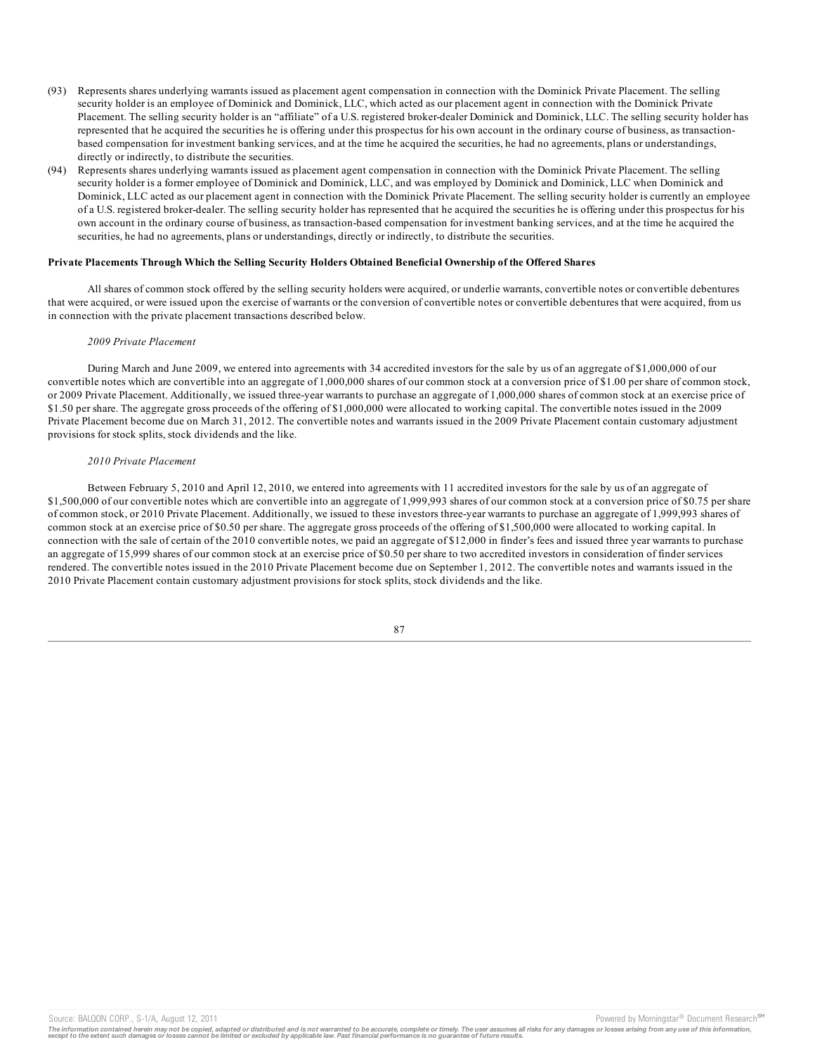- (93) Represents shares underlying warrants issued as placement agent compensation in connection with the Dominick Private Placement. The selling security holder is an employee of Dominick and Dominick, LLC, which acted as our placement agent in connection with the Dominick Private Placement. The selling security holder is an "affiliate" of a U.S. registered broker-dealer Dominick and Dominick, LLC. The selling security holder has represented that he acquired the securities he is offering under this prospectus for his own account in the ordinary course of business, as transactionbased compensation for investment banking services, and at the time he acquired the securities, he had no agreements, plans or understandings, directly or indirectly, to distribute the securities.
- (94) Represents shares underlying warrants issued as placement agent compensation in connection with the Dominick Private Placement. The selling security holder is a former employee of Dominick and Dominick, LLC, and was employed by Dominick and Dominick, LLC when Dominick and Dominick, LLC acted as our placement agent in connection with the Dominick Private Placement. The selling security holder is currently an employee of a U.S. registered broker-dealer. The selling security holder has represented that he acquired the securities he is offering under this prospectus for his own account in the ordinary course of business, as transaction-based compensation for investment banking services, and at the time he acquired the securities, he had no agreements, plans or understandings, directly or indirectly, to distribute the securities.

#### **Private Placements Through Which the Selling Security Holders Obtained Beneficial Ownership of the Offered Shares**

All shares of common stock offered by the selling security holders were acquired, or underlie warrants, convertible notes or convertible debentures that were acquired, or were issued upon the exercise of warrants or the conversion of convertible notes or convertible debentures that were acquired, from us in connection with the private placement transactions described below.

#### *2009 Private Placement*

During March and June 2009, we entered into agreements with 34 accredited investors for the sale by us of an aggregate of \$1,000,000 of our convertible notes which are convertible into an aggregate of 1,000,000 shares of our common stock at a conversion price of \$1.00 per share of common stock, or 2009 Private Placement. Additionally, we issued three-year warrants to purchase an aggregate of 1,000,000 shares of common stock at an exercise price of \$1.50 per share. The aggregate gross proceeds of the offering of \$1,000,000 were allocated to working capital. The convertible notes issued in the 2009 Private Placement become due on March 31, 2012. The convertible notes and warrants issued in the 2009 Private Placement contain customary adjustment provisions for stock splits, stock dividends and the like.

### *2010 Private Placement*

Between February 5, 2010 and April 12, 2010, we entered into agreements with 11 accredited investors for the sale by us of an aggregate of \$1,500,000 of our convertible notes which are convertible into an aggregate of 1,999,993 shares of our common stock at a conversion price of \$0.75 per share of common stock, or 2010 Private Placement. Additionally, we issued to these investors three-year warrants to purchase an aggregate of 1,999,993 shares of common stock at an exercise price of \$0.50 per share. The aggregate gross proceeds of the offering of \$1,500,000 were allocated to working capital. In connection with the sale of certain of the 2010 convertible notes, we paid an aggregate of \$12,000 in finder's fees and issued three year warrants to purchase an aggregate of 15,999 shares of our common stock at an exercise price of \$0.50 per share to two accredited investors in consideration of finder services rendered. The convertible notes issued in the 2010 Private Placement become due on September 1, 2012. The convertible notes and warrants issued in the 2010 Private Placement contain customary adjustment provisions for stock splits, stock dividends and the like.

|             | v<br>× |  |
|-------------|--------|--|
| I<br>×<br>٧ |        |  |

Source: BALQON CORP., S-1/A, August 12, 2011 **Powered by Morningstar® Document Research** <sup>5M</sup>

The information contained herein may not be copied, adapted or distributed and is not warranted to be accurate, complete or timely. The user assumes all risks for any damages or losses arising from any use of this informat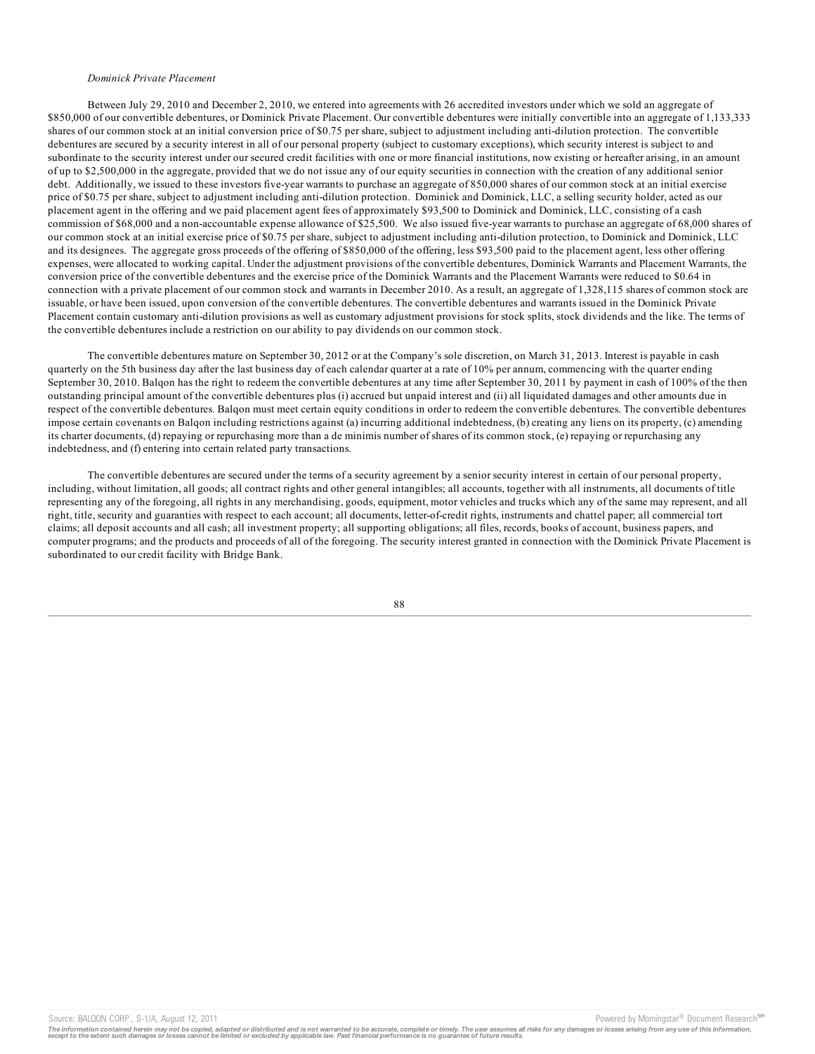### *Dominick Private Placement*

Between July 29, 2010 and December 2, 2010, we entered into agreements with 26 accredited investors under which we sold an aggregate of \$850,000 of our convertible debentures, or Dominick Private Placement. Our convertible debentures were initially convertible into an aggregate of 1,133,333 shares of our common stock at an initial conversion price of \$0.75 per share, subject to adjustment including anti-dilution protection. The convertible debentures are secured by a security interest in all of our personal property (subject to customary exceptions), which security interest is subject to and subordinate to the security interest under our secured credit facilities with one or more financial institutions, now existing or hereafter arising, in an amount of up to \$2,500,000 in the aggregate, provided that we do not issue any of our equity securities in connection with the creation of any additional senior debt. Additionally, we issued to these investors five-year warrants to purchase an aggregate of 850,000 shares of our common stock at an initial exercise price of \$0.75 per share, subject to adjustment including anti-dilution protection. Dominick and Dominick, LLC, a selling security holder, acted as our placement agent in the offering and we paid placement agent fees of approximately \$93,500 to Dominick and Dominick, LLC, consisting of a cash commission of \$68,000 and a non-accountable expense allowance of \$25,500. We also issued five-year warrants to purchase an aggregate of 68,000 shares of our common stock at an initial exercise price of \$0.75 per share, subject to adjustment including anti-dilution protection, to Dominick and Dominick, LLC and its designees. The aggregate gross proceeds of the offering of \$850,000 of the offering, less \$93,500 paid to the placement agent, less other offering expenses, were allocated to working capital. Under the adjustment provisions of the convertible debentures, Dominick Warrants and Placement Warrants, the conversion price of the convertible debentures and the exercise price of the Dominick Warrants and the Placement Warrants were reduced to \$0.64 in connection with a private placement of our common stock and warrants in December 2010. As a result, an aggregate of 1,328,115 shares of common stock are issuable, or have been issued, upon conversion of the convertible debentures. The convertible debentures and warrants issued in the Dominick Private Placement contain customary anti-dilution provisions as well as customary adjustment provisions for stock splits, stock dividends and the like. The terms of the convertible debentures include a restriction on our ability to pay dividends on our common stock.

The convertible debentures mature on September 30, 2012 or at the Company's sole discretion, on March 31, 2013. Interest is payable in cash quarterly on the 5th business day after the last business day of each calendar quarter at a rate of 10% per annum, commencing with the quarter ending September 30, 2010. Balgon has the right to redeem the convertible debentures at any time after September 30, 2011 by payment in cash of 100% of the then outstanding principal amount of the convertible debentures plus (i) accrued but unpaid interest and (ii) all liquidated damages and other amounts due in respect of the convertible debentures. Balqon must meet certain equity conditions in order to redeem the convertible debentures. The convertible debentures impose certain covenants on Balqon including restrictions against (a) incurring additional indebtedness, (b) creating any liens on its property, (c) amending its charter documents, (d) repaying or repurchasing more than a de minimis number of shares of its common stock, (e) repaying or repurchasing any indebtedness, and (f) entering into certain related party transactions.

The convertible debentures are secured under the terms of a security agreement by a senior security interest in certain of our personal property, including, without limitation, all goods; all contract rights and other general intangibles; all accounts, together with all instruments, all documents of title representing any of the foregoing, all rights in any merchandising, goods, equipment, motor vehicles and trucks which any of the same may represent, and all right, title, security and guaranties with respect to each account; all documents, letter-of-credit rights, instruments and chattel paper; all commercial tort claims; all deposit accounts and all cash; all investment property; all supporting obligations; all files, records, books of account, business papers, and computer programs; and the products and proceeds of all of the foregoing. The security interest granted in connection with the Dominick Private Placement is subordinated to our credit facility with Bridge Bank.

88

Source: BALQON CORP., S-1/A, August 12, 2011 **Powered by Morningstar® Document Research** in Powered by Morningstar® Document Research in

The information contained herein may not be copied, adapted or distributed and is not warranted to be accurate, complete or timely. The user assumes all risks for any damages or losses arising from any use of this informat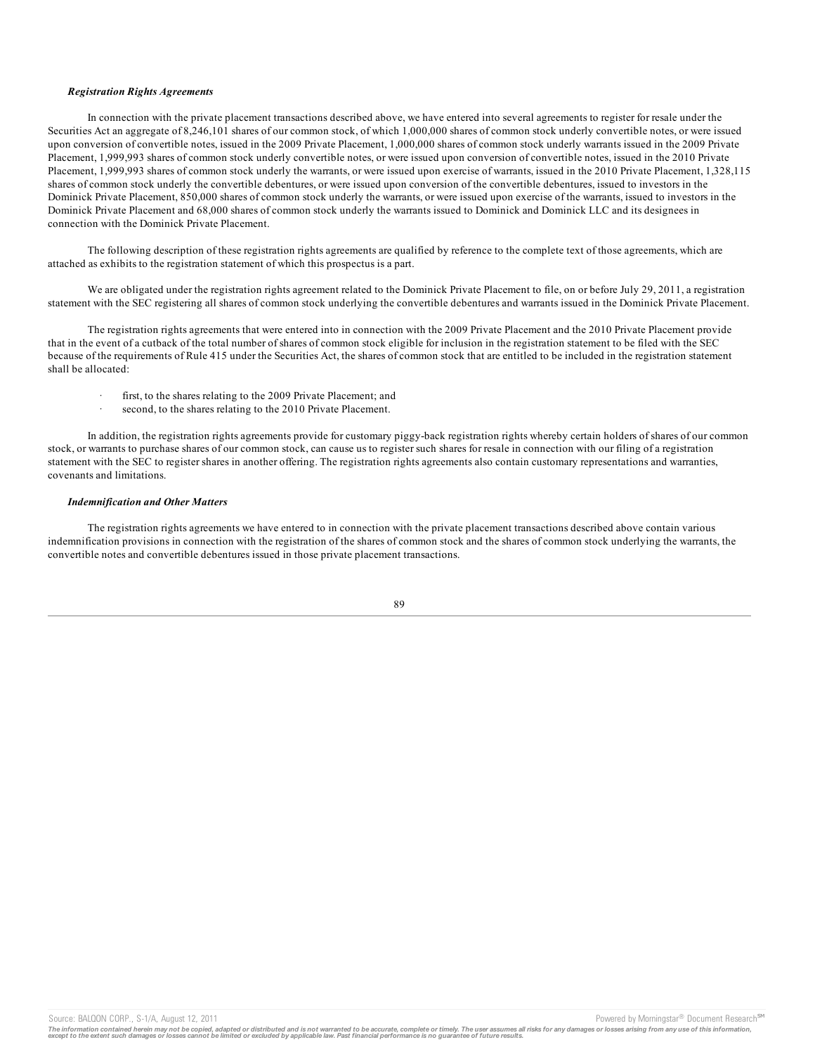#### *Registration Rights Agreements*

In connection with the private placement transactions described above, we have entered into several agreements to register for resale under the Securities Act an aggregate of 8,246,101 shares of our common stock, of which 1,000,000 shares of common stock underly convertible notes, or were issued upon conversion of convertible notes, issued in the 2009 Private Placement, 1,000,000 shares of common stock underly warrants issued in the 2009 Private Placement, 1,999,993 shares of common stock underly convertible notes, or were issued upon conversion of convertible notes, issued in the 2010 Private Placement, 1,999,993 shares of common stock underly the warrants, or were issued upon exercise of warrants, issued in the 2010 Private Placement, 1,328,115 shares of common stock underly the convertible debentures, or were issued upon conversion of the convertible debentures, issued to investors in the Dominick Private Placement, 850,000 shares of common stock underly the warrants, or were issued upon exercise of the warrants, issued to investors in the Dominick Private Placement and 68,000 shares of common stock underly the warrants issued to Dominick and Dominick LLC and its designees in connection with the Dominick Private Placement.

The following description of these registration rights agreements are qualified by reference to the complete text of those agreements, which are attached as exhibits to the registration statement of which this prospectus is a part.

We are obligated under the registration rights agreement related to the Dominick Private Placement to file, on or before July 29, 2011, a registration statement with the SEC registering all shares of common stock underlying the convertible debentures and warrants issued in the Dominick Private Placement.

The registration rights agreements that were entered into in connection with the 2009 Private Placement and the 2010 Private Placement provide that in the event of a cutback of the total number of shares of common stock eligible for inclusion in the registration statement to be filed with the SEC because of the requirements of Rule 415 under the Securities Act, the shares of common stock that are entitled to be included in the registration statement shall be allocated:

- first, to the shares relating to the 2009 Private Placement; and
- second, to the shares relating to the 2010 Private Placement.

In addition, the registration rights agreements provide for customary piggy-back registration rights whereby certain holders of shares of our common stock, or warrants to purchase shares of our common stock, can cause us to register such shares for resale in connection with our filing of a registration statement with the SEC to register shares in another offering. The registration rights agreements also contain customary representations and warranties, covenants and limitations.

#### *Indemnification and Other Matters*

The registration rights agreements we have entered to in connection with the private placement transactions described above contain various indemnification provisions in connection with the registration of the shares of common stock and the shares of common stock underlying the warrants, the convertible notes and convertible debentures issued in those private placement transactions.

89

Source: BALQON CORP., S-1/A, August 12, 2011 **Powered by Morningstar® Document Research** <sup>5M</sup>

The information contained herein may not be copied, adapted or distributed and is not warranted to be accurate, complete or timely. The user assumes all risks for any damages or losses arising from any use of this informat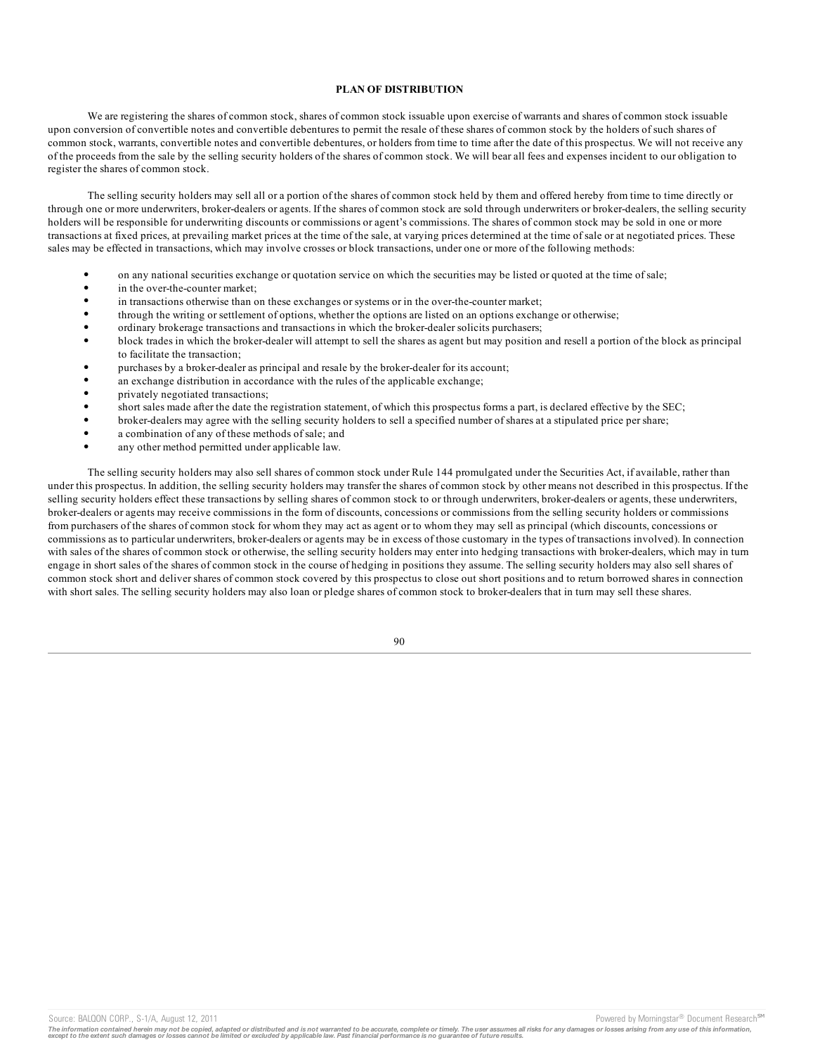### **PLAN OF DISTRIBUTION**

We are registering the shares of common stock, shares of common stock issuable upon exercise of warrants and shares of common stock issuable upon conversion of convertible notes and convertible debentures to permit the resale of these shares of common stock by the holders of such shares of common stock, warrants, convertible notes and convertible debentures, or holders from time to time after the date of this prospectus. We will not receive any of the proceeds from the sale by the selling security holders of the shares of common stock. We will bear all fees and expenses incident to our obligation to register the shares of common stock.

The selling security holders may sell all or a portion of the shares of common stock held by them and offered hereby from time to time directly or through one or more underwriters, broker-dealers or agents. If the shares of common stock are sold through underwriters or broker-dealers, the selling security holders will be responsible for underwriting discounts or commissions or agent's commissions. The shares of common stock may be sold in one or more transactions at fixed prices, at prevailing market prices at the time of the sale, at varying prices determined at the time of sale or at negotiated prices. These sales may be effected in transactions, which may involve crosses or block transactions, under one or more of the following methods:

- on any national securities exchange or quotation service on which the securities may be listed or quoted at the time of sale;
- in the over-the-counter market;
- in transactions otherwise than on these exchanges or systems or in the over-the-counter market;
- through the writing or settlement of options, whether the options are listed on an options exchange or otherwise;
- ordinary brokerage transactions and transactions in which the broker-dealer solicits purchasers;
- block trades in which the broker-dealer will attempt to sell the shares as agent but may position and resell a portion of the block as principal to facilitate the transaction;
- purchases by a broker-dealer as principal and resale by the broker-dealer for its account;
- an exchange distribution in accordance with the rules of the applicable exchange;
- privately negotiated transactions;
- short sales made after the date the registration statement, of which this prospectus forms a part, is declared effective by the SEC;
- broker-dealers may agree with the selling security holders to sell a specified number of shares at a stipulated price per share;
- a combination of any of these methods of sale; and
- any other method permitted under applicable law.

The selling security holders may also sell shares of common stock under Rule 144 promulgated under the Securities Act, if available, rather than under this prospectus. In addition, the selling security holders may transfer the shares of common stock by other means not described in this prospectus. If the selling security holders effect these transactions by selling shares of common stock to or through underwriters, broker-dealers or agents, these underwriters, broker-dealers or agents may receive commissions in the form of discounts, concessions or commissions from the selling security holders or commissions from purchasers of the shares of common stock for whom they may act as agent or to whom they may sell as principal (which discounts, concessions or commissions as to particular underwriters, broker-dealers or agents may be in excess of those customary in the types of transactions involved). In connection with sales of the shares of common stock or otherwise, the selling security holders may enter into hedging transactions with broker-dealers, which may in turn engage in short sales of the shares of common stock in the course of hedging in positions they assume. The selling security holders may also sell shares of common stock short and deliver shares of common stock covered by this prospectus to close out short positions and to return borrowed shares in connection with short sales. The selling security holders may also loan or pledge shares of common stock to broker-dealers that in turn may sell these shares.



Source: BALQON CORP., S-1/A, August 12, 2011 **Powered by Morningstar® Document Research** in Powered by Morningstar® Document Research in

The information contained herein may not be copied, adapted or distributed and is not warranted to be accurate, complete or timely. The user assumes all risks for any damages or losses arising from any use of this informat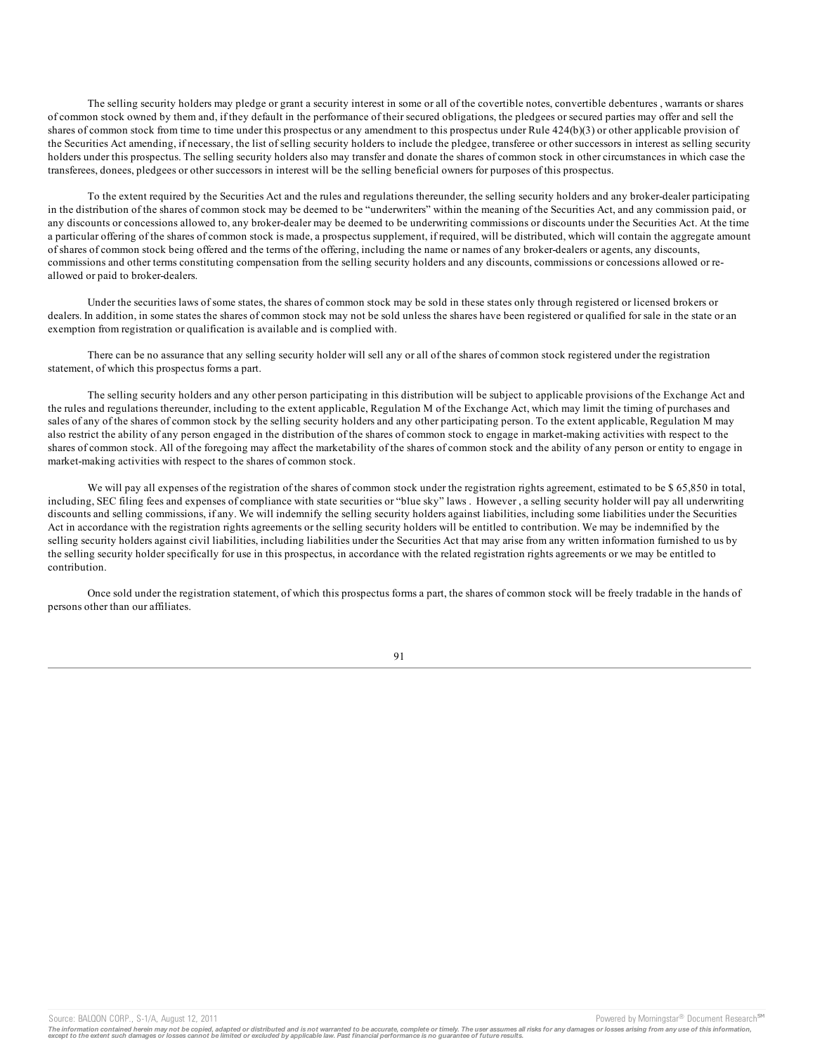The selling security holders may pledge or grant a security interest in some or all of the covertible notes, convertible debentures , warrants or shares of common stock owned by them and, if they default in the performance of their secured obligations, the pledgees or secured parties may offer and sell the shares of common stock from time to time under this prospectus or any amendment to this prospectus under Rule 424(b)(3) or other applicable provision of the Securities Act amending, if necessary, the list of selling security holders to include the pledgee, transferee or other successors in interest as selling security holders under this prospectus. The selling security holders also may transfer and donate the shares of common stock in other circumstances in which case the transferees, donees, pledgees or other successors in interest will be the selling beneficial owners for purposes of this prospectus.

To the extent required by the Securities Act and the rules and regulations thereunder, the selling security holders and any broker-dealer participating in the distribution of the shares of common stock may be deemed to be "underwriters" within the meaning of the Securities Act, and any commission paid, or any discounts or concessions allowed to, any broker-dealer may be deemed to be underwriting commissions or discounts under the Securities Act. At the time a particular offering of the shares of common stock is made, a prospectus supplement, if required, will be distributed, which will contain the aggregate amount of shares of common stock being offered and the terms of the offering, including the name or names of any broker-dealers or agents, any discounts, commissions and other terms constituting compensation from the selling security holders and any discounts, commissions or concessions allowed or reallowed or paid to broker-dealers.

Under the securities laws of some states, the shares of common stock may be sold in these states only through registered or licensed brokers or dealers. In addition, in some states the shares of common stock may not be sold unless the shares have been registered or qualified for sale in the state or an exemption from registration or qualification is available and is complied with.

There can be no assurance that any selling security holder will sell any or all of the shares of common stock registered under the registration statement, of which this prospectus forms a part.

The selling security holders and any other person participating in this distribution will be subject to applicable provisions of the Exchange Act and the rules and regulations thereunder, including to the extent applicable, Regulation M of the Exchange Act, which may limit the timing of purchases and sales of any of the shares of common stock by the selling security holders and any other participating person. To the extent applicable, Regulation M may also restrict the ability of any person engaged in the distribution of the shares of common stock to engage in market-making activities with respect to the shares of common stock. All of the foregoing may affect the marketability of the shares of common stock and the ability of any person or entity to engage in market-making activities with respect to the shares of common stock.

We will pay all expenses of the registration of the shares of common stock under the registration rights agreement, estimated to be \$ 65,850 in total, including, SEC filing fees and expenses of compliance with state securities or "blue sky" laws . However , a selling security holder will pay all underwriting discounts and selling commissions, if any. We will indemnify the selling security holders against liabilities, including some liabilities under the Securities Act in accordance with the registration rights agreements or the selling security holders will be entitled to contribution. We may be indemnified by the selling security holders against civil liabilities, including liabilities under the Securities Act that may arise from any written information furnished to us by the selling security holder specifically for use in this prospectus, in accordance with the related registration rights agreements or we may be entitled to contribution.

Once sold under the registration statement, of which this prospectus forms a part, the shares of common stock will be freely tradable in the hands of persons other than our affiliates.

91

Source: BALQON CORP., S-1/A, August 12, 2011 **Powered by Morningstar® Document Research** in Powered by Morningstar® Document Research in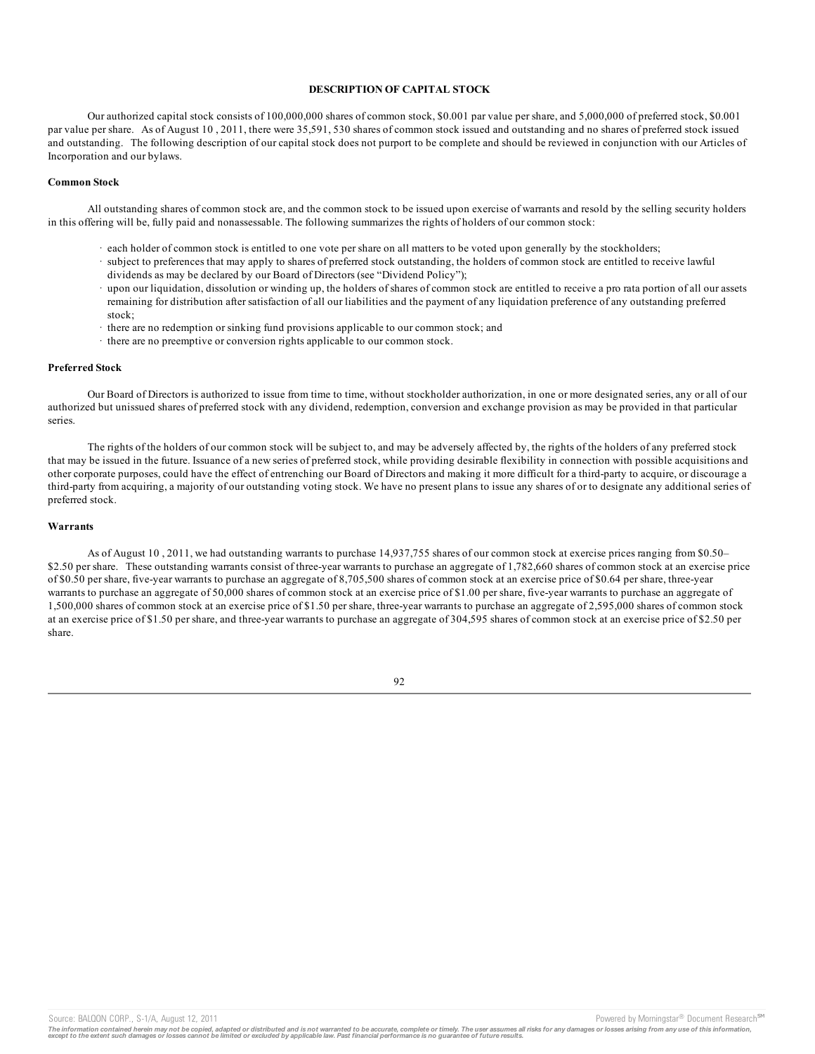### **DESCRIPTION OF CAPITAL STOCK**

Our authorized capital stock consists of 100,000,000 shares of common stock, \$0.001 par value per share, and 5,000,000 of preferred stock, \$0.001 par value per share. As of August 10 , 2011, there were 35,591, 530 shares of common stock issued and outstanding and no shares of preferred stock issued and outstanding. The following description of our capital stock does not purport to be complete and should be reviewed in conjunction with our Articles of Incorporation and our bylaws.

#### **Common Stock**

All outstanding shares of common stock are, and the common stock to be issued upon exercise of warrants and resold by the selling security holders in this offering will be, fully paid and nonassessable. The following summarizes the rights of holders of our common stock:

- · each holder of common stock is entitled to one vote per share on all matters to be voted upon generally by the stockholders;
- · subject to preferences that may apply to shares of preferred stock outstanding, the holders of common stock are entitled to receive lawful dividends as may be declared by our Board of Directors (see "Dividend Policy");
- · upon our liquidation, dissolution or winding up, the holders of shares of common stock are entitled to receive a pro rata portion of all our assets remaining for distribution after satisfaction of all our liabilities and the payment of any liquidation preference of any outstanding preferred stock;
- · there are no redemption or sinking fund provisions applicable to our common stock; and
- · there are no preemptive or conversion rights applicable to our common stock.

#### **Preferred Stock**

Our Board of Directors is authorized to issue from time to time, without stockholder authorization, in one or more designated series, any or all of our authorized but unissued shares of preferred stock with any dividend, redemption, conversion and exchange provision as may be provided in that particular series.

The rights of the holders of our common stock will be subject to, and may be adversely affected by, the rights of the holders of any preferred stock that may be issued in the future. Issuance of a new series of preferred stock, while providing desirable flexibility in connection with possible acquisitions and other corporate purposes, could have the effect of entrenching our Board of Directors and making it more difficult for a third-party to acquire, or discourage a third-party from acquiring, a majority of our outstanding voting stock. We have no present plans to issue any shares of or to designate any additional series of preferred stock.

#### **Warrants**

As of August 10 , 2011, we had outstanding warrants to purchase 14,937,755 shares of our common stock at exercise prices ranging from \$0.50– \$2.50 per share. These outstanding warrants consist of three-year warrants to purchase an aggregate of 1,782,660 shares of common stock at an exercise price of \$0.50 per share, five-year warrants to purchase an aggregate of 8,705,500 shares of common stock at an exercise price of \$0.64 per share, three-year warrants to purchase an aggregate of 50,000 shares of common stock at an exercise price of \$1.00 per share, five-year warrants to purchase an aggregate of 1,500,000 shares of common stock at an exercise price of \$1.50 per share, three-year warrants to purchase an aggregate of 2,595,000 shares of common stock at an exercise price of \$1.50 per share, and three-year warrants to purchase an aggregate of 304,595 shares of common stock at an exercise price of \$2.50 per share.

Source: BALQON CORP., S-1/A, August 12, 2011 **Powered by Morningstar® Document Research** <sup>5M</sup>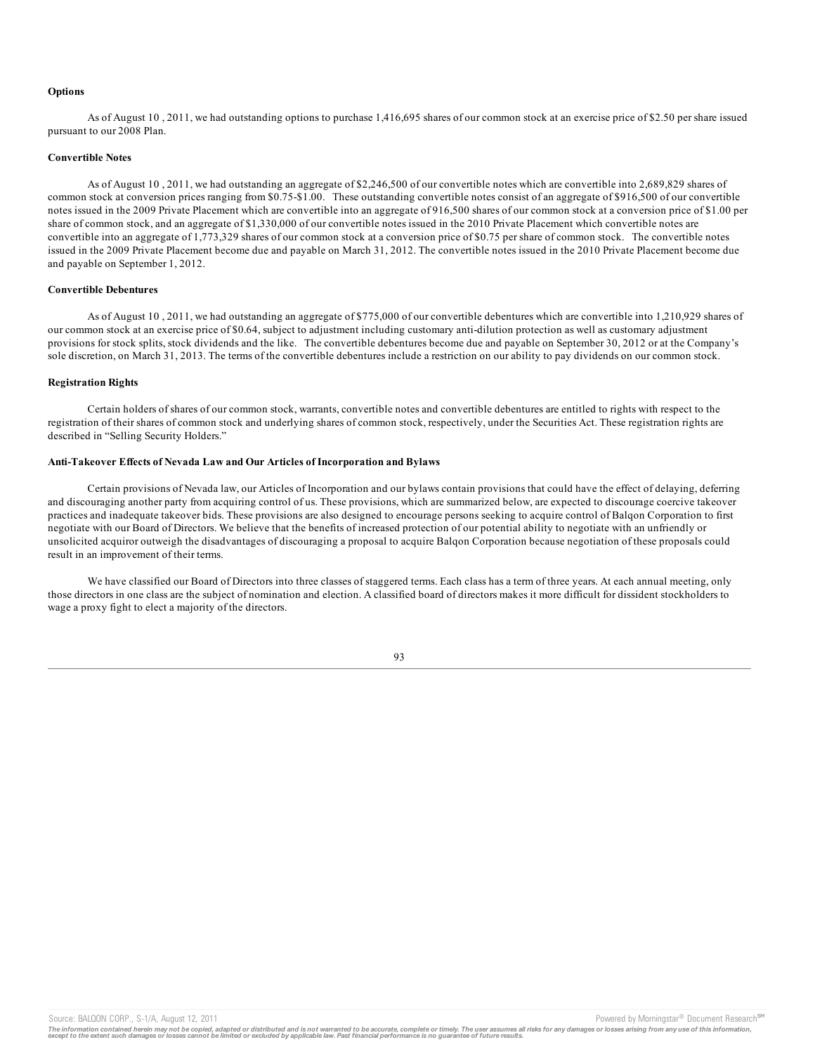### **Options**

As of August 10 , 2011, we had outstanding options to purchase 1,416,695 shares of our common stock at an exercise price of \$2.50 per share issued pursuant to our 2008 Plan.

#### **Convertible Notes**

As of August 10 , 2011, we had outstanding an aggregate of \$2,246,500 of our convertible notes which are convertible into 2,689,829 shares of common stock at conversion prices ranging from \$0.75-\$1.00. These outstanding convertible notes consist of an aggregate of \$916,500 of our convertible notes issued in the 2009 Private Placement which are convertible into an aggregate of 916,500 shares of our common stock at a conversion price of \$1.00 per share of common stock, and an aggregate of \$1,330,000 of our convertible notes issued in the 2010 Private Placement which convertible notes are convertible into an aggregate of 1,773,329 shares of our common stock at a conversion price of \$0.75 per share of common stock. The convertible notes issued in the 2009 Private Placement become due and payable on March 31, 2012. The convertible notes issued in the 2010 Private Placement become due and payable on September 1, 2012.

#### **Convertible Debentures**

As of August 10 , 2011, we had outstanding an aggregate of \$775,000 of our convertible debentures which are convertible into 1,210,929 shares of our common stock at an exercise price of \$0.64, subject to adjustment including customary anti-dilution protection as well as customary adjustment provisions for stock splits, stock dividends and the like. The convertible debentures become due and payable on September 30, 2012 or at the Company's sole discretion, on March 31, 2013. The terms of the convertible debentures include a restriction on our ability to pay dividends on our common stock.

#### **Registration Rights**

Certain holders of shares of our common stock, warrants, convertible notes and convertible debentures are entitled to rights with respect to the registration of their shares of common stock and underlying shares of common stock, respectively, under the Securities Act. These registration rights are described in "Selling Security Holders."

### **Anti-Takeover Effects of Nevada Law and Our Articles of Incorporation and Bylaws**

Certain provisions of Nevada law, our Articles of Incorporation and our bylaws contain provisions that could have the effect of delaying, deferring and discouraging another party from acquiring control of us. These provisions, which are summarized below, are expected to discourage coercive takeover practices and inadequate takeover bids. These provisions are also designed to encourage persons seeking to acquire control of Balqon Corporation to first negotiate with our Board of Directors. We believe that the benefits of increased protection of our potential ability to negotiate with an unfriendly or unsolicited acquiror outweigh the disadvantages of discouraging a proposal to acquire Balqon Corporation because negotiation of these proposals could result in an improvement of their terms.

We have classified our Board of Directors into three classes of staggered terms. Each class has a term of three years. At each annual meeting, only those directors in one class are the subject of nomination and election. A classified board of directors makes it more difficult for dissident stockholders to wage a proxy fight to elect a majority of the directors.

93

Source: BALQON CORP., S-1/A, August 12, 2011 **Powered by Morningstar® Document Research** <sup>5M</sup>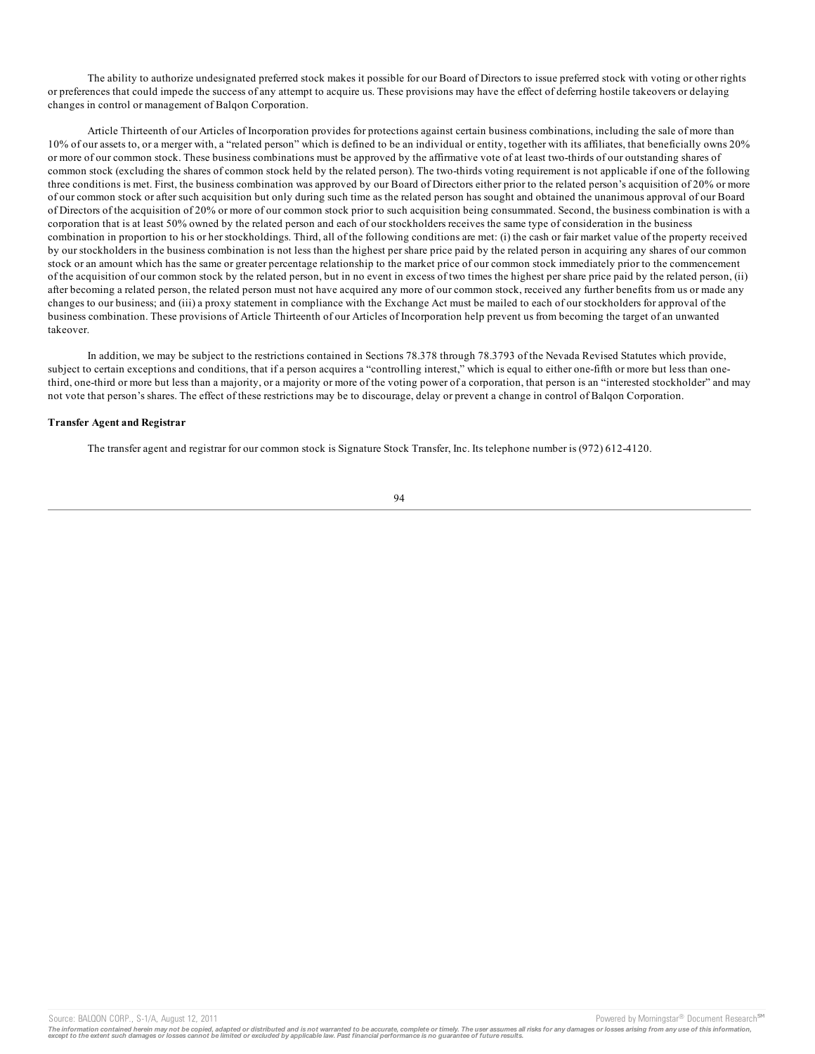The ability to authorize undesignated preferred stock makes it possible for our Board of Directors to issue preferred stock with voting or other rights or preferences that could impede the success of any attempt to acquire us. These provisions may have the effect of deferring hostile takeovers or delaying changes in control or management of Balqon Corporation.

Article Thirteenth of our Articles of Incorporation provides for protections against certain business combinations, including the sale of more than 10% of our assets to, or a merger with, a "related person" which is defined to be an individual or entity, together with its affiliates, that beneficially owns 20% or more of our common stock. These business combinations must be approved by the affirmative vote of at least two-thirds of our outstanding shares of common stock (excluding the shares of common stock held by the related person). The two-thirds voting requirement is not applicable if one of the following three conditions is met. First, the business combination was approved by our Board of Directors either prior to the related person's acquisition of 20% or more of our common stock or after such acquisition but only during such time as the related person has sought and obtained the unanimous approval of our Board of Directors of the acquisition of 20% or more of our common stock prior to such acquisition being consummated. Second, the business combination is with a corporation that is at least 50% owned by the related person and each of our stockholders receives the same type of consideration in the business combination in proportion to his or her stockholdings. Third, all of the following conditions are met: (i) the cash or fair market value of the property received by our stockholders in the business combination is not less than the highest per share price paid by the related person in acquiring any shares of our common stock or an amount which has the same or greater percentage relationship to the market price of our common stock immediately prior to the commencement of the acquisition of our common stock by the related person, but in no event in excess of two times the highest per share price paid by the related person, (ii) after becoming a related person, the related person must not have acquired any more of our common stock, received any further benefits from us or made any changes to our business; and (iii) a proxy statement in compliance with the Exchange Act must be mailed to each of our stockholders for approval of the business combination. These provisions of Article Thirteenth of our Articles of Incorporation help prevent us from becoming the target of an unwanted takeover.

In addition, we may be subject to the restrictions contained in Sections 78.378 through 78.3793 of the Nevada Revised Statutes which provide, subject to certain exceptions and conditions, that if a person acquires a "controlling interest," which is equal to either one-fifth or more but less than onethird, one-third or more but less than a majority, or a majority or more of the voting power of a corporation, that person is an "interested stockholder" and may not vote that person's shares. The effect of these restrictions may be to discourage, delay or prevent a change in control of Balqon Corporation.

### **Transfer Agent and Registrar**

The transfer agent and registrar for our common stock is Signature Stock Transfer, Inc. Its telephone number is (972) 612-4120.

94

Source: BALQON CORP., S-1/A, August 12, 2011 **Powered by Morningstar® Document Research** <sup>5M</sup>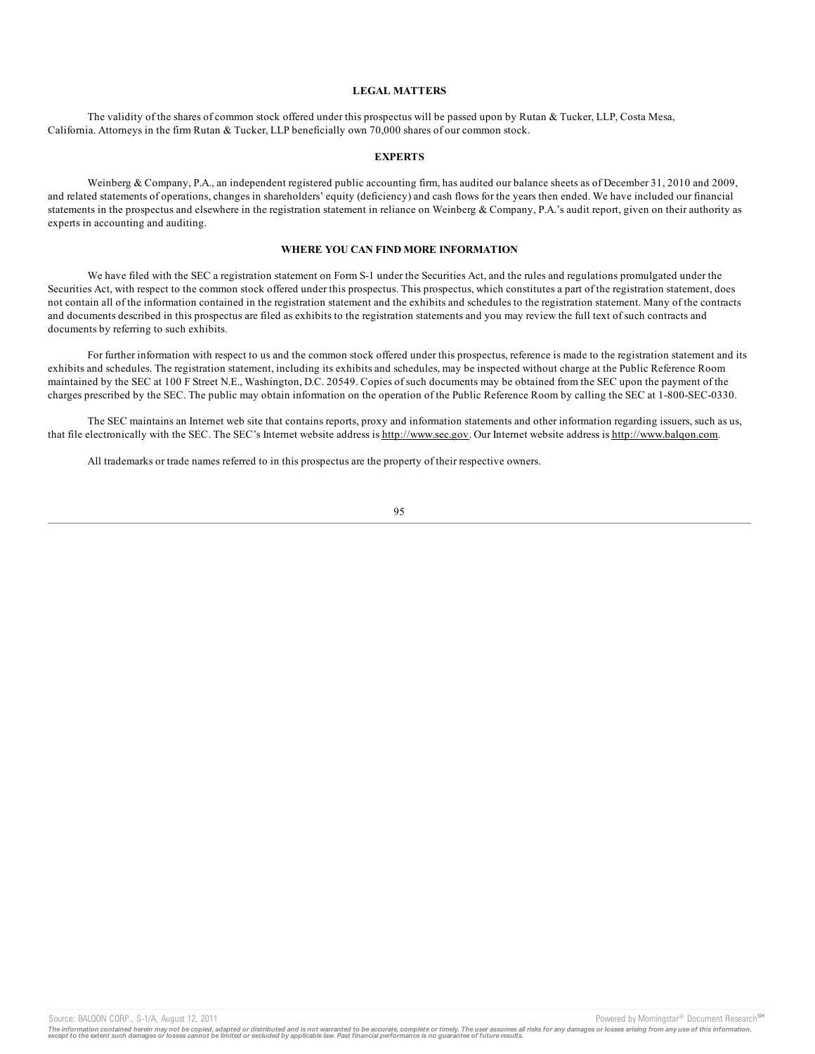### **LEGAL MATTERS**

The validity of the shares of common stock offered under this prospectus will be passed upon by Rutan & Tucker, LLP, Costa Mesa, California. Attorneys in the firm Rutan & Tucker, LLP beneficially own 70,000 shares of our common stock.

#### **EXPERTS**

Weinberg & Company, P.A., an independent registered public accounting firm, has audited our balance sheets as of December 31, 2010 and 2009, and related statements of operations, changes in shareholders' equity (deficiency) and cash flows for the years then ended. We have included our financial statements in the prospectus and elsewhere in the registration statement in reliance on Weinberg & Company, P.A.'s audit report, given on their authority as experts in accounting and auditing.

### **WHERE YOU CAN FIND MORE INFORMATION**

We have filed with the SEC a registration statement on Form S-1 under the Securities Act, and the rules and regulations promulgated under the Securities Act, with respect to the common stock offered under this prospectus. This prospectus, which constitutes a part of the registration statement, does not contain all of the information contained in the registration statement and the exhibits and schedules to the registration statement. Many of the contracts and documents described in this prospectus are filed as exhibits to the registration statements and you may review the full text of such contracts and documents by referring to such exhibits.

For further information with respect to us and the common stock offered under this prospectus, reference is made to the registration statement and its exhibits and schedules. The registration statement, including its exhibits and schedules, may be inspected without charge at the Public Reference Room maintained by the SEC at 100 F Street N.E., Washington, D.C. 20549. Copies of such documents may be obtained from the SEC upon the payment of the charges prescribed by the SEC. The public may obtain information on the operation of the Public Reference Room by calling the SEC at 1-800-SEC-0330.

The SEC maintains an Internet web site that contains reports, proxy and information statements and other information regarding issuers, such as us, that file electronically with the SEC. The SEC's Internet website address is http://www.sec.gov. Our Internet website address is http://www.balqon.com.

All trademarks or trade names referred to in this prospectus are the property of their respective owners.

Source: BALQON CORP., S-1/A, August 12, 2011 **Powered by Morningstar® Document Research** <sup>5M</sup>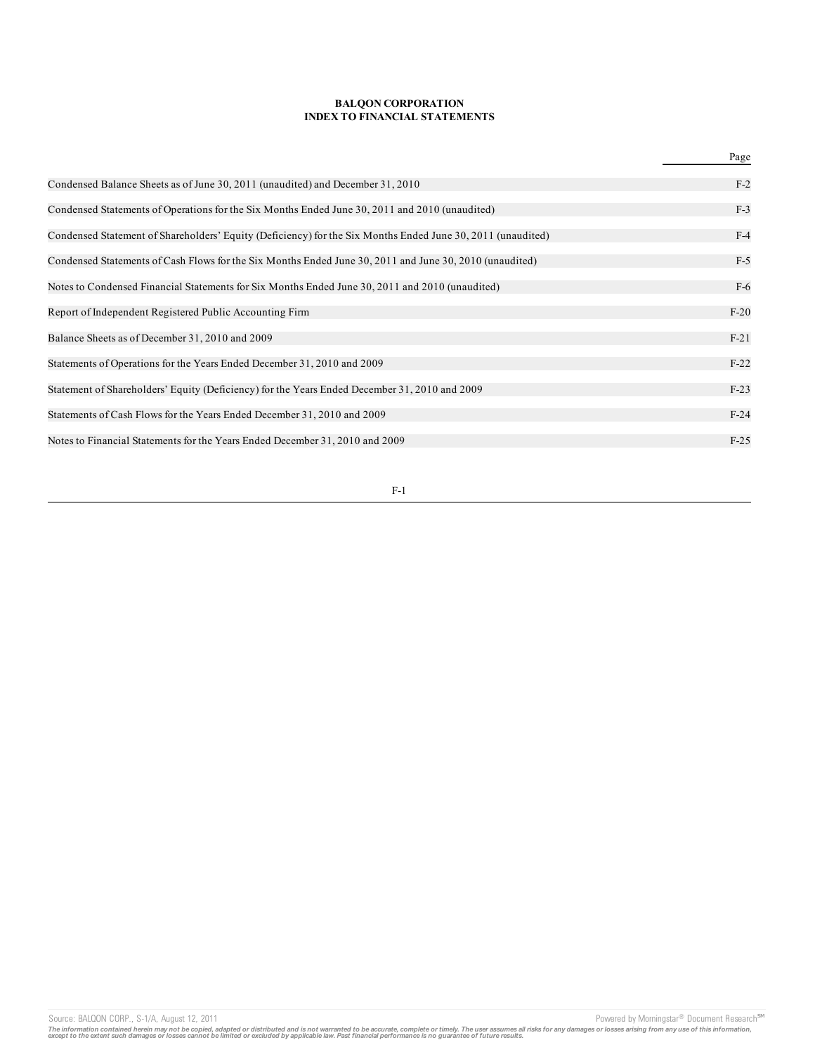## **BALQON CORPORATION INDEX TO FINANCIAL STATEMENTS**

|                                                                                                             | Page   |
|-------------------------------------------------------------------------------------------------------------|--------|
| Condensed Balance Sheets as of June 30, 2011 (unaudited) and December 31, 2010                              | $F-2$  |
| Condensed Statements of Operations for the Six Months Ended June 30, 2011 and 2010 (unaudited)              | $F-3$  |
| Condensed Statement of Shareholders' Equity (Deficiency) for the Six Months Ended June 30, 2011 (unaudited) | $F-4$  |
| Condensed Statements of Cash Flows for the Six Months Ended June 30, 2011 and June 30, 2010 (unaudited)     | $F-5$  |
| Notes to Condensed Financial Statements for Six Months Ended June 30, 2011 and 2010 (unaudited)             | $F-6$  |
| Report of Independent Registered Public Accounting Firm                                                     | $F-20$ |
| Balance Sheets as of December 31, 2010 and 2009                                                             | $F-21$ |
| Statements of Operations for the Years Ended December 31, 2010 and 2009                                     | $F-22$ |
| Statement of Shareholders' Equity (Deficiency) for the Years Ended December 31, 2010 and 2009               | $F-23$ |
| Statements of Cash Flows for the Years Ended December 31, 2010 and 2009                                     | $F-24$ |
| Notes to Financial Statements for the Years Ended December 31, 2010 and 2009                                | $F-25$ |

F-1

Source: BALQON CORP., S-1/A, August 12, 2011<br>The information contained herein may not be copied, adapted or distributed and is not warranted to be accurate, complete or timely. The user assumes all risks for any damages or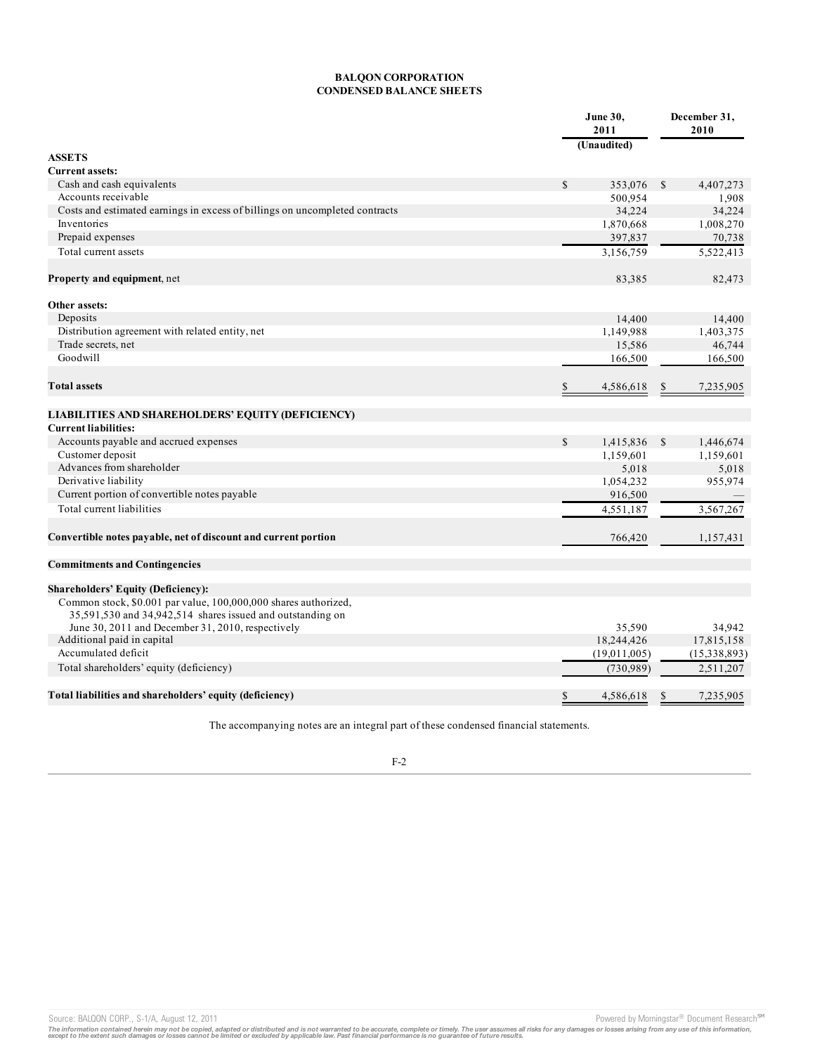## **BALQON CORPORATION CONDENSED BALANCE SHEETS**

|                                                                                                                               |              | <b>June 30,</b><br>2011 |               | December 31,<br>2010 |  |
|-------------------------------------------------------------------------------------------------------------------------------|--------------|-------------------------|---------------|----------------------|--|
|                                                                                                                               |              | (Unaudited)             |               |                      |  |
| <b>ASSETS</b>                                                                                                                 |              |                         |               |                      |  |
| <b>Current assets:</b>                                                                                                        |              |                         |               |                      |  |
| Cash and cash equivalents                                                                                                     | \$           | 353,076                 | $\mathbf S$   | 4,407,273            |  |
| Accounts receivable                                                                                                           |              | 500,954                 |               | 1,908                |  |
| Costs and estimated earnings in excess of billings on uncompleted contracts                                                   |              | 34,224                  |               | 34,224               |  |
| Inventories                                                                                                                   |              | 1,870,668               |               | 1,008,270            |  |
| Prepaid expenses                                                                                                              |              | 397,837                 |               | 70,738               |  |
| Total current assets                                                                                                          |              | 3,156,759               |               | 5,522,413            |  |
| <b>Property and equipment, net</b>                                                                                            |              | 83,385                  |               | 82,473               |  |
| Other assets:                                                                                                                 |              |                         |               |                      |  |
| Deposits                                                                                                                      |              | 14,400                  |               | 14,400               |  |
| Distribution agreement with related entity, net                                                                               |              | 1,149,988               |               | 1,403,375            |  |
| Trade secrets, net                                                                                                            |              | 15,586                  |               | 46,744               |  |
| Goodwill                                                                                                                      |              | 166,500                 |               | 166,500              |  |
| <b>Total assets</b>                                                                                                           |              | 4,586,618               | \$            | 7,235,905            |  |
| LIABILITIES AND SHAREHOLDERS' EQUITY (DEFICIENCY)                                                                             |              |                         |               |                      |  |
| <b>Current liabilities:</b>                                                                                                   |              |                         |               |                      |  |
| Accounts payable and accrued expenses                                                                                         | $\mathbb{S}$ | 1,415,836               | <sup>\$</sup> | 1,446,674            |  |
| Customer deposit                                                                                                              |              | 1,159,601               |               | 1,159,601            |  |
| Advances from shareholder                                                                                                     |              | 5,018                   |               | 5,018                |  |
| Derivative liability                                                                                                          |              | 1,054,232               |               | 955,974              |  |
| Current portion of convertible notes payable                                                                                  |              | 916,500                 |               |                      |  |
| Total current liabilities                                                                                                     |              | 4,551,187               |               | 3,567,267            |  |
| Convertible notes payable, net of discount and current portion                                                                |              | 766,420                 |               | 1,157,431            |  |
| <b>Commitments and Contingencies</b>                                                                                          |              |                         |               |                      |  |
| <b>Shareholders' Equity (Deficiency):</b>                                                                                     |              |                         |               |                      |  |
| Common stock, \$0.001 par value, 100,000,000 shares authorized,<br>35,591,530 and 34,942,514 shares issued and outstanding on |              |                         |               |                      |  |
| June 30, 2011 and December 31, 2010, respectively                                                                             |              | 35,590                  |               | 34,942               |  |
| Additional paid in capital                                                                                                    |              | 18,244,426              |               | 17,815,158           |  |
| Accumulated deficit                                                                                                           |              | (19,011,005)            |               | (15,338,893)         |  |
| Total shareholders' equity (deficiency)                                                                                       |              | (730,989)               |               | 2,511,207            |  |
| Total liabilities and shareholders' equity (deficiency)                                                                       | \$           | 4,586,618               | \$            | 7,235,905            |  |

The accompanying notes are an integral part of these condensed financial statements.

# F-2

Source: BALQON CORP., S-1/A, August 12, 2011 2011 2011 Powered by Morningstar® Document Research SM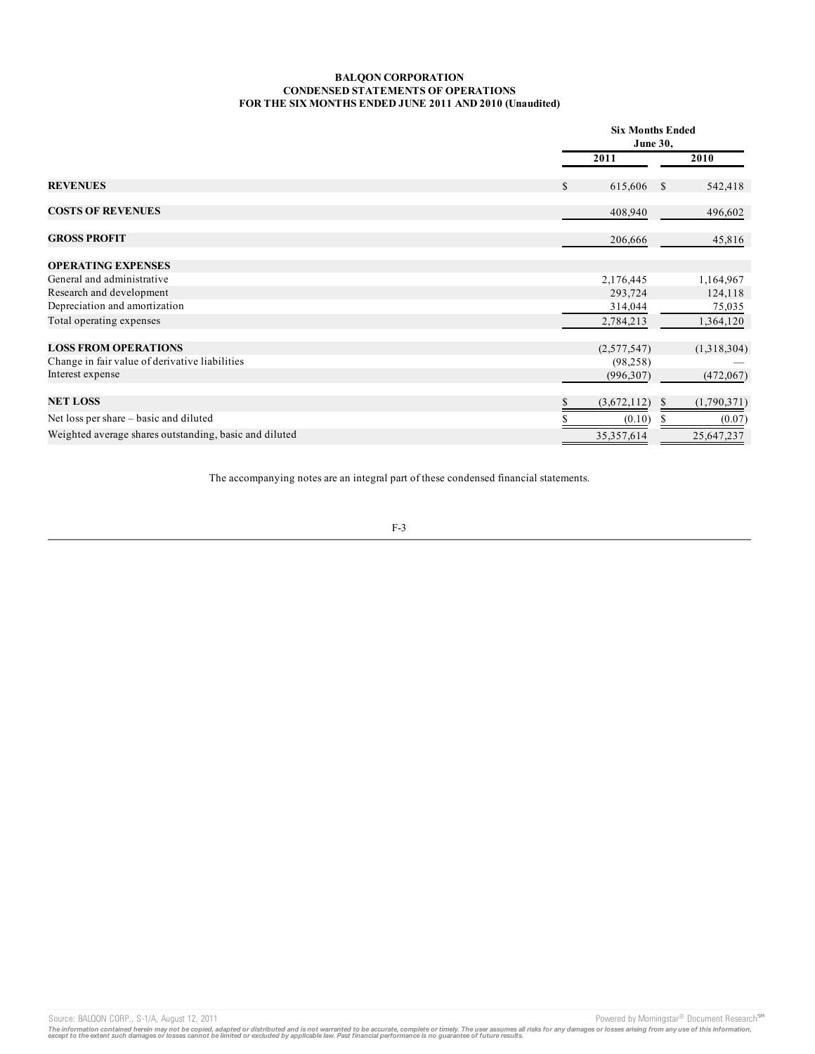## **BALQON CORPORATION CONDENSED STATEMENTS OF OPERATIONS FOR THE SIX MONTHS ENDED JUNE 2011 AND 2010 (Unaudited)**

|                                                        |                         | <b>Six Months Ended</b><br><b>June 30,</b> |
|--------------------------------------------------------|-------------------------|--------------------------------------------|
|                                                        | 2011                    | 2010                                       |
| <b>REVENUES</b>                                        | $\mathbb{S}$<br>615,606 | 542,418<br><sup>\$</sup>                   |
| <b>COSTS OF REVENUES</b>                               | 408,940                 | 496,602                                    |
| <b>GROSS PROFIT</b>                                    | 206,666                 | 45,816                                     |
| <b>OPERATING EXPENSES</b>                              |                         |                                            |
| General and administrative                             | 2,176,445               | 1,164,967                                  |
| Research and development                               | 293,724                 | 124,118                                    |
| Depreciation and amortization                          | 314,044                 | 75,035                                     |
| Total operating expenses                               | 2,784,213               | 1,364,120                                  |
| <b>LOSS FROM OPERATIONS</b>                            | (2,577,547)             | (1,318,304)                                |
| Change in fair value of derivative liabilities         | (98, 258)               |                                            |
| Interest expense                                       | (996,307)               | (472,067)                                  |
| <b>NET LOSS</b>                                        | (3,672,112)             | (1,790,371)                                |
| Net loss per share – basic and diluted                 |                         | (0.10)<br>(0.07)                           |
| Weighted average shares outstanding, basic and diluted | 35, 357, 614            | 25,647,237                                 |

The accompanying notes are an integral part of these condensed financial statements.

F-3

Source: BALQON CORP., S-1/A, August 12, 2011 2011 2011 Powered by Morningstar® Document Research SM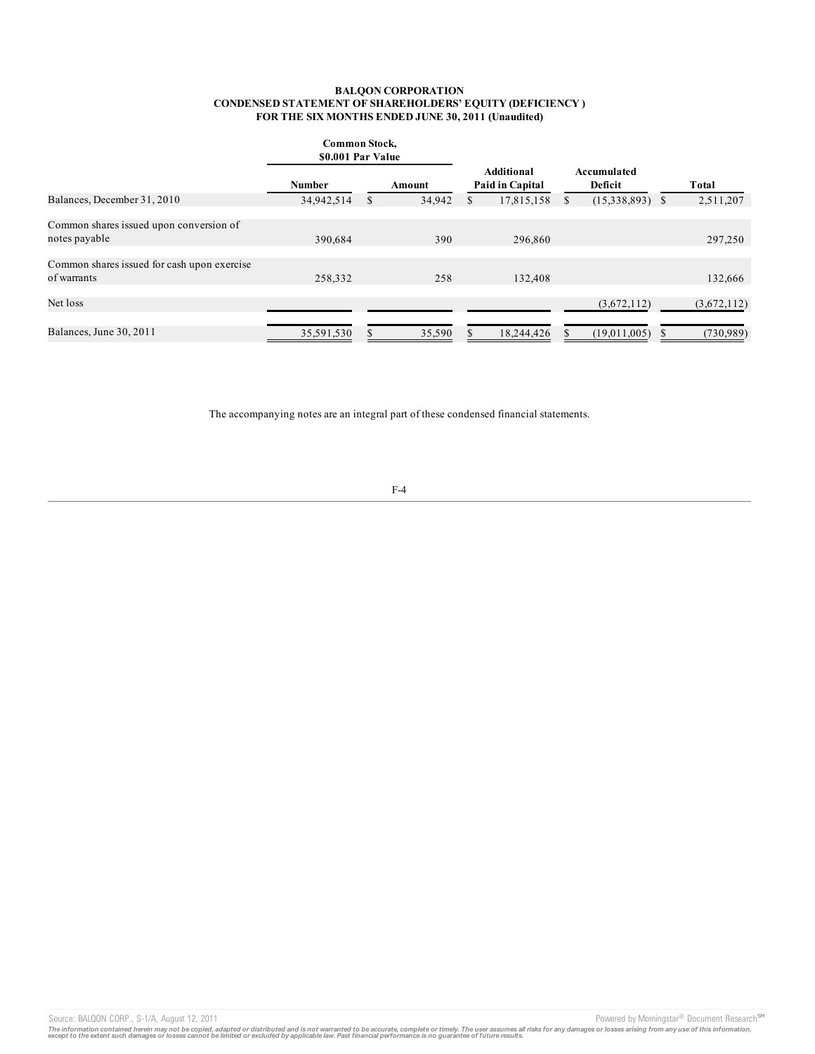## **BALQON CORPORATION CONDENSED STATEMENT OF SHAREHOLDERS' EQUITY (DEFICIENCY ) FOR THE SIX MONTHS ENDED JUNE 30, 2011 (Unaudited)**

|                                                            | <b>Common Stock,</b><br>\$0.001 Par Value |   |        |                               |                        |             |
|------------------------------------------------------------|-------------------------------------------|---|--------|-------------------------------|------------------------|-------------|
|                                                            | <b>Number</b>                             |   | Amount | Additional<br>Paid in Capital | Accumulated<br>Deficit | Total       |
| Balances, December 31, 2010                                | 34,942,514                                | Ъ | 34,942 | 17,815,158                    | $(15,338,893)$ \$      | 2,511,207   |
| Common shares issued upon conversion of<br>notes payable   | 390.684                                   |   | 390    | 296,860                       |                        | 297,250     |
| Common shares issued for cash upon exercise<br>of warrants | 258,332                                   |   | 258    | 132,408                       |                        | 132,666     |
| Net loss                                                   |                                           |   |        |                               | (3,672,112)            | (3,672,112) |
| Balances, June 30, 2011                                    | 35,591,530                                |   | 35,590 | 18,244,426                    | (19,011,005)           | (730,989)   |

The accompanying notes are an integral part of these condensed financial statements.

F-4

Source: BALQON CORP., S-1/A, August 12, 2011 2011 2011 Powered by Morningstar® Document Research SM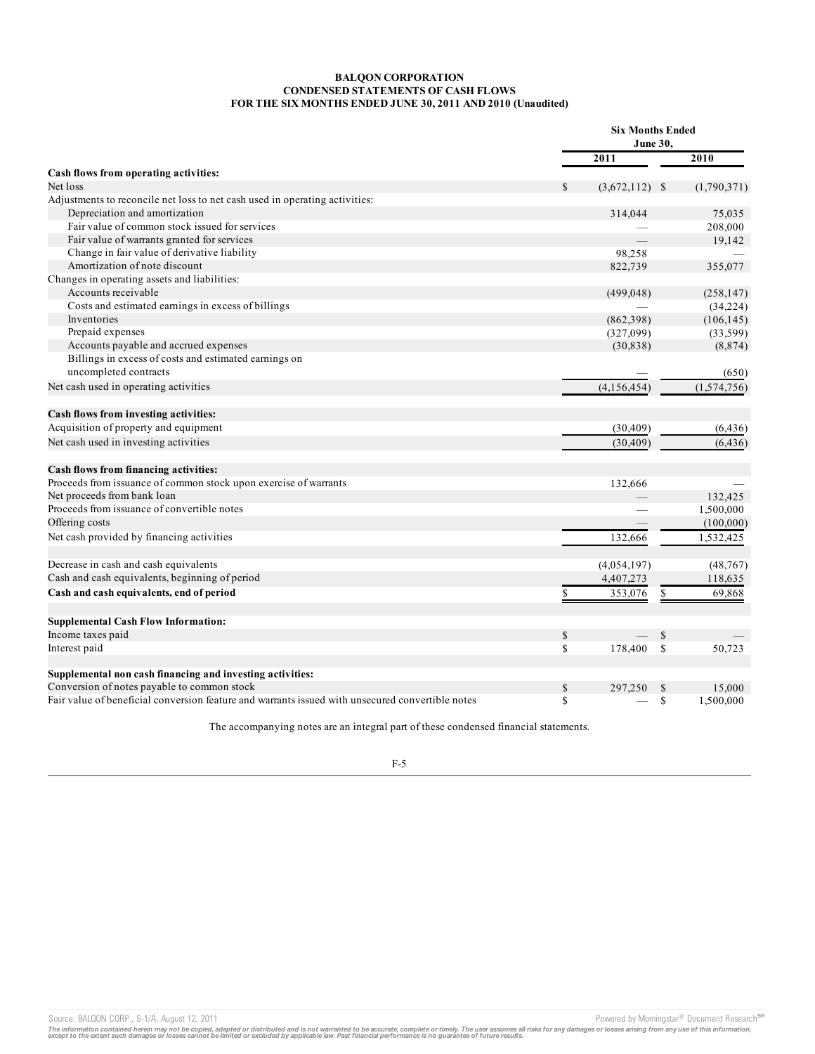## **BALQON CORPORATION CONDENSED STATEMENTS OF CASH FLOWS FOR THE SIX MONTHS ENDED JUNE 30, 2011 AND 2010 (Unaudited)**

|                                                                                                  | <b>Six Months Ended</b><br><b>June 30,</b> |                  |               |             |
|--------------------------------------------------------------------------------------------------|--------------------------------------------|------------------|---------------|-------------|
|                                                                                                  |                                            | 2011             |               | 2010        |
| Cash flows from operating activities:                                                            |                                            |                  |               |             |
| Net loss                                                                                         | \$                                         | $(3,672,112)$ \$ |               | (1,790,371) |
| Adjustments to reconcile net loss to net cash used in operating activities:                      |                                            |                  |               |             |
| Depreciation and amortization                                                                    |                                            | 314,044          |               | 75,035      |
| Fair value of common stock issued for services                                                   |                                            |                  |               | 208,000     |
| Fair value of warrants granted for services                                                      |                                            |                  |               | 19,142      |
| Change in fair value of derivative liability                                                     |                                            | 98,258           |               |             |
| Amortization of note discount                                                                    |                                            | 822,739          |               | 355,077     |
| Changes in operating assets and liabilities:                                                     |                                            |                  |               |             |
| Accounts receivable                                                                              |                                            | (499, 048)       |               | (258, 147)  |
| Costs and estimated earnings in excess of billings                                               |                                            |                  |               | (34, 224)   |
| Inventories                                                                                      |                                            | (862,398)        |               | (106, 145)  |
| Prepaid expenses                                                                                 |                                            | (327,099)        |               | (33,599)    |
| Accounts payable and accrued expenses                                                            |                                            | (30, 838)        |               | (8, 874)    |
| Billings in excess of costs and estimated earnings on                                            |                                            |                  |               |             |
| uncompleted contracts                                                                            |                                            |                  |               | (650)       |
| Net cash used in operating activities                                                            |                                            | (4, 156, 454)    |               | (1,574,756) |
|                                                                                                  |                                            |                  |               |             |
| Cash flows from investing activities:                                                            |                                            |                  |               |             |
| Acquisition of property and equipment                                                            |                                            | (30, 409)        |               | (6, 436)    |
| Net cash used in investing activities                                                            |                                            | (30, 409)        |               | (6, 436)    |
| Cash flows from financing activities:                                                            |                                            |                  |               |             |
| Proceeds from issuance of common stock upon exercise of warrants                                 |                                            | 132,666          |               |             |
| Net proceeds from bank loan                                                                      |                                            |                  |               | 132,425     |
| Proceeds from issuance of convertible notes                                                      |                                            |                  |               | 1,500,000   |
| Offering costs                                                                                   |                                            |                  |               | (100,000)   |
| Net cash provided by financing activities                                                        |                                            | 132,666          |               | 1,532,425   |
| Decrease in cash and cash equivalents                                                            |                                            | (4,054,197)      |               | (48, 767)   |
| Cash and cash equivalents, beginning of period                                                   |                                            | 4,407,273        |               | 118,635     |
| Cash and cash equivalents, end of period                                                         | \$                                         | 353,076          |               | 69,868      |
|                                                                                                  |                                            |                  | \$            |             |
| <b>Supplemental Cash Flow Information:</b>                                                       |                                            |                  |               |             |
| Income taxes paid                                                                                | \$                                         |                  | \$            |             |
| Interest paid                                                                                    | \$                                         | 178,400          | <sup>\$</sup> | 50,723      |
| Supplemental non cash financing and investing activities:                                        |                                            |                  |               |             |
| Conversion of notes payable to common stock                                                      | \$                                         | 297,250          | -S            | 15,000      |
| Fair value of beneficial conversion feature and warrants issued with unsecured convertible notes | \$                                         |                  | \$            | 1,500,000   |

The accompanying notes are an integral part of these condensed financial statements.

# F-5

Source: BALQON CORP., S-1/A, August 12, 2011 2011 2011 Powered by Morningstar® Document Research SM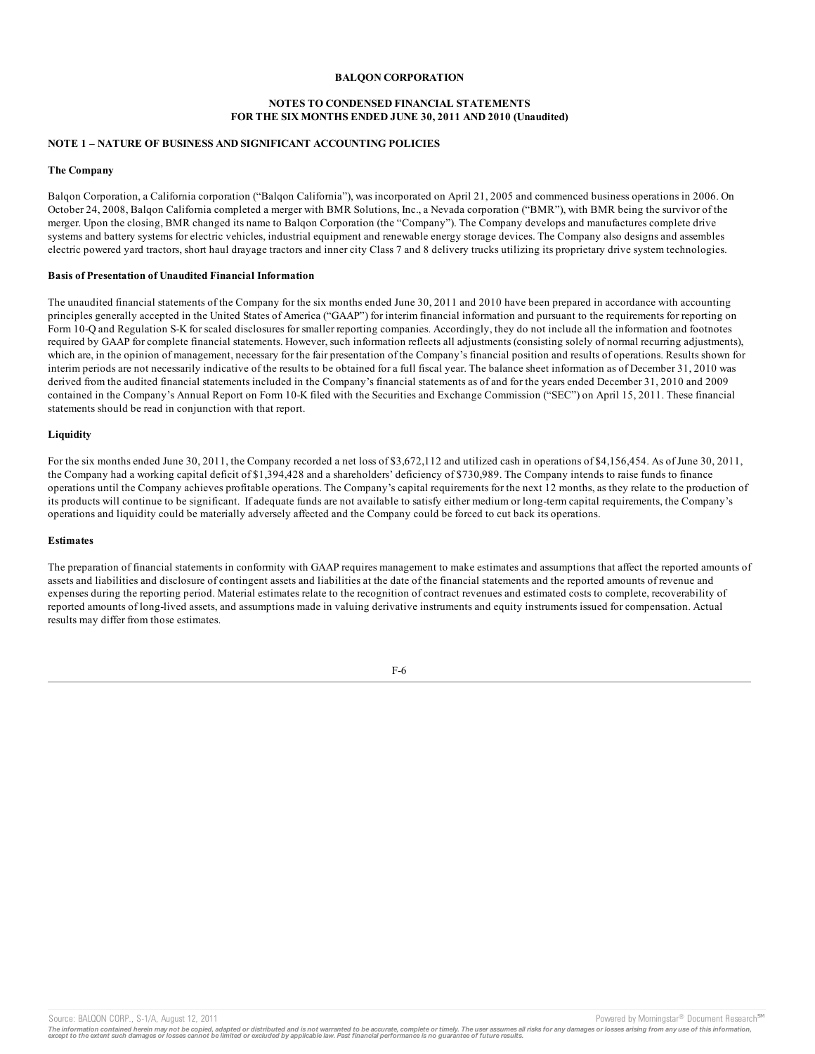#### **NOTES TO CONDENSED FINANCIAL STATEMENTS FOR THE SIX MONTHS ENDED JUNE 30, 2011 AND 2010 (Unaudited)**

#### **NOTE 1 – NATURE OF BUSINESS AND SIGNIFICANT ACCOUNTING POLICIES**

### **The Company**

Balqon Corporation, a California corporation ("Balqon California"), was incorporated on April 21, 2005 and commenced business operations in 2006. On October 24, 2008, Balqon California completed a merger with BMR Solutions, Inc., a Nevada corporation ("BMR"), with BMR being the survivor of the merger. Upon the closing, BMR changed its name to Balqon Corporation (the "Company"). The Company develops and manufactures complete drive systems and battery systems for electric vehicles, industrial equipment and renewable energy storage devices. The Company also designs and assembles electric powered yard tractors, short haul drayage tractors and inner city Class 7 and 8 delivery trucks utilizing its proprietary drive system technologies.

### **Basis of Presentation of Unaudited Financial Information**

The unaudited financial statements of the Company for the six months ended June 30, 2011 and 2010 have been prepared in accordance with accounting principles generally accepted in the United States of America ("GAAP") for interim financial information and pursuant to the requirements for reporting on Form 10-Q and Regulation S-K for scaled disclosures for smaller reporting companies. Accordingly, they do not include all the information and footnotes required by GAAP for complete financial statements. However, such information reflects all adjustments (consisting solely of normal recurring adjustments), which are, in the opinion of management, necessary for the fair presentation of the Company's financial position and results of operations. Results shown for interim periods are not necessarily indicative of the results to be obtained for a full fiscal year. The balance sheet information as of December 31, 2010 was derived from the audited financial statements included in the Company's financial statements as of and for the years ended December 31, 2010 and 2009 contained in the Company's Annual Report on Form 10-K filed with the Securities and Exchange Commission ("SEC") on April 15, 2011. These financial statements should be read in conjunction with that report.

#### **Liquidity**

For the six months ended June 30, 2011, the Company recorded a net loss of \$3,672,112 and utilized cash in operations of \$4,156,454. As of June 30, 2011, the Company had a working capital deficit of \$1,394,428 and a shareholders' deficiency of \$730,989. The Company intends to raise funds to finance operations until the Company achieves profitable operations. The Company's capital requirements for the next 12 months, as they relate to the production of its products will continue to be significant. If adequate funds are not available to satisfy either medium or long-term capital requirements, the Company's operations and liquidity could be materially adversely affected and the Company could be forced to cut back its operations.

#### **Estimates**

The preparation of financial statements in conformity with GAAP requires management to make estimates and assumptions that affect the reported amounts of assets and liabilities and disclosure of contingent assets and liabilities at the date of the financial statements and the reported amounts of revenue and expenses during the reporting period. Material estimates relate to the recognition of contract revenues and estimated costs to complete, recoverability of reported amounts of long-lived assets, and assumptions made in valuing derivative instruments and equity instruments issued for compensation. Actual results may differ from those estimates.

Source: BALQON CORP., S-1/A, August 12, 2011 **Powered by Morningstar® Document Research** Morningstar® Document Research Morningstar® Document Research

The information contained herein may not be copied, adapted or distributed and is not warranted to be accurate, complete or timely. The user assumes all risks for any damages or losses arising from any use of this informat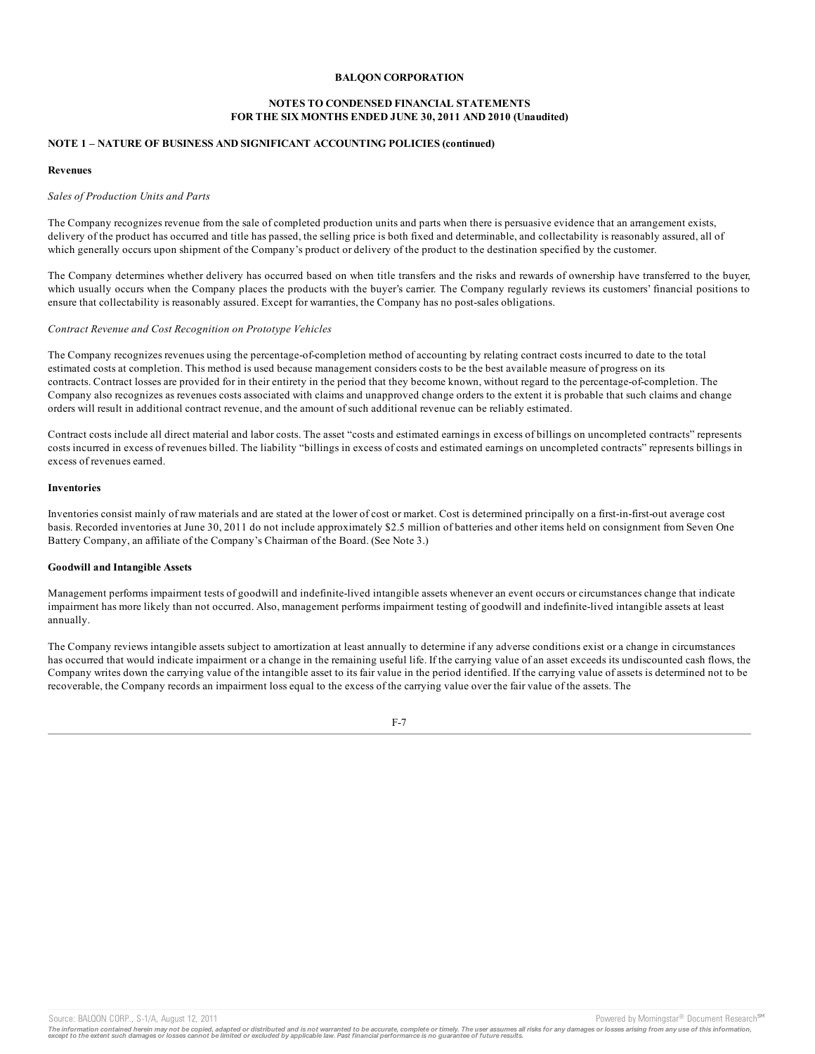#### **NOTES TO CONDENSED FINANCIAL STATEMENTS FOR THE SIX MONTHS ENDED JUNE 30, 2011 AND 2010 (Unaudited)**

### **NOTE 1 – NATURE OF BUSINESS AND SIGNIFICANT ACCOUNTING POLICIES (continued)**

#### **Revenues**

#### *Sales of Production Units and Parts*

The Company recognizes revenue from the sale of completed production units and parts when there is persuasive evidence that an arrangement exists, delivery of the product has occurred and title has passed, the selling price is both fixed and determinable, and collectability is reasonably assured, all of which generally occurs upon shipment of the Company's product or delivery of the product to the destination specified by the customer.

The Company determines whether delivery has occurred based on when title transfers and the risks and rewards of ownership have transferred to the buyer, which usually occurs when the Company places the products with the buyer's carrier. The Company regularly reviews its customers' financial positions to ensure that collectability is reasonably assured. Except for warranties, the Company has no post-sales obligations.

#### *Contract Revenue and Cost Recognition on Prototype Vehicles*

The Company recognizes revenues using the percentage-of-completion method of accounting by relating contract costs incurred to date to the total estimated costs at completion. This method is used because management considers costs to be the best available measure of progress on its contracts. Contract losses are provided for in their entirety in the period that they become known, without regard to the percentage-of-completion. The Company also recognizes as revenues costs associated with claims and unapproved change orders to the extent it is probable that such claims and change orders will result in additional contract revenue, and the amount of such additional revenue can be reliably estimated.

Contract costs include all direct material and labor costs. The asset "costs and estimated earnings in excess of billings on uncompleted contracts" represents costs incurred in excess of revenues billed. The liability "billings in excess of costs and estimated earnings on uncompleted contracts" represents billings in excess of revenues earned.

### **Inventories**

Inventories consist mainly of raw materials and are stated at the lower of cost or market. Cost is determined principally on a first-in-first-out average cost basis. Recorded inventories at June 30, 2011 do not include approximately \$2.5 million of batteries and other items held on consignment from Seven One Battery Company, an affiliate of the Company's Chairman of the Board. (See Note 3.)

#### **Goodwill and Intangible Assets**

Management performs impairment tests of goodwill and indefinite-lived intangible assets whenever an event occurs or circumstances change that indicate impairment has more likely than not occurred. Also, management performs impairment testing of goodwill and indefinite-lived intangible assets at least annually.

The Company reviews intangible assets subject to amortization at least annually to determine if any adverse conditions exist or a change in circumstances has occurred that would indicate impairment or a change in the remaining useful life. If the carrying value of an asset exceeds its undiscounted cash flows, the Company writes down the carrying value of the intangible asset to its fair value in the period identified. If the carrying value of assets is determined not to be recoverable, the Company records an impairment loss equal to the excess of the carrying value over the fair value of the assets. The

Source: BALQON CORP., S-1/A, August 12, 2011 **Powered by Morningstar® Document Research** Morningstar® Document Research

The information contained herein may not be copied, adapted or distributed and is not warranted to be accurate, complete or timely. The user assumes all risks for any damages or losses arising from any use of this informat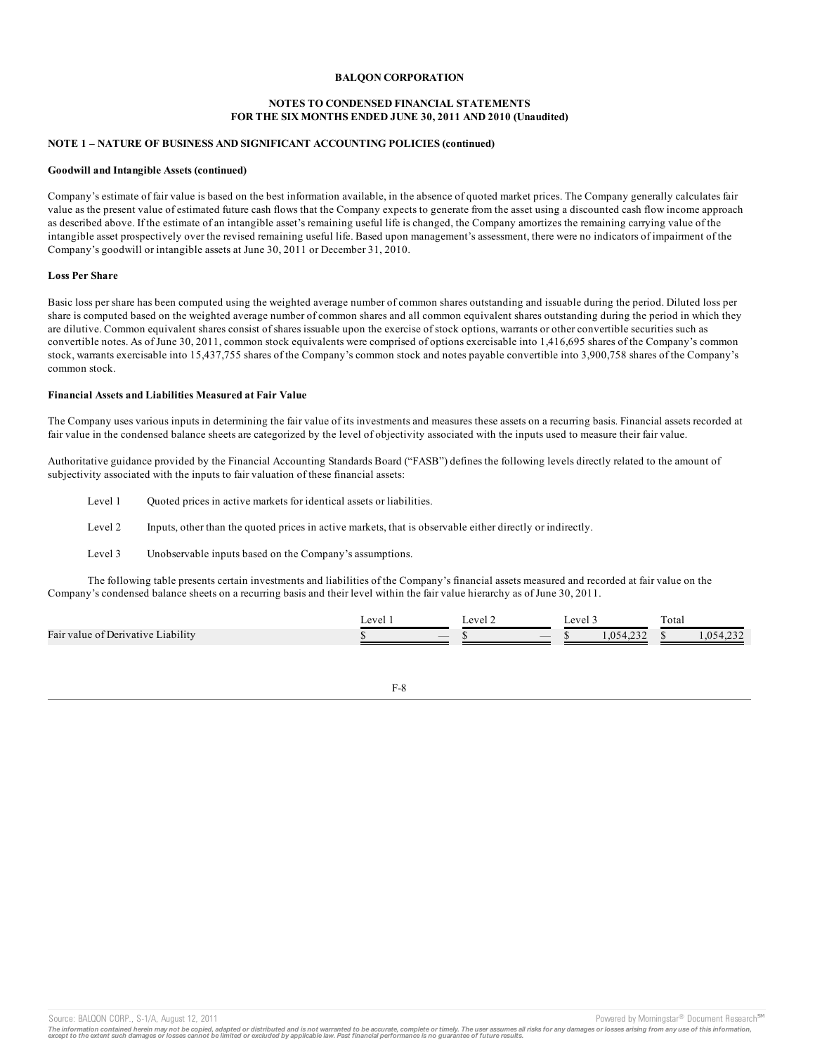#### **NOTES TO CONDENSED FINANCIAL STATEMENTS FOR THE SIX MONTHS ENDED JUNE 30, 2011 AND 2010 (Unaudited)**

### **NOTE 1 – NATURE OF BUSINESS AND SIGNIFICANT ACCOUNTING POLICIES (continued)**

#### **Goodwill and Intangible Assets (continued)**

Company's estimate of fair value is based on the best information available, in the absence of quoted market prices. The Company generally calculates fair value as the present value of estimated future cash flows that the Company expects to generate from the asset using a discounted cash flow income approach as described above. If the estimate of an intangible asset's remaining useful life is changed, the Company amortizes the remaining carrying value of the intangible asset prospectively over the revised remaining useful life. Based upon management's assessment, there were no indicators of impairment of the Company's goodwill or intangible assets at June 30, 2011 or December 31, 2010.

### **Loss Per Share**

Basic loss per share has been computed using the weighted average number of common shares outstanding and issuable during the period. Diluted loss per share is computed based on the weighted average number of common shares and all common equivalent shares outstanding during the period in which they are dilutive. Common equivalent shares consist of shares issuable upon the exercise of stock options, warrants or other convertible securities such as convertible notes. As of June 30, 2011, common stock equivalents were comprised of options exercisable into 1,416,695 shares of the Company's common stock, warrants exercisable into 15,437,755 shares of the Company's common stock and notes payable convertible into 3,900,758 shares of the Company's common stock.

## **Financial Assets and Liabilities Measured at Fair Value**

The Company uses various inputs in determining the fair value of its investments and measures these assets on a recurring basis. Financial assets recorded at fair value in the condensed balance sheets are categorized by the level of objectivity associated with the inputs used to measure their fair value.

Authoritative guidance provided by the Financial Accounting Standards Board ("FASB") defines the following levels directly related to the amount of subjectivity associated with the inputs to fair valuation of these financial assets:

- Level 1 Ouoted prices in active markets for identical assets or liabilities.
- Level 2 Inputs, other than the quoted prices in active markets, that is observable either directly or indirectly.
- Level 3 Unobservable inputs based on the Company's assumptions.

The following table presents certain investments and liabilities of the Company's financial assets measured and recorded at fair value on the Company's condensed balance sheets on a recurring basis and their level within the fair value hierarchy as of June 30, 2011.

|                                                   | AYP | evel 2 | $\Delta I$ | Total                             |
|---------------------------------------------------|-----|--------|------------|-----------------------------------|
| $\cdots$<br>Fair value of Derivative<br>-1ability | $-$ |        |            | $\sim$ $\sim$<br>$-0.54$<br>4.ZJZ |

## F-8

Source: BALQON CORP., S-1/A, August 12, 2011 **Powered by Morningstar® Document Research** <sup>5M</sup>

The information contained herein may not be copied, adapted or distributed and is not warranted to be accurate, complete or timely. The user assumes all risks for any damages or losses arising from any use of this informat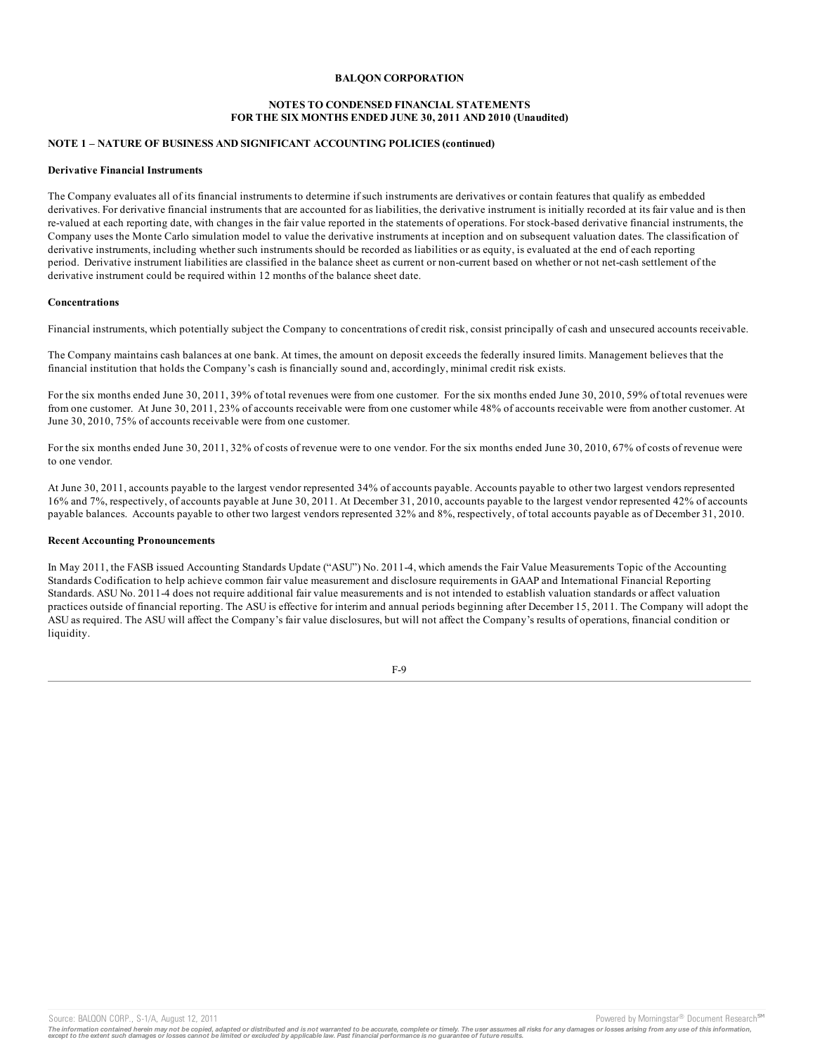### **NOTES TO CONDENSED FINANCIAL STATEMENTS FOR THE SIX MONTHS ENDED JUNE 30, 2011 AND 2010 (Unaudited)**

### **NOTE 1 – NATURE OF BUSINESS AND SIGNIFICANT ACCOUNTING POLICIES (continued)**

### **Derivative Financial Instruments**

The Company evaluates all of its financial instruments to determine if such instruments are derivatives or contain features that qualify as embedded derivatives. For derivative financial instruments that are accounted for as liabilities, the derivative instrument is initially recorded at its fair value and is then re-valued at each reporting date, with changes in the fair value reported in the statements of operations. For stock-based derivative financial instruments, the Company uses the Monte Carlo simulation model to value the derivative instruments at inception and on subsequent valuation dates. The classification of derivative instruments, including whether such instruments should be recorded as liabilities or as equity, is evaluated at the end of each reporting period. Derivative instrument liabilities are classified in the balance sheet as current or non-current based on whether or not net-cash settlement of the derivative instrument could be required within 12 months of the balance sheet date.

#### **Concentrations**

Financial instruments, which potentially subject the Company to concentrations of credit risk, consist principally of cash and unsecured accounts receivable.

The Company maintains cash balances at one bank. At times, the amount on deposit exceeds the federally insured limits. Management believes that the financial institution that holds the Company's cash is financially sound and, accordingly, minimal credit risk exists.

For the six months ended June 30, 2011, 39% of total revenues were from one customer. For the six months ended June 30, 2010, 59% of total revenues were from one customer. At June 30, 2011, 23% of accounts receivable were from one customer while 48% of accounts receivable were from another customer. At June 30, 2010, 75% of accounts receivable were from one customer.

For the six months ended June 30, 2011, 32% of costs of revenue were to one vendor. For the six months ended June 30, 2010, 67% of costs of revenue were to one vendor.

At June 30, 2011, accounts payable to the largest vendor represented 34% of accounts payable. Accounts payable to other two largest vendors represented 16% and 7%, respectively, of accounts payable at June 30, 2011. At December 31, 2010, accounts payable to the largest vendor represented 42% of accounts payable balances. Accounts payable to other two largest vendors represented 32% and 8%, respectively, of total accounts payable as of December 31, 2010.

### **Recent Accounting Pronouncements**

In May 2011, the FASB issued Accounting Standards Update ("ASU") No. 2011-4, which amends the Fair Value Measurements Topic of the Accounting Standards Codification to help achieve common fair value measurement and disclosure requirements in GAAP and International Financial Reporting Standards. ASU No. 2011-4 does not require additional fair value measurements and is not intended to establish valuation standards or affect valuation practices outside of financial reporting. The ASU is effective for interim and annual periods beginning after December 15, 2011. The Company will adopt the ASU as required. The ASU will affect the Company's fair value disclosures, but will not affect the Company's results of operations, financial condition or liquidity.



Source: BALQON CORP., S-1/A, August 12, 2011 **Powered by Morningstar® Document Research** Morningstar® Document Research

The information contained herein may not be copied, adapted or distributed and is not warranted to be accurate, complete or timely. The user assumes all risks for any damages or losses arising from any use of this informat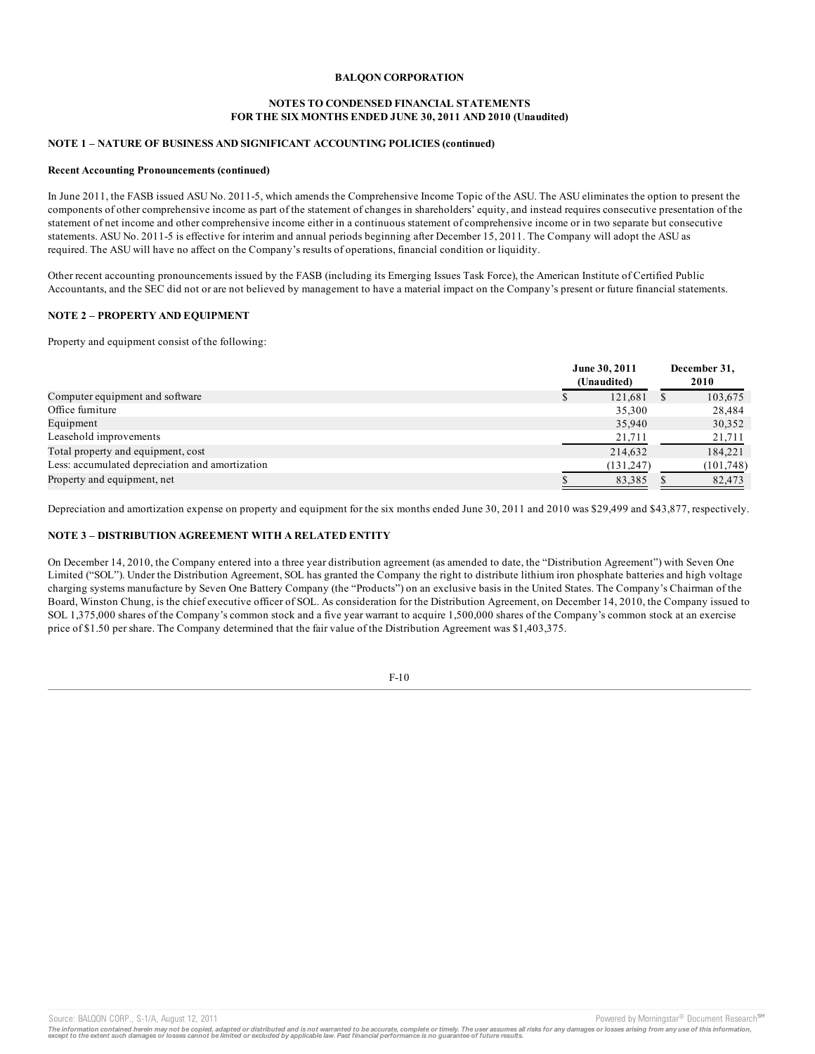#### **NOTES TO CONDENSED FINANCIAL STATEMENTS FOR THE SIX MONTHS ENDED JUNE 30, 2011 AND 2010 (Unaudited)**

### **NOTE 1 – NATURE OF BUSINESS AND SIGNIFICANT ACCOUNTING POLICIES (continued)**

### **Recent Accounting Pronouncements (continued)**

In June 2011, the FASB issued ASU No. 2011-5, which amends the Comprehensive Income Topic of the ASU. The ASU eliminates the option to present the components of other comprehensive income as part of the statement of changes in shareholders' equity, and instead requires consecutive presentation of the statement of net income and other comprehensive income either in a continuous statement of comprehensive income or in two separate but consecutive statements. ASU No. 2011-5 is effective for interim and annual periods beginning after December 15, 2011. The Company will adopt the ASU as required. The ASU will have no affect on the Company's results of operations, financial condition or liquidity.

Other recent accounting pronouncements issued by the FASB (including its Emerging Issues Task Force), the American Institute of Certified Public Accountants, and the SEC did not or are not believed by management to have a material impact on the Company's present or future financial statements.

### **NOTE 2 – PROPERTY AND EQUIPMENT**

Property and equipment consist of the following:

|                                                 | June 30, 2011<br>(Unaudited) |            | December 31,<br>2010 |           |  |
|-------------------------------------------------|------------------------------|------------|----------------------|-----------|--|
| Computer equipment and software                 |                              | 121,681    |                      | 103,675   |  |
| Office furniture                                |                              | 35,300     |                      | 28,484    |  |
| Equipment                                       |                              | 35,940     |                      | 30,352    |  |
| Leasehold improvements                          |                              | 21,711     |                      | 21,711    |  |
| Total property and equipment, cost              |                              | 214,632    |                      | 184.221   |  |
| Less: accumulated depreciation and amortization |                              | (131, 247) |                      | (101,748) |  |
| Property and equipment, net                     |                              | 83,385     |                      | 82,473    |  |

Depreciation and amortization expense on property and equipment for the six months ended June 30, 2011 and 2010 was \$29,499 and \$43,877, respectively.

## **NOTE 3 – DISTRIBUTION AGREEMENT WITH A RELATED ENTITY**

On December 14, 2010, the Company entered into a three year distribution agreement (as amended to date, the "Distribution Agreement") with Seven One Limited ("SOL"). Under the Distribution Agreement, SOL has granted the Company the right to distribute lithium iron phosphate batteries and high voltage charging systems manufacture by Seven One Battery Company (the "Products") on an exclusive basis in the United States. The Company's Chairman of the Board, Winston Chung, is the chief executive officer of SOL. As consideration for the Distribution Agreement, on December 14, 2010, the Company issued to SOL 1,375,000 shares of the Company's common stock and a five year warrant to acquire 1,500,000 shares of the Company's common stock at an exercise price of \$1.50 per share. The Company determined that the fair value of the Distribution Agreement was \$1,403,375.

$$
F-10
$$

Source: BALQON CORP., S-1/A, August 12, 2011 **Powered by Morningstar® Document Research** <sup>5M</sup>

The information contained herein may not be copied, adapted or distributed and is not warranted to be accurate, complete or timely. The user assumes all risks for any damages or losses arising from any use of this informat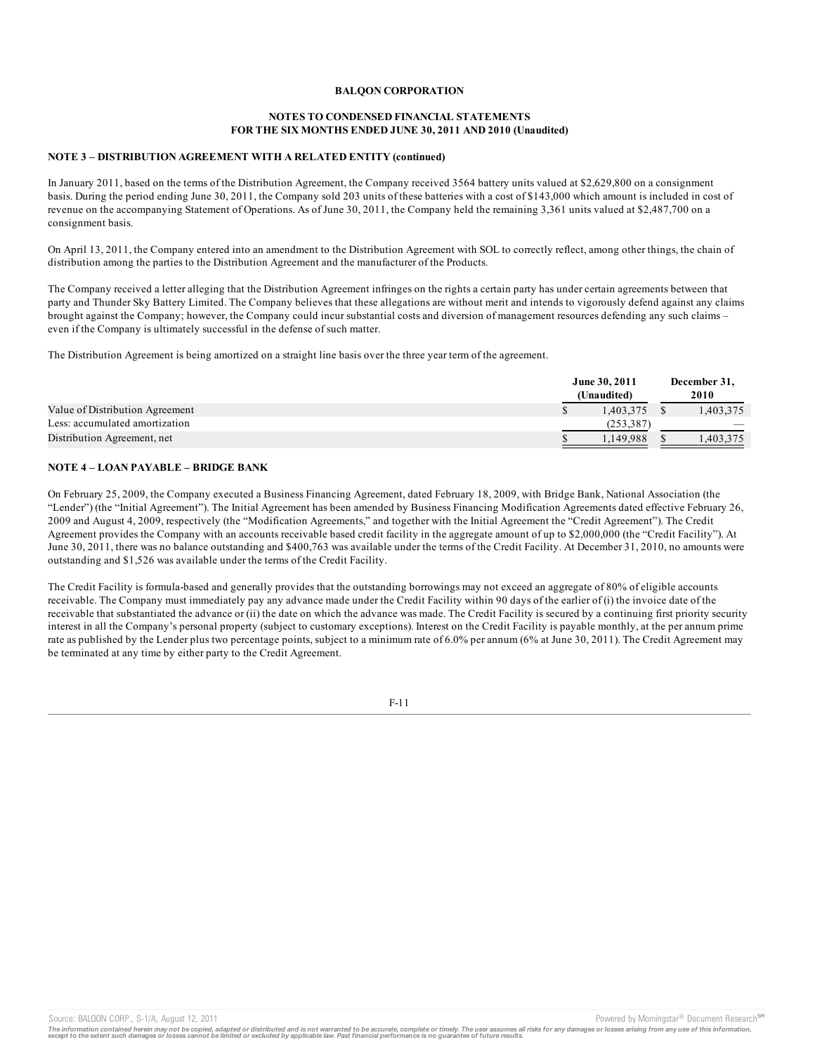### **NOTES TO CONDENSED FINANCIAL STATEMENTS FOR THE SIX MONTHS ENDED JUNE 30, 2011 AND 2010 (Unaudited)**

#### **NOTE 3 – DISTRIBUTION AGREEMENT WITH A RELATED ENTITY (continued)**

In January 2011, based on the terms of the Distribution Agreement, the Company received 3564 battery units valued at \$2,629,800 on a consignment basis. During the period ending June 30, 2011, the Company sold 203 units of these batteries with a cost of \$143,000 which amount is included in cost of revenue on the accompanying Statement of Operations. As of June 30, 2011, the Company held the remaining 3,361 units valued at \$2,487,700 on a consignment basis.

On April 13, 2011, the Company entered into an amendment to the Distribution Agreement with SOL to correctly reflect, among other things, the chain of distribution among the parties to the Distribution Agreement and the manufacturer of the Products.

The Company received a letter alleging that the Distribution Agreement infringes on the rights a certain party has under certain agreements between that party and Thunder Sky Battery Limited. The Company believes that these allegations are without merit and intends to vigorously defend against any claims brought against the Company; however, the Company could incur substantial costs and diversion of management resources defending any such claims – even if the Company is ultimately successful in the defense of such matter.

The Distribution Agreement is being amortized on a straight line basis over the three year term of the agreement.

|                                 | June 30, 2011<br>(Unaudited) |  | December 31,<br>2010 |  |
|---------------------------------|------------------------------|--|----------------------|--|
| Value of Distribution Agreement | 1.403.375                    |  | 1,403,375            |  |
| Less: accumulated amortization  | (253, 387)                   |  |                      |  |
| Distribution Agreement, net     | 1.149.988                    |  | 1,403,375            |  |

## **NOTE 4 – LOAN PAYABLE – BRIDGE BANK**

On February 25, 2009, the Company executed a Business Financing Agreement, dated February 18, 2009, with Bridge Bank, National Association (the "Lender") (the "Initial Agreement"). The Initial Agreement has been amended by Business Financing Modification Agreements dated effective February 26, 2009 and August 4, 2009, respectively (the "Modification Agreements," and together with the Initial Agreement the "Credit Agreement"). The Credit Agreement provides the Company with an accounts receivable based credit facility in the aggregate amount of up to \$2,000,000 (the "Credit Facility"). At June 30, 2011, there was no balance outstanding and \$400,763 was available under the terms of the Credit Facility. At December 31, 2010, no amounts were outstanding and \$1,526 was available under the terms of the Credit Facility.

The Credit Facility is formula-based and generally provides that the outstanding borrowings may not exceed an aggregate of 80% of eligible accounts receivable. The Company must immediately pay any advance made under the Credit Facility within 90 days of the earlier of (i) the invoice date of the receivable that substantiated the advance or (ii) the date on which the advance was made. The Credit Facility is secured by a continuing first priority security interest in all the Company's personal property (subject to customary exceptions). Interest on the Credit Facility is payable monthly, at the per annum prime rate as published by the Lender plus two percentage points, subject to a minimum rate of 6.0% per annum (6% at June 30, 2011). The Credit Agreement may be terminated at any time by either party to the Credit Agreement.

F-11

Source: BALQON CORP., S-1/A, August 12, 2011 **Powered by Morningstar® Document Research** Morningstar® Document Research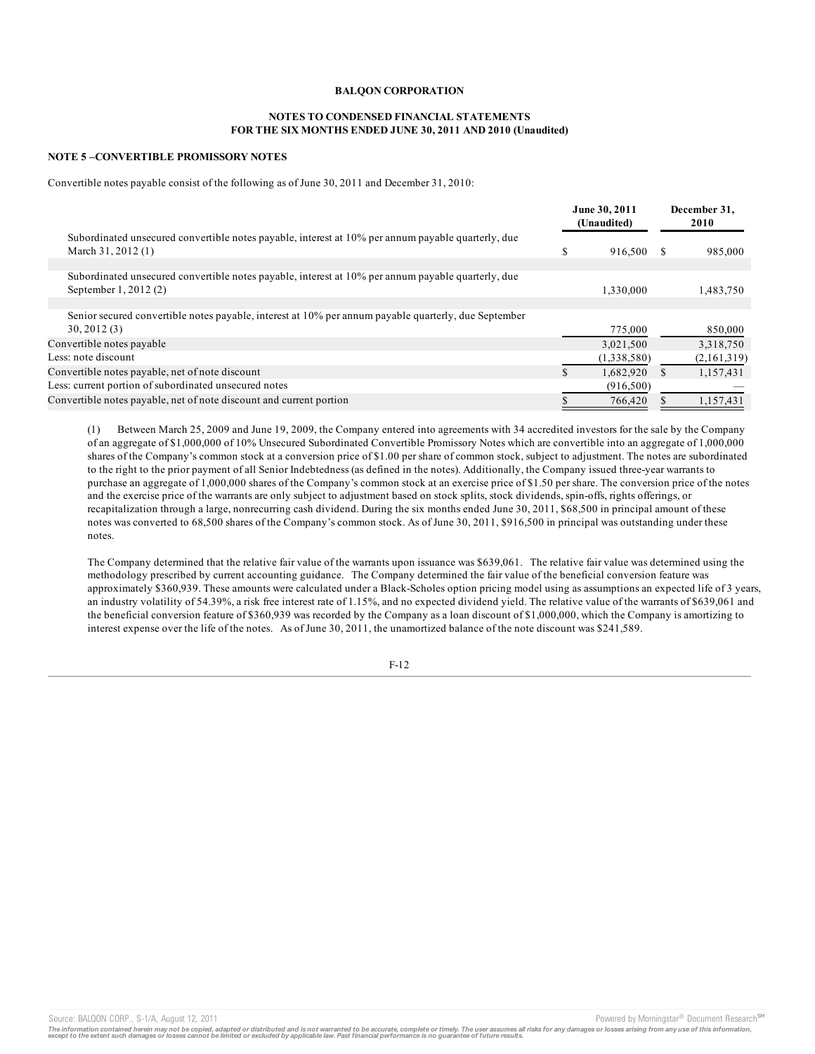## **NOTES TO CONDENSED FINANCIAL STATEMENTS FOR THE SIX MONTHS ENDED JUNE 30, 2011 AND 2010 (Unaudited)**

### **NOTE 5 –CONVERTIBLE PROMISSORY NOTES**

Convertible notes payable consist of the following as of June 30, 2011 and December 31, 2010:

|                                                                                                                             |    | June 30, 2011<br>(Unaudited) | December 31,<br>2010 |  |  |
|-----------------------------------------------------------------------------------------------------------------------------|----|------------------------------|----------------------|--|--|
| Subordinated unsecured convertible notes payable, interest at 10% per annum payable quarterly, due<br>March 31, 2012 (1)    | \$ | 916,500                      | 985,000              |  |  |
|                                                                                                                             |    |                              |                      |  |  |
| Subordinated unsecured convertible notes payable, interest at 10% per annum payable quarterly, due<br>September 1, 2012 (2) |    | 1,330,000                    | 483,750              |  |  |
|                                                                                                                             |    |                              |                      |  |  |
| Senior secured convertible notes payable, interest at 10% per annum payable quarterly, due September                        |    |                              |                      |  |  |
| 30, 2012(3)                                                                                                                 |    | 775,000                      | 850,000              |  |  |
| Convertible notes payable                                                                                                   |    | 3,021,500                    | 3,318,750            |  |  |
| Less: note discount                                                                                                         |    | (1,338,580)                  | (2,161,319)          |  |  |
| Convertible notes payable, net of note discount                                                                             |    | 1,682,920                    | 1,157,431            |  |  |
| Less: current portion of subordinated unsecured notes                                                                       |    | (916,500)                    |                      |  |  |
| Convertible notes payable, net of note discount and current portion                                                         |    | 766,420                      | 1.157.431            |  |  |
|                                                                                                                             |    |                              |                      |  |  |

(1) Between March 25, 2009 and June 19, 2009, the Company entered into agreements with 34 accredited investors for the sale by the Company of an aggregate of \$1,000,000 of 10% Unsecured Subordinated Convertible Promissory Notes which are convertible into an aggregate of 1,000,000 shares of the Company's common stock at a conversion price of \$1.00 per share of common stock, subject to adjustment. The notes are subordinated to the right to the prior payment of all Senior Indebtedness (as defined in the notes). Additionally, the Company issued three-year warrants to purchase an aggregate of 1,000,000 shares of the Company's common stock at an exercise price of \$1.50 per share. The conversion price of the notes and the exercise price of the warrants are only subject to adjustment based on stock splits, stock dividends, spin-offs, rights offerings, or recapitalization through a large, nonrecurring cash dividend. During the six months ended June 30, 2011, \$68,500 in principal amount of these notes was converted to 68,500 shares of the Company's common stock. As of June 30, 2011, \$916,500 in principal was outstanding under these notes.

The Company determined that the relative fair value of the warrants upon issuance was \$639,061. The relative fair value was determined using the methodology prescribed by current accounting guidance. The Company determined the fair value of the beneficial conversion feature was approximately \$360,939. These amounts were calculated under a Black-Scholes option pricing model using as assumptions an expected life of 3 years, an industry volatility of 54.39%, a risk free interest rate of 1.15%, and no expected dividend yield. The relative value of the warrants of \$639,061 and the beneficial conversion feature of \$360,939 was recorded by the Company as a loan discount of \$1,000,000, which the Company is amortizing to interest expense over the life of the notes. As of June 30, 2011, the unamortized balance of the note discount was \$241,589.

F-12

Source: BALQON CORP., S-1/A, August 12, 2011 **Powered by Morningstar® Document Research** in Powered by Morningstar® Document Research in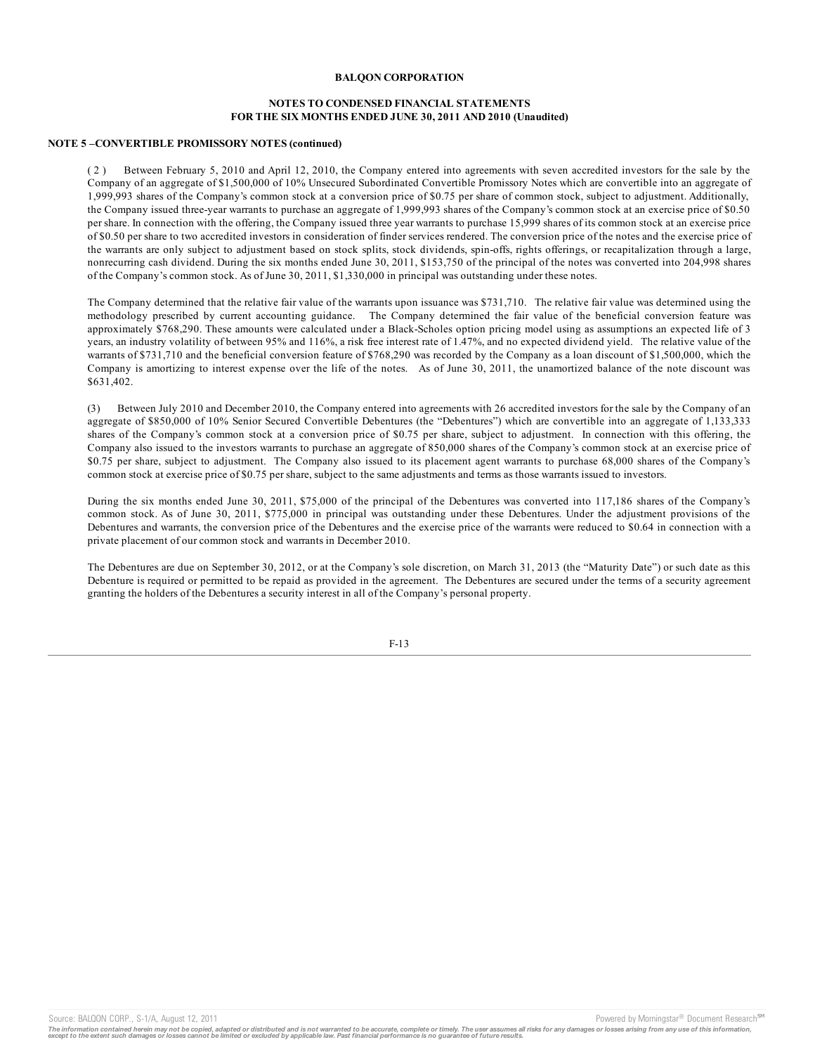#### **NOTES TO CONDENSED FINANCIAL STATEMENTS FOR THE SIX MONTHS ENDED JUNE 30, 2011 AND 2010 (Unaudited)**

### **NOTE 5 –CONVERTIBLE PROMISSORY NOTES (continued)**

( 2 ) Between February 5, 2010 and April 12, 2010, the Company entered into agreements with seven accredited investors for the sale by the Company of an aggregate of \$1,500,000 of 10% Unsecured Subordinated Convertible Promissory Notes which are convertible into an aggregate of 1,999,993 shares of the Company's common stock at a conversion price of \$0.75 per share of common stock, subject to adjustment. Additionally, the Company issued three-year warrants to purchase an aggregate of 1,999,993 shares of the Company's common stock at an exercise price of \$0.50 per share. In connection with the offering, the Company issued three year warrants to purchase 15,999 shares of its common stock at an exercise price of \$0.50 per share to two accredited investors in consideration of finder services rendered. The conversion price of the notes and the exercise price of the warrants are only subject to adjustment based on stock splits, stock dividends, spin-offs, rights offerings, or recapitalization through a large, nonrecurring cash dividend. During the six months ended June 30, 2011, \$153,750 of the principal of the notes was converted into 204,998 shares of the Company's common stock. As of June 30, 2011, \$1,330,000 in principal was outstanding under these notes.

The Company determined that the relative fair value of the warrants upon issuance was \$731,710. The relative fair value was determined using the methodology prescribed by current accounting guidance. The Company determined the fair value of the beneficial conversion feature was approximately \$768,290. These amounts were calculated under a Black-Scholes option pricing model using as assumptions an expected life of 3 years, an industry volatility of between 95% and 116%, a risk free interest rate of 1.47%, and no expected dividend yield. The relative value of the warrants of \$731,710 and the beneficial conversion feature of \$768,290 was recorded by the Company as a loan discount of \$1,500,000, which the Company is amortizing to interest expense over the life of the notes. As of June 30, 2011, the unamortized balance of the note discount was \$631,402.

(3) Between July 2010 and December 2010, the Company entered into agreements with 26 accredited investors for the sale by the Company of an aggregate of \$850,000 of 10% Senior Secured Convertible Debentures (the "Debentures") which are convertible into an aggregate of 1,133,333 shares of the Company's common stock at a conversion price of \$0.75 per share, subject to adjustment. In connection with this offering, the Company also issued to the investors warrants to purchase an aggregate of 850,000 shares of the Company's common stock at an exercise price of \$0.75 per share, subject to adjustment. The Company also issued to its placement agent warrants to purchase 68,000 shares of the Company's common stock at exercise price of \$0.75 per share, subject to the same adjustments and terms as those warrants issued to investors.

During the six months ended June 30, 2011, \$75,000 of the principal of the Debentures was converted into 117,186 shares of the Company's common stock. As of June 30, 2011, \$775,000 in principal was outstanding under these Debentures. Under the adjustment provisions of the Debentures and warrants, the conversion price of the Debentures and the exercise price of the warrants were reduced to \$0.64 in connection with a private placement of our common stock and warrants in December 2010.

The Debentures are due on September 30, 2012, or at the Company's sole discretion, on March 31, 2013 (the "Maturity Date") or such date as this Debenture is required or permitted to be repaid as provided in the agreement. The Debentures are secured under the terms of a security agreement granting the holders of the Debentures a security interest in all of the Company's personal property.

F-13

The information contained herein may not be copied, adapted or distributed and is not warranted to be accurate, complete or timely. The user assumes all risks for any damages or losses arising from any use of this informat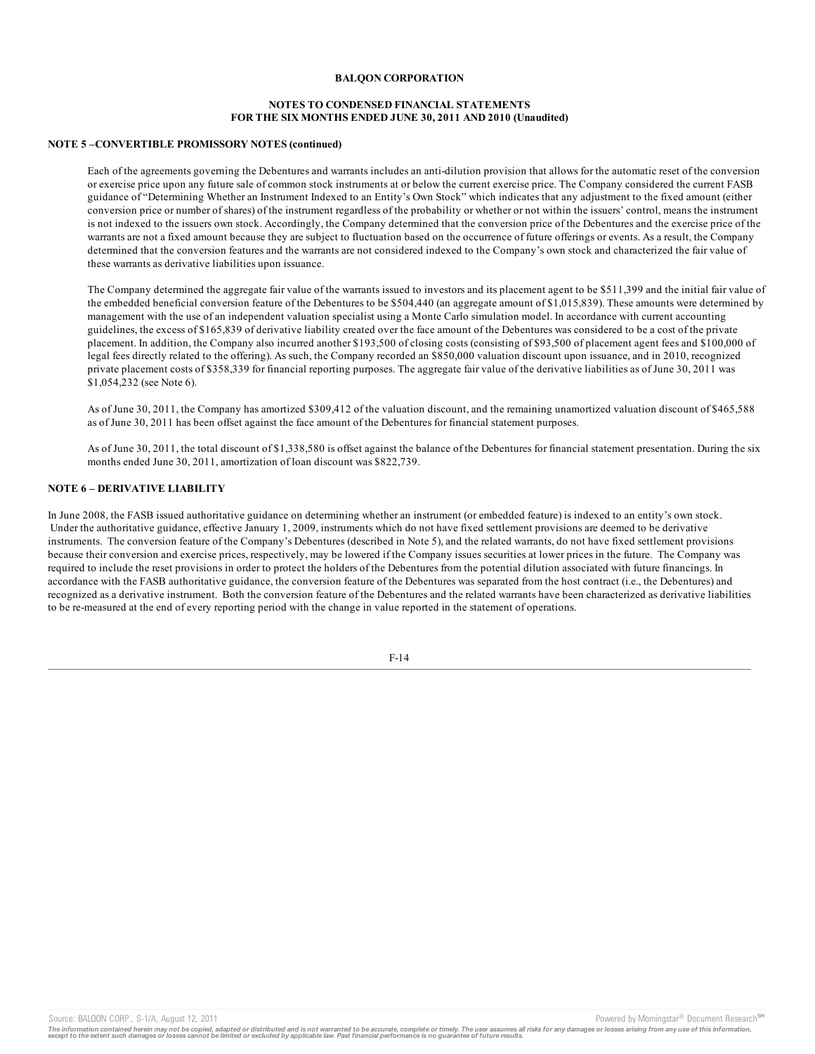### **NOTES TO CONDENSED FINANCIAL STATEMENTS FOR THE SIX MONTHS ENDED JUNE 30, 2011 AND 2010 (Unaudited)**

#### **NOTE 5 –CONVERTIBLE PROMISSORY NOTES (continued)**

Each of the agreements governing the Debentures and warrants includes an anti-dilution provision that allows for the automatic reset of the conversion or exercise price upon any future sale of common stock instruments at or below the current exercise price. The Company considered the current FASB guidance of "Determining Whether an Instrument Indexed to an Entity's Own Stock" which indicates that any adjustment to the fixed amount (either conversion price or number of shares) of the instrument regardless of the probability or whether or not within the issuers' control, means the instrument is not indexed to the issuers own stock. Accordingly, the Company determined that the conversion price of the Debentures and the exercise price of the warrants are not a fixed amount because they are subject to fluctuation based on the occurrence of future offerings or events. As a result, the Company determined that the conversion features and the warrants are not considered indexed to the Company's own stock and characterized the fair value of these warrants as derivative liabilities upon issuance.

The Company determined the aggregate fair value of the warrants issued to investors and its placement agent to be \$511,399 and the initial fair value of the embedded beneficial conversion feature of the Debentures to be \$504,440 (an aggregate amount of \$1,015,839). These amounts were determined by management with the use of an independent valuation specialist using a Monte Carlo simulation model. In accordance with current accounting guidelines, the excess of \$165,839 of derivative liability created over the face amount of the Debentures was considered to be a cost of the private placement. In addition, the Company also incurred another \$193,500 of closing costs (consisting of \$93,500 of placement agent fees and \$100,000 of legal fees directly related to the offering). As such, the Company recorded an \$850,000 valuation discount upon issuance, and in 2010, recognized private placement costs of \$358,339 for financial reporting purposes. The aggregate fair value of the derivative liabilities as of June 30, 2011 was \$1,054,232 (see Note 6).

As of June 30, 2011, the Company has amortized \$309,412 of the valuation discount, and the remaining unamortized valuation discount of \$465,588 as of June 30, 2011 has been offset against the face amount of the Debentures for financial statement purposes.

As of June 30, 2011, the total discount of \$1,338,580 is offset against the balance of the Debentures for financial statement presentation. During the six months ended June 30, 2011, amortization of loan discount was \$822,739.

### **NOTE 6 – DERIVATIVE LIABILITY**

In June 2008, the FASB issued authoritative guidance on determining whether an instrument (or embedded feature) is indexed to an entity's own stock. Under the authoritative guidance, effective January 1, 2009, instruments which do not have fixed settlement provisions are deemed to be derivative instruments. The conversion feature of the Company's Debentures (described in Note 5), and the related warrants, do not have fixed settlement provisions because their conversion and exercise prices, respectively, may be lowered if the Company issues securities at lower prices in the future. The Company was required to include the reset provisions in order to protect the holders of the Debentures from the potential dilution associated with future financings. In accordance with the FASB authoritative guidance, the conversion feature of the Debentures was separated from the host contract (i.e., the Debentures) and recognized as a derivative instrument. Both the conversion feature of the Debentures and the related warrants have been characterized as derivative liabilities to be re-measured at the end of every reporting period with the change in value reported in the statement of operations.

F-14

Source: BALQON CORP., S-1/A, August 12, 2011 **Powered by Morningstar® Document Research** <sup>5M</sup>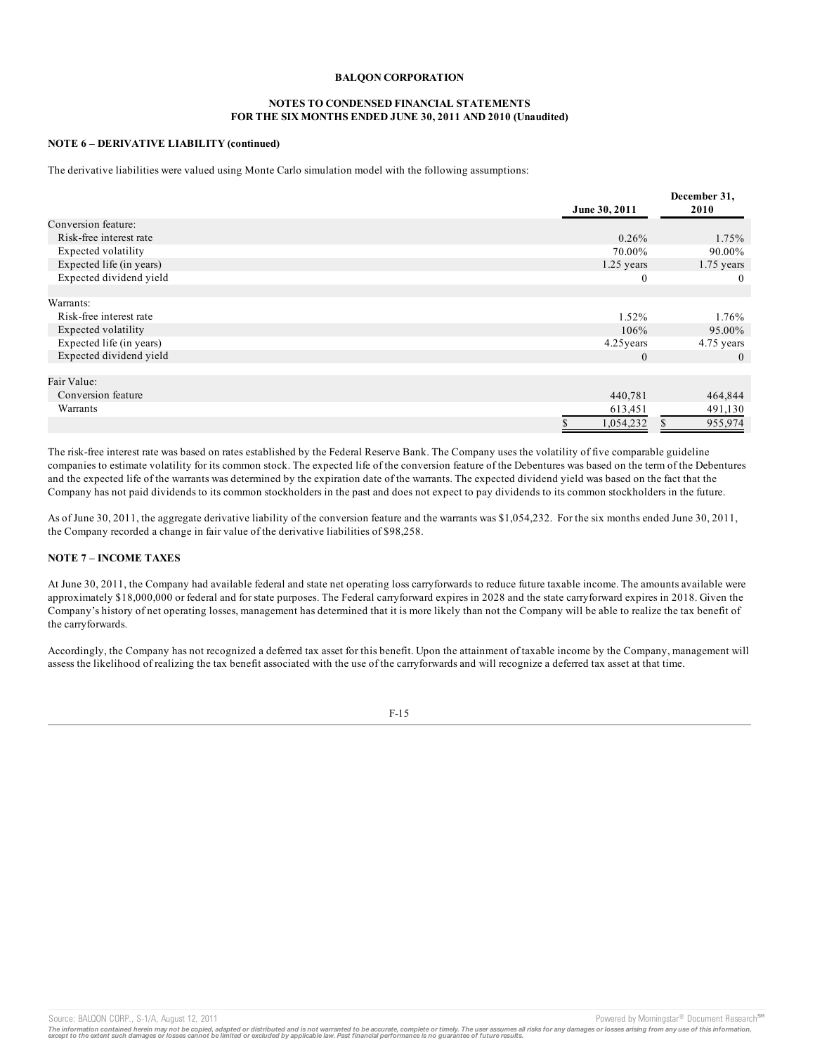#### **NOTES TO CONDENSED FINANCIAL STATEMENTS FOR THE SIX MONTHS ENDED JUNE 30, 2011 AND 2010 (Unaudited)**

# **NOTE 6 – DERIVATIVE LIABILITY (continued)**

The derivative liabilities were valued using Monte Carlo simulation model with the following assumptions:

|                          |                | December 31, |
|--------------------------|----------------|--------------|
|                          | June 30, 2011  | 2010         |
| Conversion feature:      |                |              |
| Risk-free interest rate  | 0.26%          | 1.75%        |
| Expected volatility      | 70.00%         | 90.00%       |
| Expected life (in years) | $1.25$ years   | $1.75$ years |
| Expected dividend yield  | $\theta$       | $\Omega$     |
| Warrants:                |                |              |
| Risk-free interest rate  | 1.52%          | 1.76%        |
| Expected volatility      | 106%           | 95.00%       |
| Expected life (in years) | 4.25 years     | 4.75 years   |
| Expected dividend yield  | $\overline{0}$ | $\Omega$     |
| Fair Value:              |                |              |
| Conversion feature       | 440,781        | 464,844      |
| Warrants                 | 613,451        | 491,130      |
|                          | 1,054,232      | 955,974      |

The risk-free interest rate was based on rates established by the Federal Reserve Bank. The Company uses the volatility of five comparable guideline companies to estimate volatility for its common stock. The expected life of the conversion feature of the Debentures was based on the term of the Debentures and the expected life of the warrants was determined by the expiration date of the warrants. The expected dividend yield was based on the fact that the Company has not paid dividends to its common stockholders in the past and does not expect to pay dividends to its common stockholders in the future.

As of June 30, 2011, the aggregate derivative liability of the conversion feature and the warrants was \$1,054,232. For the six months ended June 30, 2011, the Company recorded a change in fair value of the derivative liabilities of \$98,258.

## **NOTE 7 – INCOME TAXES**

At June 30, 2011, the Company had available federal and state net operating loss carryforwards to reduce future taxable income. The amounts available were approximately \$18,000,000 or federal and for state purposes. The Federal carryforward expires in 2028 and the state carryforward expires in 2018. Given the Company's history of net operating losses, management has determined that it is more likely than not the Company will be able to realize the tax benefit of the carryforwards.

Accordingly, the Company has not recognized a deferred tax asset for this benefit. Upon the attainment of taxable income by the Company, management will assess the likelihood of realizing the tax benefit associated with the use of the carryforwards and will recognize a deferred tax asset at that time.

F-15

Source: BALQON CORP., S-1/A, August 12, 2011 **Powered by Morningstar® Document Research** in Powered by Morningstar® Document Research in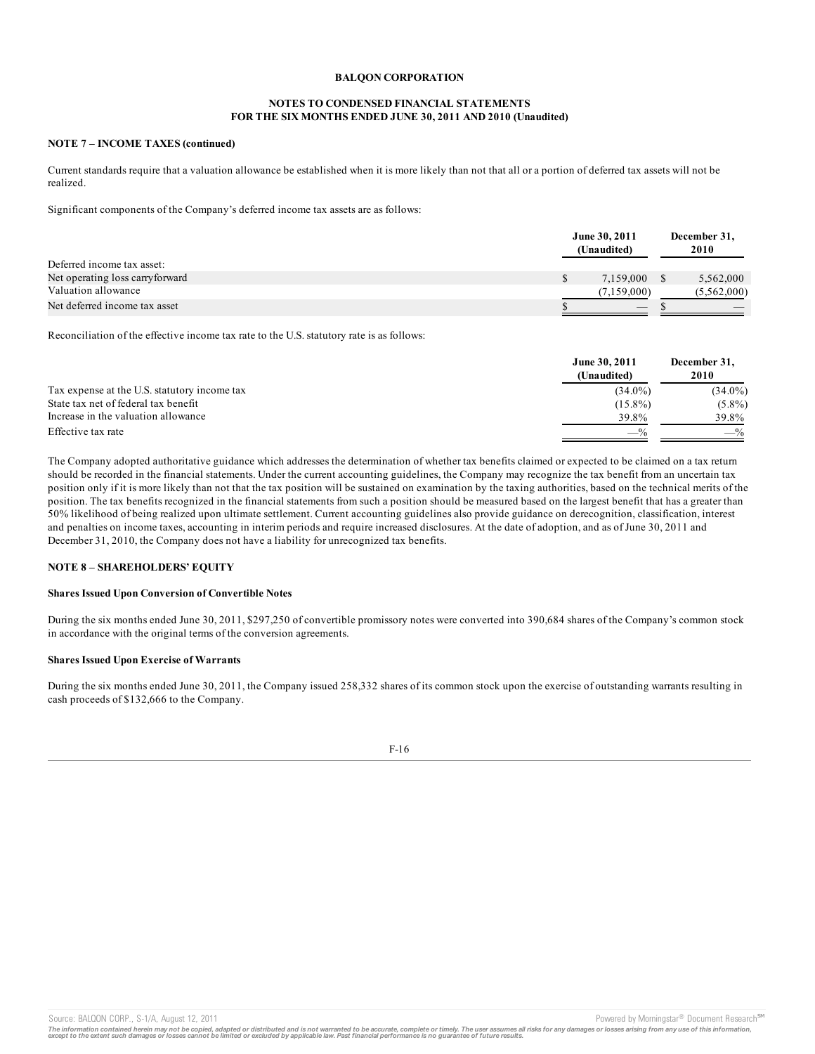#### **NOTES TO CONDENSED FINANCIAL STATEMENTS FOR THE SIX MONTHS ENDED JUNE 30, 2011 AND 2010 (Unaudited)**

### **NOTE 7 – INCOME TAXES (continued)**

Current standards require that a valuation allowance be established when it is more likely than not that all or a portion of deferred tax assets will not be realized.

Significant components of the Company's deferred income tax assets are as follows:

|                                  | June 30, 2011<br>(Unaudited) | December 31,<br>2010 |             |  |
|----------------------------------|------------------------------|----------------------|-------------|--|
| Deferred income tax asset:       |                              |                      |             |  |
| Net operating loss carry forward | 7.159.000                    |                      | 5,562,000   |  |
| Valuation allowance              | (7.159.000)                  |                      | (5,562,000) |  |
| Net deferred income tax asset    |                              |                      |             |  |

Reconciliation of the effective income tax rate to the U.S. statutory rate is as follows:

|                                              | June 30, 2011<br>(Unaudited) | December 31,<br>2010 |
|----------------------------------------------|------------------------------|----------------------|
| Tax expense at the U.S. statutory income tax | $(34.0\%)$                   | $(34.0\%)$           |
| State tax net of federal tax benefit         | $(15.8\%)$                   | $(5.8\%)$            |
| Increase in the valuation allowance          | 39.8%                        | 39.8%                |
| Effective tax rate                           | $-^{0}$                      | $-$ %                |

The Company adopted authoritative guidance which addresses the determination of whether tax benefits claimed or expected to be claimed on a tax return should be recorded in the financial statements. Under the current accounting guidelines, the Company may recognize the tax benefit from an uncertain tax position only if it is more likely than not that the tax position will be sustained on examination by the taxing authorities, based on the technical merits of the position. The tax benefits recognized in the financial statements from such a position should be measured based on the largest benefit that has a greater than 50% likelihood of being realized upon ultimate settlement. Current accounting guidelines also provide guidance on derecognition, classification, interest and penalties on income taxes, accounting in interim periods and require increased disclosures. At the date of adoption, and as of June 30, 2011 and December 31, 2010, the Company does not have a liability for unrecognized tax benefits.

# **NOTE 8 – SHAREHOLDERS' EQUITY**

## **Shares Issued Upon Conversion of Convertible Notes**

During the six months ended June 30, 2011, \$297,250 of convertible promissory notes were converted into 390,684 shares of the Company's common stock in accordance with the original terms of the conversion agreements.

## **Shares Issued Upon Exercise of Warrants**

During the six months ended June 30, 2011, the Company issued 258,332 shares of its common stock upon the exercise of outstanding warrants resulting in cash proceeds of \$132,666 to the Company.



Source: BALQON CORP., S-1/A, August 12, 2011 **Powered by Morningstar® Document Research** in Powered by Morningstar® Document Research in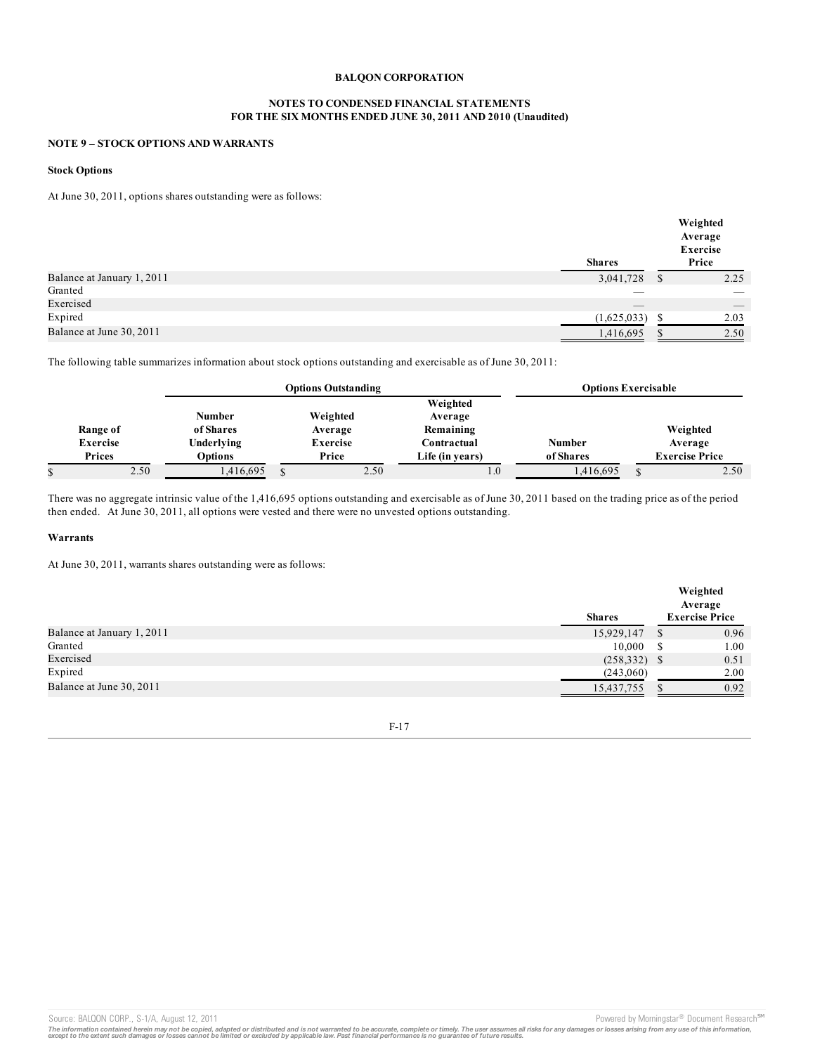## **NOTES TO CONDENSED FINANCIAL STATEMENTS FOR THE SIX MONTHS ENDED JUNE 30, 2011 AND 2010 (Unaudited)**

### **NOTE 9 – STOCK OPTIONS AND WARRANTS**

### **Stock Options**

At June 30, 2011, options shares outstanding were as follows:

|                            | <b>Shares</b> |   | Weighted<br>Average<br>Exercise<br>Price |
|----------------------------|---------------|---|------------------------------------------|
| Balance at January 1, 2011 | 3,041,728     | S | 2.25                                     |
| Granted                    | __            |   |                                          |
| Exercised                  |               |   | $\hspace{0.1mm}-\hspace{0.1mm}$          |
| Expired                    | (1,625,033)   |   | 2.03                                     |
| Balance at June 30, 2011   | 1,416,695     |   | 2.50                                     |

The following table summarizes information about stock options outstanding and exercisable as of June 30, 2011:

|               |            |             | <b>Options Outstanding</b> |                 | <b>Options Exercisable</b> |  |                       |  |
|---------------|------------|-------------|----------------------------|-----------------|----------------------------|--|-----------------------|--|
|               |            |             |                            | Weighted        |                            |  |                       |  |
|               | Number     |             | Weighted                   | Average         |                            |  |                       |  |
| Range of      | of Shares  |             | Average                    | Remaining       |                            |  | Weighted              |  |
| Exercise      | Underlying |             | Exercise                   | Contractual     | <b>Number</b>              |  | Average               |  |
| <b>Prices</b> | Options    | Price       |                            | Life (in years) | of Shares                  |  | <b>Exercise Price</b> |  |
| 2.50          | 1,416,695  | $\triangle$ | 2.50                       | 1.0             | 1,416,695                  |  | 2.50                  |  |

There was no aggregate intrinsic value of the 1,416,695 options outstanding and exercisable as of June 30, 2011 based on the trading price as of the period then ended. At June 30, 2011, all options were vested and there were no unvested options outstanding.

### **Warrants**

At June 30, 2011, warrants shares outstanding were as follows:

|                            |               | Weighted<br>Average   |
|----------------------------|---------------|-----------------------|
|                            | <b>Shares</b> | <b>Exercise Price</b> |
| Balance at January 1, 2011 | 15,929,147    | 0.96                  |
| Granted                    | 10,000        | 1.00                  |
| Exercised                  | (258, 332)    | 0.51<br><sup>S</sup>  |
| Expired                    | (243,060)     | 2.00                  |
| Balance at June 30, 2011   | 15,437,755    | 0.92                  |

F-17

Source: BALQON CORP., S-1/A, August 12, 2011 **Powered by Morningstar® Document Research** in Powered by Morningstar® Document Research in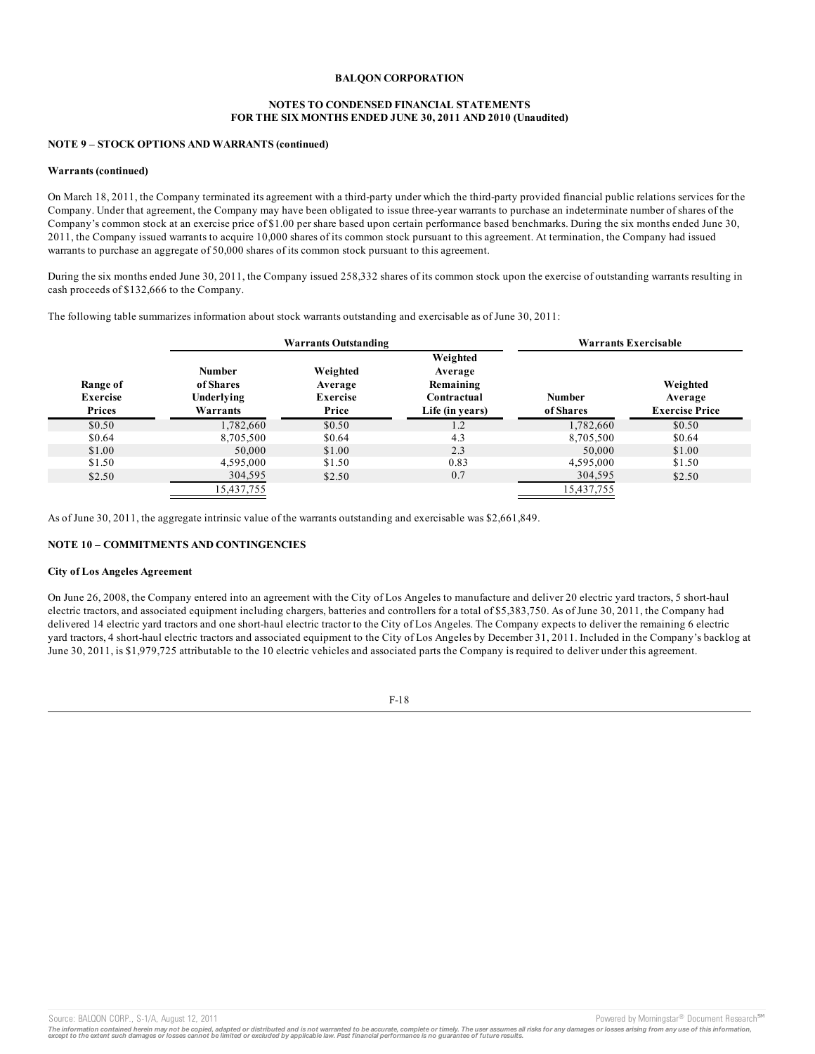### **NOTES TO CONDENSED FINANCIAL STATEMENTS FOR THE SIX MONTHS ENDED JUNE 30, 2011 AND 2010 (Unaudited)**

#### **NOTE 9 – STOCK OPTIONS AND WARRANTS (continued)**

#### **Warrants (continued)**

On March 18, 2011, the Company terminated its agreement with a third-party under which the third-party provided financial public relations services for the Company. Under that agreement, the Company may have been obligated to issue three-year warrants to purchase an indeterminate number of shares of the Company's common stock at an exercise price of \$1.00 per share based upon certain performance based benchmarks. During the six months ended June 30, 2011, the Company issued warrants to acquire 10,000 shares of its common stock pursuant to this agreement. At termination, the Company had issued warrants to purchase an aggregate of 50,000 shares of its common stock pursuant to this agreement.

During the six months ended June 30, 2011, the Company issued 258,332 shares of its common stock upon the exercise of outstanding warrants resulting in cash proceeds of \$132,666 to the Company.

The following table summarizes information about stock warrants outstanding and exercisable as of June 30, 2011:

|                                |                                                      | Warrants Outstanding                            |                                                                    | <b>Warrants Exercisable</b> |                                              |
|--------------------------------|------------------------------------------------------|-------------------------------------------------|--------------------------------------------------------------------|-----------------------------|----------------------------------------------|
| Range of<br>Exercise<br>Prices | <b>Number</b><br>of Shares<br>Underlying<br>Warrants | Weighted<br>Average<br><b>Exercise</b><br>Price | Weighted<br>Average<br>Remaining<br>Contractual<br>Life (in years) | <b>Number</b><br>of Shares  | Weighted<br>Average<br><b>Exercise Price</b> |
| \$0.50                         | 1.782.660                                            | \$0.50                                          | 1.2                                                                | 1,782,660                   | \$0.50                                       |
| \$0.64                         | 8,705,500                                            | \$0.64                                          | 4.3                                                                | 8,705,500                   | \$0.64                                       |
| \$1.00                         | 50,000                                               | \$1.00                                          | 2.3                                                                | 50,000                      | \$1.00                                       |
| \$1.50                         | 4,595,000                                            | \$1.50                                          | 0.83                                                               | 4,595,000                   | \$1.50                                       |
| \$2.50                         | 304,595                                              | \$2.50                                          | 0.7                                                                | 304,595                     | \$2.50                                       |
|                                | 15,437,755                                           |                                                 |                                                                    | 15,437,755                  |                                              |

As of June 30, 2011, the aggregate intrinsic value of the warrants outstanding and exercisable was \$2,661,849.

#### **NOTE 10 – COMMITMENTS AND CONTINGENCIES**

#### **City of Los Angeles Agreement**

On June 26, 2008, the Company entered into an agreement with the City of Los Angeles to manufacture and deliver 20 electric yard tractors, 5 short-haul electric tractors, and associated equipment including chargers, batteries and controllers for a total of \$5,383,750. As of June 30, 2011, the Company had delivered 14 electric yard tractors and one short-haul electric tractor to the City of Los Angeles. The Company expects to deliver the remaining 6 electric yard tractors, 4 short-haul electric tractors and associated equipment to the City of Los Angeles by December 31, 2011. Included in the Company's backlog at June 30, 2011, is \$1,979,725 attributable to the 10 electric vehicles and associated parts the Company is required to deliver under this agreement.

F-18

Source: BALQON CORP., S-1/A, August 12, 2011 **Powered by Morningstar® Document Research** in Powered by Morningstar® Document Research in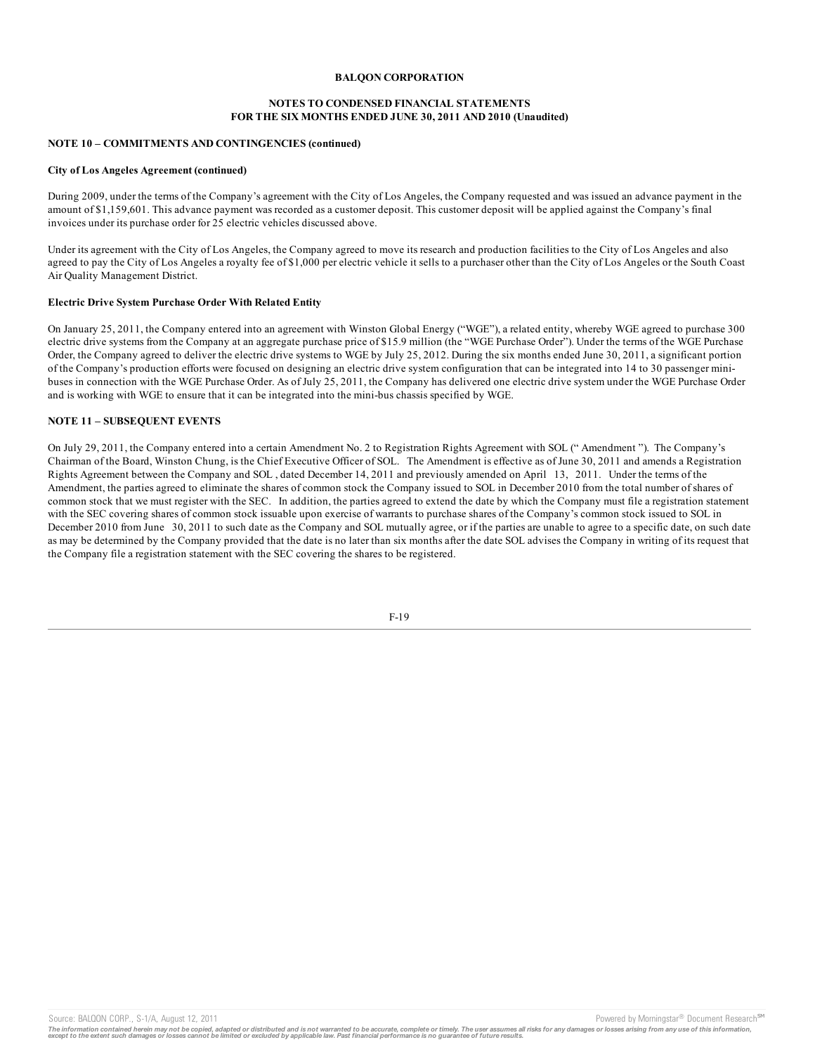#### **NOTES TO CONDENSED FINANCIAL STATEMENTS FOR THE SIX MONTHS ENDED JUNE 30, 2011 AND 2010 (Unaudited)**

### **NOTE 10 – COMMITMENTS AND CONTINGENCIES (continued)**

#### **City of Los Angeles Agreement (continued)**

During 2009, under the terms of the Company's agreement with the City of Los Angeles, the Company requested and was issued an advance payment in the amount of \$1,159,601. This advance payment was recorded as a customer deposit. This customer deposit will be applied against the Company's final invoices under its purchase order for 25 electric vehicles discussed above.

Under its agreement with the City of Los Angeles, the Company agreed to move its research and production facilities to the City of Los Angeles and also agreed to pay the City of Los Angeles a royalty fee of \$1,000 per electric vehicle it sells to a purchaser other than the City of Los Angeles or the South Coast Air Quality Management District.

### **Electric Drive System Purchase Order With Related Entity**

On January 25, 2011, the Company entered into an agreement with Winston Global Energy ("WGE"), a related entity, whereby WGE agreed to purchase 300 electric drive systems from the Company at an aggregate purchase price of \$15.9 million (the "WGE Purchase Order"). Under the terms of the WGE Purchase Order, the Company agreed to deliver the electric drive systems to WGE by July 25, 2012. During the six months ended June 30, 2011, a significant portion of the Company's production efforts were focused on designing an electric drive system configuration that can be integrated into 14 to 30 passenger minibuses in connection with the WGE Purchase Order. As of July 25, 2011, the Company has delivered one electric drive system under the WGE Purchase Order and is working with WGE to ensure that it can be integrated into the mini-bus chassis specified by WGE.

### **NOTE 11 – SUBSEQUENT EVENTS**

On July 29, 2011, the Company entered into a certain Amendment No. 2 to Registration Rights Agreement with SOL (" Amendment "). The Company's Chairman of the Board, Winston Chung, is the Chief Executive Officer of SOL. The Amendment is effective as of June 30, 2011 and amends a Registration Rights Agreement between the Company and SOL , dated December 14, 2011 and previously amended on April 13, 2011. Under the terms of the Amendment, the parties agreed to eliminate the shares of common stock the Company issued to SOL in December 2010 from the total number of shares of common stock that we must register with the SEC. In addition, the parties agreed to extend the date by which the Company must file a registration statement with the SEC covering shares of common stock issuable upon exercise of warrants to purchase shares of the Company's common stock issued to SOL in December 2010 from June 30, 2011 to such date as the Company and SOL mutually agree, or if the parties are unable to agree to a specific date, on such date as may be determined by the Company provided that the date is no later than six months after the date SOL advises the Company in writing of its request that the Company file a registration statement with the SEC covering the shares to be registered.

F-19

Source: BALQON CORP., S-1/A, August 12, 2011 **Properties and August 2018** Powered by Morningstar® Document Research <sup>sw</sup>

The information contained herein may not be copied, adapted or distributed and is not warranted to be accurate, complete or timely. The user assumes all risks for any damages or losses arising from any use of this informat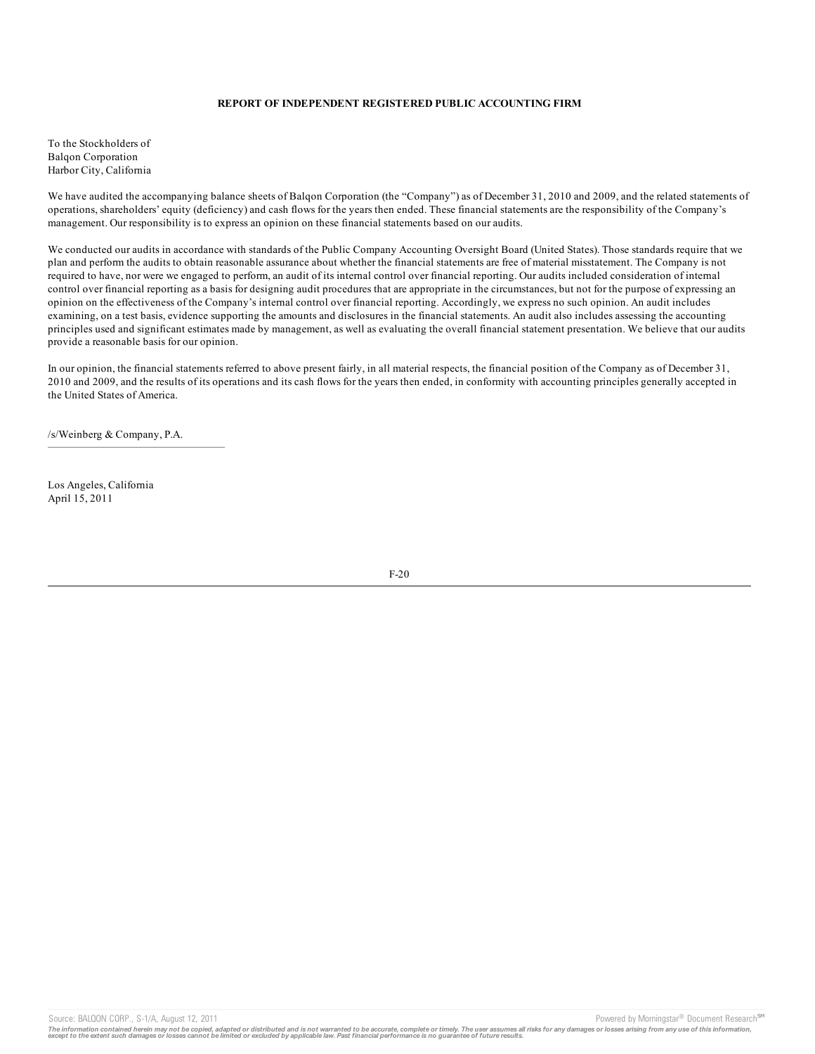# **REPORT OF INDEPENDENT REGISTERED PUBLIC ACCOUNTING FIRM**

To the Stockholders of Balqon Corporation Harbor City, California

We have audited the accompanying balance sheets of Balqon Corporation (the "Company") as of December 31, 2010 and 2009, and the related statements of operations, shareholders' equity (deficiency) and cash flows for the years then ended. These financial statements are the responsibility of the Company's management. Our responsibility is to express an opinion on these financial statements based on our audits.

We conducted our audits in accordance with standards of the Public Company Accounting Oversight Board (United States). Those standards require that we plan and perform the audits to obtain reasonable assurance about whether the financial statements are free of material misstatement. The Company is not required to have, nor were we engaged to perform, an audit of its internal control over financial reporting. Our audits included consideration of internal control over financial reporting as a basis for designing audit procedures that are appropriate in the circumstances, but not for the purpose of expressing an opinion on the effectiveness of the Company's internal control over financial reporting. Accordingly, we express no such opinion. An audit includes examining, on a test basis, evidence supporting the amounts and disclosures in the financial statements. An audit also includes assessing the accounting principles used and significant estimates made by management, as well as evaluating the overall financial statement presentation. We believe that our audits provide a reasonable basis for our opinion.

In our opinion, the financial statements referred to above present fairly, in all material respects, the financial position of the Company as of December 31, 2010 and 2009, and the results of its operations and its cash flows for the years then ended, in conformity with accounting principles generally accepted in the United States of America.

/s/Weinberg & Company, P.A.

Los Angeles, California April 15, 2011

F-20

Source: BALQON CORP., S-1/A, August 12, 2011 **Powered by Morningstar® Document Research** in Powered by Morningstar® Document Research in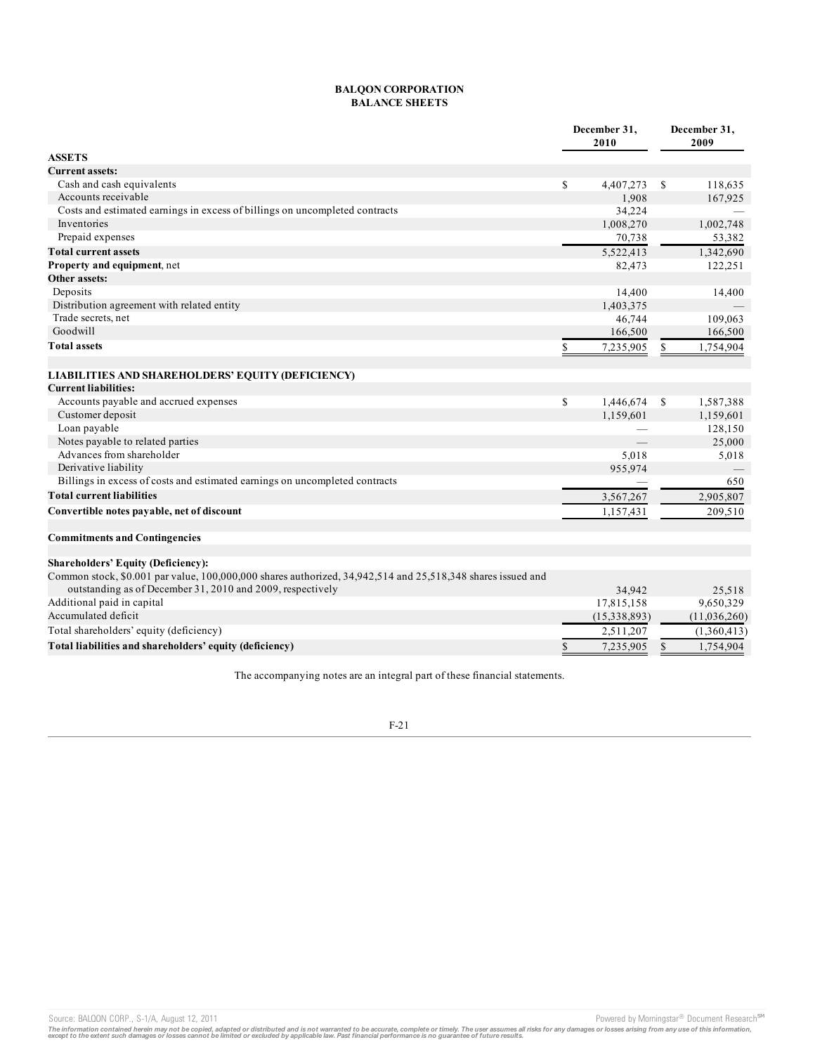## **BALQON CORPORATION BALANCE SHEETS**

|                                                                                                             |    | December 31,<br>2010 |               | December 31,<br>2009 |  |
|-------------------------------------------------------------------------------------------------------------|----|----------------------|---------------|----------------------|--|
| <b>ASSETS</b>                                                                                               |    |                      |               |                      |  |
| <b>Current assets:</b>                                                                                      |    |                      |               |                      |  |
| Cash and cash equivalents                                                                                   | \$ | 4,407,273            | \$            | 118,635              |  |
| Accounts receivable                                                                                         |    | 1.908                |               | 167,925              |  |
| Costs and estimated earnings in excess of billings on uncompleted contracts                                 |    | 34,224               |               |                      |  |
| Inventories                                                                                                 |    | 1,008,270            |               | 1,002,748            |  |
| Prepaid expenses                                                                                            |    | 70,738               |               | 53,382               |  |
| <b>Total current assets</b>                                                                                 |    | 5,522,413            |               | 1,342,690            |  |
| Property and equipment, net                                                                                 |    | 82,473               |               | 122,251              |  |
| Other assets:                                                                                               |    |                      |               |                      |  |
| Deposits                                                                                                    |    | 14,400               |               | 14,400               |  |
| Distribution agreement with related entity                                                                  |    | 1,403,375            |               |                      |  |
| Trade secrets, net                                                                                          |    | 46,744               |               | 109,063              |  |
| Goodwill                                                                                                    |    | 166,500              |               | 166,500              |  |
| <b>Total assets</b>                                                                                         |    | 7,235,905            |               | 1,754,904            |  |
| LIABILITIES AND SHAREHOLDERS' EQUITY (DEFICIENCY)                                                           |    |                      |               |                      |  |
| <b>Current liabilities:</b>                                                                                 |    |                      |               |                      |  |
| Accounts payable and accrued expenses                                                                       | \$ | 1,446,674            | <sup>\$</sup> | 1,587,388            |  |
| Customer deposit                                                                                            |    | 1,159,601            |               | 1,159,601            |  |
| Loan payable                                                                                                |    |                      |               | 128,150              |  |
| Notes payable to related parties                                                                            |    |                      |               | 25,000               |  |
| Advances from shareholder                                                                                   |    | 5,018                |               | 5,018                |  |
| Derivative liability                                                                                        |    | 955,974              |               |                      |  |
| Billings in excess of costs and estimated earnings on uncompleted contracts                                 |    |                      |               | 650                  |  |
| <b>Total current liabilities</b>                                                                            |    | 3,567,267            |               | 2,905,807            |  |
| Convertible notes payable, net of discount                                                                  |    | 1,157,431            |               | 209,510              |  |
| <b>Commitments and Contingencies</b>                                                                        |    |                      |               |                      |  |
| <b>Shareholders' Equity (Deficiency):</b>                                                                   |    |                      |               |                      |  |
| Common stock, \$0.001 par value, 100,000,000 shares authorized, 34,942,514 and 25,518,348 shares issued and |    |                      |               |                      |  |
| outstanding as of December 31, 2010 and 2009, respectively<br>Additional paid in capital                    |    | 34,942               |               | 25,518               |  |
| Accumulated deficit                                                                                         |    | 17,815,158           |               | 9,650,329            |  |
|                                                                                                             |    | (15,338,893)         |               | (11,036,260)         |  |
| Total shareholders' equity (deficiency)                                                                     |    | 2,511,207            |               | (1,360,413)          |  |
| Total liabilities and shareholders' equity (deficiency)                                                     |    | 7,235,905            |               | 1,754,904            |  |

The accompanying notes are an integral part of these financial statements.

# F-21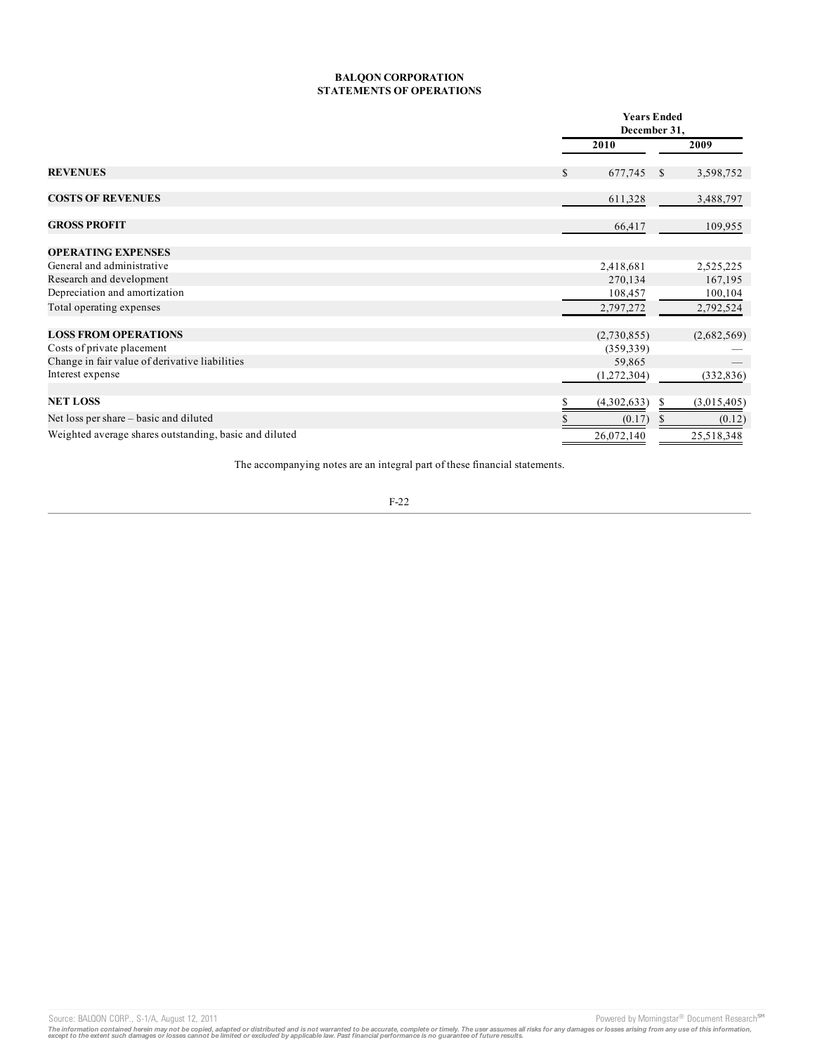## **BALQON CORPORATION STATEMENTS OF OPERATIONS**

|                                                        |               | <b>Years Ended</b><br>December 31, |
|--------------------------------------------------------|---------------|------------------------------------|
|                                                        | 2010          | 2009                               |
| <b>REVENUES</b>                                        | 677,745<br>\$ | 3,598,752<br><sup>\$</sup>         |
| <b>COSTS OF REVENUES</b>                               | 611,328       | 3,488,797                          |
| <b>GROSS PROFIT</b>                                    | 66,417        | 109,955                            |
| <b>OPERATING EXPENSES</b>                              |               |                                    |
| General and administrative                             | 2,418,681     | 2,525,225                          |
| Research and development                               | 270,134       | 167,195                            |
| Depreciation and amortization                          | 108,457       | 100,104                            |
| Total operating expenses                               | 2,797,272     | 2,792,524                          |
| <b>LOSS FROM OPERATIONS</b>                            | (2,730,855)   | (2,682,569)                        |
| Costs of private placement                             | (359, 339)    |                                    |
| Change in fair value of derivative liabilities         | 59,865        |                                    |
| Interest expense                                       | (1,272,304)   | (332, 836)                         |
| <b>NET LOSS</b>                                        | (4,302,633)   | (3,015,405)<br>S                   |
| Net loss per share – basic and diluted                 | (0.17)        | (0.12)<br>\$.                      |
| Weighted average shares outstanding, basic and diluted | 26,072,140    | 25,518,348                         |

The accompanying notes are an integral part of these financial statements.

F-22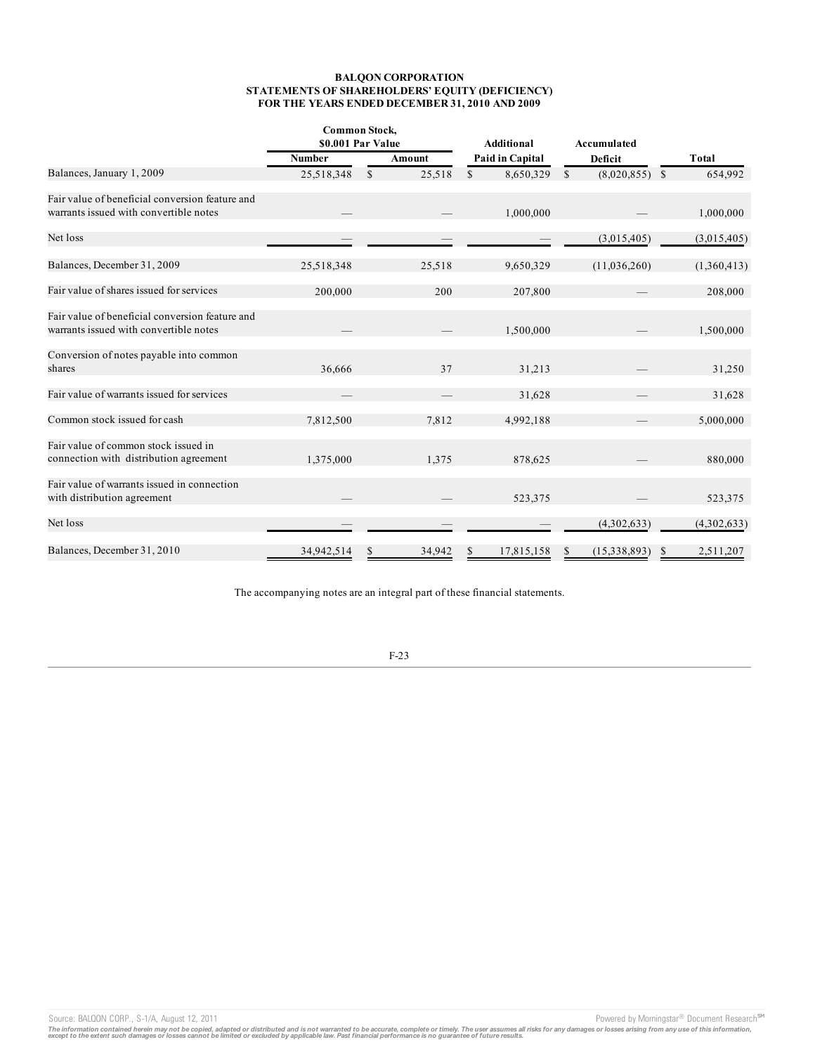## **BALQON CORPORATION STATEMENTS OF SHAREHOLDERS' EQUITY (DEFICIENCY) FOR THE YEARS ENDED DECEMBER 31, 2010 AND 2009**

|                                                                                           | Common Stock,<br>\$0.001 Par Value |              | Additional<br>Accumulated |                        |              |                  |       |             |  |
|-------------------------------------------------------------------------------------------|------------------------------------|--------------|---------------------------|------------------------|--------------|------------------|-------|-------------|--|
|                                                                                           | <b>Number</b>                      |              | Amount                    | <b>Paid in Capital</b> |              | Deficit          | Total |             |  |
| Balances, January 1, 2009                                                                 | 25,518,348                         | $\mathbb{S}$ | 25,518                    | \$<br>8,650,329        | $\mathbb{S}$ | $(8,020,855)$ \$ |       | 654,992     |  |
| Fair value of beneficial conversion feature and<br>warrants issued with convertible notes |                                    |              |                           | 1.000.000              |              |                  |       | 1,000,000   |  |
| Net loss                                                                                  |                                    |              |                           |                        |              | (3,015,405)      |       | (3,015,405) |  |
| Balances, December 31, 2009                                                               | 25,518,348                         |              | 25,518                    | 9,650,329              |              | (11,036,260)     |       | (1,360,413) |  |
| Fair value of shares issued for services                                                  | 200,000                            |              | 200                       | 207,800                |              |                  |       | 208,000     |  |
| Fair value of beneficial conversion feature and<br>warrants issued with convertible notes |                                    |              |                           | 1,500,000              |              |                  |       | 1,500,000   |  |
| Conversion of notes payable into common<br>shares                                         | 36.666                             |              | 37                        | 31,213                 |              |                  |       | 31,250      |  |
| Fair value of warrants issued for services                                                |                                    |              |                           | 31,628                 |              |                  |       | 31,628      |  |
| Common stock issued for cash                                                              | 7,812,500                          |              | 7,812                     | 4,992,188              |              |                  |       | 5,000,000   |  |
| Fair value of common stock issued in<br>connection with distribution agreement            | 1,375,000                          |              | 1,375                     | 878,625                |              |                  |       | 880,000     |  |
| Fair value of warrants issued in connection<br>with distribution agreement                |                                    |              |                           | 523,375                |              |                  |       | 523,375     |  |
| Net loss                                                                                  |                                    |              |                           |                        |              | (4,302,633)      |       | (4,302,633) |  |
| Balances, December 31, 2010                                                               | 34,942,514                         |              | 34,942                    | 17,815,158             | S            | (15,338,893)     | \$    | 2,511,207   |  |

The accompanying notes are an integral part of these financial statements.

F-23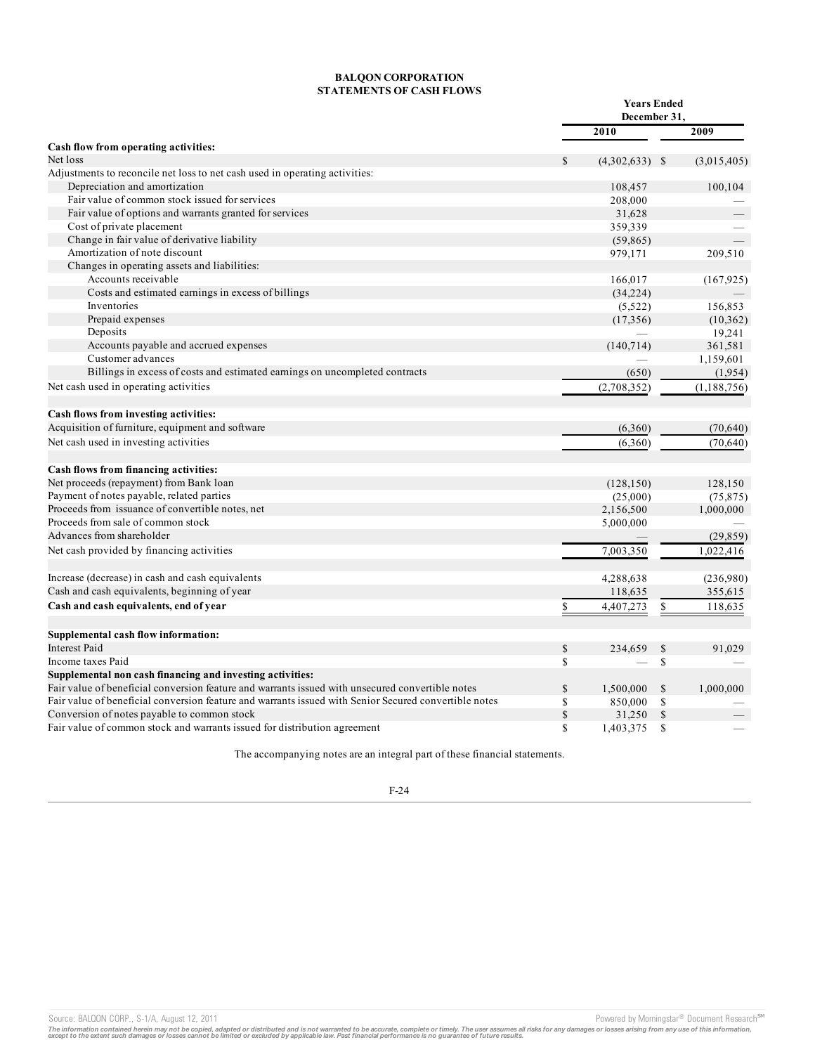## **BALQON CORPORATION STATEMENTS OF CASH FLOWS**

|                                                                                                       | <b>Years Ended</b><br>December 31, |                  |    |               |
|-------------------------------------------------------------------------------------------------------|------------------------------------|------------------|----|---------------|
|                                                                                                       |                                    | 2010             |    | 2009          |
| Cash flow from operating activities:                                                                  |                                    |                  |    |               |
| Net loss                                                                                              |                                    | $(4,302,633)$ \$ |    | (3,015,405)   |
| Adjustments to reconcile net loss to net cash used in operating activities:                           |                                    |                  |    |               |
| Depreciation and amortization                                                                         |                                    | 108,457          |    | 100,104       |
| Fair value of common stock issued for services                                                        |                                    | 208,000          |    |               |
| Fair value of options and warrants granted for services                                               |                                    | 31,628           |    |               |
| Cost of private placement                                                                             |                                    | 359,339          |    |               |
| Change in fair value of derivative liability                                                          |                                    | (59, 865)        |    |               |
| Amortization of note discount                                                                         |                                    | 979,171          |    | 209,510       |
| Changes in operating assets and liabilities:                                                          |                                    |                  |    |               |
| Accounts receivable                                                                                   |                                    | 166,017          |    | (167, 925)    |
| Costs and estimated earnings in excess of billings                                                    |                                    | (34, 224)        |    |               |
| Inventories                                                                                           |                                    | (5,522)          |    | 156,853       |
| Prepaid expenses                                                                                      |                                    | (17,356)         |    | (10, 362)     |
| Deposits                                                                                              |                                    |                  |    | 19,241        |
| Accounts payable and accrued expenses                                                                 |                                    | (140, 714)       |    | 361,581       |
| Customer advances                                                                                     |                                    |                  |    | 1,159,601     |
| Billings in excess of costs and estimated earnings on uncompleted contracts                           |                                    | (650)            |    | (1,954)       |
|                                                                                                       |                                    |                  |    |               |
| Net cash used in operating activities                                                                 |                                    | (2,708,352)      |    | (1, 188, 756) |
| Cash flows from investing activities:                                                                 |                                    |                  |    |               |
| Acquisition of furniture, equipment and software                                                      |                                    | (6,360)          |    | (70, 640)     |
| Net cash used in investing activities                                                                 |                                    | (6,360)          |    | (70,640)      |
|                                                                                                       |                                    |                  |    |               |
| Cash flows from financing activities:                                                                 |                                    |                  |    |               |
| Net proceeds (repayment) from Bank loan                                                               |                                    | (128, 150)       |    | 128,150       |
| Payment of notes payable, related parties                                                             |                                    | (25,000)         |    | (75, 875)     |
| Proceeds from issuance of convertible notes, net                                                      |                                    | 2,156,500        |    | 1,000,000     |
| Proceeds from sale of common stock                                                                    |                                    | 5,000,000        |    |               |
| Advances from shareholder                                                                             |                                    |                  |    | (29, 859)     |
| Net cash provided by financing activities                                                             |                                    | 7,003,350        |    | 1,022,416     |
| Increase (decrease) in cash and cash equivalents                                                      |                                    | 4,288,638        |    | (236,980)     |
| Cash and cash equivalents, beginning of year                                                          |                                    | 118,635          |    | 355,615       |
| Cash and cash equivalents, end of year                                                                | \$                                 | 4,407,273        | \$ | 118,635       |
|                                                                                                       |                                    |                  |    |               |
| Supplemental cash flow information:                                                                   |                                    |                  |    |               |
| <b>Interest Paid</b>                                                                                  | \$                                 | 234.659          | \$ | 91,029        |
| Income taxes Paid                                                                                     | \$                                 |                  | \$ |               |
| Supplemental non cash financing and investing activities:                                             |                                    |                  |    |               |
| Fair value of beneficial conversion feature and warrants issued with unsecured convertible notes      | \$                                 | 1,500,000        | \$ | 1,000,000     |
| Fair value of beneficial conversion feature and warrants issued with Senior Secured convertible notes | \$                                 | 850,000          | \$ |               |
| Conversion of notes payable to common stock                                                           | \$                                 | 31,250           | \$ |               |
| Fair value of common stock and warrants issued for distribution agreement                             | \$                                 | 1,403,375        | \$ |               |

The accompanying notes are an integral part of these financial statements.

F-24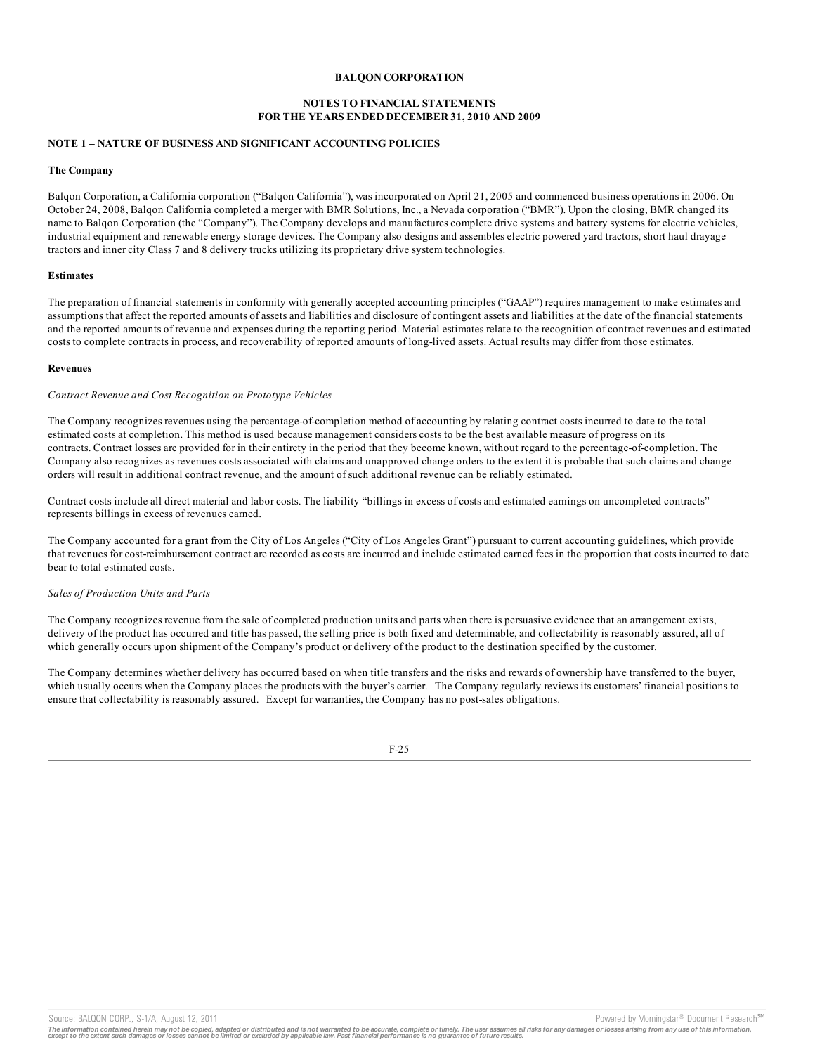#### **NOTES TO FINANCIAL STATEMENTS FOR THE YEARS ENDED DECEMBER 31, 2010 AND 2009**

#### **NOTE 1 – NATURE OF BUSINESS AND SIGNIFICANT ACCOUNTING POLICIES**

#### **The Company**

Balqon Corporation, a California corporation ("Balqon California"), was incorporated on April 21, 2005 and commenced business operations in 2006. On October 24, 2008, Balqon California completed a merger with BMR Solutions, Inc., a Nevada corporation ("BMR"). Upon the closing, BMR changed its name to Balqon Corporation (the "Company"). The Company develops and manufactures complete drive systems and battery systems for electric vehicles, industrial equipment and renewable energy storage devices. The Company also designs and assembles electric powered yard tractors, short haul drayage tractors and inner city Class 7 and 8 delivery trucks utilizing its proprietary drive system technologies.

#### **Estimates**

The preparation of financial statements in conformity with generally accepted accounting principles ("GAAP") requires management to make estimates and assumptions that affect the reported amounts of assets and liabilities and disclosure of contingent assets and liabilities at the date of the financial statements and the reported amounts of revenue and expenses during the reporting period. Material estimates relate to the recognition of contract revenues and estimated costs to complete contracts in process, and recoverability of reported amounts of long-lived assets. Actual results may differ from those estimates.

#### **Revenues**

## *Contract Revenue and Cost Recognition on Prototype Vehicles*

The Company recognizes revenues using the percentage-of-completion method of accounting by relating contract costs incurred to date to the total estimated costs at completion. This method is used because management considers costs to be the best available measure of progress on its contracts. Contract losses are provided for in their entirety in the period that they become known, without regard to the percentage-of-completion. The Company also recognizes as revenues costs associated with claims and unapproved change orders to the extent it is probable that such claims and change orders will result in additional contract revenue, and the amount of such additional revenue can be reliably estimated.

Contract costs include all direct material and labor costs. The liability "billings in excess of costs and estimated earnings on uncompleted contracts" represents billings in excess of revenues earned.

The Company accounted for a grant from the City of Los Angeles ("City of Los Angeles Grant") pursuant to current accounting guidelines, which provide that revenues for cost-reimbursement contract are recorded as costs are incurred and include estimated earned fees in the proportion that costs incurred to date bear to total estimated costs.

### *Sales of Production Units and Parts*

The Company recognizes revenue from the sale of completed production units and parts when there is persuasive evidence that an arrangement exists, delivery of the product has occurred and title has passed, the selling price is both fixed and determinable, and collectability is reasonably assured, all of which generally occurs upon shipment of the Company's product or delivery of the product to the destination specified by the customer.

The Company determines whether delivery has occurred based on when title transfers and the risks and rewards of ownership have transferred to the buyer, which usually occurs when the Company places the products with the buyer's carrier. The Company regularly reviews its customers' financial positions to ensure that collectability is reasonably assured. Except for warranties, the Company has no post-sales obligations.



Source: BALQON CORP., S-1/A, August 12, 2011 **Powered by Morningstar® Document Research** Morningstar® Document Research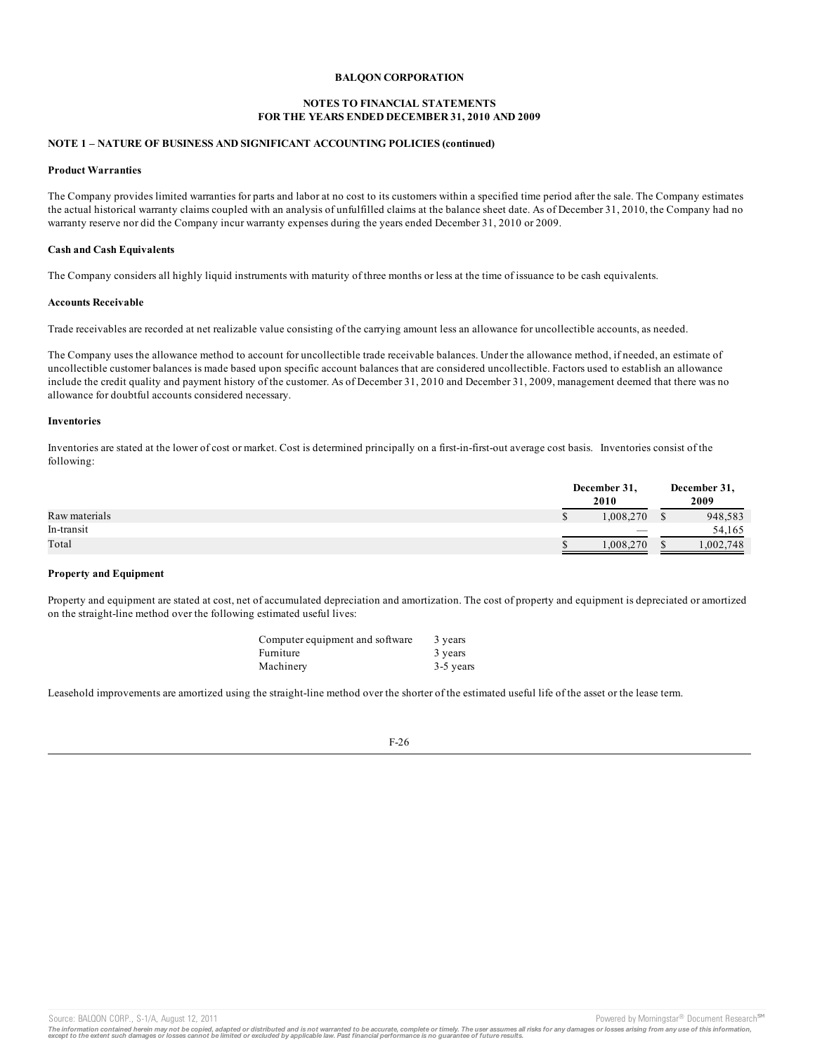#### **NOTES TO FINANCIAL STATEMENTS FOR THE YEARS ENDED DECEMBER 31, 2010 AND 2009**

#### **NOTE 1 – NATURE OF BUSINESS AND SIGNIFICANT ACCOUNTING POLICIES (continued)**

#### **Product Warranties**

The Company provides limited warranties for parts and labor at no cost to its customers within a specified time period after the sale. The Company estimates the actual historical warranty claims coupled with an analysis of unfulfilled claims at the balance sheet date. As of December 31, 2010, the Company had no warranty reserve nor did the Company incur warranty expenses during the years ended December 31, 2010 or 2009.

#### **Cash and Cash Equivalents**

The Company considers all highly liquid instruments with maturity of three months or less at the time of issuance to be cash equivalents.

#### **Accounts Receivable**

Trade receivables are recorded at net realizable value consisting of the carrying amount less an allowance for uncollectible accounts, as needed.

The Company uses the allowance method to account for uncollectible trade receivable balances. Under the allowance method, if needed, an estimate of uncollectible customer balances is made based upon specific account balances that are considered uncollectible. Factors used to establish an allowance include the credit quality and payment history of the customer. As of December 31, 2010 and December 31, 2009, management deemed that there was no allowance for doubtful accounts considered necessary.

#### **Inventories**

Inventories are stated at the lower of cost or market. Cost is determined principally on a first-in-first-out average cost basis. Inventories consist of the following:

|               | December 31,<br>2010 |                          | December 31,<br>2009 |
|---------------|----------------------|--------------------------|----------------------|
| Raw materials | ,008,270             | S                        | 948,583              |
| In-transit    |                      | $\overline{\phantom{a}}$ | 54,165               |
| Total         | .008.270             |                          | .002,748             |

#### **Property and Equipment**

Property and equipment are stated at cost, net of accumulated depreciation and amortization. The cost of property and equipment is depreciated or amortized on the straight-line method over the following estimated useful lives:

| Computer equipment and software | 3 years   |
|---------------------------------|-----------|
| Furniture                       | 3 years   |
| Machinery                       | 3-5 years |

Leasehold improvements are amortized using the straight-line method over the shorter of the estimated useful life of the asset or the lease term.

Source: BALQON CORP., S-1/A, August 12, 2011 **Powered by Morningstar® Document Research** in Powered by Morningstar® Document Research in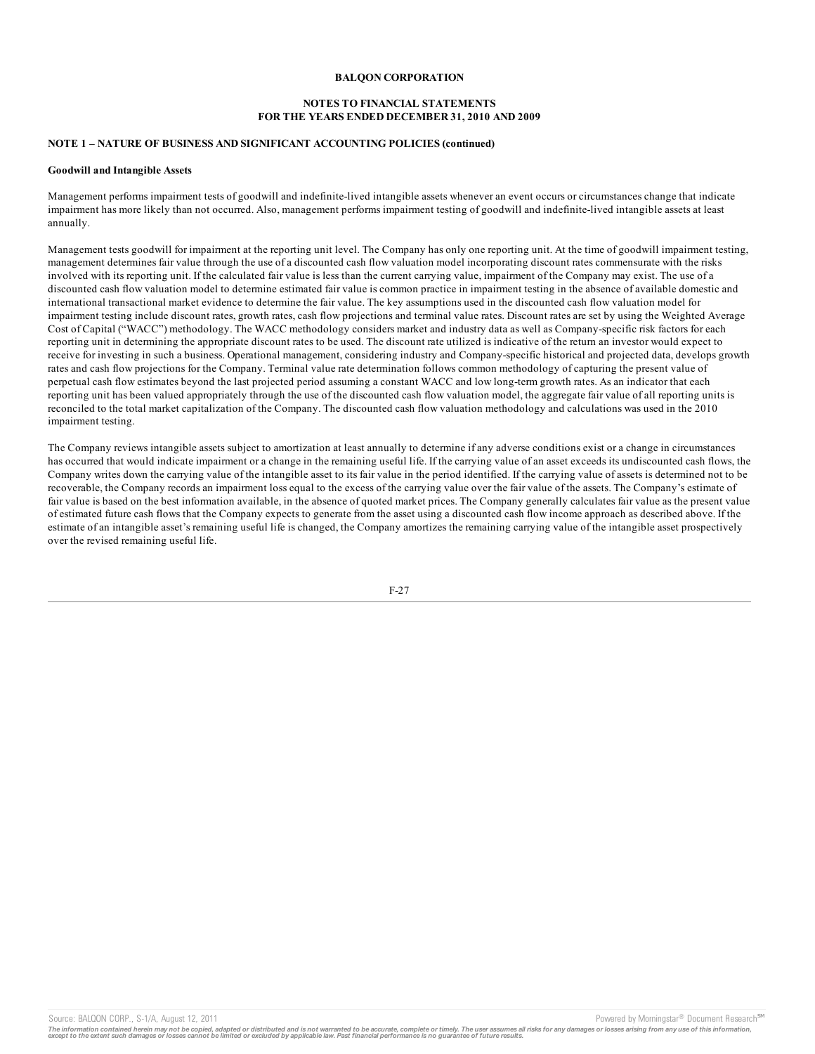#### **NOTES TO FINANCIAL STATEMENTS FOR THE YEARS ENDED DECEMBER 31, 2010 AND 2009**

## **NOTE 1 – NATURE OF BUSINESS AND SIGNIFICANT ACCOUNTING POLICIES (continued)**

#### **Goodwill and Intangible Assets**

Management performs impairment tests of goodwill and indefinite-lived intangible assets whenever an event occurs or circumstances change that indicate impairment has more likely than not occurred. Also, management performs impairment testing of goodwill and indefinite-lived intangible assets at least annually.

Management tests goodwill for impairment at the reporting unit level. The Company has only one reporting unit. At the time of goodwill impairment testing, management determines fair value through the use of a discounted cash flow valuation model incorporating discount rates commensurate with the risks involved with its reporting unit. If the calculated fair value is less than the current carrying value, impairment of the Company may exist. The use of a discounted cash flow valuation model to determine estimated fair value is common practice in impairment testing in the absence of available domestic and international transactional market evidence to determine the fair value. The key assumptions used in the discounted cash flow valuation model for impairment testing include discount rates, growth rates, cash flow projections and terminal value rates. Discount rates are set by using the Weighted Average Cost of Capital ("WACC") methodology. The WACC methodology considers market and industry data as well as Company-specific risk factors for each reporting unit in determining the appropriate discount rates to be used. The discount rate utilized is indicative of the return an investor would expect to receive for investing in such a business. Operational management, considering industry and Company-specific historical and projected data, develops growth rates and cash flow projections for the Company. Terminal value rate determination follows common methodology of capturing the present value of perpetual cash flow estimates beyond the last projected period assuming a constant WACC and low long-term growth rates. As an indicator that each reporting unit has been valued appropriately through the use of the discounted cash flow valuation model, the aggregate fair value of all reporting units is reconciled to the total market capitalization of the Company. The discounted cash flow valuation methodology and calculations was used in the 2010 impairment testing.

The Company reviews intangible assets subject to amortization at least annually to determine if any adverse conditions exist or a change in circumstances has occurred that would indicate impairment or a change in the remaining useful life. If the carrying value of an asset exceeds its undiscounted cash flows, the Company writes down the carrying value of the intangible asset to its fair value in the period identified. If the carrying value of assets is determined not to be recoverable, the Company records an impairment loss equal to the excess of the carrying value over the fair value of the assets. The Company's estimate of fair value is based on the best information available, in the absence of quoted market prices. The Company generally calculates fair value as the present value of estimated future cash flows that the Company expects to generate from the asset using a discounted cash flow income approach as described above. If the estimate of an intangible asset's remaining useful life is changed, the Company amortizes the remaining carrying value of the intangible asset prospectively over the revised remaining useful life.

F-27

Source: BALQON CORP., S-1/A, August 12, 2011 **Powered by Morningstar® Document Research** Morningstar® Document Research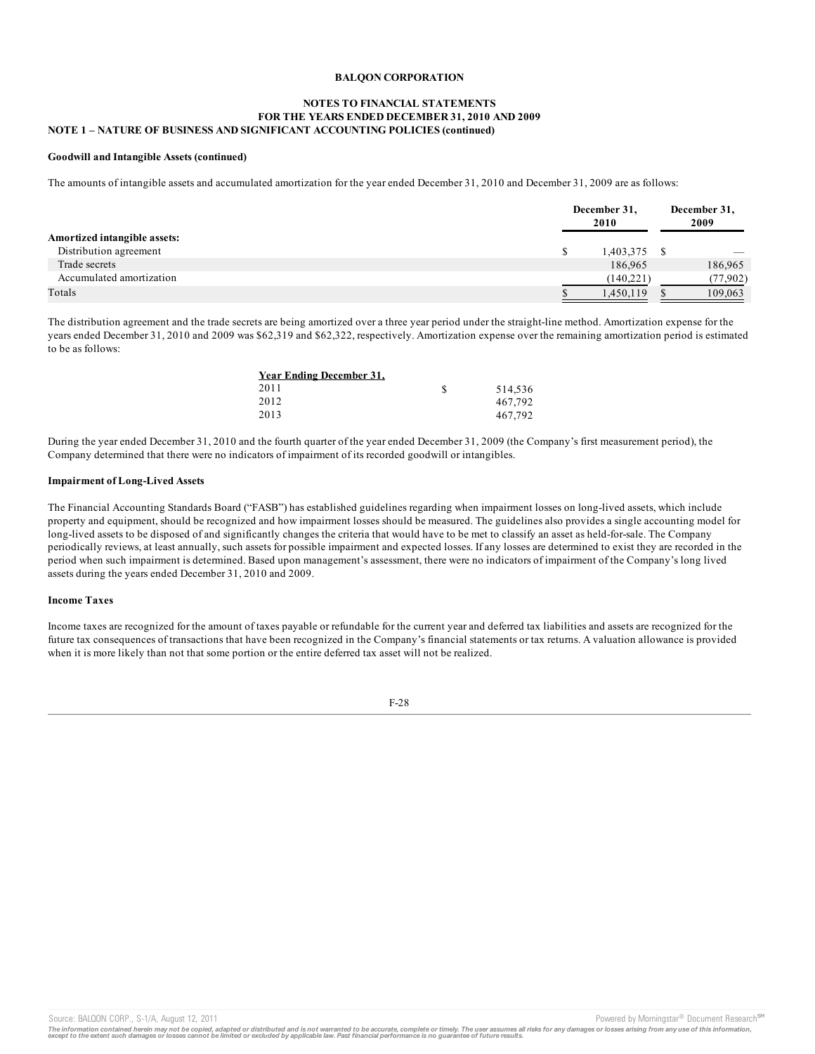#### **NOTES TO FINANCIAL STATEMENTS FOR THE YEARS ENDED DECEMBER 31, 2010 AND 2009 NOTE 1 – NATURE OF BUSINESS AND SIGNIFICANT ACCOUNTING POLICIES (continued)**

#### **Goodwill and Intangible Assets (continued)**

The amounts of intangible assets and accumulated amortization for the year ended December 31, 2010 and December 31, 2009 are as follows:

|                              | December 31,<br>2010 |      | December 31,<br>2009 |
|------------------------------|----------------------|------|----------------------|
| Amortized intangible assets: |                      |      |                      |
| Distribution agreement       | 1,403,375            | - \$ |                      |
| Trade secrets                | 186.965              |      | 186,965              |
| Accumulated amortization     | (140, 221)           |      | (77.902)             |
| Totals                       | 1,450,119            |      | 109,063              |

The distribution agreement and the trade secrets are being amortized over a three year period under the straight-line method. Amortization expense for the years ended December 31, 2010 and 2009 was \$62,319 and \$62,322, respectively. Amortization expense over the remaining amortization period is estimated to be as follows:

| Year Ending December 31, |   |         |
|--------------------------|---|---------|
| 2011                     | S | 514.536 |
| 2012                     |   | 467.792 |
| 2013                     |   | 467.792 |

During the year ended December 31, 2010 and the fourth quarter of the year ended December 31, 2009 (the Company's first measurement period), the Company determined that there were no indicators of impairment of its recorded goodwill or intangibles.

#### **Impairment of Long-Lived Assets**

The Financial Accounting Standards Board ("FASB") has established guidelines regarding when impairment losses on long-lived assets, which include property and equipment, should be recognized and how impairment losses should be measured. The guidelines also provides a single accounting model for long-lived assets to be disposed of and significantly changes the criteria that would have to be met to classify an asset as held-for-sale. The Company periodically reviews, at least annually, such assets for possible impairment and expected losses. If any losses are determined to exist they are recorded in the period when such impairment is determined. Based upon management's assessment, there were no indicators of impairment of the Company's long lived assets during the years ended December 31, 2010 and 2009.

#### **Income Taxes**

Income taxes are recognized for the amount of taxes payable or refundable for the current year and deferred tax liabilities and assets are recognized for the future tax consequences of transactions that have been recognized in the Company's financial statements or tax returns. A valuation allowance is provided when it is more likely than not that some portion or the entire deferred tax asset will not be realized.

F-28

Source: BALQON CORP., S-1/A, August 12, 2011 **Powered by Morningstar<sup>®</sup> Document Research<sup>™</sup>** 

The information contained herein may not be copied, adapted or distributed and is not warranted to be accurate, complete or timely. The user assumes all risks for any damages or losses arising from any use of this informat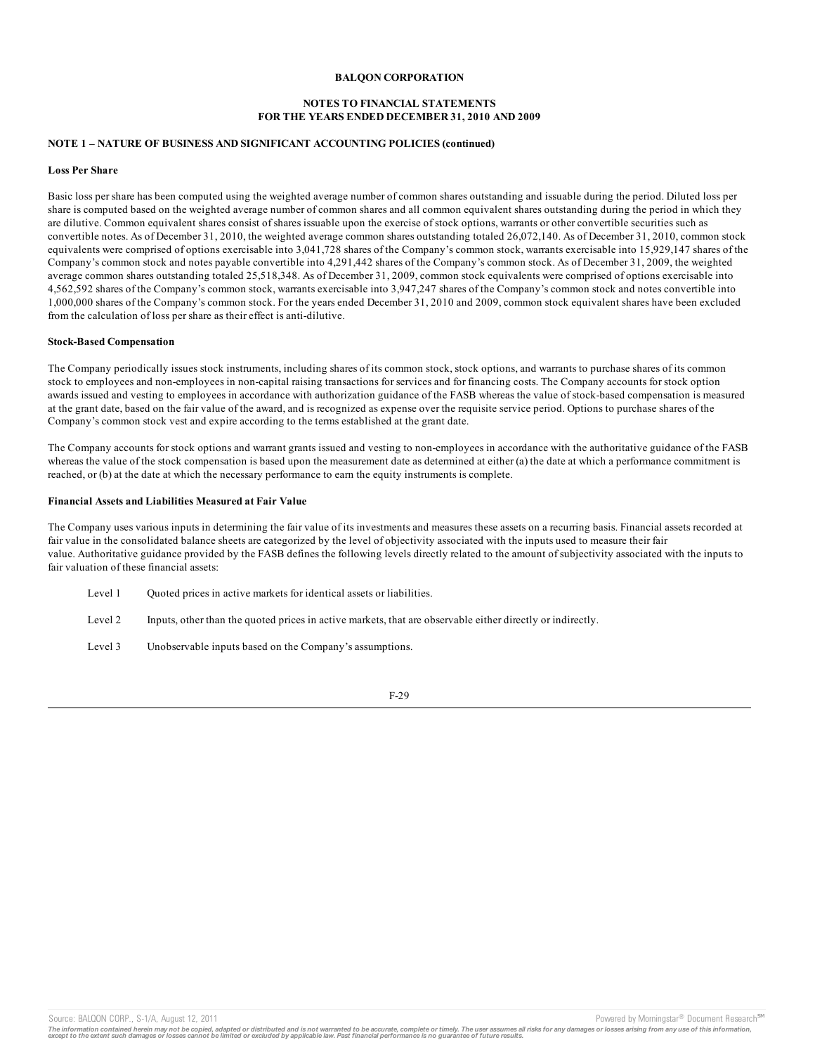#### **NOTES TO FINANCIAL STATEMENTS FOR THE YEARS ENDED DECEMBER 31, 2010 AND 2009**

### **NOTE 1 – NATURE OF BUSINESS AND SIGNIFICANT ACCOUNTING POLICIES (continued)**

#### **Loss Per Share**

Basic loss per share has been computed using the weighted average number of common shares outstanding and issuable during the period. Diluted loss per share is computed based on the weighted average number of common shares and all common equivalent shares outstanding during the period in which they are dilutive. Common equivalent shares consist of shares issuable upon the exercise of stock options, warrants or other convertible securities such as convertible notes. As of December 31, 2010, the weighted average common shares outstanding totaled 26,072,140. As of December 31, 2010, common stock equivalents were comprised of options exercisable into 3,041,728 shares of the Company's common stock, warrants exercisable into 15,929,147 shares of the Company's common stock and notes payable convertible into 4,291,442 shares of the Company's common stock. As of December 31, 2009, the weighted average common shares outstanding totaled 25,518,348. As of December 31, 2009, common stock equivalents were comprised of options exercisable into 4,562,592 shares of the Company's common stock, warrants exercisable into 3,947,247 shares of the Company's common stock and notes convertible into 1,000,000 shares of the Company's common stock. For the years ended December 31, 2010 and 2009, common stock equivalent shares have been excluded from the calculation of loss per share as their effect is anti-dilutive.

#### **Stock-Based Compensation**

The Company periodically issues stock instruments, including shares of its common stock, stock options, and warrants to purchase shares of its common stock to employees and non-employees in non-capital raising transactions for services and for financing costs. The Company accounts for stock option awards issued and vesting to employees in accordance with authorization guidance of the FASB whereas the value of stock-based compensation is measured at the grant date, based on the fair value of the award, and is recognized as expense over the requisite service period. Options to purchase shares of the Company's common stock vest and expire according to the terms established at the grant date.

The Company accounts for stock options and warrant grants issued and vesting to non-employees in accordance with the authoritative guidance of the FASB whereas the value of the stock compensation is based upon the measurement date as determined at either (a) the date at which a performance commitment is reached, or (b) at the date at which the necessary performance to earn the equity instruments is complete.

### **Financial Assets and Liabilities Measured at Fair Value**

The Company uses various inputs in determining the fair value of its investments and measures these assets on a recurring basis. Financial assets recorded at fair value in the consolidated balance sheets are categorized by the level of objectivity associated with the inputs used to measure their fair value. Authoritative guidance provided by the FASB defines the following levels directly related to the amount of subjectivity associated with the inputs to fair valuation of these financial assets:

- Level 1 Quoted prices in active markets for identical assets or liabilities.
- Level 2 Inputs, other than the quoted prices in active markets, that are observable either directly or indirectly.
- Level 3 Unobservable inputs based on the Company's assumptions.

F-29

Source: BALQON CORP., S-1/A, August 12, 2011 **Powered by Morningstar® Document Research** <sup>5M</sup>

The information contained herein may not be copied, adapted or distributed and is not warranted to be accurate, complete or timely. The user assumes all risks for any damages or losses arising from any use of this informat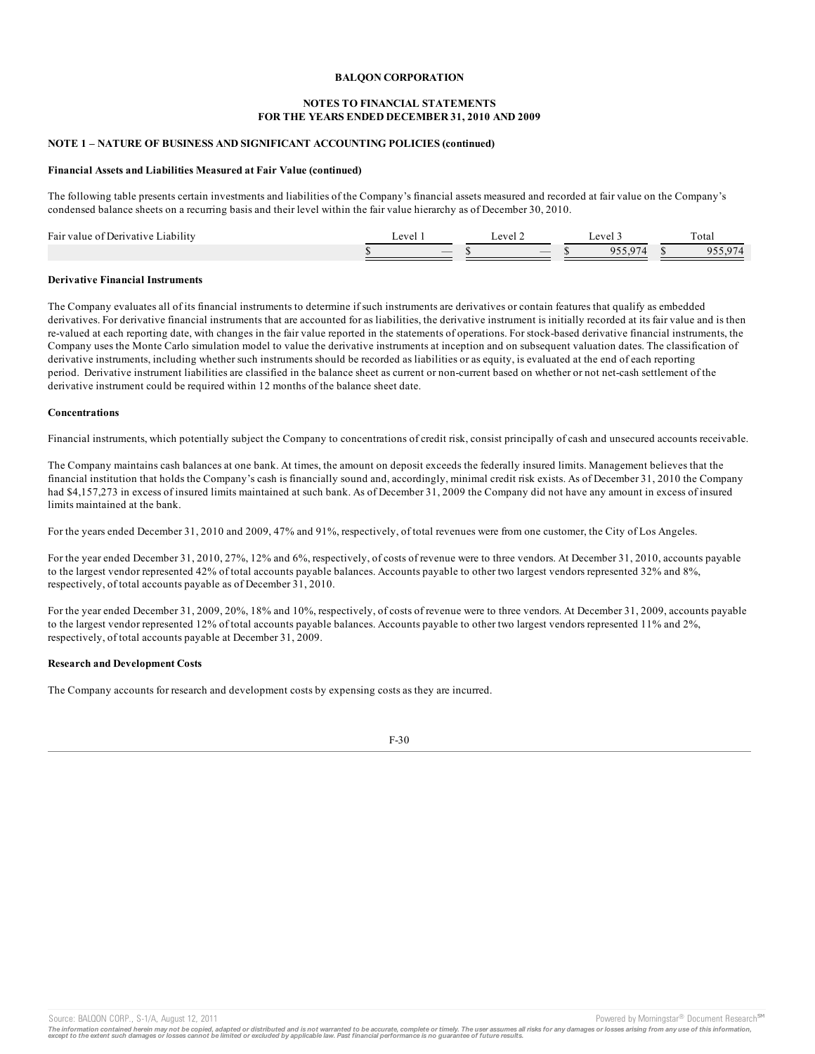#### **NOTES TO FINANCIAL STATEMENTS FOR THE YEARS ENDED DECEMBER 31, 2010 AND 2009**

### **NOTE 1 – NATURE OF BUSINESS AND SIGNIFICANT ACCOUNTING POLICIES (continued)**

### **Financial Assets and Liabilities Measured at Fair Value (continued)**

The following table presents certain investments and liabilities of the Company's financial assets measured and recorded at fair value on the Company's condensed balance sheets on a recurring basis and their level within the fair value hierarchy as of December 30, 2010.

| Fair value<br>at Derivative<br>4.401 http:/ | ATP |                          | AYP | لم برجم | Total          |
|---------------------------------------------|-----|--------------------------|-----|---------|----------------|
|                                             |     | $\overline{\phantom{a}}$ |     | .       | $\sim$ $ \sim$ |

#### **Derivative Financial Instruments**

The Company evaluates all of its financial instruments to determine if such instruments are derivatives or contain features that qualify as embedded derivatives. For derivative financial instruments that are accounted for as liabilities, the derivative instrument is initially recorded at its fair value and is then re-valued at each reporting date, with changes in the fair value reported in the statements of operations. For stock-based derivative financial instruments, the Company uses the Monte Carlo simulation model to value the derivative instruments at inception and on subsequent valuation dates. The classification of derivative instruments, including whether such instruments should be recorded as liabilities or as equity, is evaluated at the end of each reporting period. Derivative instrument liabilities are classified in the balance sheet as current or non-current based on whether or not net-cash settlement of the derivative instrument could be required within 12 months of the balance sheet date.

#### **Concentrations**

Financial instruments, which potentially subject the Company to concentrations of credit risk, consist principally of cash and unsecured accounts receivable.

The Company maintains cash balances at one bank. At times, the amount on deposit exceeds the federally insured limits. Management believes that the financial institution that holds the Company's cash is financially sound and, accordingly, minimal credit risk exists. As of December 31, 2010 the Company had \$4,157,273 in excess of insured limits maintained at such bank. As of December 31, 2009 the Company did not have any amount in excess of insured limits maintained at the bank.

For the years ended December 31, 2010 and 2009, 47% and 91%, respectively, of total revenues were from one customer, the City of Los Angeles.

For the year ended December 31, 2010, 27%, 12% and 6%, respectively, of costs of revenue were to three vendors. At December 31, 2010, accounts payable to the largest vendor represented 42% of total accounts payable balances. Accounts payable to other two largest vendors represented 32% and 8%, respectively, of total accounts payable as of December 31, 2010.

For the year ended December 31, 2009, 20%, 18% and 10%, respectively, of costs of revenue were to three vendors. At December 31, 2009, accounts payable to the largest vendor represented 12% of total accounts payable balances. Accounts payable to other two largest vendors represented 11% and 2%, respectively, of total accounts payable at December 31, 2009.

## **Research and Development Costs**

The Company accounts for research and development costs by expensing costs as they are incurred.

| I<br>i<br>-<br>×<br>۰, |
|------------------------|
|------------------------|

Source: BALQON CORP., S-1/A, August 12, 2011 **Powered by Morningstar® Document Research** Morningstar® Document Research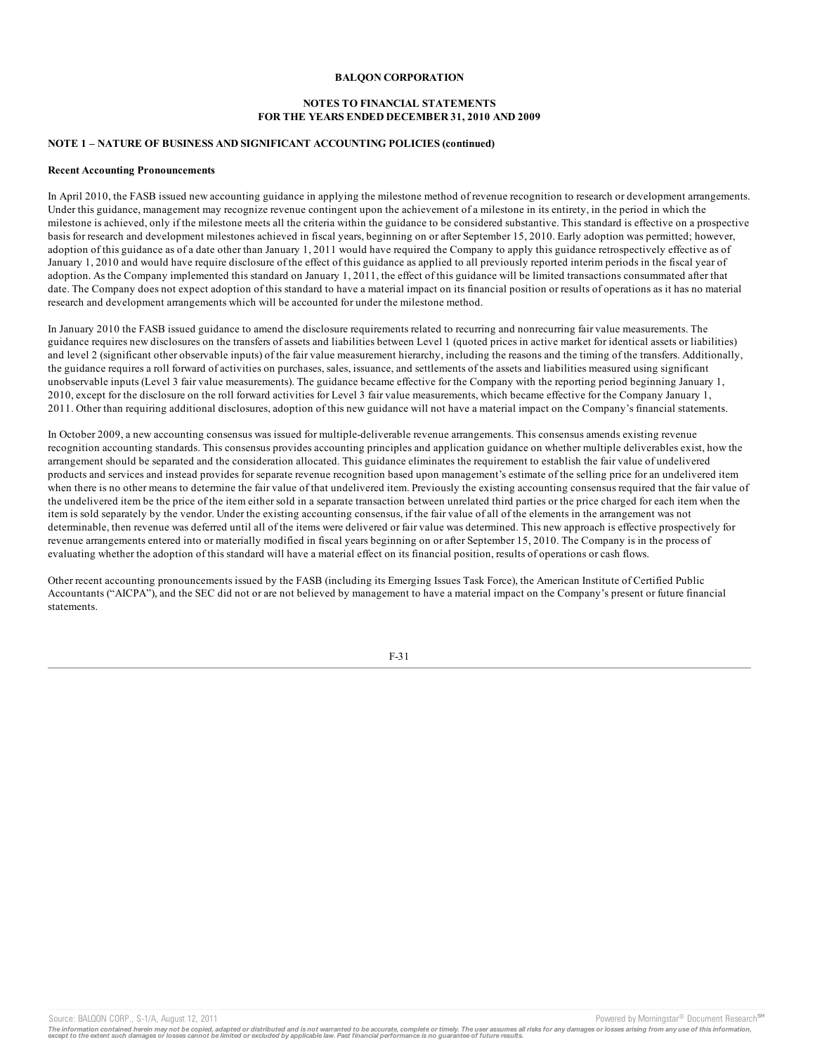#### **NOTES TO FINANCIAL STATEMENTS FOR THE YEARS ENDED DECEMBER 31, 2010 AND 2009**

### **NOTE 1 – NATURE OF BUSINESS AND SIGNIFICANT ACCOUNTING POLICIES (continued)**

#### **Recent Accounting Pronouncements**

In April 2010, the FASB issued new accounting guidance in applying the milestone method of revenue recognition to research or development arrangements. Under this guidance, management may recognize revenue contingent upon the achievement of a milestone in its entirety, in the period in which the milestone is achieved, only if the milestone meets all the criteria within the guidance to be considered substantive. This standard is effective on a prospective basis for research and development milestones achieved in fiscal years, beginning on or after September 15, 2010. Early adoption was permitted; however, adoption of this guidance as of a date other than January 1, 2011 would have required the Company to apply this guidance retrospectively effective as of January 1, 2010 and would have require disclosure of the effect of this guidance as applied to all previously reported interim periods in the fiscal year of adoption. As the Company implemented this standard on January 1, 2011, the effect of this guidance will be limited transactions consummated after that date. The Company does not expect adoption of this standard to have a material impact on its financial position or results of operations as it has no material research and development arrangements which will be accounted for under the milestone method.

In January 2010 the FASB issued guidance to amend the disclosure requirements related to recurring and nonrecurring fair value measurements. The guidance requires new disclosures on the transfers of assets and liabilities between Level 1 (quoted prices in active market for identical assets or liabilities) and level 2 (significant other observable inputs) of the fair value measurement hierarchy, including the reasons and the timing of the transfers. Additionally, the guidance requires a roll forward of activities on purchases, sales, issuance, and settlements of the assets and liabilities measured using significant unobservable inputs (Level 3 fair value measurements). The guidance became effective for the Company with the reporting period beginning January 1, 2010, except for the disclosure on the roll forward activities for Level 3 fair value measurements, which became effective for the Company January 1, 2011. Other than requiring additional disclosures, adoption of this new guidance will not have a material impact on the Company's financial statements.

In October 2009, a new accounting consensus was issued for multiple-deliverable revenue arrangements. This consensus amends existing revenue recognition accounting standards. This consensus provides accounting principles and application guidance on whether multiple deliverables exist, how the arrangement should be separated and the consideration allocated. This guidance eliminates the requirement to establish the fair value of undelivered products and services and instead provides for separate revenue recognition based upon management's estimate of the selling price for an undelivered item when there is no other means to determine the fair value of that undelivered item. Previously the existing accounting consensus required that the fair value of the undelivered item be the price of the item either sold in a separate transaction between unrelated third parties or the price charged for each item when the item is sold separately by the vendor. Under the existing accounting consensus, if the fair value of all of the elements in the arrangement was not determinable, then revenue was deferred until all of the items were delivered or fair value was determined. This new approach is effective prospectively for revenue arrangements entered into or materially modified in fiscal years beginning on or after September 15, 2010. The Company is in the process of evaluating whether the adoption of this standard will have a material effect on its financial position, results of operations or cash flows.

Other recent accounting pronouncements issued by the FASB (including its Emerging Issues Task Force), the American Institute of Certified Public Accountants ("AICPA"), and the SEC did not or are not believed by management to have a material impact on the Company's present or future financial statements.

F-31

Source: BALQON CORP., S-1/A, August 12, 2011 **Powered by Morningstar® Document Research** in Powered by Morningstar® Document Research in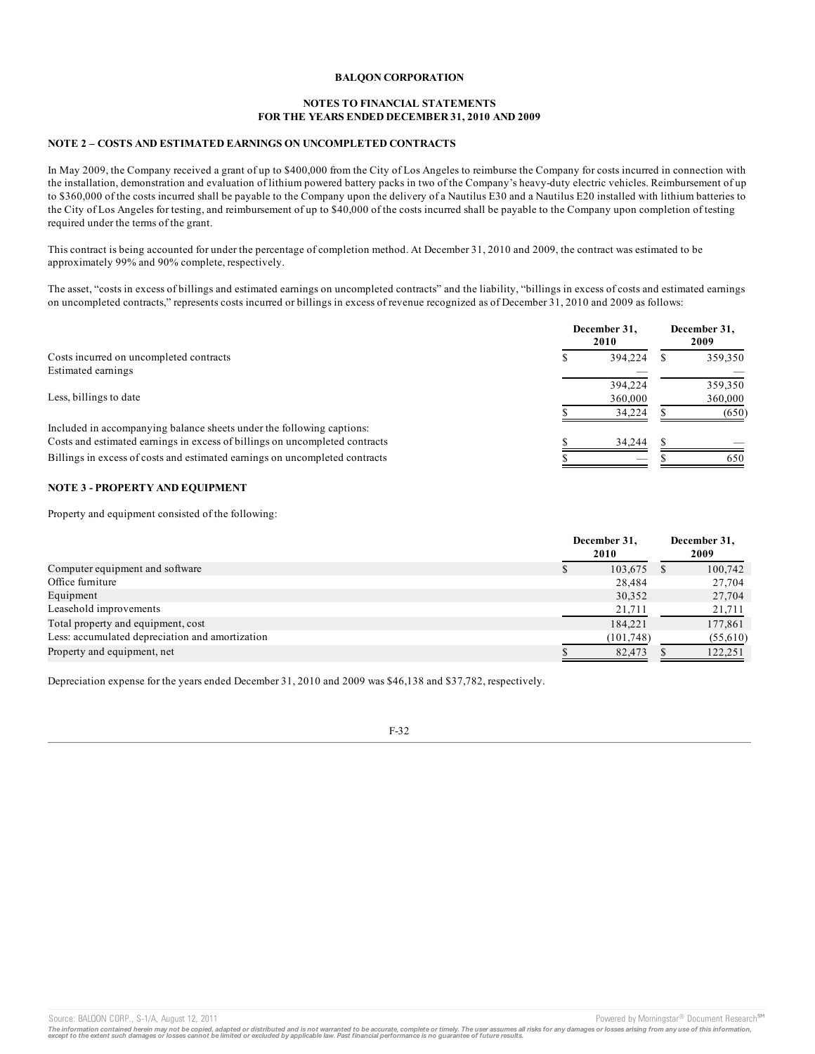### **NOTES TO FINANCIAL STATEMENTS FOR THE YEARS ENDED DECEMBER 31, 2010 AND 2009**

## **NOTE 2 – COSTS AND ESTIMATED EARNINGS ON UNCOMPLETED CONTRACTS**

In May 2009, the Company received a grant of up to \$400,000 from the City of Los Angeles to reimburse the Company for costs incurred in connection with the installation, demonstration and evaluation of lithium powered battery packs in two of the Company's heavy-duty electric vehicles. Reimbursement of up to \$360,000 of the costs incurred shall be payable to the Company upon the delivery of a Nautilus E30 and a Nautilus E20 installed with lithium batteries to the City of Los Angeles for testing, and reimbursement of up to \$40,000 of the costs incurred shall be payable to the Company upon completion of testing required under the terms of the grant.

This contract is being accounted for under the percentage of completion method. At December 31, 2010 and 2009, the contract was estimated to be approximately 99% and 90% complete, respectively.

The asset, "costs in excess of billings and estimated earnings on uncompleted contracts" and the liability, "billings in excess of costs and estimated earnings on uncompleted contracts," represents costs incurred or billings in excess of revenue recognized as of December 31, 2010 and 2009 as follows:

|                                                                             | December 31.<br>2010 | December 31.<br>2009 |
|-----------------------------------------------------------------------------|----------------------|----------------------|
| Costs incurred on uncompleted contracts                                     | 394.224              | 359,350              |
| Estimated earnings                                                          |                      |                      |
|                                                                             | 394.224              | 359,350              |
| Less, billings to date                                                      | 360,000              | 360,000              |
|                                                                             | 34,224               | (650)                |
| Included in accompanying balance sheets under the following captions:       |                      |                      |
| Costs and estimated earnings in excess of billings on uncompleted contracts | 34.244               |                      |
| Billings in excess of costs and estimated earnings on uncompleted contracts | ___                  | 650                  |

## **NOTE 3 - PROPERTY AND EQUIPMENT**

Property and equipment consisted of the following:

|                                                 | December 31,<br>2010 | December 31,<br>2009 |  |
|-------------------------------------------------|----------------------|----------------------|--|
| Computer equipment and software                 | 103.675              | 100.742              |  |
| Office furniture                                | 28.484               | 27,704               |  |
| Equipment                                       | 30.352               | 27,704               |  |
| Leasehold improvements                          | 21,711               | 21,711               |  |
| Total property and equipment, cost              | 184.221              | 177,861              |  |
| Less: accumulated depreciation and amortization | (101,748)            | (55,610)             |  |
| Property and equipment, net                     | 82,473               | 122,251              |  |

Depreciation expense for the years ended December 31, 2010 and 2009 was \$46,138 and \$37,782, respectively.

F-32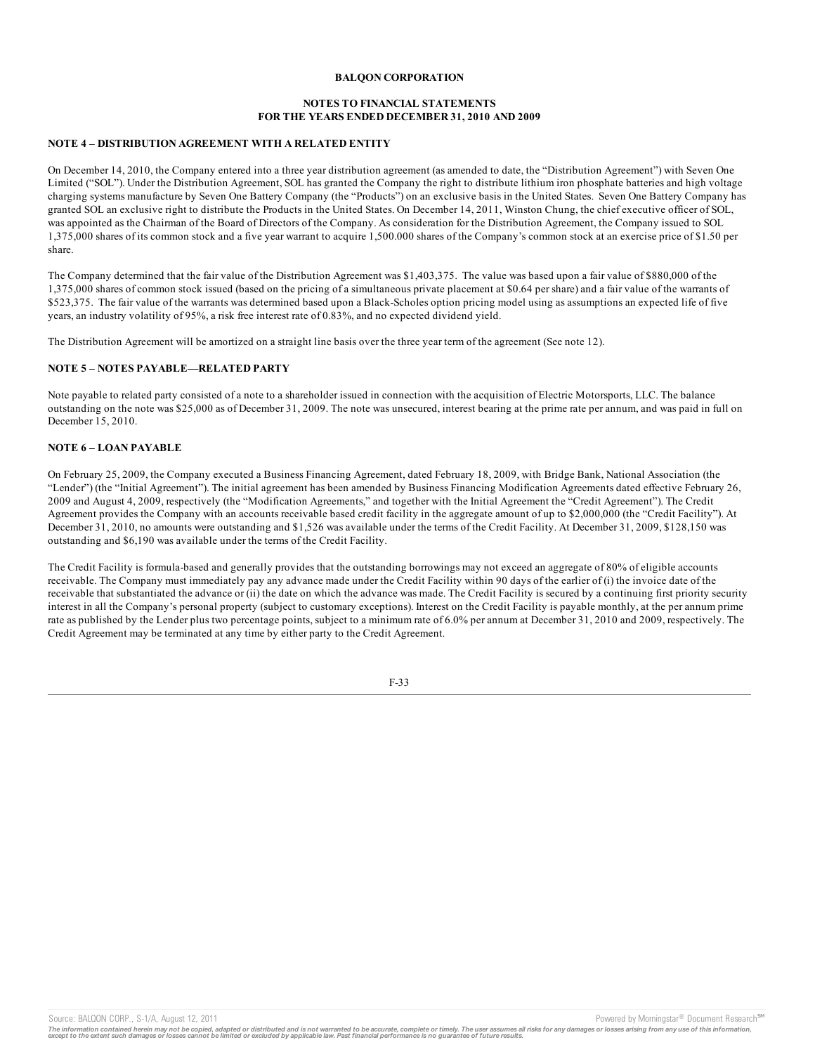### **NOTES TO FINANCIAL STATEMENTS FOR THE YEARS ENDED DECEMBER 31, 2010 AND 2009**

## **NOTE 4 – DISTRIBUTION AGREEMENT WITH A RELATED ENTITY**

On December 14, 2010, the Company entered into a three year distribution agreement (as amended to date, the "Distribution Agreement") with Seven One Limited ("SOL"). Under the Distribution Agreement, SOL has granted the Company the right to distribute lithium iron phosphate batteries and high voltage charging systems manufacture by Seven One Battery Company (the "Products") on an exclusive basis in the United States. Seven One Battery Company has granted SOL an exclusive right to distribute the Products in the United States. On December 14, 2011, Winston Chung, the chief executive officer of SOL, was appointed as the Chairman of the Board of Directors of the Company. As consideration for the Distribution Agreement, the Company issued to SOL 1,375,000 shares of its common stock and a five year warrant to acquire 1,500.000 shares of the Company's common stock at an exercise price of \$1.50 per share.

The Company determined that the fair value of the Distribution Agreement was \$1,403,375. The value was based upon a fair value of \$880,000 of the 1,375,000 shares of common stock issued (based on the pricing of a simultaneous private placement at \$0.64 per share) and a fair value of the warrants of \$523,375. The fair value of the warrants was determined based upon a Black-Scholes option pricing model using as assumptions an expected life of five years, an industry volatility of 95%, a risk free interest rate of 0.83%, and no expected dividend yield.

The Distribution Agreement will be amortized on a straight line basis over the three year term of the agreement (See note 12).

### **NOTE 5 – NOTES PAYABLE—RELATED PARTY**

Note payable to related party consisted of a note to a shareholder issued in connection with the acquisition of Electric Motorsports, LLC. The balance outstanding on the note was \$25,000 as of December 31, 2009. The note was unsecured, interest bearing at the prime rate per annum, and was paid in full on December 15, 2010.

## **NOTE 6 – LOAN PAYABLE**

On February 25, 2009, the Company executed a Business Financing Agreement, dated February 18, 2009, with Bridge Bank, National Association (the "Lender") (the "Initial Agreement"). The initial agreement has been amended by Business Financing Modification Agreements dated effective February 26, 2009 and August 4, 2009, respectively (the "Modification Agreements," and together with the Initial Agreement the "Credit Agreement"). The Credit Agreement provides the Company with an accounts receivable based credit facility in the aggregate amount of up to \$2,000,000 (the "Credit Facility"). At December 31, 2010, no amounts were outstanding and \$1,526 was available under the terms of the Credit Facility. At December 31, 2009, \$128,150 was outstanding and \$6,190 was available under the terms of the Credit Facility.

The Credit Facility is formula-based and generally provides that the outstanding borrowings may not exceed an aggregate of 80% of eligible accounts receivable. The Company must immediately pay any advance made under the Credit Facility within 90 days of the earlier of (i) the invoice date of the receivable that substantiated the advance or (ii) the date on which the advance was made. The Credit Facility is secured by a continuing first priority security interest in all the Company's personal property (subject to customary exceptions). Interest on the Credit Facility is payable monthly, at the per annum prime rate as published by the Lender plus two percentage points, subject to a minimum rate of 6.0% per annum at December 31, 2010 and 2009, respectively. The Credit Agreement may be terminated at any time by either party to the Credit Agreement.

F-33

Source: BALQON CORP., S-1/A, August 12, 2011 **Powered by Morningstar® Document Research** in Powered by Morningstar® Document Research in

The information contained herein may not be copied, adapted or distributed and is not warranted to be accurate, complete or timely. The user assumes all risks for any damages or losses arising from any use of this informat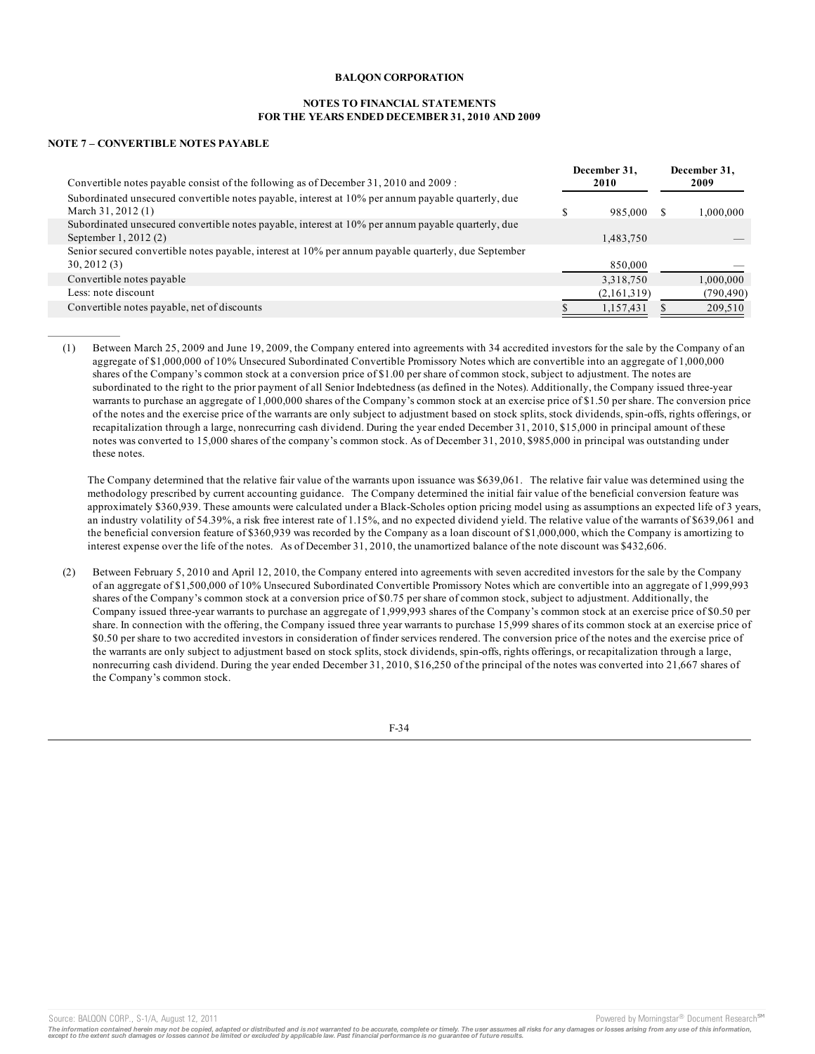### **NOTES TO FINANCIAL STATEMENTS FOR THE YEARS ENDED DECEMBER 31, 2010 AND 2009**

## **NOTE 7 – CONVERTIBLE NOTES PAYABLE**

| Convertible notes payable consist of the following as of December 31, 2010 and 2009:                 | December 31,<br>2010 | December 31.<br>2009 |
|------------------------------------------------------------------------------------------------------|----------------------|----------------------|
| Subordinated unsecured convertible notes payable, interest at 10% per annum payable quarterly, due   |                      |                      |
| March 31, 2012 (1)                                                                                   | 985.000              | 1,000,000            |
| Subordinated unsecured convertible notes payable, interest at 10% per annum payable quarterly, due   |                      |                      |
| September 1, 2012 (2)                                                                                | 1.483.750            |                      |
| Senior secured convertible notes payable, interest at 10% per annum payable quarterly, due September |                      |                      |
| 30, 2012(3)                                                                                          | 850,000              |                      |
| Convertible notes payable                                                                            | 3,318,750            | 1,000,000            |
| Less: note discount                                                                                  | (2,161,319)          | (790, 490)           |
| Convertible notes payable, net of discounts                                                          | 1,157,431            | 209,510              |

(1) Between March 25, 2009 and June 19, 2009, the Company entered into agreements with 34 accredited investors for the sale by the Company of an aggregate of \$1,000,000 of 10% Unsecured Subordinated Convertible Promissory Notes which are convertible into an aggregate of 1,000,000 shares of the Company's common stock at a conversion price of \$1.00 per share of common stock, subject to adjustment. The notes are subordinated to the right to the prior payment of all Senior Indebtedness (as defined in the Notes). Additionally, the Company issued three-year warrants to purchase an aggregate of 1,000,000 shares of the Company's common stock at an exercise price of \$1.50 per share. The conversion price of the notes and the exercise price of the warrants are only subject to adjustment based on stock splits, stock dividends, spin-offs, rights offerings, or recapitalization through a large, nonrecurring cash dividend. During the year ended December 31, 2010, \$15,000 in principal amount of these notes was converted to 15,000 shares of the company's common stock. As of December 31, 2010, \$985,000 in principal was outstanding under these notes.

The Company determined that the relative fair value of the warrants upon issuance was \$639,061. The relative fair value was determined using the methodology prescribed by current accounting guidance. The Company determined the initial fair value of the beneficial conversion feature was approximately \$360,939. These amounts were calculated under a Black-Scholes option pricing model using as assumptions an expected life of 3 years, an industry volatility of 54.39%, a risk free interest rate of 1.15%, and no expected dividend yield. The relative value of the warrants of \$639,061 and the beneficial conversion feature of \$360,939 was recorded by the Company as a loan discount of \$1,000,000, which the Company is amortizing to interest expense over the life of the notes. As of December 31, 2010, the unamortized balance of the note discount was \$432,606.

(2) Between February 5, 2010 and April 12, 2010, the Company entered into agreements with seven accredited investors for the sale by the Company of an aggregate of \$1,500,000 of 10% Unsecured Subordinated Convertible Promissory Notes which are convertible into an aggregate of 1,999,993 shares of the Company's common stock at a conversion price of \$0.75 per share of common stock, subject to adjustment. Additionally, the Company issued three-year warrants to purchase an aggregate of 1,999,993 shares of the Company's common stock at an exercise price of \$0.50 per share. In connection with the offering, the Company issued three year warrants to purchase 15,999 shares of its common stock at an exercise price of \$0.50 per share to two accredited investors in consideration of finder services rendered. The conversion price of the notes and the exercise price of the warrants are only subject to adjustment based on stock splits, stock dividends, spin-offs, rights offerings, or recapitalization through a large, nonrecurring cash dividend. During the year ended December 31, 2010, \$16,250 of the principal of the notes was converted into 21,667 shares of the Company's common stock.

F-34

Source: BALQON CORP., S-1/A, August 12, 2011 **Powered by Morningstar® Document Research** and the second powered by Morningstar<sup>®</sup> Document Research in

The information contained herein may not be copied, adapted or distributed and is not warranted to be accurate, complete or timely. The user assumes all risks for any damages or losses arising from any use of this informat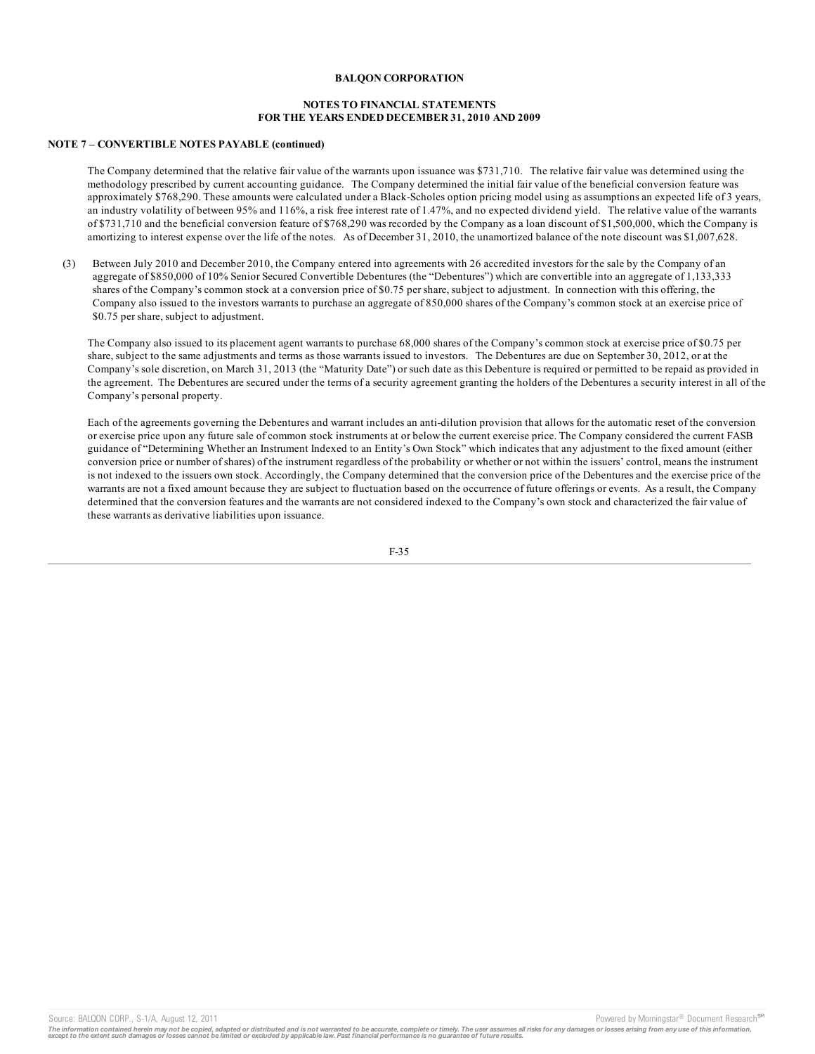#### **NOTES TO FINANCIAL STATEMENTS FOR THE YEARS ENDED DECEMBER 31, 2010 AND 2009**

#### **NOTE 7 – CONVERTIBLE NOTES PAYABLE (continued)**

The Company determined that the relative fair value of the warrants upon issuance was \$731,710. The relative fair value was determined using the methodology prescribed by current accounting guidance. The Company determined the initial fair value of the beneficial conversion feature was approximately \$768,290. These amounts were calculated under a Black-Scholes option pricing model using as assumptions an expected life of 3 years, an industry volatility of between 95% and 116%, a risk free interest rate of 1.47%, and no expected dividend yield. The relative value of the warrants of \$731,710 and the beneficial conversion feature of \$768,290 was recorded by the Company as a loan discount of \$1,500,000, which the Company is amortizing to interest expense over the life of the notes. As of December 31, 2010, the unamortized balance of the note discount was \$1,007,628.

(3) Between July 2010 and December 2010, the Company entered into agreements with 26 accredited investors for the sale by the Company of an aggregate of \$850,000 of 10% Senior Secured Convertible Debentures (the "Debentures") which are convertible into an aggregate of 1,133,333 shares of the Company's common stock at a conversion price of \$0.75 per share, subject to adjustment. In connection with this offering, the Company also issued to the investors warrants to purchase an aggregate of 850,000 shares of the Company's common stock at an exercise price of \$0.75 per share, subject to adjustment.

The Company also issued to its placement agent warrants to purchase 68,000 shares of the Company's common stock at exercise price of \$0.75 per share, subject to the same adjustments and terms as those warrants issued to investors. The Debentures are due on September 30, 2012, or at the Company's sole discretion, on March 31, 2013 (the "Maturity Date") or such date as this Debenture is required or permitted to be repaid as provided in the agreement. The Debentures are secured under the terms of a security agreement granting the holders of the Debentures a security interest in all of the Company's personal property.

Each of the agreements governing the Debentures and warrant includes an anti-dilution provision that allows for the automatic reset of the conversion or exercise price upon any future sale of common stock instruments at or below the current exercise price. The Company considered the current FASB guidance of "Determining Whether an Instrument Indexed to an Entity's Own Stock" which indicates that any adjustment to the fixed amount (either conversion price or number of shares) of the instrument regardless of the probability or whether or not within the issuers' control, means the instrument is not indexed to the issuers own stock. Accordingly, the Company determined that the conversion price of the Debentures and the exercise price of the warrants are not a fixed amount because they are subject to fluctuation based on the occurrence of future offerings or events. As a result, the Company determined that the conversion features and the warrants are not considered indexed to the Company's own stock and characterized the fair value of these warrants as derivative liabilities upon issuance.

$$
F-35
$$

The information contained herein may not be copied, adapted or distributed and is not warranted to be accurate, complete or timely. The user assumes all risks for any damages or losses arising from any use of this informat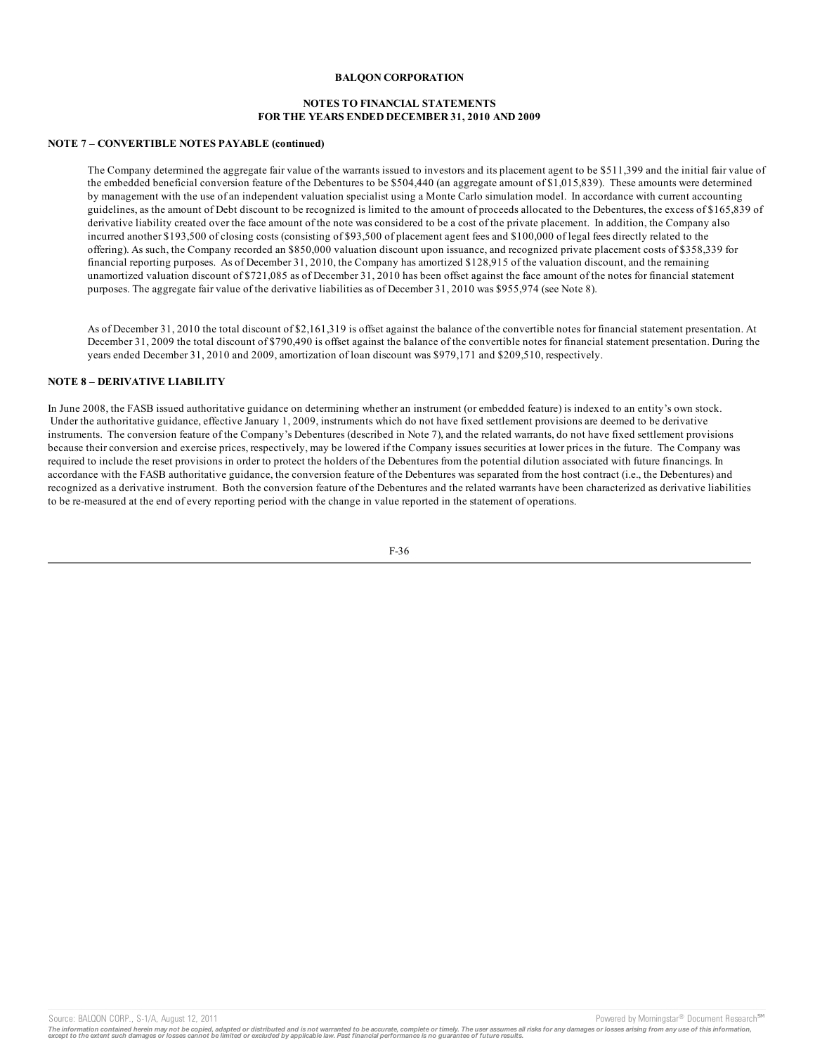### **NOTES TO FINANCIAL STATEMENTS FOR THE YEARS ENDED DECEMBER 31, 2010 AND 2009**

### **NOTE 7 – CONVERTIBLE NOTES PAYABLE (continued)**

The Company determined the aggregate fair value of the warrants issued to investors and its placement agent to be \$511,399 and the initial fair value of the embedded beneficial conversion feature of the Debentures to be \$504,440 (an aggregate amount of \$1,015,839). These amounts were determined by management with the use of an independent valuation specialist using a Monte Carlo simulation model. In accordance with current accounting guidelines, as the amount of Debt discount to be recognized is limited to the amount of proceeds allocated to the Debentures, the excess of \$165,839 of derivative liability created over the face amount of the note was considered to be a cost of the private placement. In addition, the Company also incurred another \$193,500 of closing costs (consisting of \$93,500 of placement agent fees and \$100,000 of legal fees directly related to the offering). As such, the Company recorded an \$850,000 valuation discount upon issuance, and recognized private placement costs of \$358,339 for financial reporting purposes. As of December 31, 2010, the Company has amortized \$128,915 of the valuation discount, and the remaining unamortized valuation discount of \$721,085 as of December 31, 2010 has been offset against the face amount of the notes for financial statement purposes. The aggregate fair value of the derivative liabilities as of December 31, 2010 was \$955,974 (see Note 8).

As of December 31, 2010 the total discount of \$2,161,319 is offset against the balance of the convertible notes for financial statement presentation. At December 31, 2009 the total discount of \$790,490 is offset against the balance of the convertible notes for financial statement presentation. During the years ended December 31, 2010 and 2009, amortization of loan discount was \$979,171 and \$209,510, respectively.

## **NOTE 8 – DERIVATIVE LIABILITY**

In June 2008, the FASB issued authoritative guidance on determining whether an instrument (or embedded feature) is indexed to an entity's own stock. Under the authoritative guidance, effective January 1, 2009, instruments which do not have fixed settlement provisions are deemed to be derivative instruments. The conversion feature of the Company's Debentures (described in Note 7), and the related warrants, do not have fixed settlement provisions because their conversion and exercise prices, respectively, may be lowered if the Company issues securities at lower prices in the future. The Company was required to include the reset provisions in order to protect the holders of the Debentures from the potential dilution associated with future financings. In accordance with the FASB authoritative guidance, the conversion feature of the Debentures was separated from the host contract (i.e., the Debentures) and recognized as a derivative instrument. Both the conversion feature of the Debentures and the related warrants have been characterized as derivative liabilities to be re-measured at the end of every reporting period with the change in value reported in the statement of operations.

$$
F-36
$$

Source: BALQON CORP., S-1/A, August 12, 2011 **Powered by Morningstar® Document Research** in Powered by Morningstar® Document Research in

The information contained herein may not be copied, adapted or distributed and is not warranted to be accurate, complete or timely. The user assumes all risks for any damages or losses arising from any use of this informat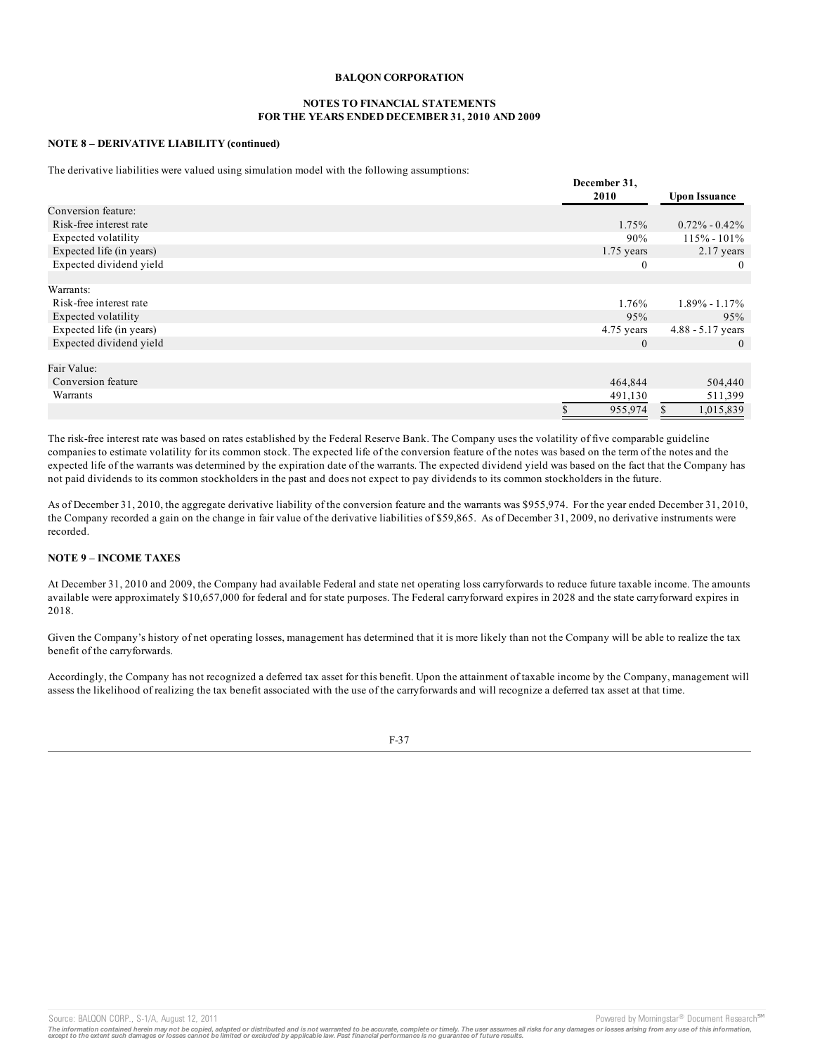#### **NOTES TO FINANCIAL STATEMENTS FOR THE YEARS ENDED DECEMBER 31, 2010 AND 2009**

# **NOTE 8 – DERIVATIVE LIABILITY (continued)**

The derivative liabilities were valued using simulation model with the following assumptions:

|                          | December 31,<br>2010 | <b>Upon Issuance</b> |
|--------------------------|----------------------|----------------------|
| Conversion feature:      |                      |                      |
| Risk-free interest rate  | 1.75%                | $0.72\% - 0.42\%$    |
| Expected volatility      | 90%                  | $115\% - 101\%$      |
| Expected life (in years) | $1.75$ years         | $2.17$ years         |
| Expected dividend yield  | $\mathbf{0}$         | $\bf{0}$             |
| Warrants:                |                      |                      |
| Risk-free interest rate  | 1.76%                | $1.89\% - 1.17\%$    |
| Expected volatility      | 95%                  | 95%                  |
| Expected life (in years) | 4.75 years           | $4.88 - 5.17$ years  |
| Expected dividend yield  | $\mathbf{0}$         | $\Omega$             |
| Fair Value:              |                      |                      |
| Conversion feature       | 464,844              | 504,440              |
| Warrants                 | 491,130              | 511,399              |
|                          | 955,974              | \$<br>1,015,839      |

The risk-free interest rate was based on rates established by the Federal Reserve Bank. The Company uses the volatility of five comparable guideline companies to estimate volatility for its common stock. The expected life of the conversion feature of the notes was based on the term of the notes and the expected life of the warrants was determined by the expiration date of the warrants. The expected dividend yield was based on the fact that the Company has not paid dividends to its common stockholders in the past and does not expect to pay dividends to its common stockholders in the future.

As of December 31, 2010, the aggregate derivative liability of the conversion feature and the warrants was \$955,974. For the year ended December 31, 2010, the Company recorded a gain on the change in fair value of the derivative liabilities of \$59,865. As of December 31, 2009, no derivative instruments were recorded.

## **NOTE 9 – INCOME TAXES**

At December 31, 2010 and 2009, the Company had available Federal and state net operating loss carryforwards to reduce future taxable income. The amounts available were approximately \$10,657,000 for federal and for state purposes. The Federal carryforward expires in 2028 and the state carryforward expires in 2018.

Given the Company's history of net operating losses, management has determined that it is more likely than not the Company will be able to realize the tax benefit of the carryforwards.

Accordingly, the Company has not recognized a deferred tax asset for this benefit. Upon the attainment of taxable income by the Company, management will assess the likelihood of realizing the tax benefit associated with the use of the carryforwards and will recognize a deferred tax asset at that time.

#### F-37

Source: BALQON CORP., S-1/A, August 12, 2011 **Powered by Morningstar® Document Research** in Powered by Morningstar® Document Research in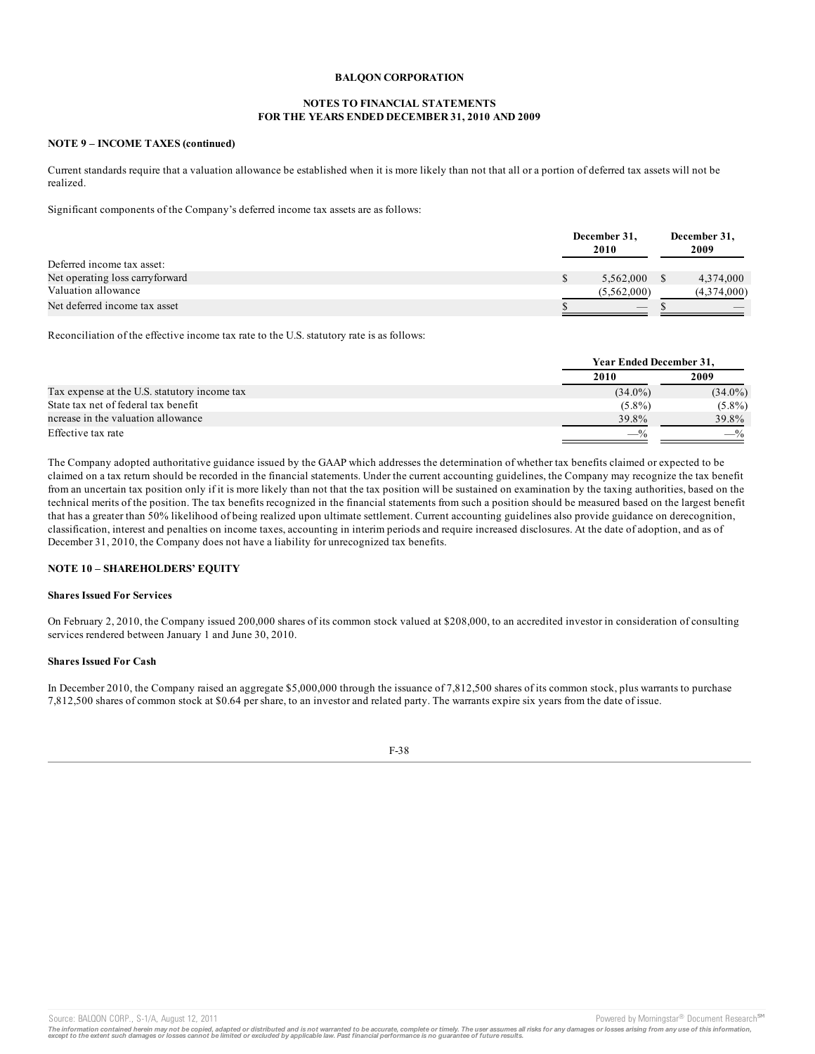#### **NOTES TO FINANCIAL STATEMENTS FOR THE YEARS ENDED DECEMBER 31, 2010 AND 2009**

### **NOTE 9 – INCOME TAXES (continued)**

Current standards require that a valuation allowance be established when it is more likely than not that all or a portion of deferred tax assets will not be realized.

Significant components of the Company's deferred income tax assets are as follows:

|                                  | December 31,<br>2010 | December 31,<br>2009 |
|----------------------------------|----------------------|----------------------|
| Deferred income tax asset:       |                      |                      |
| Net operating loss carry forward | 5.562.000            | 4,374,000            |
| Valuation allowance              | (5,562,000)          | (4,374,000)          |
| Net deferred income tax asset    |                      |                      |

Reconciliation of the effective income tax rate to the U.S. statutory rate is as follows:

|                                              |                            | <b>Year Ended December 31.</b> |  |  |
|----------------------------------------------|----------------------------|--------------------------------|--|--|
|                                              | 2010                       | 2009                           |  |  |
| Tax expense at the U.S. statutory income tax | $(34.0\%)$                 | $(34.0\%)$                     |  |  |
| State tax net of federal tax benefit         | $(5.8\%)$                  | $(5.8\%)$                      |  |  |
| ncrease in the valuation allowance           | 39.8%                      | 39.8%                          |  |  |
| Effective tax rate                           | $-$ <sup>0</sup> / $\cdot$ | $-$ %                          |  |  |

The Company adopted authoritative guidance issued by the GAAP which addresses the determination of whether tax benefits claimed or expected to be claimed on a tax return should be recorded in the financial statements. Under the current accounting guidelines, the Company may recognize the tax benefit from an uncertain tax position only if it is more likely than not that the tax position will be sustained on examination by the taxing authorities, based on the technical merits of the position. The tax benefits recognized in the financial statements from such a position should be measured based on the largest benefit that has a greater than 50% likelihood of being realized upon ultimate settlement. Current accounting guidelines also provide guidance on derecognition, classification, interest and penalties on income taxes, accounting in interim periods and require increased disclosures. At the date of adoption, and as of December 31, 2010, the Company does not have a liability for unrecognized tax benefits.

## **NOTE 10 – SHAREHOLDERS' EQUITY**

### **Shares Issued For Services**

On February 2, 2010, the Company issued 200,000 shares of its common stock valued at \$208,000, to an accredited investor in consideration of consulting services rendered between January 1 and June 30, 2010.

### **Shares Issued For Cash**

In December 2010, the Company raised an aggregate \$5,000,000 through the issuance of 7,812,500 shares of its common stock, plus warrants to purchase 7,812,500 shares of common stock at \$0.64 per share, to an investor and related party. The warrants expire six years from the date of issue.

F-38

Source: BALQON CORP., S-1/A, August 12, 2011 **Powered by Morningstar® Document Research** stream of the second stream of the second stream of the second stream of the second stream of the second stream of the second stream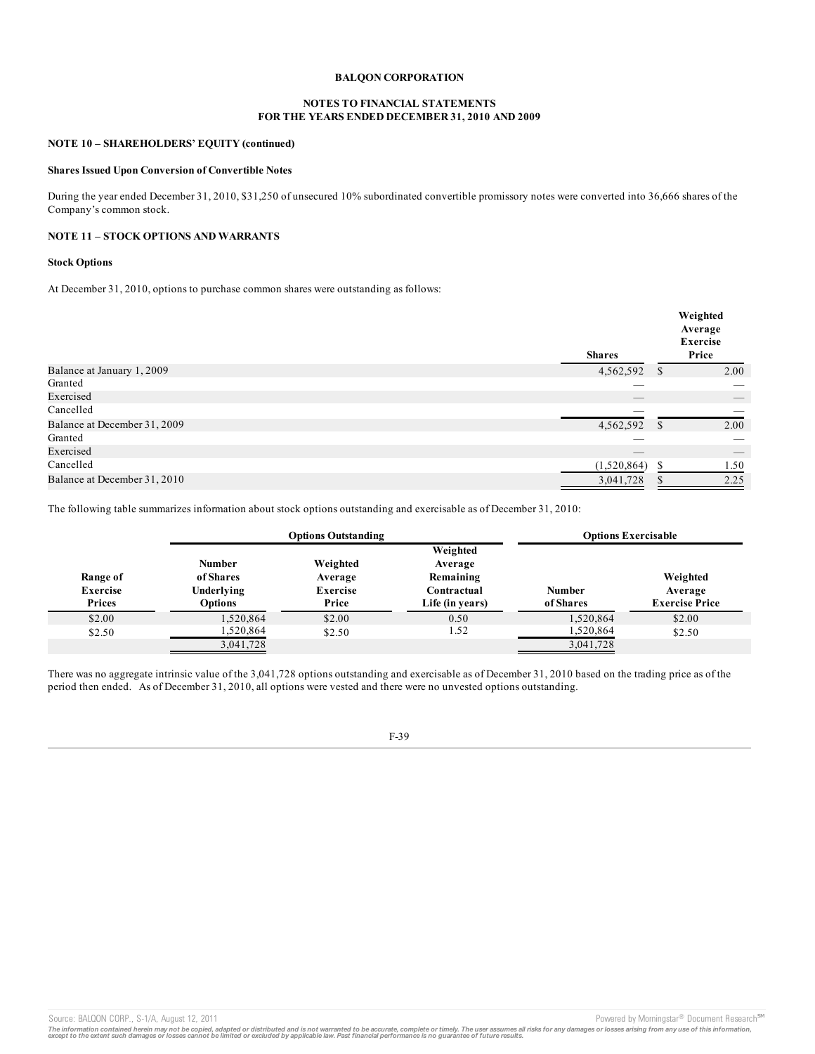#### **NOTES TO FINANCIAL STATEMENTS FOR THE YEARS ENDED DECEMBER 31, 2010 AND 2009**

## **NOTE 10 – SHAREHOLDERS' EQUITY (continued)**

## **Shares Issued Upon Conversion of Convertible Notes**

During the year ended December 31, 2010, \$31,250 of unsecured 10% subordinated convertible promissory notes were converted into 36,666 shares of the Company's common stock.

### **NOTE 11 – STOCK OPTIONS AND WARRANTS**

### **Stock Options**

At December 31, 2010, options to purchase common shares were outstanding as follows:

|                              | <b>Shares</b>            | Weighted<br>Average<br>Exercise<br>Price |
|------------------------------|--------------------------|------------------------------------------|
| Balance at January 1, 2009   | 4,562,592                | \$<br>2.00                               |
| Granted                      | __                       | __                                       |
| Exercised                    |                          | $\hspace{0.1mm}-\hspace{0.1mm}$          |
| Cancelled                    | __                       | __                                       |
| Balance at December 31, 2009 | 4,562,592                | \$<br>2.00                               |
| Granted                      |                          |                                          |
| Exercised                    | $\overline{\phantom{a}}$ |                                          |
| Cancelled                    | (1,520,864)              | \$<br>1.50                               |
| Balance at December 31, 2010 | 3,041,728                | 2.25                                     |

The following table summarizes information about stock options outstanding and exercisable as of December 31, 2010:

|                                       | <b>Options Outstanding</b>                          |                                          | <b>Options Exercisable</b>                                         |                            |                                              |
|---------------------------------------|-----------------------------------------------------|------------------------------------------|--------------------------------------------------------------------|----------------------------|----------------------------------------------|
| Range of<br>Exercise<br><b>Prices</b> | <b>Number</b><br>of Shares<br>Underlying<br>Options | Weighted<br>Average<br>Exercise<br>Price | Weighted<br>Average<br>Remaining<br>Contractual<br>Life (in years) | <b>Number</b><br>of Shares | Weighted<br>Average<br><b>Exercise Price</b> |
| \$2.00                                | 1,520,864                                           | \$2.00                                   | 0.50                                                               | 1,520,864                  | \$2.00                                       |
| \$2.50                                | 1,520,864                                           | \$2.50                                   | 1.52                                                               | 1,520,864                  | \$2.50                                       |
|                                       | 3,041,728                                           |                                          |                                                                    | 3,041,728                  |                                              |

There was no aggregate intrinsic value of the 3,041,728 options outstanding and exercisable as of December 31, 2010 based on the trading price as of the period then ended. As of December 31, 2010, all options were vested and there were no unvested options outstanding.

F-39

Source: BALQON CORP., S-1/A, August 12, 2011 **Powered by Morningstar® Document Research** in Powered by Morningstar® Document Research in

The information contained herein may not be copied, adapted or distributed and is not warranted to be accurate, complete or timely. The user assumes all risks for any damages or losses arising from any use of this informat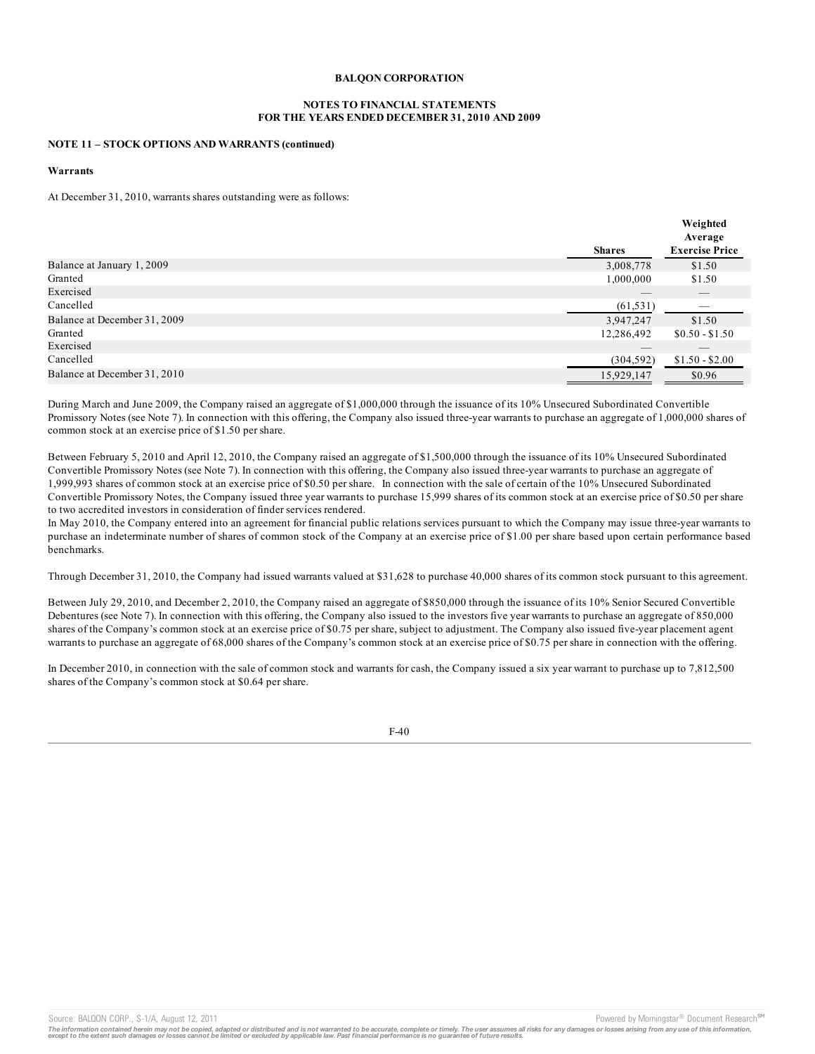### **NOTES TO FINANCIAL STATEMENTS FOR THE YEARS ENDED DECEMBER 31, 2010 AND 2009**

#### **NOTE 11 – STOCK OPTIONS AND WARRANTS (continued)**

#### **Warrants**

At December 31, 2010, warrants shares outstanding were as follows:

|                              |               | Weighted<br>Average      |
|------------------------------|---------------|--------------------------|
|                              | <b>Shares</b> | <b>Exercise Price</b>    |
| Balance at January 1, 2009   | 3,008,778     | \$1.50                   |
| Granted                      | 1,000,000     | \$1.50                   |
| Exercised                    |               |                          |
| Cancelled                    | (61, 531)     | $\overline{\phantom{a}}$ |
| Balance at December 31, 2009 | 3,947,247     | \$1.50                   |
| Granted                      | 12,286,492    | $$0.50 - $1.50$          |
| Exercised                    |               |                          |
| Cancelled                    | (304, 592)    | $$1.50 - $2.00$          |
| Balance at December 31, 2010 | 15,929,147    | \$0.96                   |

During March and June 2009, the Company raised an aggregate of \$1,000,000 through the issuance of its 10% Unsecured Subordinated Convertible Promissory Notes (see Note 7). In connection with this offering, the Company also issued three-year warrants to purchase an aggregate of 1,000,000 shares of common stock at an exercise price of \$1.50 per share.

Between February 5, 2010 and April 12, 2010, the Company raised an aggregate of \$1,500,000 through the issuance of its 10% Unsecured Subordinated Convertible Promissory Notes (see Note 7). In connection with this offering, the Company also issued three-year warrants to purchase an aggregate of 1,999,993 shares of common stock at an exercise price of \$0.50 per share. In connection with the sale of certain of the 10% Unsecured Subordinated Convertible Promissory Notes, the Company issued three year warrants to purchase 15,999 shares of its common stock at an exercise price of \$0.50 per share to two accredited investors in consideration of finder services rendered.

In May 2010, the Company entered into an agreement for financial public relations services pursuant to which the Company may issue three-year warrants to purchase an indeterminate number of shares of common stock of the Company at an exercise price of \$1.00 per share based upon certain performance based benchmarks.

Through December 31, 2010, the Company had issued warrants valued at \$31,628 to purchase 40,000 shares of its common stock pursuant to this agreement.

Between July 29, 2010, and December 2, 2010, the Company raised an aggregate of \$850,000 through the issuance of its 10% Senior Secured Convertible Debentures (see Note 7). In connection with this offering, the Company also issued to the investors five year warrants to purchase an aggregate of 850,000 shares of the Company's common stock at an exercise price of \$0.75 per share, subject to adjustment. The Company also issued five-year placement agent warrants to purchase an aggregate of 68,000 shares of the Company's common stock at an exercise price of \$0.75 per share in connection with the offering.

In December 2010, in connection with the sale of common stock and warrants for cash, the Company issued a six year warrant to purchase up to 7,812,500 shares of the Company's common stock at \$0.64 per share.

F-40

Source: BALQON CORP., S-1/A, August 12, 2011 **Powered by Morningstar® Document Research** <sup>5M</sup>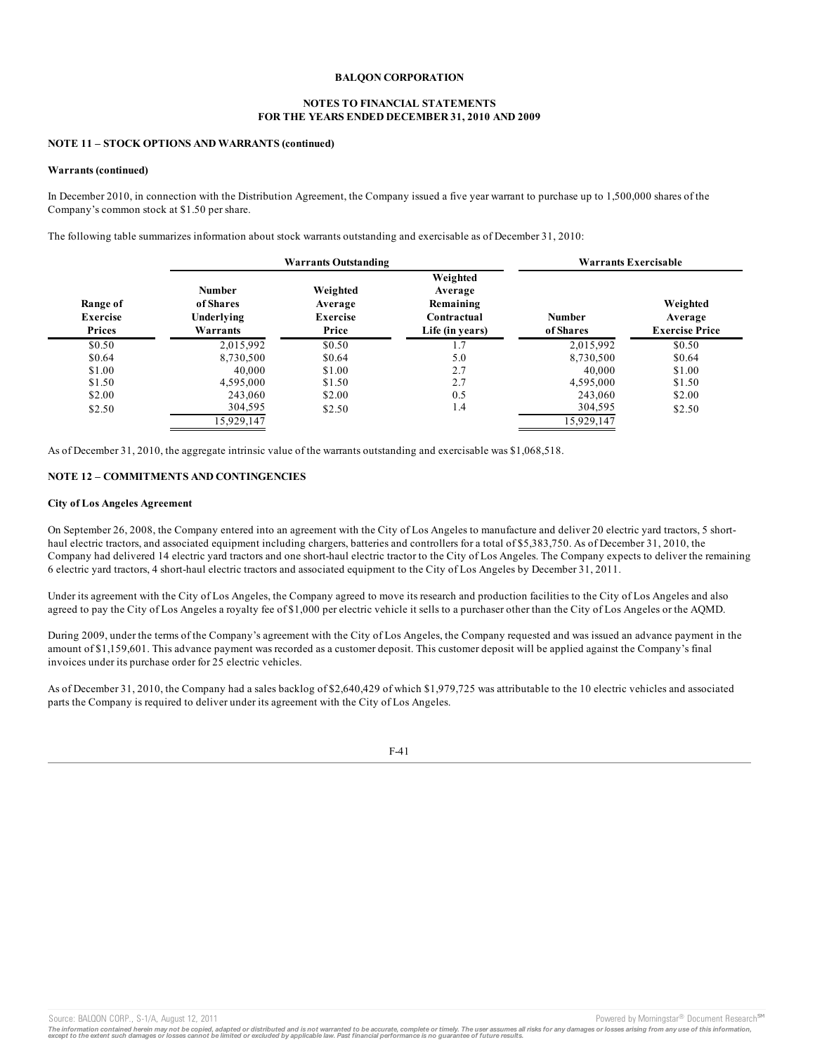#### **NOTES TO FINANCIAL STATEMENTS FOR THE YEARS ENDED DECEMBER 31, 2010 AND 2009**

### **NOTE 11 – STOCK OPTIONS AND WARRANTS (continued)**

#### **Warrants (continued)**

In December 2010, in connection with the Distribution Agreement, the Company issued a five year warrant to purchase up to 1,500,000 shares of the Company's common stock at \$1.50 per share.

The following table summarizes information about stock warrants outstanding and exercisable as of December 31, 2010:

|                                | <b>Warrants Outstanding</b>                          |                                          | <b>Warrants Exercisable</b>                                        |                            |                                              |
|--------------------------------|------------------------------------------------------|------------------------------------------|--------------------------------------------------------------------|----------------------------|----------------------------------------------|
| Range of<br>Exercise<br>Prices | <b>Number</b><br>of Shares<br>Underlying<br>Warrants | Weighted<br>Average<br>Exercise<br>Price | Weighted<br>Average<br>Remaining<br>Contractual<br>Life (in years) | <b>Number</b><br>of Shares | Weighted<br>Average<br><b>Exercise Price</b> |
| \$0.50                         | 2,015,992                                            | \$0.50                                   | 1.7                                                                | 2,015,992                  | \$0.50                                       |
| \$0.64                         | 8.730.500                                            | \$0.64                                   | 5.0                                                                | 8,730,500                  | \$0.64                                       |
| \$1.00                         | 40,000                                               | \$1.00                                   | 2.7                                                                | 40,000                     | \$1.00                                       |
| \$1.50                         | 4,595,000                                            | \$1.50                                   | 2.7                                                                | 4,595,000                  | \$1.50                                       |
| \$2.00                         | 243,060                                              | \$2.00                                   | 0.5                                                                | 243,060                    | \$2.00                                       |
| \$2.50                         | 304,595                                              | \$2.50                                   | 1.4                                                                | 304,595                    | \$2.50                                       |
|                                | 15,929,147                                           |                                          |                                                                    | 15,929,147                 |                                              |

As of December 31, 2010, the aggregate intrinsic value of the warrants outstanding and exercisable was \$1,068,518.

## **NOTE 12 – COMMITMENTS AND CONTINGENCIES**

### **City of Los Angeles Agreement**

On September 26, 2008, the Company entered into an agreement with the City of Los Angeles to manufacture and deliver 20 electric yard tractors, 5 shorthaul electric tractors, and associated equipment including chargers, batteries and controllers for a total of \$5,383,750. As of December 31, 2010, the Company had delivered 14 electric yard tractors and one short-haul electric tractor to the City of Los Angeles. The Company expects to deliver the remaining 6 electric yard tractors, 4 short-haul electric tractors and associated equipment to the City of Los Angeles by December 31, 2011.

Under its agreement with the City of Los Angeles, the Company agreed to move its research and production facilities to the City of Los Angeles and also agreed to pay the City of Los Angeles a royalty fee of \$1,000 per electric vehicle it sells to a purchaser other than the City of Los Angeles or the AQMD.

During 2009, under the terms of the Company's agreement with the City of Los Angeles, the Company requested and was issued an advance payment in the amount of \$1,159,601. This advance payment was recorded as a customer deposit. This customer deposit will be applied against the Company's final invoices under its purchase order for 25 electric vehicles.

As of December 31, 2010, the Company had a sales backlog of \$2,640,429 of which \$1,979,725 was attributable to the 10 electric vehicles and associated parts the Company is required to deliver under its agreement with the City of Los Angeles.

### F-41

Source: BALQON CORP., S-1/A, August 12, 2011 **Powered by Morningstar® Document Research** in Powered by Morningstar® Document Research in

The information contained herein may not be copied, adapted or distributed and is not warranted to be accurate, complete or timely. The user assumes all risks for any damages or losses arising from any use of this informat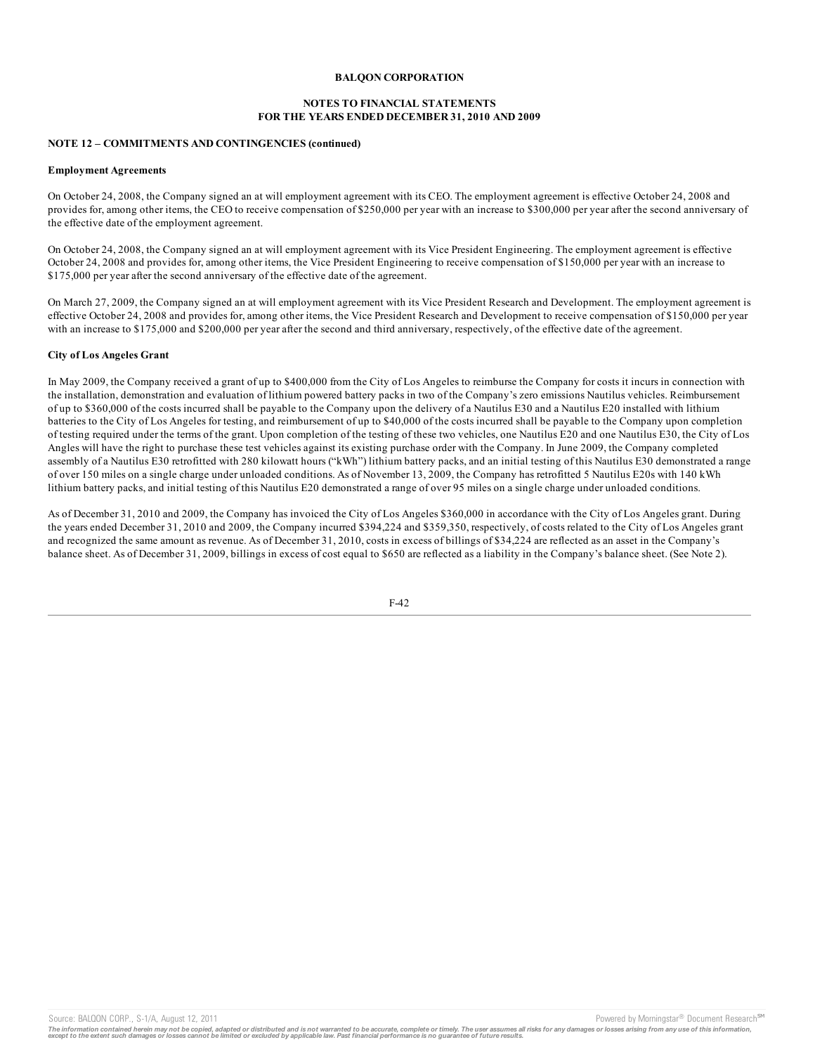#### **NOTES TO FINANCIAL STATEMENTS FOR THE YEARS ENDED DECEMBER 31, 2010 AND 2009**

### **NOTE 12 – COMMITMENTS AND CONTINGENCIES (continued)**

## **Employment Agreements**

On October 24, 2008, the Company signed an at will employment agreement with its CEO. The employment agreement is effective October 24, 2008 and provides for, among other items, the CEO to receive compensation of \$250,000 per year with an increase to \$300,000 per year after the second anniversary of the effective date of the employment agreement.

On October 24, 2008, the Company signed an at will employment agreement with its Vice President Engineering. The employment agreement is effective October 24, 2008 and provides for, among other items, the Vice President Engineering to receive compensation of \$150,000 per year with an increase to \$175,000 per year after the second anniversary of the effective date of the agreement.

On March 27, 2009, the Company signed an at will employment agreement with its Vice President Research and Development. The employment agreement is effective October 24, 2008 and provides for, among other items, the Vice President Research and Development to receive compensation of \$150,000 per year with an increase to \$175,000 and \$200,000 per year after the second and third anniversary, respectively, of the effective date of the agreement.

### **City of Los Angeles Grant**

In May 2009, the Company received a grant of up to \$400,000 from the City of Los Angeles to reimburse the Company for costs it incurs in connection with the installation, demonstration and evaluation of lithium powered battery packs in two of the Company's zero emissions Nautilus vehicles. Reimbursement of up to \$360,000 of the costs incurred shall be payable to the Company upon the delivery of a Nautilus E30 and a Nautilus E20 installed with lithium batteries to the City of Los Angeles for testing, and reimbursement of up to \$40,000 of the costs incurred shall be payable to the Company upon completion of testing required under the terms of the grant. Upon completion of the testing of these two vehicles, one Nautilus E20 and one Nautilus E30, the City of Los Angles will have the right to purchase these test vehicles against its existing purchase order with the Company. In June 2009, the Company completed assembly of a Nautilus E30 retrofitted with 280 kilowatt hours ("kWh") lithium battery packs, and an initial testing of this Nautilus E30 demonstrated a range of over 150 miles on a single charge under unloaded conditions. As of November 13, 2009, the Company has retrofitted 5 Nautilus E20s with 140 kWh lithium battery packs, and initial testing of this Nautilus E20 demonstrated a range of over 95 miles on a single charge under unloaded conditions.

As of December 31, 2010 and 2009, the Company has invoiced the City of Los Angeles \$360,000 in accordance with the City of Los Angeles grant. During the years ended December 31, 2010 and 2009, the Company incurred \$394,224 and \$359,350, respectively, of costs related to the City of Los Angeles grant and recognized the same amount as revenue. As of December 31, 2010, costs in excess of billings of \$34,224 are reflected as an asset in the Company's balance sheet. As of December 31, 2009, billings in excess of cost equal to \$650 are reflected as a liability in the Company's balance sheet. (See Note 2).

F-42

The information contained herein may not be copied, adapted or distributed and is not warranted to be accurate, complete or timely. The user assumes all risks for any damages or losses arising from any use of this informat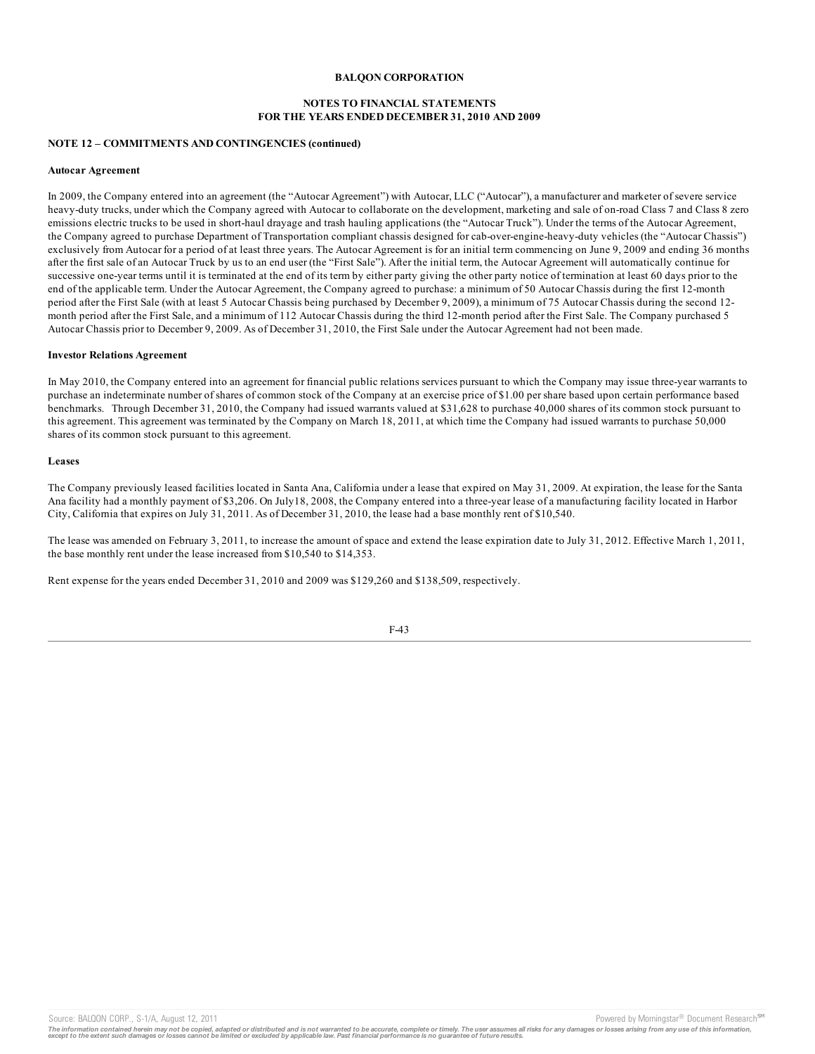#### **NOTES TO FINANCIAL STATEMENTS FOR THE YEARS ENDED DECEMBER 31, 2010 AND 2009**

#### **NOTE 12 – COMMITMENTS AND CONTINGENCIES (continued)**

#### **Autocar Agreement**

In 2009, the Company entered into an agreement (the "Autocar Agreement") with Autocar, LLC ("Autocar"), a manufacturer and marketer of severe service heavy-duty trucks, under which the Company agreed with Autocar to collaborate on the development, marketing and sale of on-road Class 7 and Class 8 zero emissions electric trucks to be used in short-haul drayage and trash hauling applications (the "Autocar Truck"). Under the terms of the Autocar Agreement, the Company agreed to purchase Department of Transportation compliant chassis designed for cab-over-engine-heavy-duty vehicles (the "Autocar Chassis") exclusively from Autocar for a period of at least three years. The Autocar Agreement is for an initial term commencing on June 9, 2009 and ending 36 months after the first sale of an Autocar Truck by us to an end user (the "First Sale"). After the initial term, the Autocar Agreement will automatically continue for successive one-year terms until it is terminated at the end of its term by either party giving the other party notice of termination at least 60 days prior to the end of the applicable term. Under the Autocar Agreement, the Company agreed to purchase: a minimum of 50 Autocar Chassis during the first 12-month period after the First Sale (with at least 5 Autocar Chassis being purchased by December 9, 2009), a minimum of 75 Autocar Chassis during the second 12 month period after the First Sale, and a minimum of 112 Autocar Chassis during the third 12-month period after the First Sale. The Company purchased 5 Autocar Chassis prior to December 9, 2009. As of December 31, 2010, the First Sale under the Autocar Agreement had not been made.

#### **Investor Relations Agreement**

In May 2010, the Company entered into an agreement for financial public relations services pursuant to which the Company may issue three-year warrants to purchase an indeterminate number of shares of common stock of the Company at an exercise price of \$1.00 per share based upon certain performance based benchmarks. Through December 31, 2010, the Company had issued warrants valued at \$31,628 to purchase 40,000 shares of its common stock pursuant to this agreement. This agreement was terminated by the Company on March 18, 2011, at which time the Company had issued warrants to purchase 50,000 shares of its common stock pursuant to this agreement.

## **Leases**

The Company previously leased facilities located in Santa Ana, California under a lease that expired on May 31, 2009. At expiration, the lease for the Santa Ana facility had a monthly payment of \$3,206. On July18, 2008, the Company entered into a three-year lease of a manufacturing facility located in Harbor City, California that expires on July 31, 2011. As of December 31, 2010, the lease had a base monthly rent of \$10,540.

The lease was amended on February 3, 2011, to increase the amount of space and extend the lease expiration date to July 31, 2012. Effective March 1, 2011, the base monthly rent under the lease increased from \$10,540 to \$14,353.

Rent expense for the years ended December 31, 2010 and 2009 was \$129,260 and \$138,509, respectively.

$$
F-43
$$

Source: BALQON CORP., S-1/A, August 12, 2011 **Powered by Morningstar® Document Research** in Powered by Morningstar® Document Research in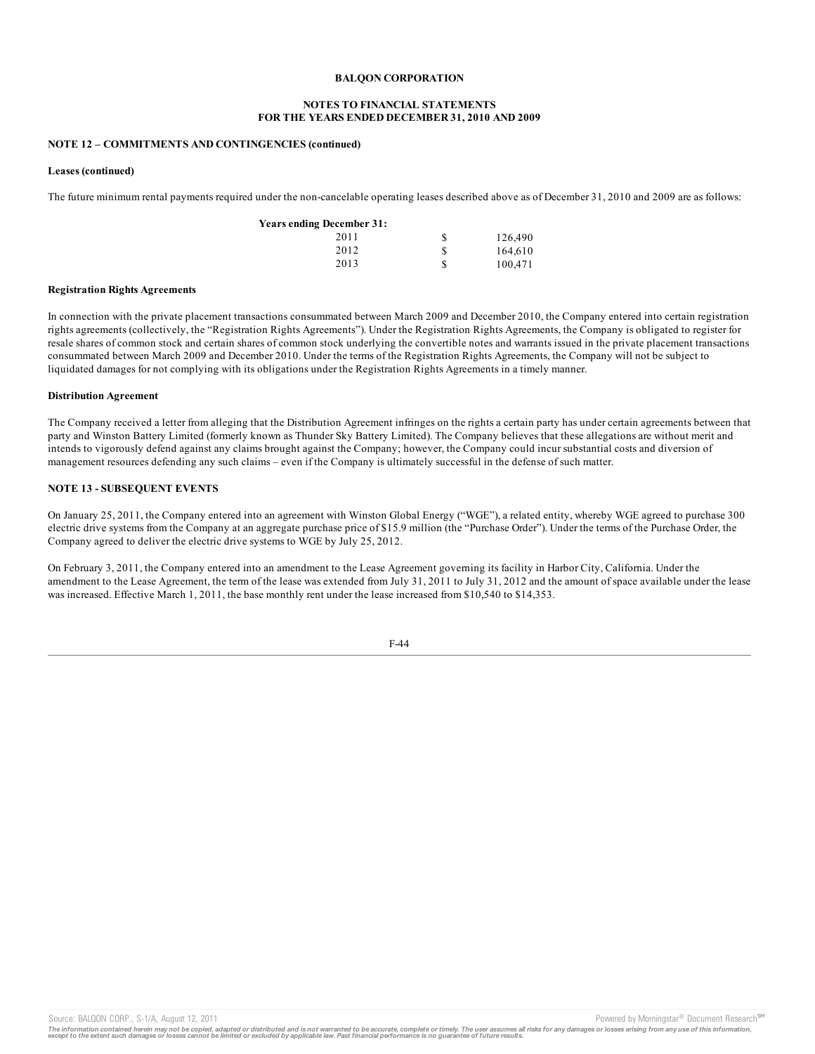### **NOTES TO FINANCIAL STATEMENTS FOR THE YEARS ENDED DECEMBER 31, 2010 AND 2009**

#### **NOTE 12 – COMMITMENTS AND CONTINGENCIES (continued)**

#### **Leases (continued)**

The future minimum rental payments required under the non-cancelable operating leases described above as of December 31, 2010 and 2009 are as follows:

| <b>Years ending December 31:</b> |   |         |
|----------------------------------|---|---------|
| 2011                             | S | 126,490 |
| 2012                             | S | 164,610 |
| 2013                             | S | 100.471 |

#### **Registration Rights Agreements**

In connection with the private placement transactions consummated between March 2009 and December 2010, the Company entered into certain registration rights agreements (collectively, the "Registration Rights Agreements"). Under the Registration Rights Agreements, the Company is obligated to register for resale shares of common stock and certain shares of common stock underlying the convertible notes and warrants issued in the private placement transactions consummated between March 2009 and December 2010. Under the terms of the Registration Rights Agreements, the Company will not be subject to liquidated damages for not complying with its obligations under the Registration Rights Agreements in a timely manner.

#### **Distribution Agreement**

The Company received a letter from alleging that the Distribution Agreement infringes on the rights a certain party has under certain agreements between that party and Winston Battery Limited (formerly known as Thunder Sky Battery Limited). The Company believes that these allegations are without merit and intends to vigorously defend against any claims brought against the Company; however, the Company could incur substantial costs and diversion of management resources defending any such claims – even if the Company is ultimately successful in the defense of such matter.

### **NOTE 13 - SUBSEQUENT EVENTS**

On January 25, 2011, the Company entered into an agreement with Winston Global Energy ("WGE"), a related entity, whereby WGE agreed to purchase 300 electric drive systems from the Company at an aggregate purchase price of \$15.9 million (the "Purchase Order"). Under the terms of the Purchase Order, the Company agreed to deliver the electric drive systems to WGE by July 25, 2012.

On February 3, 2011, the Company entered into an amendment to the Lease Agreement governing its facility in Harbor City, California. Under the amendment to the Lease Agreement, the term of the lease was extended from July 31, 2011 to July 31, 2012 and the amount of space available under the lease was increased. Effective March 1, 2011, the base monthly rent under the lease increased from \$10,540 to \$14,353.

F-44

Source: BALQON CORP., S-1/A, August 12, 2011 **Powered by Morningstar® Document Research** <sup>5M</sup>

The information contained herein may not be copied, adapted or distributed and is not warranted to be accurate, complete or timely. The user assumes all risks for any damages or losses arising from any use of this informat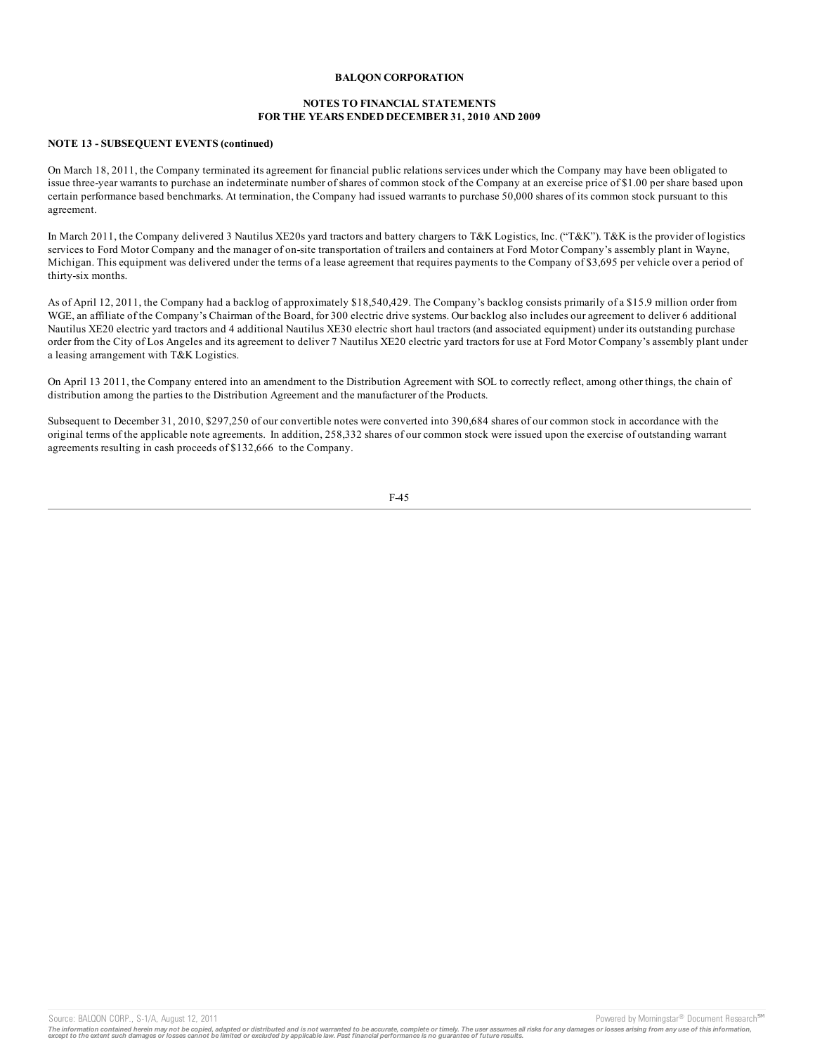#### **NOTES TO FINANCIAL STATEMENTS FOR THE YEARS ENDED DECEMBER 31, 2010 AND 2009**

#### **NOTE 13 - SUBSEQUENT EVENTS (continued)**

On March 18, 2011, the Company terminated its agreement for financial public relations services under which the Company may have been obligated to issue three-year warrants to purchase an indeterminate number of shares of common stock of the Company at an exercise price of \$1.00 per share based upon certain performance based benchmarks. At termination, the Company had issued warrants to purchase 50,000 shares of its common stock pursuant to this agreement.

In March 2011, the Company delivered 3 Nautilus XE20s yard tractors and battery chargers to T&K Logistics, Inc. ("T&K"). T&K is the provider of logistics services to Ford Motor Company and the manager of on-site transportation of trailers and containers at Ford Motor Company's assembly plant in Wayne, Michigan. This equipment was delivered under the terms of a lease agreement that requires payments to the Company of \$3,695 per vehicle over a period of thirty-six months.

As of April 12, 2011, the Company had a backlog of approximately \$18,540,429. The Company's backlog consists primarily of a \$15.9 million order from WGE, an affiliate of the Company's Chairman of the Board, for 300 electric drive systems. Our backlog also includes our agreement to deliver 6 additional Nautilus XE20 electric yard tractors and 4 additional Nautilus XE30 electric short haul tractors (and associated equipment) under its outstanding purchase order from the City of Los Angeles and its agreement to deliver 7 Nautilus XE20 electric yard tractors for use at Ford Motor Company's assembly plant under a leasing arrangement with T&K Logistics.

On April 13 2011, the Company entered into an amendment to the Distribution Agreement with SOL to correctly reflect, among other things, the chain of distribution among the parties to the Distribution Agreement and the manufacturer of the Products.

Subsequent to December 31, 2010, \$297,250 of our convertible notes were converted into 390,684 shares of our common stock in accordance with the original terms of the applicable note agreements. In addition, 258,332 shares of our common stock were issued upon the exercise of outstanding warrant agreements resulting in cash proceeds of \$132,666 to the Company.

F-45

Source: BALQON CORP., S-1/A, August 12, 2011 **Powered by Morningstar® Document Research** <sup>5M</sup>

The information contained herein may not be copied, adapted or distributed and is not warranted to be accurate, complete or timely. The user assumes all risks for any damages or losses arising from any use of this informat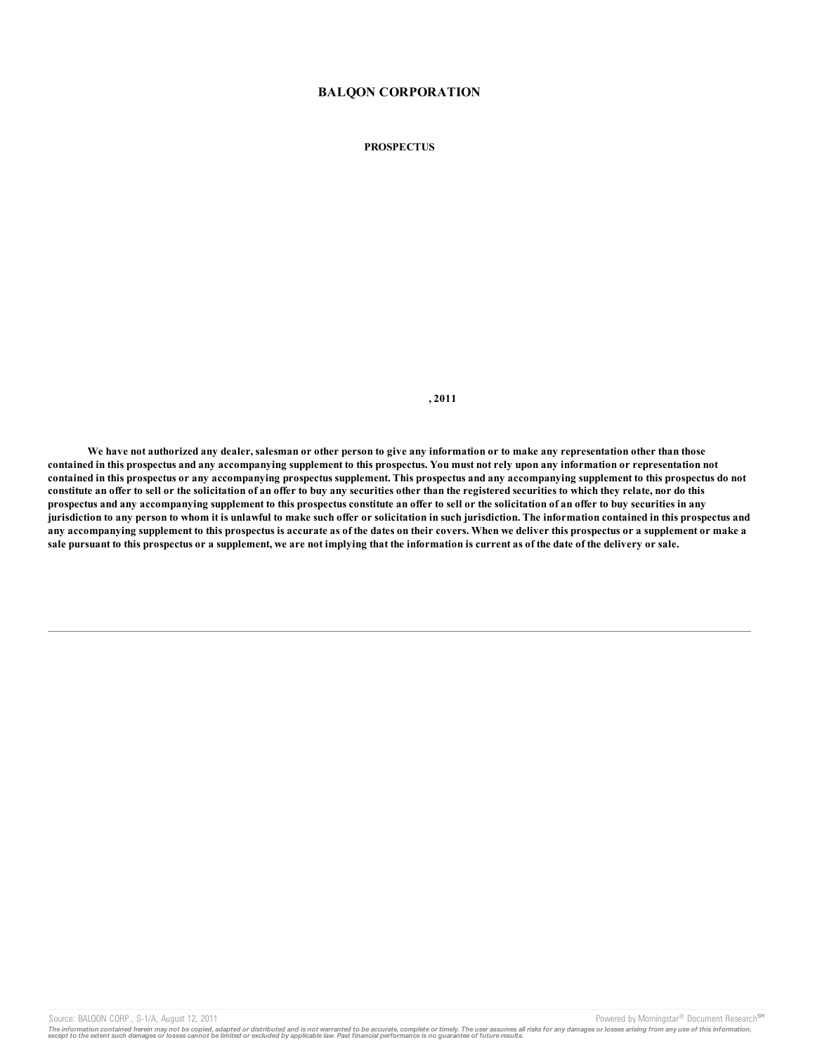**PROSPECTUS**

**, 2011**

We have not authorized any dealer, salesman or other person to give any information or to make any representation other than those contained in this prospectus and any accompanying supplement to this prospectus. You must not rely upon any information or representation not contained in this prospectus or any accompanying prospectus supplement. This prospectus and any accompanying supplement to this prospectus do not constitute an offer to sell or the solicitation of an offer to buy any securities other than the registered securities to which they relate, nor do this prospectus and any accompanying supplement to this prospectus constitute an offer to sell or the solicitation of an offer to buy securities in any jurisdiction to any person to whom it is unlawful to make such offer or solicitation in such jurisdiction. The information contained in this prospectus and any accompanying supplement to this prospectus is accurate as of the dates on their covers. When we deliver this prospectus or a supplement or make a sale pursuant to this prospectus or a supplement, we are not implying that the information is current as of the date of the delivery or sale.

Source: BALQON CORP., S-1/A, August 12, 2011 **Powered by Morningstar® Document Research** <sup>5M</sup>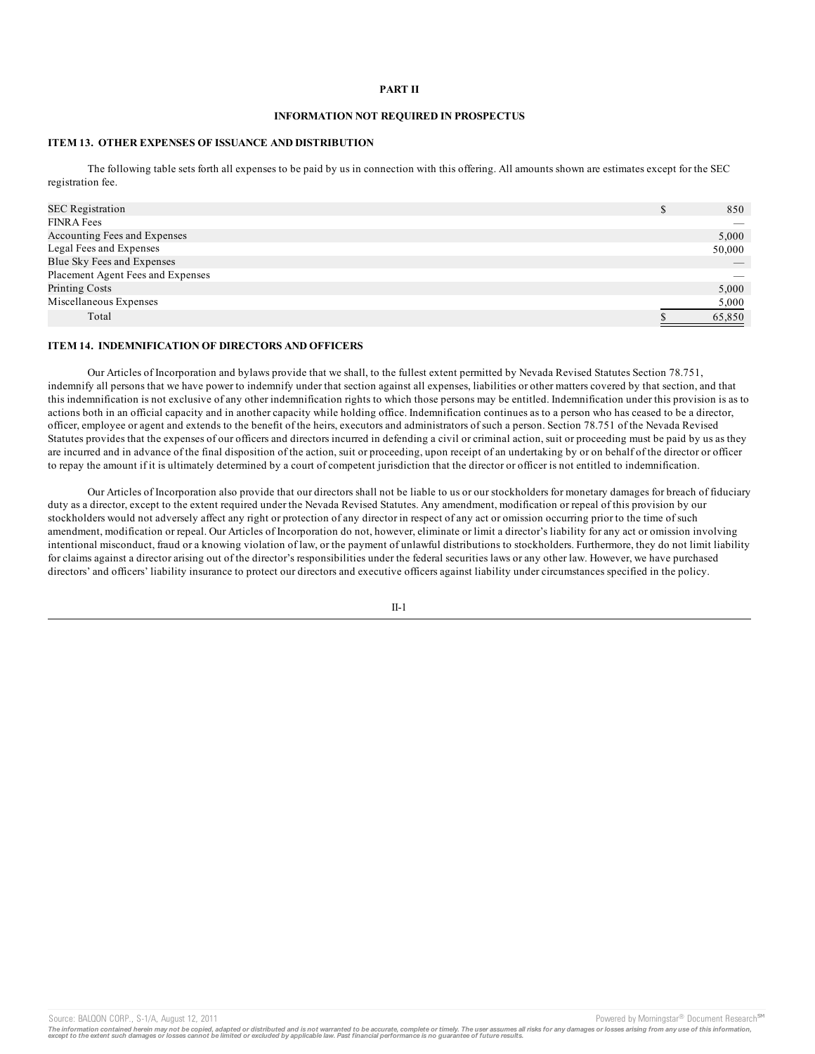#### **PART II**

### **INFORMATION NOT REQUIRED IN PROSPECTUS**

### **ITEM 13. OTHER EXPENSES OF ISSUANCE AND DISTRIBUTION**

The following table sets forth all expenses to be paid by us in connection with this offering. All amounts shown are estimates except for the SEC registration fee.

| <b>SEC</b> Registration           | 850                             |
|-----------------------------------|---------------------------------|
| <b>FINRA Fees</b>                 |                                 |
| Accounting Fees and Expenses      | 5,000                           |
| Legal Fees and Expenses           | 50,000                          |
| Blue Sky Fees and Expenses        | $\hspace{0.1mm}-\hspace{0.1mm}$ |
| Placement Agent Fees and Expenses | $\overline{\phantom{a}}$        |
| Printing Costs                    | 5,000                           |
| Miscellaneous Expenses            | 5,000                           |
| Total                             | 65,850                          |

## **ITEM 14. INDEMNIFICATION OF DIRECTORS AND OFFICERS**

Our Articles of Incorporation and bylaws provide that we shall, to the fullest extent permitted by Nevada Revised Statutes Section 78.751, indemnify all persons that we have power to indemnify under that section against all expenses, liabilities or other matters covered by that section, and that this indemnification is not exclusive of any other indemnification rights to which those persons may be entitled. Indemnification under this provision is as to actions both in an official capacity and in another capacity while holding office. Indemnification continues as to a person who has ceased to be a director, officer, employee or agent and extends to the benefit of the heirs, executors and administrators of such a person. Section 78.751 of the Nevada Revised Statutes provides that the expenses of our officers and directors incurred in defending a civil or criminal action, suit or proceeding must be paid by us as they are incurred and in advance of the final disposition of the action, suit or proceeding, upon receipt of an undertaking by or on behalf of the director or officer to repay the amount if it is ultimately determined by a court of competent jurisdiction that the director or officer is not entitled to indemnification.

Our Articles of Incorporation also provide that our directors shall not be liable to us or our stockholders for monetary damages for breach of fiduciary duty as a director, except to the extent required under the Nevada Revised Statutes. Any amendment, modification or repeal of this provision by our stockholders would not adversely affect any right or protection of any director in respect of any act or omission occurring prior to the time of such amendment, modification or repeal. Our Articles of Incorporation do not, however, eliminate or limit a director's liability for any act or omission involving intentional misconduct, fraud or a knowing violation of law, or the payment of unlawful distributions to stockholders. Furthermore, they do not limit liability for claims against a director arising out of the director's responsibilities under the federal securities laws or any other law. However, we have purchased directors' and officers' liability insurance to protect our directors and executive officers against liability under circumstances specified in the policy.

Source: BALQON CORP., S-1/A, August 12, 2011 **Powered by Morningstar® Document Research** <sup>5M</sup>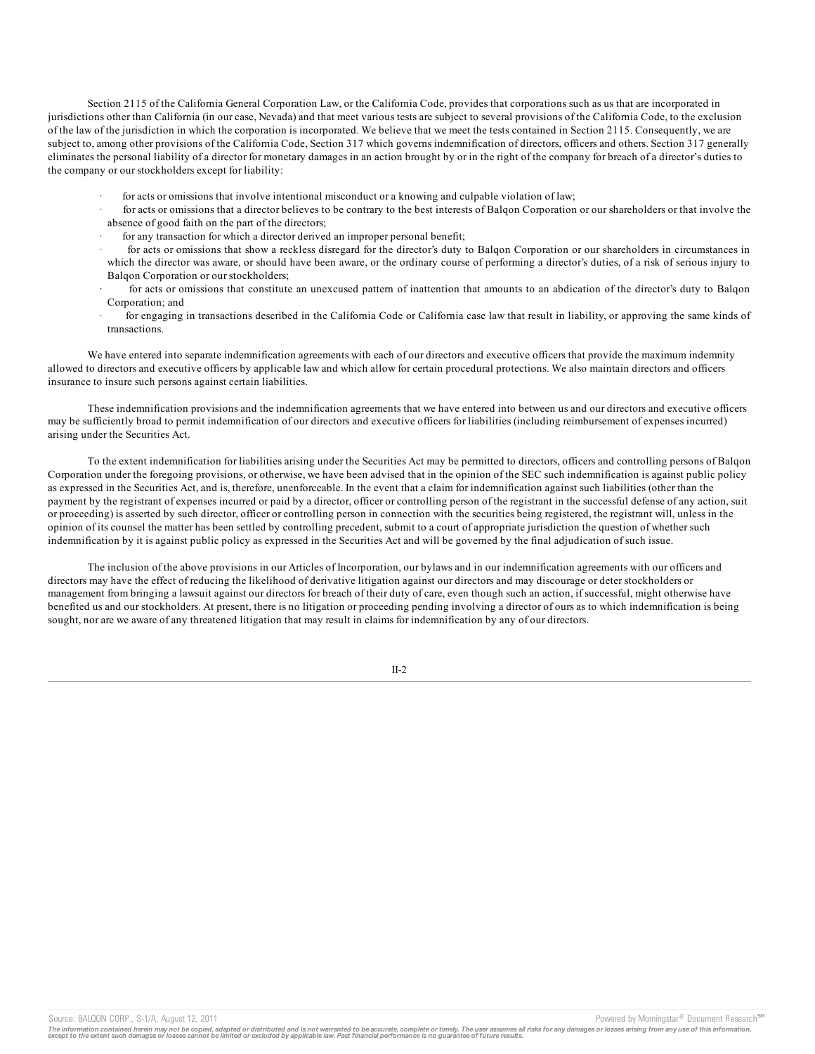Section 2115 of the California General Corporation Law, or the California Code, provides that corporations such as us that are incorporated in jurisdictions other than California (in our case, Nevada) and that meet various tests are subject to several provisions of the California Code, to the exclusion of the law of the jurisdiction in which the corporation is incorporated. We believe that we meet the tests contained in Section 2115. Consequently, we are subject to, among other provisions of the California Code, Section 317 which governs indemnification of directors, officers and others. Section 317 generally eliminates the personal liability of a director for monetary damages in an action brought by or in the right of the company for breach of a director's duties to the company or our stockholders except for liability:

- for acts or omissions that involve intentional misconduct or a knowing and culpable violation of law;
- for acts or omissions that a director believes to be contrary to the best interests of Balqon Corporation or our shareholders or that involve the absence of good faith on the part of the directors;
- for any transaction for which a director derived an improper personal benefit;
- for acts or omissions that show a reckless disregard for the director's duty to Balqon Corporation or our shareholders in circumstances in which the director was aware, or should have been aware, or the ordinary course of performing a director's duties, of a risk of serious injury to Balqon Corporation or our stockholders;
- for acts or omissions that constitute an unexcused pattern of inattention that amounts to an abdication of the director's duty to Balgon Corporation; and
- for engaging in transactions described in the California Code or California case law that result in liability, or approving the same kinds of transactions.

We have entered into separate indemnification agreements with each of our directors and executive officers that provide the maximum indemnity allowed to directors and executive officers by applicable law and which allow for certain procedural protections. We also maintain directors and officers insurance to insure such persons against certain liabilities.

These indemnification provisions and the indemnification agreements that we have entered into between us and our directors and executive officers may be sufficiently broad to permit indemnification of our directors and executive officers for liabilities (including reimbursement of expenses incurred) arising under the Securities Act.

To the extent indemnification for liabilities arising under the Securities Act may be permitted to directors, officers and controlling persons of Balqon Corporation under the foregoing provisions, or otherwise, we have been advised that in the opinion of the SEC such indemnification is against public policy as expressed in the Securities Act, and is, therefore, unenforceable. In the event that a claim for indemnification against such liabilities (other than the payment by the registrant of expenses incurred or paid by a director, officer or controlling person of the registrant in the successful defense of any action, suit or proceeding) is asserted by such director, officer or controlling person in connection with the securities being registered, the registrant will, unless in the opinion of its counsel the matter has been settled by controlling precedent, submit to a court of appropriate jurisdiction the question of whether such indemnification by it is against public policy as expressed in the Securities Act and will be governed by the final adjudication of such issue.

The inclusion of the above provisions in our Articles of Incorporation, our bylaws and in our indemnification agreements with our officers and directors may have the effect of reducing the likelihood of derivative litigation against our directors and may discourage or deter stockholders or management from bringing a lawsuit against our directors for breach of their duty of care, even though such an action, if successful, might otherwise have benefited us and our stockholders. At present, there is no litigation or proceeding pending involving a director of ours as to which indemnification is being sought, nor are we aware of any threatened litigation that may result in claims for indemnification by any of our directors.

II-2

Source: BALQON CORP., S-1/A, August 12, 2011 **Powered by Morningstar® Document Research** <sup>5M</sup>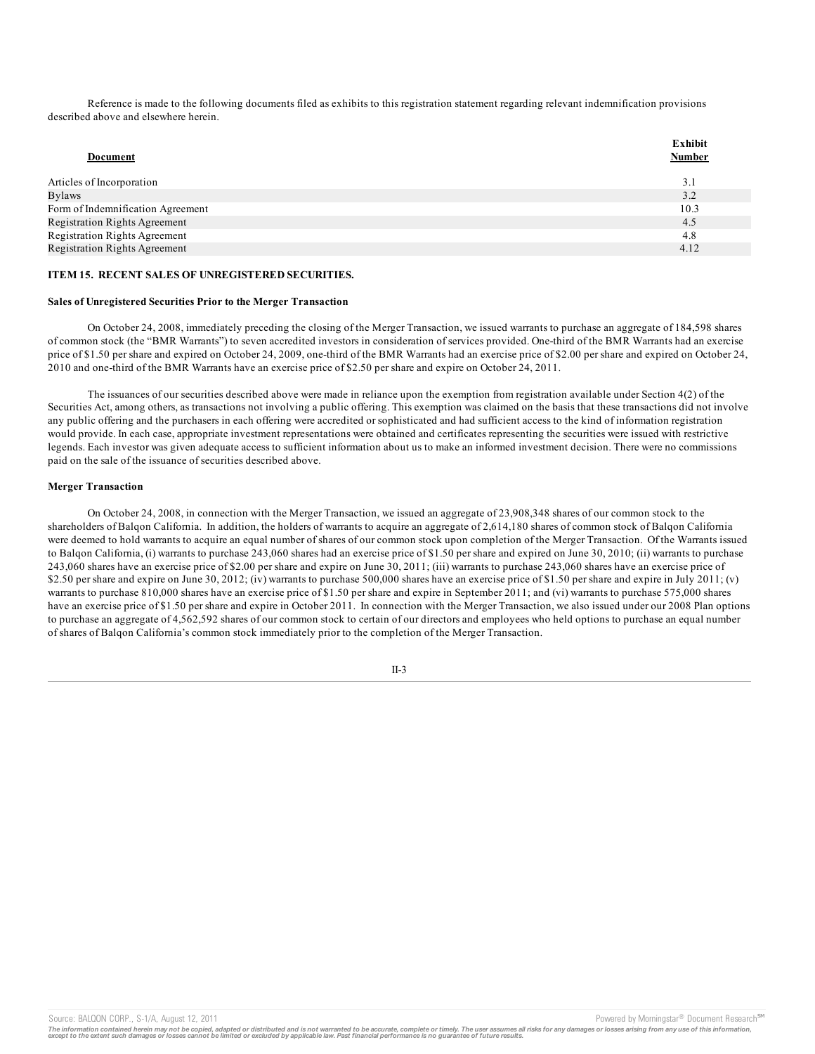Reference is made to the following documents filed as exhibits to this registration statement regarding relevant indemnification provisions described above and elsewhere herein.

| Document                             | Exhibit<br><b>Number</b> |
|--------------------------------------|--------------------------|
| Articles of Incorporation            | 3.1                      |
| <b>Bylaws</b>                        | 3.2                      |
| Form of Indemnification Agreement    | 10.3                     |
| <b>Registration Rights Agreement</b> | 4.5                      |
| Registration Rights Agreement        | 4.8                      |
| <b>Registration Rights Agreement</b> | 4.12                     |

#### **ITEM 15. RECENT SALES OF UNREGISTERED SECURITIES.**

#### **Sales of Unregistered Securities Prior to the Merger Transaction**

On October 24, 2008, immediately preceding the closing of the Merger Transaction, we issued warrants to purchase an aggregate of 184,598 shares of common stock (the "BMR Warrants") to seven accredited investors in consideration of services provided. One-third of the BMR Warrants had an exercise price of \$1.50 per share and expired on October 24, 2009, one-third of the BMR Warrants had an exercise price of \$2.00 per share and expired on October 24, 2010 and one-third of the BMR Warrants have an exercise price of \$2.50 per share and expire on October 24, 2011.

The issuances of our securities described above were made in reliance upon the exemption from registration available under Section 4(2) of the Securities Act, among others, as transactions not involving a public offering. This exemption was claimed on the basis that these transactions did not involve any public offering and the purchasers in each offering were accredited or sophisticated and had sufficient access to the kind of information registration would provide. In each case, appropriate investment representations were obtained and certificates representing the securities were issued with restrictive legends. Each investor was given adequate access to sufficient information about us to make an informed investment decision. There were no commissions paid on the sale of the issuance of securities described above.

#### **Merger Transaction**

On October 24, 2008, in connection with the Merger Transaction, we issued an aggregate of 23,908,348 shares of our common stock to the shareholders of Balqon California. In addition, the holders of warrants to acquire an aggregate of 2,614,180 shares of common stock of Balqon California were deemed to hold warrants to acquire an equal number of shares of our common stock upon completion of the Merger Transaction. Of the Warrants issued to Balqon California, (i) warrants to purchase 243,060 shares had an exercise price of \$1.50 per share and expired on June 30, 2010; (ii) warrants to purchase 243,060 shares have an exercise price of \$2.00 per share and expire on June 30, 2011; (iii) warrants to purchase 243,060 shares have an exercise price of \$2.50 per share and expire on June 30, 2012; (iv) warrants to purchase 500,000 shares have an exercise price of \$1.50 per share and expire in July 2011; (v) warrants to purchase 810,000 shares have an exercise price of \$1.50 per share and expire in September 2011; and (vi) warrants to purchase 575,000 shares have an exercise price of \$1.50 per share and expire in October 2011. In connection with the Merger Transaction, we also issued under our 2008 Plan options to purchase an aggregate of 4,562,592 shares of our common stock to certain of our directors and employees who held options to purchase an equal number of shares of Balqon California's common stock immediately prior to the completion of the Merger Transaction.

$$
II-3
$$

Source: BALQON CORP., S-1/A, August 12, 2011 **Powered by Morningstar® Document Research** Morningstar® Document Research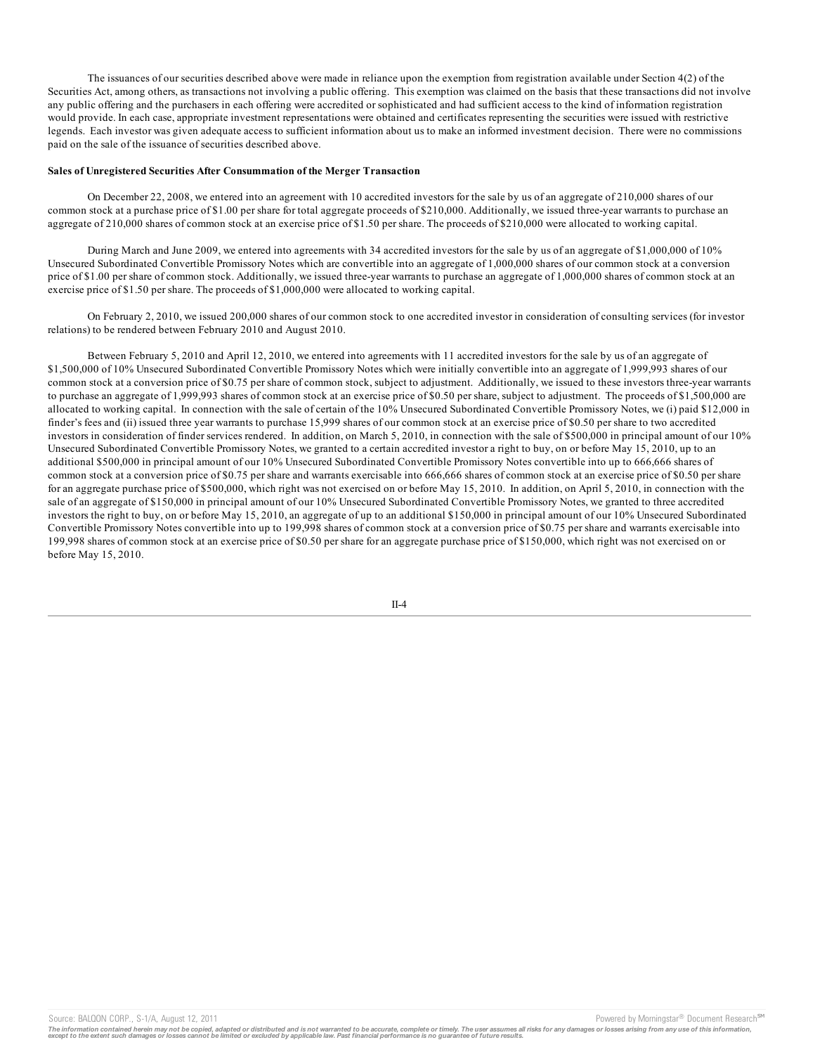The issuances of our securities described above were made in reliance upon the exemption from registration available under Section 4(2) of the Securities Act, among others, as transactions not involving a public offering. This exemption was claimed on the basis that these transactions did not involve any public offering and the purchasers in each offering were accredited or sophisticated and had sufficient access to the kind of information registration would provide. In each case, appropriate investment representations were obtained and certificates representing the securities were issued with restrictive legends. Each investor was given adequate access to sufficient information about us to make an informed investment decision. There were no commissions paid on the sale of the issuance of securities described above.

#### **Sales of Unregistered Securities After Consummation of the Merger Transaction**

On December 22, 2008, we entered into an agreement with 10 accredited investors for the sale by us of an aggregate of 210,000 shares of our common stock at a purchase price of \$1.00 per share for total aggregate proceeds of \$210,000. Additionally, we issued three-year warrants to purchase an aggregate of 210,000 shares of common stock at an exercise price of \$1.50 per share. The proceeds of \$210,000 were allocated to working capital.

During March and June 2009, we entered into agreements with 34 accredited investors for the sale by us of an aggregate of \$1,000,000 of 10% Unsecured Subordinated Convertible Promissory Notes which are convertible into an aggregate of 1,000,000 shares of our common stock at a conversion price of \$1.00 per share of common stock. Additionally, we issued three-year warrants to purchase an aggregate of 1,000,000 shares of common stock at an exercise price of \$1.50 per share. The proceeds of \$1,000,000 were allocated to working capital.

On February 2, 2010, we issued 200,000 shares of our common stock to one accredited investor in consideration of consulting services (for investor relations) to be rendered between February 2010 and August 2010.

Between February 5, 2010 and April 12, 2010, we entered into agreements with 11 accredited investors for the sale by us of an aggregate of \$1,500,000 of 10% Unsecured Subordinated Convertible Promissory Notes which were initially convertible into an aggregate of 1,999,993 shares of our common stock at a conversion price of \$0.75 per share of common stock, subject to adjustment. Additionally, we issued to these investors three-year warrants to purchase an aggregate of 1,999,993 shares of common stock at an exercise price of \$0.50 per share, subject to adjustment. The proceeds of \$1,500,000 are allocated to working capital. In connection with the sale of certain of the 10% Unsecured Subordinated Convertible Promissory Notes, we (i) paid \$12,000 in finder's fees and (ii) issued three year warrants to purchase 15,999 shares of our common stock at an exercise price of \$0.50 per share to two accredited investors in consideration of finder services rendered. In addition, on March 5, 2010, in connection with the sale of \$500,000 in principal amount of our 10% Unsecured Subordinated Convertible Promissory Notes, we granted to a certain accredited investor a right to buy, on or before May 15, 2010, up to an additional \$500,000 in principal amount of our 10% Unsecured Subordinated Convertible Promissory Notes convertible into up to 666,666 shares of common stock at a conversion price of \$0.75 per share and warrants exercisable into 666,666 shares of common stock at an exercise price of \$0.50 per share for an aggregate purchase price of \$500,000, which right was not exercised on or before May 15, 2010. In addition, on April 5, 2010, in connection with the sale of an aggregate of \$150,000 in principal amount of our 10% Unsecured Subordinated Convertible Promissory Notes, we granted to three accredited investors the right to buy, on or before May 15, 2010, an aggregate of up to an additional \$150,000 in principal amount of our 10% Unsecured Subordinated Convertible Promissory Notes convertible into up to 199,998 shares of common stock at a conversion price of \$0.75 per share and warrants exercisable into 199,998 shares of common stock at an exercise price of \$0.50 per share for an aggregate purchase price of \$150,000, which right was not exercised on or before May 15, 2010.

II-4

Source: BALQON CORP., S-1/A, August 12, 2011 **Powered by Morningstar® Document Research** <sup>5M</sup>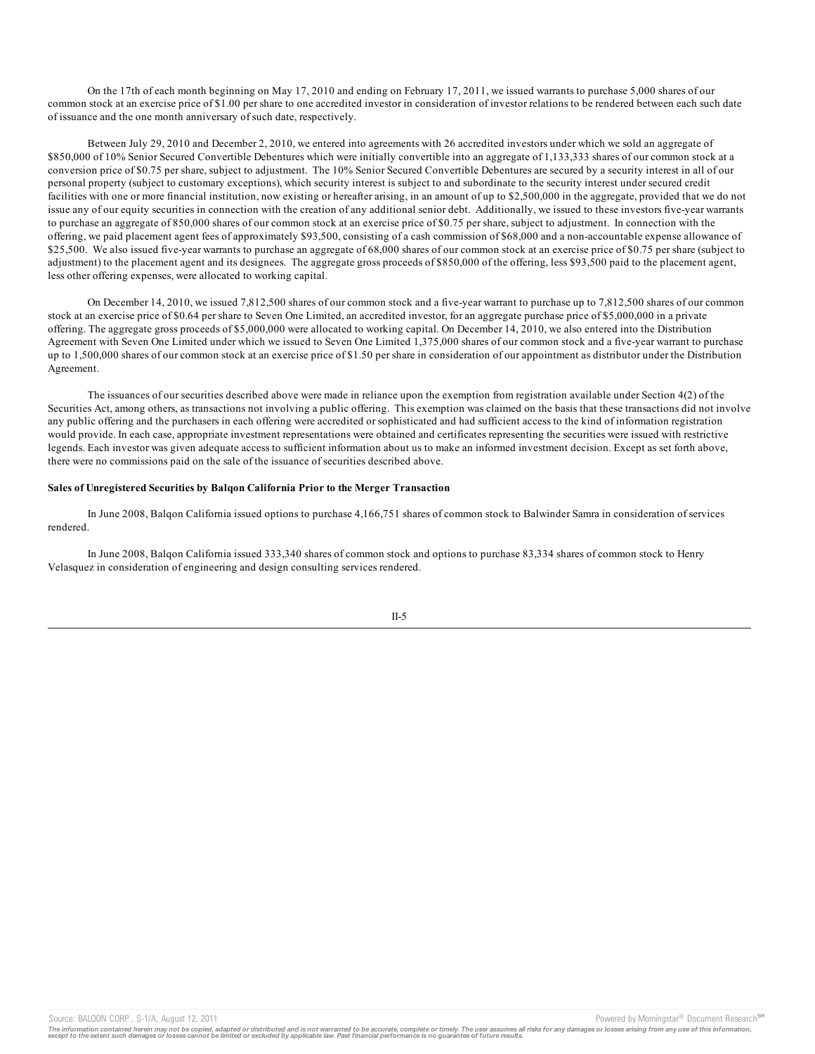On the 17th of each month beginning on May 17, 2010 and ending on February 17, 2011, we issued warrants to purchase 5,000 shares of our common stock at an exercise price of \$1.00 per share to one accredited investor in consideration of investor relations to be rendered between each such date of issuance and the one month anniversary of such date, respectively.

Between July 29, 2010 and December 2, 2010, we entered into agreements with 26 accredited investors under which we sold an aggregate of \$850,000 of 10% Senior Secured Convertible Debentures which were initially convertible into an aggregate of 1,133,333 shares of our common stock at a conversion price of \$0.75 per share, subject to adjustment. The 10% Senior Secured Convertible Debentures are secured by a security interest in all of our personal property (subject to customary exceptions), which security interest is subject to and subordinate to the security interest under secured credit facilities with one or more financial institution, now existing or hereafter arising, in an amount of up to \$2,500,000 in the aggregate, provided that we do not issue any of our equity securities in connection with the creation of any additional senior debt. Additionally, we issued to these investors five-year warrants to purchase an aggregate of 850,000 shares of our common stock at an exercise price of \$0.75 per share, subject to adjustment. In connection with the offering, we paid placement agent fees of approximately \$93,500, consisting of a cash commission of \$68,000 and a non-accountable expense allowance of \$25,500. We also issued five-year warrants to purchase an aggregate of 68,000 shares of our common stock at an exercise price of \$0.75 per share (subject to adjustment) to the placement agent and its designees. The aggregate gross proceeds of \$850,000 of the offering, less \$93,500 paid to the placement agent, less other offering expenses, were allocated to working capital.

On December 14, 2010, we issued 7,812,500 shares of our common stock and a five-year warrant to purchase up to 7,812,500 shares of our common stock at an exercise price of \$0.64 per share to Seven One Limited, an accredited investor, for an aggregate purchase price of \$5,000,000 in a private offering. The aggregate gross proceeds of \$5,000,000 were allocated to working capital. On December 14, 2010, we also entered into the Distribution Agreement with Seven One Limited under which we issued to Seven One Limited 1,375,000 shares of our common stock and a five-year warrant to purchase up to 1,500,000 shares of our common stock at an exercise price of \$1.50 per share in consideration of our appointment as distributor under the Distribution Agreement.

The issuances of our securities described above were made in reliance upon the exemption from registration available under Section 4(2) of the Securities Act, among others, as transactions not involving a public offering. This exemption was claimed on the basis that these transactions did not involve any public offering and the purchasers in each offering were accredited or sophisticated and had sufficient access to the kind of information registration would provide. In each case, appropriate investment representations were obtained and certificates representing the securities were issued with restrictive legends. Each investor was given adequate access to sufficient information about us to make an informed investment decision. Except as set forth above, there were no commissions paid on the sale of the issuance of securities described above.

#### **Sales of Unregistered Securities by Balqon California Prior to the Merger Transaction**

In June 2008, Balqon California issued options to purchase 4,166,751 shares of common stock to Balwinder Samra in consideration of services rendered.

In June 2008, Balqon California issued 333,340 shares of common stock and options to purchase 83,334 shares of common stock to Henry Velasquez in consideration of engineering and design consulting services rendered.

II-5

Source: BALQON CORP., S-1/A, August 12, 2011 **Powered by Morningstar® Document Research** <sup>5M</sup>

The information contained herein may not be copied, adapted or distributed and is not warranted to be accurate, complete or timely. The user assumes all risks for any damages or losses arising from any use of this informat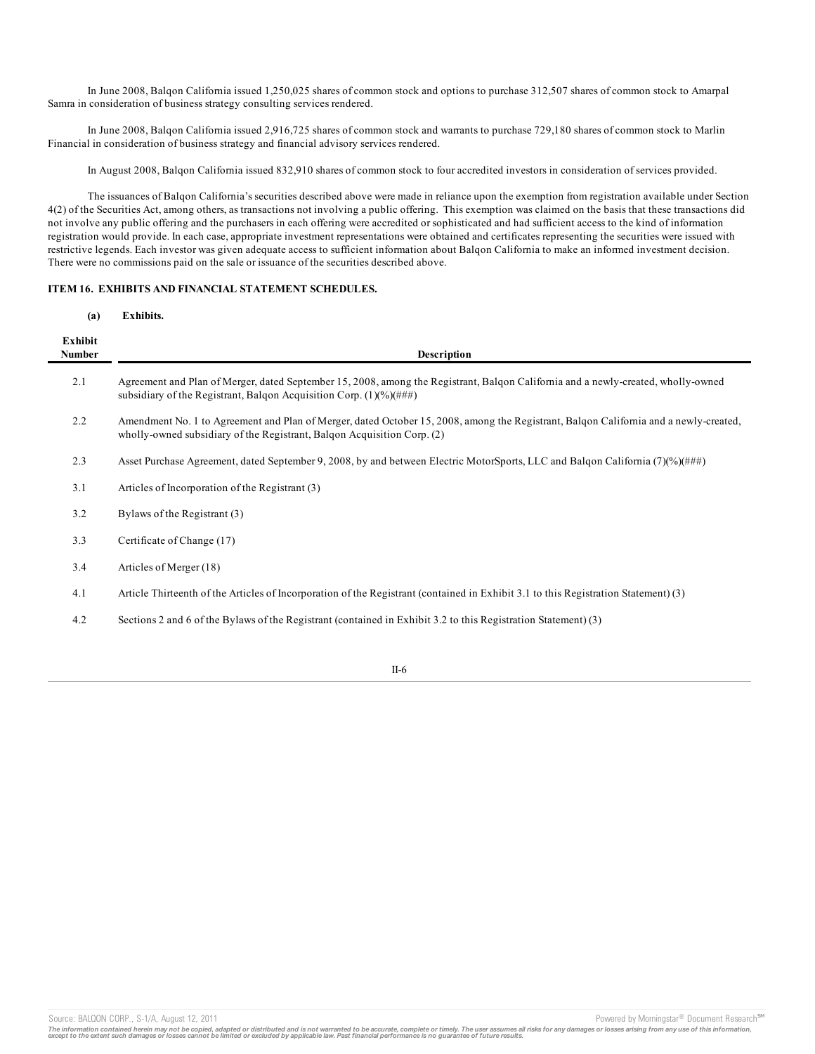In June 2008, Balqon California issued 1,250,025 shares of common stock and options to purchase 312,507 shares of common stock to Amarpal Samra in consideration of business strategy consulting services rendered.

In June 2008, Balqon California issued 2,916,725 shares of common stock and warrants to purchase 729,180 shares of common stock to Marlin Financial in consideration of business strategy and financial advisory services rendered.

In August 2008, Balqon California issued 832,910 shares of common stock to four accredited investors in consideration of services provided.

The issuances of Balqon California's securities described above were made in reliance upon the exemption from registration available under Section 4(2) of the Securities Act, among others, as transactions not involving a public offering. This exemption was claimed on the basis that these transactions did not involve any public offering and the purchasers in each offering were accredited or sophisticated and had sufficient access to the kind of information registration would provide. In each case, appropriate investment representations were obtained and certificates representing the securities were issued with restrictive legends. Each investor was given adequate access to sufficient information about Balqon California to make an informed investment decision. There were no commissions paid on the sale or issuance of the securities described above.

### **ITEM 16. EXHIBITS AND FINANCIAL STATEMENT SCHEDULES.**

#### **(a) Exhibits.**

| Exhibit<br>Number | Description                                                                                                                                                                                                      |
|-------------------|------------------------------------------------------------------------------------------------------------------------------------------------------------------------------------------------------------------|
| 2.1               | Agreement and Plan of Merger, dated September 15, 2008, among the Registrant, Balgon California and a newly-created, wholly-owned<br>subsidiary of the Registrant, Balgon Acquisition Corp. $(1)(\%)(\# \# \#)$  |
| 2.2               | Amendment No. 1 to Agreement and Plan of Merger, dated October 15, 2008, among the Registrant, Balqon California and a newly-created,<br>wholly-owned subsidiary of the Registrant, Balgon Acquisition Corp. (2) |
| 2.3               | Asset Purchase Agreement, dated September 9, 2008, by and between Electric MotorSports, LLC and Balgon California (7)(%)(###)                                                                                    |
| 3.1               | Articles of Incorporation of the Registrant (3)                                                                                                                                                                  |
| 3.2               | Bylaws of the Registrant (3)                                                                                                                                                                                     |
| 3.3               | Certificate of Change (17)                                                                                                                                                                                       |
| 3.4               | Articles of Merger (18)                                                                                                                                                                                          |
| 4.1               | Article Thirteenth of the Articles of Incorporation of the Registrant (contained in Exhibit 3.1 to this Registration Statement) (3)                                                                              |
| 4.2               | Sections 2 and 6 of the Bylaws of the Registrant (contained in Exhibit 3.2 to this Registration Statement) (3)                                                                                                   |

II-6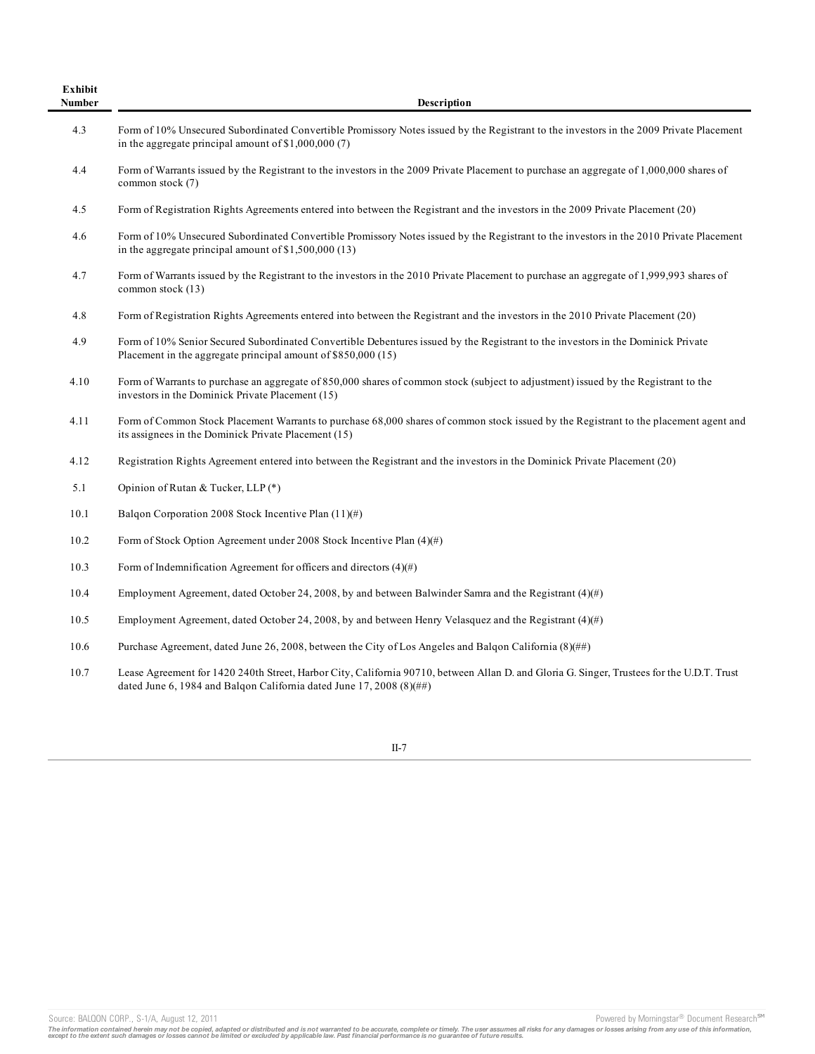| Exhibit<br><b>Number</b> | Description                                                                                                                                                                                                        |
|--------------------------|--------------------------------------------------------------------------------------------------------------------------------------------------------------------------------------------------------------------|
| 4.3                      | Form of 10% Unsecured Subordinated Convertible Promissory Notes issued by the Registrant to the investors in the 2009 Private Placement<br>in the aggregate principal amount of $$1,000,000(7)$                    |
| 4.4                      | Form of Warrants issued by the Registrant to the investors in the 2009 Private Placement to purchase an aggregate of 1,000,000 shares of<br>common stock (7)                                                       |
| 4.5                      | Form of Registration Rights Agreements entered into between the Registrant and the investors in the 2009 Private Placement (20)                                                                                    |
| 4.6                      | Form of 10% Unsecured Subordinated Convertible Promissory Notes issued by the Registrant to the investors in the 2010 Private Placement<br>in the aggregate principal amount of $$1,500,000(13)$                   |
| 4.7                      | Form of Warrants issued by the Registrant to the investors in the 2010 Private Placement to purchase an aggregate of 1,999,993 shares of<br>common stock (13)                                                      |
| 4.8                      | Form of Registration Rights Agreements entered into between the Registrant and the investors in the 2010 Private Placement (20)                                                                                    |
| 4.9                      | Form of 10% Senior Secured Subordinated Convertible Debentures issued by the Registrant to the investors in the Dominick Private<br>Placement in the aggregate principal amount of \$850,000 (15)                  |
| 4.10                     | Form of Warrants to purchase an aggregate of 850,000 shares of common stock (subject to adjustment) issued by the Registrant to the<br>investors in the Dominick Private Placement (15)                            |
| 4.11                     | Form of Common Stock Placement Warrants to purchase 68,000 shares of common stock issued by the Registrant to the placement agent and<br>its assignees in the Dominick Private Placement (15)                      |
| 4.12                     | Registration Rights Agreement entered into between the Registrant and the investors in the Dominick Private Placement (20)                                                                                         |
| 5.1                      | Opinion of Rutan & Tucker, LLP (*)                                                                                                                                                                                 |
| 10.1                     | Balgon Corporation 2008 Stock Incentive Plan (11)(#)                                                                                                                                                               |
| 10.2                     | Form of Stock Option Agreement under 2008 Stock Incentive Plan $(4)(\#)$                                                                                                                                           |
| 10.3                     | Form of Indemnification Agreement for officers and directors $(4)(\#)$                                                                                                                                             |
| 10.4                     | Employment Agreement, dated October 24, 2008, by and between Balwinder Samra and the Registrant $(4)(\#)$                                                                                                          |
| 10.5                     | Employment Agreement, dated October 24, 2008, by and between Henry Velasquez and the Registrant $(4)(\#)$                                                                                                          |
| 10.6                     | Purchase Agreement, dated June 26, 2008, between the City of Los Angeles and Balqon California (8)(##)                                                                                                             |
| 10.7                     | Lease Agreement for 1420 240th Street, Harbor City, California 90710, between Allan D. and Gloria G. Singer, Trustees for the U.D.T. Trust<br>dated June 6, 1984 and Balqon California dated June 17, 2008 (8)(##) |

II-7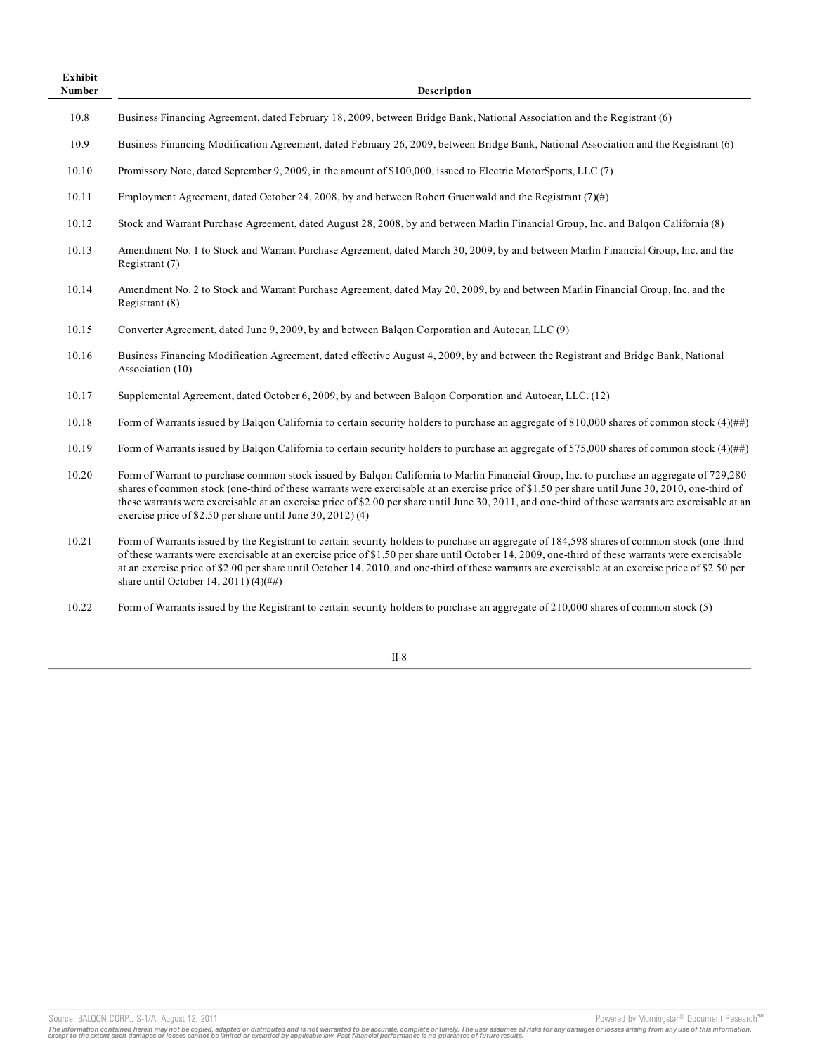| Exhibit<br><b>Number</b> | Description                                                                                                                                                                                                                                                                                                                                                                                                                                                                                                         |
|--------------------------|---------------------------------------------------------------------------------------------------------------------------------------------------------------------------------------------------------------------------------------------------------------------------------------------------------------------------------------------------------------------------------------------------------------------------------------------------------------------------------------------------------------------|
| 10.8                     | Business Financing Agreement, dated February 18, 2009, between Bridge Bank, National Association and the Registrant (6)                                                                                                                                                                                                                                                                                                                                                                                             |
| 10.9                     | Business Financing Modification Agreement, dated February 26, 2009, between Bridge Bank, National Association and the Registrant (6)                                                                                                                                                                                                                                                                                                                                                                                |
| 10.10                    | Promissory Note, dated September 9, 2009, in the amount of \$100,000, issued to Electric MotorSports, LLC (7)                                                                                                                                                                                                                                                                                                                                                                                                       |
| 10.11                    | Employment Agreement, dated October 24, 2008, by and between Robert Gruenwald and the Registrant $(7)(\#)$                                                                                                                                                                                                                                                                                                                                                                                                          |
| 10.12                    | Stock and Warrant Purchase Agreement, dated August 28, 2008, by and between Marlin Financial Group, Inc. and Balqon California (8)                                                                                                                                                                                                                                                                                                                                                                                  |
| 10.13                    | Amendment No. 1 to Stock and Warrant Purchase Agreement, dated March 30, 2009, by and between Marlin Financial Group, Inc. and the<br>Registrant (7)                                                                                                                                                                                                                                                                                                                                                                |
| 10.14                    | Amendment No. 2 to Stock and Warrant Purchase Agreement, dated May 20, 2009, by and between Marlin Financial Group, Inc. and the<br>Registrant (8)                                                                                                                                                                                                                                                                                                                                                                  |
| 10.15                    | Converter Agreement, dated June 9, 2009, by and between Balgon Corporation and Autocar, LLC (9)                                                                                                                                                                                                                                                                                                                                                                                                                     |
| 10.16                    | Business Financing Modification Agreement, dated effective August 4, 2009, by and between the Registrant and Bridge Bank, National<br>Association (10)                                                                                                                                                                                                                                                                                                                                                              |
| 10.17                    | Supplemental Agreement, dated October 6, 2009, by and between Balgon Corporation and Autocar, LLC. (12)                                                                                                                                                                                                                                                                                                                                                                                                             |
| 10.18                    | Form of Warrants issued by Balgon California to certain security holders to purchase an aggregate of 810,000 shares of common stock $(4)(\# \#)$                                                                                                                                                                                                                                                                                                                                                                    |
| 10.19                    | Form of Warrants issued by Balgon California to certain security holders to purchase an aggregate of 575,000 shares of common stock $(4)(\# \#)$                                                                                                                                                                                                                                                                                                                                                                    |
| 10.20                    | Form of Warrant to purchase common stock issued by Balgon California to Marlin Financial Group, Inc. to purchase an aggregate of 729,280<br>shares of common stock (one-third of these warrants were exercisable at an exercise price of \$1.50 per share until June 30, 2010, one-third of<br>these warrants were exercisable at an exercise price of \$2.00 per share until June 30, 2011, and one-third of these warrants are exercisable at an<br>exercise price of \$2.50 per share until June 30, 2012) $(4)$ |
| 10.21                    | Form of Warrants issued by the Registrant to certain security holders to purchase an aggregate of 184,598 shares of common stock (one-third<br>of these warrants were exercisable at an exercise price of \$1.50 per share until October 14, 2009, one-third of these warrants were exercisable<br>at an exercise price of \$2.00 per share until October 14, 2010, and one-third of these warrants are exercisable at an exercise price of \$2.50 per<br>share until October 14, 2011) $(4)(\# \#)$                |

10.22 Form of Warrants issued by the Registrant to certain security holders to purchase an aggregate of 210,000 shares of common stock (5)

II-8

 $\overline{\phantom{0}}$ 

Source: BALQON CORP., S-1/A, August 12, 2011<br>The information contained herein may not be copied, adapted or distributed and is not warranted to be accurate, complete or timely. The user assumes all risks for any damages or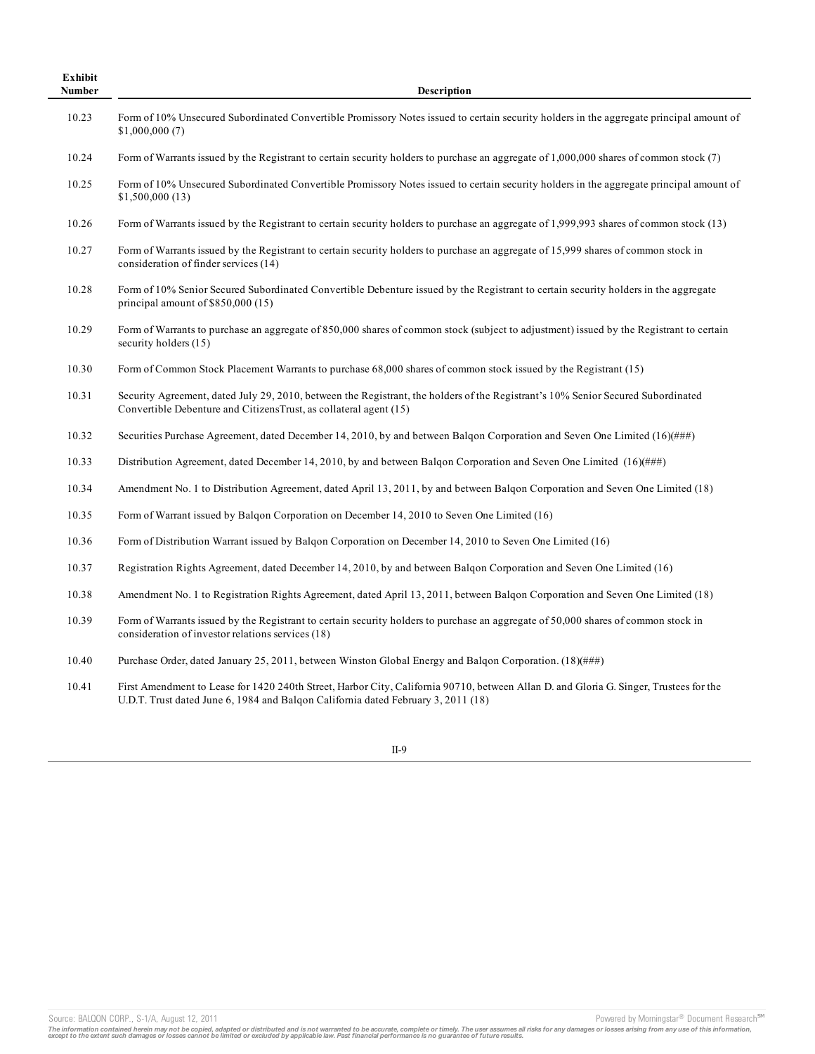| Exhibit<br><b>Number</b> | <b>Description</b>                                                                                                                                                                                    |
|--------------------------|-------------------------------------------------------------------------------------------------------------------------------------------------------------------------------------------------------|
| 10.23                    | Form of 10% Unsecured Subordinated Convertible Promissory Notes issued to certain security holders in the aggregate principal amount of<br>\$1,000,000(7)                                             |
| 10.24                    | Form of Warrants issued by the Registrant to certain security holders to purchase an aggregate of 1,000,000 shares of common stock (7)                                                                |
| 10.25                    | Form of 10% Unsecured Subordinated Convertible Promissory Notes issued to certain security holders in the aggregate principal amount of<br>\$1,500,000(13)                                            |
| 10.26                    | Form of Warrants issued by the Registrant to certain security holders to purchase an aggregate of 1,999,993 shares of common stock (13)                                                               |
| 10.27                    | Form of Warrants issued by the Registrant to certain security holders to purchase an aggregate of 15,999 shares of common stock in<br>consideration of finder services (14)                           |
| 10.28                    | Form of 10% Senior Secured Subordinated Convertible Debenture issued by the Registrant to certain security holders in the aggregate<br>principal amount of \$850,000 (15)                             |
| 10.29                    | Form of Warrants to purchase an aggregate of 850,000 shares of common stock (subject to adjustment) issued by the Registrant to certain<br>security holders (15)                                      |
| 10.30                    | Form of Common Stock Placement Warrants to purchase 68,000 shares of common stock issued by the Registrant (15)                                                                                       |
| 10.31                    | Security Agreement, dated July 29, 2010, between the Registrant, the holders of the Registrant's 10% Senior Secured Subordinated<br>Convertible Debenture and CitizensTrust, as collateral agent (15) |
| 10.32                    | Securities Purchase Agreement, dated December 14, 2010, by and between Balqon Corporation and Seven One Limited (16)(###)                                                                             |
| 10.33                    | Distribution Agreement, dated December 14, 2010, by and between Balgon Corporation and Seven One Limited (16)(###)                                                                                    |
| 10.34                    | Amendment No. 1 to Distribution Agreement, dated April 13, 2011, by and between Balgon Corporation and Seven One Limited (18)                                                                         |
| 10.35                    | Form of Warrant issued by Balqon Corporation on December 14, 2010 to Seven One Limited (16)                                                                                                           |
| 10.36                    | Form of Distribution Warrant issued by Balqon Corporation on December 14, 2010 to Seven One Limited (16)                                                                                              |
| 10.37                    | Registration Rights Agreement, dated December 14, 2010, by and between Balqon Corporation and Seven One Limited (16)                                                                                  |
| 10.38                    | Amendment No. 1 to Registration Rights Agreement, dated April 13, 2011, between Balqon Corporation and Seven One Limited (18)                                                                         |
| 10.39                    | Form of Warrants issued by the Registrant to certain security holders to purchase an aggregate of 50,000 shares of common stock in<br>consideration of investor relations services (18)               |
| 10.40                    | Purchase Order, dated January 25, 2011, between Winston Global Energy and Balgon Corporation. (18)(###)                                                                                               |
| 10.41                    | First Amendment to Lease for 1420 240th Street, Harbor City, California 90710, between Allan D. and Gloria G. Singer, Trustees for the                                                                |

II-9

U.D.T. Trust dated June 6, 1984 and Balqon California dated February 3, 2011 (18)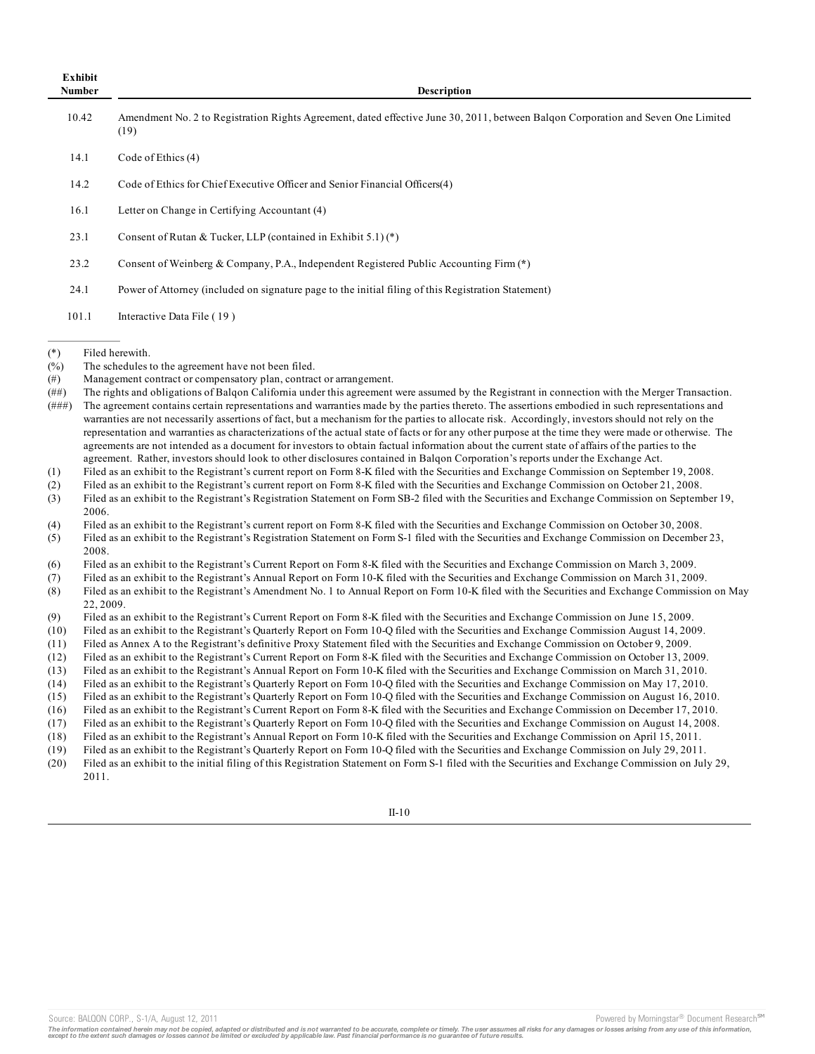| Exhibit       |                    |
|---------------|--------------------|
| <b>Number</b> | <b>Description</b> |
|               |                    |

10.42 Amendment No. 2 to Registration Rights Agreement, dated effective June 30, 2011, between Balqon Corporation and Seven One Limited (19)

14.1 Code of Ethics (4)

14.2 Code of Ethics for Chief Executive Officer and Senior Financial Officers(4)

16.1 Letter on Change in Certifying Accountant (4)

23.1 Consent of Rutan & Tucker, LLP (contained in Exhibit 5.1) (\*)

- 23.2 Consent of Weinberg & Company, P.A., Independent Registered Public Accounting Firm (**\***)
- 24.1 Power of Attorney (included on signature page to the initial filing of this Registration Statement)

101.1 Interactive Data File (19)

(\*) Filed herewith.

- (%) The schedules to the agreement have not been filed.
- (#) Management contract or compensatory plan, contract or arrangement.
- (##) The rights and obligations of Balqon California under this agreement were assumed by the Registrant in connection with the Merger Transaction.  $(\# \# \#)$  The agreement contains certain representations and warranties made by the parties thereto. The assertions embodied in such representations and warranties are not necessarily assertions of fact, but a mechanism for the parties to allocate risk. Accordingly, investors should not rely on the representation and warranties as characterizations of the actual state of facts or for any other purpose at the time they were made or otherwise. The agreements are not intended as a document for investors to obtain factual information about the current state of affairs of the parties to the agreement. Rather, investors should look to other disclosures contained in Balqon Corporation's reports under the Exchange Act.
- (1) Filed as an exhibit to the Registrant's current report on Form 8-K filed with the Securities and Exchange Commission on September 19, 2008.
- (2) Filed as an exhibit to the Registrant's current report on Form 8-K filed with the Securities and Exchange Commission on October 21, 2008.
- (3) Filed as an exhibit to the Registrant's Registration Statement on Form SB-2 filed with the Securities and Exchange Commission on September 19, 2006.
- (4) Filed as an exhibit to the Registrant's current report on Form 8-K filed with the Securities and Exchange Commission on October 30, 2008. (5) Filed as an exhibit to the Registrant's Registration Statement on Form S-1 filed with the Securities and Exchange Commission on December 23,

2008.

(6) Filed as an exhibit to the Registrant's Current Report on Form 8-K filed with the Securities and Exchange Commission on March 3, 2009.

(7) Filed as an exhibit to the Registrant's Annual Report on Form 10-K filed with the Securities and Exchange Commission on March 31, 2009.

(8) Filed as an exhibit to the Registrant's Amendment No. 1 to Annual Report on Form 10-K filed with the Securities and Exchange Commission on May 22, 2009.

- (13) Filed as an exhibit to the Registrant's Annual Report on Form 10-K filed with the Securities and Exchange Commission on March 31, 2010.
- (14) Filed as an exhibit to the Registrant's Quarterly Report on Form 10-Q filed with the Securities and Exchange Commission on May 17, 2010.
- (15) Filed as an exhibit to the Registrant's Quarterly Report on Form 10-Q filed with the Securities and Exchange Commission on August 16, 2010.
- (16) Filed as an exhibit to the Registrant's Current Report on Form 8-K filed with the Securities and Exchange Commission on December 17, 2010.
- (17) Filed as an exhibit to the Registrant's Quarterly Report on Form 10-Q filed with the Securities and Exchange Commission on August 14, 2008.
- (18) Filed as an exhibit to the Registrant's Annual Report on Form 10-K filed with the Securities and Exchange Commission on April 15, 2011.
- (19) Filed as an exhibit to the Registrant's Quarterly Report on Form 10-Q filed with the Securities and Exchange Commission on July 29, 2011.
- (20) Filed as an exhibit to the initial filing of this Registration Statement on Form S-1 filed with the Securities and Exchange Commission on July 29, 2011.

II-10

Source: BALQON CORP., S-1/A, August 12, 2011 **Powered by Morningstar® Document Research** Morningstar® Document Research

<sup>(9)</sup> Filed as an exhibit to the Registrant's Current Report on Form 8-K filed with the Securities and Exchange Commission on June 15, 2009.

<sup>(10)</sup> Filed as an exhibit to the Registrant's Quarterly Report on Form 10-Q filed with the Securities and Exchange Commission August 14, 2009.

<sup>(11)</sup> Filed as Annex A to the Registrant's definitive Proxy Statement filed with the Securities and Exchange Commission on October 9, 2009.

<sup>(12)</sup> Filed as an exhibit to the Registrant's Current Report on Form 8-K filed with the Securities and Exchange Commission on October 13, 2009.

The information contained herein may not be copied, adapted or distributed and is not warranted to be accurate, complete or timely. The user assumes all risks for any damages or losses arising from any use of this informat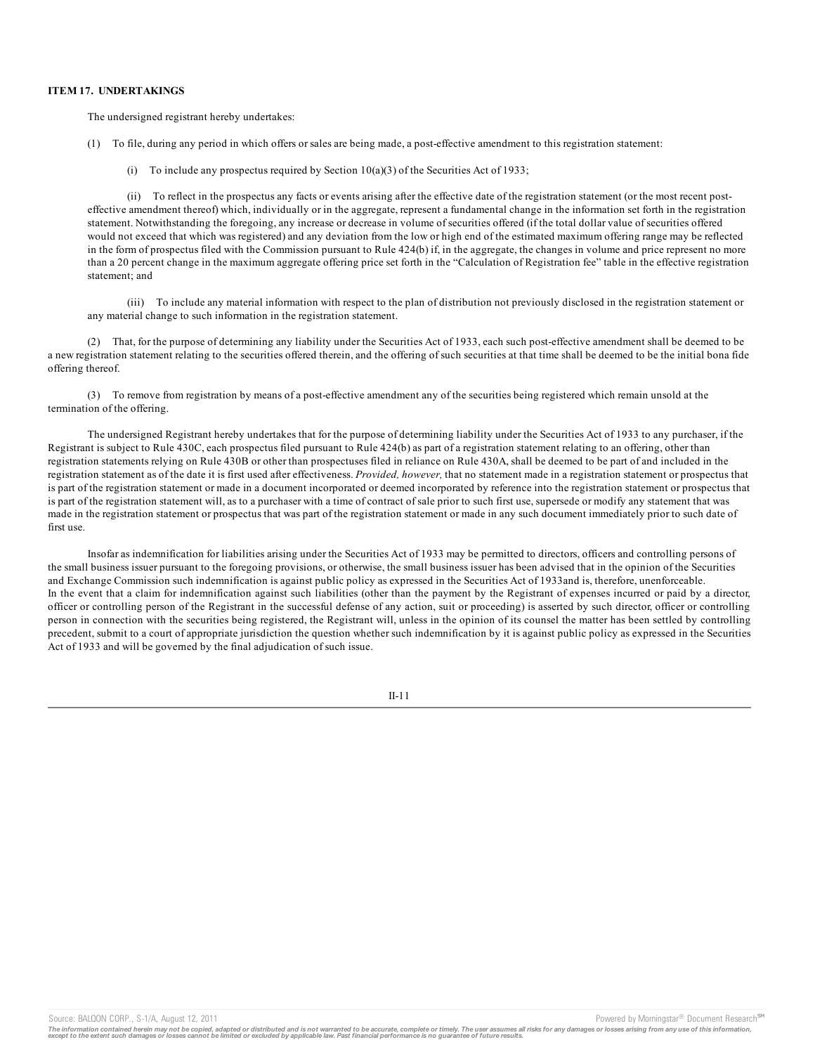#### **ITEM 17. UNDERTAKINGS**

The undersigned registrant hereby undertakes:

- (1) To file, during any period in which offers or sales are being made, a post-effective amendment to this registration statement:
	- (i) To include any prospectus required by Section  $10(a)(3)$  of the Securities Act of 1933;

(ii) To reflect in the prospectus any facts or events arising after the effective date of the registration statement (or the most recent posteffective amendment thereof) which, individually or in the aggregate, represent a fundamental change in the information set forth in the registration statement. Notwithstanding the foregoing, any increase or decrease in volume of securities offered (if the total dollar value of securities offered would not exceed that which was registered) and any deviation from the low or high end of the estimated maximum offering range may be reflected in the form of prospectus filed with the Commission pursuant to Rule 424(b) if, in the aggregate, the changes in volume and price represent no more than a 20 percent change in the maximum aggregate offering price set forth in the "Calculation of Registration fee" table in the effective registration statement; and

(iii) To include any material information with respect to the plan of distribution not previously disclosed in the registration statement or any material change to such information in the registration statement.

(2) That, for the purpose of determining any liability under the Securities Act of 1933, each such post-effective amendment shall be deemed to be a new registration statement relating to the securities offered therein, and the offering of such securities at that time shall be deemed to be the initial bona fide offering thereof.

(3) To remove from registration by means of a post-effective amendment any of the securities being registered which remain unsold at the termination of the offering.

The undersigned Registrant hereby undertakes that for the purpose of determining liability under the Securities Act of 1933 to any purchaser, if the Registrant is subject to Rule 430C, each prospectus filed pursuant to Rule 424(b) as part of a registration statement relating to an offering, other than registration statements relying on Rule 430B or other than prospectuses filed in reliance on Rule 430A, shall be deemed to be part of and included in the registration statement as of the date it is first used after effectiveness. *Provided, however,* that no statement made in a registration statement or prospectus that is part of the registration statement or made in a document incorporated or deemed incorporated by reference into the registration statement or prospectus that is part of the registration statement will, as to a purchaser with a time of contract of sale prior to such first use, supersede or modify any statement that was made in the registration statement or prospectus that was part of the registration statement or made in any such document immediately prior to such date of first use.

Insofar as indemnification for liabilities arising under the Securities Act of 1933 may be permitted to directors, officers and controlling persons of the small business issuer pursuant to the foregoing provisions, or otherwise, the small business issuer has been advised that in the opinion of the Securities and Exchange Commission such indemnification is against public policy as expressed in the Securities Act of 1933and is, therefore, unenforceable. In the event that a claim for indemnification against such liabilities (other than the payment by the Registrant of expenses incurred or paid by a director, officer or controlling person of the Registrant in the successful defense of any action, suit or proceeding) is asserted by such director, officer or controlling person in connection with the securities being registered, the Registrant will, unless in the opinion of its counsel the matter has been settled by controlling precedent, submit to a court of appropriate jurisdiction the question whether such indemnification by it is against public policy as expressed in the Securities Act of 1933 and will be governed by the final adjudication of such issue.

II-11

Source: BALQON CORP., S-1/A, August 12, 2011 **Powered by Morningstar® Document Research** <sup>5M</sup>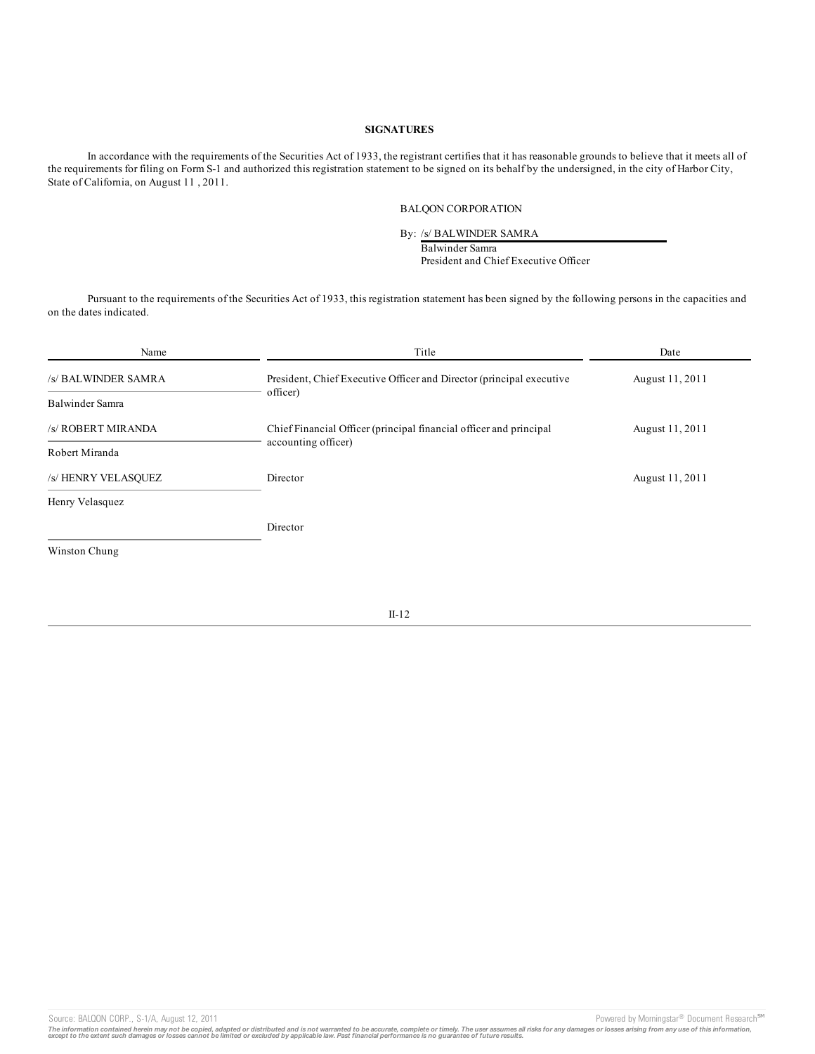### **SIGNATURES**

In accordance with the requirements of the Securities Act of 1933, the registrant certifies that it has reasonable grounds to believe that it meets all of the requirements for filing on Form S-1 and authorized this registration statement to be signed on its behalf by the undersigned, in the city of Harbor City, State of California, on August 11 , 2011.

## BALQON CORPORATION

By: /s/ BALWINDER SAMRA

Balwinder Samra President and Chief Executive Officer

Pursuant to the requirements of the Securities Act of 1933, this registration statement has been signed by the following persons in the capacities and on the dates indicated.

| Name                   | Title                                                                | Date            |  |
|------------------------|----------------------------------------------------------------------|-----------------|--|
| /s/ BALWINDER SAMRA    | President, Chief Executive Officer and Director (principal executive | August 11, 2011 |  |
| <b>Balwinder Samra</b> | officer)                                                             |                 |  |
| /s/ ROBERT MIRANDA     | Chief Financial Officer (principal financial officer and principal   | August 11, 2011 |  |
| Robert Miranda         | accounting officer)                                                  |                 |  |
| /s/ HENRY VELASQUEZ    | Director                                                             | August 11, 2011 |  |
| Henry Velasquez        |                                                                      |                 |  |
|                        | Director                                                             |                 |  |
| Winston Chung          |                                                                      |                 |  |

II-12

Source: BALQON CORP., S-1/A, August 12, 2011 2011 2011 Powered by Morningstar® Document Research Morningstar® Document Research

The information contained herein may not be copied, adapted or distributed and is not warranted to be accurate, complete or timely. The user assumes all risks for any damages or losses arising from any use of this informat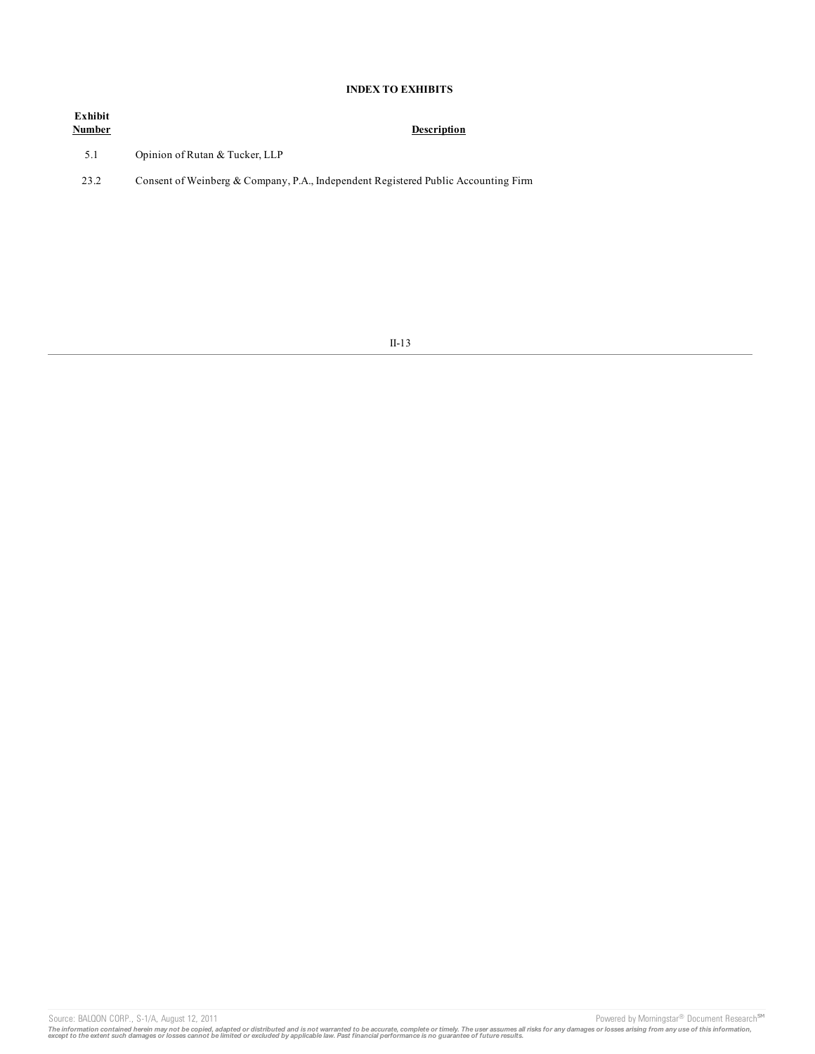# **INDEX TO EXHIBITS**

| Exhibit<br>Number | <b>Description</b>                                                                 |
|-------------------|------------------------------------------------------------------------------------|
| 5.1               | Opinion of Rutan & Tucker, LLP                                                     |
| 23.2              | Consent of Weinberg & Company, P.A., Independent Registered Public Accounting Firm |
|                   |                                                                                    |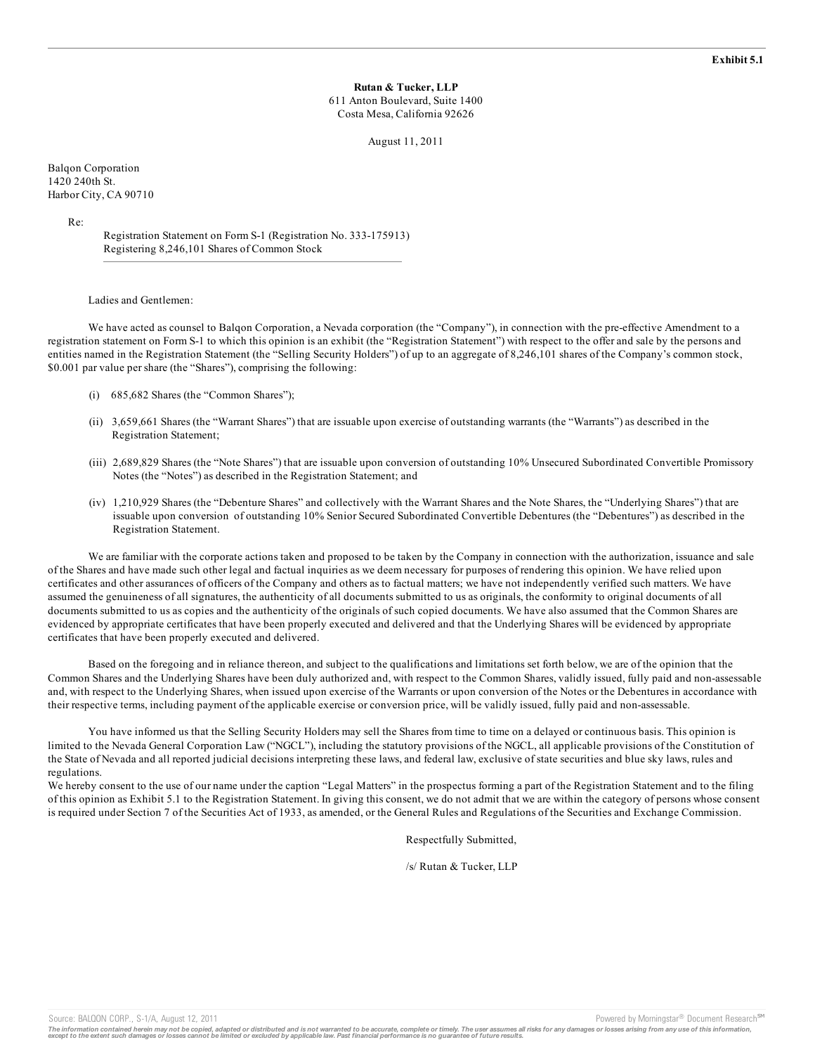**Rutan & Tucker, LLP**

611 Anton Boulevard, Suite 1400 Costa Mesa, California 92626

August 11, 2011

Balqon Corporation 1420 240th St. Harbor City, CA 90710

Re:

Registration Statement on Form S-1 (Registration No. 333-175913) Registering 8,246,101 Shares of Common Stock

### Ladies and Gentlemen:

We have acted as counsel to Balqon Corporation, a Nevada corporation (the "Company"), in connection with the pre-effective Amendment to a registration statement on Form S-1 to which this opinion is an exhibit (the "Registration Statement") with respect to the offer and sale by the persons and entities named in the Registration Statement (the "Selling Security Holders") of up to an aggregate of 8,246,101 shares of the Company's common stock, \$0.001 par value per share (the "Shares"), comprising the following:

- (i) 685,682 Shares (the "Common Shares");
- (ii) 3,659,661 Shares (the "Warrant Shares") that are issuable upon exercise of outstanding warrants (the "Warrants") as described in the Registration Statement;
- (iii) 2,689,829 Shares (the "Note Shares") that are issuable upon conversion of outstanding 10% Unsecured Subordinated Convertible Promissory Notes (the "Notes") as described in the Registration Statement; and
- (iv) 1,210,929 Shares (the "Debenture Shares" and collectively with the Warrant Shares and the Note Shares, the "Underlying Shares") that are issuable upon conversion of outstanding 10% Senior Secured Subordinated Convertible Debentures (the "Debentures") as described in the Registration Statement.

We are familiar with the corporate actions taken and proposed to be taken by the Company in connection with the authorization, issuance and sale of the Shares and have made such other legal and factual inquiries as we deem necessary for purposes of rendering this opinion. We have relied upon certificates and other assurances of officers of the Company and others as to factual matters; we have not independently verified such matters. We have assumed the genuineness of all signatures, the authenticity of all documents submitted to us as originals, the conformity to original documents of all documents submitted to us as copies and the authenticity of the originals of such copied documents. We have also assumed that the Common Shares are evidenced by appropriate certificates that have been properly executed and delivered and that the Underlying Shares will be evidenced by appropriate certificates that have been properly executed and delivered.

Based on the foregoing and in reliance thereon, and subject to the qualifications and limitations set forth below, we are of the opinion that the Common Shares and the Underlying Shares have been duly authorized and, with respect to the Common Shares, validly issued, fully paid and non-assessable and, with respect to the Underlying Shares, when issued upon exercise of the Warrants or upon conversion of the Notes or the Debentures in accordance with their respective terms, including payment of the applicable exercise or conversion price, will be validly issued, fully paid and non-assessable.

You have informed us that the Selling Security Holders may sell the Shares from time to time on a delayed or continuous basis. This opinion is limited to the Nevada General Corporation Law ("NGCL"), including the statutory provisions of the NGCL, all applicable provisions of the Constitution of the State of Nevada and all reported judicial decisions interpreting these laws, and federal law, exclusive of state securities and blue sky laws, rules and regulations.

We hereby consent to the use of our name under the caption "Legal Matters" in the prospectus forming a part of the Registration Statement and to the filing of this opinion as Exhibit 5.1 to the Registration Statement. In giving this consent, we do not admit that we are within the category of persons whose consent is required under Section 7 of the Securities Act of 1933, as amended, or the General Rules and Regulations of the Securities and Exchange Commission.

Respectfully Submitted,

/s/ Rutan & Tucker, LLP

Source: BALQON CORP., S-1/A, August 12, 2011 **Powered by Morningstar® Document Research** <sup>5M</sup>

The information contained herein may not be copied, adapted or distributed and is not warranted to be accurate, complete or timely. The user assumes all risks for any damages or losses arising from any use of this informat